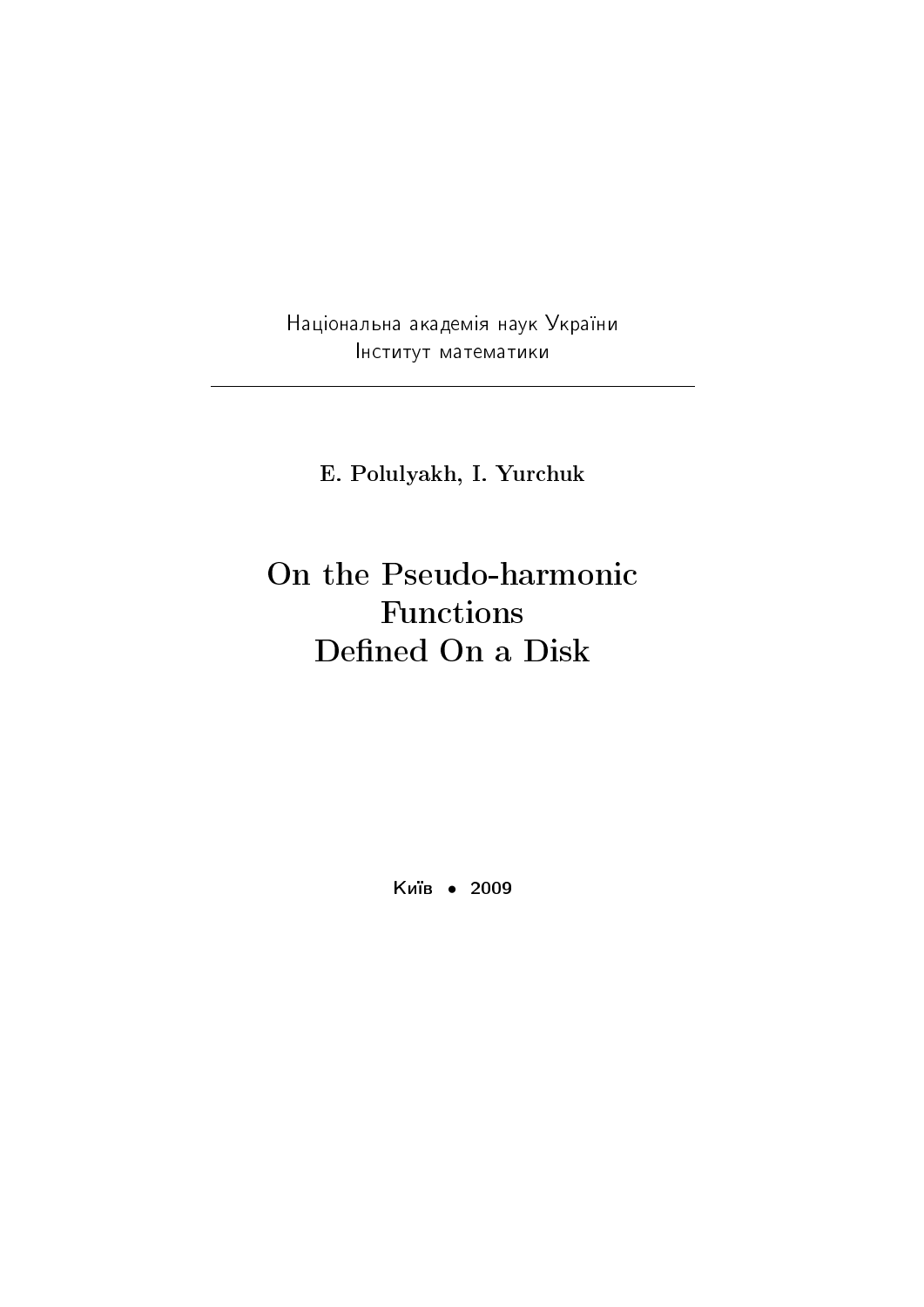Національна академія наук України Iнститут математики

E. Polulyakh, I. Yurchuk

# On the Pseudo-harmonic Functions Defined On a Disk

Київ • 2009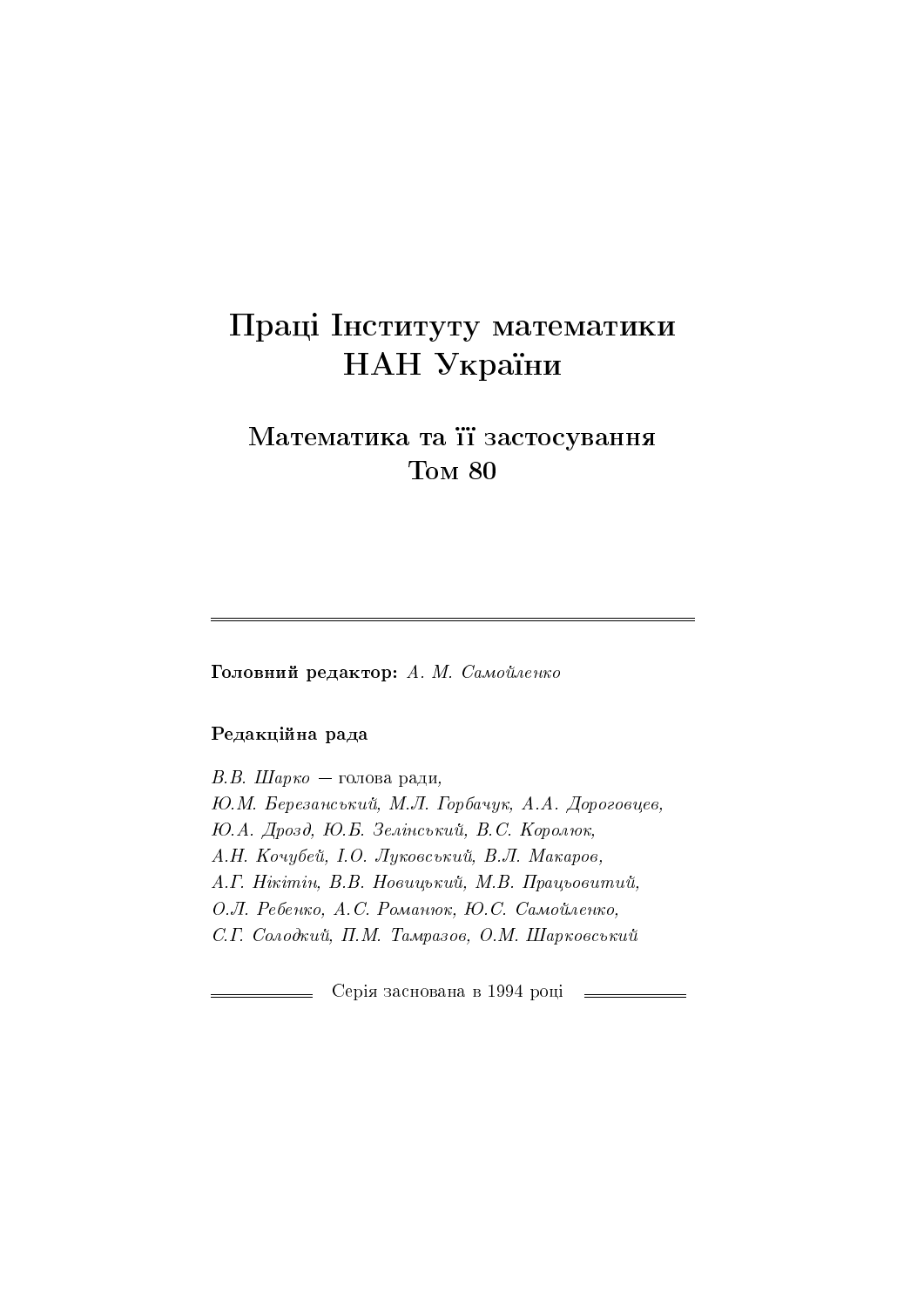# Праці Інституту математики НАН України

## Математика та її застосування Tom 80

Головний редактор: А. М. Самойленко

### Редакційна рада

 $B.B.$  Шарко — голова ради, Ю.М. Березанський, М.Л. Горбачук, А.А. Дороговцев, Ю.А. Дрозд, Ю.Б. Зелінський, В.С. Королюк, А.Н. Кочубей, І.О. Луковський, В.Л. Макаров, A. Г. Нікітін, В.В. Новицький, М.В. Працьовитий, О.Л. Ребенко, А.С. Романюк, Ю.С. Самойленко, С.Г. Солодкий, П.М. Тамразов, О.М. Шарковський

Серія заснована в 1994 році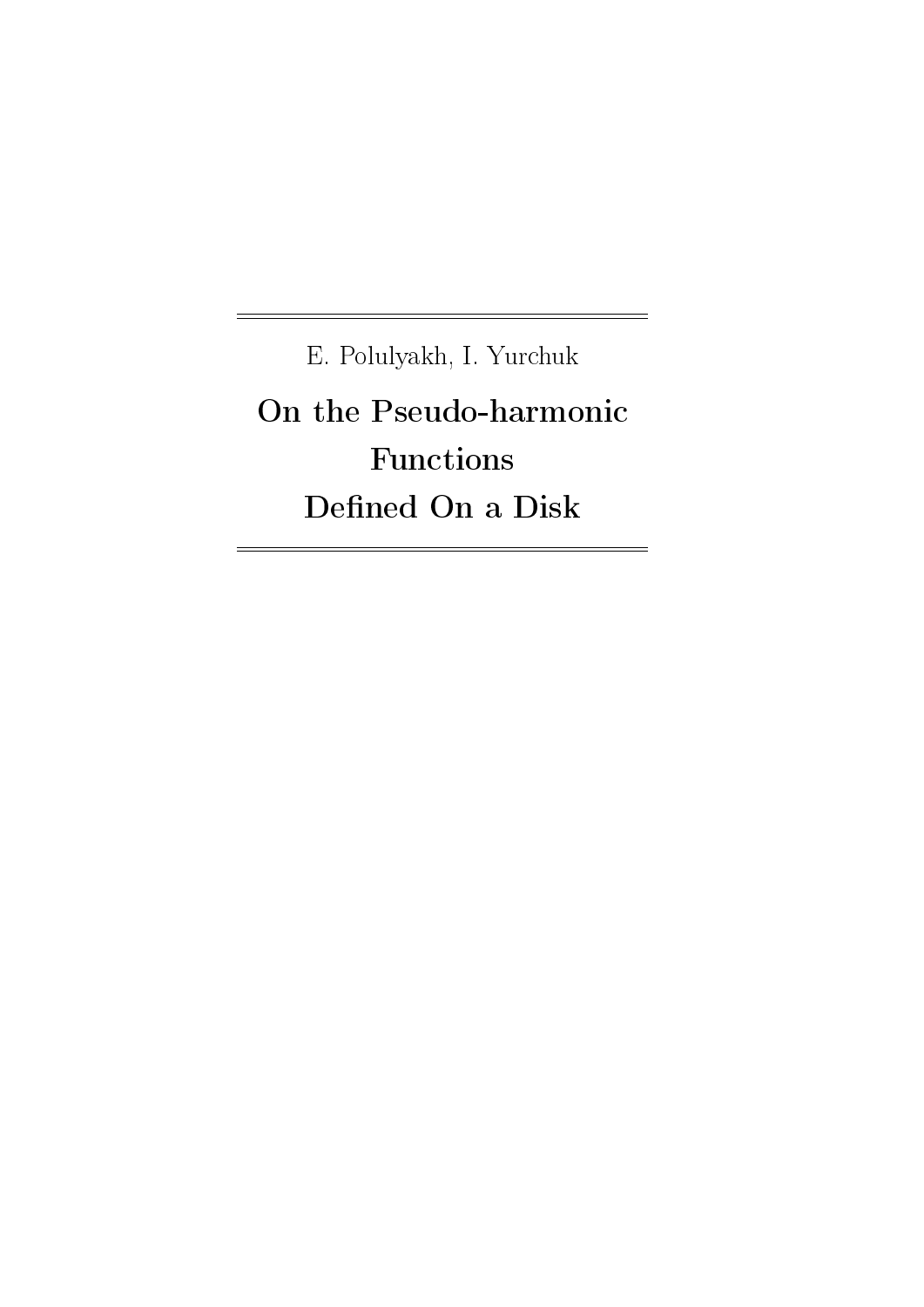E. Polulyakh, I. Yurchuk On the Pseudo-harmonic Functions Defined On a Disk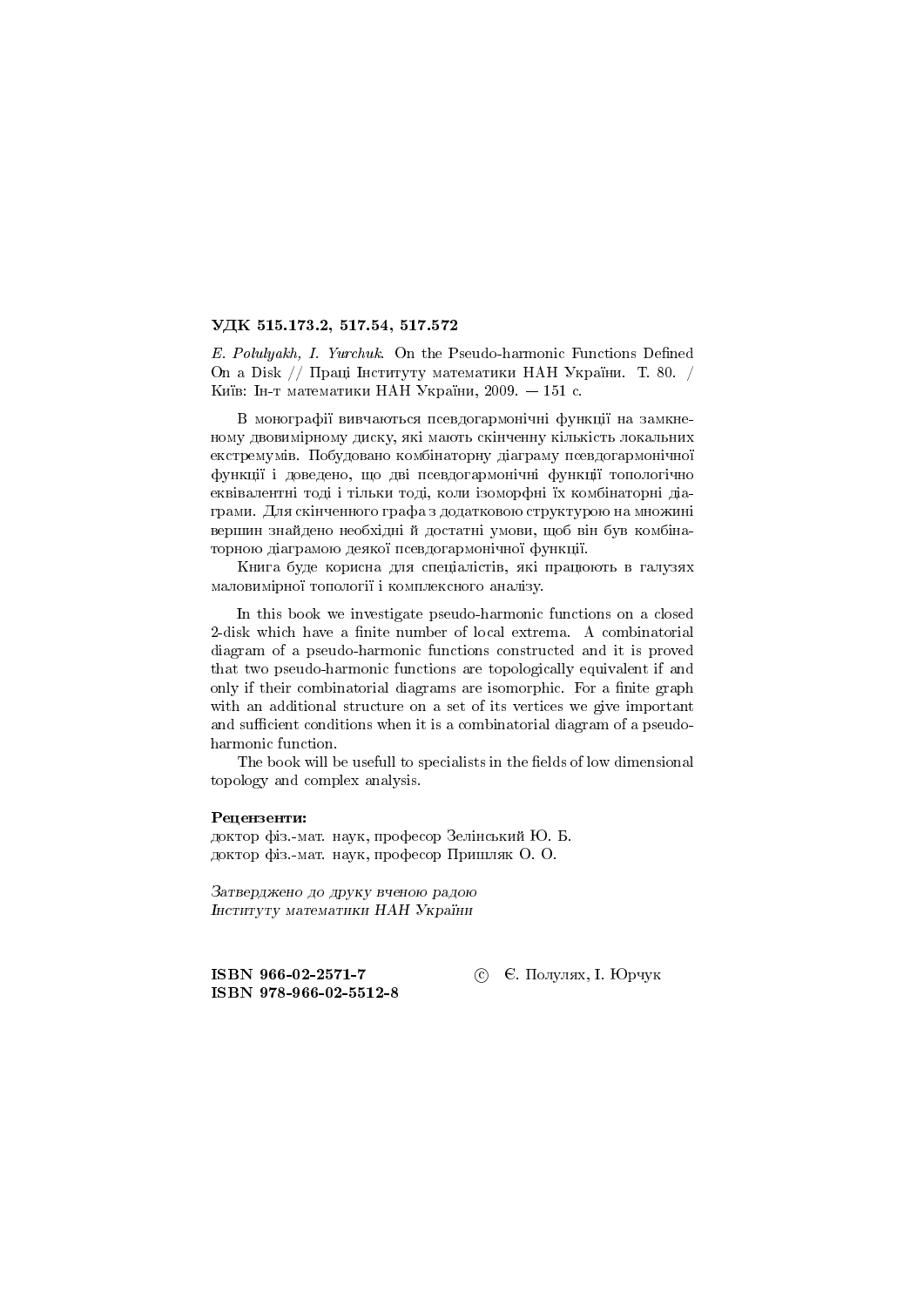#### УДК 515.173.2, 517.54, 517.572

E. Polulyakh, I. Yurchuk. On the Pseudo-harmonic Functions Defined On a Disk // Праці Інституту математики НАН України. Т. 80. / Київ: Ін-т математики НАН України, 2009.  $-151$  с.

В монографії вивчаються псевдогармонічні функції на замкненому двовимірному диску, які мають скінченну кількість локальних екстремумів. Побудовано комбінаторну діаграму псевдогармонічної функції і доведено, що дві псевдогармонічні функції топологічно еквівалентні тоді і тільки тоді, коли ізоморфні їх комбінаторні діаграми. Для скінченного графа з додатковою структурою на множині вершин знайдено необхідні й достатні умови, щоб він був комбінаторною діаграмою деякої псевдогармонічної функції.

Книга буде корисна для спеціалістів, які працюють в галузях маловимірної топології і комплексного аналізу.

In this book we investigate pseudo-harmonic functions on a closed 2-disk which have a finite number of local extrema. A combinatorial diagram of a pseudo-harmonic functions constructed and it is proved that two pseudo-harmonic functions are topologically equivalent if and only if their combinatorial diagrams are isomorphic. For a finite graph with an additional structure on a set of its vertices we give important and sufficient conditions when it is a combinatorial diagram of a pseudoharmonic function.

The book will be usefull to specialists in the fields of low dimensional topology and complex analysis.

#### Рецензенти:

доктор фіз.-мат. наук, професор Зелінський Ю. Б. доктор фіз.-мат. наук, професор Пришляк О. О.

Затверджено до друку вченою радою Інституту математики НАН України

ISBN 966-02-2571-7 ISBN 978-966-02-5512-8 © Е. Полулях, I. Юрчук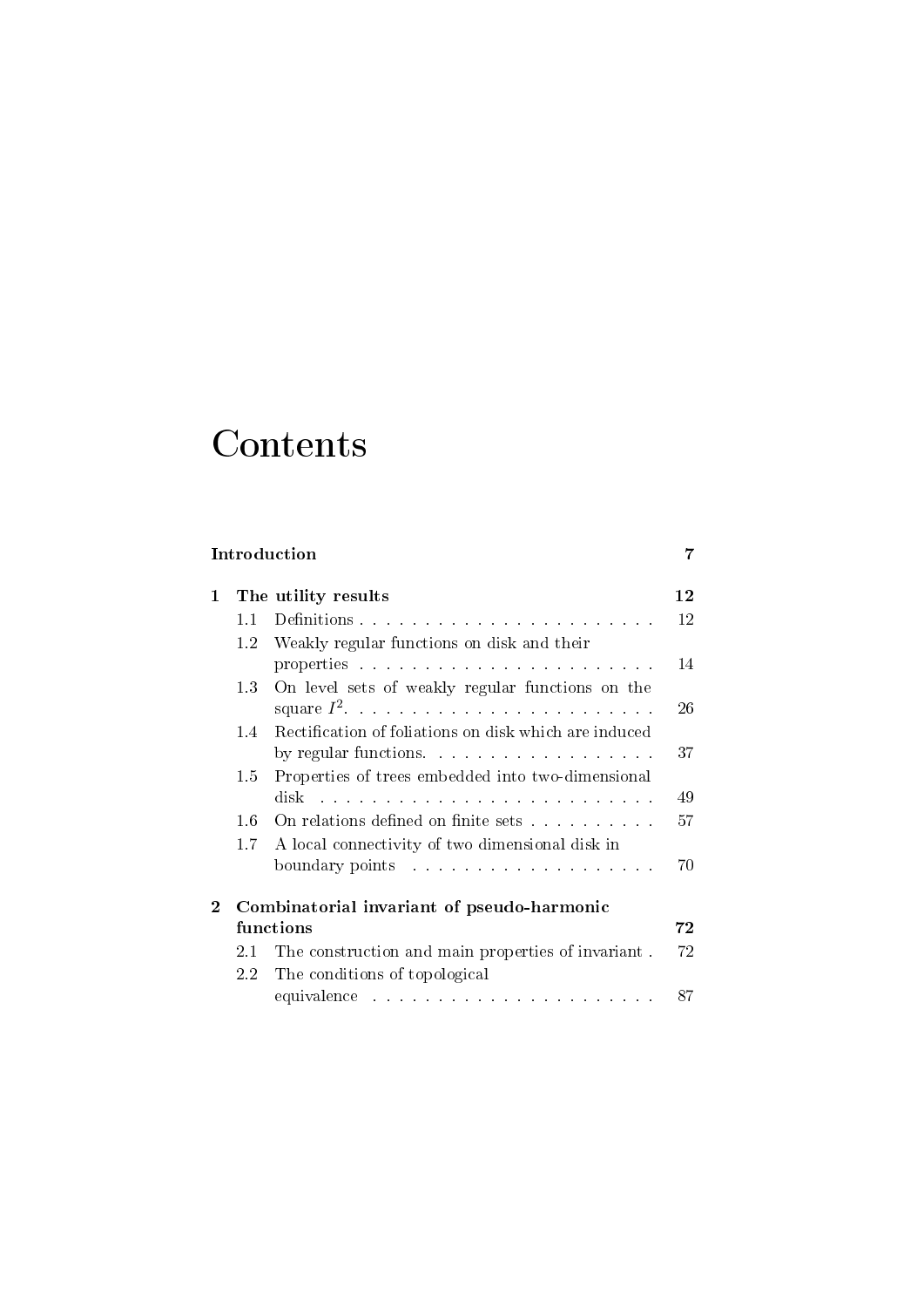# Contents

### Introduction 7

| 1        |         | The utility results                                   | $1\,2$   |
|----------|---------|-------------------------------------------------------|----------|
|          | 1.1     |                                                       | 12       |
|          | 1.2     | Weakly regular functions on disk and their            |          |
|          |         |                                                       | 14       |
|          | 1.3     | On level sets of weakly regular functions on the      |          |
|          |         |                                                       | 26       |
|          | 1.4     | Rectification of foliations on disk which are induced |          |
|          |         | by regular functions.                                 | 37       |
|          | 1.5     | Properties of trees embedded into two-dimensional     |          |
|          |         |                                                       | 49       |
|          | 1.6     | On relations defined on finite sets                   | 57       |
|          | 1.7     | A local connectivity of two dimensional disk in       |          |
|          |         |                                                       |          |
| $\bf{2}$ |         | Combinatorial invariant of pseudo-harmonic            |          |
|          |         | functions                                             | $\bf 72$ |
|          | 2.1     | The construction and main properties of invariant.    | 72       |
|          | $2.2\,$ | The conditions of topological                         |          |
|          |         |                                                       | 87       |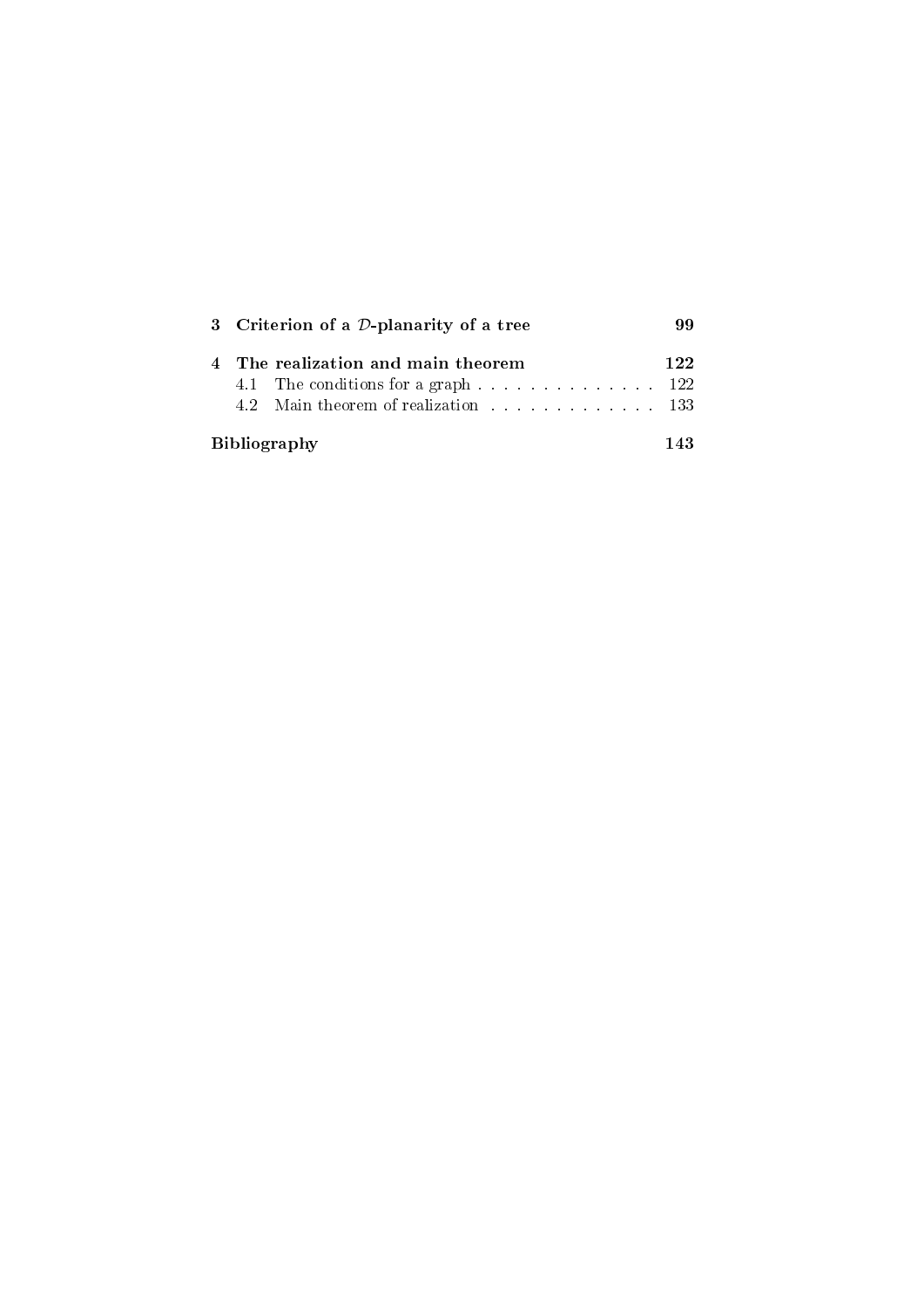| 3 Criterion of a $D$ -planarity of a tree                                                               |     |  |
|---------------------------------------------------------------------------------------------------------|-----|--|
| 4 The realization and main theorem<br>4.2 Main theorem of realization example and the same state of 133 | 122 |  |
| <b>Bibliography</b>                                                                                     |     |  |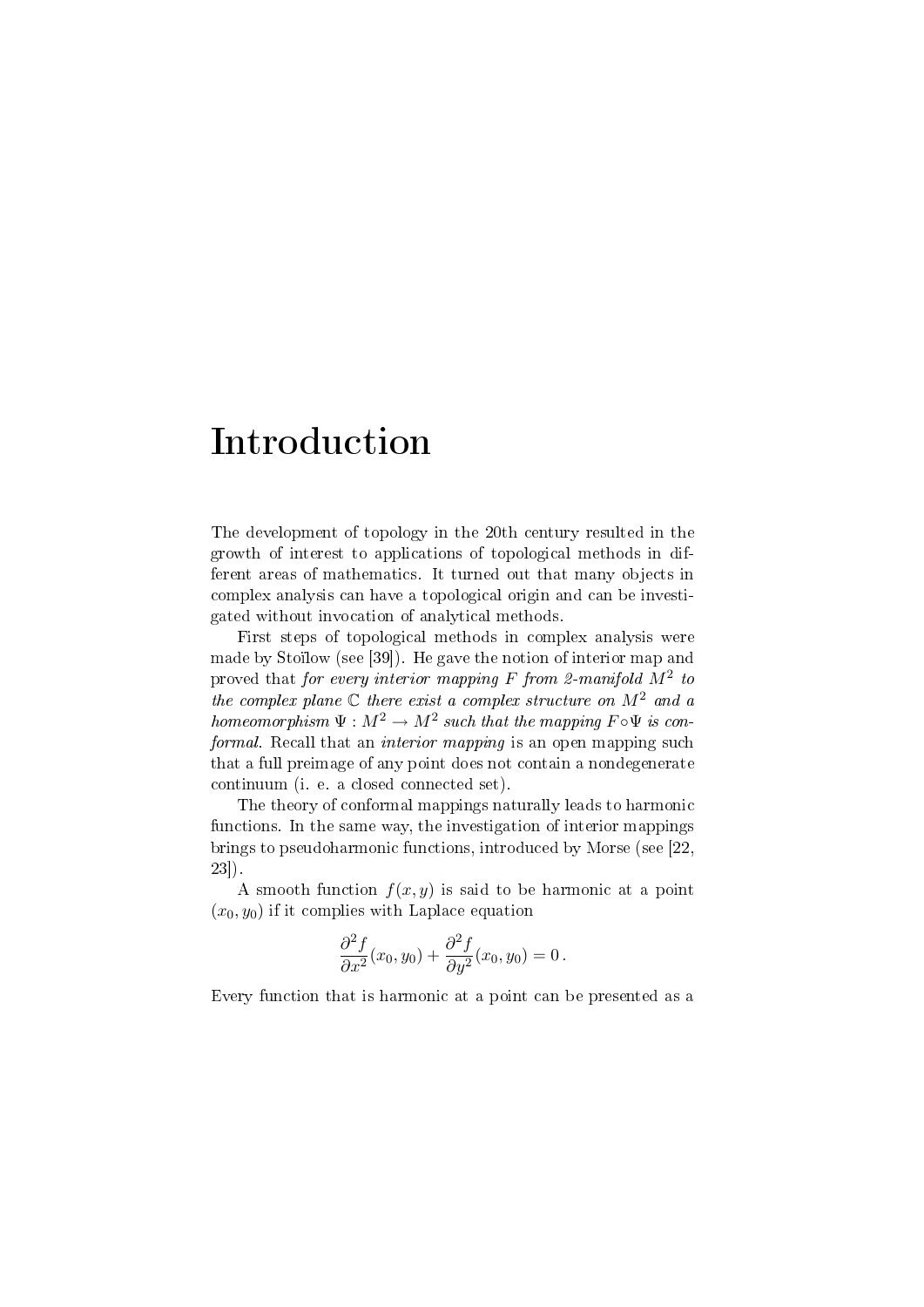# Introduction

The development of topology in the 20th century resulted in the growth of interest to applications of topological methods in different areas of mathematics. It turned out that many objects in complex analysis can have a topological origin and can be investigated without invocation of analytical methods.

First steps of topological methods in complex analysis were made by Stoïlow (see [39]). He gave the notion of interior map and proved that for every interior mapping F from 2-manifold  $M^2$  to the complex plane  $\mathbb C$  there exist a complex structure on  $M^2$  and a homeomorphism  $\Psi : M^2 \to M^2$  such that the mapping  $F \circ \Psi$  is conformal. Recall that an interior mapping is an open mapping such that a full preimage of any point does not contain a nondegenerate continuum (i. e. a closed connected set).

The theory of conformal mappings naturally leads to harmonic functions. In the same way, the investigation of interior mappings brings to pseudoharmonic functions, introduced by Morse (see [22, 23]).

A smooth function  $f(x, y)$  is said to be harmonic at a point  $(x_0, y_0)$  if it complies with Laplace equation

$$
\frac{\partial^2 f}{\partial x^2}(x_0, y_0) + \frac{\partial^2 f}{\partial y^2}(x_0, y_0) = 0.
$$

Every function that is harmonic at a point can be presented as a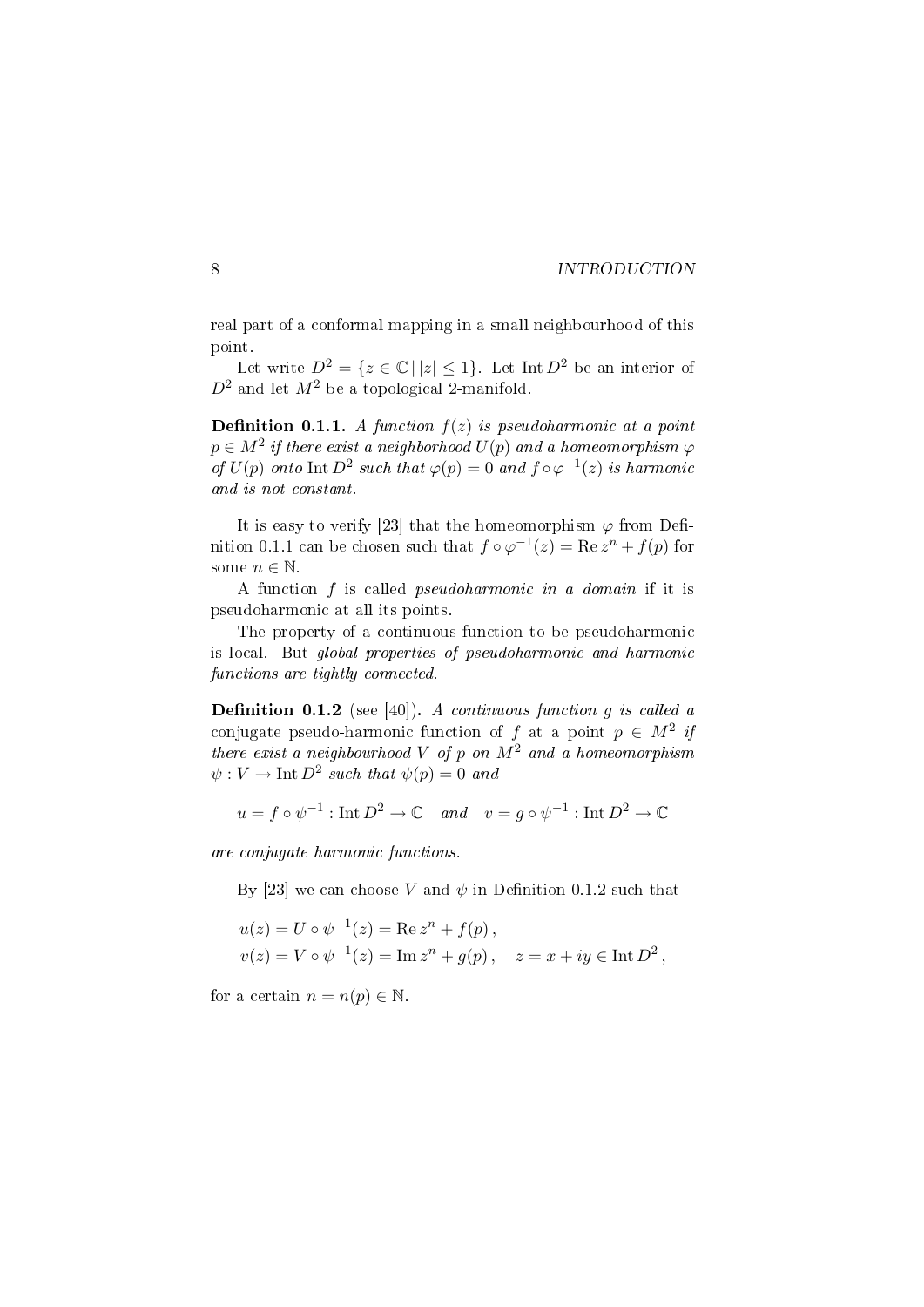real part of a conformal mapping in a small neighbourhood of this point.

Let write  $D^2 = \{z \in \mathbb{C} \mid |z| \leq 1\}$ . Let Int  $D^2$  be an interior of  $D^2$  and let  $M^2$  be a topological 2-manifold.

**Definition 0.1.1.** A function  $f(z)$  is pseudoharmonic at a point  $p \in M^2$  if there exist a neighborhood  $U(p)$  and a homeomorphism  $\varphi$ of  $U(p)$  onto  $\text{Int } D^2$  such that  $\varphi(p) = 0$  and  $f \circ \varphi^{-1}(z)$  is harmonic and is not constant.

It is easy to verify [23] that the homeomorphism  $\varphi$  from Definition 0.1.1 can be chosen such that  $f \circ \varphi^{-1}(z) = \text{Re } z^n + f(p)$  for some  $n \in \mathbb{N}$ .

A function f is called pseudoharmonic in a domain if it is pseudoharmonic at all its points.

The property of a continuous function to be pseudoharmonic is local. But global properties of pseudoharmonic and harmonic functions are tightly connected.

**Definition 0.1.2** (see [40]). A continuous function g is called a conjugate pseudo-harmonic function of f at a point  $p \in M^2$  if there exist a neighbourhood  $V$  of  $p$  on  $M^2$  and a homeomorphism  $\psi: V \to \text{Int } D^2$  such that  $\psi(p) = 0$  and

$$
u = f \circ \psi^{-1}
$$
: Int  $D^2 \to \mathbb{C}$  and  $v = g \circ \psi^{-1}$ : Int  $D^2 \to \mathbb{C}$ 

are conjugate harmonic functions.

By [23] we can choose V and  $\psi$  in Definition 0.1.2 such that

$$
u(z) = U \circ \psi^{-1}(z) = \text{Re } z^n + f(p),
$$
  
 
$$
v(z) = V \circ \psi^{-1}(z) = \text{Im } z^n + g(p), \quad z = x + iy \in \text{Int } D^2,
$$

for a certain  $n = n(p) \in \mathbb{N}$ .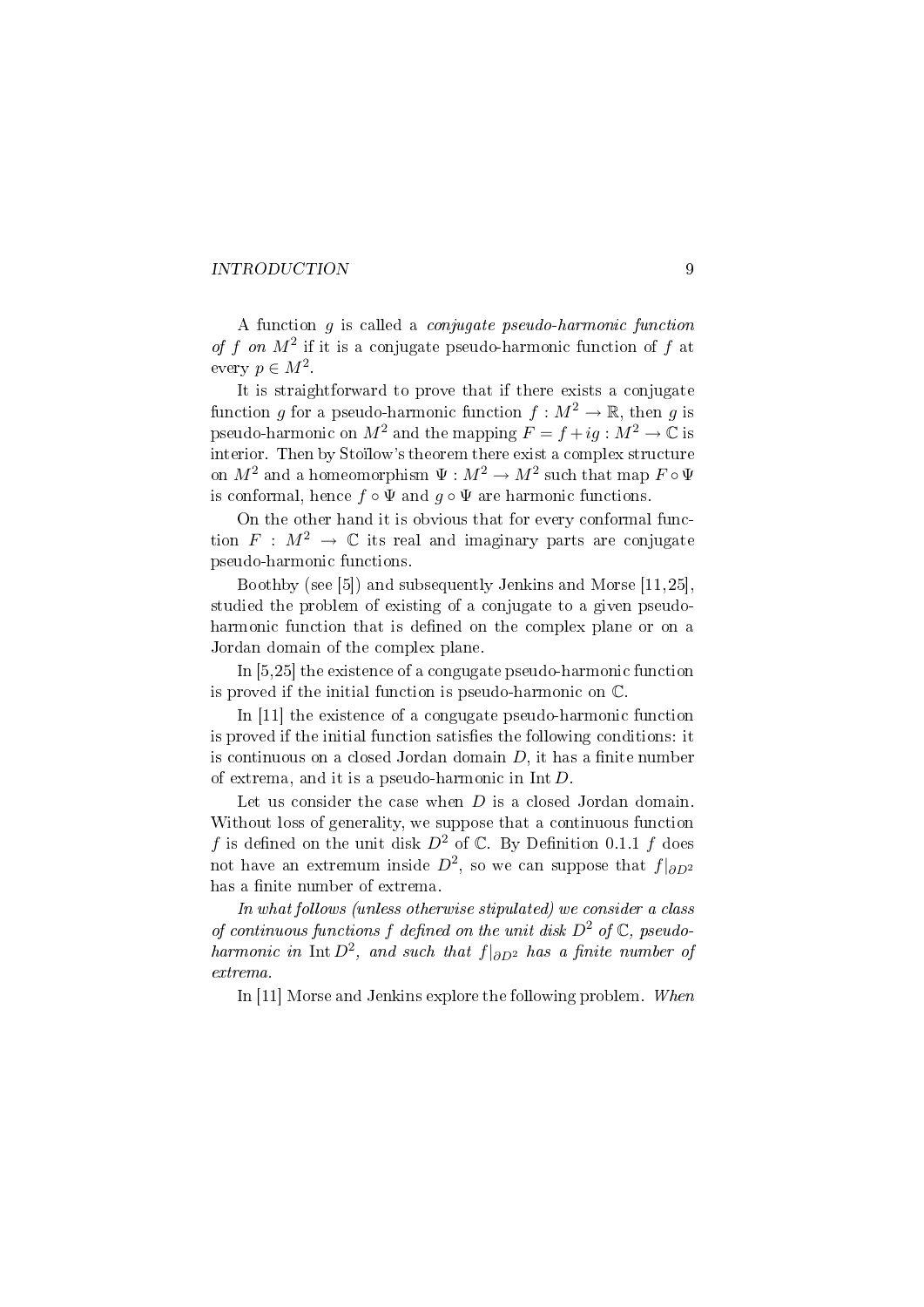A function g is called a conjugate pseudo-harmonic function of f on  $M^2$  if it is a conjugate pseudo-harmonic function of f at every  $p \in M^2$ .

It is straightforward to prove that if there exists a conjugate function g for a pseudo-harmonic function  $f : M^2 \to \mathbb{R}$ , then g is pseudo-harmonic on  $M^2$  and the mapping  $F = f + ig : M^2 \to \mathbb{C}$  is interior. Then by Stoïlow's theorem there exist a complex structure on  $M^2$  and a homeomorphism  $\Psi: M^2 \to M^2$  such that map  $F \circ \Psi$ is conformal, hence  $f \circ \Psi$  and  $g \circ \Psi$  are harmonic functions.

On the other hand it is obvious that for every conformal function  $F : M^2 \to \mathbb{C}$  its real and imaginary parts are conjugate pseudo-harmonic functions.

Boothby (see [5]) and subsequently Jenkins and Morse [11,25], studied the problem of existing of a conjugate to a given pseudoharmonic function that is defined on the complex plane or on a Jordan domain of the complex plane.

In [5,25] the existence of a congugate pseudo-harmonic function is proved if the initial function is pseudo-harmonic on C.

In [11] the existence of a congugate pseudo-harmonic function is proved if the initial function satisfies the following conditions: it is continuous on a closed Jordan domain  $D$ , it has a finite number of extrema, and it is a pseudo-harmonic in Int D.

Let us consider the case when  $D$  is a closed Jordan domain. Without loss of generality, we suppose that a continuous function f is defined on the unit disk  $D^2$  of  $\mathbb C$ . By Definition 0.1.1 f does not have an extremum inside  $D^2$ , so we can suppose that  $f|_{\partial D^2}$ has a finite number of extrema.

In what follows (unless otherwise stipulated) we consider a class of continuous functions f defined on the unit disk  $D^2$  of  $\mathbb{C}$ , pseudoharmonic in Int  $D^2$ , and such that  $f|_{\partial D^2}$  has a finite number of extrema.

In [11] Morse and Jenkins explore the following problem. When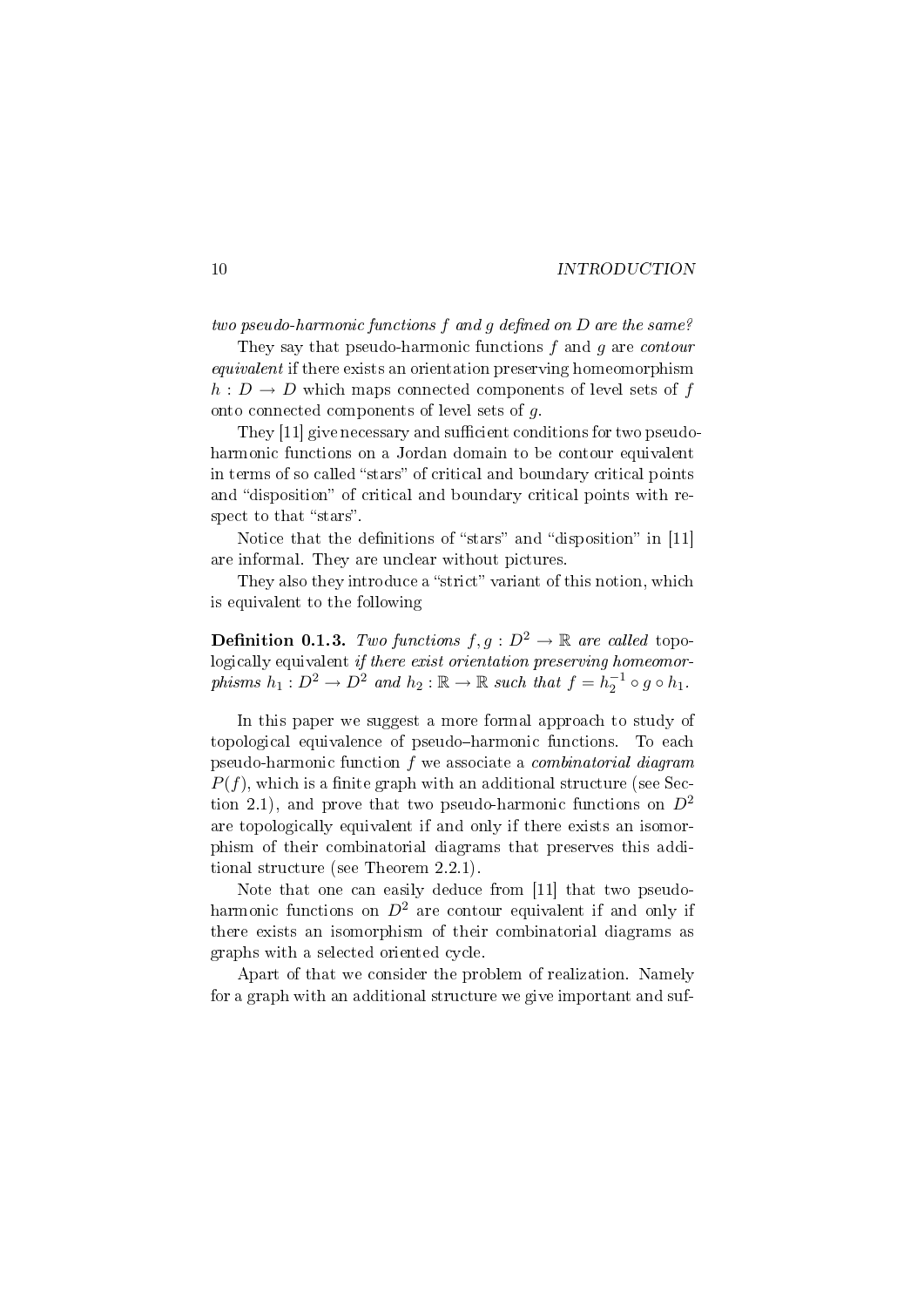two pseudo-harmonic functions  $f$  and  $g$  defined on  $D$  are the same?

They say that pseudo-harmonic functions  $f$  and  $g$  are *contour equivalent* if there exists an orientation preserving homeomorphism  $h: D \to D$  which maps connected components of level sets of f onto connected components of level sets of g.

They [11] give necessary and sufficient conditions for two pseudoharmonic functions on a Jordan domain to be contour equivalent in terms of so called "stars" of critical and boundary critical points and "disposition" of critical and boundary critical points with respect to that "stars".

Notice that the definitions of "stars" and "disposition" in [11] are informal. They are unclear without pictures.

They also they introduce a "strict" variant of this notion, which is equivalent to the following

**Definition 0.1.3.** Two functions  $f, g : D^2 \to \mathbb{R}$  are called topo-Logically equivalent if there exist orientation preserving homeomorphisms  $h_1: D^2 \to D^2$  and  $h_2: \mathbb{R} \to \mathbb{R}$  such that  $f = h_2^{-1} \circ g \circ h_1$ .

In this paper we suggest a more formal approach to study of topological equivalence of pseudo-harmonic functions. To each pseudo-harmonic function f we associate a combinatorial diagram  $P(f)$ , which is a finite graph with an additional structure (see Section 2.1), and prove that two pseudo-harmonic functions on  $D^2$ are topologically equivalent if and only if there exists an isomorphism of their combinatorial diagrams that preserves this additional structure (see Theorem 2.2.1).

Note that one can easily deduce from [11] that two pseudoharmonic functions on  $D^2$  are contour equivalent if and only if there exists an isomorphism of their combinatorial diagrams as graphs with a selected oriented cycle.

Apart of that we consider the problem of realization. Namely for a graph with an additional structure we give important and suf-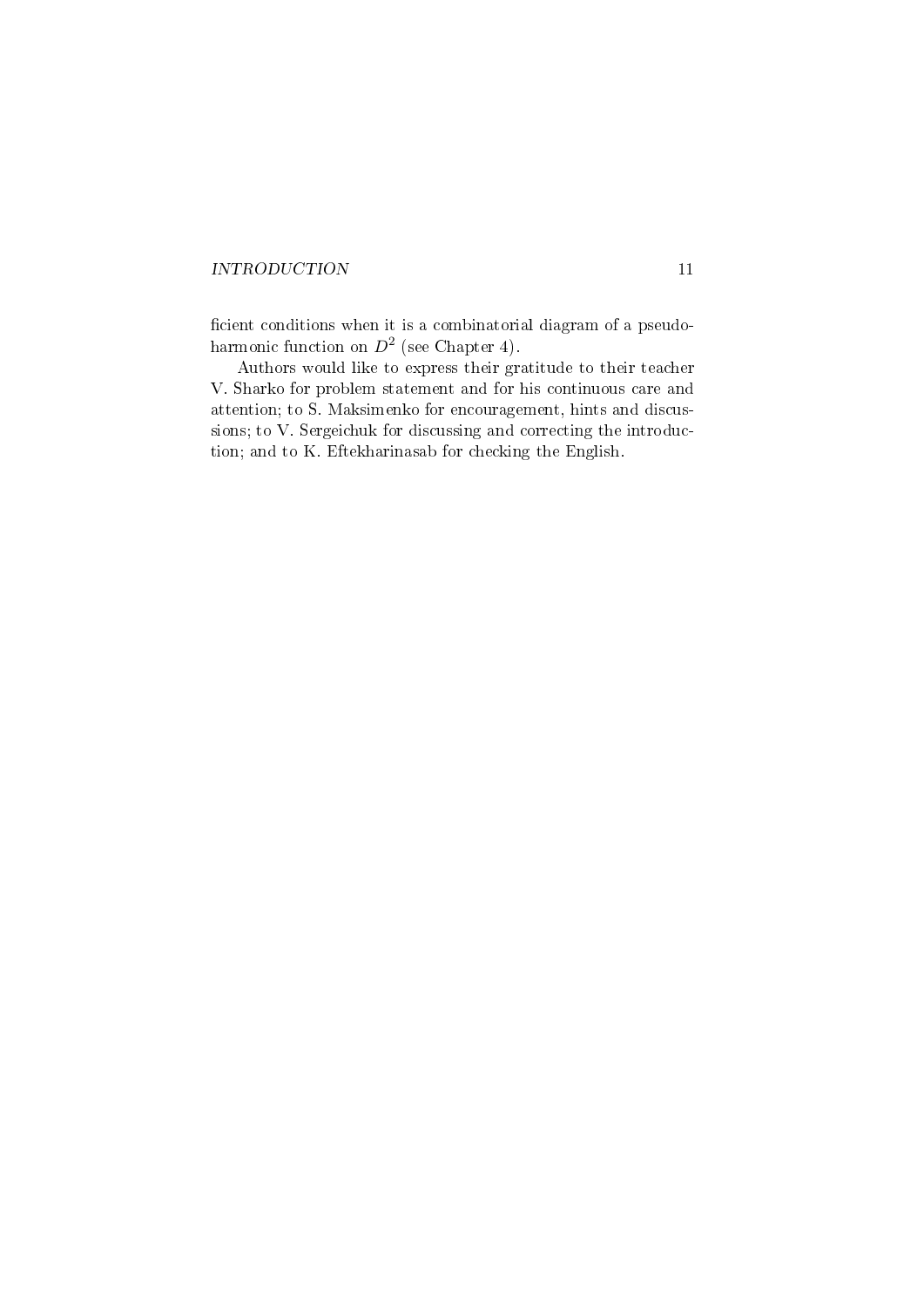cient conditions when it is a combinatorial diagram of a pseudoharmonic function on  $D^2$  (see Chapter 4).

Authors would like to express their gratitude to their teacher V. Sharko for problem statement and for his continuous care and attention; to S. Maksimenko for encouragement, hints and discussions; to V. Sergeichuk for discussing and correcting the introduction; and to K. Eftekharinasab for checking the English.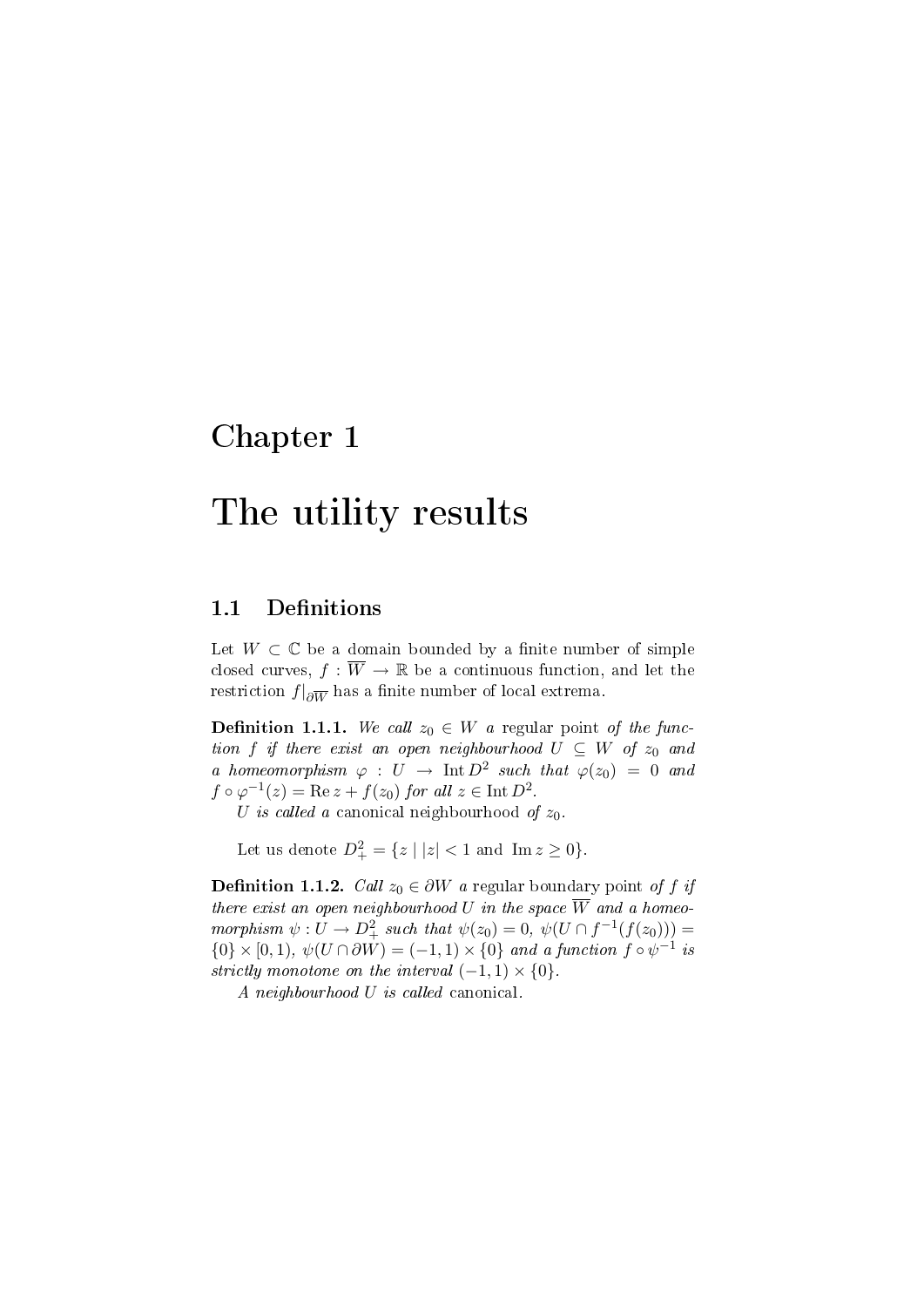## Chapter 1

# The utility results

### 1.1 Definitions

Let  $W \subset \mathbb{C}$  be a domain bounded by a finite number of simple closed curves,  $f : \overline{W} \to \mathbb{R}$  be a continuous function, and let the  $\operatorname{restriction} f|_{\partial\overline{W}}$  has a finite number of local extrema.

**Definition 1.1.1.** We call  $z_0 \in W$  a regular point of the function f if there exist an open neighbourhood  $U \subseteq W$  of  $z_0$  and a homeomorphism  $\varphi : U \to \text{Int } D^2$  such that  $\varphi(z_0) = 0$  and  $f \circ \varphi^{-1}(z) = \text{Re } z + f(z_0) \text{ for all } z \in \text{Int } D^2.$ 

U is called a canonical neighbourhood of  $z_0$ .

Let us denote  $D^2_+ = \{ z \mid |z| < 1 \text{ and } \text{Im } z \ge 0 \}.$ 

**Definition 1.1.2.** Call  $z_0 \in \partial W$  a regular boundary point of f if there exist an open neighbourhood U in the space  $\overline{W}$  and a homeomorphism  $\psi: U \to D^2_+$  such that  $\psi(z_0) = 0$ ,  $\psi(U \cap f^{-1}(f(z_0))) =$  $\{0\} \times [0,1), \psi(U \cap \partial W) = (-1,1) \times \{0\}$  and a function  $f \circ \psi^{-1}$  is strictly monotone on the interval  $(-1, 1) \times \{0\}$ .

A neighbourhood U is called canonical.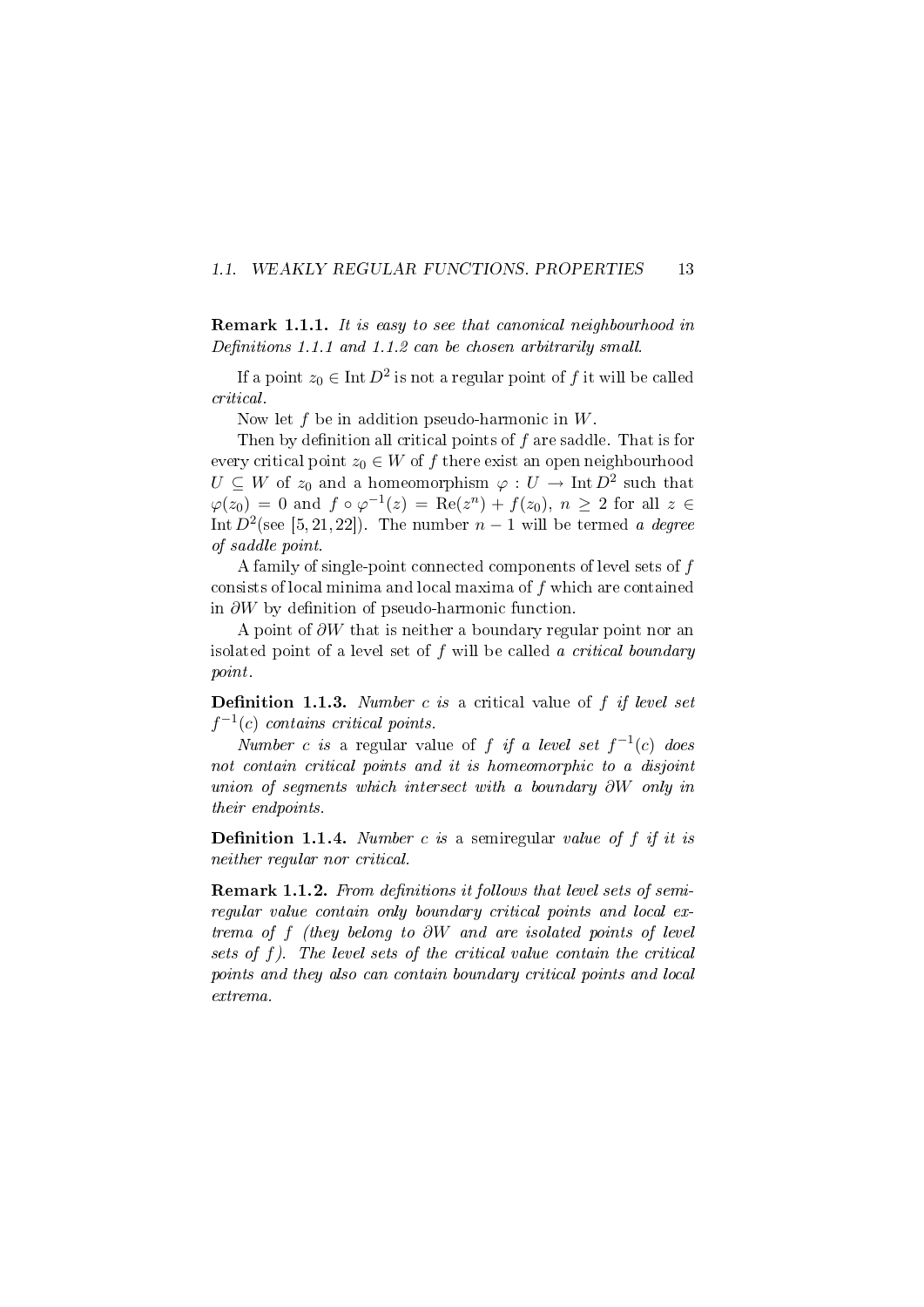#### 1.1. WEAKLY REGULAR FUNCTIONS. PROPERTIES 13

Remark 1.1.1. It is easy to see that canonical neighbourhood in Definitions 1.1.1 and 1.1.2 can be chosen arbitrarily small.

If a point  $z_0 \in \text{Int } D^2$  is not a regular point of f it will be called critical.

Now let  $f$  be in addition pseudo-harmonic in  $W$ .

Then by definition all critical points of  $f$  are saddle. That is for every critical point  $z_0 \in W$  of f there exist an open neighbourhood  $U \subseteq W$  of  $z_0$  and a homeomorphism  $\varphi: U \to \text{Int } D^2$  such that  $\varphi(z_0) = 0$  and  $f \circ \varphi^{-1}(z) = \text{Re}(z^n) + f(z_0), n \ge 2$  for all  $z \in$ Int  $D^2$ (see [5,21,22]). The number  $n-1$  will be termed a degree of saddle point.

A family of single-point connected components of level sets of f consists of local minima and local maxima of f which are contained in  $\partial W$  by definition of pseudo-harmonic function.

A point of  $\partial W$  that is neither a boundary regular point nor an isolated point of a level set of  $f$  will be called a critical boundary point.

**Definition 1.1.3.** Number c is a critical value of f if level set  $f^{-1}(c)$  contains critical points.

Number c is a regular value of f if a level set  $f^{-1}(c)$  does not contain critical points and it is homeomorphic to a disjoint union of segments which intersect with a boundary ∂W only in their endpoints.

**Definition 1.1.4.** Number c is a semiregular value of f if it is neither regular nor critical.

Remark 1.1.2. From definitions it follows that level sets of semiregular value contain only boundary critical points and local extrema of f (they belong to ∂W and are isolated points of level sets of f). The level sets of the critical value contain the critical points and they also can contain boundary critical points and local extrema.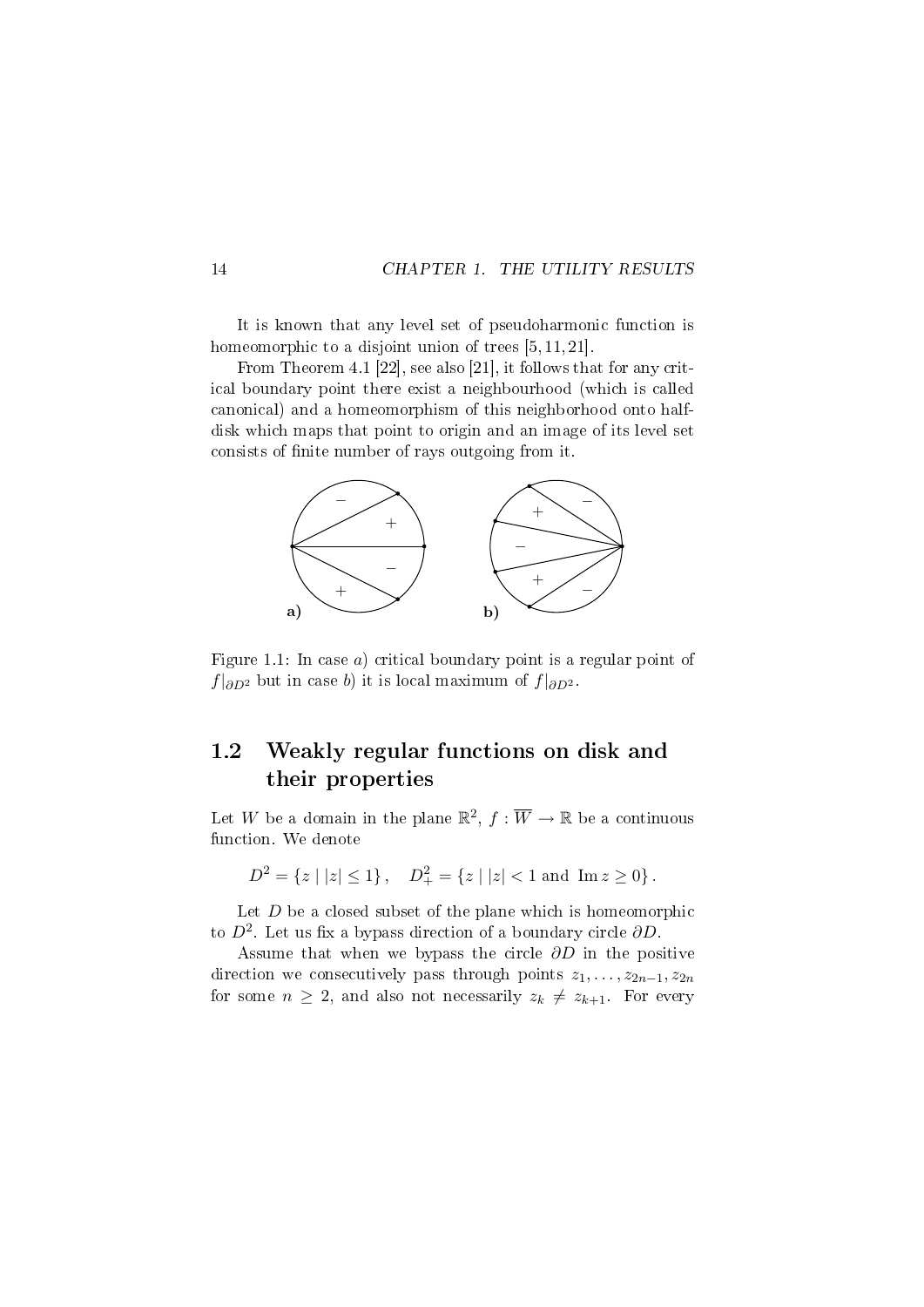It is known that any level set of pseudoharmonic function is homeomorphic to a disjoint union of trees [5, 11, 21].

From Theorem 4.1 [22], see also [21], it follows that for any critical boundary point there exist a neighbourhood (which is called canonical) and a homeomorphism of this neighborhood onto halfdisk which maps that point to origin and an image of its level set consists of finite number of rays outgoing from it.



Figure 1.1: In case  $a)$  critical boundary point is a regular point of  $f|_{\partial D^2}$  but in case b) it is local maximum of  $f|_{\partial D^2}$ .

### 1.2 Weakly regular functions on disk and their properties

Let W be a domain in the plane  $\mathbb{R}^2$ ,  $f : \overline{W} \to \mathbb{R}$  be a continuous function. We denote

$$
D^2 = \{ z \mid |z| \le 1 \}, \quad D^2_+ = \{ z \mid |z| < 1 \text{ and } \text{Im } z \ge 0 \}.
$$

Let  $D$  be a closed subset of the plane which is homeomorphic to  $D^2$ . Let us fix a bypass direction of a boundary circle  $\partial D$ .

Assume that when we bypass the circle  $\partial D$  in the positive direction we consecutively pass through points  $z_1, \ldots, z_{2n-1}, z_{2n}$ for some  $n \geq 2$ , and also not necessarily  $z_k \neq z_{k+1}$ . For every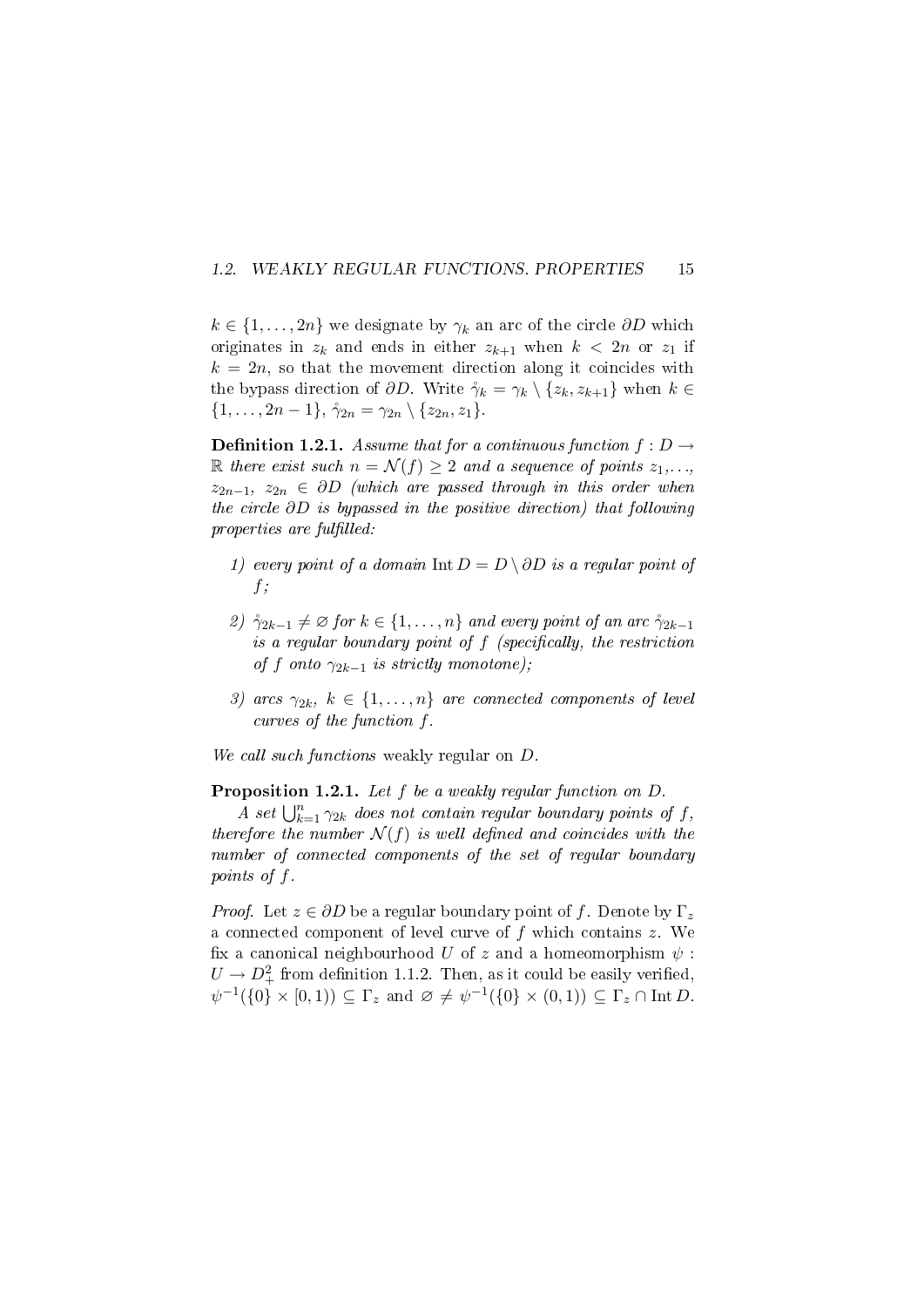### 1.2. WEAKLY REGULAR FUNCTIONS. PROPERTIES 15

 $k \in \{1, \ldots, 2n\}$  we designate by  $\gamma_k$  an arc of the circle  $\partial D$  which originates in  $z_k$  and ends in either  $z_{k+1}$  when  $k < 2n$  or  $z_1$  if  $k = 2n$ , so that the movement direction along it coincides with the bypass direction of  $\partial D$ . Write  $\gamma_k = \gamma_k \setminus \{z_k, z_{k+1}\}\$  when  $k \in$  $\{1,\ldots,2n-1\}, \gamma_{2n}=\gamma_{2n}\setminus\{z_{2n},z_1\}.$ 

**Definition 1.2.1.** Assume that for a continuous function  $f : D \rightarrow$ R there exist such  $n = \mathcal{N}(f) \geq 2$  and a sequence of points  $z_1, \ldots, z_n$  $z_{2n-1}, z_{2n} \in \partial D$  (which are passed through in this order when the circle ∂D is bypassed in the positive direction) that following properties are fulfilled:

- 1) every point of a domain Int  $D = D \setminus \partial D$  is a regular point of  $f$ ;
- 2)  $\mathring{\gamma}_{2k-1} \neq \emptyset$  for  $k \in \{1, \ldots, n\}$  and every point of an arc  $\mathring{\gamma}_{2k-1}$ is a regular boundary point of  $f$  (specifically, the restriction of f onto  $\gamma_{2k-1}$  is strictly monotone);
- 3) arcs  $\gamma_{2k}, k \in \{1, \ldots, n\}$  are connected components of level curves of the function f.

We call such functions weakly regular on  $D$ .

Proposition 1.2.1. Let f be a weakly regular function on  $D$ .

A set  $\bigcup_{k=1}^n \gamma_{2k}$  does not contain regular boundary points of f, therefore the number  $\mathcal{N}(f)$  is well defined and coincides with the number of connected components of the set of regular boundary points of f.

*Proof.* Let  $z \in \partial D$  be a regular boundary point of f. Denote by  $\Gamma_z$ a connected component of level curve of  $f$  which contains  $z$ . We fix a canonical neighbourhood U of z and a homeomorphism  $\psi$ :  $U \to D^2_+$  from definition 1.1.2. Then, as it could be easily verified,  $\psi^{-1}(\{0\}\times[0,1))\subseteq\Gamma_z$  and  $\varnothing\neq\psi^{-1}(\{0\}\times(0,1))\subseteq\Gamma_z\cap\mathrm{Int}\,D$ .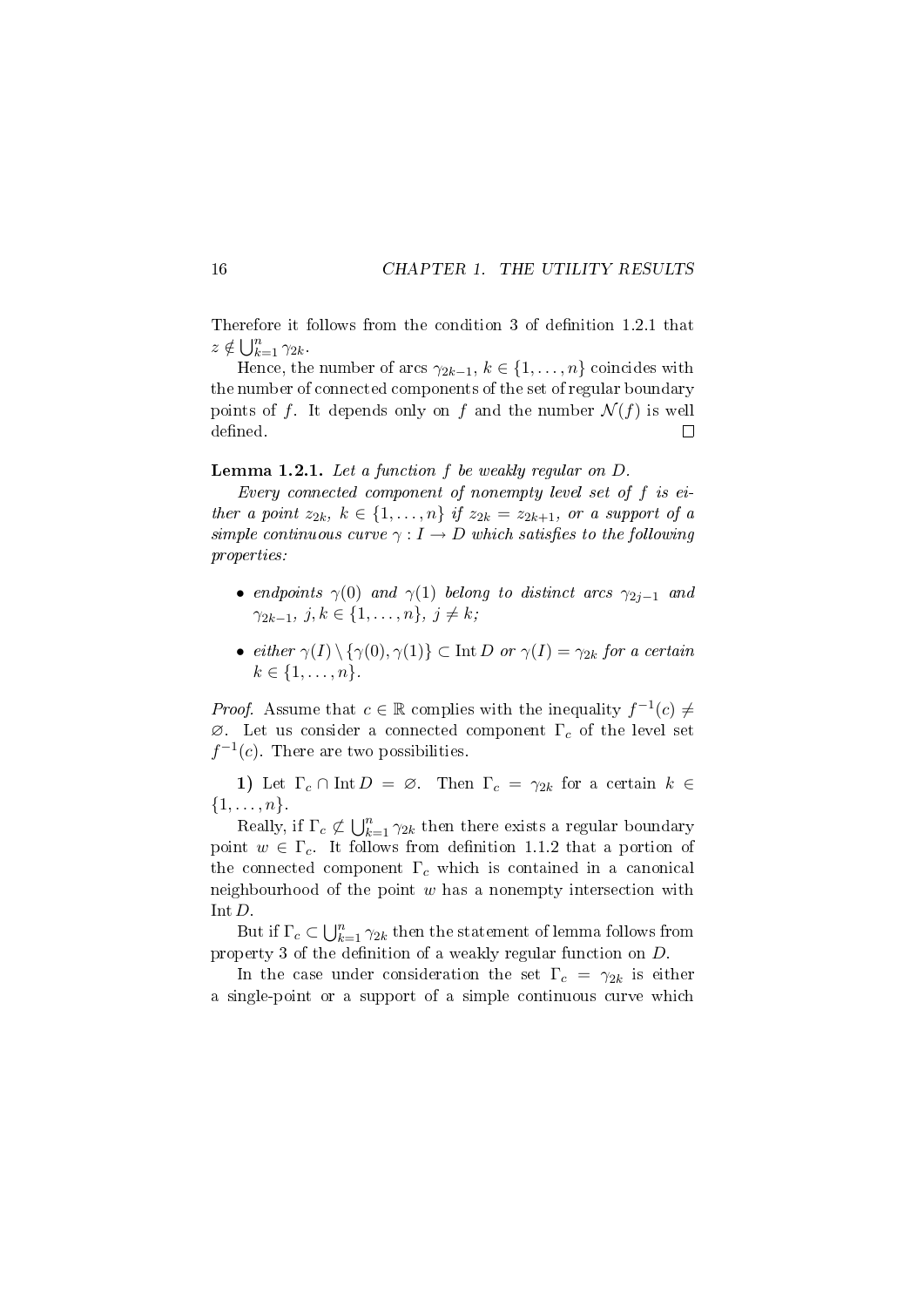Therefore it follows from the condition 3 of definition 1.2.1 that  $z \notin \bigcup_{k=1}^n \gamma_{2k}.$ 

Hence, the number of arcs  $\gamma_{2k-1}, k \in \{1, \ldots, n\}$  coincides with the number of connected components of the set of regular boundary points of f. It depends only on f and the number  $\mathcal{N}(f)$  is well defined.  $\Box$ 

Lemma 1.2.1. Let a function f be weakly regular on D.

Every connected component of nonempty level set of f is either a point  $z_{2k}$ ,  $k \in \{1, \ldots, n\}$  if  $z_{2k} = z_{2k+1}$ , or a support of a simple continuous curve  $\gamma : I \to D$  which satisfies to the following properties:

- endpoints  $\gamma(0)$  and  $\gamma(1)$  belong to distinct arcs  $\gamma_{2i-1}$  and  $\gamma_{2k-1}, j, k \in \{1, \ldots, n\}, j \neq k;$
- either  $\gamma(I) \setminus {\gamma(0), \gamma(1)} \subset \text{Int } D$  or  $\gamma(I) = \gamma_{2k}$  for a certain  $k \in \{1, \ldots, n\}.$

*Proof.* Assume that  $c \in \mathbb{R}$  complies with the inequality  $f^{-1}(c) \neq$  $\varnothing$ . Let us consider a connected component  $\Gamma_c$  of the level set  $f^{-1}(c)$ . There are two possibilities.

1) Let  $\Gamma_c \cap \text{Int } D = \emptyset$ . Then  $\Gamma_c = \gamma_{2k}$  for a certain  $k \in$  $\{1,\ldots,n\}.$ 

Really, if  $\Gamma_c \not\subset \bigcup_{k=1}^n \gamma_{2k}$  then there exists a regular boundary point  $w \in \Gamma_c$ . It follows from definition 1.1.2 that a portion of the connected component  $\Gamma_c$  which is contained in a canonical neighbourhood of the point  $w$  has a nonempty intersection with Int D.

But if  $\Gamma_c \subset \bigcup_{k=1}^n \gamma_{2k}$  then the statement of lemma follows from property 3 of the definition of a weakly regular function on  $D$ .

In the case under consideration the set  $\Gamma_c = \gamma_{2k}$  is either a single-point or a support of a simple continuous curve which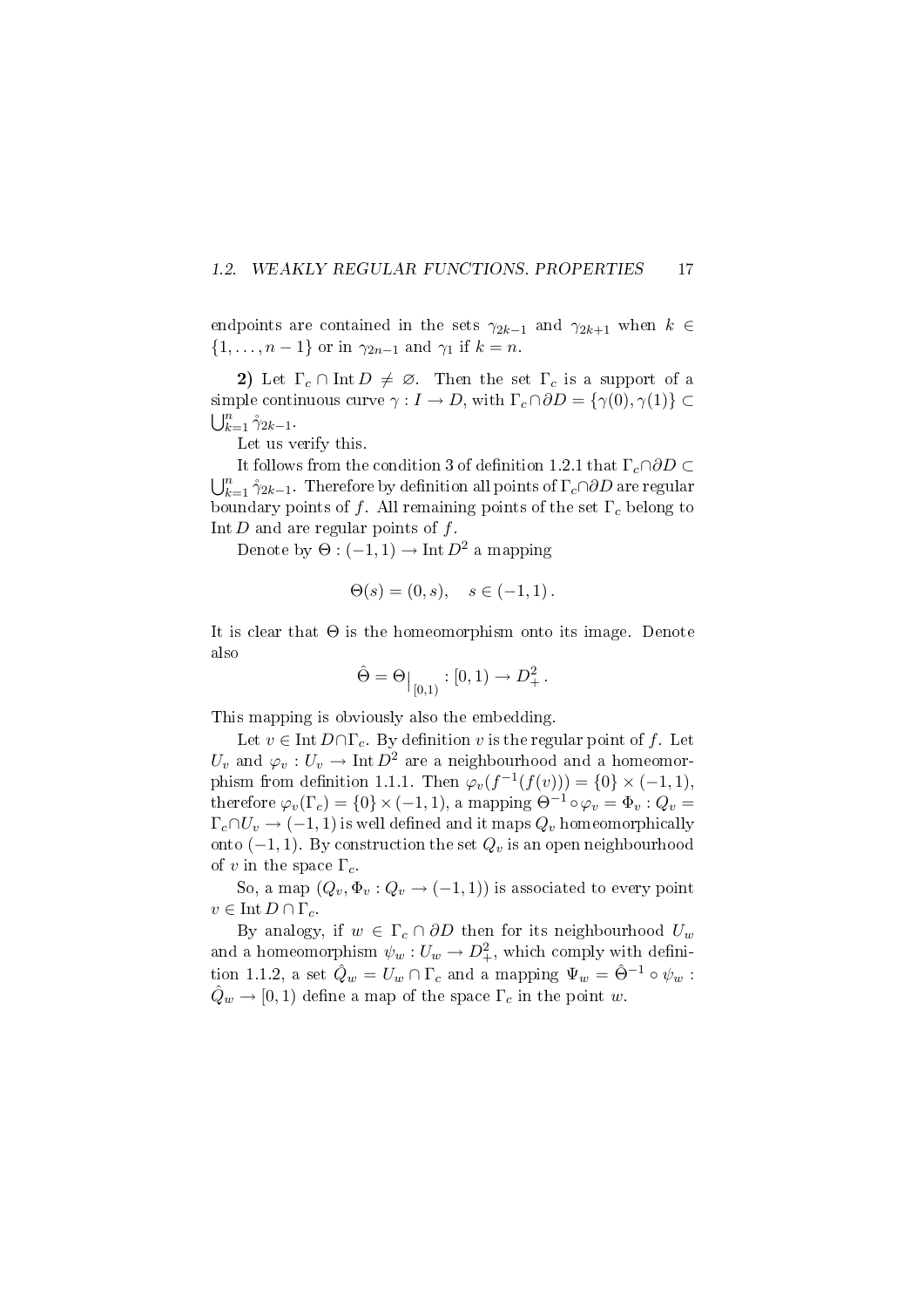### 1.2. WEAKLY REGULAR FUNCTIONS. PROPERTIES 17

endpoints are contained in the sets  $\gamma_{2k-1}$  and  $\gamma_{2k+1}$  when  $k \in$  $\{1,\ldots,n-1\}$  or in  $\gamma_{2n-1}$  and  $\gamma_1$  if  $k=n$ .

2) Let  $\Gamma_c \cap \text{Int } D \neq \emptyset$ . Then the set  $\Gamma_c$  is a support of a simple continuous curve  $\gamma : I \to D$ , with  $\Gamma_c \cap \partial D = {\gamma(0), \gamma(1)} \subset$  $\bigcup_{k=1}^n \gamma_{2k-1}$ .

Let us verify this.

It follows from the condition 3 of definition 1.2.1 that  $\Gamma_c \cap \partial D \subset$  $\bigcup_{k=1}^n \gamma_{2k-1}$ . Therefore by definition all points of  $\Gamma_c \cap \partial D$  are regular boundary points of f. All remaining points of the set  $\Gamma_c$  belong to Int  $D$  and are regular points of  $f$ .

Denote by  $\Theta: (-1,1) \to \text{Int } D^2$  a mapping

$$
\Theta(s) = (0, s), \quad s \in (-1, 1).
$$

It is clear that  $\Theta$  is the homeomorphism onto its image. Denote also

$$
\hat{\Theta} = \Theta_{|_{[0,1)}} : [0,1) \to D^2_+.
$$

This mapping is obviously also the embedding.

Let  $v \in \text{Int } D \cap \Gamma_c$ . By definition v is the regular point of f. Let  $U_v$  and  $\varphi_v: U_v \to \text{Int } D^2$  are a neighbourhood and a homeomorphism from definition 1.1.1. Then  $\varphi_v(f^{-1}(f(v))) = \{0\} \times (-1,1),$ therefore  $\varphi_v(\Gamma_c) = \{0\} \times (-1, 1)$ , a mapping  $\Theta^{-1} \circ \varphi_v = \Phi_v : Q_v =$  $\Gamma_c \cap U_v \to (-1, 1)$  is well defined and it maps  $Q_v$  homeomorphically onto  $(-1, 1)$ . By construction the set  $Q_v$  is an open neighbourhood of v in the space  $\Gamma_c$ .

So, a map  $(Q_v, \Phi_v: Q_v \to (-1, 1))$  is associated to every point  $v \in \text{Int } D \cap \Gamma_c$ .

By analogy, if  $w \in \Gamma_c \cap \partial D$  then for its neighbourhood  $U_w$ and a homeomorphism  $\psi_w: U_w \to D^2_+$ , which comply with definition 1.1.2, a set  $\hat{Q}_w = U_w \cap \Gamma_c$  and a mapping  $\Psi_w = \hat{\Theta}^{-1} \circ \psi_w$ :  $\hat{Q}_w \rightarrow [0, 1]$  define a map of the space  $\Gamma_c$  in the point w.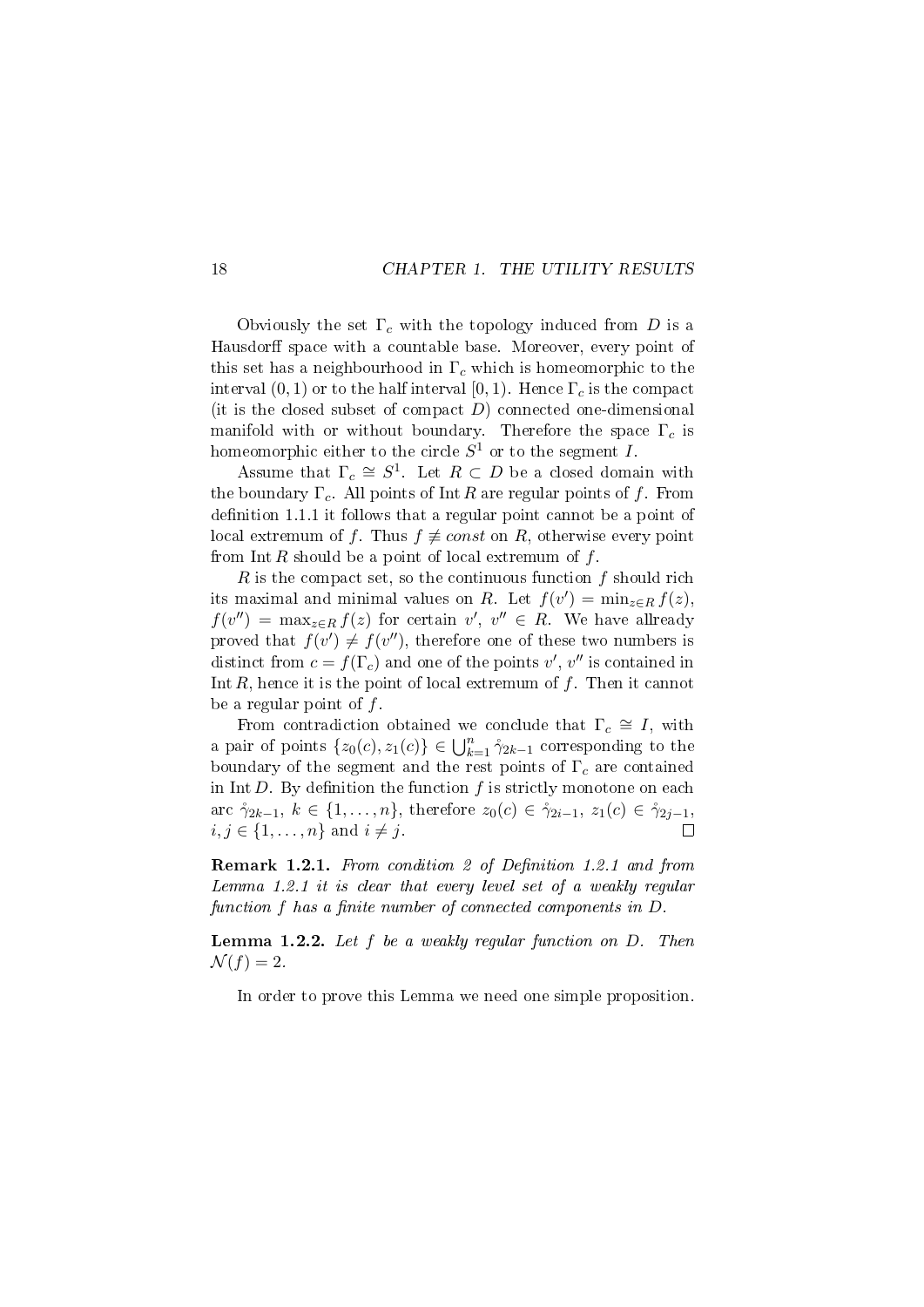Obviously the set  $\Gamma_c$  with the topology induced from D is a Hausdorff space with a countable base. Moreover, every point of this set has a neighbourhood in  $\Gamma_c$  which is homeomorphic to the interval  $(0, 1)$  or to the half interval  $[0, 1)$ . Hence  $\Gamma_c$  is the compact (it is the closed subset of compact  $D$ ) connected one-dimensional manifold with or without boundary. Therefore the space  $\Gamma_c$  is homeomorphic either to the circle  $S^1$  or to the segment  $I$ .

Assume that  $\Gamma_c \cong S^1$ . Let  $R \subset D$  be a closed domain with the boundary  $\Gamma_c$ . All points of Int R are regular points of f. From definition 1.1.1 it follows that a regular point cannot be a point of local extremum of f. Thus  $f \neq const$  on R, otherwise every point from Int R should be a point of local extremum of  $f$ .

R is the compact set, so the continuous function  $f$  should rich its maximal and minimal values on R. Let  $f(v') = \min_{z \in R} f(z)$ ,  $f(v'') = \max_{z \in R} f(z)$  for certain  $v', v'' \in R$ . We have allready proved that  $f(v') \neq f(v'')$ , therefore one of these two numbers is distinct from  $c = f(\Gamma_c)$  and one of the points  $v', v''$  is contained in Int  $R$ , hence it is the point of local extremum of  $f$ . Then it cannot be a regular point of  $f$ .

From contradiction obtained we conclude that  $\Gamma_c \cong I$ , with a pair of points  $\{z_0(c), z_1(c)\}\in \bigcup_{k=1}^n \gamma_{2k-1}$  corresponding to the boundary of the segment and the rest points of  $\Gamma_c$  are contained in Int  $D$ . By definition the function  $f$  is strictly monotone on each arc  $\gamma_{2k-1}, k \in \{1, ..., n\}$ , therefore  $z_0(c) \in \gamma_{2i-1}, z_1(c) \in \gamma_{2i-1}$ ,  $i, j \in \{1, \ldots, n\}$  and  $i \neq j$ .  $\Box$ 

Remark 1.2.1. From condition 2 of Definition 1.2.1 and from Lemma 1.2.1 it is clear that every level set of a weakly regular function  $f$  has a finite number of connected components in  $D$ .

**Lemma 1.2.2.** Let  $f$  be a weakly regular function on  $D$ . Then  $\mathcal{N}(f)=2.$ 

In order to prove this Lemma we need one simple proposition.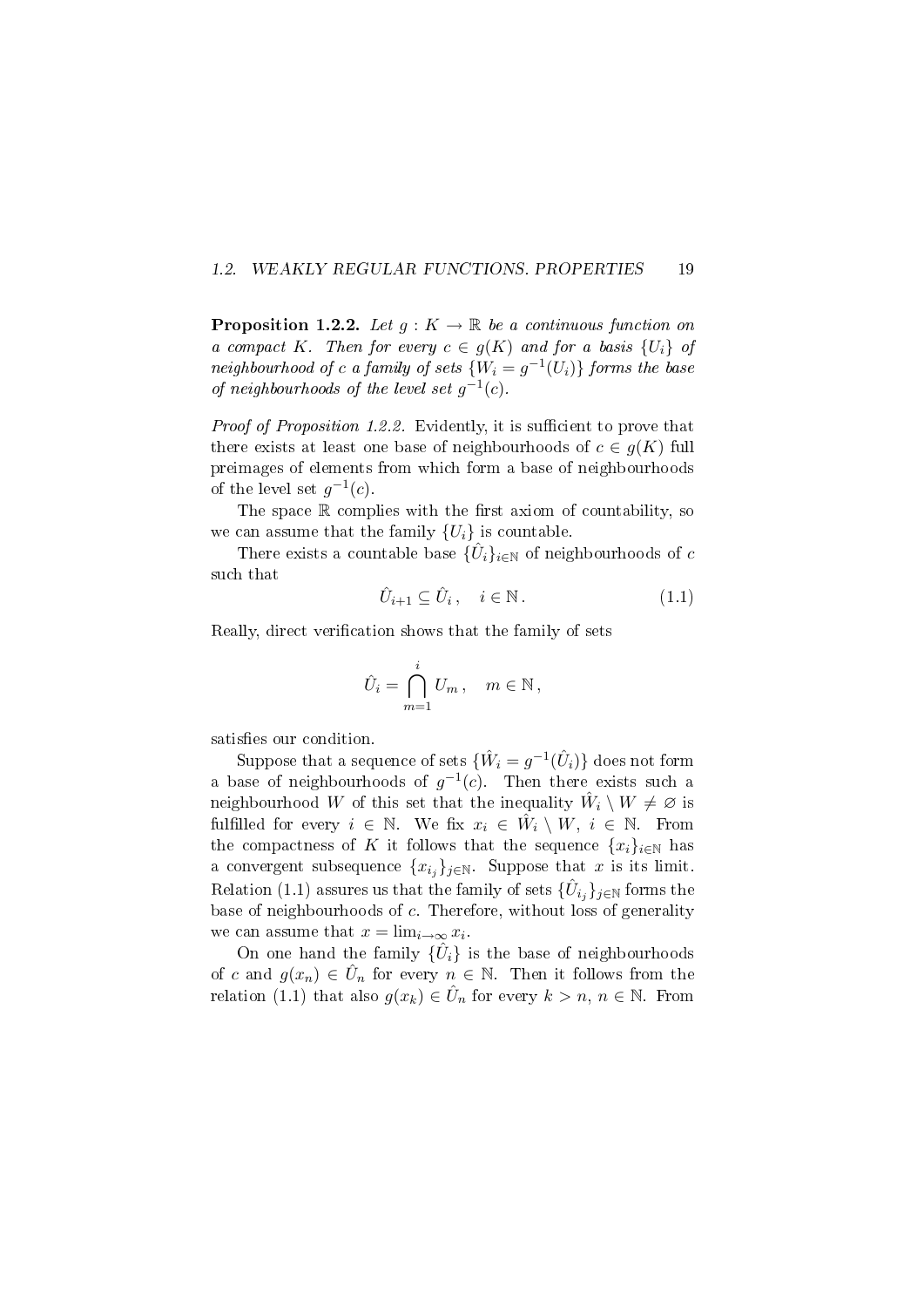#### 1.2. WEAKLY REGULAR FUNCTIONS. PROPERTIES 19

**Proposition 1.2.2.** Let  $q: K \to \mathbb{R}$  be a continuous function on a compact K. Then for every  $c \in g(K)$  and for a basis  $\{U_i\}$  of neighbourhood of c a family of sets  $\{W_i = g^{-1}(U_i)\}\)$  forms the base of neighbourhoods of the level set  $g^{-1}(c)$ .

*Proof of Proposition 1.2.2.* Evidently, it is sufficient to prove that there exists at least one base of neighbourhoods of  $c \in g(K)$  full preimages of elements from which form a base of neighbourhoods of the level set  $g^{-1}(c)$ .

The space  $\mathbb R$  complies with the first axiom of countability, so we can assume that the family  ${U_i}$  is countable.

There exists a countable base  $\{\hat{U}_i\}_{i\in\mathbb{N}}$  of neighbourhoods of  $c$ such that

$$
\hat{U}_{i+1} \subseteq \hat{U}_i, \quad i \in \mathbb{N} \,. \tag{1.1}
$$

Really, direct verification shows that the family of sets

$$
\hat{U}_i = \bigcap_{m=1}^i U_m, \quad m \in \mathbb{N},
$$

satisfies our condition.

Suppose that a sequence of sets  $\{\hat{W}_i = g^{-1}(\hat{U}_i)\}$  does not form a base of neighbourhoods of  $g^{-1}(c)$ . Then there exists such a neighbourhood W of this set that the inequality  $\hat{W}_i \setminus W \neq \varnothing$  is fulfilled for every  $i \in \mathbb{N}$ . We fix  $x_i \in \hat{W}_i \setminus W, \ i \in \mathbb{N}$ . From the compactness of K it follows that the sequence  $\{x_i\}_{i\in\mathbb{N}}$  has a convergent subsequence  $\{x_{i_j}\}_{j\in\mathbb{N}}$ . Suppose that x is its limit. Relation (1.1) assures us that the family of sets  $\{\hat{U}_{i_j}\}_{j\in\mathbb{N}}$  forms the base of neighbourhoods of c. Therefore, without loss of generality we can assume that  $x = \lim_{i \to \infty} x_i$ .

On one hand the family  $\{\hat{U}_i\}$  is the base of neighbourhoods of c and  $g(x_n) \in \hat{U}_n$  for every  $n \in \mathbb{N}$ . Then it follows from the relation (1.1) that also  $g(x_k) \in \hat{U}_n$  for every  $k > n, n \in \mathbb{N}$ . From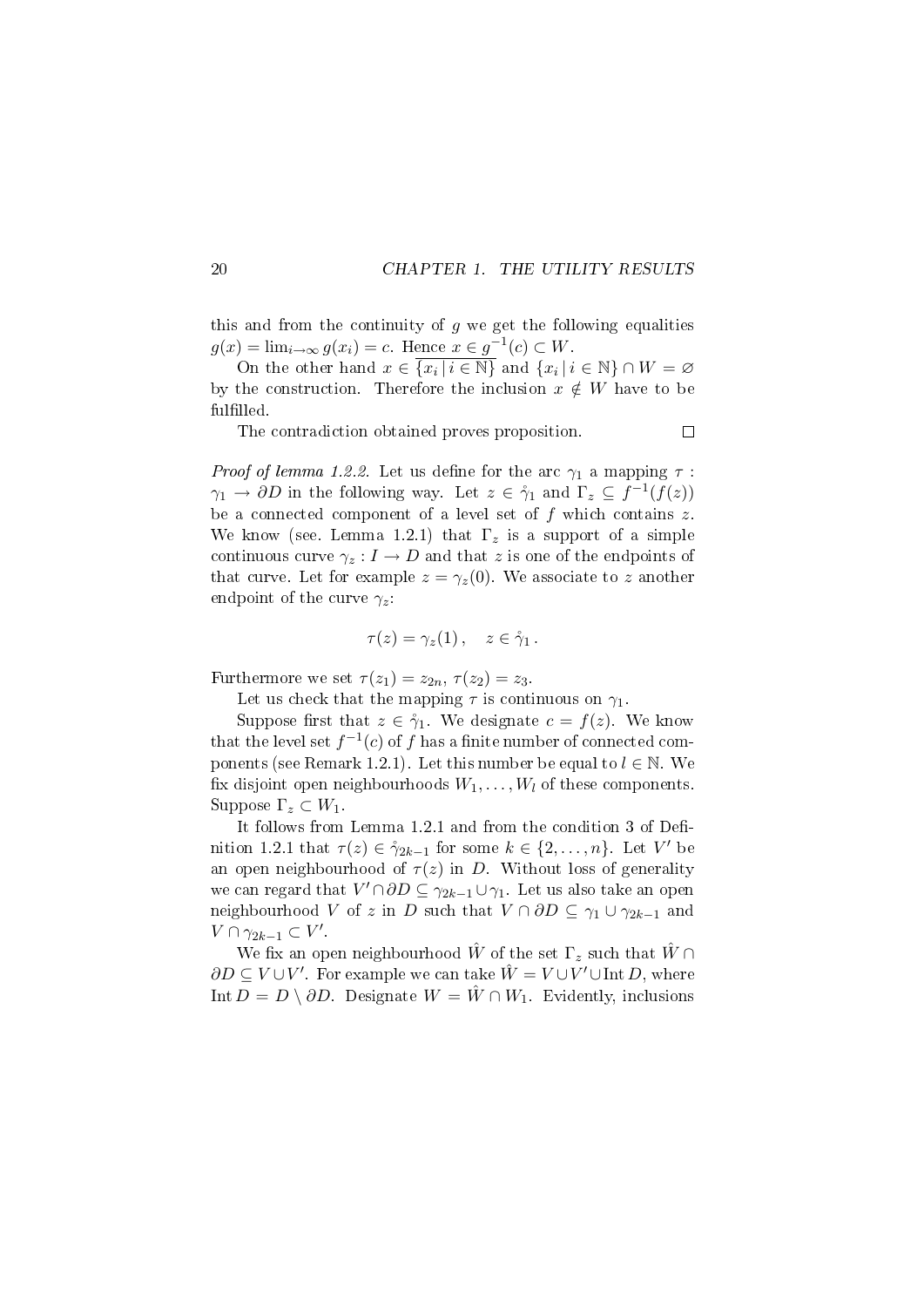this and from the continuity of  $q$  we get the following equalities  $g(x) = \lim_{i \to \infty} g(x_i) = c$ . Hence  $x \in g^{-1}(c) \subset W$ .

On the other hand  $x \in \overline{\{x_i \mid i \in \mathbb{N}\}}$  and  $\{x_i \mid i \in \mathbb{N}\} \cap W = \varnothing$ by the construction. Therefore the inclusion  $x \notin W$  have to be fulfilled.

The contradiction obtained proves proposition.

*Proof of lemma 1.2.2.* Let us define for the arc  $\gamma_1$  a mapping  $\tau$ :  $\gamma_1 \to \partial D$  in the following way. Let  $z \in \mathring{\gamma}_1$  and  $\Gamma_z \subseteq f^{-1}(f(z))$ be a connected component of a level set of  $f$  which contains  $z$ . We know (see. Lemma 1.2.1) that  $\Gamma_z$  is a support of a simple continuous curve  $\gamma_z: I \to D$  and that z is one of the endpoints of that curve. Let for example  $z = \gamma_z(0)$ . We associate to z another endpoint of the curve  $\gamma_z$ :

$$
\tau(z) = \gamma_z(1) \,, \quad z \in \mathring{\gamma}_1 \,.
$$

Furthermore we set  $\tau(z_1) = z_{2n}, \tau(z_2) = z_3$ .

Let us check that the mapping  $\tau$  is continuous on  $\gamma_1$ .

Suppose first that  $z \in \mathring{\gamma}_1$ . We designate  $c = f(z)$ . We know that the level set  $f^{-1}(c)$  of f has a finite number of connected components (see Remark 1.2.1). Let this number be equal to  $l \in \mathbb{N}$ . We fix disjoint open neighbourhoods  $W_1, \ldots, W_l$  of these components. Suppose  $\Gamma_z \subset W_1$ .

It follows from Lemma  $1.2.1$  and from the condition 3 of Definition 1.2.1 that  $\tau(z) \in \gamma_{2k-1}$  for some  $k \in \{2, \ldots, n\}$ . Let V' be an open neighbourhood of  $\tau(z)$  in D. Without loss of generality we can regard that  $V' \cap \partial D \subseteq \gamma_{2k-1} \cup \gamma_1$ . Let us also take an open neighbourhood V of z in D such that  $V \cap \partial D \subseteq \gamma_1 \cup \gamma_{2k-1}$  and  $V \cap \gamma_{2k-1} \subset V'.$ 

We fix an open neighbourhood  $\hat{W}$  of the set  $\Gamma_z$  such that  $\hat{W} \cap \Gamma_z$  $\partial D \subseteq V \cup V'.$  For example we can take  $\hat{W} = V \cup V' \cup \text{Int\,}D,$  where Int  $D = D \setminus \partial D$ . Designate  $W = \hat{W} \cap W_1$ . Evidently, inclusions

 $\Box$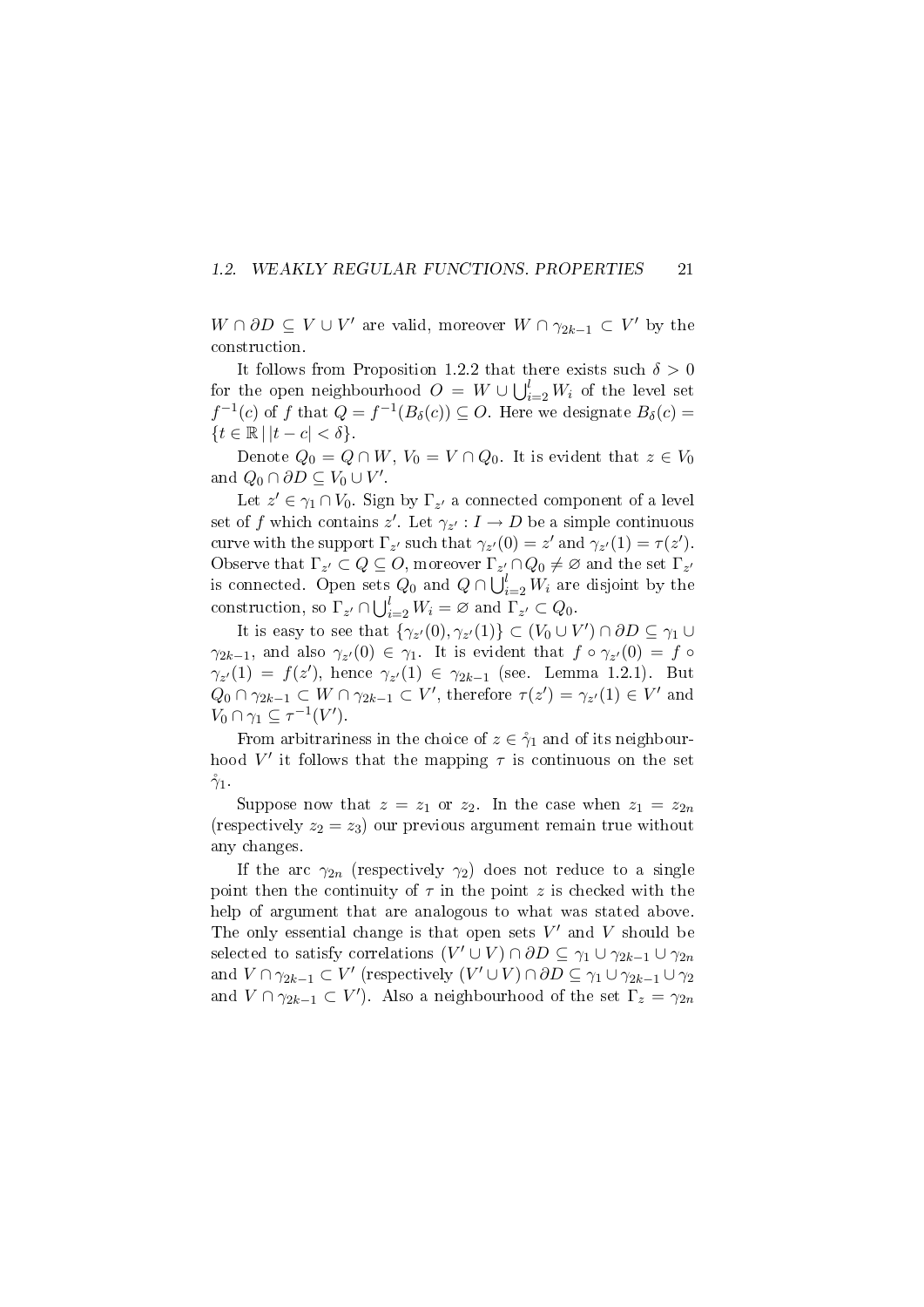### 1.2. WEAKLY REGULAR FUNCTIONS. PROPERTIES 21

 $W \cap \partial D \subseteq V \cup V'$  are valid, moreover  $W \cap \gamma_{2k-1} \subset V'$  by the construction.

It follows from Proposition 1.2.2 that there exists such  $\delta > 0$ for the open neighbourhood  $O\,=\,W\cup\bigcup_{i=2}^lW_i$  of the level set  $f^{-1}(c)$  of f that  $Q = f^{-1}(B_\delta(c)) \subseteq O$ . Here we designate  $B_\delta(c)$  $\{t \in \mathbb{R} \mid |t - c| < \delta\}.$ 

Denote  $Q_0 = Q \cap W$ ,  $V_0 = V \cap Q_0$ . It is evident that  $z \in V_0$ and  $Q_0 \cap \partial D \subseteq V_0 \cup V'$ .

Let  $z' \in \gamma_1 \cap V_0$ . Sign by  $\Gamma_{z'}$  a connected component of a level set of f which contains  $z'$ . Let  $\gamma_{z'} : I \to D$  be a simple continuous curve with the support  $\Gamma_{z'}$  such that  $\gamma_{z'}(0) = z'$  and  $\gamma_{z'}(1) = \tau(z')$ . Observe that  $\Gamma_{z'} \subset Q \subseteq O$ , moreover  $\Gamma_{z'} \cap Q_0 \neq \emptyset$  and the set  $\Gamma_{z'}$ is connected. Open sets  $Q_0$  and  $Q \cap \bigcup_{i=2}^{l} W_i$  are disjoint by the construction, so  $\Gamma_{z'} \cap \bigcup_{i=2}^{l} W_i = \varnothing$  and  $\Gamma_{z'} \subset Q_0$ .

It is easy to see that  $\{\gamma_{z'}(0), \gamma_{z'}(1)\} \subset (V_0 \cup V') \cap \partial D \subseteq \gamma_1 \cup$  $\gamma_{2k-1}$ , and also  $\gamma_{z'}(0) \in \gamma_1$ . It is evident that  $f \circ \gamma_{z'}(0) = f \circ$  $\gamma_{z'}(1) = f(z')$ , hence  $\gamma_{z'}(1) \in \gamma_{2k-1}$  (see. Lemma 1.2.1). But  $Q_0 \cap \gamma_{2k-1} \subset W \cap \gamma_{2k-1} \subset V'$ , therefore  $\tau(z') = \gamma_{z'}(1) \in V'$  and  $V_0 \cap \gamma_1 \subseteq \tau^{-1}(V')$ .

From arbitrariness in the choice of  $z \in \gamma_1$  and of its neighbourhood V' it follows that the mapping  $\tau$  is continuous on the set  $\gamma_1$ .

Suppose now that  $z = z_1$  or  $z_2$ . In the case when  $z_1 = z_{2n}$ (respectively  $z_2 = z_3$ ) our previous argument remain true without any changes.

If the arc  $\gamma_{2n}$  (respectively  $\gamma_2$ ) does not reduce to a single point then the continuity of  $\tau$  in the point z is checked with the help of argument that are analogous to what was stated above. The only essential change is that open sets  $V'$  and  $V$  should be selected to satisfy correlations  $(V' \cup V) \cap \partial D \subseteq \gamma_1 \cup \gamma_{2k-1} \cup \gamma_{2n}$ and  $V \cap \gamma_{2k-1} \subset V'$  (respectively  $(V' \cup V) \cap \partial D \subseteq \gamma_1 \cup \gamma_{2k-1} \cup \gamma_2$ and  $V \cap \gamma_{2k-1} \subset V'$ ). Also a neighbourhood of the set  $\Gamma_z = \gamma_{2n}$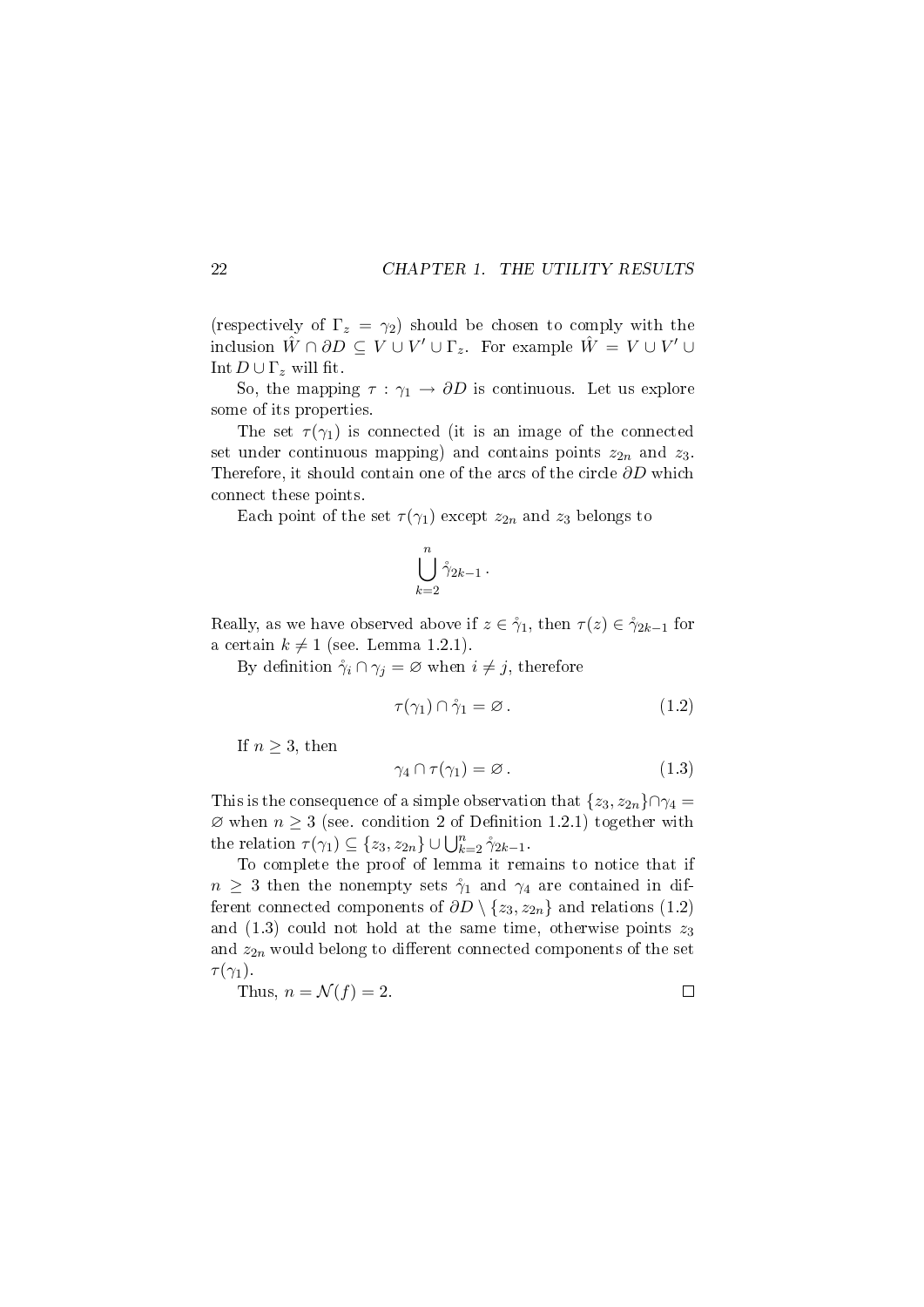(respectively of  $\Gamma_z = \gamma_2$ ) should be chosen to comply with the inclusion  $\hat{W} \cap \partial D \subseteq V \cup V' \cup \Gamma_z$ . For example  $\hat{W} = V \cup V' \cup$ Int  $D \cup \Gamma_z$  will fit.

So, the mapping  $\tau : \gamma_1 \to \partial D$  is continuous. Let us explore some of its properties.

The set  $\tau(\gamma_1)$  is connected (it is an image of the connected set under continuous mapping) and contains points  $z_{2n}$  and  $z_{3}$ . Therefore, it should contain one of the arcs of the circle  $\partial D$  which connect these points.

Each point of the set  $\tau(\gamma_1)$  except  $z_{2n}$  and  $z_3$  belongs to

$$
\bigcup_{k=2}^n \mathring{\gamma}_{2k-1} \, .
$$

Really, as we have observed above if  $z \in \gamma_1$ , then  $\tau(z) \in \gamma_{2k-1}$  for a certain  $k \neq 1$  (see. Lemma 1.2.1).

By definition  $\gamma_i \cap \gamma_j = \varnothing$  when  $i \neq j$ , therefore

$$
\tau(\gamma_1) \cap \mathring{\gamma}_1 = \varnothing. \tag{1.2}
$$

If  $n \geq 3$ , then

$$
\gamma_4 \cap \tau(\gamma_1) = \varnothing. \tag{1.3}
$$

This is the consequence of a simple observation that  $\{z_3, z_{2n}\}\cap \gamma_4 =$  $\varnothing$  when  $n \geq 3$  (see. condition 2 of Definition 1.2.1) together with the relation  $\tau(\gamma_1) \subseteq \{z_3, z_{2n}\} \cup \bigcup_{k=2}^n \gamma_{2k-1}$ .

To complete the proof of lemma it remains to notice that if  $n \geq 3$  then the nonempty sets  $\gamma_1$  and  $\gamma_4$  are contained in different connected components of  $\partial D \setminus \{z_3, z_{2n}\}\$ and relations (1.2) and (1.3) could not hold at the same time, otherwise points  $z_3$ and  $z_{2n}$  would belong to different connected components of the set  $\tau(\gamma_1)$ .

Thus, 
$$
n = \mathcal{N}(f) = 2
$$
.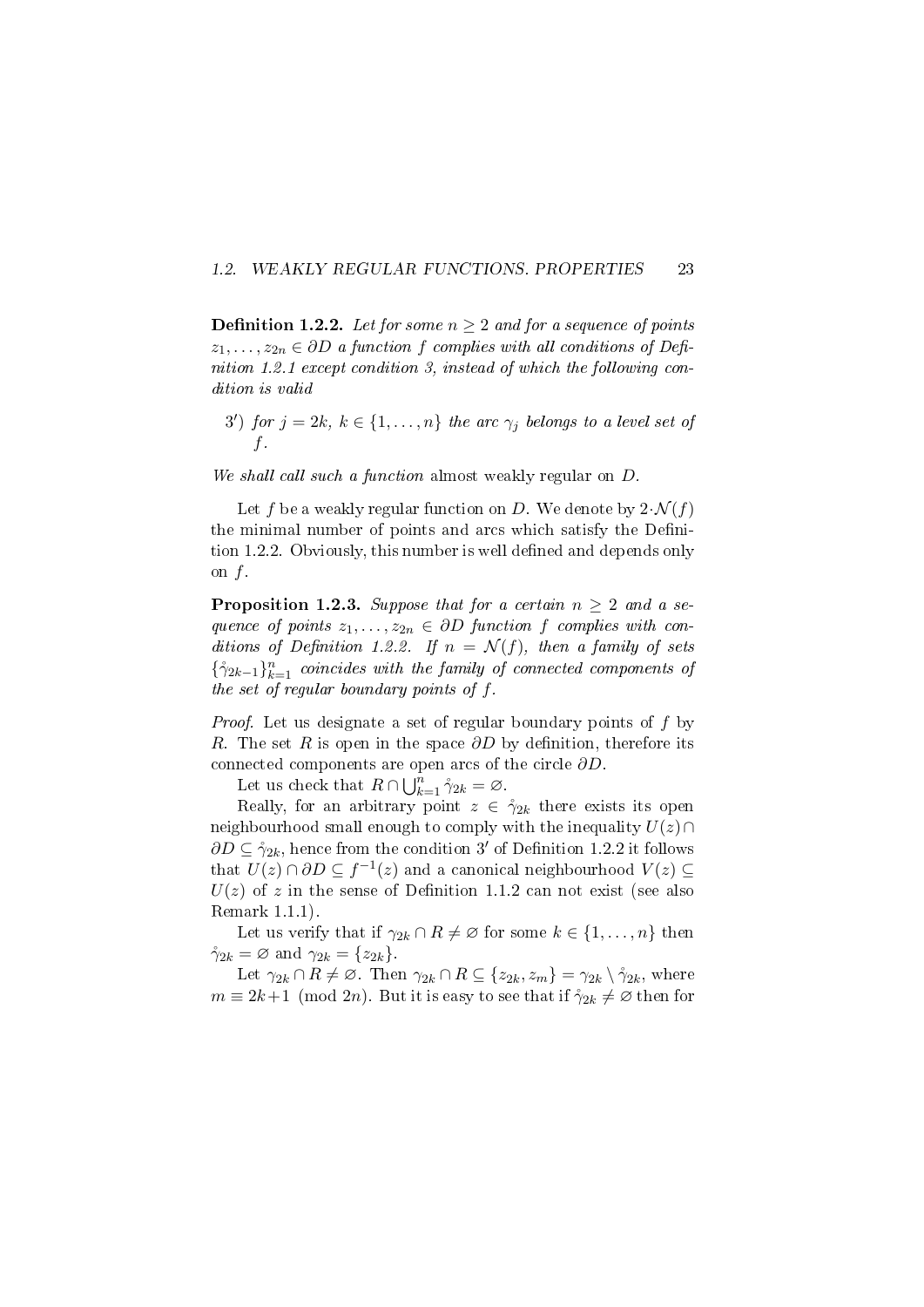#### 1.2. WEAKLY REGULAR FUNCTIONS. PROPERTIES 23

**Definition 1.2.2.** Let for some  $n \geq 2$  and for a sequence of points  $z_1, \ldots, z_{2n} \in \partial D$  a function f complies with all conditions of Definition 1.2.1 except condition 3, instead of which the following condition is valid

3') for  $j = 2k, k \in \{1, ..., n\}$  the arc  $\gamma_j$  belongs to a level set of f.

We shall call such a function almost weakly regular on  $D$ .

Let f be a weakly regular function on D. We denote by  $2\cdot \mathcal{N}(f)$ the minimal number of points and arcs which satisfy the Definition 1.2.2. Obviously, this number is well defined and depends only on f.

**Proposition 1.2.3.** Suppose that for a certain  $n \geq 2$  and a sequence of points  $z_1, \ldots, z_{2n} \in \partial D$  function f complies with conditions of Definition 1.2.2. If  $n = \mathcal{N}(f)$ , then a family of sets  $\{\hat{\gamma}_{2k-1}\}_{k=1}^n$  coincides with the family of connected components of the set of regular boundary points of f.

Proof. Let us designate a set of regular boundary points of f by R. The set R is open in the space  $\partial D$  by definition, therefore its connected components are open arcs of the circle  $\partial D$ .

Let us check that  $R \cap \bigcup_{k=1}^{n} \hat{\gamma}_{2k} = \varnothing$ .

Really, for an arbitrary point  $z \in \gamma_{2k}$  there exists its open neighbourhood small enough to comply with the inequality  $U(z) \cap$  $\partial D \subseteq \gamma_{2k}$ , hence from the condition 3' of Definition 1.2.2 it follows that  $U(z) \cap \partial D \subseteq f^{-1}(z)$  and a canonical neighbourhood  $V(z) \subseteq$  $U(z)$  of z in the sense of Definition 1.1.2 can not exist (see also Remark 1.1.1).

Let us verify that if  $\gamma_{2k} \cap R \neq \emptyset$  for some  $k \in \{1, \ldots, n\}$  then  $\gamma_{2k} = \varnothing$  and  $\gamma_{2k} = \{z_{2k}\}.$ 

Let  $\gamma_{2k} \cap R \neq \emptyset$ . Then  $\gamma_{2k} \cap R \subseteq \{z_{2k}, z_m\} = \gamma_{2k} \setminus \mathring{\gamma}_{2k}$ , where  $m \equiv 2k+1 \pmod{2n}$ . But it is easy to see that if  $\gamma_{2k} \neq \emptyset$  then for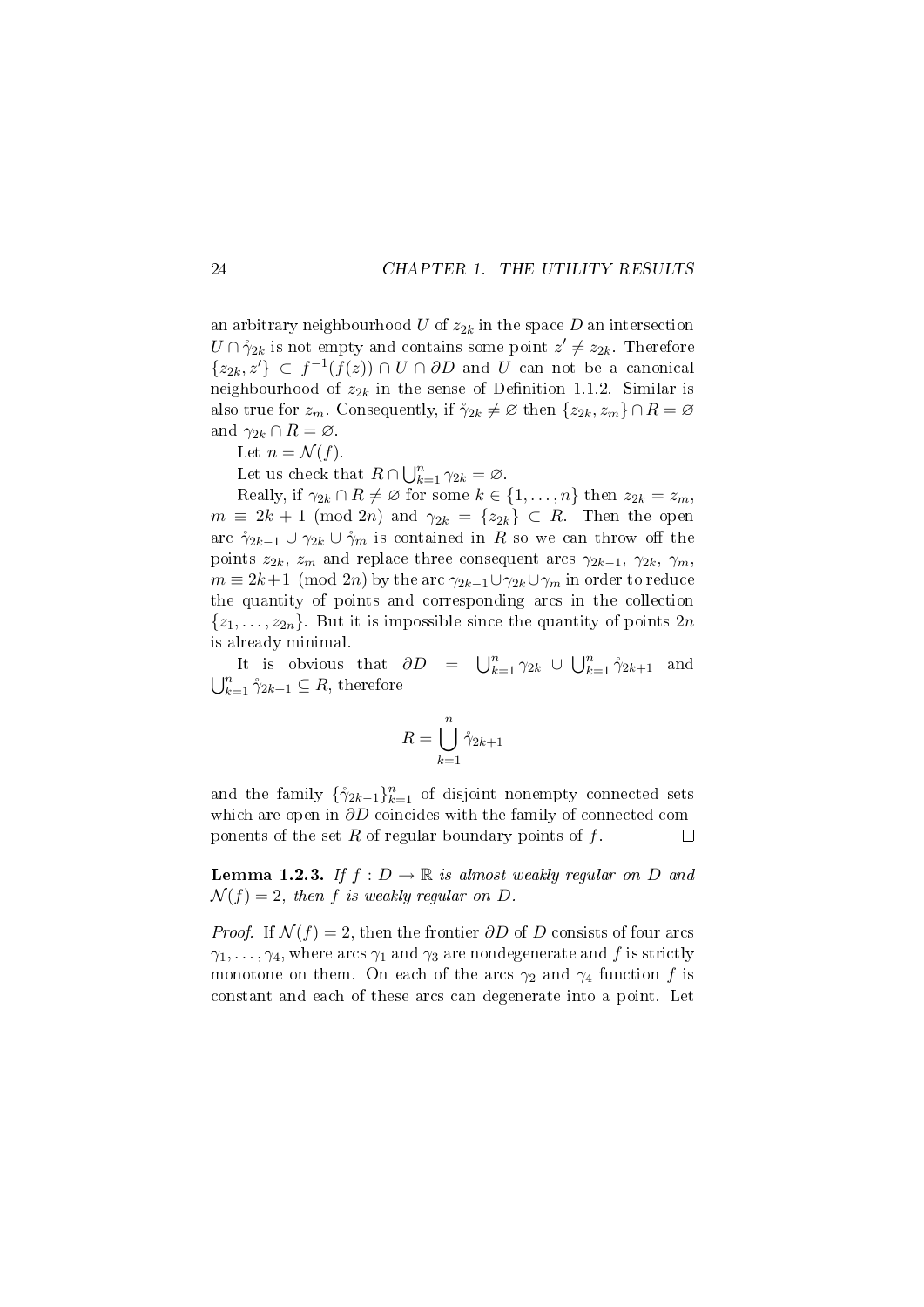an arbitrary neighbourhood U of  $z_{2k}$  in the space D an intersection  $U \cap \gamma_{2k}$  is not empty and contains some point  $z' \neq z_{2k}$ . Therefore  $\{z_{2k}, z'\} \subset f^{-1}(f(z)) \cap U \cap \partial D$  and U can not be a canonical neighbourhood of  $z_{2k}$  in the sense of Definition 1.1.2. Similar is also true for  $z_m$ . Consequently, if  $\gamma_{2k} \neq \emptyset$  then  $\{z_{2k}, z_m\} \cap R = \emptyset$ and  $\gamma_{2k} \cap R = \emptyset$ .

Let  $n = \mathcal{N}(f)$ .

Let us check that  $R \cap \bigcup_{k=1}^{n} \gamma_{2k} = \varnothing$ .

Really, if  $\gamma_{2k} \cap R \neq \emptyset$  for some  $k \in \{1, \ldots, n\}$  then  $z_{2k} = z_m$ ,  $m \equiv 2k + 1 \pmod{2n}$  and  $\gamma_{2k} = \{z_{2k}\} \subset R$ . Then the open arc  $\gamma_{2k-1} \cup \gamma_{2k} \cup \gamma_m$  is contained in R so we can throw off the points  $z_{2k}$ ,  $z_m$  and replace three consequent arcs  $\gamma_{2k-1}$ ,  $\gamma_{2k}$ ,  $\gamma_m$ ,  $m \equiv 2k+1 \pmod{2n}$  by the arc  $\gamma_{2k-1} \cup \gamma_{2k} \cup \gamma_m$  in order to reduce the quantity of points and corresponding arcs in the collection  $\{z_1, \ldots, z_{2n}\}\.$  But it is impossible since the quantity of points  $2n$ is already minimal.

It is obvious that  $\partial D = \bigcup_{k=1}^n \gamma_{2k} \cup \bigcup_{k=1}^n \gamma_{2k+1}$  and  $\bigcup_{k=1}^n \gamma_{2k+1} \subseteq R$ , therefore

$$
R = \bigcup_{k=1}^{n} \mathring{\gamma}_{2k+1}
$$

and the family  $\{\hat{\gamma}_{2k-1}\}_{k=1}^n$  of disjoint nonempty connected sets which are open in ∂D coincides with the family of connected components of the set  $R$  of regular boundary points of  $f$ .  $\Box$ 

**Lemma 1.2.3.** If  $f : D \to \mathbb{R}$  is almost weakly regular on D and  $\mathcal{N}(f) = 2$ , then f is weakly regular on D.

*Proof.* If  $\mathcal{N}(f) = 2$ , then the frontier  $\partial D$  of D consists of four arcs  $\gamma_1, \ldots, \gamma_4$ , where arcs  $\gamma_1$  and  $\gamma_3$  are nondegenerate and f is strictly monotone on them. On each of the arcs  $\gamma_2$  and  $\gamma_4$  function f is constant and each of these arcs can degenerate into a point. Let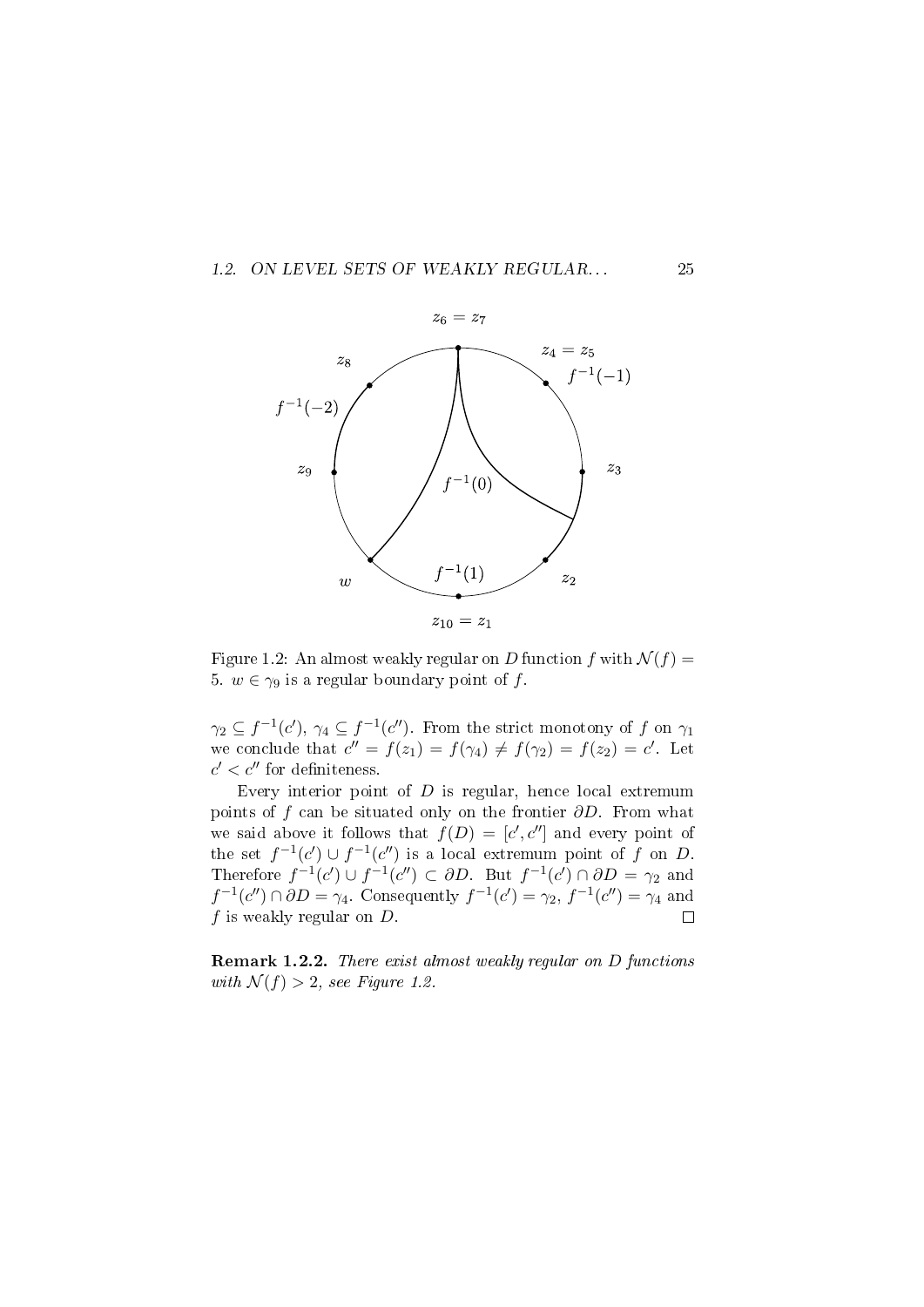



Figure 1.2: An almost weakly regular on D function f with  $\mathcal{N}(f) =$ 5.  $w \in \gamma_9$  is a regular boundary point of f.

 $\gamma_2 \subseteq f^{-1}(c'), \, \gamma_4 \subseteq f^{-1}(c'')$ . From the strict monotony of f on  $\gamma_1$ we conclude that  $c'' = f(z_1) = f(\gamma_4) \neq f(\gamma_2) = f(z_2) = c'$ . Let  $c' < c''$  for definiteness.

Every interior point of  $D$  is regular, hence local extremum points of f can be situated only on the frontier  $\partial D$ . From what we said above it follows that  $f(D) = [c', c'']$  and every point of the set  $f^{-1}(c') \cup f^{-1}(c'')$  is a local extremum point of f on D. Therefore  $f^{-1}(c') \cup f^{-1}(c'') \subset \partial D$ . But  $f^{-1}(c') \cap \partial D = \gamma_2$  and  $f^{-1}(c'') \cap \partial D = \gamma_4$ . Consequently  $f^{-1}(c') = \gamma_2$ ,  $f^{-1}(c'') = \gamma_4$  and  $f$  is weakly regular on  $D$ .  $\Box$ 

Remark 1.2.2. There exist almost weakly regular on D functions with  $\mathcal{N}(f) > 2$ , see Figure 1.2.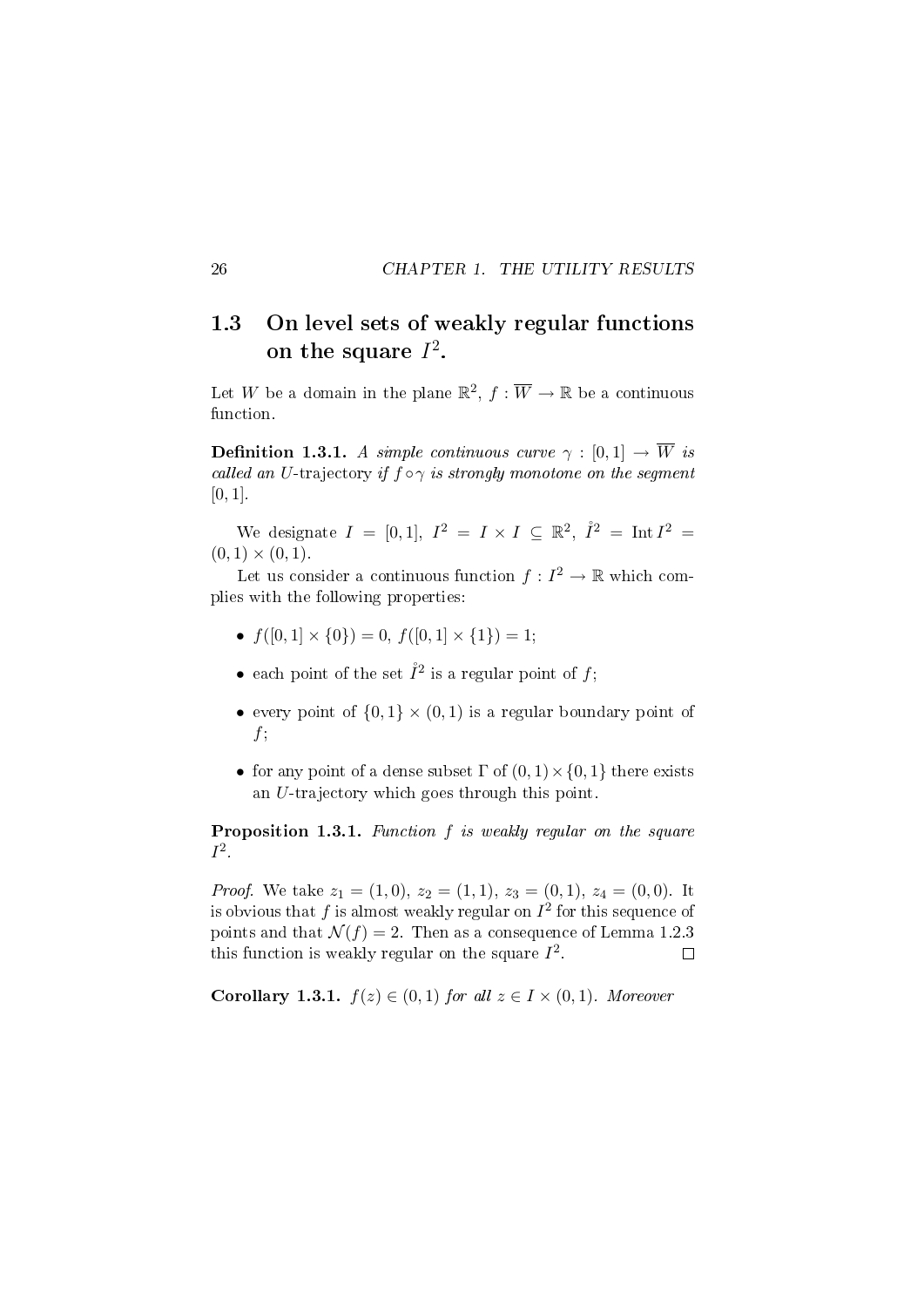## 1.3 On level sets of weakly regular functions on the square  $I^2$ .

Let W be a domain in the plane  $\mathbb{R}^2$ ,  $f : \overline{W} \to \mathbb{R}$  be a continuous function.

**Definition 1.3.1.** A simple continuous curve  $\gamma : [0, 1] \rightarrow \overline{W}$  is called an U-trajectory if  $f \circ \gamma$  is strongly monotone on the segment  $[0, 1]$ .

We designate  $I = [0,1], I^2 = I \times I \subseteq \mathbb{R}^2, \hat{I}^2 = \text{Int } I^2 =$  $(0, 1) \times (0, 1)$ .

Let us consider a continuous function  $f: I^2 \to \mathbb{R}$  which complies with the following properties:

- $f([0, 1] \times \{0\}) = 0, f([0, 1] \times \{1\}) = 1;$
- each point of the set  $\mathring{I}^2$  is a regular point of f;
- every point of  $\{0,1\} \times (0,1)$  is a regular boundary point of  $f$ ;
- for any point of a dense subset  $\Gamma$  of  $(0, 1) \times \{0, 1\}$  there exists an U-trajectory which goes through this point.

Proposition 1.3.1. Function f is weakly regular on the square  $I^2$ .

*Proof.* We take  $z_1 = (1, 0), z_2 = (1, 1), z_3 = (0, 1), z_4 = (0, 0)$ . It is obvious that  $f$  is almost weakly regular on  $I^2$  for this sequence of points and that  $\mathcal{N}(f) = 2$ . Then as a consequence of Lemma 1.2.3 this function is weakly regular on the square  $I^2$ .  $\Box$ 

Corollary 1.3.1.  $f(z) \in (0,1)$  for all  $z \in I \times (0,1)$ . Moreover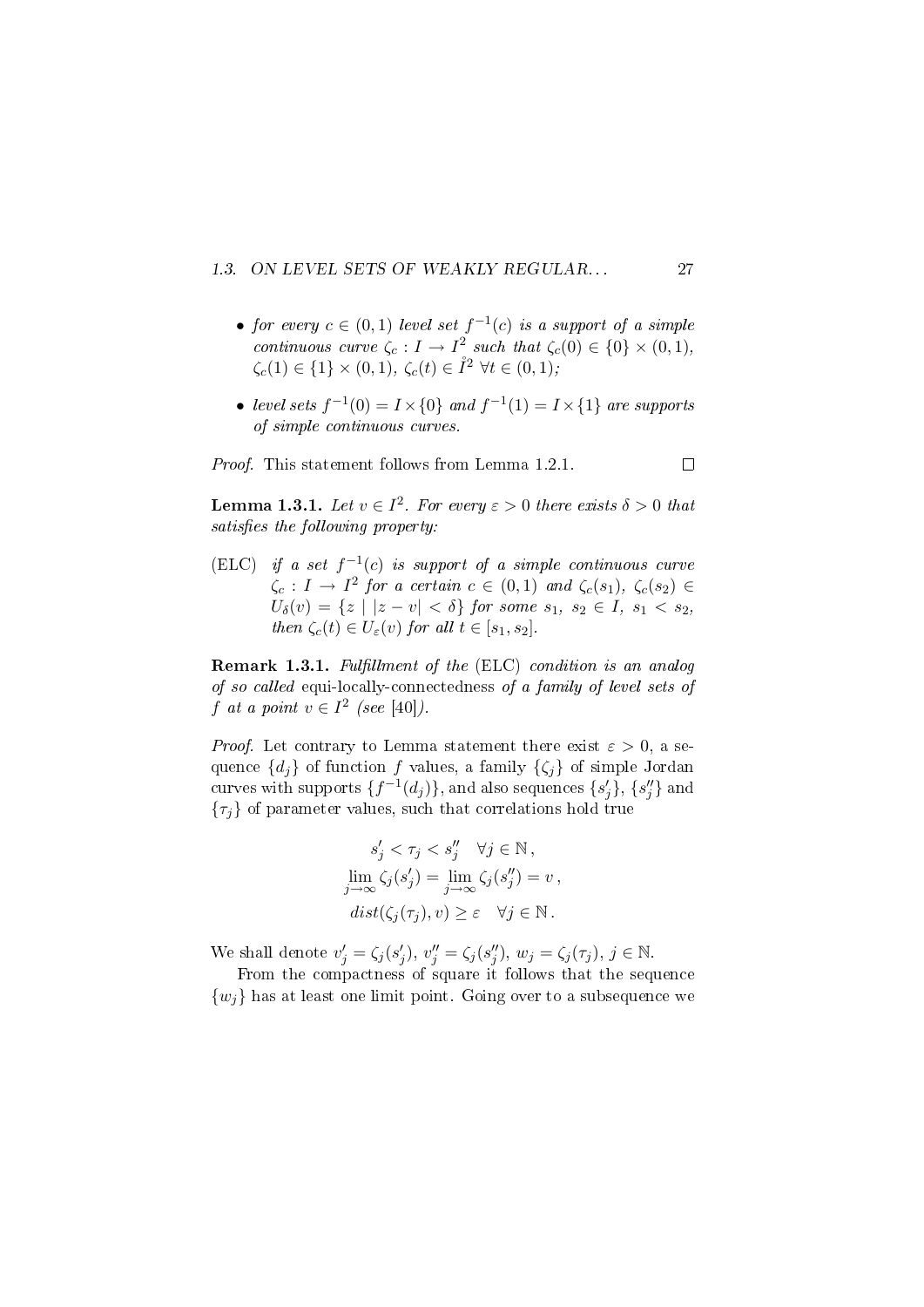#### 1.3. ON LEVEL SETS OF WEAKLY REGULAR... 27

- for every  $c \in (0,1)$  level set  $f^{-1}(c)$  is a support of a simple continuous curve  $\zeta_c: I \to I^2$  such that  $\zeta_c(0) \in \{0\} \times (0,1)$ ,  $\zeta_c(1) \in \{1\} \times (0,1), \, \zeta_c(t) \in \mathring{I}^2 \,\,\forall t \in (0,1);$
- level sets  $f^{-1}(0) = I \times \{0\}$  and  $f^{-1}(1) = I \times \{1\}$  are supports of simple continuous curves.

Proof. This statement follows from Lemma 1.2.1.

**Lemma 1.3.1.** Let  $v \in I^2$ . For every  $\varepsilon > 0$  there exists  $\delta > 0$  that satisfies the following property:

(ELC) if a set  $f^{-1}(c)$  is support of a simple continuous curve  $\zeta_c: I \to I^2$  for a certain  $c \in (0,1)$  and  $\zeta_c(s_1), \zeta_c(s_2) \in$  $U_{\delta}(v) = \{z \mid |z - v| < \delta\}$  for some  $s_1, s_2 \in I$ ,  $s_1 < s_2$ , then  $\zeta_c(t) \in U_{\varepsilon}(v)$  for all  $t \in [s_1, s_2]$ .

Remark 1.3.1. Fulfillment of the (ELC) condition is an analog of so called equi-locally-connectedness of a family of level sets of f at a point  $v \in I^2$  (see [40]).

*Proof.* Let contrary to Lemma statement there exist  $\varepsilon > 0$ , a sequence  $\{d_i\}$  of function f values, a family  $\{\zeta_i\}$  of simple Jordan curves with supports  $\{f^{-1}(d_j)\}$ , and also sequences  $\{s'_j\}, \{s''_j\}$  and  $\{\tau_j\}$  of parameter values, such that correlations hold true

$$
s'_{j} < \tau_{j} < s''_{j} \quad \forall j \in \mathbb{N},
$$
\n
$$
\lim_{j \to \infty} \zeta_{j}(s'_{j}) = \lim_{j \to \infty} \zeta_{j}(s''_{j}) = v,
$$
\n
$$
dist(\zeta_{j}(\tau_{j}), v) \geq \varepsilon \quad \forall j \in \mathbb{N}.
$$

We shall denote  $v'_j = \zeta_j(s'_j)$ ,  $v''_j = \zeta_j(s''_j)$ ,  $w_j = \zeta_j(\tau_j)$ ,  $j \in \mathbb{N}$ .

From the compactness of square it follows that the sequence  ${w_i}$  has at least one limit point. Going over to a subsequence we

 $\Box$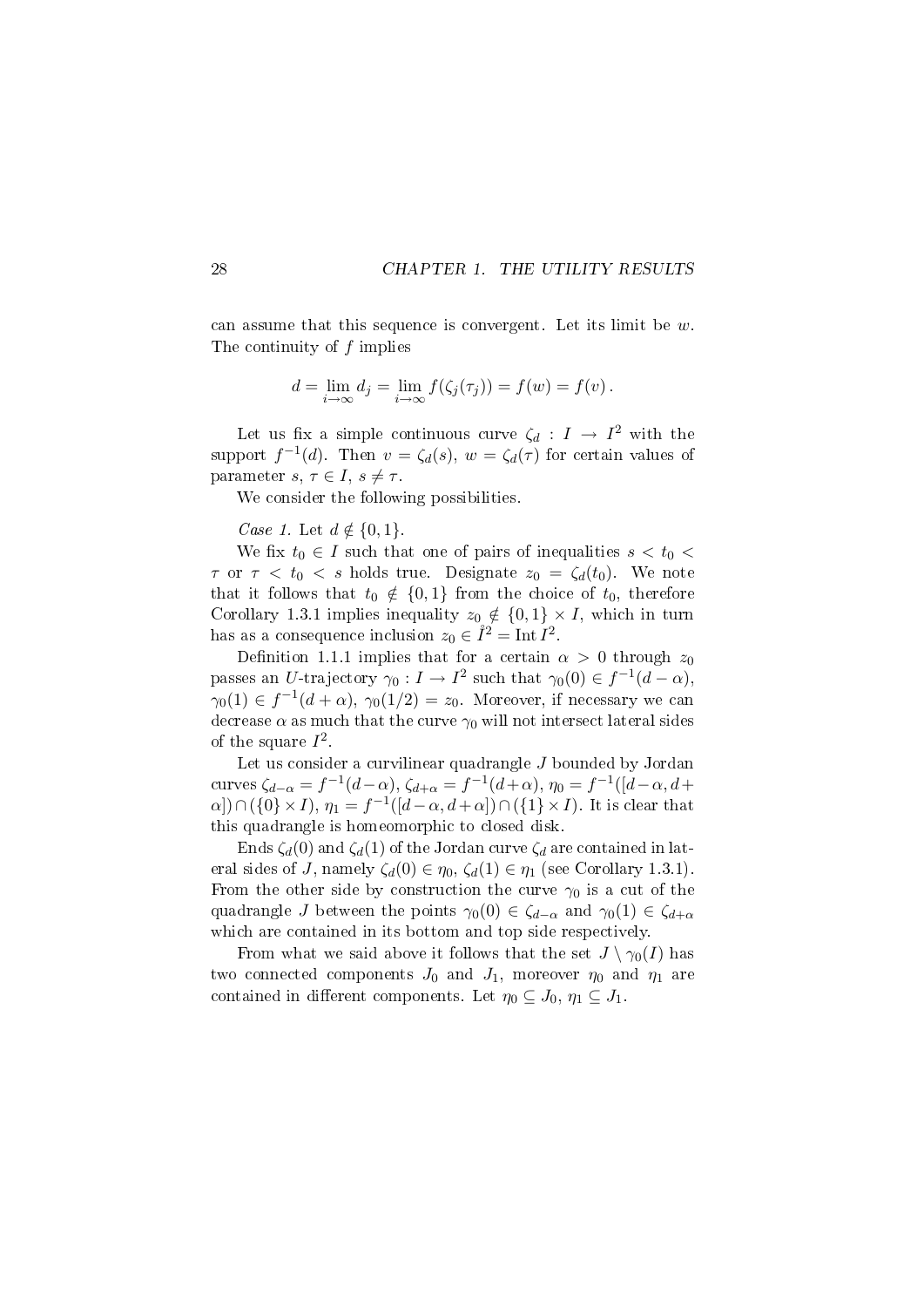can assume that this sequence is convergent. Let its limit be  $w$ . The continuity of f implies

$$
d = \lim_{i \to \infty} d_j = \lim_{i \to \infty} f(\zeta_j(\tau_j)) = f(w) = f(v).
$$

Let us fix a simple continuous curve  $\zeta_d : I \to I^2$  with the support  $f^{-1}(d)$ . Then  $v = \zeta_d(s)$ ,  $w = \zeta_d(\tau)$  for certain values of parameter s,  $\tau \in I$ ,  $s \neq \tau$ .

We consider the following possibilities.

Case 1. Let  $d \notin \{0, 1\}.$ 

We fix  $t_0 \in I$  such that one of pairs of inequalities  $s < t_0$  $\tau$  or  $\tau < t_0 < s$  holds true. Designate  $z_0 = \zeta_d(t_0)$ . We note that it follows that  $t_0 \notin \{0,1\}$  from the choice of  $t_0$ , therefore Corollary 1.3.1 implies inequality  $z_0 \notin \{0,1\} \times I$ , which in turn has as a consequence inclusion  $z_0 \in \mathring{I}^2 = \text{Int } I^2$ .

Definition 1.1.1 implies that for a certain  $\alpha > 0$  through  $z_0$ passes an U-trajectory  $\gamma_0: I \to I^2$  such that  $\gamma_0(0) \in f^{-1}(d-\alpha)$ ,  $\gamma_0(1) \in f^{-1}(d+\alpha)$ ,  $\gamma_0(1/2) = z_0$ . Moreover, if necessary we can decrease  $\alpha$  as much that the curve  $\gamma_0$  will not intersect lateral sides of the square  $I^2$ .

Let us consider a curvilinear quadrangle J bounded by Jordan curves  $\zeta_{d-\alpha} = f^{-1}(d-\alpha)$ ,  $\zeta_{d+\alpha} = f^{-1}(d+\alpha)$ ,  $\eta_0 = f^{-1}([d-\alpha, d+\alpha])$  $\alpha$ )  $\cap$  ({0} × I},  $\eta_1 = f^{-1}([d-\alpha, d+\alpha]) \cap (\{1\} \times I)$ . It is clear that this quadrangle is homeomorphic to closed disk.

Ends  $\zeta_d(0)$  and  $\zeta_d(1)$  of the Jordan curve  $\zeta_d$  are contained in lateral sides of J, namely  $\zeta_d(0) \in \eta_0$ ,  $\zeta_d(1) \in \eta_1$  (see Corollary 1.3.1). From the other side by construction the curve  $\gamma_0$  is a cut of the quadrangle J between the points  $\gamma_0(0) \in \zeta_{d-\alpha}$  and  $\gamma_0(1) \in \zeta_{d+\alpha}$ which are contained in its bottom and top side respectively.

From what we said above it follows that the set  $J \setminus \gamma_0(I)$  has two connected components  $J_0$  and  $J_1$ , moreover  $\eta_0$  and  $\eta_1$  are contained in different components. Let  $\eta_0 \subseteq J_0$ ,  $\eta_1 \subseteq J_1$ .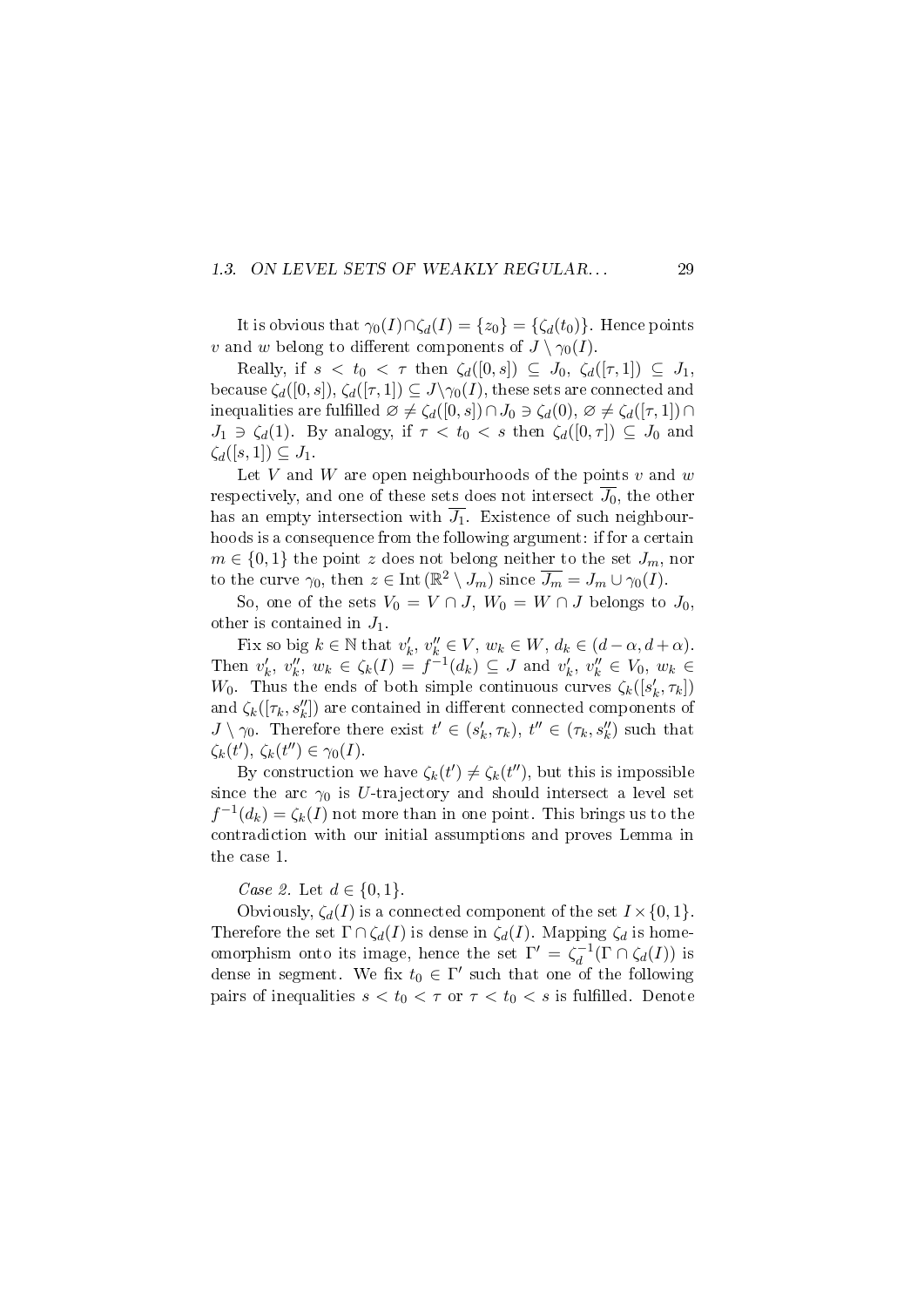#### 1.3. ON LEVEL SETS OF WEAKLY REGULAR... 29

It is obvious that  $\gamma_0(I)\cap \zeta_d(I) = \{z_0\} = \{\zeta_d(t_0)\}\.$  Hence points v and w belong to different components of  $J \setminus \gamma_0(I)$ .

Really, if  $s < t_0 < \tau$  then  $\zeta_d([0, s]) \subseteq J_0$ ,  $\zeta_d([\tau, 1]) \subseteq J_1$ , because  $\zeta_d([0, s]), \zeta_d([\tau, 1]) \subseteq J \setminus \gamma_0(I)$ , these sets are connected and inequalities are fulfilled  $\varnothing \neq \zeta_d([0, s]) \cap J_0 \ni \zeta_d(0), \varnothing \neq \zeta_d([\tau, 1]) \cap$  $J_1 \ni \zeta_d(1)$ . By analogy, if  $\tau < t_0 < s$  then  $\zeta_d([0,\tau]) \subseteq J_0$  and  $\zeta_d([s,1]) \subseteq J_1$ .

Let  $V$  and  $W$  are open neighbourhoods of the points  $v$  and  $w$ respectively, and one of these sets does not intersect  $\overline{J_0}$ , the other has an empty intersection with  $\overline{J_1}$ . Existence of such neighbourhoods is a consequence from the following argument: if for a certain  $m \in \{0,1\}$  the point z does not belong neither to the set  $J_m$ , nor to the curve  $\gamma_0$ , then  $z \in \text{Int}(\mathbb{R}^2 \setminus J_m)$  since  $\overline{J_m} = J_m \cup \gamma_0(I)$ .

So, one of the sets  $V_0 = V \cap J$ ,  $W_0 = W \cap J$  belongs to  $J_0$ , other is contained in  $J_1$ .

Fix so big  $k \in \mathbb{N}$  that  $v'_k, v''_k \in V$ ,  $w_k \in W$ ,  $d_k \in (d - \alpha, d + \alpha)$ . Then  $v'_k, v''_k, w_k \in \zeta_k(I) = f^{-1}(d_k) \subseteq J$  and  $v'_k, v''_k \in V_0, w_k \in$ W<sub>0</sub>. Thus the ends of both simple continuous curves  $\zeta_k([s'_k, \tau_k])$ and  $\zeta_k([\tau_k,s''_k])$  are contained in different connected components of  $J \setminus \gamma_0$ . Therefore there exist  $t' \in (s'_k, \tau_k)$ ,  $t'' \in (\tau_k, s''_k)$  such that  $\zeta_k(t'), \, \zeta_k(t'') \in \gamma_0(I).$ 

By construction we have  $\zeta_k(t') \neq \zeta_k(t'')$ , but this is impossible since the arc  $\gamma_0$  is U-trajectory and should intersect a level set  $f^{-1}(d_k) = \zeta_k(I)$  not more than in one point. This brings us to the contradiction with our initial assumptions and proves Lemma in the case 1.

*Case 2.* Let  $d \in \{0, 1\}$ .

Obviously,  $\zeta_d(I)$  is a connected component of the set  $I \times \{0, 1\}$ . Therefore the set  $\Gamma \cap \zeta_d(I)$  is dense in  $\zeta_d(I)$ . Mapping  $\zeta_d$  is homeomorphism onto its image, hence the set  $\Gamma' = \zeta_d^{-1}$  $\zeta_d^{-1}(\Gamma \cap \zeta_d(I))$  is dense in segment. We fix  $t_0 \in \Gamma'$  such that one of the following pairs of inequalities  $s < t_0 < \tau$  or  $\tau < t_0 < s$  is fulfilled. Denote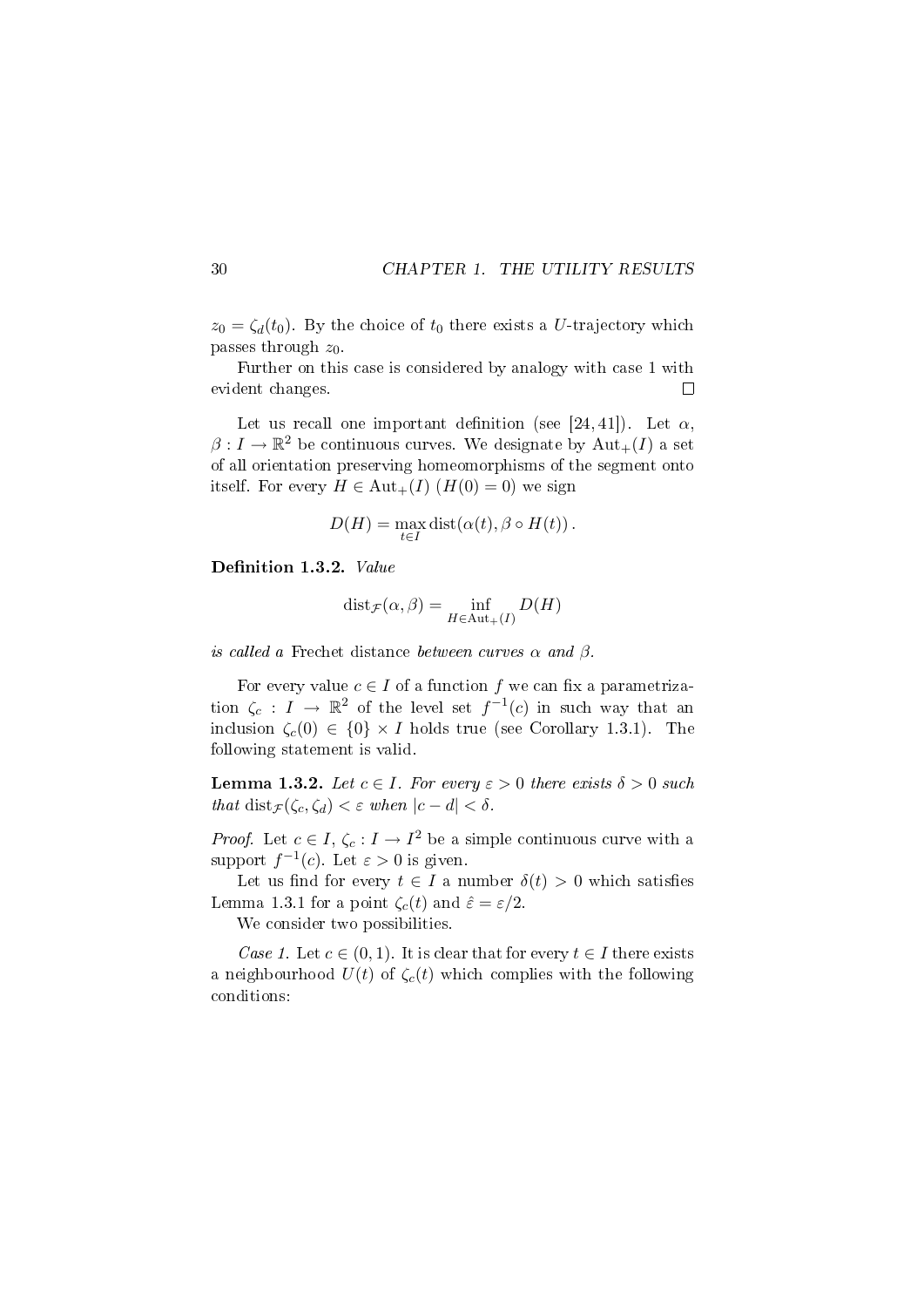$z_0 = \zeta_d(t_0)$ . By the choice of  $t_0$  there exists a U-trajectory which passes through  $z_0$ .

Further on this case is considered by analogy with case 1 with evident changes.  $\Box$ 

Let us recall one important definition (see [24, 41]). Let  $\alpha$ ,  $\beta: I \to \mathbb{R}^2$  be continuous curves. We designate by  $\mathrm{Aut}_+(I)$  a set of all orientation preserving homeomorphisms of the segment onto itself. For every  $H \in \text{Aut}_+(I)$   $(H(0) = 0)$  we sign

$$
D(H) = \max_{t \in I} \text{dist}(\alpha(t), \beta \circ H(t)).
$$

Definition 1.3.2. Value

$$
dist_{\mathcal{F}}(\alpha, \beta) = \inf_{H \in Aut_{+}(I)} D(H)
$$

is called a Frechet distance between curves  $\alpha$  and  $\beta$ .

For every value  $c \in I$  of a function f we can fix a parametrization  $\zeta_c: I \to \mathbb{R}^2$  of the level set  $f^{-1}(c)$  in such way that an inclusion  $\zeta_c(0) \in \{0\} \times I$  holds true (see Corollary 1.3.1). The following statement is valid.

**Lemma 1.3.2.** Let  $c \in I$ . For every  $\varepsilon > 0$  there exists  $\delta > 0$  such that dist $\mathcal{F}(\zeta_c, \zeta_d) < \varepsilon$  when  $|c - d| < \delta$ .

*Proof.* Let  $c \in I$ ,  $\zeta_c : I \to I^2$  be a simple continuous curve with a support  $f^{-1}(c)$ . Let  $\varepsilon > 0$  is given.

Let us find for every  $t \in I$  a number  $\delta(t) > 0$  which satisfies Lemma 1.3.1 for a point  $\zeta_c(t)$  and  $\hat{\varepsilon} = \varepsilon/2$ .

We consider two possibilities.

Case 1. Let  $c \in (0,1)$ . It is clear that for every  $t \in I$  there exists a neighbourhood  $U(t)$  of  $\zeta_c(t)$  which complies with the following conditions: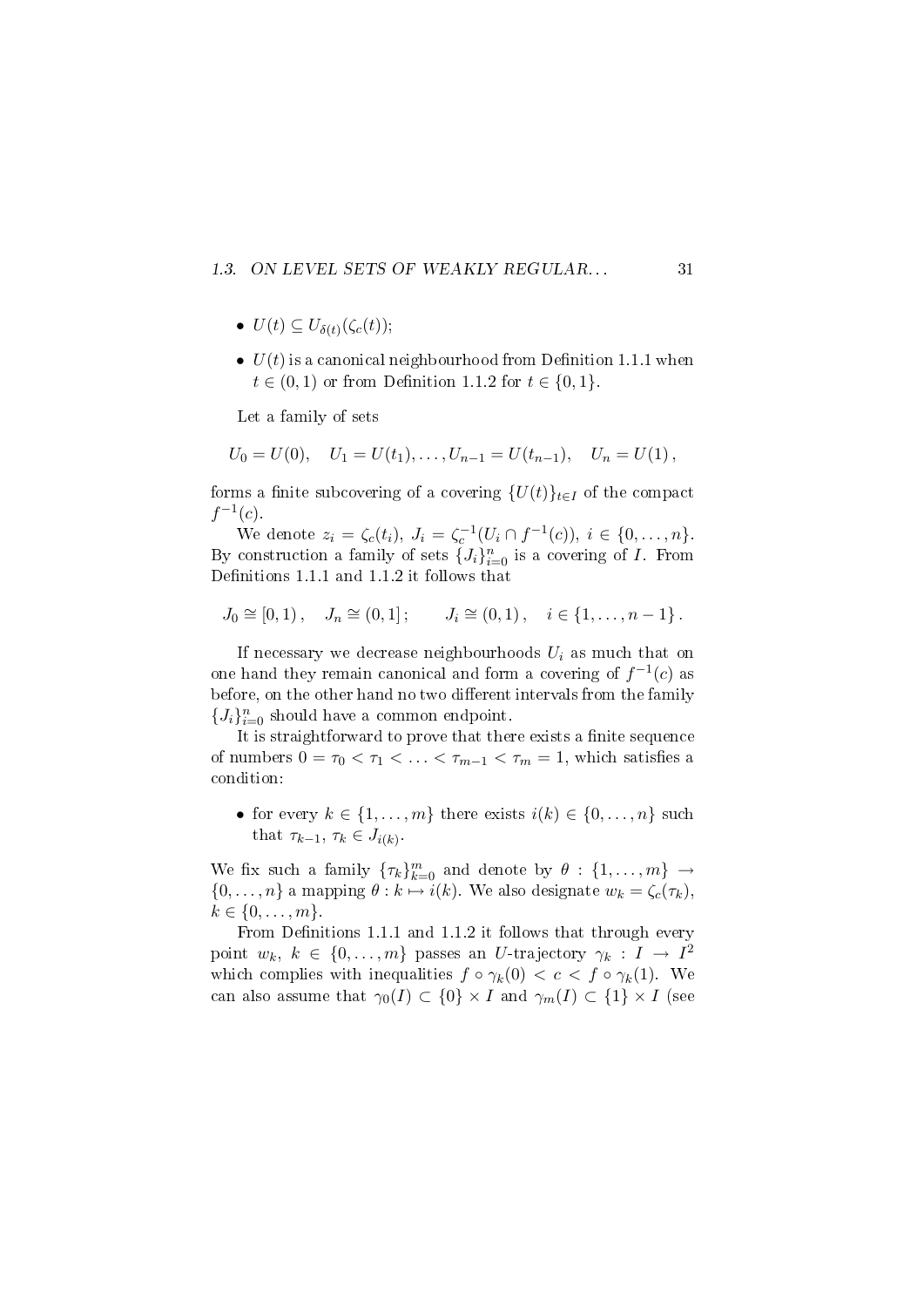#### 1.3. ON LEVEL SETS OF WEAKLY REGULAR... 31

- $U(t) \subseteq U_{\delta(t)}(\zeta_c(t));$
- $U(t)$  is a canonical neighbourhood from Definition 1.1.1 when  $t \in (0, 1)$  or from Definition 1.1.2 for  $t \in \{0, 1\}$ .

Let a family of sets

$$
U_0 = U(0), \quad U_1 = U(t_1), \dots, U_{n-1} = U(t_{n-1}), \quad U_n = U(1),
$$

forms a finite subcovering of a covering  $\{U(t)\}_{t\in I}$  of the compact  $f^{-1}(c)$ .

We denote  $z_i = \zeta_c(t_i)$ ,  $J_i = \zeta_c^{-1}(U_i \cap f^{-1}(c))$ ,  $i \in \{0, ..., n\}$ . By construction a family of sets  $\{J_i\}_{i=0}^n$  is a covering of I. From Definitions 1.1.1 and 1.1.2 it follows that

$$
J_0 \cong [0,1), \quad J_n \cong (0,1]; \qquad J_i \cong (0,1), \quad i \in \{1,\ldots,n-1\}.
$$

If necessary we decrease neighbourhoods  $U_i$  as much that on one hand they remain canonical and form a covering of  $f^{-1}(c)$  as before, on the other hand no two different intervals from the family  ${J_i}_{i=0}^n$  should have a common endpoint.

It is straightforward to prove that there exists a finite sequence of numbers  $0 = \tau_0 < \tau_1 < \ldots < \tau_{m-1} < \tau_m = 1$ , which satisfies a condition:

• for every  $k \in \{1, \ldots, m\}$  there exists  $i(k) \in \{0, \ldots, n\}$  such that  $\tau_{k-1}, \tau_k \in J_{i(k)}$ .

We fix such a family  $\{\tau_k\}_{k=0}^m$  and denote by  $\theta: \{1, \ldots, m\} \to$  $\{0, \ldots, n\}$  a mapping  $\theta : k \mapsto i(k)$ . We also designate  $w_k = \zeta_c(\tau_k)$ ,  $k \in \{0, \ldots, m\}.$ 

From Definitions 1.1.1 and 1.1.2 it follows that through every point  $w_k, k \in \{0, \ldots, m\}$  passes an U-trajectory  $\gamma_k : I \to I^2$ which complies with inequalities  $f \circ \gamma_k(0) < c < f \circ \gamma_k(1)$ . We can also assume that  $\gamma_0(I) \subset \{0\} \times I$  and  $\gamma_m(I) \subset \{1\} \times I$  (see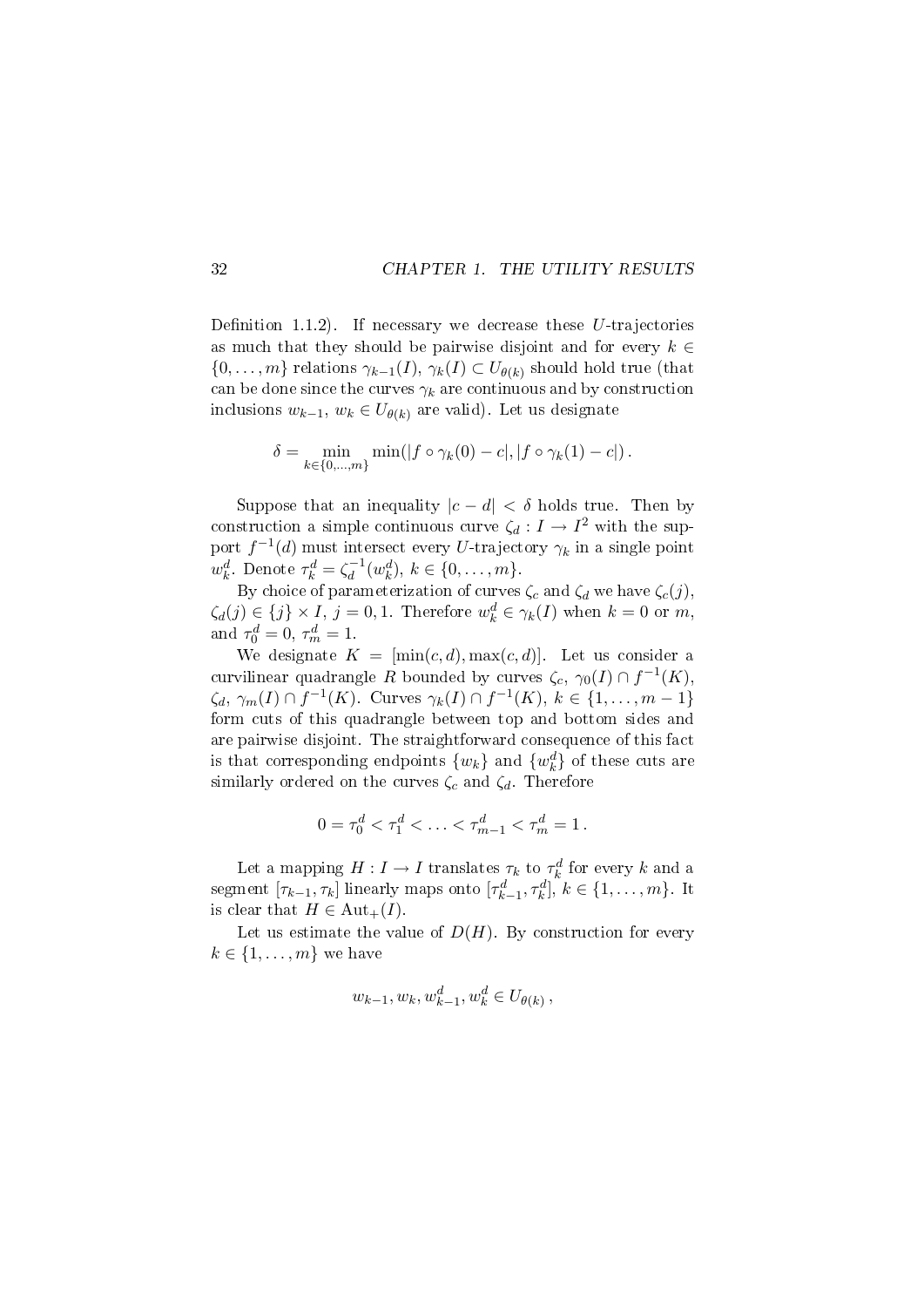Definition 1.1.2). If necessary we decrease these  $U$ -trajectories as much that they should be pairwise disjoint and for every  $k \in$  $\{0,\ldots,m\}$  relations  $\gamma_{k-1}(I),\,\gamma_k(I)\subset U_{\theta(k)}$  should hold true (that can be done since the curves  $\gamma_k$  are continuous and by construction inclusions  $w_{k-1}$ ,  $w_k \in U_{\theta(k)}$  are valid). Let us designate

$$
\delta = \min_{k \in \{0, \dots, m\}} \min(|f \circ \gamma_k(0) - c|, |f \circ \gamma_k(1) - c|).
$$

Suppose that an inequality  $|c - d| < \delta$  holds true. Then by construction a simple continuous curve  $\zeta_d: I \to I^2$  with the support  $f^{-1}(d)$  must intersect every U-trajectory  $\gamma_k$  in a single point  $w_k^d$ . Denote  $\tau_k^d = \zeta_d^{-1}$  $\overline{d}^{-1}(w_k^d), k \in \{0, \ldots, m\}.$ 

By choice of parameterization of curves  $\zeta_c$  and  $\zeta_d$  we have  $\zeta_c(j)$ ,  $\zeta_d(j) \in \{j\} \times I, j = 0, 1.$  Therefore  $w_k^d \in \gamma_k(I)$  when  $k = 0$  or  $m$ , and  $\tau_0^d = 0, \tau_m^d = 1.$ 

We designate  $K = [\min(c, d), \max(c, d)]$ . Let us consider a curvilinear quadrangle R bounded by curves  $\zeta_c, \, \gamma_0(I) \cap f^{-1}(K),$  $\zeta_d, \gamma_m(I) \cap f^{-1}(K)$ . Curves  $\gamma_k(I) \cap f^{-1}(K)$ ,  $k \in \{1, ..., m-1\}$ form cuts of this quadrangle between top and bottom sides and are pairwise disjoint. The straightforward consequence of this fact is that corresponding endpoints  $\{w_k\}$  and  $\{w_k^d\}$  of these cuts are similarly ordered on the curves  $\zeta_c$  and  $\zeta_d$ . Therefore

$$
0 = \tau_0^d < \tau_1^d < \ldots < \tau_{m-1}^d < \tau_m^d = 1.
$$

Let a mapping  $H: I \to I$  translates  $\tau_k$  to  $\tau_k^d$  for every  $k$  and a segment  $[\tau_{k-1}, \tau_k]$  linearly maps onto  $[\tau_{k-1}^d, \tau_k^d]$ ,  $k \in \{1, \ldots, m\}$ . It is clear that  $H \in \text{Aut}_+(I)$ .

Let us estimate the value of  $D(H)$ . By construction for every  $k \in \{1, \ldots, m\}$  we have

$$
w_{k-1}, w_k, w_{k-1}^d, w_k^d \in U_{\theta(k)}
$$
,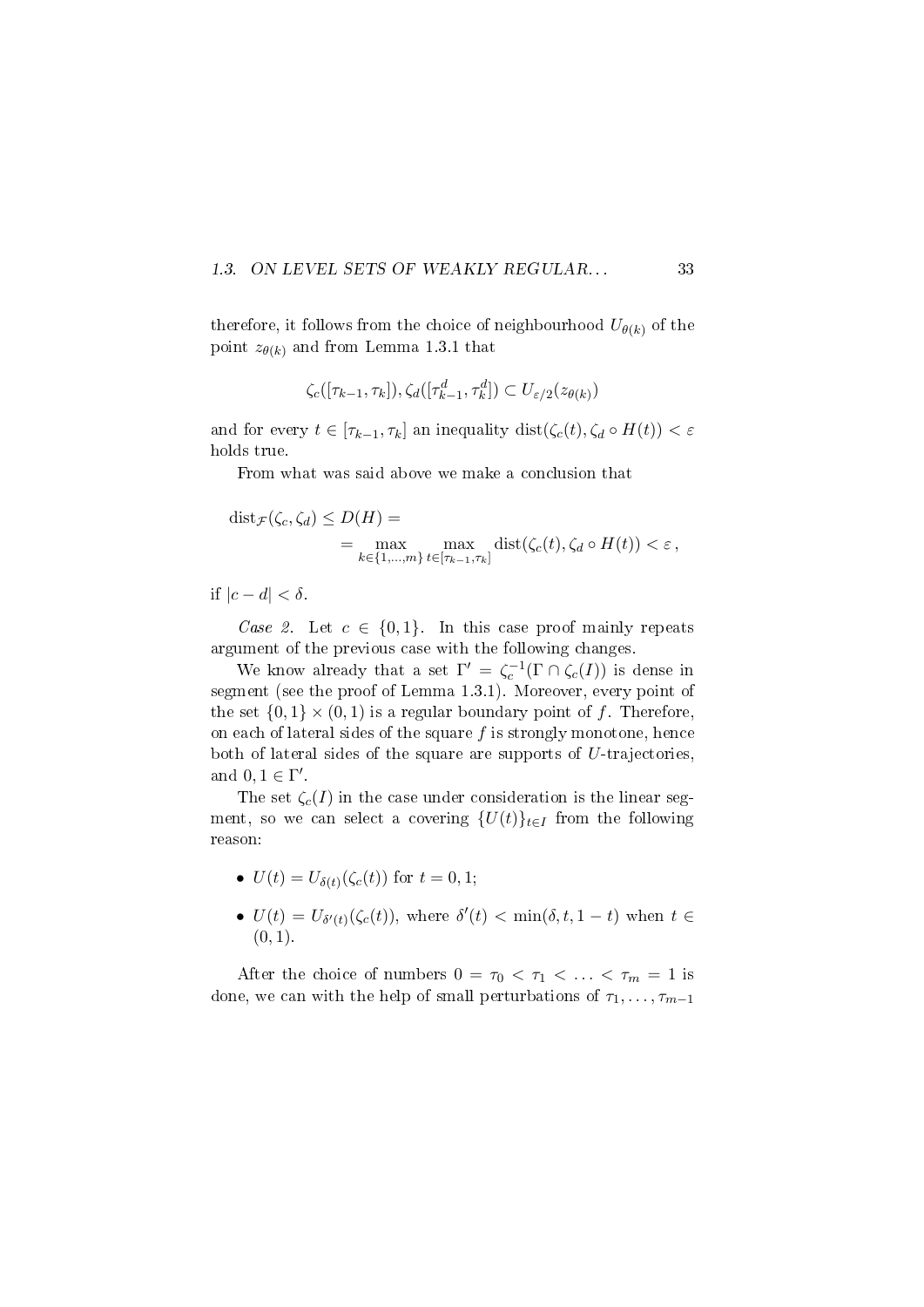#### 1.3. ON LEVEL SETS OF WEAKLY REGULAR... 33

therefore, it follows from the choice of neighbourhood  $U_{\theta(k)}$  of the point  $z_{\theta(k)}$  and from Lemma 1.3.1 that

$$
\zeta_c([\tau_{k-1},\tau_k]), \zeta_d([\tau_{k-1}^d,\tau_k^d]) \subset U_{\varepsilon/2}(z_{\theta(k)})
$$

and for every  $t \in [\tau_{k-1}, \tau_k]$  an inequality  $dist(\zeta_c(t), \zeta_d \circ H(t)) < \varepsilon$ holds true.

From what was said above we make a conclusion that

$$
dist_{\mathcal{F}}(\zeta_c, \zeta_d) \le D(H) = \max_{k \in \{1, \dots, m\}} \max_{t \in [\tau_{k-1}, \tau_k]} dist(\zeta_c(t), \zeta_d \circ H(t)) < \varepsilon,
$$

if  $|c - d| < \delta$ .

Case 2. Let  $c \in \{0,1\}$ . In this case proof mainly repeats argument of the previous case with the following changes.

We know already that a set  $\Gamma' = \zeta_c^{-1}(\Gamma \cap \zeta_c(I))$  is dense in segment (see the proof of Lemma 1.3.1). Moreover, every point of the set  $\{0,1\} \times (0,1)$  is a regular boundary point of f. Therefore, on each of lateral sides of the square  $f$  is strongly monotone, hence both of lateral sides of the square are supports of  $U$ -trajectories, and  $0, 1 \in \Gamma'$ .

The set  $\zeta_c(I)$  in the case under consideration is the linear segment, so we can select a covering  $\{U(t)\}_{t\in I}$  from the following reason:

- $U(t) = U_{\delta(t)}(\zeta_c(t))$  for  $t = 0, 1;$
- $U(t) = U_{\delta'(t)}(\zeta_c(t))$ , where  $\delta'(t) < \min(\delta, t, 1-t)$  when  $t \in$  $(0, 1)$ .

After the choice of numbers  $0 = \tau_0 < \tau_1 < \ldots < \tau_m = 1$  is done, we can with the help of small perturbations of  $\tau_1, \ldots, \tau_{m-1}$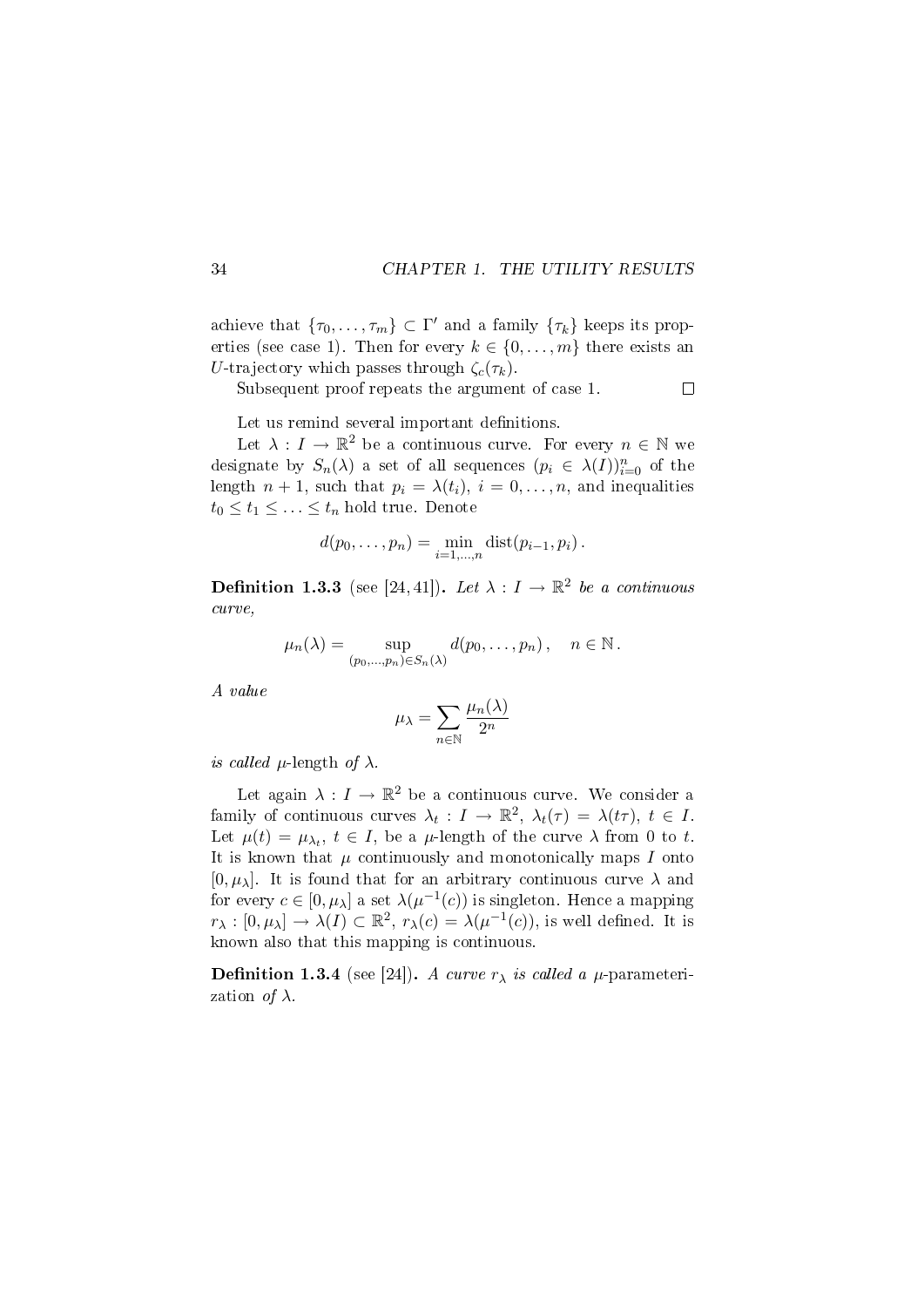achieve that  $\{\tau_0, \ldots, \tau_m\} \subset \Gamma'$  and a family  $\{\tau_k\}$  keeps its properties (see case 1). Then for every  $k \in \{0, \ldots, m\}$  there exists an U-trajectory which passes through  $\zeta_c(\tau_k)$ .

Subsequent proof repeats the argument of case 1.

 $\Box$ 

Let us remind several important definitions.

Let  $\lambda: I \to \mathbb{R}^2$  be a continuous curve. For every  $n \in \mathbb{N}$  we designate by  $S_n(\lambda)$  a set of all sequences  $(p_i \in \lambda(I))_{i=0}^n$  of the length  $n + 1$ , such that  $p_i = \lambda(t_i)$ ,  $i = 0, \ldots, n$ , and inequalities  $t_0 \leq t_1 \leq \ldots \leq t_n$  hold true. Denote

$$
d(p_0,...,p_n) = \min_{i=1,...,n} \text{dist}(p_{i-1},p_i).
$$

**Definition 1.3.3** (see [24, 41]). Let  $\lambda : I \to \mathbb{R}^2$  be a continuous curve,

$$
\mu_n(\lambda) = \sup_{(p_0,\ldots,p_n)\in S_n(\lambda)} d(p_0,\ldots,p_n), \quad n \in \mathbb{N}.
$$

A value

$$
\mu_{\lambda} = \sum_{n \in \mathbb{N}} \frac{\mu_n(\lambda)}{2^n}
$$

is called  $\mu$ -length of  $\lambda$ .

Let again  $\lambda: I \to \mathbb{R}^2$  be a continuous curve. We consider a family of continuous curves  $\lambda_t: I \to \mathbb{R}^2$ ,  $\lambda_t(\tau) = \lambda(t\tau)$ ,  $t \in I$ . Let  $\mu(t) = \mu_{\lambda_t}$ ,  $t \in I$ , be a  $\mu$ -length of the curve  $\lambda$  from 0 to t. It is known that  $\mu$  continuously and monotonically maps I onto  $[0, \mu_{\lambda}]$ . It is found that for an arbitrary continuous curve  $\lambda$  and for every  $c \in [0, \mu_\lambda]$  a set  $\lambda(\mu^{-1}(c))$  is singleton. Hence a mapping  $r_{\lambda}: [0, \mu_{\lambda}] \to \lambda(I) \subset \mathbb{R}^2$ ,  $r_{\lambda}(c) = \lambda(\mu^{-1}(c))$ , is well defined. It is known also that this mapping is continuous.

**Definition 1.3.4** (see [24]). A curve  $r_{\lambda}$  is called a  $\mu$ -parameterization *of*  $\lambda$ .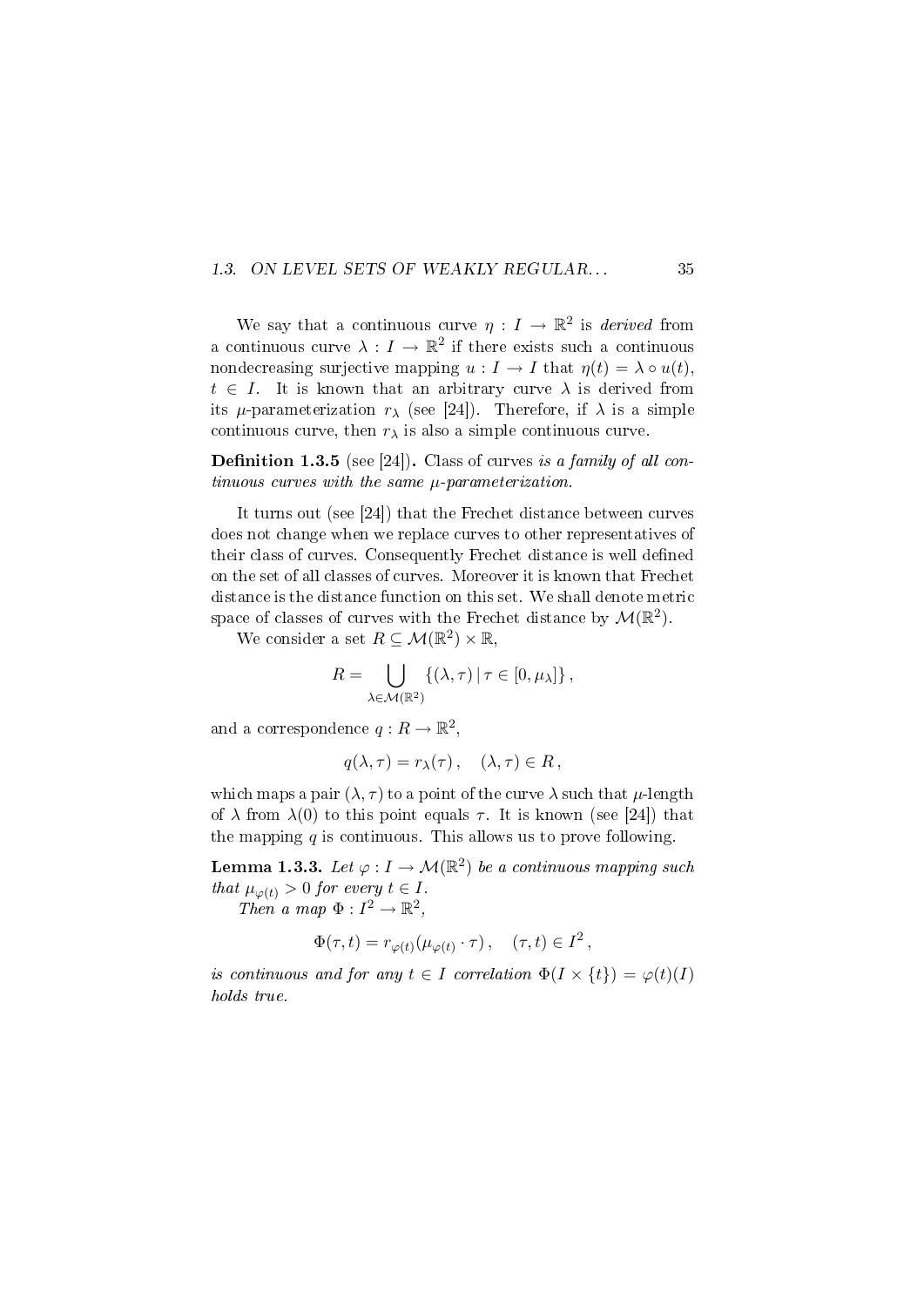#### 1.3. ON LEVEL SETS OF WEAKLY REGULAR... 35

We say that a continuous curve  $\eta: I \to \mathbb{R}^2$  is *derived* from a continuous curve  $\lambda: I \to \mathbb{R}^2$  if there exists such a continuous nondecreasing surjective mapping  $u : I \to I$  that  $\eta(t) = \lambda \circ u(t)$ ,  $t \in I$ . It is known that an arbitrary curve  $\lambda$  is derived from its  $\mu$ -parameterization  $r_{\lambda}$  (see [24]). Therefore, if  $\lambda$  is a simple continuous curve, then  $r_{\lambda}$  is also a simple continuous curve.

**Definition 1.3.5** (see [24]). Class of curves is a family of all continuous curves with the same µ-parameterization.

It turns out (see [24]) that the Frechet distance between curves does not change when we replace curves to other representatives of their class of curves. Consequently Frechet distance is well defined on the set of all classes of curves. Moreover it is known that Frechet distance is the distance function on this set. We shall denote metric space of classes of curves with the Frechet distance by  $\mathcal{M}(\mathbb{R}^2)$ .

We consider a set  $R \subseteq \mathcal{M}(\mathbb{R}^2) \times \mathbb{R}$ ,

$$
R = \bigcup_{\lambda \in \mathcal{M}(\mathbb{R}^2)} \{ (\lambda, \tau) \, | \, \tau \in [0, \mu_\lambda] \},
$$

and a correspondence  $q:R\to\mathbb{R}^2,$ 

$$
q(\lambda, \tau) = r_{\lambda}(\tau), \quad (\lambda, \tau) \in R,
$$

which maps a pair  $(\lambda, \tau)$  to a point of the curve  $\lambda$  such that  $\mu$ -length of  $\lambda$  from  $\lambda(0)$  to this point equals  $\tau$ . It is known (see [24]) that the mapping  $q$  is continuous. This allows us to prove following.

**Lemma 1.3.3.** Let  $\varphi: I \to \mathcal{M}(\mathbb{R}^2)$  be a continuous mapping such that  $\mu_{\varphi(t)} > 0$  for every  $t \in I$ .

Then a map  $\Phi: I^2 \to \mathbb{R}^2$ ,

$$
\Phi(\tau,t) = r_{\varphi(t)}(\mu_{\varphi(t)} \cdot \tau), \quad (\tau,t) \in I^2,
$$

is continuous and for any  $t \in I$  correlation  $\Phi(I \times \{t\}) = \varphi(t)(I)$ holds true.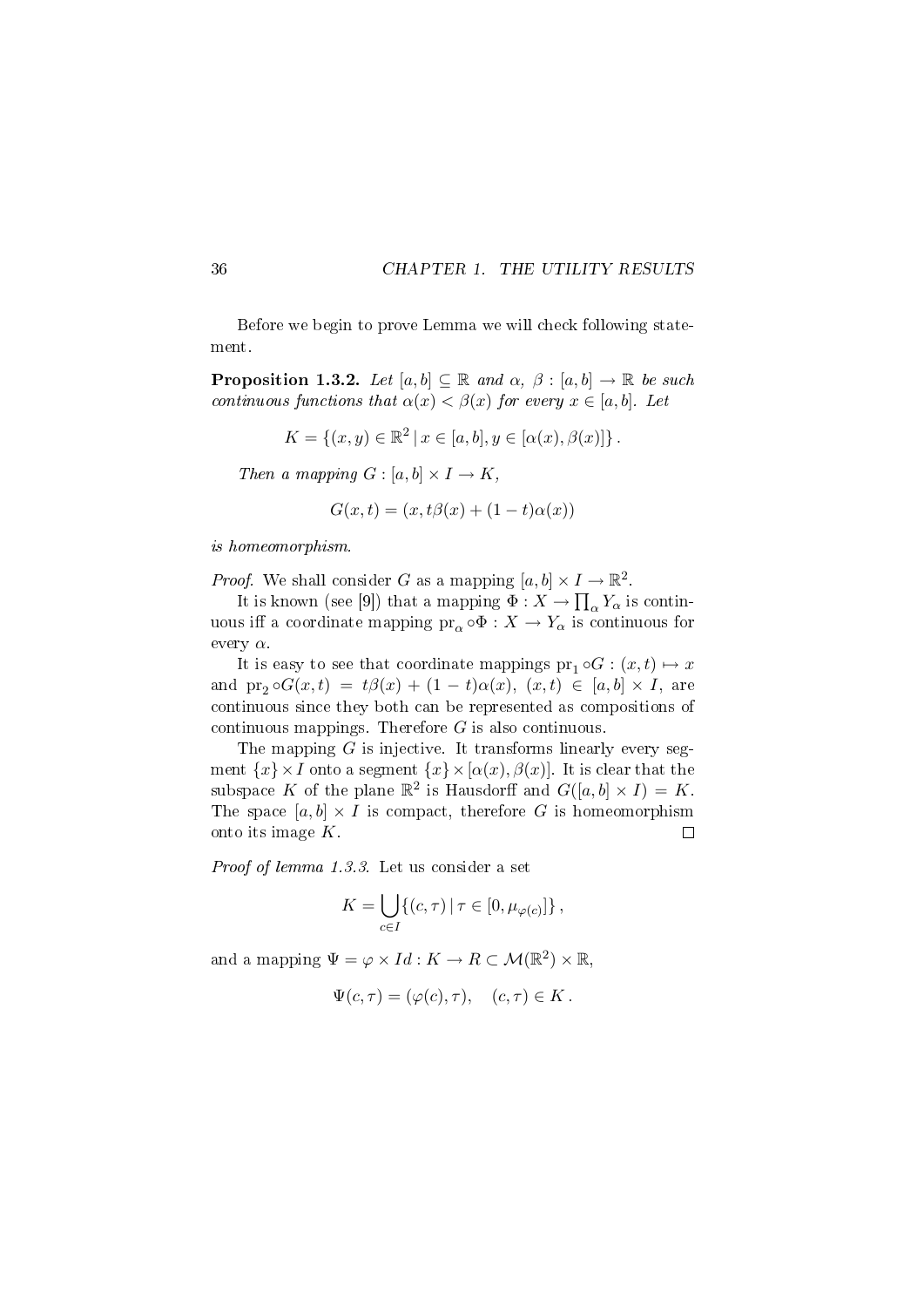Before we begin to prove Lemma we will check following statement.

**Proposition 1.3.2.** Let  $[a, b] \subseteq \mathbb{R}$  and  $\alpha$ ,  $\beta : [a, b] \rightarrow \mathbb{R}$  be such continuous functions that  $\alpha(x) < \beta(x)$  for every  $x \in [a, b]$ . Let

$$
K = \{(x, y) \in \mathbb{R}^2 \mid x \in [a, b], y \in [\alpha(x), \beta(x)]\}.
$$

Then a mapping  $G : [a, b] \times I \rightarrow K$ ,

$$
G(x,t) = (x, t\beta(x) + (1-t)\alpha(x))
$$

is homeomorphism.

*Proof.* We shall consider G as a mapping  $[a, b] \times I \to \mathbb{R}^2$ .

It is known (see [9]) that a mapping  $\Phi: X \to \prod_{\alpha} Y_{\alpha}$  is continuous iff a coordinate mapping  $\overline{\mathrm{pr}_{\alpha}} \circ \Phi : X \to Y_{\alpha}$  is continuous for every  $\alpha$ .

It is easy to see that coordinate mappings  $pr_1 \circ G : (x, t) \mapsto x$ and  $\text{pr}_2 \circ G(x,t) = t\beta(x) + (1-t)\alpha(x), (x,t) \in [a,b] \times I$ , are continuous since they both can be represented as compositions of continuous mappings. Therefore  $G$  is also continuous.

The mapping  $G$  is injective. It transforms linearly every segment  $\{x\} \times I$  onto a segment  $\{x\} \times [\alpha(x), \beta(x)]$ . It is clear that the subspace K of the plane  $\mathbb{R}^2$  is Hausdorff and  $G([a, b] \times I) = K$ . The space  $[a, b] \times I$  is compact, therefore G is homeomorphism onto its image K.  $\Box$ 

Proof of lemma 1.3.3. Let us consider a set

$$
K = \bigcup_{c \in I} \{ (c, \tau) \mid \tau \in [0, \mu_{\varphi(c)}] \},
$$

and a mapping  $\Psi = \varphi \times Id : K \to R \subset \mathcal{M}(\mathbb{R}^2) \times \mathbb{R}$ ,

$$
\Psi(c,\tau) = (\varphi(c),\tau), \quad (c,\tau) \in K.
$$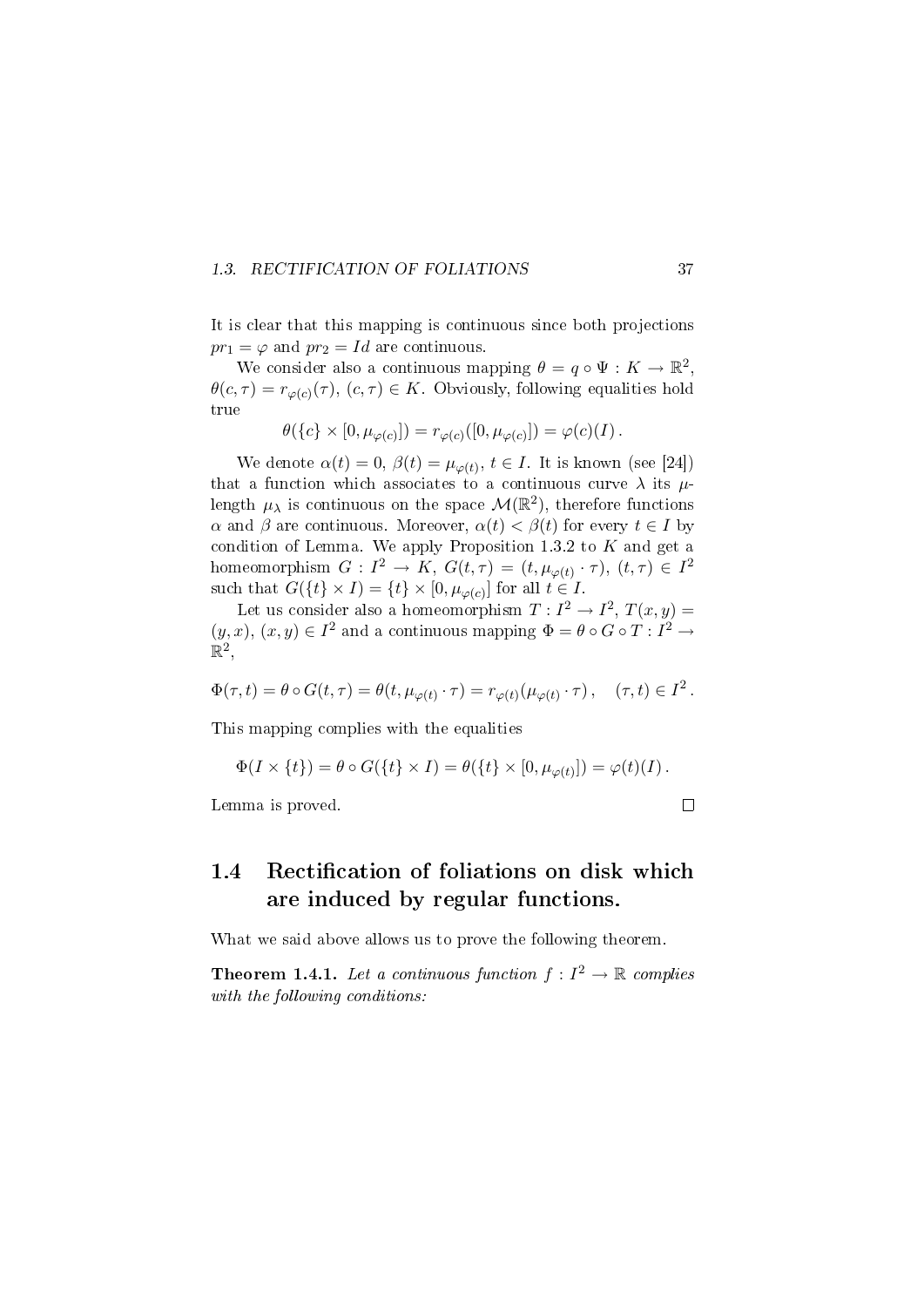#### 1.3. RECTIFICATION OF FOLIATIONS 37

It is clear that this mapping is continuous since both projections  $pr_1 = \varphi$  and  $pr_2 = Id$  are continuous.

We consider also a continuous mapping  $\theta = q \circ \Psi : K \to \mathbb{R}^2$ ,  $\theta(c,\tau) = r_{\varphi(c)}(\tau)$ ,  $(c,\tau) \in K$ . Obviously, following equalities hold true

$$
\theta(\{c\} \times [0, \mu_{\varphi(c)}]) = r_{\varphi(c)}([0, \mu_{\varphi(c)}]) = \varphi(c)(I).
$$

We denote  $\alpha(t) = 0$ ,  $\beta(t) = \mu_{\varphi(t)}$ ,  $t \in I$ . It is known (see [24]) that a function which associates to a continuous curve  $\lambda$  its  $\mu$ length  $\mu_{\lambda}$  is continuous on the space  $\mathcal{M}(\mathbb{R}^2),$  therefore functions  $\alpha$  and  $\beta$  are continuous. Moreover,  $\alpha(t) < \beta(t)$  for every  $t \in I$  by condition of Lemma. We apply Proposition 1.3.2 to  $K$  and get a homeomorphism  $G: I^2 \to K$ ,  $G(t, \tau) = (t, \mu_{\varphi(t)} \cdot \tau), (t, \tau) \in I^2$ such that  $G({t} \times I) = {t} \times [0, \mu_{\varphi(c)}]$  for all  $t \in I$ .

Let us consider also a homeomorphism  $T: I^2 \to I^2, T(x, y) =$  $(y, x), (x, y) \in I<sup>2</sup>$  and a continuous mapping  $\Phi = \theta \circ G \circ T : I<sup>2</sup> \rightarrow$  $\mathbb{R}^2,$ 

$$
\Phi(\tau,t)=\theta\circ G(t,\tau)=\theta(t,\mu_{\varphi(t)}\cdot\tau)=r_{\varphi(t)}(\mu_{\varphi(t)}\cdot\tau)\,,\quad (\tau,t)\in I^2\,.
$$

This mapping complies with the equalities

$$
\Phi(I \times \{t\}) = \theta \circ G(\{t\} \times I) = \theta(\{t\} \times [0, \mu_{\varphi(t)}]) = \varphi(t)(I).
$$

Lemma is proved.

 $\Box$ 

## 1.4 Rectification of foliations on disk which are induced by regular functions.

What we said above allows us to prove the following theorem.

**Theorem 1.4.1.** Let a continuous function  $f: I^2 \to \mathbb{R}$  complies with the following conditions: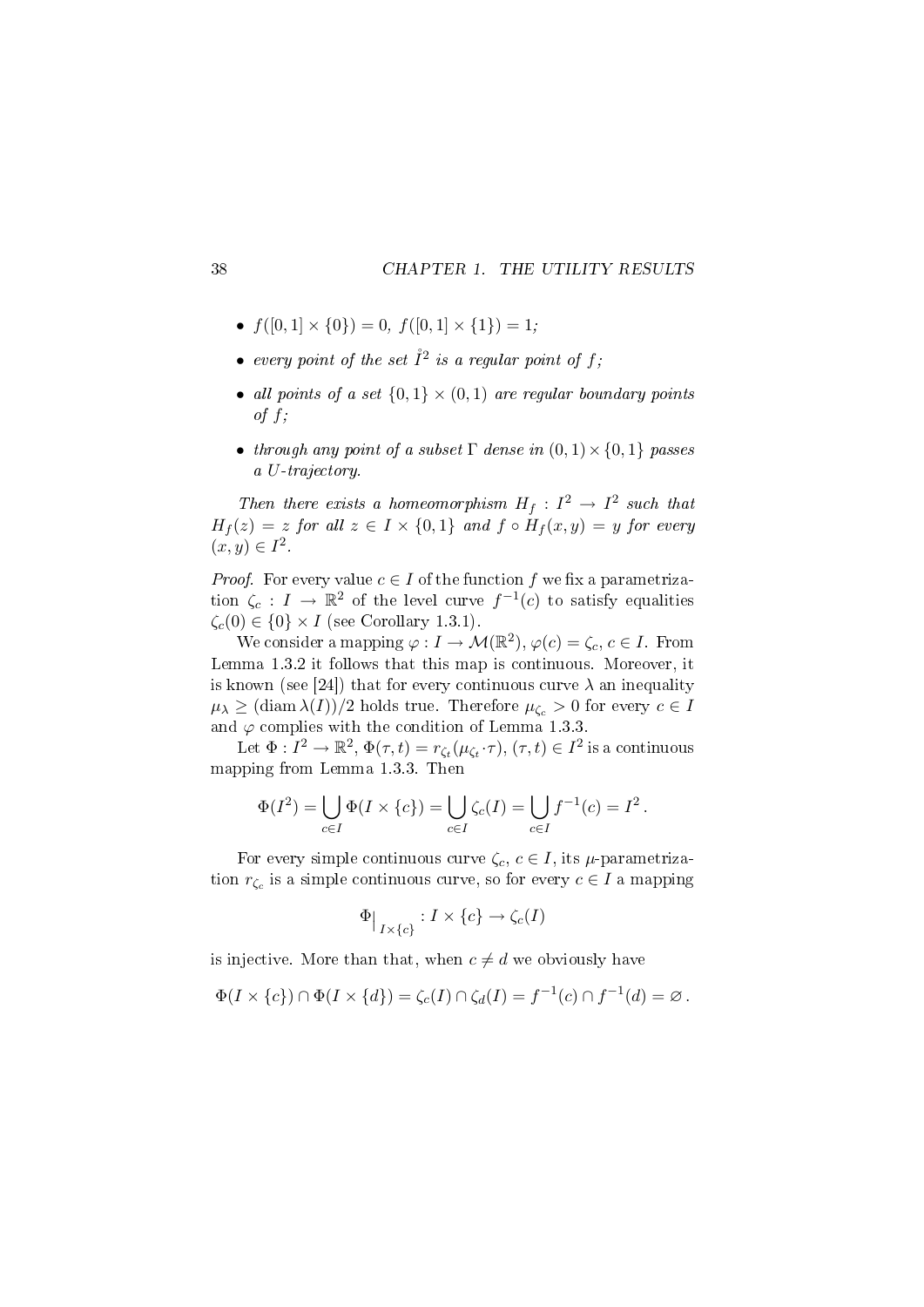- $f([0, 1] \times \{0\}) = 0, f([0, 1] \times \{1\}) = 1;$
- $\bullet$  every point of the set  $\mathring{I}^2$  is a regular point of f;
- all points of a set  $\{0,1\} \times (0,1)$  are regular boundary points of  $f$ ;
- through any point of a subset  $\Gamma$  dense in  $(0, 1) \times \{0, 1\}$  passes a U-trajectory.

Then there exists a homeomorphism  $H_f: I^2 \to I^2$  such that  $H_f(z) = z$  for all  $z \in I \times \{0,1\}$  and  $f \circ H_f(x,y) = y$  for every  $(x, y) \in I^2$ .

*Proof.* For every value  $c \in I$  of the function  $f$  we fix a parametrization  $\zeta_c: I \to \mathbb{R}^2$  of the level curve  $f^{-1}(c)$  to satisfy equalities  $\zeta_c(0) \in \{0\} \times I$  (see Corollary 1.3.1).

We consider a mapping  $\varphi: I \to \mathcal{M}(\mathbb{R}^2), \varphi(c) = \zeta_c, c \in I$ . From Lemma 1.3.2 it follows that this map is continuous. Moreover, it is known (see [24]) that for every continuous curve  $\lambda$  an inequality  $\mu_{\lambda} \geq (\text{diam }\lambda(I))/2$  holds true. Therefore  $\mu_{\zeta_c} > 0$  for every  $c \in I$ and  $\varphi$  complies with the condition of Lemma 1.3.3.

Let  $\Phi: I^2 \to \mathbb{R}^2$ ,  $\Phi(\tau, t) = r_{\zeta_t}(\mu_{\zeta_t} \cdot \tau), (\tau, t) \in I^2$  is a continuous mapping from Lemma 1.3.3. Then

$$
\Phi(I^2) = \bigcup_{c \in I} \Phi(I \times \{c\}) = \bigcup_{c \in I} \zeta_c(I) = \bigcup_{c \in I} f^{-1}(c) = I^2.
$$

For every simple continuous curve  $\zeta_c$ ,  $c \in I$ , its  $\mu$ -parametrization  $r_{\zeta_c}$  is a simple continuous curve, so for every  $c \in I$  a mapping

$$
\Phi\big|_{I\times \{c\}}:I\times \{c\}\to \zeta_c(I)
$$

is injective. More than that, when  $c \neq d$  we obviously have

$$
\Phi(I \times \{c\}) \cap \Phi(I \times \{d\}) = \zeta_c(I) \cap \zeta_d(I) = f^{-1}(c) \cap f^{-1}(d) = \varnothing.
$$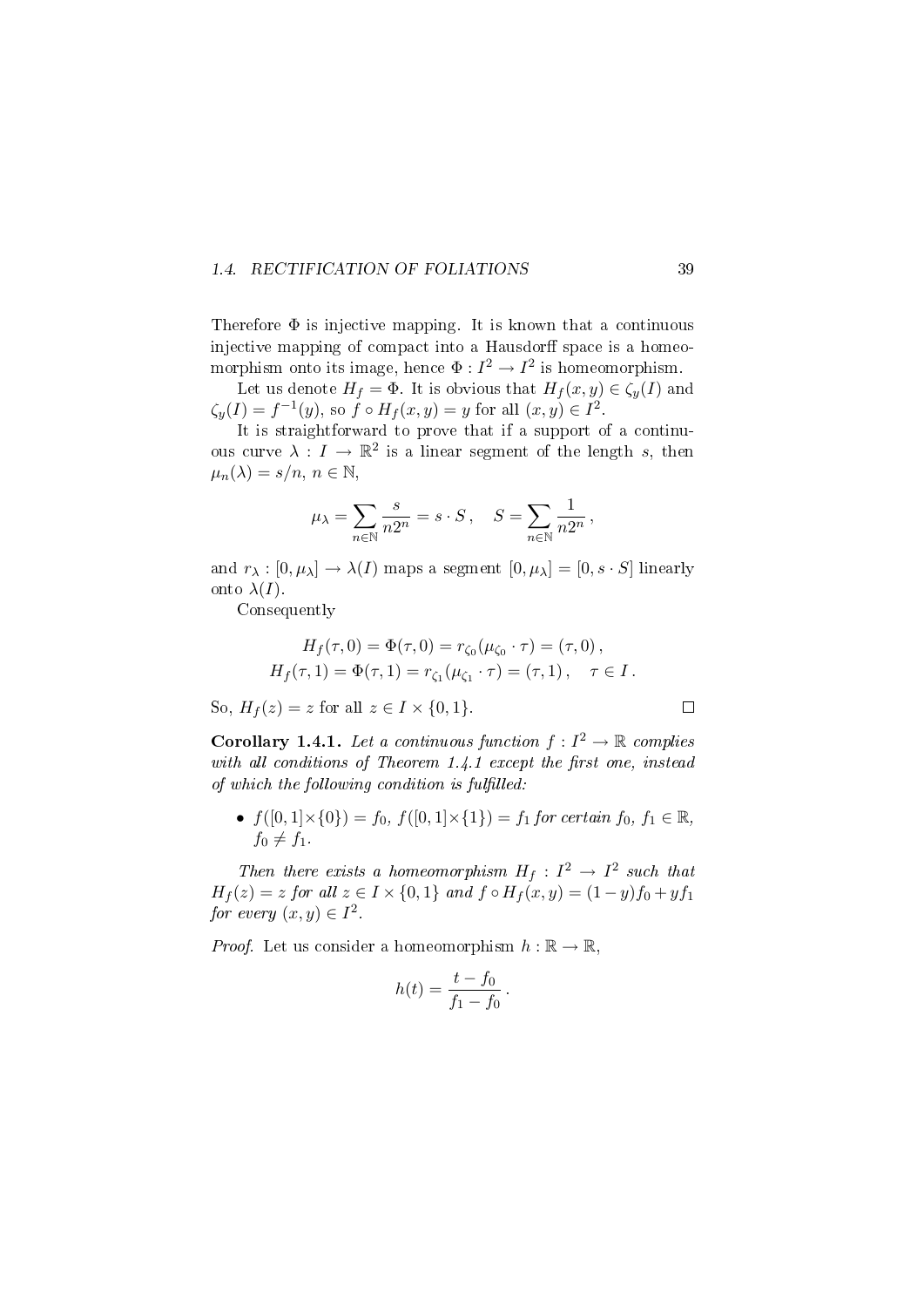#### 1.4. RECTIFICATION OF FOLIATIONS 39

Therefore  $\Phi$  is injective mapping. It is known that a continuous injective mapping of compact into a Hausdorff space is a homeomorphism onto its image, hence  $\Phi: I^2 \to I^2$  is homeomorphism.

Let us denote  $H_f = \phi$ . It is obvious that  $H_f(x, y) \in \zeta_y(I)$  and  $\zeta_y(I) = f^{-1}(y)$ , so  $\hat{f} \circ H_f(x, y) = y$  for all  $(x, y) \in I^2$ .

It is straightforward to prove that if a support of a continuous curve  $\lambda: I \to \mathbb{R}^2$  is a linear segment of the length s, then  $\mu_n(\lambda) = s/n, n \in \mathbb{N},$ 

$$
\mu_\lambda = \sum_{n\in\mathbb{N}}\frac{s}{n2^n} = s\cdot S\,,\quad S = \sum_{n\in\mathbb{N}}\frac{1}{n2^n}\,,
$$

and  $r_{\lambda}: [0, \mu_{\lambda}] \to \lambda(I)$  maps a segment  $[0, \mu_{\lambda}] = [0, s \cdot S]$  linearly onto  $\lambda(I)$ .

Consequently

$$
H_f(\tau, 0) = \Phi(\tau, 0) = r_{\zeta_0}(\mu_{\zeta_0} \cdot \tau) = (\tau, 0),
$$
  

$$
H_f(\tau, 1) = \Phi(\tau, 1) = r_{\zeta_1}(\mu_{\zeta_1} \cdot \tau) = (\tau, 1), \quad \tau \in I.
$$

So,  $H_f(z) = z$  for all  $z \in I \times \{0, 1\}$ .

**Corollary 1.4.1.** Let a continuous function  $f: I^2 \to \mathbb{R}$  complies with all conditions of Theorem  $1.4.1$  except the first one, instead of which the following condition is fulfilled:

•  $f([0, 1] \times \{0\}) = f_0, f([0, 1] \times \{1\}) = f_1$  for certain  $f_0, f_1 \in \mathbb{R}$ ,  $f_0 \neq f_1$ .

Then there exists a homeomorphism  $H_f: I^2 \to I^2$  such that  $H_f(z) = z$  for all  $z \in I \times \{0,1\}$  and  $f \circ H_f(x,y) = (1-y)f_0 + yf_1$ for every  $(x, y) \in I^2$ .

*Proof.* Let us consider a homeomorphism  $h : \mathbb{R} \to \mathbb{R}$ .

$$
h(t) = \frac{t - f_0}{f_1 - f_0} \, .
$$

 $\Box$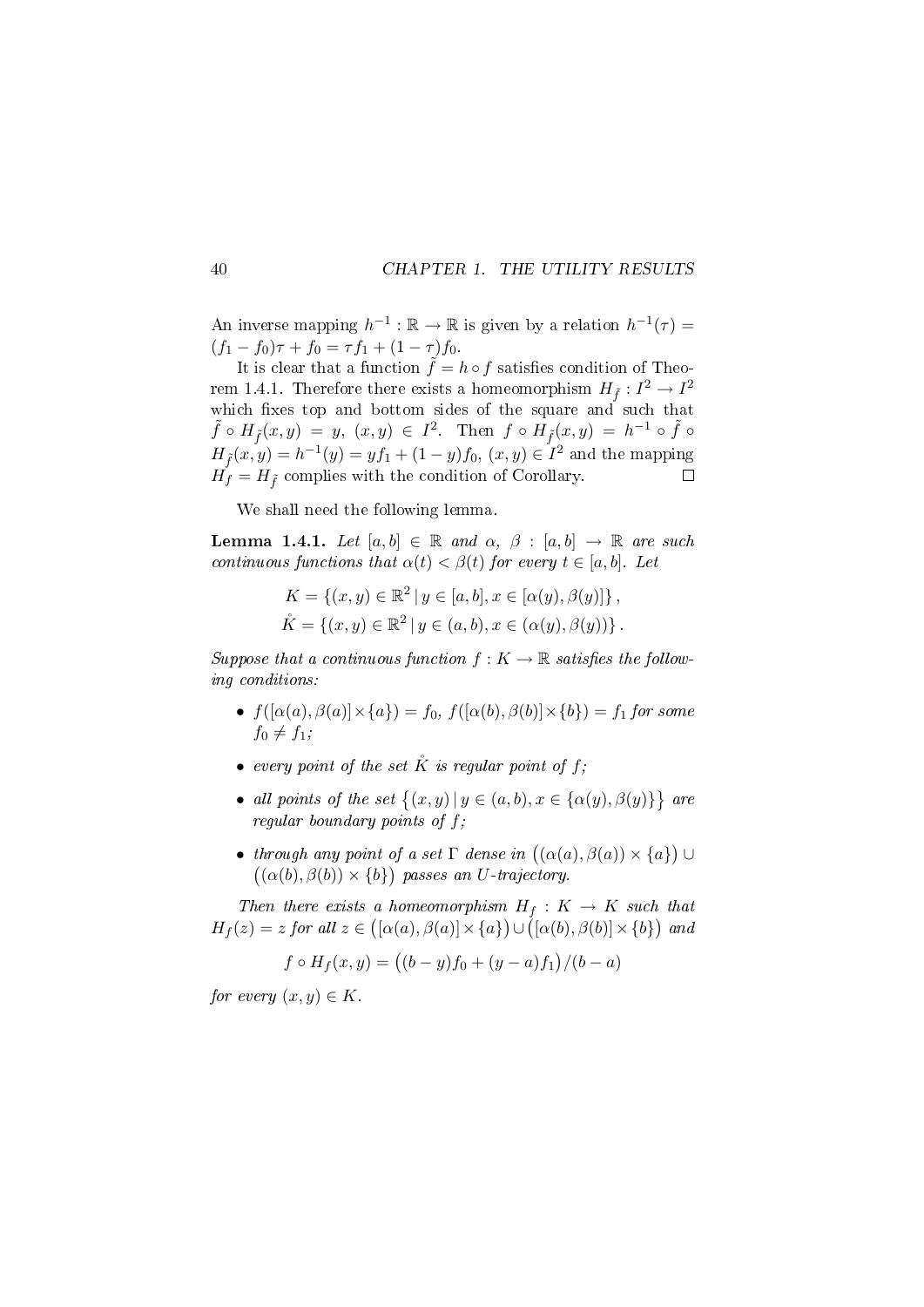An inverse mapping  $h^{-1} : \mathbb{R} \to \mathbb{R}$  is given by a relation  $h^{-1}(\tau) =$  $(f_1 - f_0)\tau + f_0 = \tau f_1 + (1 - \tau)f_0.$ 

It is clear that a function  $\tilde{f} = h \circ f$  satisfies condition of Theorem 1.4.1. Therefore there exists a homeomorphism  $H_{\tilde{f}}: I^2 \to I^2$ which fixes top and bottom sides of the square and such that  $\tilde{f} \circ H_{\tilde{f}}(x,y) = y, (x,y) \in I^2$ . Then  $f \circ H_{\tilde{f}}(x,y) = h^{-1} \circ \tilde{f} \circ$  $H_{\tilde{f}}(x,y) = h^{-1}(y) = yf_1 + (1-y)f_0, (x,y) \in I^2$  and the mapping  $H_f = H_f$  complies with the condition of Corollary.  $\Box$ 

We shall need the following lemma.

Lemma 1.4.1. Let  $[a, b] \in \mathbb{R}$  and  $\alpha$ ,  $\beta : [a, b] \rightarrow \mathbb{R}$  are such continuous functions that  $\alpha(t) < \beta(t)$  for every  $t \in [a, b]$ . Let

$$
K = \{(x, y) \in \mathbb{R}^2 \mid y \in [a, b], x \in [\alpha(y), \beta(y)]\},\
$$
  

$$
\mathring{K} = \{(x, y) \in \mathbb{R}^2 \mid y \in (a, b), x \in (\alpha(y), \beta(y))\}.
$$

Suppose that a continuous function  $f: K \to \mathbb{R}$  satisfies the following conditions:

- $f([\alpha(a), \beta(a)] \times \{a\}) = f_0, f([\alpha(b), \beta(b)] \times \{b\}) = f_1$  for some  $f_0 \neq f_1$ ;
- every point of the set  $K$  is regular point of f:
- all points of the set  $\{(x, y) | y \in (a, b), x \in \{\alpha(y), \beta(y)\}\}\$ are regular boundary points of  $f$ ;
- through any point of a set  $\Gamma$  dense in  $((\alpha(a), \beta(a)) \times \{a\}) \cup$  $((\alpha(b), \beta(b)) \times \{b\})$  passes an U-trajectory.

Then there exists a homeomorphism  $H_f: K \to K$  such that  $H_f(z) = z$  for all  $z \in ([\alpha(a), \beta(a)] \times \{a\}) \cup ([\alpha(b), \beta(b)] \times \{b\})$  and

$$
f \circ H_f(x, y) = ((b - y)f_0 + (y - a)f_1)/(b - a)
$$

for every  $(x, y) \in K$ .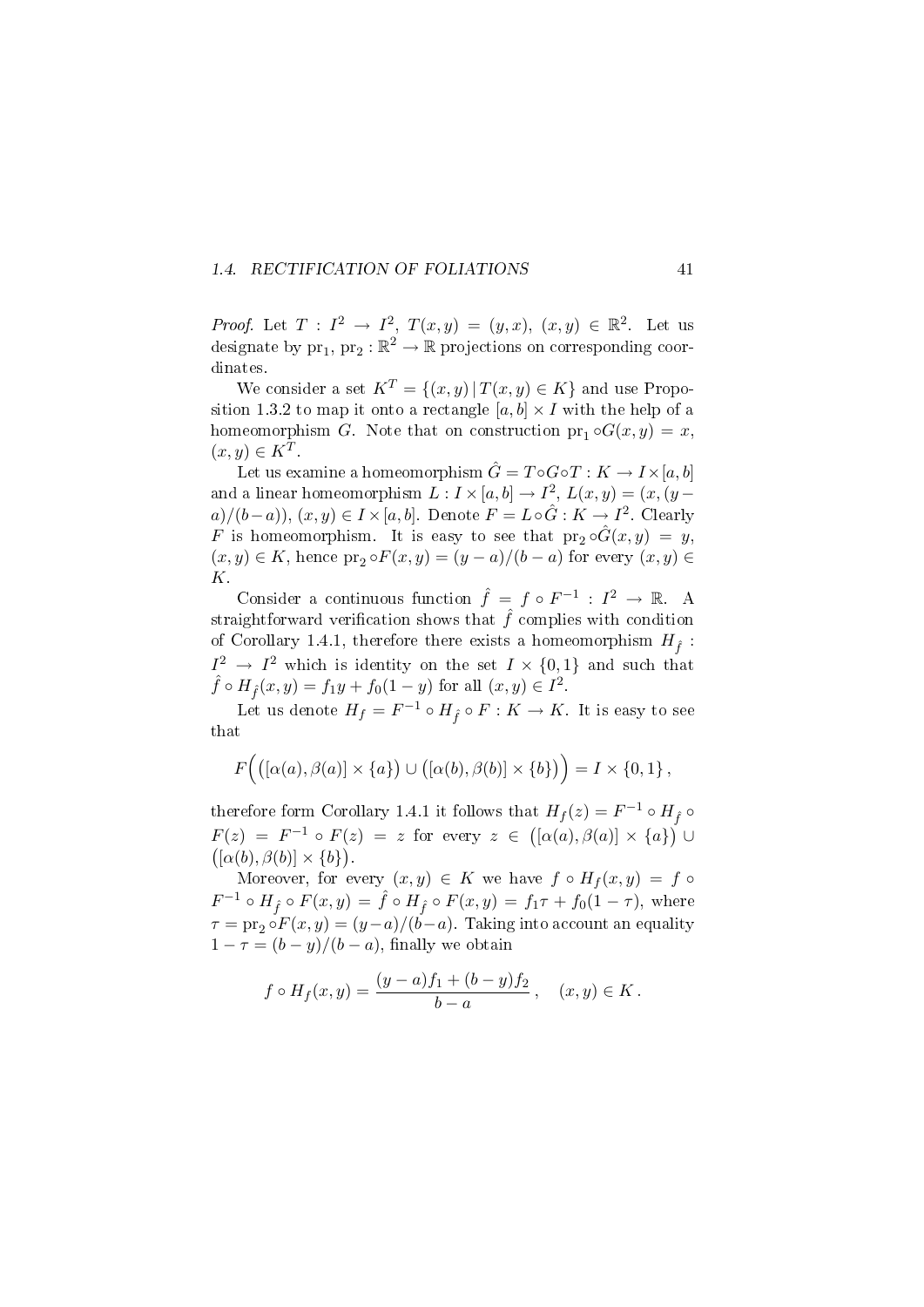### 1.4. RECTIFICATION OF FOLIATIONS 41

*Proof.* Let  $T: I^2 \to I^2$ ,  $T(x,y) = (y,x)$ ,  $(x,y) \in \mathbb{R}^2$ . Let us designate by  $\text{pr}_1, \text{pr}_2 : \mathbb{R}^2 \to \mathbb{R}$  projections on corresponding coordinates.

We consider a set  $K^T = \{(x, y) | T(x, y) \in K\}$  and use Proposition 1.3.2 to map it onto a rectangle  $[a, b] \times I$  with the help of a homeomorphism G. Note that on construction  $pr_1 \circ G(x, y) = x$ ,  $(x, y) \in K^T$ .

Let us examine a homeomorphism  $\hat{G} = T \circ G \circ T : K \to I \times [a, b]$ and a linear homeomorphism  $L: I \times [a, b] \rightarrow I^2$ ,  $L(x, y) = (x, (y$  $a)/(b-a)$ ,  $(x, y) \in I \times [a, b]$ . Denote  $F = L \circ \hat{G} : K \to I^2$ . Clearly F is homeomorphism. It is easy to see that  $pr_2 \circ \hat{G}(x, y) = y$ ,  $(x, y) \in K$ , hence  $\text{pr}_2 \circ F(x, y) = (y - a)/(b - a)$  for every  $(x, y) \in$ K.

Consider a continuous function  $\hat{f} = f \circ F^{-1} : I^2 \to \mathbb{R}$ . A straightforward verification shows that  $\hat{f}$  complies with condition of Corollary 1.4.1, therefore there exists a homeomorphism  $H_{\hat{r}}$ :  $I^2 \rightarrow I^2$  which is identity on the set  $I \times \{0,1\}$  and such that  $\hat{f} \circ H_{\hat{f}}(x, y) = f_1 y + f_0 (1 - y)$  for all  $(x, y) \in I^2$ .

Let us denote  $H_f = F^{-1} \circ H_{\hat{f}} \circ F : K \to K$ . It is easy to see that

$$
F\Big(\big([\alpha(a),\beta(a)]\times\{a\}\big)\cup\big([\alpha(b),\beta(b)]\times\{b\}\big)\Big)=I\times\{0,1\}\,
$$

therefore form Corollary 1.4.1 it follows that  $H_f(z) = F^{-1} \circ H_{\hat{f}} \circ$  $F(z) = F^{-1} \circ F(z) = z$  for every  $z \in ([\alpha(a), \beta(a)] \times \{a\})$  $([\alpha(b), \beta(b)] \times \{b\}).$ 

Moreover, for every  $(x, y) \in K$  we have  $f \circ H_f(x, y) = f \circ$  $F^{-1} \circ H_{\hat{f}} \circ F(x, y) = \hat{f} \circ H_{\hat{f}} \circ F(x, y) = f_1 \tau + f_0(1 - \tau),$  where  $\tau = \text{pr}_2 \circ F(x, y) = (y - a)/(b - a)$ . Taking into account an equality  $1 - \tau = (b - y)/(b - a)$ , finally we obtain

$$
f \circ H_f(x, y) = \frac{(y-a)f_1 + (b-y)f_2}{b-a}, \quad (x, y) \in K.
$$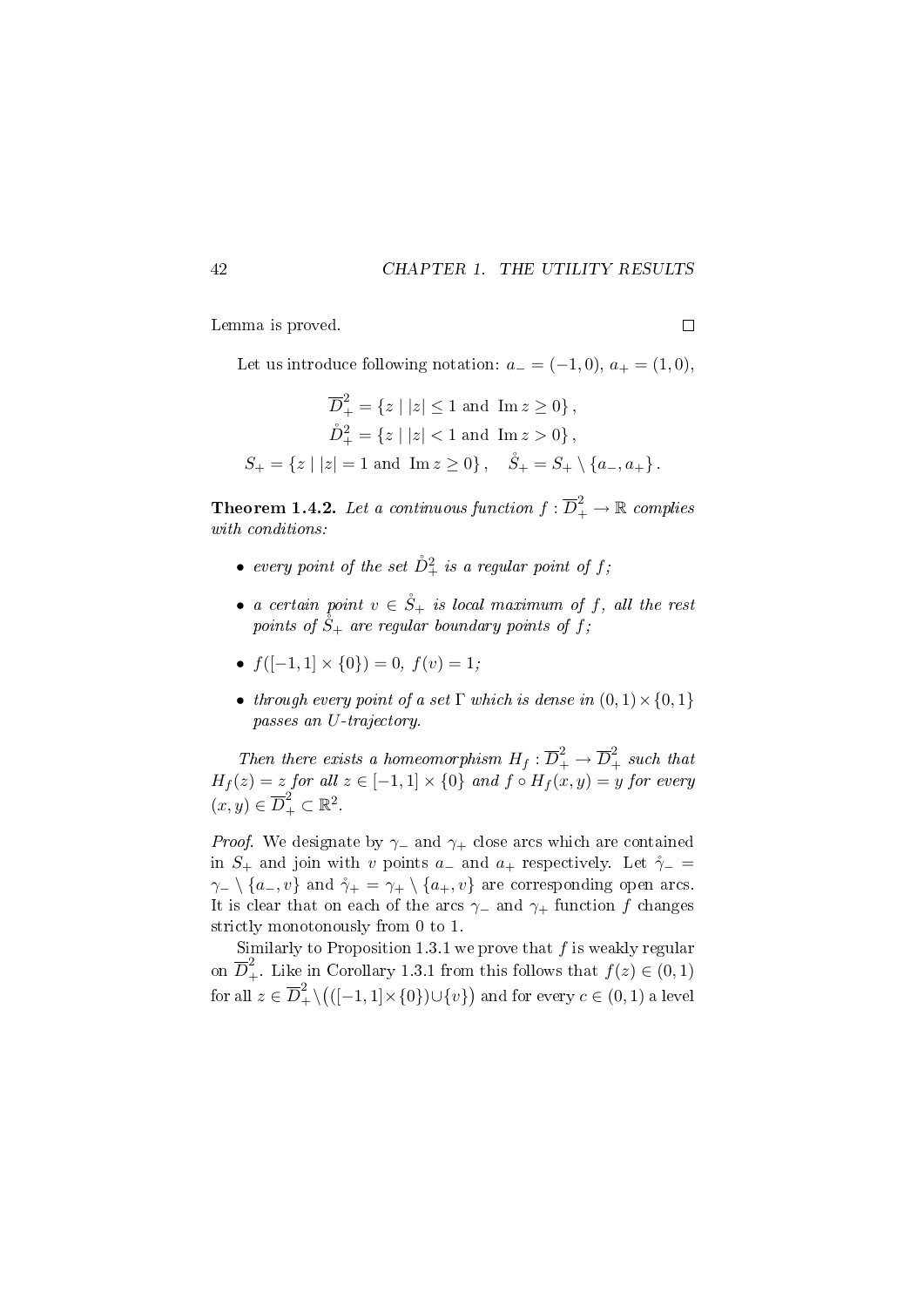Lemma is proved.

Let us introduce following notation:  $a_- = (-1,0), a_+ = (1,0),$ 

$$
\overline{D}_+^2 = \{z \mid |z| \le 1 \text{ and } \text{Im } z \ge 0\},\
$$
  

$$
\mathring{D}_+^2 = \{z \mid |z| < 1 \text{ and } \text{Im } z > 0\},\
$$
  

$$
S_+ = \{z \mid |z| = 1 \text{ and } \text{Im } z \ge 0\}, \quad \mathring{S}_+ = S_+ \setminus \{a_-, a_+\}.
$$

**Theorem 1.4.2.** Let a continuous function  $f: \overline{D}_{+}^{2} \rightarrow \mathbb{R}$  complies with conditions:

- $\bullet\ \ every\ point\ of\ the\ set\ \rD^2_+\ is\ a\ regular\ point\ of\ f;$
- a certain point  $v \in \dot{S}_+$  is local maximum of f, all the rest points of  $\hat{S}_+$  are regular boundary points of f;
- $f([-1, 1] \times \{0\}) = 0, f(v) = 1;$
- through every point of a set  $\Gamma$  which is dense in  $(0,1) \times \{0,1\}$ passes an U-trajectory.

Then there exists a homeomorphism  $H_f : \overline{D}_+^2 \to \overline{D}_+^2$  such that  $H_f(z) = z$  for all  $z \in [-1,1] \times \{0\}$  and  $f \circ H_f(x,y) = y$  for every  $(x, y) \in \overline{D}_{+}^{2} \subset \mathbb{R}^{2}$ .

*Proof.* We designate by  $\gamma$  and  $\gamma$ + close arcs which are contained in  $S_+$  and join with v points a<sub>-</sub> and a<sub>+</sub> respectively. Let  $\gamma$ <sub>-</sub> =  $\gamma$ - \ {a-, v} and  $\gamma$ + =  $\gamma$ + \ {a+, v} are corresponding open arcs. It is clear that on each of the arcs  $\gamma$  and  $\gamma$ + function f changes strictly monotonously from 0 to 1.

Similarly to Proposition 1.3.1 we prove that  $f$  is weakly regular on  $\overline{D}_+^2$ . Like in Corollary 1.3.1 from this follows that  $f(z) \in (0,1)$ for all  $z\in \overline{D}^2_+\backslash \big(([-1,1]\times\{0\})\cup\{v\}\big)$  and for every  $c\in (0,1)$  a level

 $\Box$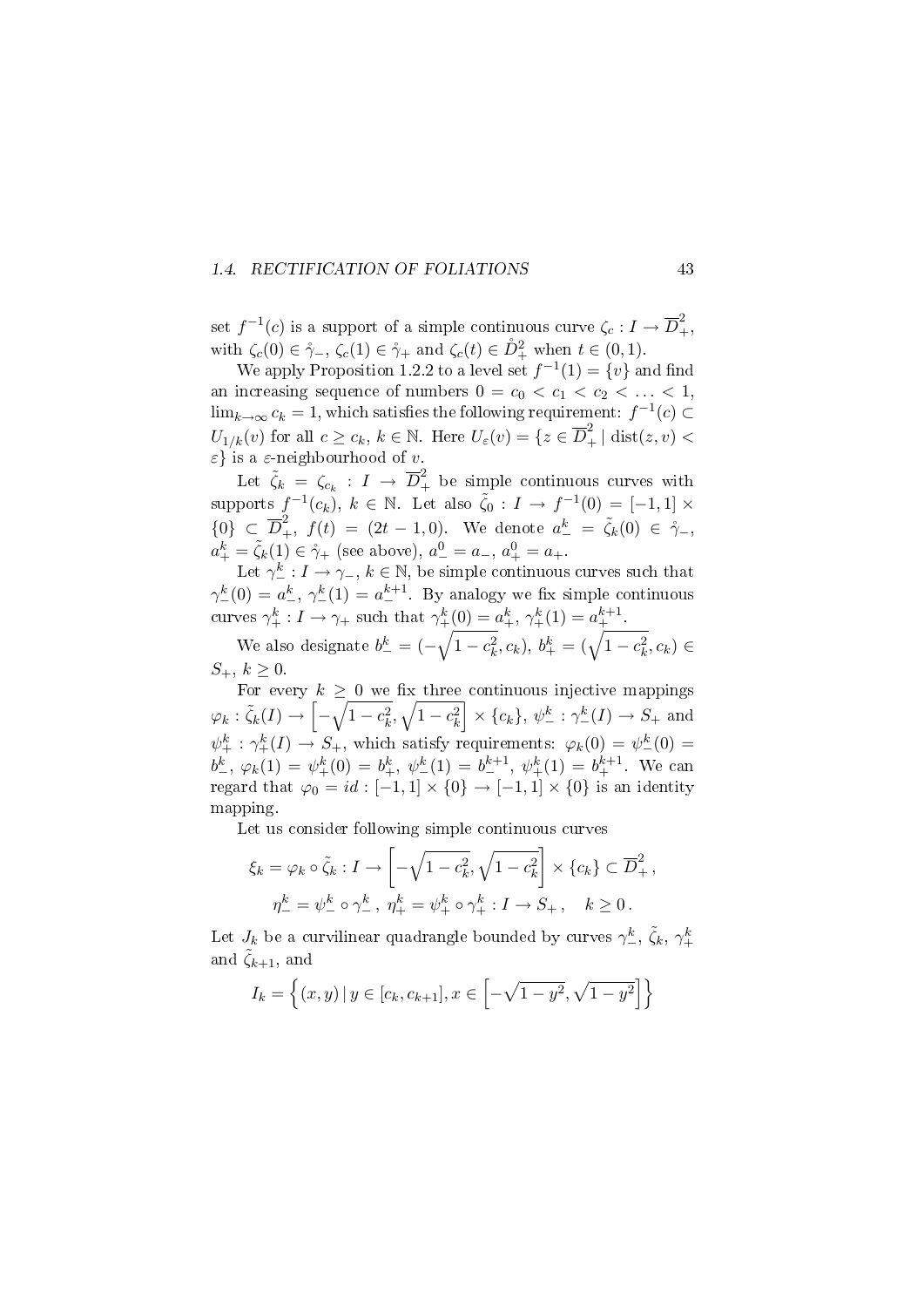#### 1.4. RECTIFICATION OF FOLIATIONS 43

set  $f^{-1}(c)$  is a support of a simple continuous curve  $\zeta_c: I \to \overline{D}_+^2$ , with  $\zeta_c(0) \in \mathring{\gamma}_-, \zeta_c(1) \in \mathring{\gamma}_+$  and  $\zeta_c(t) \in \mathring{D}_+^2$  when  $t \in (0,1)$ .

We apply Proposition 1.2.2 to a level set  $f^{-1}(1) = \{v\}$  and find an increasing sequence of numbers  $0 = c_0 < c_1 < c_2 < \ldots < 1$ ,  $\lim_{k\to\infty} c_k = 1$ , which satisfies the following requirement:  $f^{-1}(c) \subset$  $U_{1/k}(v)$  for all  $c \geq c_k, k \in \mathbb{N}$ . Here  $U_{\varepsilon}(v) = \{z \in \overline{D}_+^2 \mid \text{dist}(z, v) < \overline{\varepsilon}\}$ ε} is a ε-neighbourhood of v.

Let  $\tilde{\zeta}_k = \zeta_{c_k} : I \to \overline{D}_+^2$  be simple continuous curves with supports  $f^{-1}(c_k)$ ,  $k \in \mathbb{N}$ . Let also  $\tilde{\zeta}_0 : I \to f^{-1}(0) = [-1,1] \times$  ${0} \in \overline{D}^2_+$ ,  $f(t) = (2t - 1, 0)$ . We denote  $a_-^k = \tilde{\zeta}_k(0) \in \dot{\gamma}_-,$  $a_+^k = \tilde{\zeta}_k(1) \in \mathring{\gamma}_+$  (see above),  $a_-^0 = a_-, a_+^0 = a_+$ .

Let  $\gamma^k_- : I \to \gamma_-, k \in \mathbb{N}$ , be simple continuous curves such that  $\gamma_{-}^{k}(0) = a_{-}^{k}, \gamma_{-}^{k}(1) = a_{-}^{k+1}$ . By analogy we fix simple continuous curves  $\gamma^k_+ : I \to \gamma_+$  such that  $\gamma^k_+(0) = a^k_+, \gamma^k_+(1) = a^{k+1}_+$ .

We also designate  $b_{-}^{k} = (-\sqrt{1-c_{k}^{2}}, c_{k}), b_{+}^{k} = (\sqrt{1-c_{k}^{2}}, c_{k}) \in$  $S_+, k \ge 0$ 

For every  $k \geq 0$  we fix three continuous injective mappings  $\varphi_k : \tilde{\zeta}_k(I) \to \left[ -\sqrt{1-c_k^2}, \sqrt{1-c_k^2} \right] \times \{c_k\}, \psi_{-}^k : \gamma_{-}^k(I) \to S_+ \text{ and }$  $\psi_+^k : \gamma_+^k(I) \to S_+$ , which satisfy requirements:  $\varphi_k(0) = \psi_-^k(0) =$  $b^k_-, \varphi_k(1) = \psi^k_+(0) = b^k_+, \psi^k_-(1) = b^{k+1}_-, \psi^k_+(1) = b^{k+1}_+$ . We can regard that  $\varphi_0 = id : [-1,1] \times \{0\} \to [-1,1] \times \{0\}$  is an identity mapping.

Let us consider following simple continuous curves

$$
\xi_k = \varphi_k \circ \tilde{\zeta}_k : I \to \left[ -\sqrt{1 - c_k^2}, \sqrt{1 - c_k^2} \right] \times \{c_k\} \subset \overline{D}_+^2,
$$
  

$$
\eta_-^k = \psi_-^k \circ \gamma_-^k, \ \eta_+^k = \psi_+^k \circ \gamma_+^k : I \to S_+, \quad k \ge 0.
$$

Let  $J_k$  be a curvilinear quadrangle bounded by curves  $\gamma_{-}^k$ ,  $\tilde{\zeta}_k$ ,  $\gamma_{+}^k$ and  $\tilde{\zeta}_{k+1}$ , and

$$
I_k = \left\{ (x, y) \, | \, y \in [c_k, c_{k+1}], x \in \left[ -\sqrt{1 - y^2}, \sqrt{1 - y^2} \right] \right\}
$$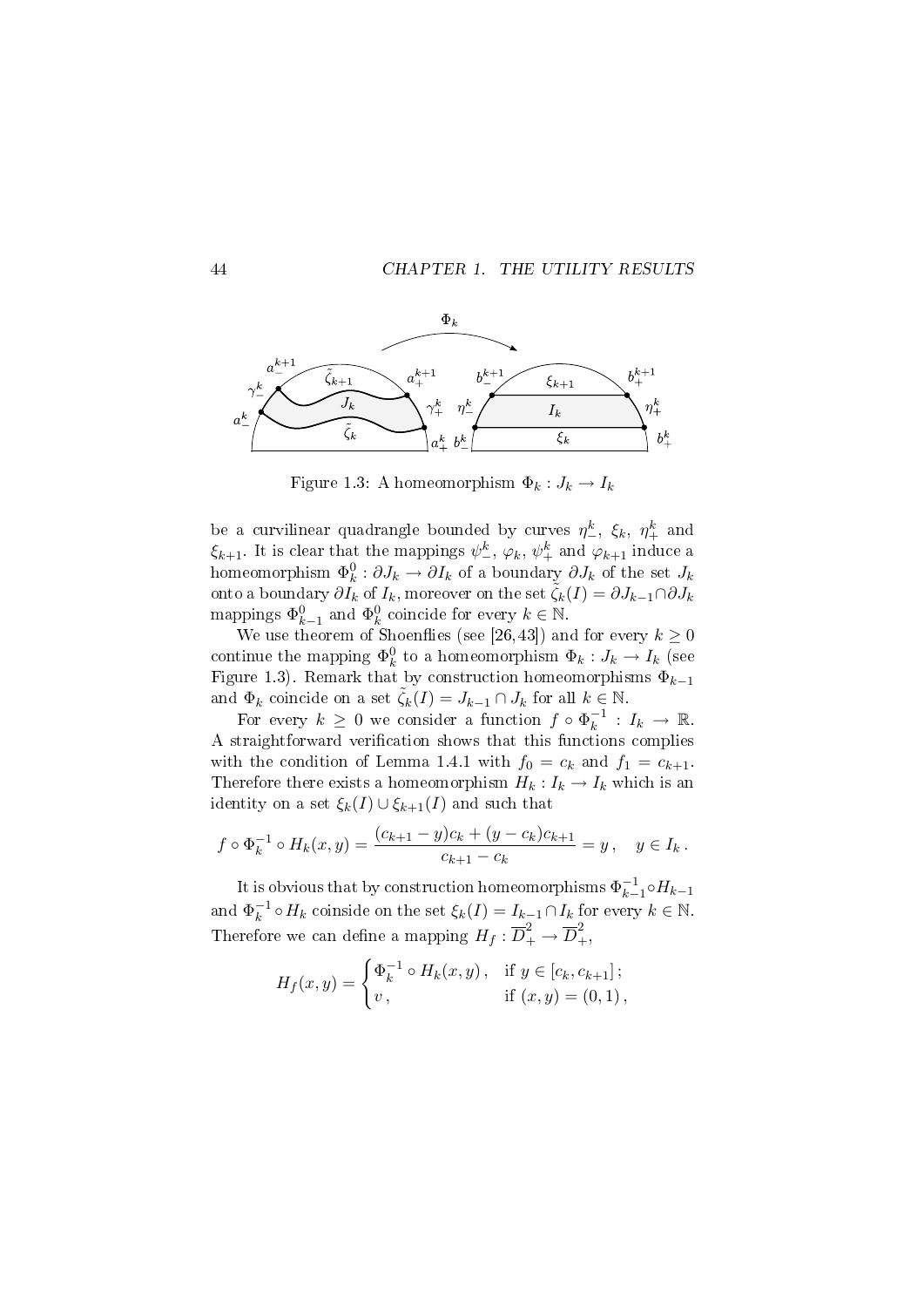



Figure 1.3: A homeomorphism  $\Phi_k : J_k \to I_k$ 

be a curvilinear quadrangle bounded by curves  $\eta^k_-, \xi_k, \eta^k_+$  and  $\xi_{k+1}$ . It is clear that the mappings  $\psi^k_-, \varphi_k, \psi^k_+$  and  $\varphi_{k+1}$  induce a homeomorphism  $\Phi_k^0: \partial J_k \to \partial I_k$  of a boundary  $\partial J_k$  of the set  $J_k$ onto a boundary  $\partial I_k$  of  $I_k$ , moreover on the set  $\tilde{\zeta}_k(I)=\partial J_{k-1}\cap \partial J_k$ mappings  $\Phi_{k-1}^0$  and  $\Phi_k^0$  coincide for every  $k \in \mathbb{N}$ .

We use theorem of Shoenflies (see [26,43]) and for every  $k \geq 0$ continue the mapping  $\Phi_k^0$  to a homeomorphism  $\Phi_k: J_k \to I_k$  (see Figure 1.3). Remark that by construction homeomorphisms  $\Phi_{k-1}$ and  $\Phi_k$  coincide on a set  $\zeta_k(I) = J_{k-1} \cap J_k$  for all  $k \in \mathbb{N}$ .

For every  $k \geq 0$  we consider a function  $f \circ \Phi_k^{-1}$  $I_k^{-1}$  :  $I_k \rightarrow \mathbb{R}$ . A straightforward verification shows that this functions complies with the condition of Lemma 1.4.1 with  $f_0 = c_k$  and  $f_1 = c_{k+1}$ . Therefore there exists a homeomorphism  $H_k: I_k \to I_k$  which is an identity on a set  $\xi_k(I) \cup \xi_{k+1}(I)$  and such that

$$
f \circ \Phi_k^{-1} \circ H_k(x, y) = \frac{(c_{k+1} - y)c_k + (y - c_k)c_{k+1}}{c_{k+1} - c_k} = y, \quad y \in I_k.
$$

It is obvious that by construction homeomorphisms  $\Phi_{k-1}^{-1}$  $\overline{k-1}$ ∘ $H_{k-1}$ and  $\Phi_k^{-1}$  $\zeta_k^{-1} \circ H_k$  coinside on the set  $\xi_k(I) = I_{k-1} \cap I_k$  for every  $k \in \mathbb{N}$ . Therefore we can define a mapping  $H_f: \overline{D}_+^2 \rightarrow \overline{D}_+^2,$ 

$$
H_f(x,y) = \begin{cases} \Phi_k^{-1} \circ H_k(x,y), & \text{if } y \in [c_k, c_{k+1}]; \\ v, & \text{if } (x,y) = (0,1), \end{cases}
$$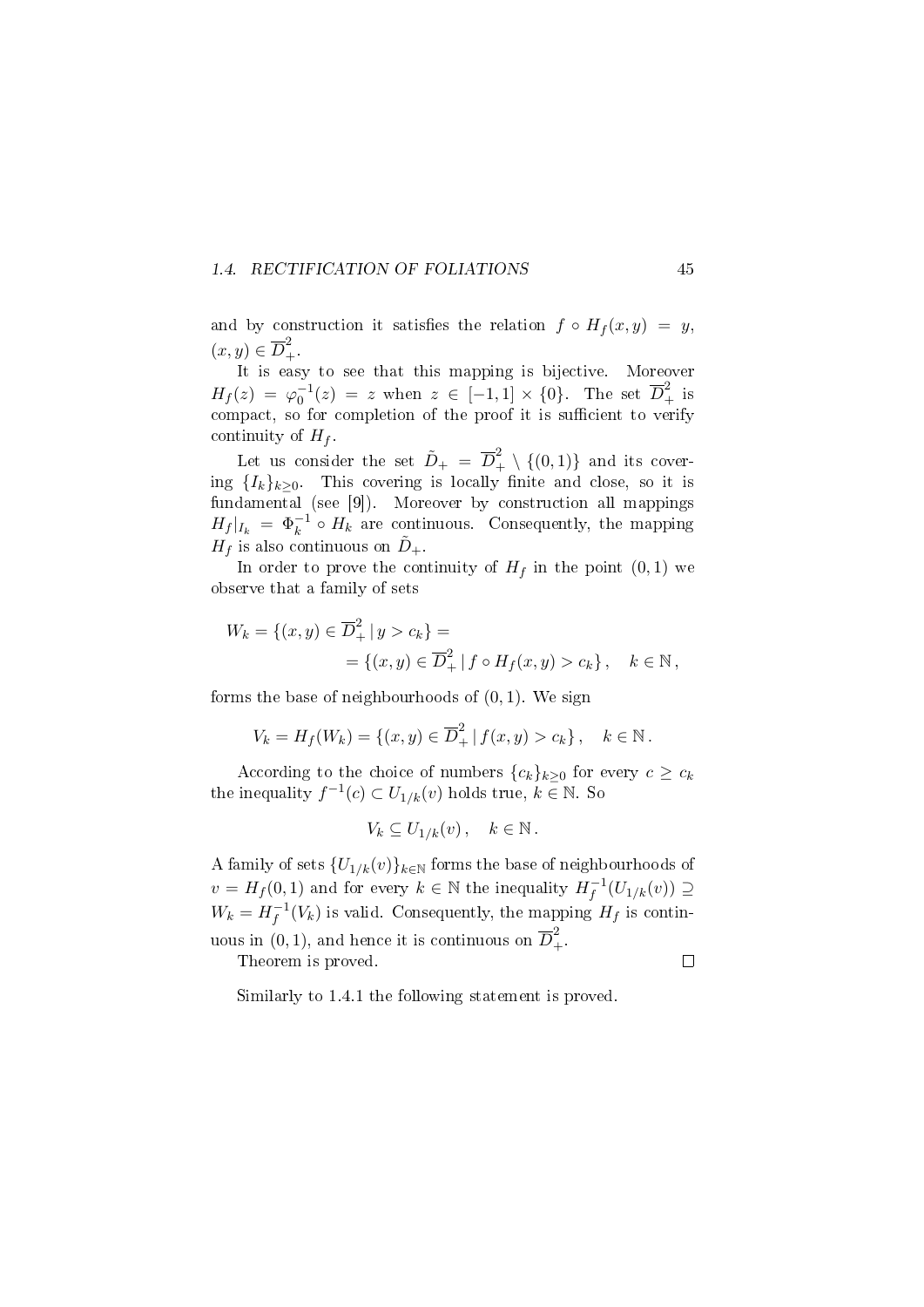### 1.4. RECTIFICATION OF FOLIATIONS 45

and by construction it satisfies the relation  $f \circ H_f(x, y) = y$ ,  $(x, y) \in \overline{D}_{+}^{2}$ 

It is easy to see that this mapping is bijective. Moreover  $H_f(z) = \varphi_0^{-1}(z) = z$  when  $z \in [-1,1] \times \{0\}$ . The set  $\overline{D}_+^2$  is compact, so for completion of the proof it is sufficient to verify continuity of  $H_f$ .

Let us consider the set  $\tilde{D}_{+} = \overline{D}_{+}^{2} \setminus \{(0,1)\}$  and its covering  ${I_k}_{k>0}$ . This covering is locally finite and close, so it is fundamental (see [9]). Moreover by construction all mappings  $H_f |_{I_k} = \Phi_k^{-1} \circ H_k$  are continuous. Consequently, the mapping  $H_f$  is also continuous on  $\tilde{D}_+$ .

In order to prove the continuity of  $H_f$  in the point  $(0, 1)$  we observe that a family of sets

$$
W_k = \{(x, y) \in \overline{D}_+^2 | y > c_k\} =
$$
  
=  $\{(x, y) \in \overline{D}_+^2 | f \circ H_f(x, y) > c_k\}, \quad k \in \mathbb{N},$ 

forms the base of neighbourhoods of  $(0, 1)$ . We sign

$$
V_k = H_f(W_k) = \{(x, y) \in \overline{D}_+^2 | f(x, y) > c_k \}, \quad k \in \mathbb{N}.
$$

According to the choice of numbers  ${c_k}_{k\geq 0}$  for every  $c \geq c_k$ the inequality  $f^{-1}(c) \subset U_{1/k}(v)$  holds true,  $k \in \mathbb{N}$ . So

$$
V_k \subseteq U_{1/k}(v) \,, \quad k \in \mathbb{N} \,.
$$

A family of sets  ${U_{1/k}(v)}_{k \in \mathbb{N}}$  forms the base of neighbourhoods of  $v = H_f(0, 1)$  and for every  $k \in \mathbb{N}$  the inequality  $H_f^{-1}$  $\overline{f}^{\perp}(U_{1/k}(v)) \supseteq$  $W_k = H_f^{-1}$  $f_f^{-1}(V_k)$  is valid. Consequently, the mapping  $H_f$  is continuous in  $(0, 1)$ , and hence it is continuous on  $\overline{D}^2_+$ .

Theorem is proved.

 $\Box$ 

Similarly to 1.4.1 the following statement is proved.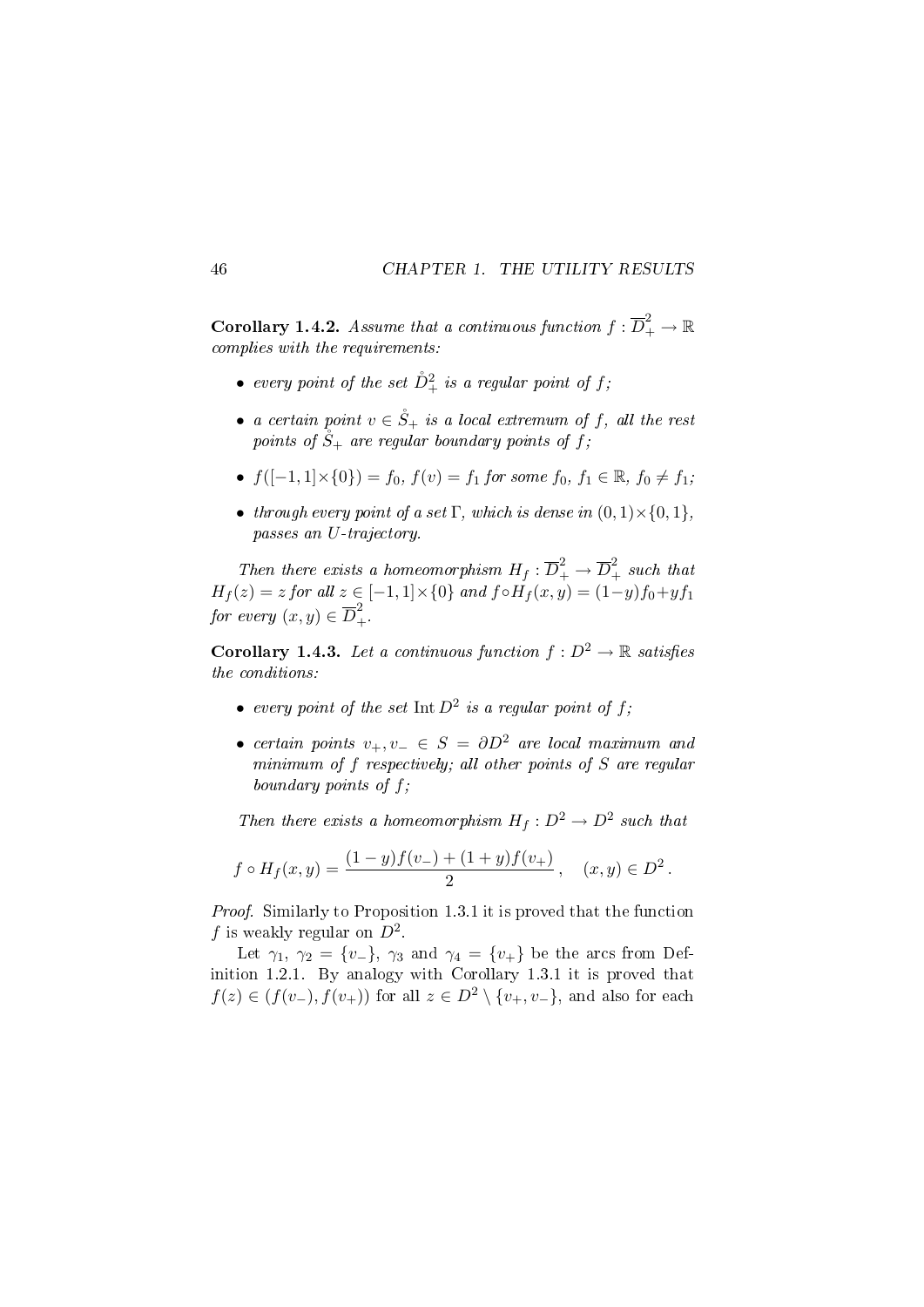**Corollary 1.4.2.** Assume that a continuous function  $f: \overline{D}_+^2 \to \mathbb{R}$ complies with the requirements:

- $\bullet\ \ every\ point\ of\ the\ set\ \rD^2_+\ is\ a\ regular\ point\ of\ f;$
- a certain point  $v \in \mathring{S}_+$  is a local extremum of f, all the rest points of  $\mathring{S}_+$  are regular boundary points of f;
- $f([-1, 1] \times \{0\}) = f_0, f(v) = f_1$  for some  $f_0, f_1 \in \mathbb{R}, f_0 \neq f_1$ ;
- through every point of a set  $\Gamma$ , which is dense in  $(0, 1) \times \{0, 1\}$ , passes an U-trajectory.

Then there exists a homeomorphism  $H_f : \overline{D}_+^2 \to \overline{D}_+^2$  such that  $H_f(z) = z$  for all  $z \in [-1,1] \times \{0\}$  and  $f \circ H_f(x,y) = (1-y)f_0 + yf_1$ for every  $(x, y) \in \overline{D}^2_+$ .

**Corollary 1.4.3.** Let a continuous function  $f : D^2 \to \mathbb{R}$  satisfies the conditions:

- every point of the set  $\text{Int } D^2$  is a regular point of f;
- certain points  $v_+, v_- \in S = \partial D^2$  are local maximum and minimum of f respectively; all other points of S are regular boundary points of f;

Then there exists a homeomorphism  $H_f: D^2 \to D^2$  such that

$$
f \circ H_f(x, y) = \frac{(1-y)f(v_{-}) + (1+y)f(v_{+})}{2}
$$
,  $(x, y) \in D^2$ .

Proof. Similarly to Proposition 1.3.1 it is proved that the function f is weakly regular on  $D^2$ .

Let  $\gamma_1$ ,  $\gamma_2 = \{v_-\}$ ,  $\gamma_3$  and  $\gamma_4 = \{v_+\}$  be the arcs from Definition 1.2.1. By analogy with Corollary 1.3.1 it is proved that  $f(z) \in (f(v_-), f(v_+))$  for all  $z \in D^2 \setminus \{v_+, v_-\}$ , and also for each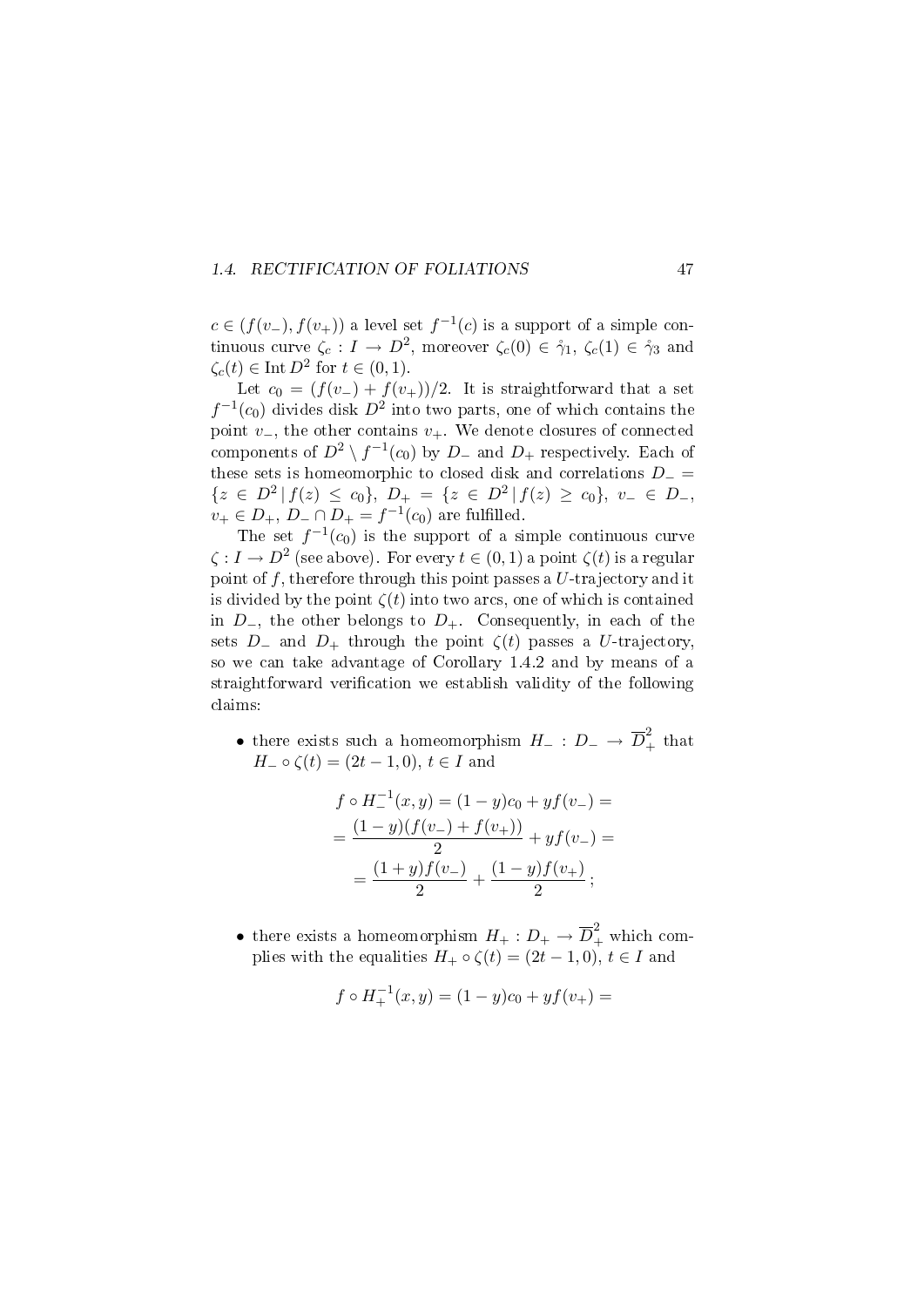### 1.4. RECTIFICATION OF FOLIATIONS 47

 $c \in (f(v_-), f(v_+))$  a level set  $f^{-1}(c)$  is a support of a simple continuous curve  $\zeta_c: I \to D^2$ , moreover  $\zeta_c(0) \in \gamma_1$ ,  $\zeta_c(1) \in \gamma_3$  and  $\zeta_c(t) \in \text{Int } D^2 \text{ for } t \in (0,1).$ 

Let  $c_0 = (f(v_-) + f(v_+))/2$ . It is straightforward that a set  $f^{-1}(c_0)$  divides disk  $D^2$  into two parts, one of which contains the point  $v_-,$  the other contains  $v_+$ . We denote closures of connected components of  $D^2 \setminus f^{-1}(c_0)$  by  $D_-$  and  $D_+$  respectively. Each of these sets is homeomorphic to closed disk and correlations  $D_$  =  ${z \in D^2 | f(z) \leq c_0}, D_+ = {z \in D^2 | f(z) \geq c_0}, v_- \in D_-,$  $v_+ \in D_+, D_- \cap D_+ = f^{-1}(c_0)$  are fulfilled.

The set  $f^{-1}(c_0)$  is the support of a simple continuous curve  $\zeta : I \to D^2$  (see above). For every  $t \in (0,1)$  a point  $\zeta(t)$  is a regular point of  $f$ , therefore through this point passes a  $U$ -trajectory and it is divided by the point  $\zeta(t)$  into two arcs, one of which is contained in  $D_-,$  the other belongs to  $D_+$ . Consequently, in each of the sets  $D_-\$  and  $D_+$  through the point  $\zeta(t)$  passes a U-trajectory. so we can take advantage of Corollary 1.4.2 and by means of a straightforward verification we establish validity of the following claims:

• there exists such a homeomorphism  $H_-: D_- \to \overline{D}_+^2$  that  $H_-\circ \zeta(t) = (2t - 1, 0), t \in I$  and

$$
f \circ H_-(x, y) = (1 - y)c_0 + yf(v_-) =
$$
  
= 
$$
\frac{(1 - y)(f(v_-) + f(v_+))}{2} + yf(v_-) =
$$
  
= 
$$
\frac{(1 + y)f(v_-)}{2} + \frac{(1 - y)f(v_+)}{2};
$$

• there exists a homeomorphism  $H_+ : D_+ \to \overline{D}_+^2$  which complies with the equalities  $H_+ \circ \zeta(t) = (2t - 1, 0), t \in I$  and

$$
f \circ H_+^{-1}(x, y) = (1 - y)c_0 + yf(v_+) =
$$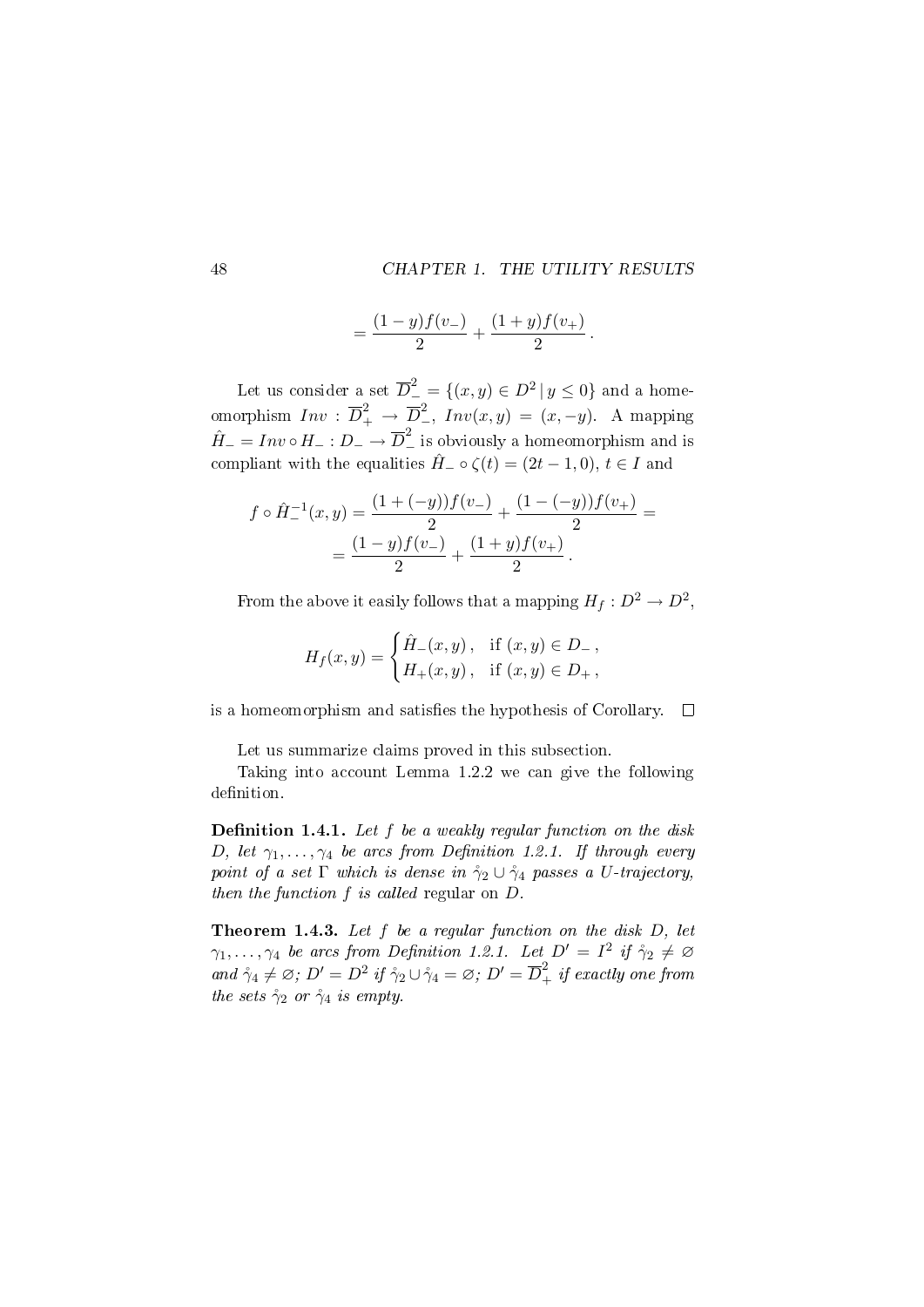$$
=\frac{(1-y)f(v_-)}{2}+\frac{(1+y)f(v_+)}{2}.
$$

Let us consider a set  $\overline{D}^2_-=\{(x,y)\in D^2\,|\,y\leq 0\}$  and a homeomorphism  $Inv : \overline{D}_+^2 \to \overline{D}_-^2$ ,  $Inv(x, y) = (x, -y)$ . A mapping  $\hat{H} = Inv \circ H_{-} : D_{-} \rightarrow \overline{D}_{-}^{2}$  is obviously a homeomorphism and is compliant with the equalities  $\hat{H}_-\circ \zeta(t)=(2t-1,0), t\in I$  and

$$
f \circ \hat{H}_-^{-1}(x, y) = \frac{(1 + (-y))f(v_-)}{2} + \frac{(1 - (-y))f(v_+)}{2} =
$$
  
= 
$$
\frac{(1 - y)f(v_-)}{2} + \frac{(1 + y)f(v_+)}{2}.
$$

From the above it easily follows that a mapping  $H_f: D^2 \to D^2,$ 

$$
H_f(x,y) = \begin{cases} \hat{H}_{-}(x,y), & \text{if } (x,y) \in D_{-} \\ H_{+}(x,y), & \text{if } (x,y) \in D_{+}, \end{cases}
$$

is a homeomorphism and satisfies the hypothesis of Corollary.  $\square$ 

Let us summarize claims proved in this subsection.

Taking into account Lemma 1.2.2 we can give the following definition.

**Definition 1.4.1.** Let  $f$  be a weakly regular function on the disk D, let  $\gamma_1, \ldots, \gamma_4$  be arcs from Definition 1.2.1. If through every point of a set  $\Gamma$  which is dense in  $\gamma_2 \cup \gamma_4$  passes a U-trajectory, then the function f is called regular on D.

**Theorem 1.4.3.** Let  $f$  be a regular function on the disk  $D$ , let  $\gamma_1, \ldots, \gamma_4$  be arcs from Definition 1.2.1. Let  $D' = I^2$  if  $\gamma_2 \neq \emptyset$ and  $\mathring{\gamma}_4 \neq \varnothing$ ;  $D' = D^2$  if  $\mathring{\gamma}_2 \cup \mathring{\gamma}_4 = \varnothing$ ;  $D' = \overline{D}_+^2$  if exactly one from the sets  $\gamma_2$  or  $\gamma_4$  is empty.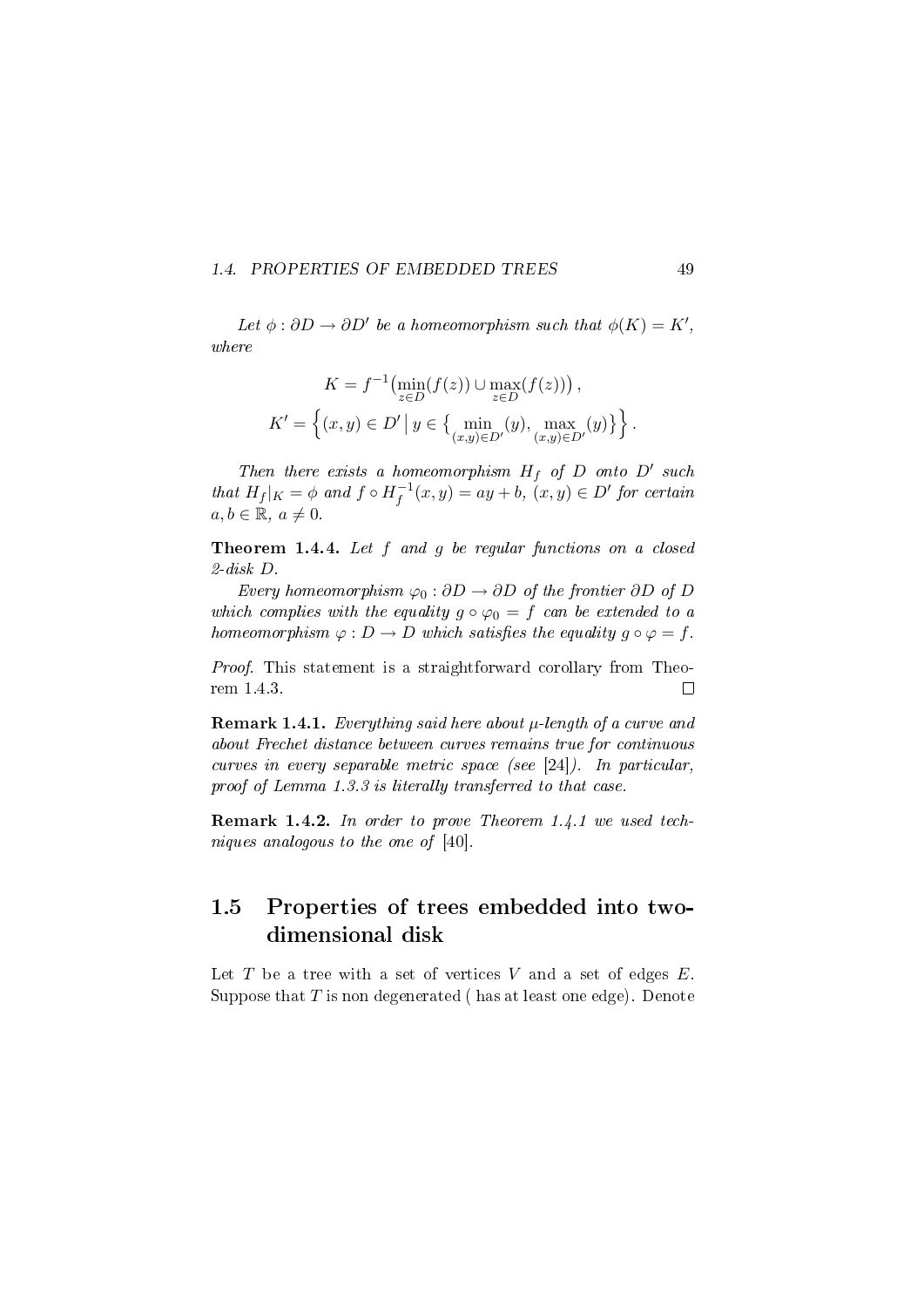#### 1.4. PROPERTIES OF EMBEDDED TREES 49

Let  $\phi : \partial D \to \partial D'$  be a homeomorphism such that  $\phi(K) = K'$ , where

$$
K = f^{-1}(\min_{z \in D} (f(z)) \cup \max_{z \in D} (f(z))) ,
$$
  

$$
K' = \left\{ (x, y) \in D' \, \middle| \, y \in \{ \min_{(x, y) \in D'} (y), \max_{(x, y) \in D'} (y) \} \right\}.
$$

Then there exists a homeomorphism  $H_f$  of D onto D' such that  $H_f|_K = \phi$  and  $f \circ H_f^{-1}$  $f_f^{-1}(x, y) = ay + b, (x, y) \in D'$  for certain  $a, b \in \mathbb{R}, a \neq 0.$ 

Theorem 1.4.4. Let f and g be regular functions on a closed 2-disk D.

Every homeomorphism  $\varphi_0 : \partial D \to \partial D$  of the frontier  $\partial D$  of D which complies with the equality  $g \circ \varphi_0 = f$  can be extended to a homeomorphism  $\varphi : D \to D$  which satisfies the equality  $g \circ \varphi = f$ .

Proof. This statement is a straightforward corollary from Theorem 1.4.3.  $\Box$ 

**Remark 1.4.1.** Everything said here about  $\mu$ -length of a curve and about Frechet distance between curves remains true for continuous curves in every separable metric space (see [24]). In particular, proof of Lemma 1.3.3 is literally transferred to that case.

Remark 1.4.2. In order to prove Theorem 1.4.1 we used techniques analogous to the one of [40].

# 1.5 Properties of trees embedded into twodimensional disk

Let  $T$  be a tree with a set of vertices  $V$  and a set of edges  $E$ . Suppose that  $T$  is non degenerated (has at least one edge). Denote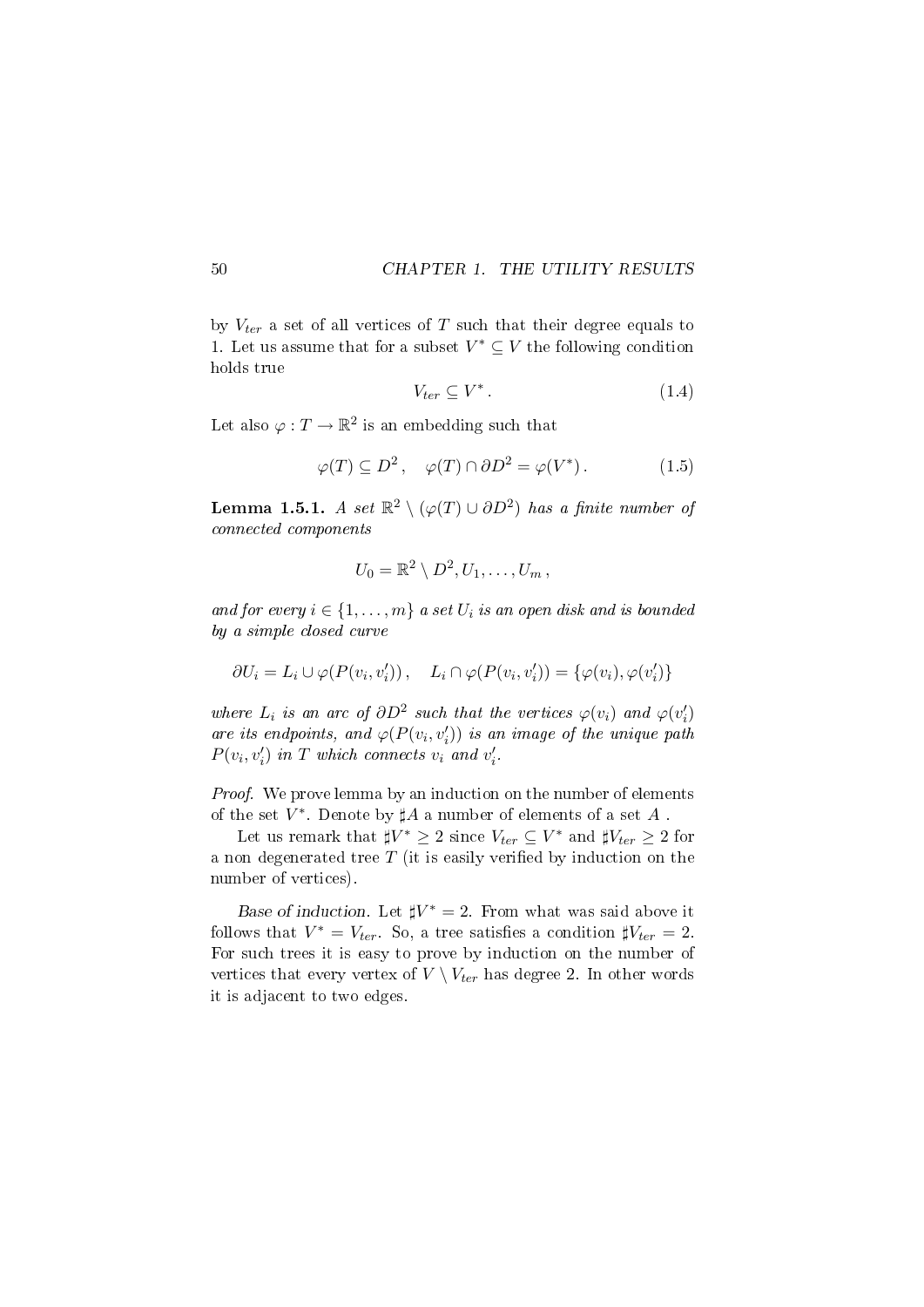by  $V_{ter}$  a set of all vertices of T such that their degree equals to 1. Let us assume that for a subset  $V^* \subseteq V$  the following condition holds true

$$
V_{ter} \subseteq V^* \,. \tag{1.4}
$$

Let also  $\varphi: T \to \mathbb{R}^2$  is an embedding such that

$$
\varphi(T) \subseteq D^2, \quad \varphi(T) \cap \partial D^2 = \varphi(V^*). \tag{1.5}
$$

Lemma 1.5.1. A set  $\mathbb{R}^2 \setminus (\varphi(T) \cup \partial D^2)$  has a finite number of connected components

$$
U_0=\mathbb{R}^2\setminus D^2,U_1,\ldots,U_m\,,
$$

and for every  $i \in \{1, \ldots, m\}$  a set  $U_i$  is an open disk and is bounded by a simple closed curve

$$
\partial U_i = L_i \cup \varphi(P(v_i, v'_i)), \quad L_i \cap \varphi(P(v_i, v'_i)) = {\varphi(v_i), \varphi(v'_i)}
$$

where  $L_i$  is an arc of  $\partial D^2$  such that the vertices  $\varphi(v_i)$  and  $\varphi(v'_i)$ are its endpoints, and  $\varphi(P(v_i, v'_i))$  is an image of the unique path  $P(v_i, v'_i)$  in T which connects  $v_i$  and  $v'_i$ .

Proof. We prove lemma by an induction on the number of elements of the set  $V^*$ . Denote by  $\sharp A$  a number of elements of a set  $A$ .

Let us remark that  $\sharp V^* \geq 2$  since  $V_{ter} \subseteq V^*$  and  $\sharp V_{ter} \geq 2$  for a non degenerated tree  $T$  (it is easily verified by induction on the number of vertices).

Base of induction. Let  $\sharp V^* = 2$ . From what was said above it follows that  $V^* = V_{ter}$ . So, a tree satisfies a condition  $\sharp V_{ter} = 2$ . For such trees it is easy to prove by induction on the number of vertices that every vertex of  $V \setminus V_{ter}$  has degree 2. In other words it is adjacent to two edges.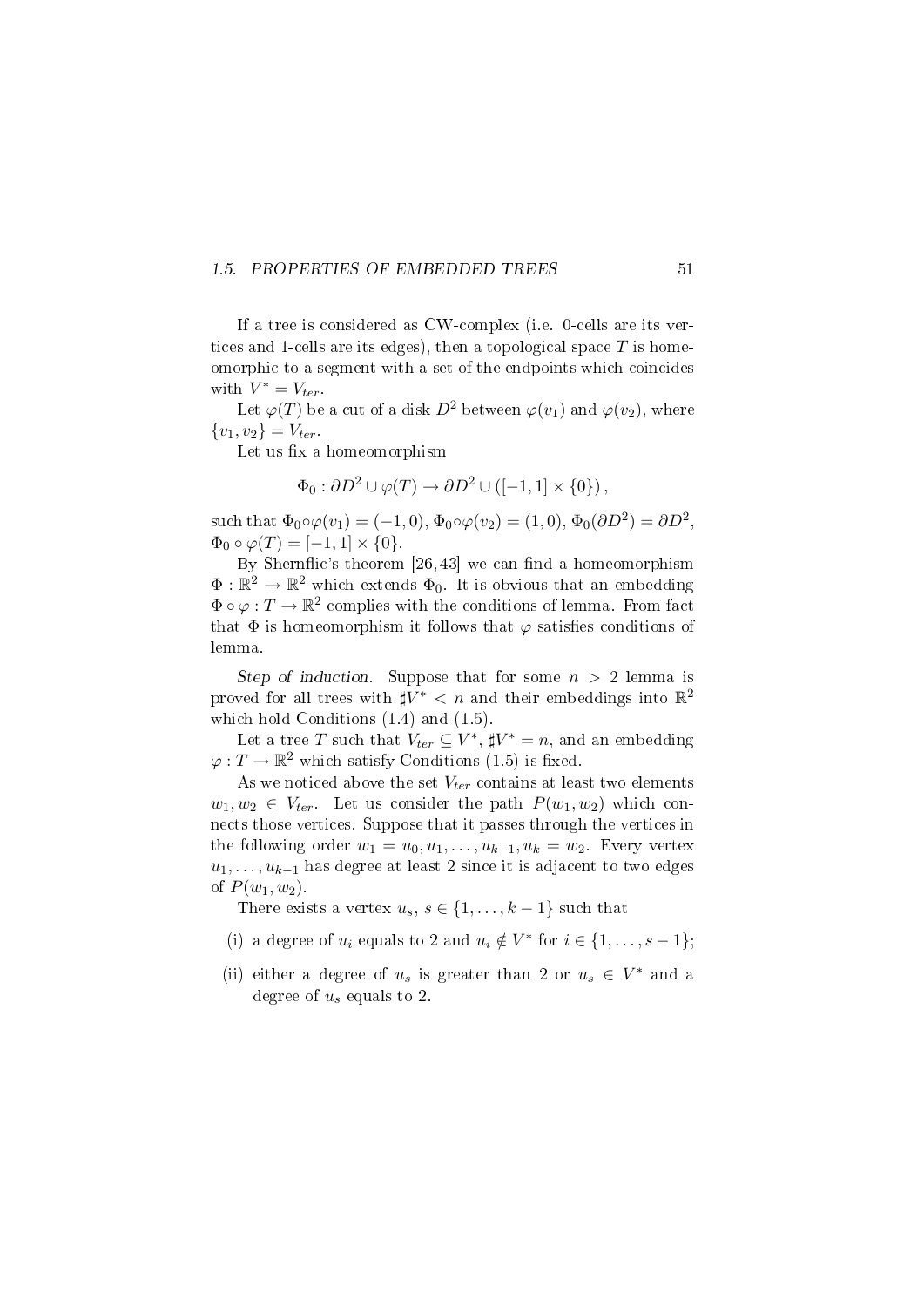#### 1.5. PROPERTIES OF EMBEDDED TREES 51

If a tree is considered as CW-complex (i.e. 0-cells are its vertices and 1-cells are its edges), then a topological space  $T$  is homeomorphic to a segment with a set of the endpoints which coincides with  $V^* = V_{ter}$ .

Let  $\varphi(T)$  be a cut of a disk  $D^2$  between  $\varphi(v_1)$  and  $\varphi(v_2)$ , where  $\{v_1, v_2\} = V_{ter}.$ 

Let us fix a homeomorphism

$$
\Phi_0: \partial D^2 \cup \varphi(T) \to \partial D^2 \cup ([-1,1] \times \{0\}),
$$

such that  $\Phi_0 \circ \varphi(v_1) = (-1,0), \Phi_0 \circ \varphi(v_2) = (1,0), \Phi_0(\partial D^2) = \partial D^2$ ,  $\Phi_0 \circ \varphi(T) = [-1, 1] \times \{0\}.$ 

By Shernflic's theorem  $[26, 43]$  we can find a homeomorphism  $\Phi: \mathbb{R}^2 \to \mathbb{R}^2$  which extends  $\Phi_0$ . It is obvious that an embedding  $\Phi \circ \varphi : T \to \mathbb{R}^2$  complies with the conditions of lemma. From fact that  $\Phi$  is homeomorphism it follows that  $\varphi$  satisfies conditions of lemma.

Step of induction. Suppose that for some  $n > 2$  lemma is proved for all trees with  $\sharp V^* < n$  and their embeddings into  $\mathbb{R}^2$ which hold Conditions  $(1.4)$  and  $(1.5)$ .

Let a tree T such that  $V_{ter} \subseteq V^*$ ,  $\sharp V^* = n$ , and an embedding  $\varphi: T \to \mathbb{R}^2$  which satisfy Conditions (1.5) is fixed.

As we noticed above the set  $V_{ter}$  contains at least two elements  $w_1, w_2 \in V_{ter}$ . Let us consider the path  $P(w_1, w_2)$  which connects those vertices. Suppose that it passes through the vertices in the following order  $w_1 = u_0, u_1, \ldots, u_{k-1}, u_k = w_2$ . Every vertex  $u_1, \ldots, u_{k-1}$  has degree at least 2 since it is adjacent to two edges of  $P(w_1, w_2)$ .

There exists a vertex  $u_s, s \in \{1, \ldots, k-1\}$  such that

- (i) a degree of  $u_i$  equals to 2 and  $u_i \notin V^*$  for  $i \in \{1, \ldots, s-1\}$ ;
- (ii) either a degree of  $u_s$  is greater than 2 or  $u_s \in V^*$  and a degree of  $u_s$  equals to 2.

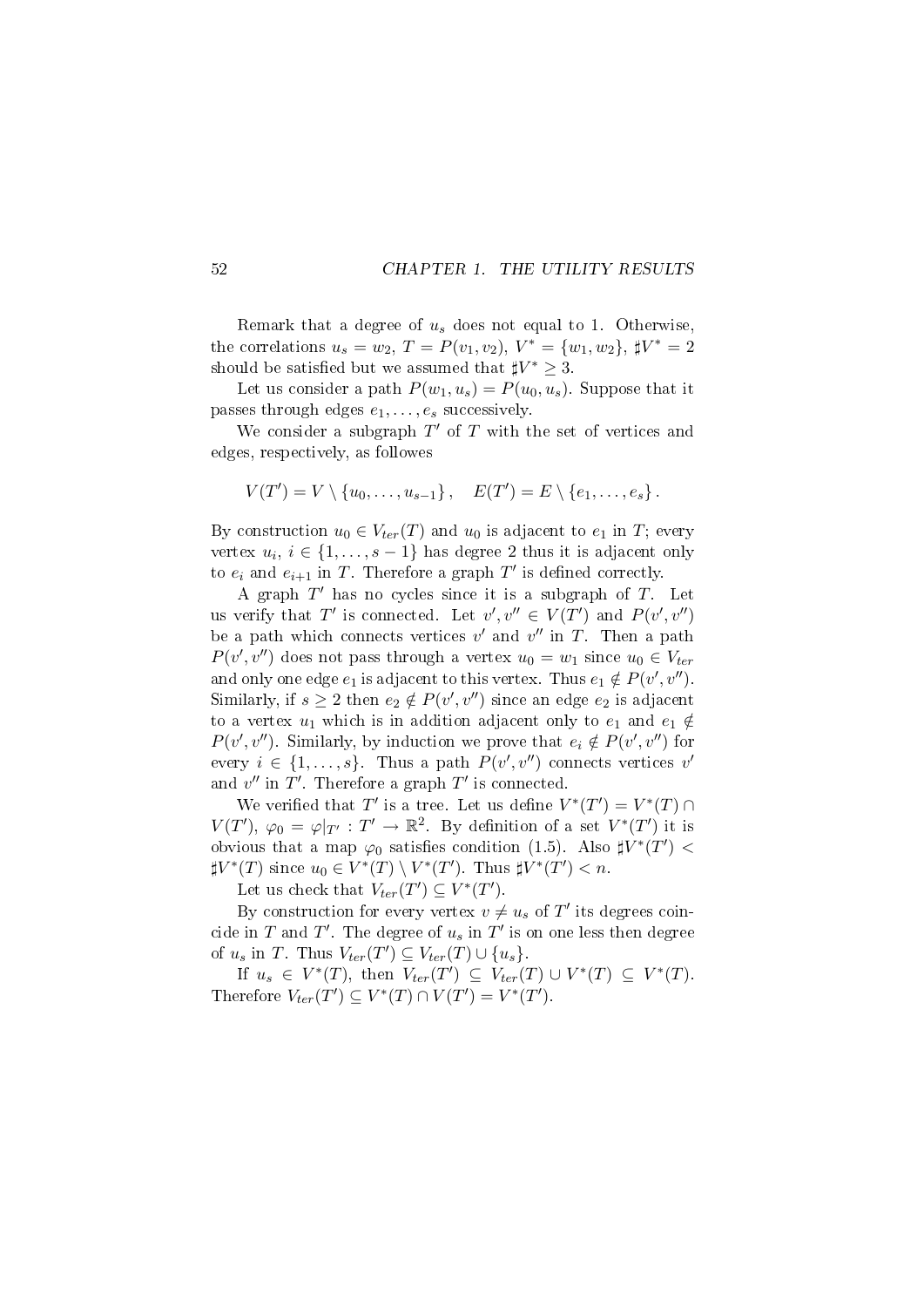Remark that a degree of  $u_s$  does not equal to 1. Otherwise, the correlations  $u_s = w_2$ ,  $T = P(v_1, v_2)$ ,  $V^* = \{w_1, w_2\}$ ,  $\sharp V^* = 2$ should be satisfied but we assumed that  $\sharp V^* \geq 3$ .

Let us consider a path  $P(w_1, u_s) = P(u_0, u_s)$ . Suppose that it passes through edges  $e_1, \ldots, e_s$  successively.

We consider a subgraph  $T'$  of  $T$  with the set of vertices and edges, respectively, as followes

$$
V(T') = V \setminus \{u_0, \ldots, u_{s-1}\}, \quad E(T') = E \setminus \{e_1, \ldots, e_s\}.
$$

By construction  $u_0 \in V_{ter}(T)$  and  $u_0$  is adjacent to  $e_1$  in T; every vertex  $u_i, i \in \{1, \ldots, s-1\}$  has degree 2 thus it is adjacent only to  $e_i$  and  $e_{i+1}$  in T. Therefore a graph  $T'$  is defined correctly.

A graph  $T'$  has no cycles since it is a subgraph of  $T$ . Let us verify that T' is connected. Let  $v', v'' \in V(T')$  and  $P(v', v'')$ be a path which connects vertices  $v'$  and  $v''$  in T. Then a path  $P(v', v'')$  does not pass through a vertex  $u_0 = w_1$  since  $u_0 \in V_{ter}$ and only one edge  $e_1$  is adjacent to this vertex. Thus  $e_1 \notin P(v', v'')$ . Similarly, if  $s \geq 2$  then  $e_2 \notin P(v', v'')$  since an edge  $e_2$  is adjacent to a vertex  $u_1$  which is in addition adjacent only to  $e_1$  and  $e_1 \notin$  $P(v', v'')$ . Similarly, by induction we prove that  $e_i \notin P(v', v'')$  for every  $i \in \{1, \ldots, s\}$ . Thus a path  $P(v', v'')$  connects vertices v and  $v''$  in  $T'$ . Therefore a graph  $T'$  is connected.

We verified that T' is a tree. Let us define  $V^*(T') = V^*(T) \cap$  $V(T')$ ,  $\varphi_0 = \varphi|_{T'} : T' \to \mathbb{R}^2$ . By definition of a set  $V^*(T')$  it is obvious that a map  $\varphi_0$  satisfies condition (1.5). Also  $\sharp V^*(T')$  <  $\sharp V^*(T)$  since  $u_0 \in V^*(T) \setminus V^*(T')$ . Thus  $\sharp V^*(T') < n$ .

Let us check that  $V_{ter}(T') \subseteq V^*(T')$ .

By construction for every vertex  $v \neq u_s$  of T' its degrees coincide in  $T$  and  $T'$ . The degree of  $u_s$  in  $T'$  is on one less then degree of  $u_s$  in T. Thus  $V_{ter}(T') \subseteq V_{ter}(T) \cup \{u_s\}.$ 

If  $u_s \in V^*(T)$ , then  $V_{ter}(T') \subseteq V_{ter}(T) \cup V^*(T) \subseteq V^*(T)$ . Therefore  $V_{ter}(T') \subseteq V^*(T) \cap V(T') = V^*(T')$ .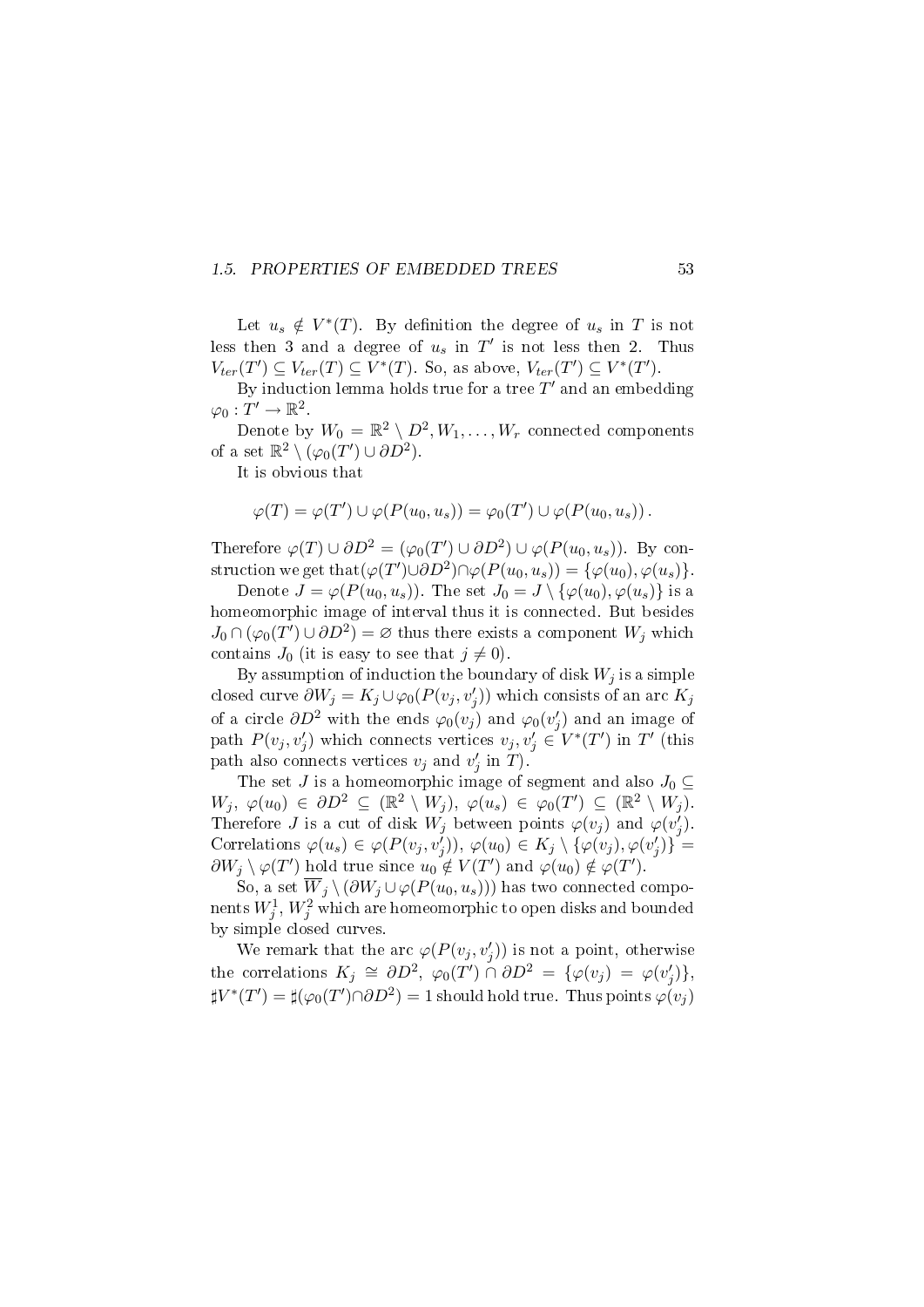### 1.5. PROPERTIES OF EMBEDDED TREES 53

Let  $u_s \notin V^*(T)$ . By definition the degree of  $u_s$  in T is not less then 3 and a degree of  $u_s$  in  $T'$  is not less then 2. Thus  $V_{ter}(T') \subseteq V_{ter}(T) \subseteq V^*(T)$ . So, as above,  $V_{ter}(T') \subseteq V^*(T')$ .

By induction lemma holds true for a tree  $T'$  and an embedding  $\varphi_0: T' \to \mathbb{R}^2$ .

Denote by  $W_0 = \mathbb{R}^2 \setminus D^2, W_1, \ldots, W_r$  connected components of a set  $\mathbb{R}^2 \setminus (\varphi_0(T') \cup \partial D^2)$ .

It is obvious that

$$
\varphi(T) = \varphi(T') \cup \varphi(P(u_0, u_s)) = \varphi_0(T') \cup \varphi(P(u_0, u_s)).
$$

Therefore  $\varphi(T) \cup \partial D^2 = (\varphi_0(T') \cup \partial D^2) \cup \varphi(P(u_0, u_s))$ . By construction we get that  $(\varphi(T') \cup \partial D^2) \cap \varphi(P(u_0, u_s)) = {\varphi(u_0), \varphi(u_s)}$ .

Denote  $J = \varphi(P(u_0, u_s))$ . The set  $J_0 = J \setminus {\varphi(u_0), \varphi(u_s)}$  is a homeomorphic image of interval thus it is connected. But besides  $J_0 \cap (\varphi_0(T') \cup \partial D^2) = \varnothing$  thus there exists a component  $W_j$  which contains  $J_0$  (it is easy to see that  $j \neq 0$ ).

By assumption of induction the boundary of disk  $W_i$  is a simple closed curve  $\partial W_j = K_j \cup \varphi_0(P(v_j, v'_j))$  which consists of an arc  $K_j$ of a circle  $\partial D^2$  with the ends  $\varphi_0(v_j)$  and  $\varphi_0(v_j')$  and an image of path  $P(v_j, v'_j)$  which connects vertices  $v_j, v'_j \in V^*(T')$  in  $T'$  (this path also connects vertices  $v_j$  and  $v'_j$  in T).

The set J is a homeomorphic image of segment and also  $J_0 \subseteq$  $W_j, \varphi(u_0) \in \partial D^2 \subseteq (\mathbb{R}^2 \setminus W_j), \varphi(u_s) \in \varphi_0(T') \subseteq (\mathbb{R}^2 \setminus W_j).$ Therefore *J* is a cut of disk  $W_j$  between points  $\varphi(v_j)$  and  $\varphi(v'_j)$ . Correlations  $\varphi(u_s) \in \varphi(P(v_j, v'_j)), \varphi(u_0) \in K_j \setminus {\varphi(v_j), \varphi(v'_j)}^{\checkmark}$  $\partial W_j \setminus \varphi(T')$  hold true since  $u_0 \notin V(T')$  and  $\varphi(u_0) \notin \varphi(T')$ .

So, a set  $\overline{W}_j \setminus (\partial W_j \cup \varphi(P(u_0, u_s)))$  has two connected components  $W^1_j, W^2_j$  which are homeomorphic to open disks and bounded by simple closed curves.

We remark that the arc  $\varphi(P(v_j, v'_j))$  is not a point, otherwise the correlations  $K_j \cong \partial D^2$ ,  $\varphi_0(T') \cap \partial D^2 = {\varphi(v_j) = \varphi(v'_j)},$  $\sharp V^{*}(T') = \sharp (\varphi_{0}(T') \cap \partial D^{2}) = 1$  should hold true. Thus points  $\varphi(v_{j})$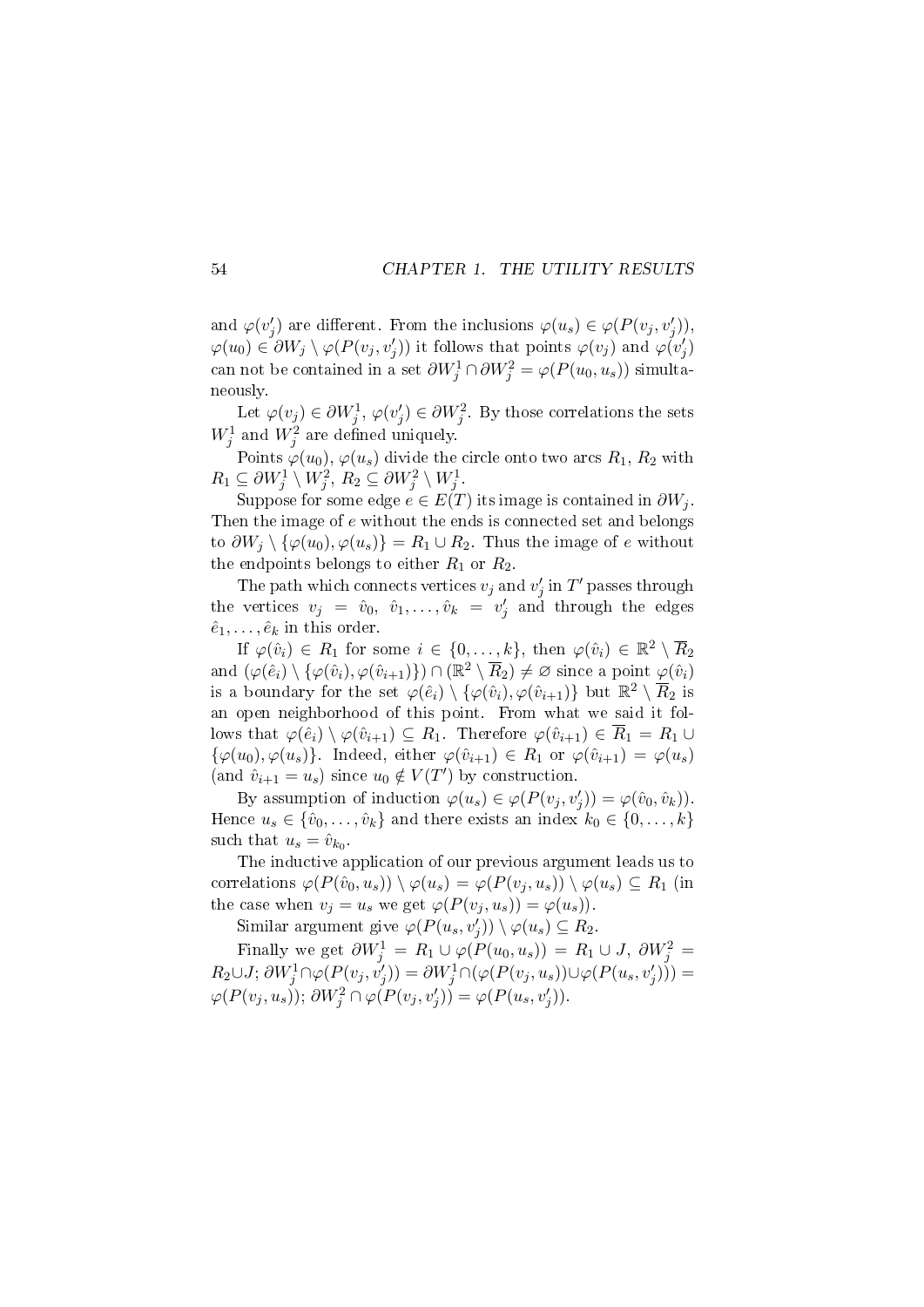and  $\varphi(v'_j)$  are different. From the inclusions  $\varphi(u_s) \in \varphi(P(v_j, v'_j)),$  $\varphi(u_0) \in \partial W_j \setminus \varphi(P(v_j, v'_j))$  it follows that points  $\varphi(v_j)$  and  $\varphi(v'_j)$ can not be contained in a set  $\partial W_j^1 \cap \partial W_j^2 = \varphi(P(u_0, u_s))$  simultaneously.

Let  $\varphi(v_j) \in \partial W_j^1$ ,  $\varphi(v_j') \in \partial W_j^2$ . By those correlations the sets  $W_j^1$  and  $W_j^2$  are defined uniquely.

Points  $\varphi(u_0), \varphi(u_s)$  divide the circle onto two arcs  $R_1, R_2$  with  $R_1 \subseteq \partial W_j^1 \setminus W_j^2, R_2 \subseteq \partial W_j^2 \setminus W_j^1.$ 

Suppose for some edge  $e \in E(T)$  its image is contained in  $\partial W_i$ . Then the image of e without the ends is connected set and belongs to  $\partial W_j \setminus {\varphi(u_0), \varphi(u_s)} = R_1 \cup R_2$ . Thus the image of e without the endpoints belongs to either  $R_1$  or  $R_2$ .

The path which connects vertices  $v_j$  and  $v'_j$  in  $T'$  passes through the vertices  $v_j = \hat{v}_0, \hat{v}_1, \ldots, \hat{v}_k = v'_j$  and through the edges  $\hat{e}_1, \ldots, \hat{e}_k$  in this order.

If  $\varphi(\hat{v}_i) \in R_1$  for some  $i \in \{0, \ldots, k\}$ , then  $\varphi(\hat{v}_i) \in \mathbb{R}^2 \setminus \overline{R}_2$ and  $(\varphi(\hat{e}_i) \setminus {\varphi(\hat{v}_i), \varphi(\hat{v}_{i+1})}) \cap (\mathbb{R}^2 \setminus \overline{R}_2) \neq \varnothing$  since a point  $\varphi(\hat{v}_i)$ is a boundary for the set  $\varphi(\hat{e}_i) \setminus {\varphi(\hat{v}_i), \varphi(\hat{v}_{i+1})}$  but  $\mathbb{R}^2 \setminus \overline{R}_2$  is an open neighborhood of this point. From what we said it follows that  $\varphi(\hat{e}_i) \setminus \varphi(\hat{v}_{i+1}) \subseteq R_1$ . Therefore  $\varphi(\hat{v}_{i+1}) \in \overline{R}_1 = R_1 \cup$  $\{\varphi(u_0), \varphi(u_s)\}.$  Indeed, either  $\varphi(\hat{v}_{i+1}) \in R_1$  or  $\varphi(\hat{v}_{i+1}) = \varphi(u_s)$ (and  $\hat{v}_{i+1} = u_s$ ) since  $u_0 \notin V(T')$  by construction.

By assumption of induction  $\varphi(u_s) \in \varphi(P(v_j, v'_j)) = \varphi(\hat{v}_0, \hat{v}_k)).$ Hence  $u_s \in \{\hat{v}_0, \ldots, \hat{v}_k\}$  and there exists an index  $k_0 \in \{0, \ldots, k\}$ such that  $u_s = \hat{v}_{k_0}$ .

The inductive application of our previous argument leads us to correlations  $\varphi(P(\hat{v}_0, u_s)) \setminus \varphi(u_s) = \varphi(P(v_j, u_s)) \setminus \varphi(u_s) \subseteq R_1$  (in the case when  $v_j = u_s$  we get  $\varphi(P(v_j, u_s)) = \varphi(u_s)$ .

Similar argument give  $\varphi(P(u_s, v'_j)) \setminus \varphi(u_s) \subseteq R_2$ .

Finally we get  $\partial W_j^1 = R_1 \cup \varphi(P(u_0, u_s)) = R_1 \cup J$ ,  $\partial W_j^2 =$  $R_2\cup J; \partial W_j^1\cap \varphi(P(v_j, v_j'))=\partial W_j^1\cap (\varphi(P(v_j, u_s))\cup \varphi(P(u_s, v_j')))=$  $\varphi(P(v_j, u_s))$ ;  $\partial W_j^2 \cap \varphi(P(v_j, v'_j)) = \varphi(P(u_s, v'_j)).$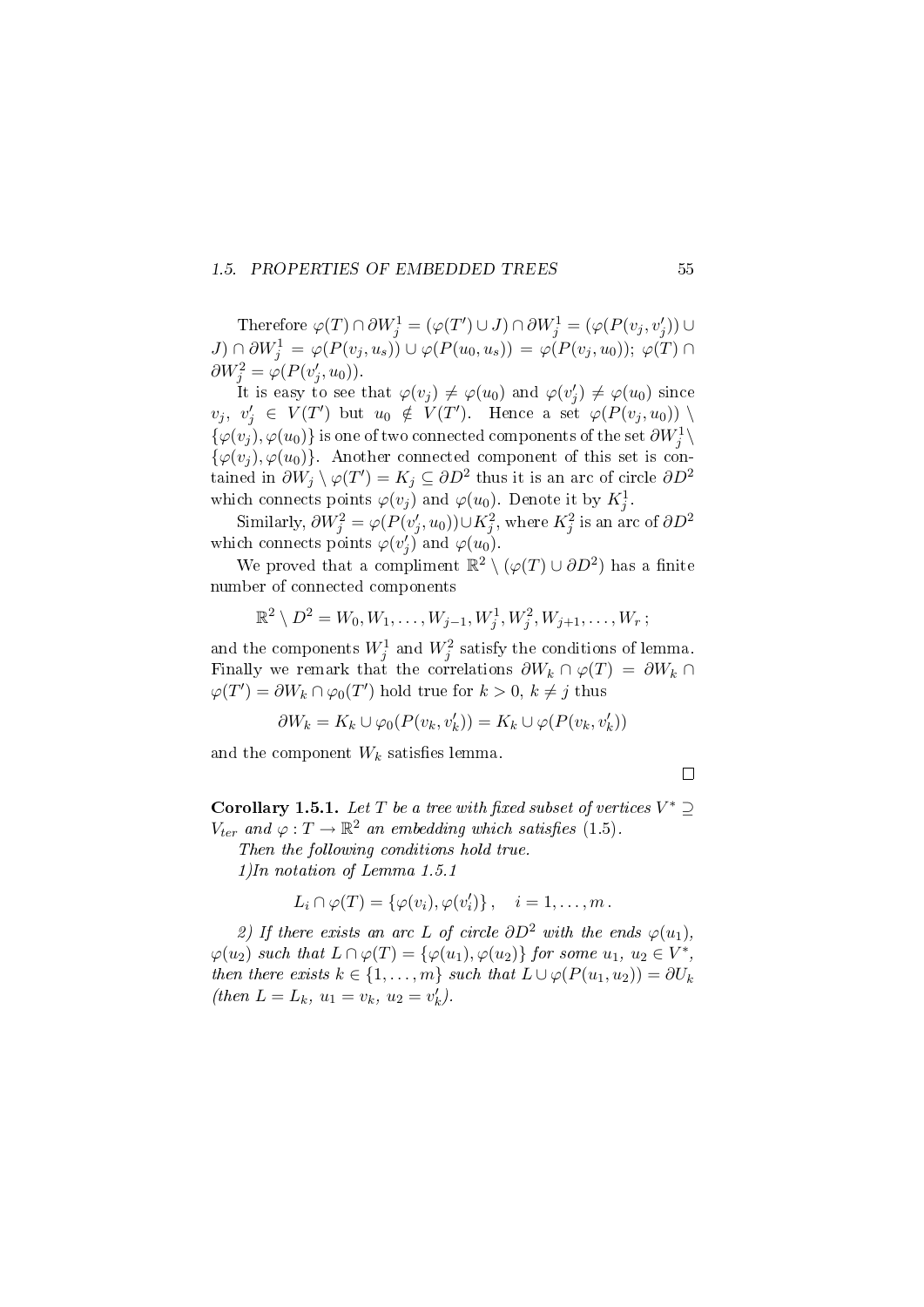### 1.5. PROPERTIES OF EMBEDDED TREES 55

Therefore  $\varphi(T) \cap \partial W_j^1 = (\varphi(T') \cup J) \cap \partial W_j^1 = (\varphi(P(v_j, v_j')) \cup$  $J) \cap \partial W_j^1 = \varphi(P(v_j, u_s)) \cup \varphi(P(u_0, u_s)) = \varphi(P(v_j, u_0)); \varphi(T) \cap$  $\partial W_j^2 = \varphi(P(v'_j, u_0)).$ 

It is easy to see that  $\varphi(v_j) \neq \varphi(u_0)$  and  $\varphi(v'_j) \neq \varphi(u_0)$  since  $v_j, v'_j \in V(T')$  but  $u_0 \notin V(T')$ . Hence a set  $\varphi(P(v_j, u_0))$  $\{\varphi(v_j), \varphi(u_0)\}$  is one of two connected components of the set  $\partial W_j^1 \setminus$  $\{\varphi(v_i), \varphi(u_0)\}.$  Another connected component of this set is contained in  $\partial W_j \setminus \varphi(T') = K_j \subseteq \partial D^2$  thus it is an arc of circle  $\partial D^2$ which connects points  $\varphi(v_j)$  and  $\varphi(u_0)$ . Denote it by  $K_j^1$ .

Similarly,  $\partial W_j^2 = \varphi(P(v_j', u_0)) \cup K_j^2$ , where  $K_j^2$  is an arc of  $\partial D^2$ which connects points  $\varphi(v'_j)$  and  $\varphi(u_0)$ .

We proved that a compliment  $\mathbb{R}^2 \setminus (\varphi(T) \cup \partial D^2)$  has a finite number of connected components

$$
\mathbb{R}^2 \setminus D^2 = W_0, W_1, \dots, W_{j-1}, W_j^1, W_j^2, W_{j+1}, \dots, W_r ;
$$

and the components  $W_j^1$  and  $W_j^2$  satisfy the conditions of lemma. Finally we remark that the correlations  $\partial W_k \cap \varphi(T) = \partial W_k \cap$  $\varphi(T') = \partial W_k \cap \varphi_0(T')$  hold true for  $k > 0, k \neq j$  thus

$$
\partial W_k = K_k \cup \varphi_0(P(v_k, v'_k)) = K_k \cup \varphi(P(v_k, v'_k))
$$

and the component  $W_k$  satisfies lemma.

 $\Box$ 

Corollary 1.5.1. Let T be a tree with fixed subset of vertices  $V^* \supseteq$  $V_{ter}$  and  $\varphi: T \to \mathbb{R}^2$  an embedding which satisfies (1.5).

Then the following conditions hold true.

1)In notation of Lemma 1.5.1

$$
L_i \cap \varphi(T) = \{\varphi(v_i), \varphi(v_i')\}, \quad i = 1, \ldots, m.
$$

2) If there exists an arc L of circle  $\partial D^2$  with the ends  $\varphi(u_1)$ ,  $\varphi(u_2)$  such that  $L \cap \varphi(T) = {\varphi(u_1), \varphi(u_2)}$  for some  $u_1, u_2 \in V^*$ , then there exists  $k \in \{1, \ldots, m\}$  such that  $L \cup \varphi(P(u_1, u_2)) = \partial U_k$ (then  $L = L_k$ ,  $u_1 = v_k$ ,  $u_2 = v'_k$ ).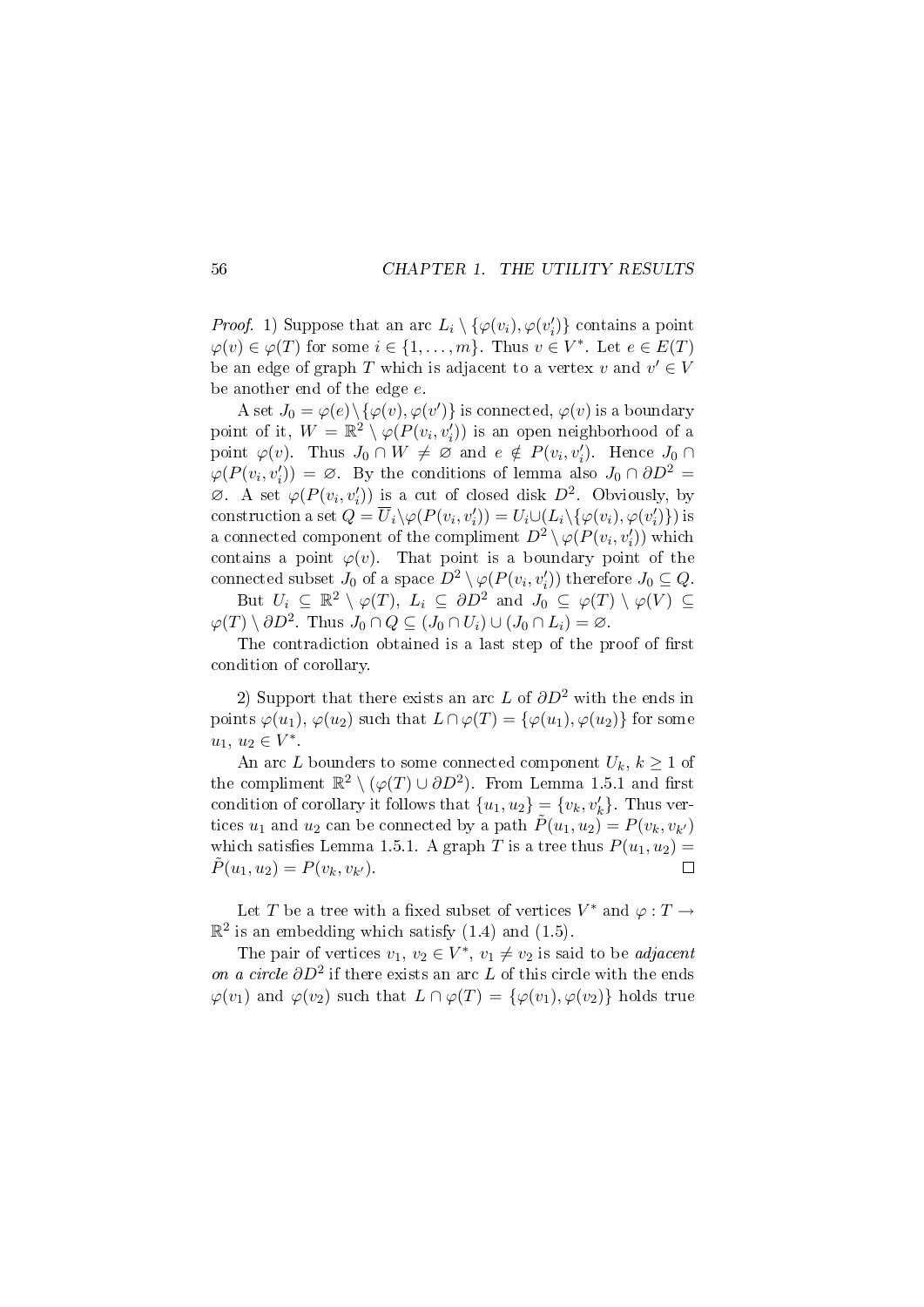*Proof.* 1) Suppose that an arc  $L_i \setminus {\varphi(v_i), \varphi(v'_i)}$  contains a point  $\varphi(v) \in \varphi(T)$  for some  $i \in \{1, \ldots, m\}$ . Thus  $v \in V^*$ . Let  $e \in E(T)$ be an edge of graph  $T$  which is adjacent to a vertex  $v$  and  $v' \in V$ be another end of the edge e.

A set  $J_0 = \varphi(e) \setminus {\varphi(v), \varphi(v')}$  is connected,  $\varphi(v)$  is a boundary point of it,  $W = \mathbb{R}^2 \setminus \varphi(P(v_i, v'_i))$  is an open neighborhood of a point  $\varphi(v)$ . Thus  $J_0 \cap W \neq \emptyset$  and  $e \notin P(v_i, v'_i)$ . Hence  $J_0 \cap$  $\varphi(P(v_i, v'_i)) = \varnothing$ . By the conditions of lemma also  $J_0 \cap \partial D^2 =$  $\emptyset$ . A set  $\varphi(P(v_i, v'_i))$  is a cut of closed disk  $D^2$ . Obviously, by construction a set  $Q = \overline{U}_i \setminus \varphi(P(v_i, v'_i)) = U_i \cup (L_i \setminus {\varphi(v_i), \varphi(v'_i)})$  is a connected component of the compliment  $D^2 \setminus \varphi(P(v_i, v'_i))$  which contains a point  $\varphi(v)$ . That point is a boundary point of the connected subset  $J_0$  of a space  $D^2 \setminus \varphi(P(v_i, v'_i))$  therefore  $J_0 \subseteq Q$ .

But  $U_i \subseteq \mathbb{R}^2 \setminus \varphi(T)$ ,  $L_i \subseteq \partial D^2$  and  $J_0 \subseteq \varphi(T) \setminus \varphi(V) \subseteq$  $\varphi(T) \setminus \partial D^2$ . Thus  $J_0 \cap Q \subseteq (J_0 \cap U_i) \cup (J_0 \cap L_i) = \varnothing$ .

The contradiction obtained is a last step of the proof of first condition of corollary.

2) Support that there exists an arc L of  $\partial D^2$  with the ends in points  $\varphi(u_1), \varphi(u_2)$  such that  $L \cap \varphi(T) = {\varphi(u_1), \varphi(u_2)}$  for some  $u_1, u_2 \in V^*$ .

An arc L bounders to some connected component  $U_k, k \geq 1$  of the compliment  $\mathbb{R}^2 \setminus (\varphi(T) \cup \partial D^2)$ . From Lemma 1.5.1 and first condition of corollary it follows that  $\{u_1, u_2\} = \{v_k, v'_k\}$ . Thus vertices  $u_1$  and  $u_2$  can be connected by a path  $\tilde{P}(u_1, u_2) = P(v_k, v_{k'})$ which satisfies Lemma 1.5.1. A graph T is a tree thus  $P(u_1, u_2) =$  $\tilde{P}(u_1, u_2) = P(v_k, v_{k'})$ .  $\Box$ 

Let T be a tree with a fixed subset of vertices  $V^*$  and  $\varphi : T \to$  $\mathbb{R}^2$  is an embedding which satisfy  $(1.4)$  and  $(1.5)$ .

The pair of vertices  $v_1, v_2 \in V^*, v_1 \neq v_2$  is said to be *adjacent* on a circle  $\partial D^2$  if there exists an arc L of this circle with the ends  $\varphi(v_1)$  and  $\varphi(v_2)$  such that  $L \cap \varphi(T) = {\varphi(v_1), \varphi(v_2)}$  holds true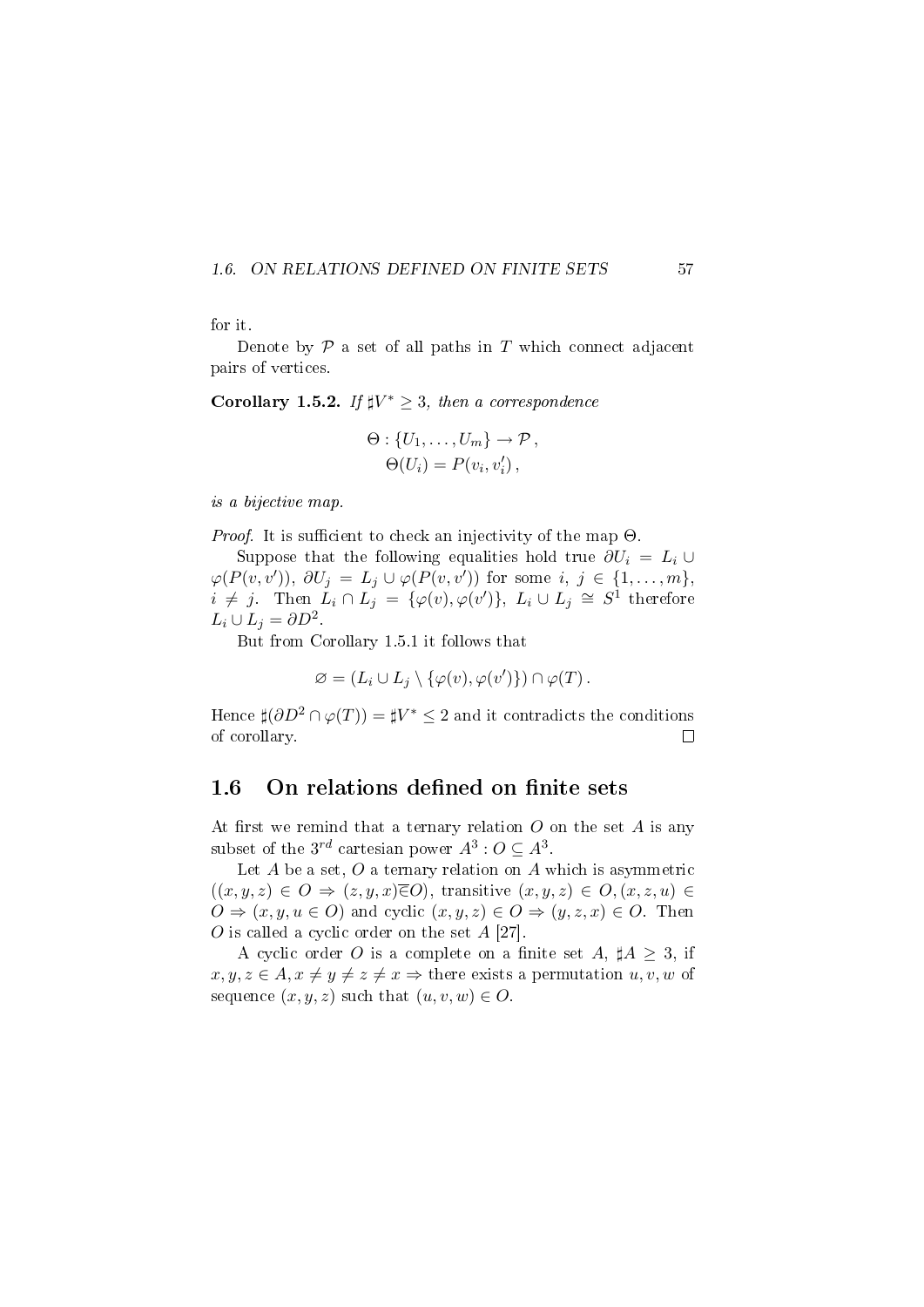#### 1.6. ON RELATIONS DEFINED ON FINITE SETS 57



Denote by  $\mathcal P$  a set of all paths in  $T$  which connect adjacent pairs of vertices.

Corollary 1.5.2. If  $\sharp V^* \geq 3$ , then a correspondence

$$
\Theta: \{U_1, \ldots, U_m\} \to \mathcal{P},
$$

$$
\Theta(U_i) = P(v_i, v'_i),
$$

is a bijective map.

*Proof.* It is sufficient to check an injectivity of the map  $\Theta$ .

Suppose that the following equalities hold true  $\partial U_i = L_i \cup$  $\varphi(P(v, v')), \partial U_j = L_j \cup \varphi(P(v, v'))$  for some  $i, j \in \{1, ..., m\},$  $i \neq j$ . Then  $L_i \cap L_j = {\varphi(v), \varphi(v')}, L_i \cup L_j \cong S^1$  therefore  $L_i \cup L_j = \partial D^2$ .

But from Corollary 1.5.1 it follows that

$$
\varnothing = (L_i \cup L_j \setminus {\varphi(v), \varphi(v')}) \cap \varphi(T).
$$

Hence  $\sharp(\partial D^2 \cap \varphi(T)) = \sharp V^* \leq 2$  and it contradicts the conditions of corollary.  $\Box$ 

### 1.6 On relations defined on finite sets

At first we remind that a ternary relation  $O$  on the set  $A$  is any subset of the  $3^{rd}$  cartesian power  $A^3: O \subseteq A^3$ .

Let  $A$  be a set,  $O$  a ternary relation on  $A$  which is asymmetric  $((x, y, z) \in O \Rightarrow (z, y, x) \overline{\in} O)$ , transitive  $(x, y, z) \in O$ ,  $(x, z, u) \in$  $O \Rightarrow (x, y, u \in O)$  and cyclic  $(x, y, z) \in O \Rightarrow (y, z, x) \in O$ . Then O is called a cyclic order on the set A [27].

A cyclic order O is a complete on a finite set A,  $\sharp A \geq 3$ , if  $x, y, z \in A, x \neq y \neq z \neq x \Rightarrow$  there exists a permutation  $u, v, w$  of sequence  $(x, y, z)$  such that  $(u, v, w) \in O$ .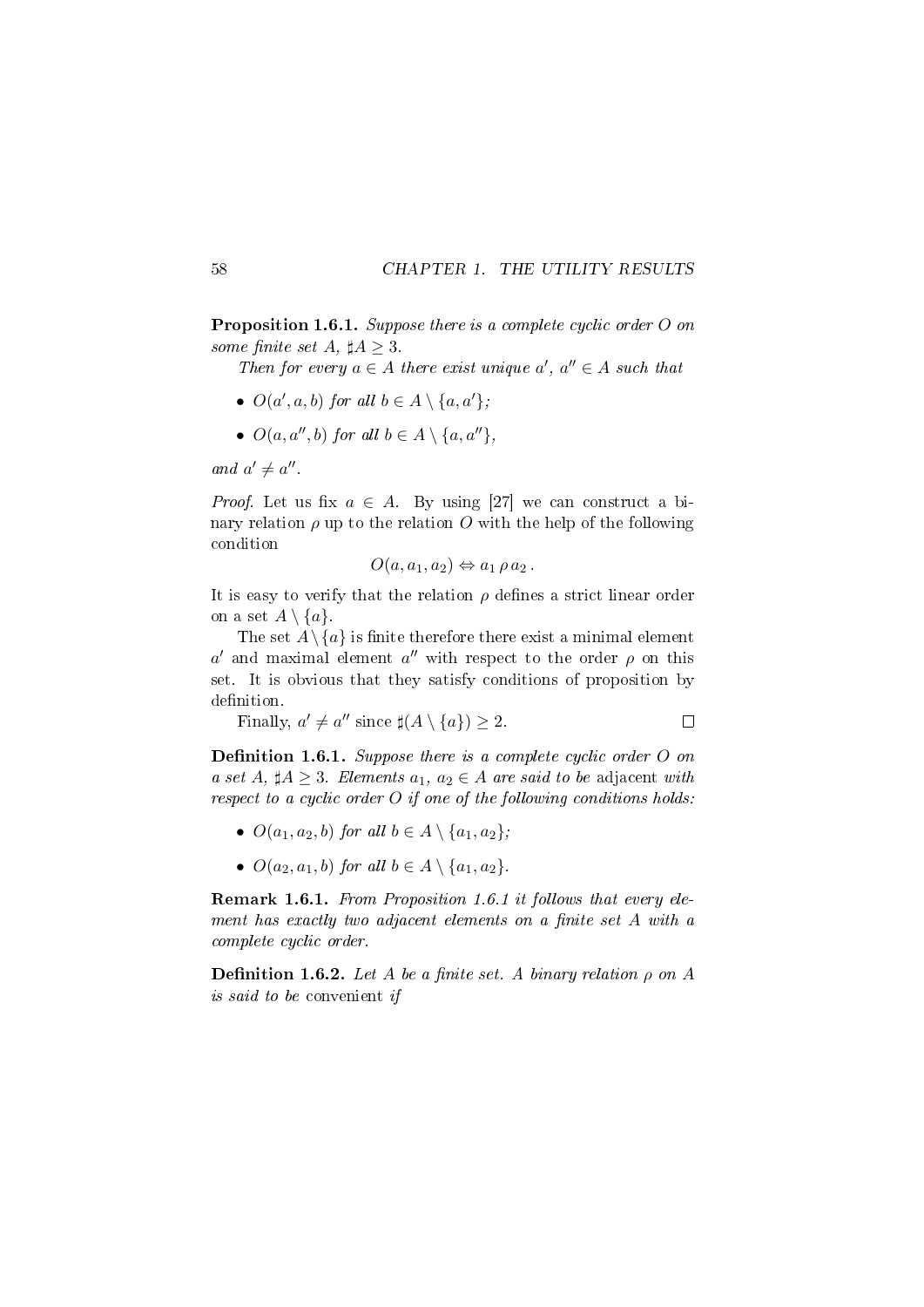Proposition 1.6.1. Suppose there is a complete cyclic order O on some finite set A,  $\sharp A > 3$ .

Then for every  $a \in A$  there exist unique  $a'$ ,  $a'' \in A$  such that

- $O(a', a, b)$  for all  $b \in A \setminus \{a, a'\};$
- $O(a, a'', b)$  for all  $b \in A \setminus \{a, a''\},\$

and  $a' \neq a''$ .

*Proof.* Let us fix  $a \in A$ . By using [27] we can construct a binary relation  $\rho$  up to the relation O with the help of the following condition

$$
O(a, a_1, a_2) \Leftrightarrow a_1 \rho a_2.
$$

It is easy to verify that the relation  $\rho$  defines a strict linear order on a set  $A \setminus \{a\}$ .

The set  $A \setminus \{a\}$  is finite therefore there exist a minimal element a' and maximal element  $a''$  with respect to the order  $\rho$  on this set. It is obvious that they satisfy conditions of proposition by definition.

Finally, 
$$
a' \neq a''
$$
 since  $\sharp(A \setminus \{a\}) \geq 2$ .

**Definition 1.6.1.** Suppose there is a complete cyclic order  $O$  on a set A,  $\sharp A \geq 3$ . Elements  $a_1, a_2 \in A$  are said to be adjacent with respect to a cyclic order  $O$  if one of the following conditions holds:

- $O(a_1, a_2, b)$  for all  $b \in A \setminus \{a_1, a_2\}$ ;
- $O(a_2, a_1, b)$  for all  $b \in A \setminus \{a_1, a_2\}.$

Remark 1.6.1. From Proposition 1.6.1 it follows that every element has exactly two adjacent elements on a finite set  $A$  with a complete cyclic order.

**Definition 1.6.2.** Let A be a finite set. A binary relation  $\rho$  on A is said to be convenient if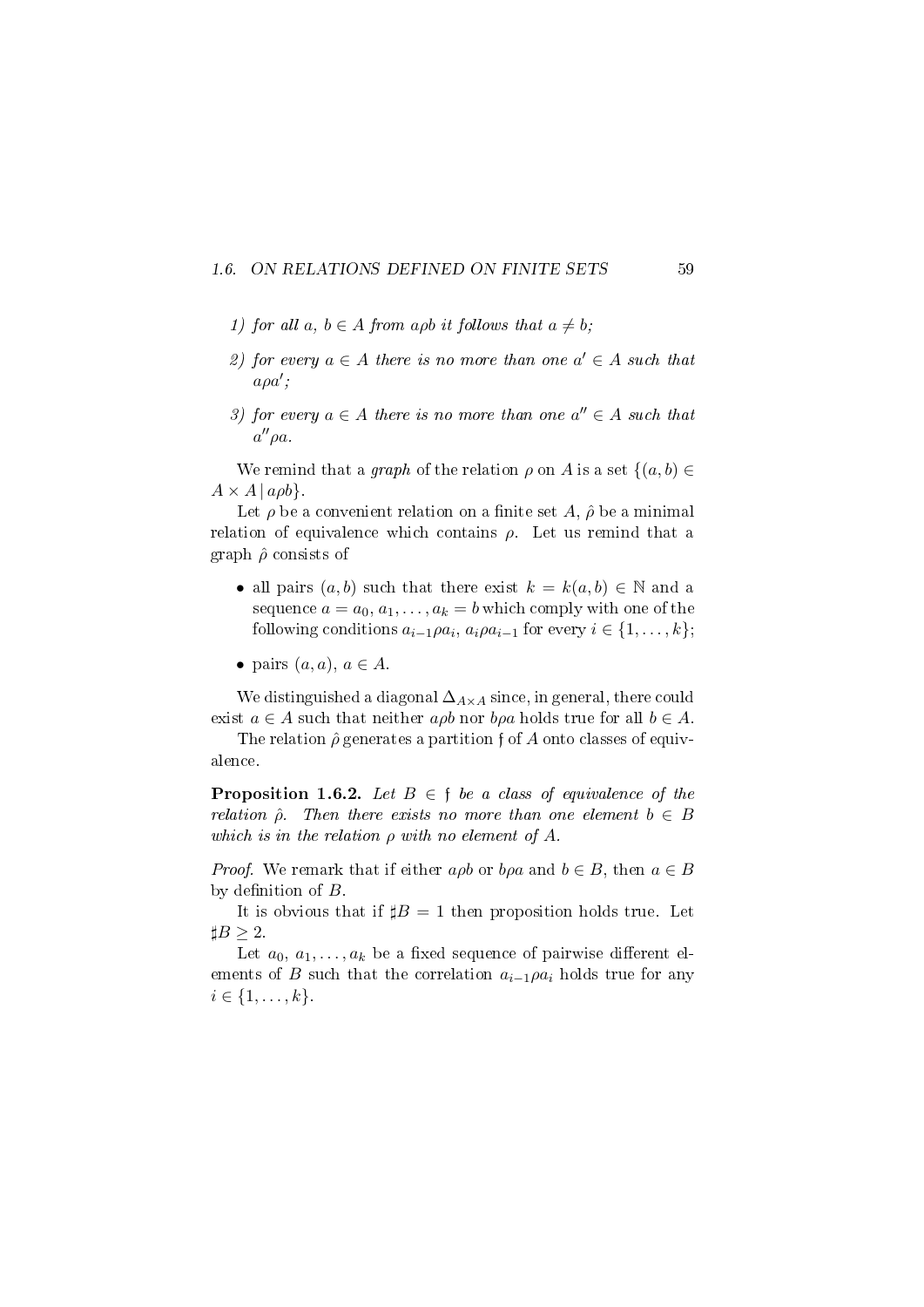#### 1.6. ON RELATIONS DEFINED ON FINITE SETS 59

- 1) for all a,  $b \in A$  from apb it follows that  $a \neq b$ ;
- 2) for every  $a \in A$  there is no more than one  $a' \in A$  such that  $a\rho a';$
- 3) for every  $a \in A$  there is no more than one  $a'' \in A$  such that  $a''\rho a$ .

We remind that a *graph* of the relation  $\rho$  on A is a set  $\{(a, b) \in$  $A \times A | a \rho b$ .

Let  $\rho$  be a convenient relation on a finite set A,  $\hat{\rho}$  be a minimal relation of equivalence which contains  $\rho$ . Let us remind that a graph  $\hat{\rho}$  consists of

- all pairs  $(a, b)$  such that there exist  $k = k(a, b) \in \mathbb{N}$  and a sequence  $a = a_0, a_1, \ldots, a_k = b$  which comply with one of the following conditions  $a_{i-1}\rho a_i$ ,  $a_i\rho a_{i-1}$  for every  $i \in \{1, \ldots, k\}$ ;
- pairs  $(a, a)$ ,  $a \in A$ .

We distinguished a diagonal  $\Delta_{A\times A}$  since, in general, there could exist  $a \in A$  such that neither  $a \rho b$  nor  $b \rho a$  holds true for all  $b \in A$ .

The relation  $\hat{\rho}$  generates a partition f of A onto classes of equivalence.

**Proposition 1.6.2.** Let  $B \in \mathfrak{f}$  be a class of equivalence of the relation  $\hat{\rho}$ . Then there exists no more than one element  $b \in B$ which is in the relation  $\rho$  with no element of A.

*Proof.* We remark that if either  $a\rho b$  or  $b\rho a$  and  $b \in B$ , then  $a \in B$ by definition of  $B$ .

It is obvious that if  $\sharp B = 1$  then proposition holds true. Let  $\sharp B \geq 2$ .

Let  $a_0, a_1, \ldots, a_k$  be a fixed sequence of pairwise different elements of B such that the correlation  $a_{i-1}\rho a_i$  holds true for any  $i \in \{1, \ldots, k\}.$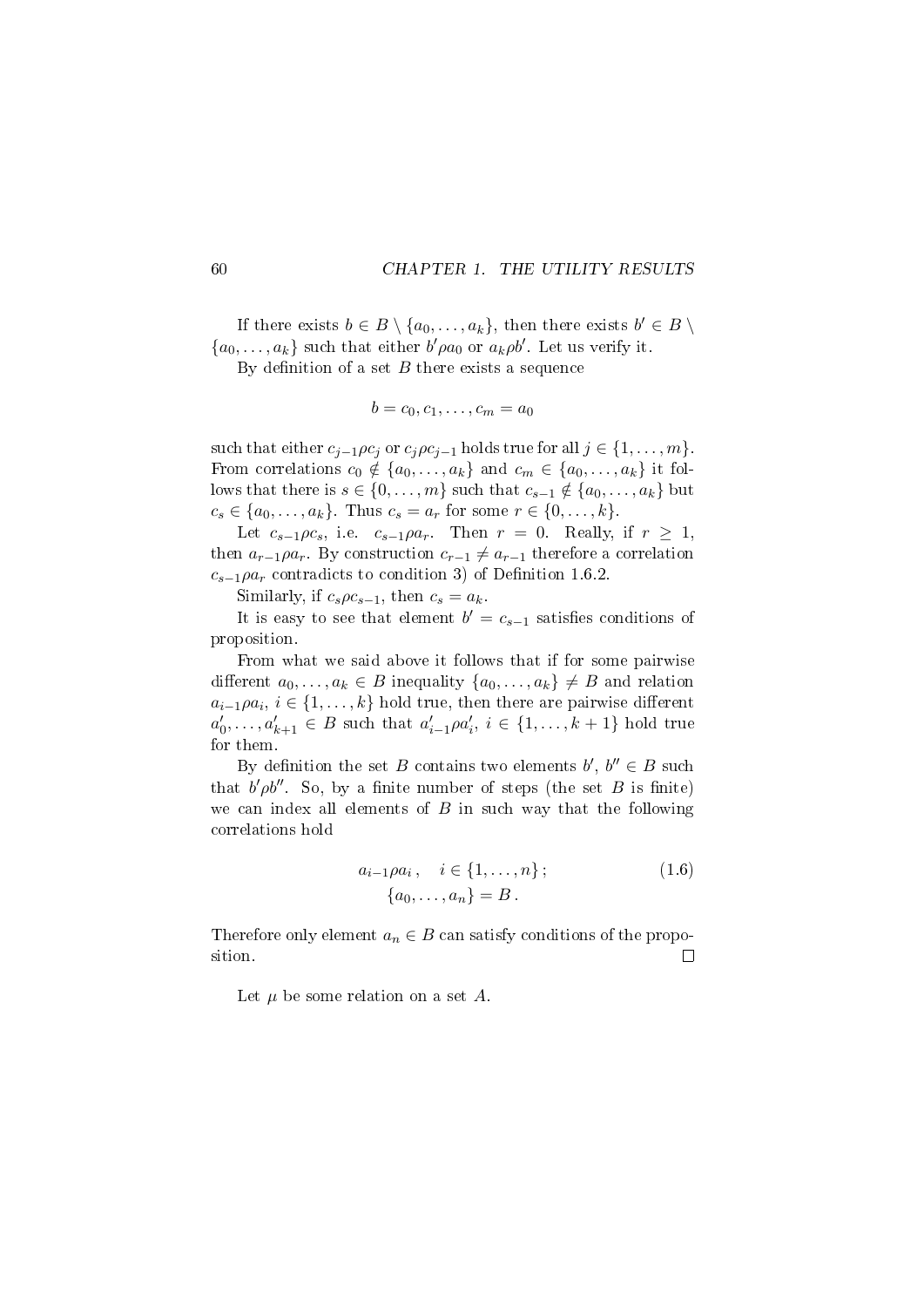If there exists  $b \in B \setminus \{a_0, \ldots, a_k\}$ , then there exists  $b' \in B \setminus$  $\{a_0, \ldots, a_k\}$  such that either  $b'\rho a_0$  or  $a_k \rho b'$ . Let us verify it.

By definition of a set  $B$  there exists a sequence

$$
b=c_0,c_1,\ldots,c_m=a_0
$$

such that either  $c_{j-1}\rho c_j$  or  $c_j\rho c_{j-1}$  holds true for all  $j \in \{1, \ldots, m\}$ . From correlations  $c_0 \notin \{a_0, \ldots, a_k\}$  and  $c_m \in \{a_0, \ldots, a_k\}$  it follows that there is  $s \in \{0, \ldots, m\}$  such that  $c_{s-1} \notin \{a_0, \ldots, a_k\}$  but  $c_s \in \{a_0, ..., a_k\}$ . Thus  $c_s = a_r$  for some  $r \in \{0, ..., k\}$ .

Let  $c_{s-1}\rho c_s$ , i.e.  $c_{s-1}\rho a_r$ . Then  $r = 0$ . Really, if  $r \geq 1$ , then  $a_{r-1}\rho a_r$ . By construction  $c_{r-1} \neq a_{r-1}$  therefore a correlation  $c_{s-1}\rho a_r$  contradicts to condition 3) of Definition 1.6.2.

Similarly, if  $c_s \rho c_{s-1}$ , then  $c_s = a_k$ .

It is easy to see that element  $b' = c_{s-1}$  satisfies conditions of proposition.

From what we said above it follows that if for some pairwise different  $a_0, \ldots, a_k \in B$  inequality  $\{a_0, \ldots, a_k\} \neq B$  and relation  $a_{i-1}\rho a_i, i \in \{1,\ldots,k\}$  hold true, then there are pairwise different  $a'_0, \ldots, a'_{k+1} \in B$  such that  $a'_{i-1} \rho a'_i, i \in \{1, \ldots, k+1\}$  hold true for them.

By definition the set B contains two elements  $b', b'' \in B$  such that  $b' \rho b''$ . So, by a finite number of steps (the set B is finite) we can index all elements of  $B$  in such way that the following correlations hold

$$
a_{i-1}\rho a_i, \quad i \in \{1, ..., n\};
$$
  

$$
\{a_0, ..., a_n\} = B.
$$
 (1.6)

Therefore only element  $a_n \in B$  can satisfy conditions of the proposition.  $\Box$ 

Let  $\mu$  be some relation on a set  $A$ .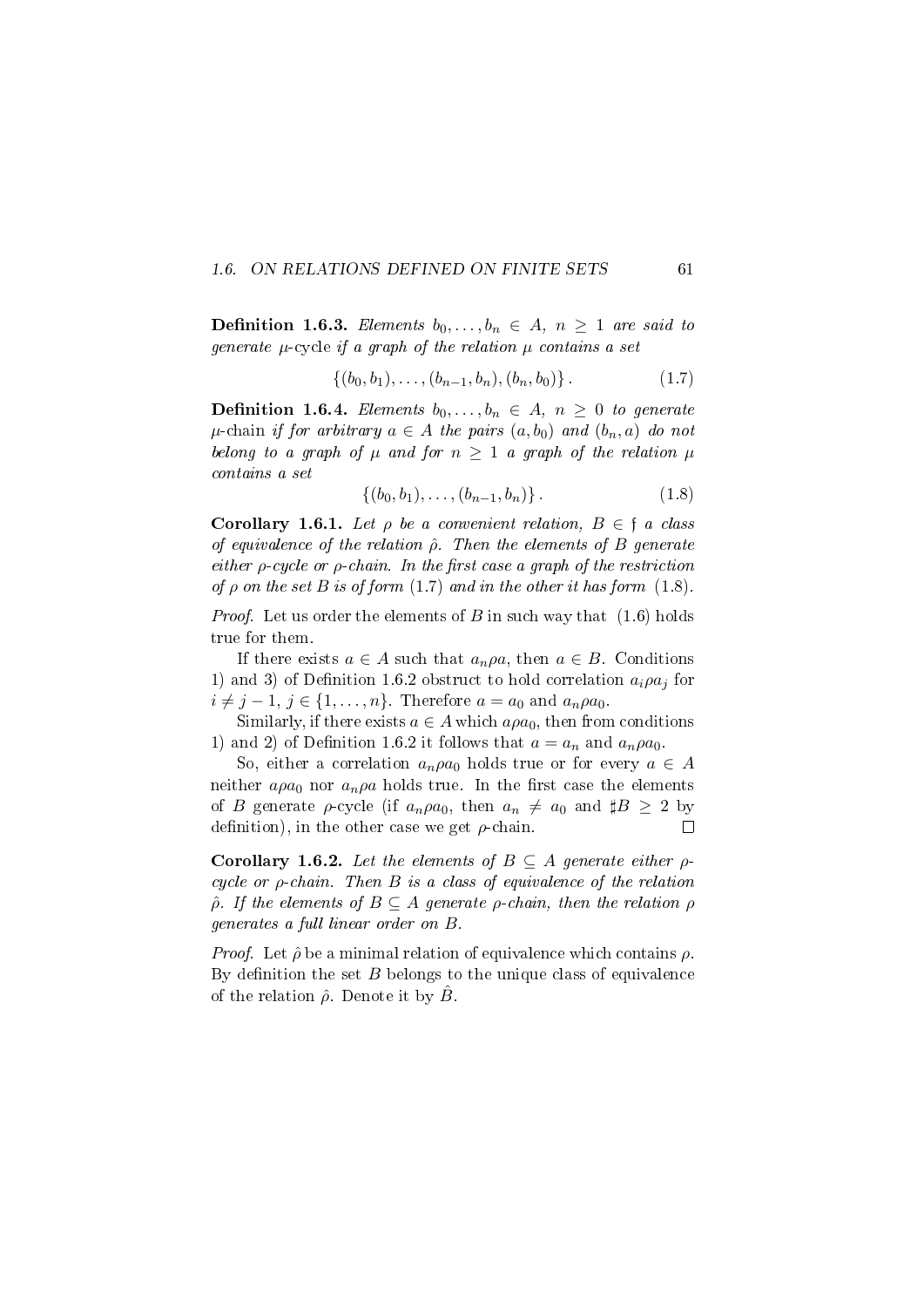### 1.6. ON RELATIONS DEFINED ON FINITE SETS 61

**Definition 1.6.3.** Elements  $b_0, \ldots, b_n \in A, n \geq 1$  are said to generate  $\mu$ -cycle if a graph of the relation  $\mu$  contains a set

$$
\{(b_0, b_1), \ldots, (b_{n-1}, b_n), (b_n, b_0)\}.
$$
 (1.7)

**Definition 1.6.4.** Elements  $b_0, \ldots, b_n \in A$ ,  $n \geq 0$  to generate  $\mu$ -chain if for arbitrary  $a \in A$  the pairs  $(a, b_0)$  and  $(b_n, a)$  do not belong to a graph of  $\mu$  and for  $n \geq 1$  a graph of the relation  $\mu$ contains a set

$$
\{(b_0, b_1), \ldots, (b_{n-1}, b_n)\}.
$$
 (1.8)

Corollary 1.6.1. Let  $\rho$  be a convenient relation,  $B \in \mathfrak{f}$  a class of equivalence of the relation  $\hat{\rho}$ . Then the elements of B generate either  $\rho$ -cycle or  $\rho$ -chain. In the first case a graph of the restriction of  $\rho$  on the set  $B$  is of form (1.7) and in the other it has form (1.8).

*Proof.* Let us order the elements of B in such way that  $(1.6)$  holds true for them.

If there exists  $a \in A$  such that  $a_n \rho a$ , then  $a \in B$ . Conditions 1) and 3) of Definition 1.6.2 obstruct to hold correlation  $a_i \rho a_j$  for  $i \neq j - 1, j \in \{1, \ldots, n\}$ . Therefore  $a = a_0$  and  $a_n \rho a_0$ .

Similarly, if there exists  $a \in A$  which  $a\rho a_0$ , then from conditions 1) and 2) of Definition 1.6.2 it follows that  $a = a_n$  and  $a_n \rho a_0$ .

So, either a correlation  $a_n \rho a_0$  holds true or for every  $a \in A$ neither  $a\rho a_0$  nor  $a_n\rho a$  holds true. In the first case the elements of B generate  $\rho$ -cycle (if  $a_n \rho a_0$ , then  $a_n \neq a_0$  and  $\sharp B \geq 2$  by definition), in the other case we get  $\rho$ -chain.  $\Box$ 

Corollary 1.6.2. Let the elements of  $B \subseteq A$  generate either  $\rho$ cycle or  $\rho$ -chain. Then  $B$  is a class of equivalence of the relation  $\hat{\rho}$ . If the elements of  $B \subseteq A$  generate  $\rho$ -chain, then the relation  $\rho$ generates a full linear order on B.

*Proof.* Let  $\hat{\rho}$  be a minimal relation of equivalence which contains  $\rho$ . By definition the set  $B$  belongs to the unique class of equivalence of the relation  $\hat{\rho}$ . Denote it by  $\hat{B}$ .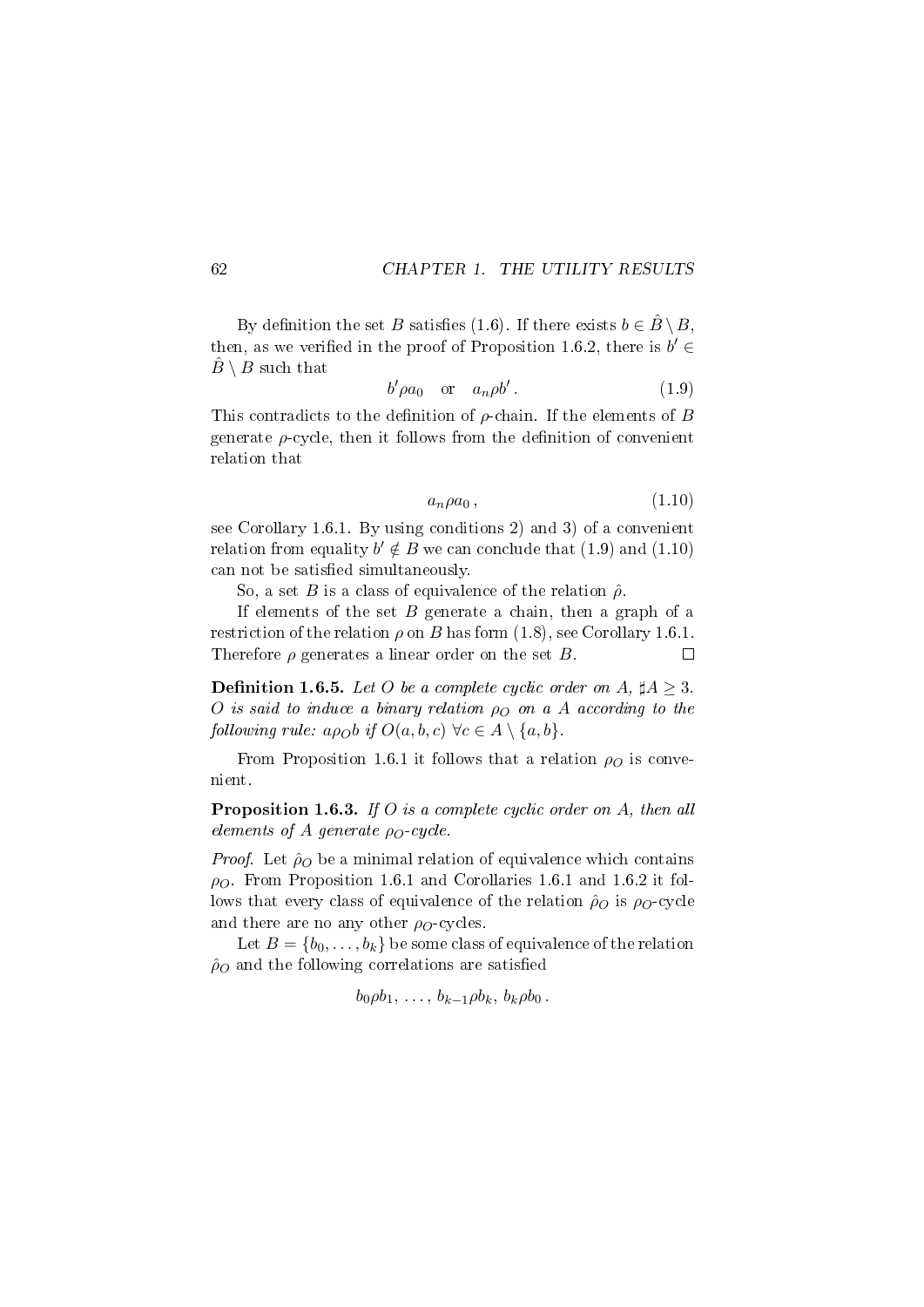By definition the set B satisfies (1.6). If there exists  $b \in \hat{B} \setminus B$ . then, as we verified in the proof of Proposition 1.6.2, there is  $b' \in$  $\hat{B} \setminus B$  such that

$$
b' \rho a_0 \quad \text{or} \quad a_n \rho b' \,. \tag{1.9}
$$

This contradicts to the definition of  $\rho$ -chain. If the elements of B generate  $\rho$ -cycle, then it follows from the definition of convenient relation that

$$
a_n \rho a_0 \,, \tag{1.10}
$$

see Corollary 1.6.1. By using conditions 2) and 3) of a convenient relation from equality  $b' \notin B$  we can conclude that  $(1.9)$  and  $(1.10)$ can not be satisfied simultaneously.

So, a set B is a class of equivalence of the relation  $\hat{\rho}$ .

If elements of the set  $B$  generate a chain, then a graph of a restriction of the relation  $\rho$  on B has form (1.8), see Corollary 1.6.1. Therefore  $\rho$  generates a linear order on the set B.  $\Box$ 

**Definition 1.6.5.** Let O be a complete cyclic order on A,  $\sharp A \geq 3$ . O is said to induce a binary relation  $\rho_O$  on a A according to the following rule:  $a \rho_O b$  if  $O(a, b, c) \ \forall c \in A \setminus \{a, b\}.$ 

From Proposition 1.6.1 it follows that a relation  $\rho<sub>O</sub>$  is convenient.

Proposition 1.6.3. If O is a complete cyclic order on A, then all elements of A generate  $\rho_O$ -cycle.

*Proof.* Let  $\rho_0$  be a minimal relation of equivalence which contains  $\rho$ . From Proposition 1.6.1 and Corollaries 1.6.1 and 1.6.2 it follows that every class of equivalence of the relation  $\rho_{O}$  is  $\rho_{O}$ -cycle and there are no any other  $\rho_O$ -cycles.

Let  $B = \{b_0, \ldots, b_k\}$  be some class of equivalence of the relation  $\hat{\rho}_O$  and the following correlations are satisfied

$$
b_0 \rho b_1, \ldots, b_{k-1} \rho b_k, b_k \rho b_0.
$$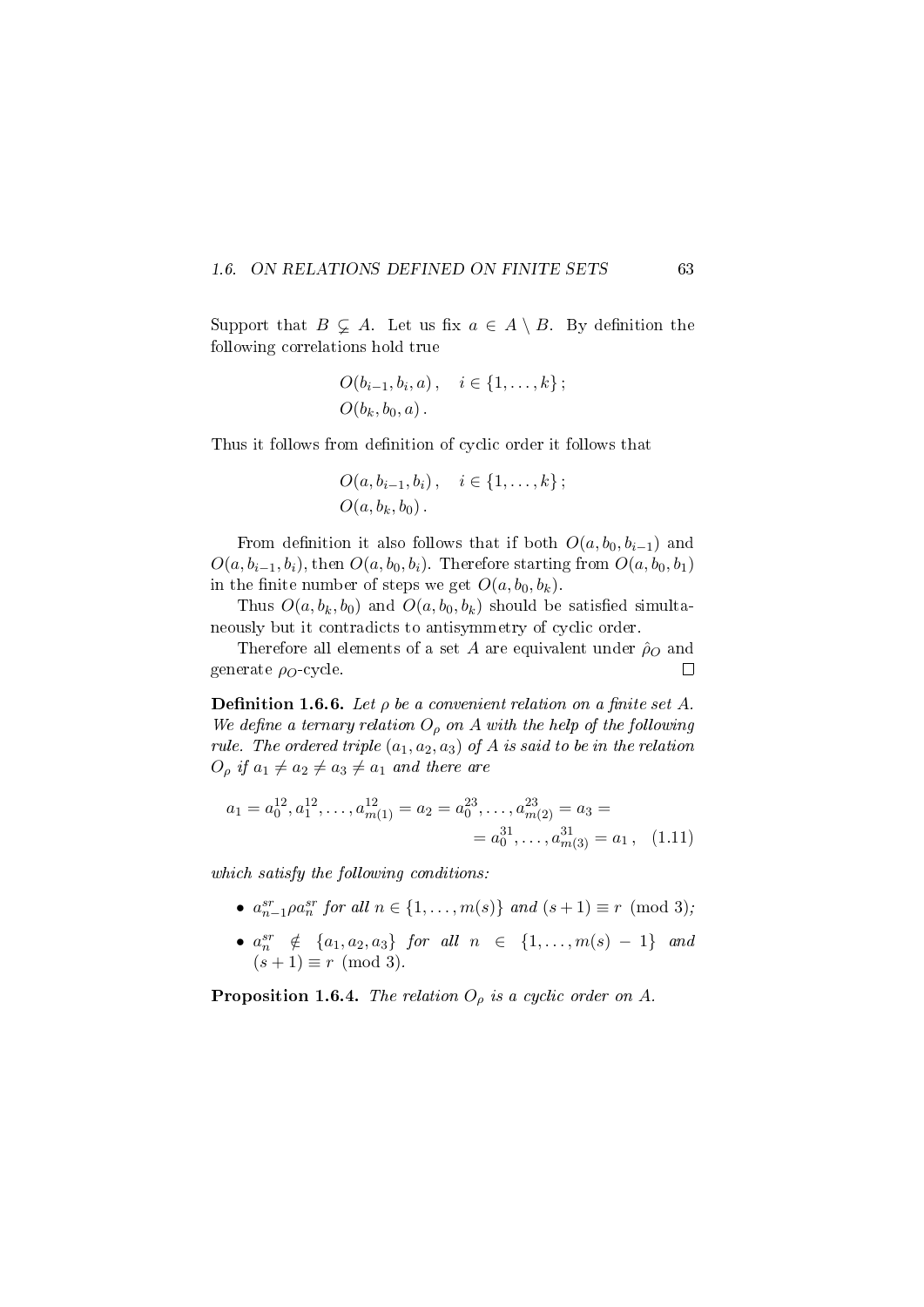#### 1.6. ON RELATIONS DEFINED ON FINITE SETS 63

Support that  $B \subsetneq A$ . Let us fix  $a \in A \setminus B$ . By definition the following correlations hold true

$$
O(b_{i-1}, b_i, a), \quad i \in \{1, ..., k\};
$$
  
 $O(b_k, b_0, a).$ 

Thus it follows from definition of cyclic order it follows that

$$
O(a, b_{i-1}, b_i), i \in \{1, ..., k\};
$$
  
 $O(a, b_k, b_0).$ 

From definition it also follows that if both  $O(a, b_0, b_{i-1})$  and  $O(a, b_{i-1}, b_i)$ , then  $O(a, b_0, b_i)$ . Therefore starting from  $O(a, b_0, b_1)$ in the finite number of steps we get  $O(a, b_0, b_k)$ .

Thus  $O(a, b_k, b_0)$  and  $O(a, b_0, b_k)$  should be satisfied simultaneously but it contradicts to antisymmetry of cyclic order.

Therefore all elements of a set A are equivalent under  $\hat{\rho}_O$  and generate  $\rho_O$ -cycle.  $\Box$ 

**Definition 1.6.6.** Let  $\rho$  be a convenient relation on a finite set A. We define a ternary relation  $O_\rho$  on A with the help of the following rule. The ordered triple  $(a_1, a_2, a_3)$  of A is said to be in the relation  $O_\rho$  if  $a_1 \neq a_2 \neq a_3 \neq a_1$  and there are

$$
a_1 = a_0^{12}, a_1^{12}, \dots, a_{m(1)}^{12} = a_2 = a_0^{23}, \dots, a_{m(2)}^{23} = a_3 =
$$
  
=  $a_0^{31}, \dots, a_{m(3)}^{31} = a_1$ , (1.11)

which satisfy the following conditions:

- $a_{n-1}^{sr} \rho a_n^{sr}$  for all  $n \in \{1, ..., m(s)\}$  and  $(s+1) \equiv r \pmod{3}$ ;
- $a_n^{sr} \notin \{a_1, a_2, a_3\}$  for all  $n \in \{1, ..., m(s) 1\}$  and  $(s+1) \equiv r \pmod{3}$ .

**Proposition 1.6.4.** The relation  $O<sub>o</sub>$  is a cyclic order on A.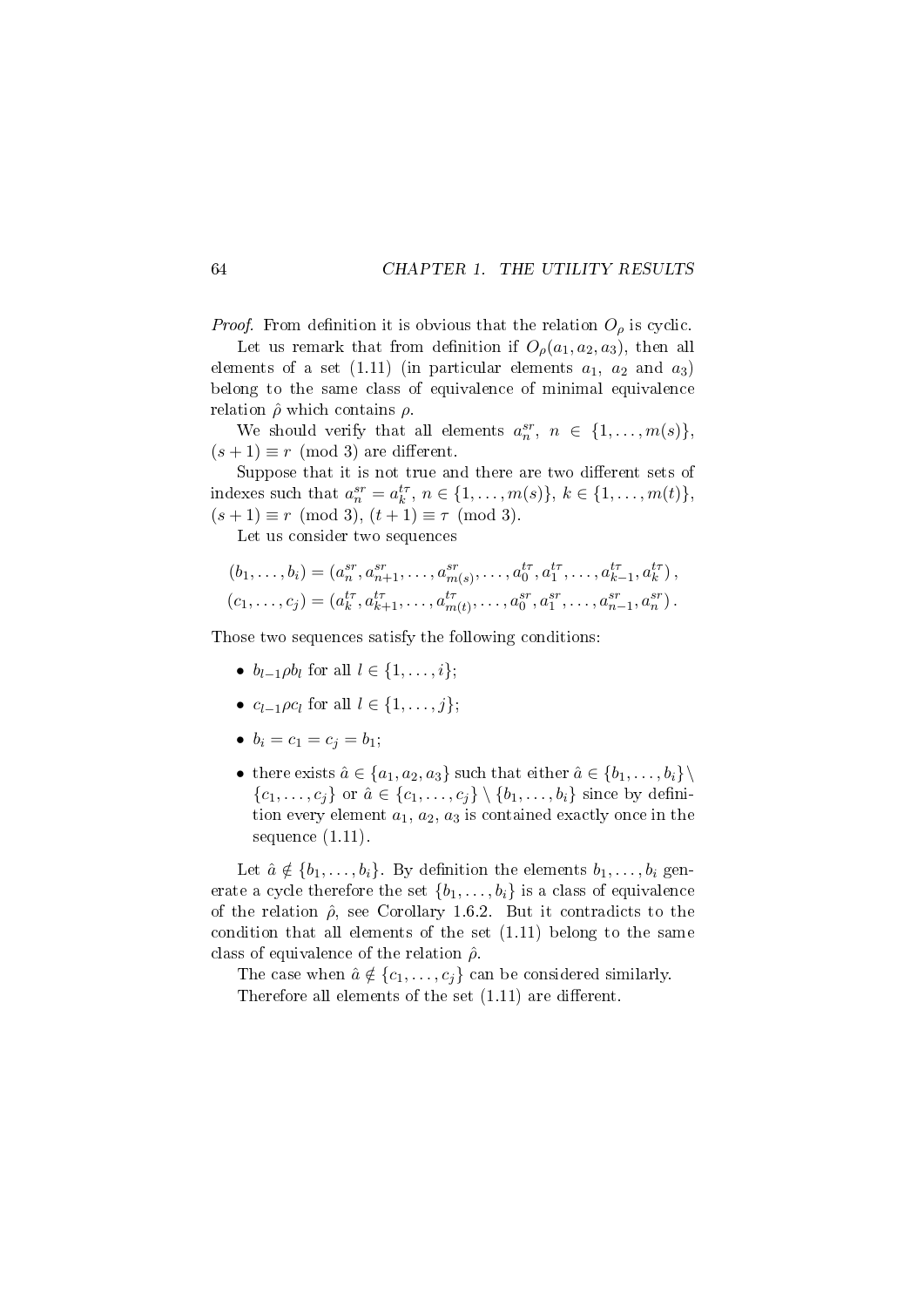*Proof.* From definition it is obvious that the relation  $O_\rho$  is cyclic.

Let us remark that from definition if  $O_\rho(a_1, a_2, a_3)$ , then all elements of a set  $(1.11)$  (in particular elements  $a_1$ ,  $a_2$  and  $a_3$ ) belong to the same class of equivalence of minimal equivalence relation  $\hat{\rho}$  which contains  $\rho$ .

We should verify that all elements  $a_n^{sr}$ ,  $n \in \{1, \ldots, m(s)\},\$  $(s + 1) \equiv r \pmod{3}$  are different.

Suppose that it is not true and there are two different sets of indexes such that  $a_n^{sr} = a_k^{tr}, n \in \{1, ..., m(s)\}, k \in \{1, ..., m(t)\},\$  $(s+1) \equiv r \pmod{3}$ ,  $(t+1) \equiv \tau \pmod{3}$ .

Let us consider two sequences

$$
(b_1, \ldots, b_i) = (a_n^{sr}, a_{n+1}^{sr}, \ldots, a_{m(s)}^{sr}, \ldots, a_0^{tr}, a_1^{tr}, \ldots, a_{k-1}^{tr}, a_k^{tr}),
$$
  

$$
(c_1, \ldots, c_j) = (a_k^{tr}, a_{k+1}^{tr}, \ldots, a_{m(t)}^{tr}, \ldots, a_0^{sr}, a_1^{sr}, \ldots, a_{n-1}^{sr}, a_n^{sr}).
$$

Those two sequences satisfy the following conditions:

- $b_{l-1} \rho b_l$  for all  $l \in \{1, \ldots, i\};$
- $c_{l-1}\rho c_l$  for all  $l \in \{1,\ldots,j\};$
- $b_i = c_1 = c_j = b_1;$
- there exists  $\hat{a} \in \{a_1, a_2, a_3\}$  such that either  $\hat{a} \in \{b_1, \ldots, b_i\}\$  $\{c_1, \ldots, c_i\}$  or  $\hat{a} \in \{c_1, \ldots, c_i\} \setminus \{b_1, \ldots, b_i\}$  since by definition every element  $a_1, a_2, a_3$  is contained exactly once in the sequence (1.11).

Let  $\hat{a} \notin \{b_1, \ldots, b_i\}$ . By definition the elements  $b_1, \ldots, b_i$  generate a cycle therefore the set  $\{b_1, \ldots, b_i\}$  is a class of equivalence of the relation  $\hat{\rho}$ , see Corollary 1.6.2. But it contradicts to the condition that all elements of the set (1.11) belong to the same class of equivalence of the relation  $\hat{\rho}$ .

The case when  $\hat{a} \notin \{c_1, \ldots, c_j\}$  can be considered similarly. Therefore all elements of the set  $(1.11)$  are different.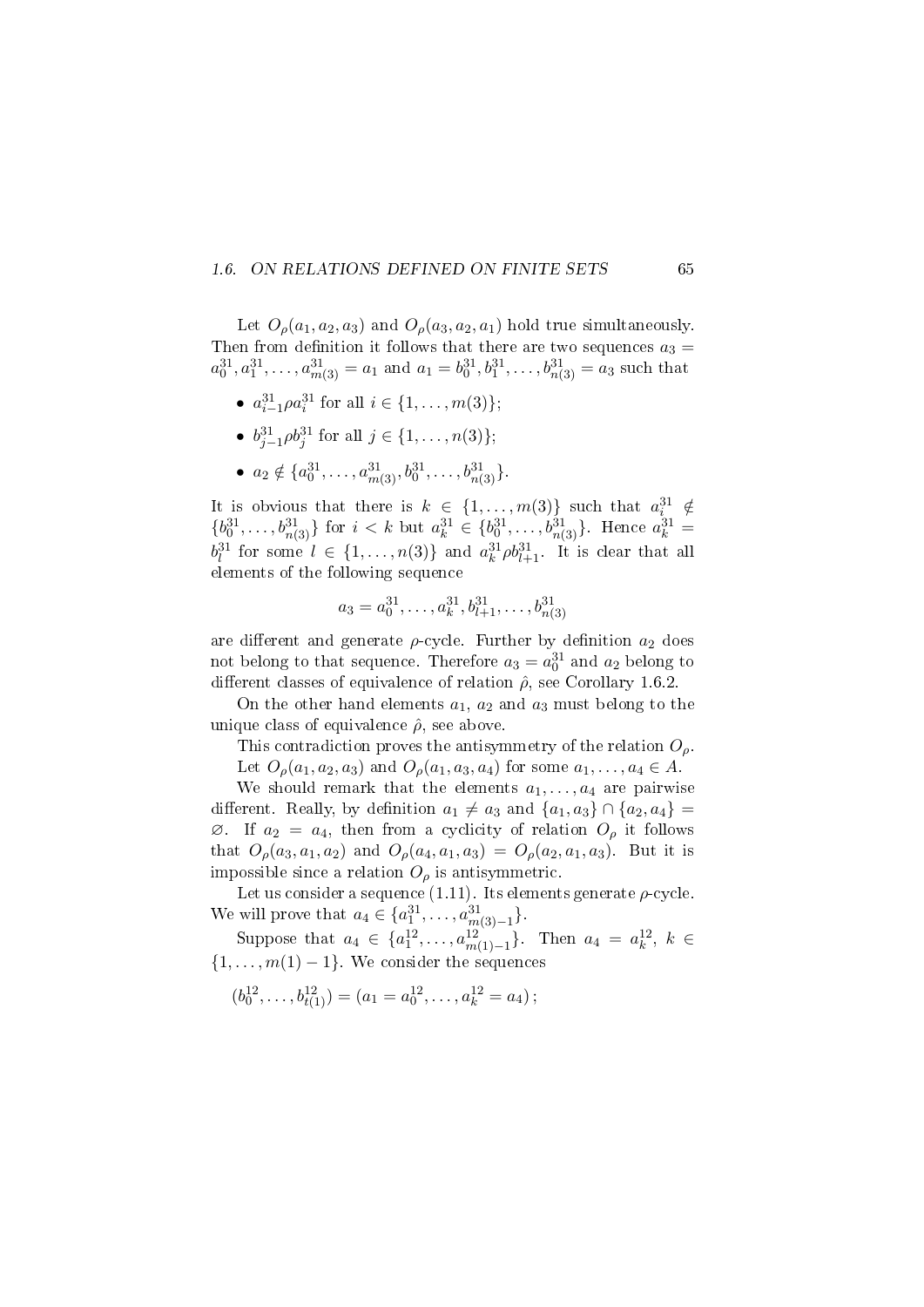### 1.6. ON RELATIONS DEFINED ON FINITE SETS 65

Let  $O_\rho(a_1, a_2, a_3)$  and  $O_\rho(a_3, a_2, a_1)$  hold true simultaneously. Then from definition it follows that there are two sequences  $a_3 =$  $a_0^{31}, a_1^{31}, \ldots, a_{m(3)}^{31} = a_1$  and  $a_1 = b_0^{31}, b_1^{31}, \ldots, b_{n(3)}^{31} = a_3$  such that

- $a_{i-1}^{31} \rho a_i^{31}$  for all  $i \in \{1, \ldots, m(3)\};$
- $b_{j-1}^{31} \rho b_j^{31}$  for all  $j \in \{1, \ldots, n(3)\};$
- $a_2 \notin \{a_0^{31}, \ldots, a_{m(3)}^{31}, b_0^{31}, \ldots, b_{n(3)}^{31}\}.$

It is obvious that there is  $k \in \{1, \ldots, m(3)\}$  such that  $a_i^{31} \notin$  ${b_0^{31}, \ldots, b_{n(3)}^{31}}$  for  $i < k$  but  $a_k^{31} \in {b_0^{31}, \ldots, b_{n(3)}^{31}}$ . Hence  $a_k^{31} =$  $b_l^{31}$  for some  $l \in \{1, \ldots, n(3)\}$  and  $a_k^{31} \rho b_{l+1}^{31}$ . It is clear that all elements of the following sequence

$$
a_3 = a_0^{31}, \dots, a_k^{31}, b_{l+1}^{31}, \dots, b_{n(3)}^{31}
$$

are different and generate  $\rho$ -cycle. Further by definition  $a_2$  does not belong to that sequence. Therefore  $a_3 = a_0^{31}$  and  $a_2$  belong to different classes of equivalence of relation  $\hat{\rho}$ , see Corollary 1.6.2.

On the other hand elements  $a_1, a_2$  and  $a_3$  must belong to the unique class of equivalence  $\hat{\rho}$ , see above.

This contradiction proves the antisymmetry of the relation  $O_{\rho}$ .

Let  $O_\rho(a_1, a_2, a_3)$  and  $O_\rho(a_1, a_3, a_4)$  for some  $a_1, \ldots, a_4 \in A$ .

We should remark that the elements  $a_1, \ldots, a_4$  are pairwise different. Really, by definition  $a_1 \neq a_3$  and  $\{a_1, a_3\} \cap \{a_2, a_4\}$  $\varnothing$ . If  $a_2 = a_4$ , then from a cyclicity of relation  $O_\rho$  it follows that  $O_{\rho}(a_3, a_1, a_2)$  and  $O_{\rho}(a_4, a_1, a_3) = O_{\rho}(a_2, a_1, a_3)$ . But it is impossible since a relation  $O_\rho$  is antisymmetric.

Let us consider a sequence (1.11). Its elements generate  $\rho$ -cycle. We will prove that  $a_4 \in \{a_1^{31}, \ldots, a_{m(3)-1}^{31}\}.$ 

Suppose that  $a_4 \in \{a_1^{12}, \ldots, a_{m(1)-1}^{12}\}$ . Then  $a_4 = a_k^{12}, k \in$  $\{1, \ldots, m(1) - 1\}$ . We consider the sequences

 $(b_0^{12}, \ldots, b_{t(1)}^{12}) = (a_1 = a_0^{12}, \ldots, a_k^{12} = a_4);$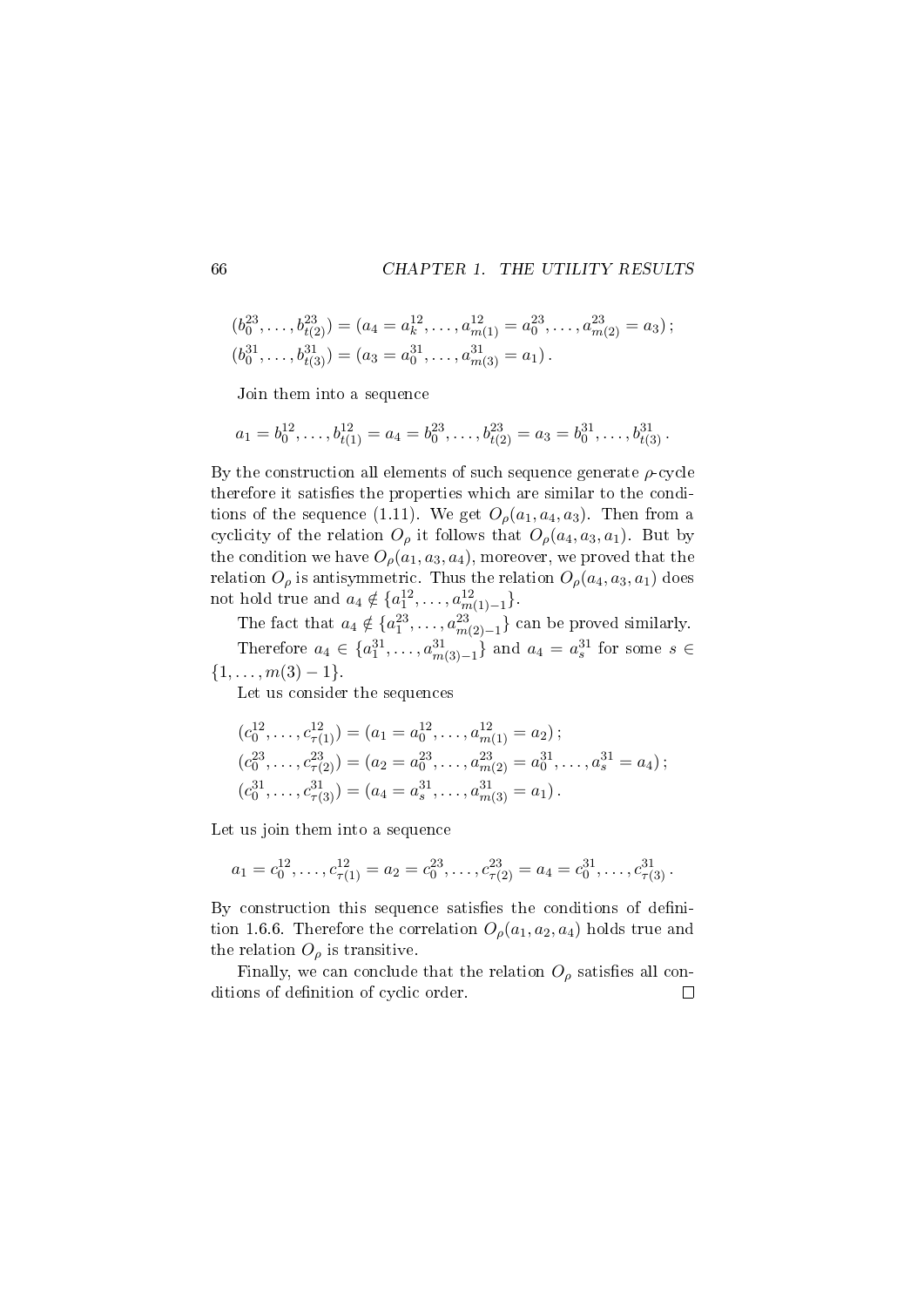$$
(b_0^{23}, \ldots, b_{t(2)}^{23}) = (a_4 = a_k^{12}, \ldots, a_{m(1)}^{12}) = a_0^{23}, \ldots, a_{m(2)}^{23} = a_3);
$$
  

$$
(b_0^{31}, \ldots, b_{t(3)}^{31}) = (a_3 = a_0^{31}, \ldots, a_{m(3)}^{31} = a_1).
$$

Join them into a sequence

$$
a_1 = b_0^{12}, \dots, b_{t(1)}^{12} = a_4 = b_0^{23}, \dots, b_{t(2)}^{23} = a_3 = b_0^{31}, \dots, b_{t(3)}^{31}.
$$

By the construction all elements of such sequence generate  $\rho$ -cycle therefore it satisfies the properties which are similar to the conditions of the sequence (1.11). We get  $O_\rho(a_1, a_4, a_3)$ . Then from a cyclicity of the relation  $O_\rho$  it follows that  $O_\rho(a_4, a_3, a_1)$ . But by the condition we have  $O_\rho(a_1, a_3, a_4)$ , moreover, we proved that the relation  $O_\rho$  is antisymmetric. Thus the relation  $O_\rho(a_4, a_3, a_1)$  does not hold true and  $a_4 \notin \{a_1^{12}, \ldots, a_{m(1)-1}^{12}\}.$ 

The fact that  $a_4 \notin \{a_1^{23}, \ldots, a_{m(2)-1}^{23}\}$  can be proved similarly. Therefore  $a_4 \in \{a_1^{31}, \ldots, a_{m(3)-1}^{31}\}$  and  $a_4 = a_s^{31}$  for some  $s \in$  $\{1, \ldots, m(3) - 1\}.$ 

Let us consider the sequences

$$
(c_0^{12}, \dots, c_{\tau(1)}^{12}) = (a_1 = a_0^{12}, \dots, a_{m(1)}^{12} = a_2);
$$
  
\n
$$
(c_0^{23}, \dots, c_{\tau(2)}^{23}) = (a_2 = a_0^{23}, \dots, a_{m(2)}^{23} = a_0^{31}, \dots, a_s^{31} = a_4);
$$
  
\n
$$
(c_0^{31}, \dots, c_{\tau(3)}^{31}) = (a_4 = a_s^{31}, \dots, a_{m(3)}^{31} = a_1).
$$

Let us join them into a sequence

$$
a_1 = c_0^{12}, \ldots, c_{\tau(1)}^{12} = a_2 = c_0^{23}, \ldots, c_{\tau(2)}^{23} = a_4 = c_0^{31}, \ldots, c_{\tau(3)}^{31}
$$
.

By construction this sequence satisfies the conditions of definition 1.6.6. Therefore the correlation  $O_\rho(a_1, a_2, a_4)$  holds true and the relation  $O_\rho$  is transitive.

Finally, we can conclude that the relation  $O_\rho$  satisfies all conditions of definition of cyclic order.  $\Box$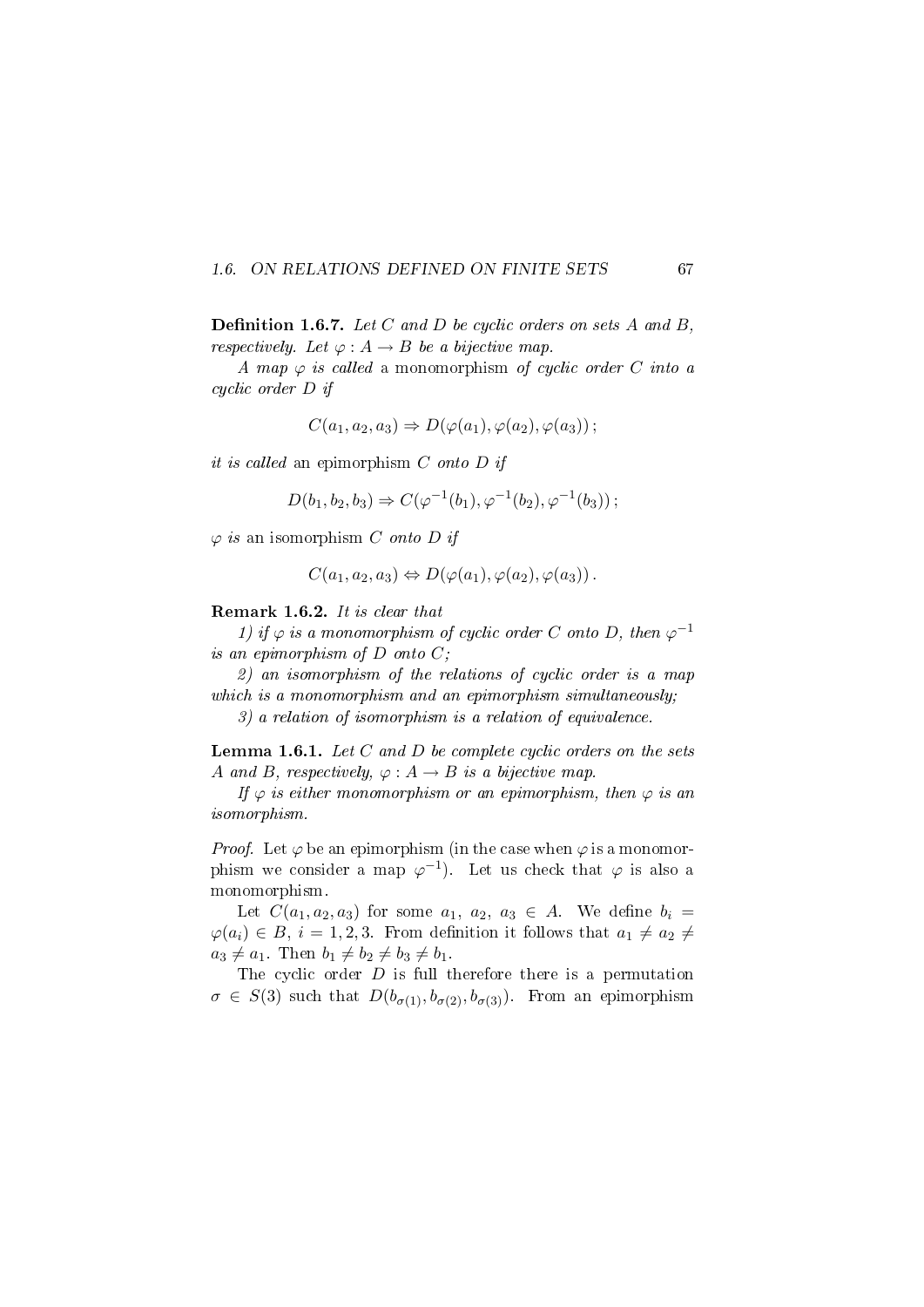### 1.6. ON RELATIONS DEFINED ON FINITE SETS 67

**Definition 1.6.7.** Let C and D be cyclic orders on sets A and B, respectively. Let  $\varphi : A \to B$  be a bijective map.

A map  $\varphi$  is called a monomorphism of cyclic order C into a cyclic order D if

$$
C(a_1, a_2, a_3) \Rightarrow D(\varphi(a_1), \varphi(a_2), \varphi(a_3))
$$
;

it is called an epimorphism  $C$  onto  $D$  if

$$
D(b_1, b_2, b_3) \Rightarrow C(\varphi^{-1}(b_1), \varphi^{-1}(b_2), \varphi^{-1}(b_3));
$$

 $\varphi$  is an isomorphism C onto D if

$$
C(a_1, a_2, a_3) \Leftrightarrow D(\varphi(a_1), \varphi(a_2), \varphi(a_3)) .
$$

#### Remark 1.6.2. It is clear that

1) if  $\varphi$  is a monomorphism of cyclic order C onto D, then  $\varphi^{-1}$ is an epimorphism of  $D$  onto  $C$ ;

2) an isomorphism of the relations of cyclic order is a map which is a monomorphism and an epimorphism simultaneously;

3) a relation of isomorphism is a relation of equivalence.

**Lemma 1.6.1.** Let  $C$  and  $D$  be complete cyclic orders on the sets A and B, respectively,  $\varphi : A \to B$  is a bijective map.

If  $\varphi$  is either monomorphism or an epimorphism, then  $\varphi$  is an isomorphism.

*Proof.* Let  $\varphi$  be an epimorphism (in the case when  $\varphi$  is a monomorphism we consider a map  $\varphi^{-1}$ ). Let us check that  $\varphi$  is also a monomorphism.

Let  $C(a_1, a_2, a_3)$  for some  $a_1, a_2, a_3 \in A$ . We define  $b_i =$  $\varphi(a_i) \in B, i = 1, 2, 3$ . From definition it follows that  $a_1 \neq a_2 \neq a_1$  $a_3 \neq a_1$ . Then  $b_1 \neq b_2 \neq b_3 \neq b_1$ .

The cyclic order  $D$  is full therefore there is a permutation  $\sigma \in S(3)$  such that  $D(b_{\sigma(1)}, b_{\sigma(2)}, b_{\sigma(3)})$ . From an epimorphism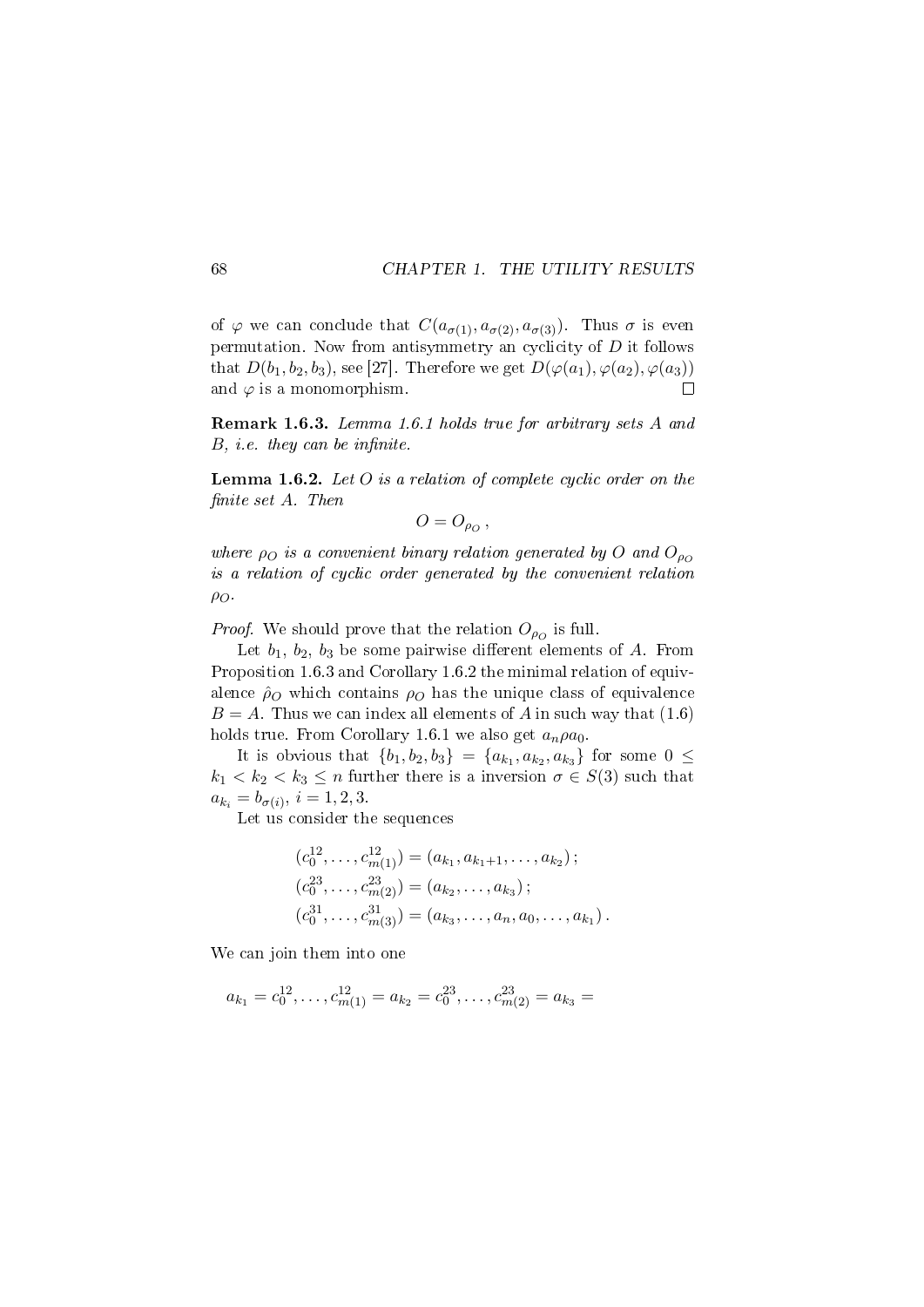of  $\varphi$  we can conclude that  $C(a_{\sigma(1)}, a_{\sigma(2)}, a_{\sigma(3)})$ . Thus  $\sigma$  is even permutation. Now from antisymmetry an cyclicity of  $D$  it follows that  $D(b_1, b_2, b_3)$ , see [27]. Therefore we get  $D(\varphi(a_1), \varphi(a_2), \varphi(a_3))$ and  $\varphi$  is a monomorphism.  $\Box$ 

Remark 1.6.3. Lemma 1.6.1 holds true for arbitrary sets A and  $B$ , *i.e.* they can be infinite.

**Lemma 1.6.2.** Let  $O$  is a relation of complete cyclic order on the nite set A. Then

$$
O=O_{\rho_O}\,,
$$

where  $\rho_O$  is a convenient binary relation generated by O and  $O_{\rho_O}$ is a relation of cyclic order generated by the convenient relation  $\rho_O$ .

*Proof.* We should prove that the relation  $O_{\rho^o}$  is full.

Let  $b_1, b_2, b_3$  be some pairwise different elements of A. From Proposition 1.6.3 and Corollary 1.6.2 the minimal relation of equivalence  $\hat{\rho}_O$  which contains  $\rho_O$  has the unique class of equivalence  $B = A$ . Thus we can index all elements of A in such way that  $(1.6)$ holds true. From Corollary 1.6.1 we also get  $a_n \rho a_0$ .

It is obvious that  $\{b_1, b_2, b_3\} = \{a_{k_1}, a_{k_2}, a_{k_3}\}$  for some  $0 \leq$  $k_1 < k_2 < k_3 \leq n$  further there is a inversion  $\sigma \in S(3)$  such that  $a_{k_i} = b_{\sigma(i)}, i = 1, 2, 3.$ 

Let us consider the sequences

$$
(c_0^{12}, \ldots, c_{m(1)}^{12}) = (a_{k_1}, a_{k_1+1}, \ldots, a_{k_2})
$$
  
\n
$$
(c_0^{23}, \ldots, c_{m(2)}^{23}) = (a_{k_2}, \ldots, a_{k_3})
$$
  
\n
$$
(c_0^{31}, \ldots, c_{m(3)}^{31}) = (a_{k_3}, \ldots, a_n, a_0, \ldots, a_{k_1}).
$$

We can join them into one

$$
a_{k_1} = c_0^{12}, \dots, c_{m(1)}^{12} = a_{k_2} = c_0^{23}, \dots, c_{m(2)}^{23} = a_{k_3} =
$$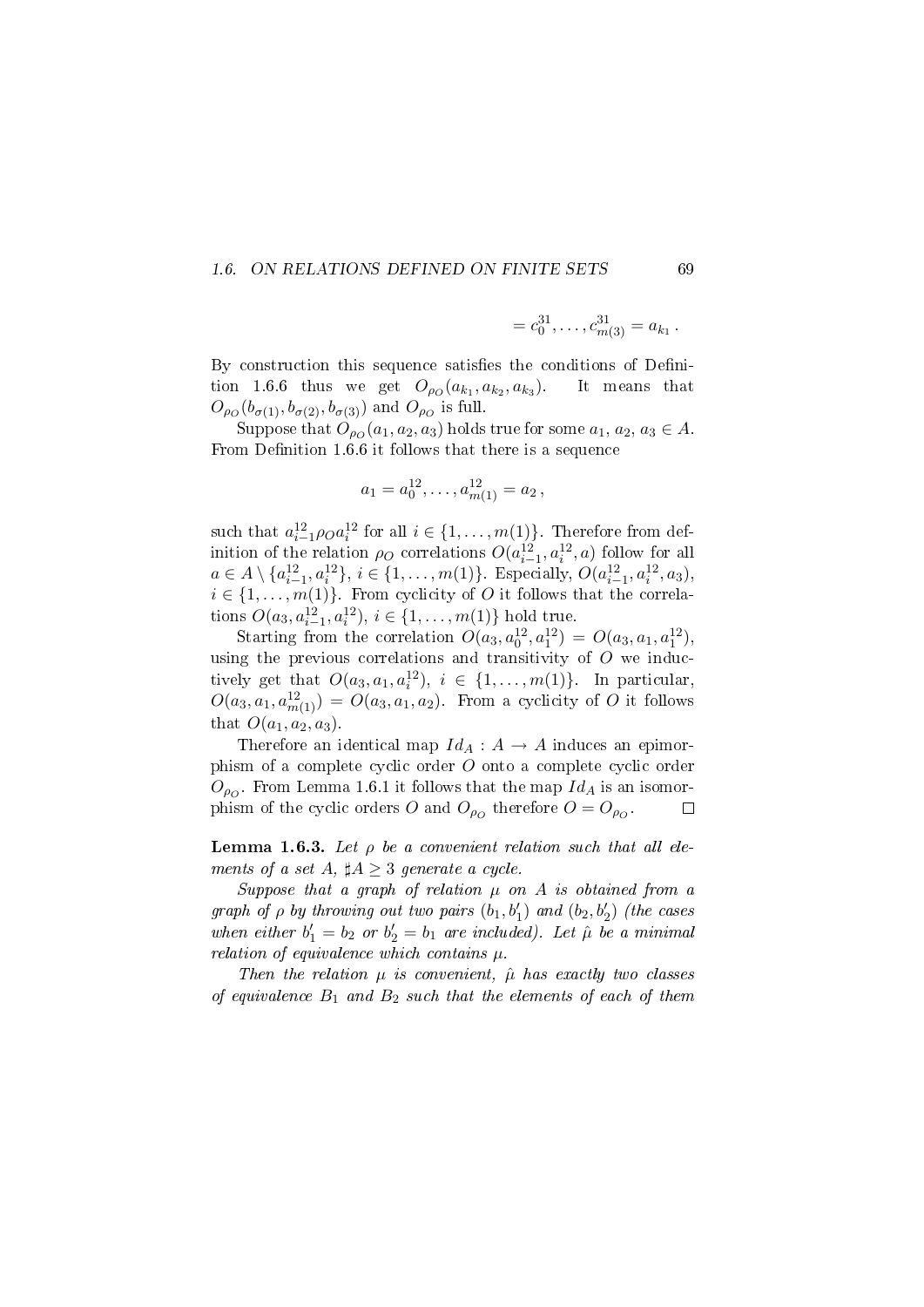#### 1.6. ON RELATIONS DEFINED ON FINITE SETS 69

$$
= c_0^{31}, \ldots, c_{m(3)}^{31} = a_{k_1} \, .
$$

By construction this sequence satisfies the conditions of Definition 1.6.6 thus we get  $O_{\rho_O}(a_{k_1}, a_{k_2}, a_{k_3})$ ). It means that  $O_{\rho_O}(b_{\sigma(1)}, b_{\sigma(2)}, b_{\sigma(3)})$  and  $O_{\rho_O}$  is full.

Suppose that  $O_{\rho O}(a_1, a_2, a_3)$  holds true for some  $a_1, a_2, a_3 \in A$ . From Definition 1.6.6 it follows that there is a sequence

$$
a_1 = a_0^{12}, \dots, a_{m(1)}^{12} = a_2,
$$

such that  $a_{i-1}^{12} \rho_0 a_i^{12}$  for all  $i \in \{1, \ldots, m(1)\}$ . Therefore from definition of the relation  $\rho_O$  correlations  $O(a_{i-1}^{12}, a_i^{12}, a)$  follow for all  $a \in A \setminus \{a_{i-1}^{12}, a_i^{12}\}, i \in \{1, \ldots, m(1)\}\.$  Especially,  $O(a_{i-1}^{12}, a_i^{12}, a_3)$ ,  $i \in \{1, \ldots, m(1)\}$ . From cyclicity of O it follows that the correlations  $O(a_3, a_{i-1}^{12}, a_i^{12}), i \in \{1, ..., m(1)\}$  hold true.

Starting from the correlation  $O(a_3, a_0^{12}, a_1^{12}) = O(a_3, a_1, a_1^{12}),$ using the previous correlations and transitivity of  $O$  we inductively get that  $O(a_3, a_1, a_i^{12}), i \in \{1, ..., m(1)\}$ . In particular,  $O(a_3, a_1, a_{m(1)}^{12}) = O(a_3, a_1, a_2)$ . From a cyclicity of O it follows that  $O(a_1, a_2, a_3)$ .

Therefore an identical map  $Id_A : A \to A$  induces an epimorphism of a complete cyclic order O onto a complete cyclic order  $O_{\rho O}$ . From Lemma 1.6.1 it follows that the map  $Id_A$  is an isomorphism of the cyclic orders O and  $O_{\rho_O}$  therefore  $O = O_{\rho_O}$ .  $\Box$ 

**Lemma 1.6.3.** Let  $\rho$  be a convenient relation such that all elements of a set A,  $\sharp A \geq 3$  generate a cycle.

Suppose that a graph of relation  $\mu$  on  $A$  is obtained from a graph of  $\rho$  by throwing out two pairs  $(b_1, b'_1)$  and  $(b_2, b'_2)$  (the cases when either  $b'_1 = b_2$  or  $b'_2 = b_1$  are included). Let  $\hat{\mu}$  be a minimal relation of equivalence which contains  $\mu$ .

Then the relation  $\mu$  is convenient,  $\hat{\mu}$  has exactly two classes of equivalence  $B_1$  and  $B_2$  such that the elements of each of them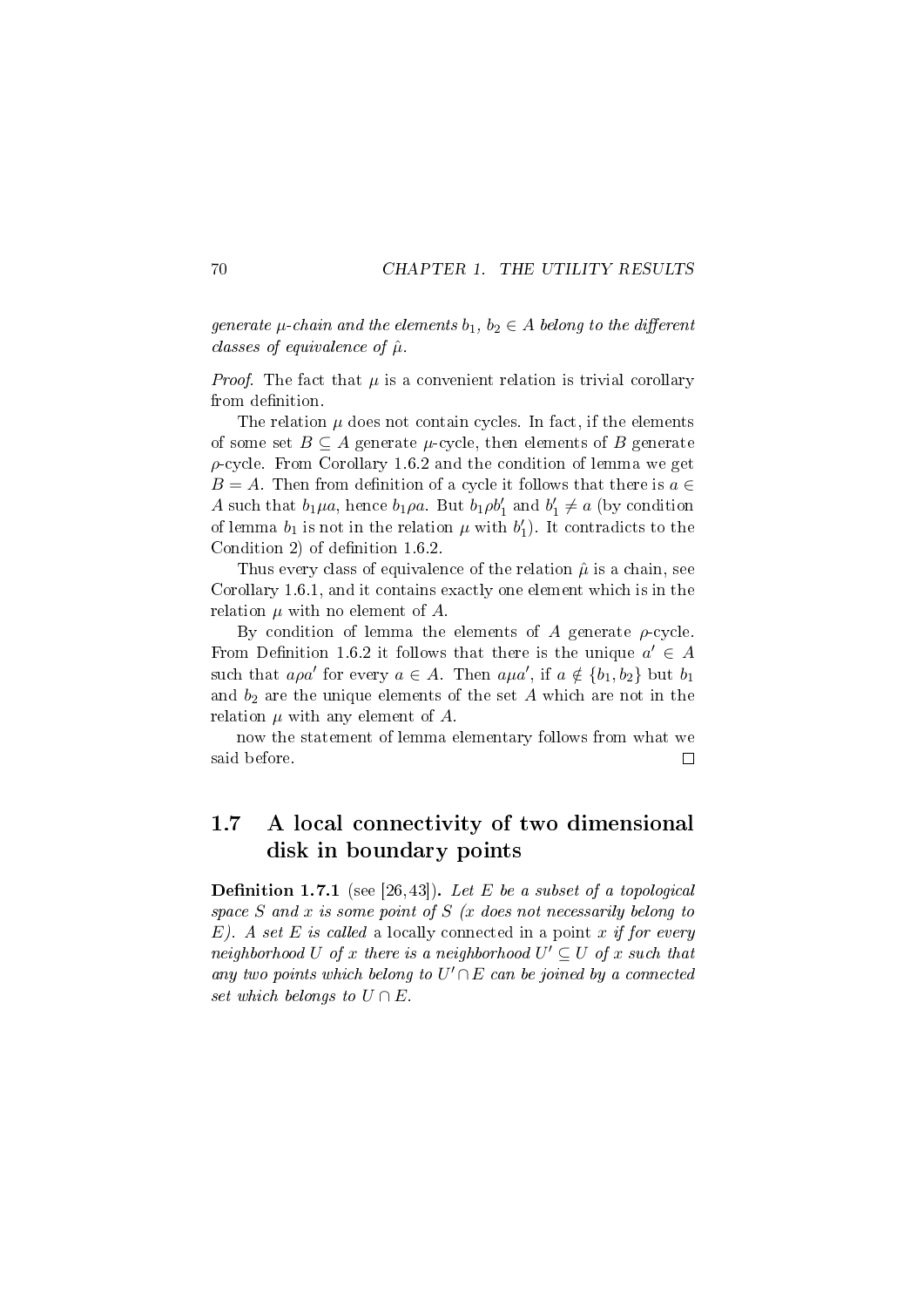generate  $\mu$ -chain and the elements  $b_1, b_2 \in A$  belong to the different classes of equivalence of  $\hat{\mu}$ .

*Proof.* The fact that  $\mu$  is a convenient relation is trivial corollary from definition.

The relation  $\mu$  does not contain cycles. In fact, if the elements of some set  $B \subseteq A$  generate  $\mu$ -cycle, then elements of B generate  $\rho$ -cycle. From Corollary 1.6.2 and the condition of lemma we get  $B = A$ . Then from definition of a cycle it follows that there is  $a \in$ A such that  $b_1\mu a$ , hence  $b_1\rho a$ . But  $b_1\rho b_1'$  and  $b_1' \neq a$  (by condition of lemma  $b_1$  is not in the relation  $\mu$  with  $b'_1$ ). It contradicts to the Condition 2) of definition  $1.6.2$ .

Thus every class of equivalence of the relation  $\hat{\mu}$  is a chain, see Corollary 1.6.1, and it contains exactly one element which is in the relation  $\mu$  with no element of  $A$ .

By condition of lemma the elements of A generate  $\rho$ -cycle. From Definition 1.6.2 it follows that there is the unique  $a' \in A$ such that  $a\rho a'$  for every  $a \in A$ . Then  $a\mu a'$ , if  $a \notin \{b_1, b_2\}$  but  $b_1$ and  $b_2$  are the unique elements of the set  $A$  which are not in the relation  $\mu$  with any element of  $A$ .

now the statement of lemma elementary follows from what we said before.  $\Box$ 

# 1.7 A local connectivity of two dimensional disk in boundary points

**Definition 1.7.1** (see [26, 43]). Let E be a subset of a topological space  $S$  and  $x$  is some point of  $S$  ( $x$  does not necessarily belong to  $E$ ). A set E is called a locally connected in a point x if for every neighborhood U of x there is a neighborhood  $U' \subseteq U$  of x such that any two points which belong to  $U' \cap E$  can be joined by a connected set which belongs to  $U \cap E$ .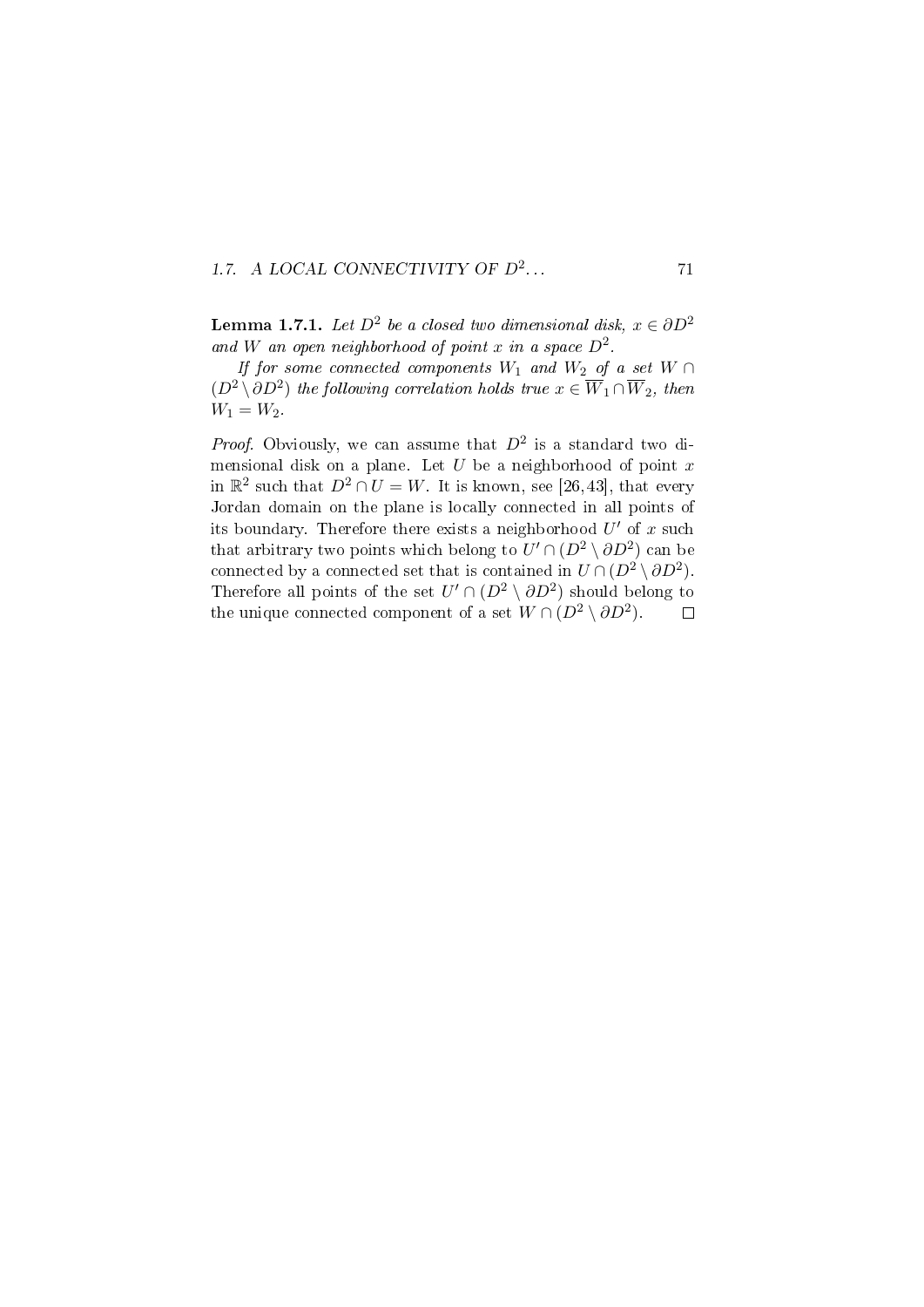### 1.7. A LOCAL CONNECTIVITY OF  $D^2$ ...  $71$

**Lemma 1.7.1.** Let  $D^2$  be a closed two dimensional disk,  $x \in \partial D^2$ and W an open neighborhood of point x in a space  $D^2$ .

If for some connected components  $W_1$  and  $W_2$  of a set  $W \cap$  $(D^2 \setminus \partial D^2)$  the following correlation holds true  $x \in \overline{W}_1 \cap \overline{W}_2$ , then  $W_1 = W_2$ .

*Proof.* Obviously, we can assume that  $D^2$  is a standard two dimensional disk on a plane. Let  $U$  be a neighborhood of point  $x$ in  $\mathbb{R}^2$  such that  $D^2 \cap U = W$ . It is known, see [26,43], that every Jordan domain on the plane is locally connected in all points of its boundary. Therefore there exists a neighborhood  $U'$  of x such that arbitrary two points which belong to  $U' \cap (D^2 \setminus \partial D^2)$  can be connected by a connected set that is contained in  $U \cap (D^2 \setminus \partial D^2)$ . Therefore all points of the set  $U' \cap (D^2 \setminus \partial D^2)$  should belong to the unique connected component of a set  $W \cap (D^2 \setminus \partial D^2)$ .  $\Box$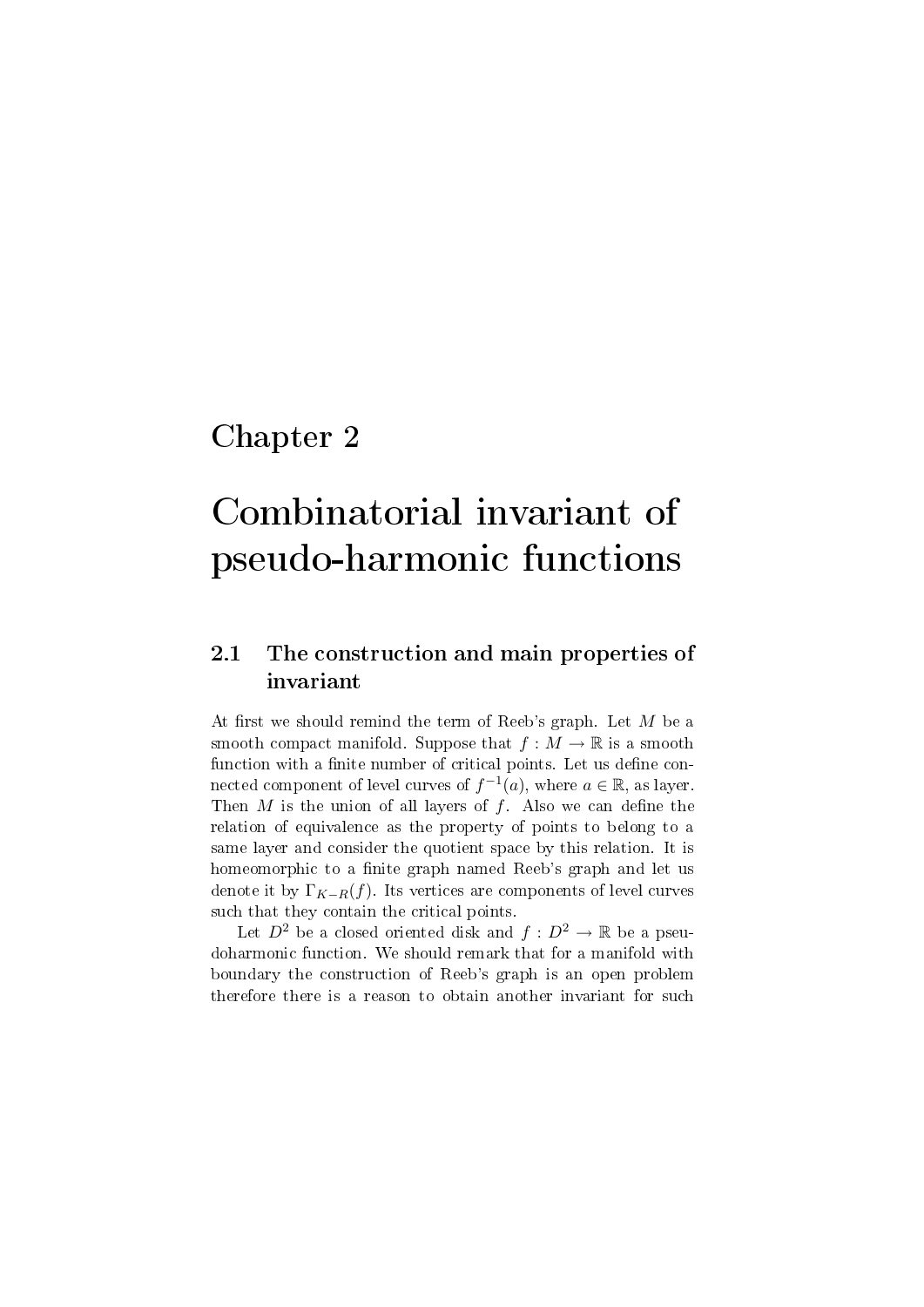# Chapter 2

# Combinatorial invariant of pseudo-harmonic functions

# 2.1 The construction and main properties of invariant

At first we should remind the term of Reeb's graph. Let  $M$  be a smooth compact manifold. Suppose that  $f : M \to \mathbb{R}$  is a smooth function with a finite number of critical points. Let us define connected component of level curves of  $f^{-1}(a)$ , where  $a \in \mathbb{R}$ , as layer. Then  $M$  is the union of all layers of  $f$ . Also we can define the relation of equivalence as the property of points to belong to a same layer and consider the quotient space by this relation. It is homeomorphic to a finite graph named Reeb's graph and let us denote it by  $\Gamma_{K-R}(f)$ . Its vertices are components of level curves such that they contain the critical points.

Let  $D^2$  be a closed oriented disk and  $f: D^2 \to \mathbb{R}$  be a pseudoharmonic function. We should remark that for a manifold with boundary the construction of Reeb's graph is an open problem therefore there is a reason to obtain another invariant for such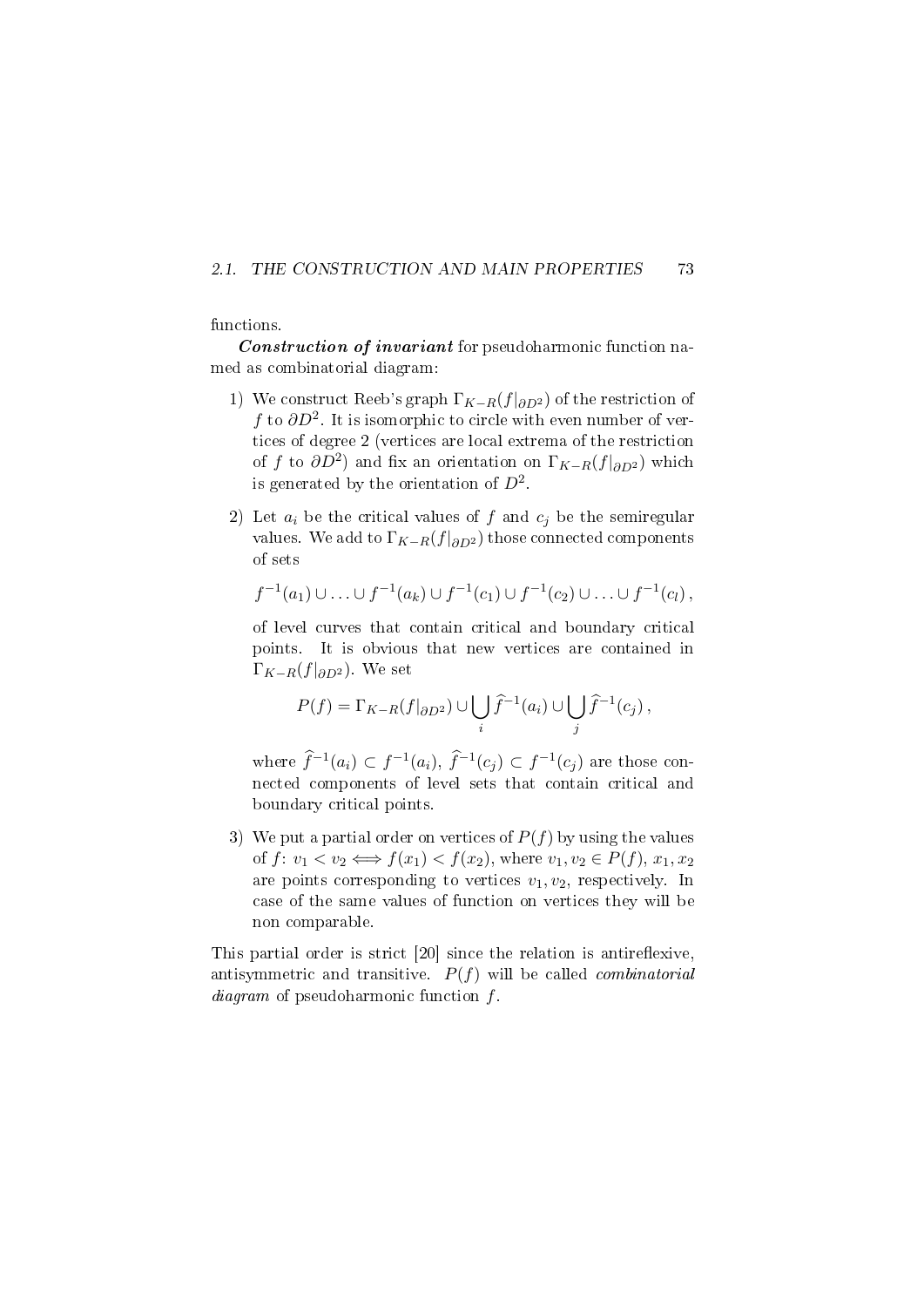#### 2.1. THE CONSTRUCTION AND MAIN PROPERTIES 73

#### functions.

Construction of invariant for pseudoharmonic function named as combinatorial diagram:

- 1) We construct Reeb's graph  $\Gamma_{K-R}(f|_{\partial D^2})$  of the restriction of f to  $\partial D^2$ . It is isomorphic to circle with even number of vertices of degree 2 (vertices are local extrema of the restriction of f to  $\partial D^2$ ) and fix an orientation on  $\Gamma_{K-R}(f|_{\partial D^2})$  which is generated by the orientation of  $D^2$ .
- 2) Let  $a_i$  be the critical values of f and  $c_i$  be the semiregular values. We add to  $\Gamma_{K-R}(f|_{\partial D^2})$  those connected components of sets

$$
f^{-1}(a_1) \cup \ldots \cup f^{-1}(a_k) \cup f^{-1}(c_1) \cup f^{-1}(c_2) \cup \ldots \cup f^{-1}(c_l),
$$

of level curves that contain critical and boundary critical points. It is obvious that new vertices are contained in  $\Gamma_{K-R}(f|_{\partial D^2})$ . We set

$$
P(f) = \Gamma_{K-R}(f|_{\partial D^2}) \cup \bigcup_i \widehat{f}^{-1}(a_i) \cup \bigcup_j \widehat{f}^{-1}(c_j),
$$

where  $\widehat{f}^{-1}(a_i) \subset f^{-1}(a_i)$ ,  $\widehat{f}^{-1}(c_j) \subset f^{-1}(c_j)$  are those connected components of level sets that contain critical and boundary critical points.

3) We put a partial order on vertices of  $P(f)$  by using the values of  $f: v_1 < v_2 \Longleftrightarrow f(x_1) < f(x_2)$ , where  $v_1, v_2 \in P(f), x_1, x_2$ are points corresponding to vertices  $v_1, v_2$ , respectively. In case of the same values of function on vertices they will be non comparable.

This partial order is strict  $[20]$  since the relation is antireflexive, antisymmetric and transitive.  $P(f)$  will be called *combinatorial* diagram of pseudoharmonic function f.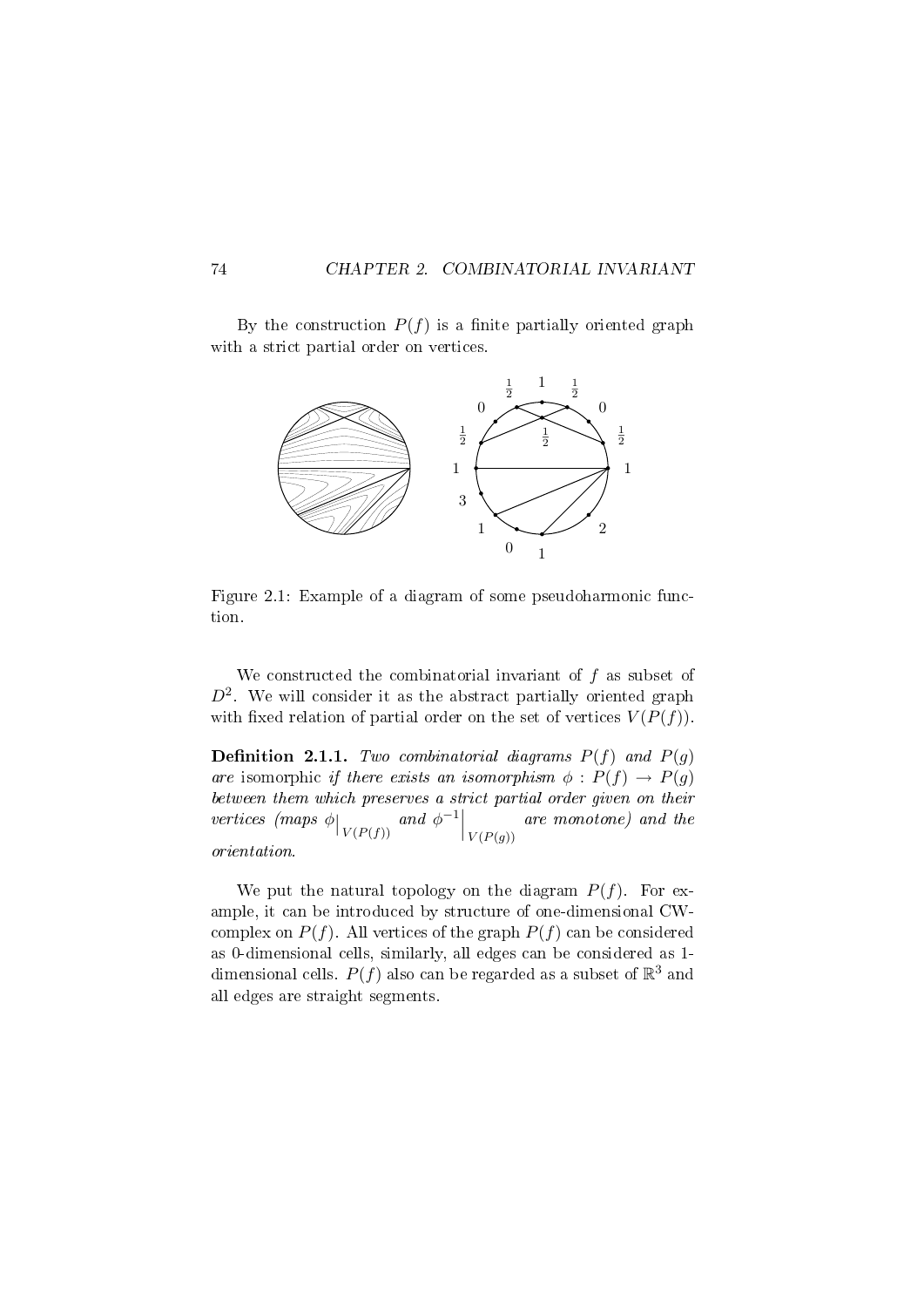By the construction  $P(f)$  is a finite partially oriented graph with a strict partial order on vertices.



Figure 2.1: Example of a diagram of some pseudoharmonic function.

We constructed the combinatorial invariant of f as subset of  $D^2$ . We will consider it as the abstract partially oriented graph with fixed relation of partial order on the set of vertices  $V(P(f))$ .

**Definition 2.1.1.** Two combinatorial diagrams  $P(f)$  and  $P(g)$ are isomorphic if there exists an isomorphism  $\phi : P(f) \to P(g)$ between them which preserves a strict partial order given on their vertices (maps  $\phi|_{V(P(f))}$  and  $\phi^{-1}|_{V(P(g))}$ are monotone) and the orientation.

We put the natural topology on the diagram  $P(f)$ . For example, it can be introduced by structure of one-dimensional CWcomplex on  $P(f)$ . All vertices of the graph  $P(f)$  can be considered as 0-dimensional cells, similarly, all edges can be considered as 1 dimensional cells.  $P(f)$  also can be regarded as a subset of  $\mathbb{R}^3$  and all edges are straight segments.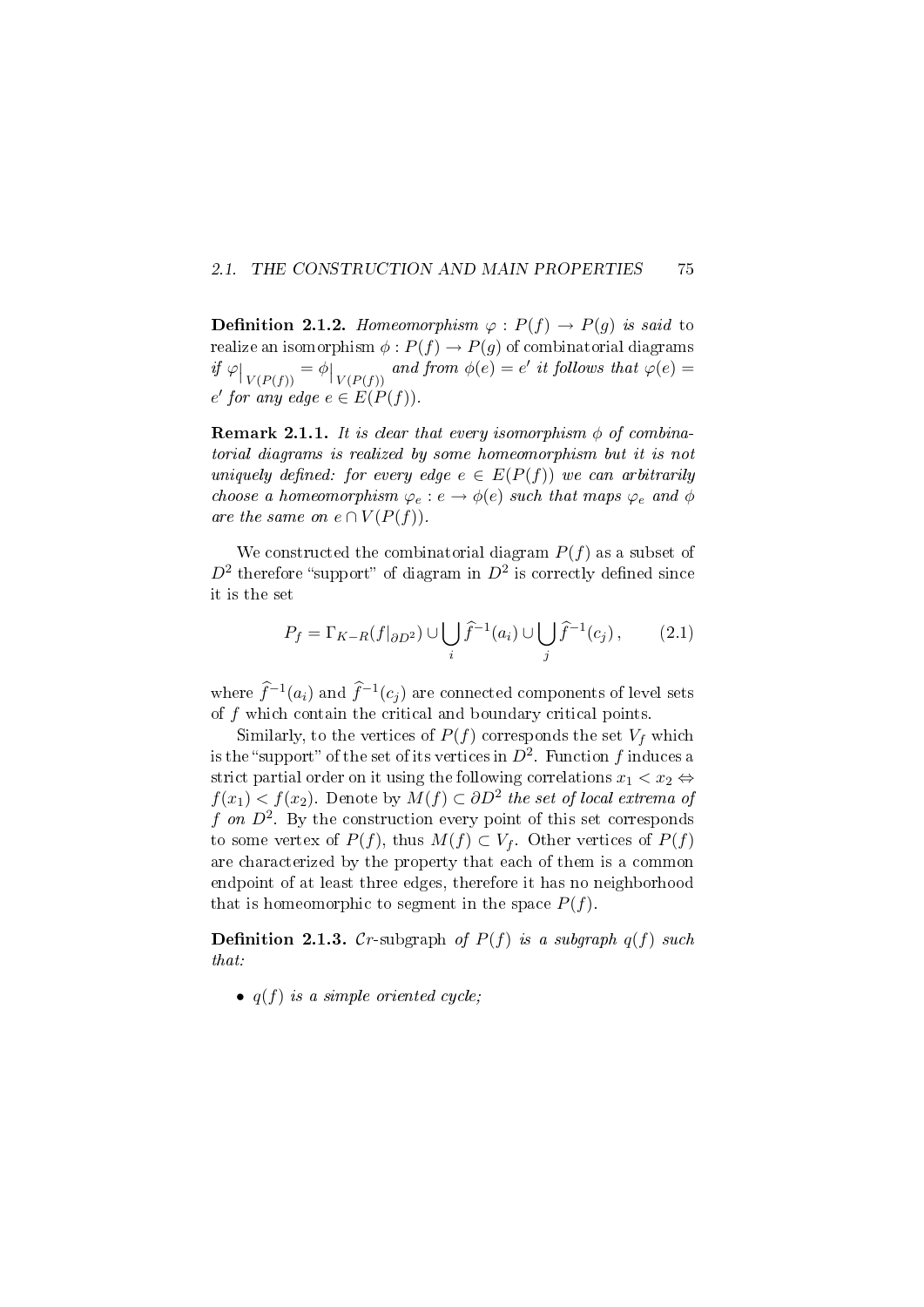#### 2.1. THE CONSTRUCTION AND MAIN PROPERTIES 75

**Definition 2.1.2.** Homeomorphism  $\varphi$ :  $P(f) \rightarrow P(g)$  is said to realize an isomorphism  $\phi: P(f) \to P(g)$  of combinatorial diagrams if  $\varphi|_{V(P(f))} = \varphi|_{V(P(f))}$  and from  $\varphi(e) = e'$  it follows that  $\varphi(e) =$  $e'$  for any edge  $e \in E(P(f))$ .

**Remark 2.1.1.** It is clear that every isomorphism  $\phi$  of combinatorial diagrams is realized by some homeomorphism but it is not uniquely defined: for every edge  $e \in E(P(f))$  we can arbitrarily choose a homeomorphism  $\varphi_e : e \to \phi(e)$  such that maps  $\varphi_e$  and  $\phi$ are the same on  $e \cap V(P(f))$ .

We constructed the combinatorial diagram  $P(f)$  as a subset of  $D^2$  therefore "support" of diagram in  $D^2$  is correctly defined since it is the set

$$
P_f = \Gamma_{K-R}(f|_{\partial D^2}) \cup \bigcup_i \hat{f}^{-1}(a_i) \cup \bigcup_j \hat{f}^{-1}(c_j), \qquad (2.1)
$$

where  $\hat{f}^{-1}(a_i)$  and  $\hat{f}^{-1}(c_j)$  are connected components of level sets of  $f$  which contain the critical and boundary critical points.

Similarly, to the vertices of  $P(f)$  corresponds the set  $V_f$  which is the "support" of the set of its vertices in  $D^2$ . Function  $f$  induces a strict partial order on it using the following correlations  $x_1 < x_2 \Leftrightarrow$  $f(x_1) < f(x_2)$ . Denote by  $M(f) \subset \partial D^2$  the set of local extrema of f on  $D^2$ . By the construction every point of this set corresponds to some vertex of  $P(f)$ , thus  $M(f) \subset V_f$ . Other vertices of  $P(f)$ are characterized by the property that each of them is a common endpoint of at least three edges, therefore it has no neighborhood that is homeomorphic to segment in the space  $P(f)$ .

**Definition 2.1.3.** Cr-subgraph of  $P(f)$  is a subgraph  $q(f)$  such that:

•  $q(f)$  is a simple oriented cycle;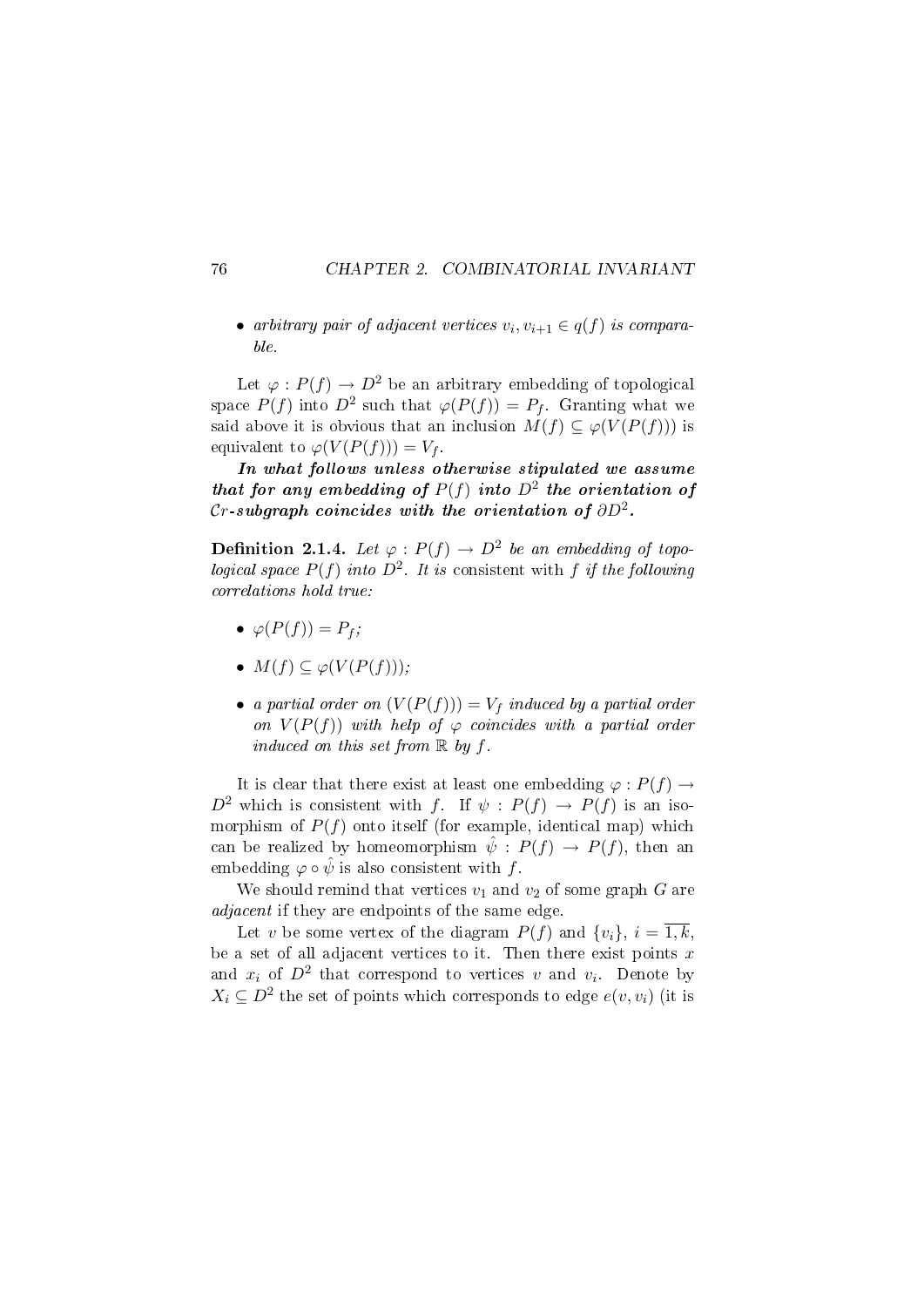• arbitrary pair of adjacent vertices  $v_i, v_{i+1} \in q(f)$  is comparable.

Let  $\varphi: P(f) \to D^2$  be an arbitrary embedding of topological space  $P(f)$  into  $D^2$  such that  $\varphi(P(f)) = P_f$ . Granting what we said above it is obvious that an inclusion  $M(f) \subseteq \varphi(V(P(f)))$  is equivalent to  $\varphi(V(P(f))) = V_f$ .

In what follows unless otherwise stipulated we assume that for any embedding of  $P(f)$  into  $D^2$  the orientation of Cr-subgraph coincides with the orientation of  $\partial D^2.$ 

**Definition 2.1.4.** Let  $\varphi : P(f) \to D^2$  be an embedding of topological space  $P(f)$  into  $D^2$ . It is consistent with f if the following correlations hold true:

- $\bullet \ \varphi(P(f)) = P_f;$
- $M(f) \subseteq \varphi(V(P(f)))$ ;
- a partial order on  $(V(P(f))) = V_f$  induced by a partial order on  $V(P(f))$  with help of  $\varphi$  coincides with a partial order induced on this set from  $\mathbb R$  by f.

It is clear that there exist at least one embedding  $\varphi : P(f) \rightarrow$  $D^2$  which is consistent with f. If  $\psi : P(f) \to P(f)$  is an isomorphism of  $P(f)$  onto itself (for example, identical map) which can be realized by homeomorphism  $\hat{\psi}: P(f) \to P(f)$ , then an embedding  $\varphi \circ \hat{\psi}$  is also consistent with f.

We should remind that vertices  $v_1$  and  $v_2$  of some graph G are adjacent if they are endpoints of the same edge.

Let v be some vertex of the diagram  $P(f)$  and  $\{v_i\}, i = \overline{1,k}$ , be a set of all adjacent vertices to it. Then there exist points  $x$ and  $x_i$  of  $D^2$  that correspond to vertices v and  $v_i$ . Denote by  $X_i \subseteq D^2$  the set of points which corresponds to edge  $e(v, v_i)$  (it is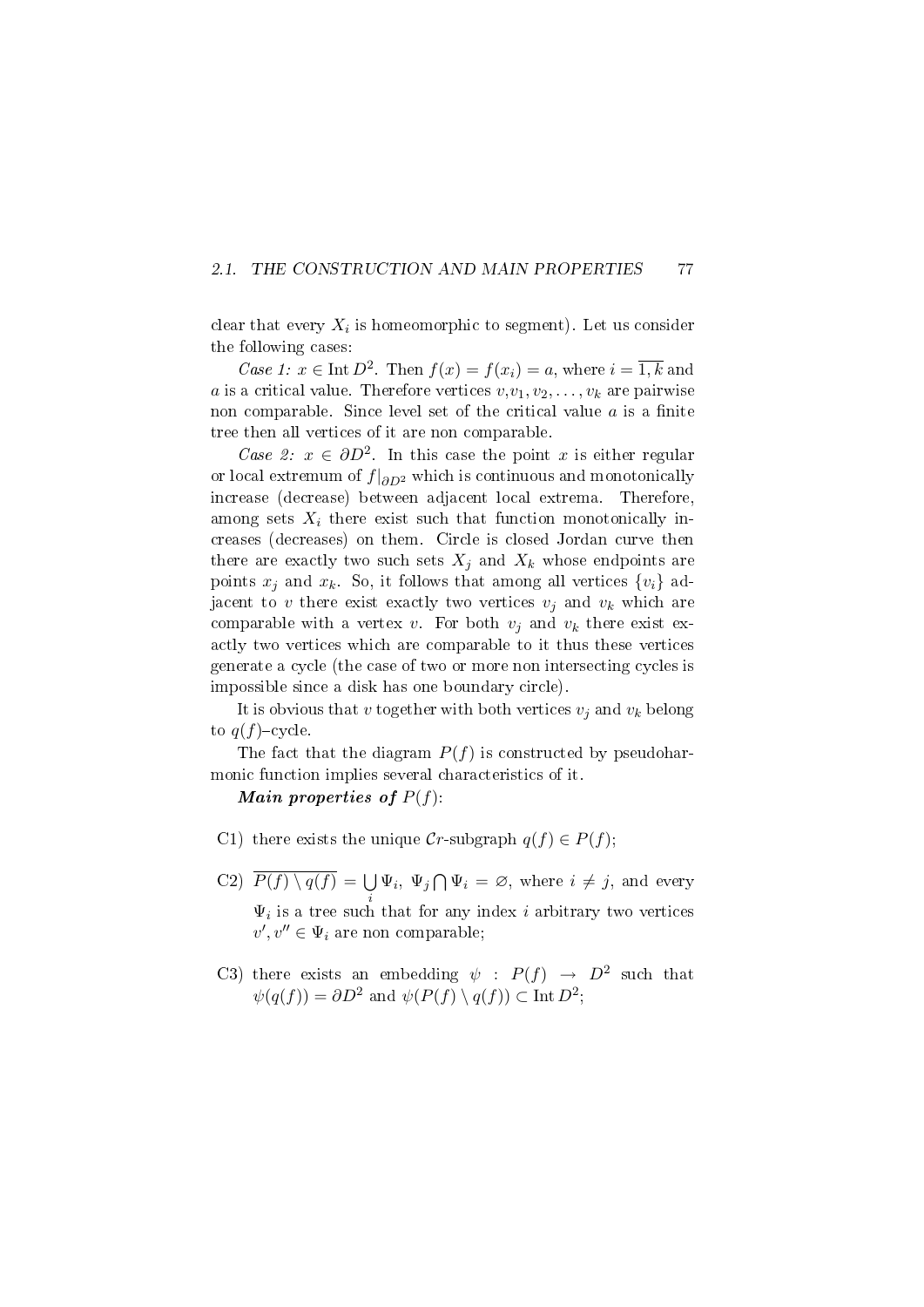#### 2.1. THE CONSTRUCTION AND MAIN PROPERTIES 77

clear that every  $X_i$  is homeomorphic to segment). Let us consider the following cases:

Case 1:  $x \in \text{Int } D^2$ . Then  $f(x) = f(x_i) = a$ , where  $i = \overline{1,k}$  and a is a critical value. Therefore vertices  $v, v_1, v_2, \ldots, v_k$  are pairwise non comparable. Since level set of the critical value  $a$  is a finite tree then all vertices of it are non comparable.

Case 2:  $x \in \partial D^2$ . In this case the point x is either regular or local extremum of  $f|_{\partial D^2}$  which is continuous and monotonically increase (decrease) between adjacent local extrema. Therefore, among sets  $X_i$  there exist such that function monotonically increases (decreases) on them. Circle is closed Jordan curve then there are exactly two such sets  $X_i$  and  $X_k$  whose endpoints are points  $x_j$  and  $x_k$ . So, it follows that among all vertices  $\{v_i\}$  adjacent to v there exist exactly two vertices  $v_i$  and  $v_k$  which are comparable with a vertex v. For both  $v_j$  and  $v_k$  there exist exactly two vertices which are comparable to it thus these vertices generate a cycle (the case of two or more non intersecting cycles is impossible since a disk has one boundary circle).

It is obvious that v together with both vertices  $v_i$  and  $v_k$  belong to  $q(f)$ -cycle.

The fact that the diagram  $P(f)$  is constructed by pseudoharmonic function implies several characteristics of it.

#### Main properties of  $P(f)$ :

- C1) there exists the unique  $Cr$ -subgraph  $q(f) \in P(f)$ ;
- C2)  $\overline{P(f)\setminus q(f)} = \bigcup \Psi_i, \Psi_j \bigcap \Psi_i = \varnothing$ , where  $i \neq j$ , and every  $\Psi_i$  is a tree such that for any index *i* arbitrary two vertices  $v', v'' \in \Psi_i$  are non comparable;
- C3) there exists an embedding  $\psi : P(f) \rightarrow D^2$  such that  $\psi(q(f)) = \partial D^2$  and  $\psi(P(f) \setminus q(f)) \subset \text{Int } D^2$ ;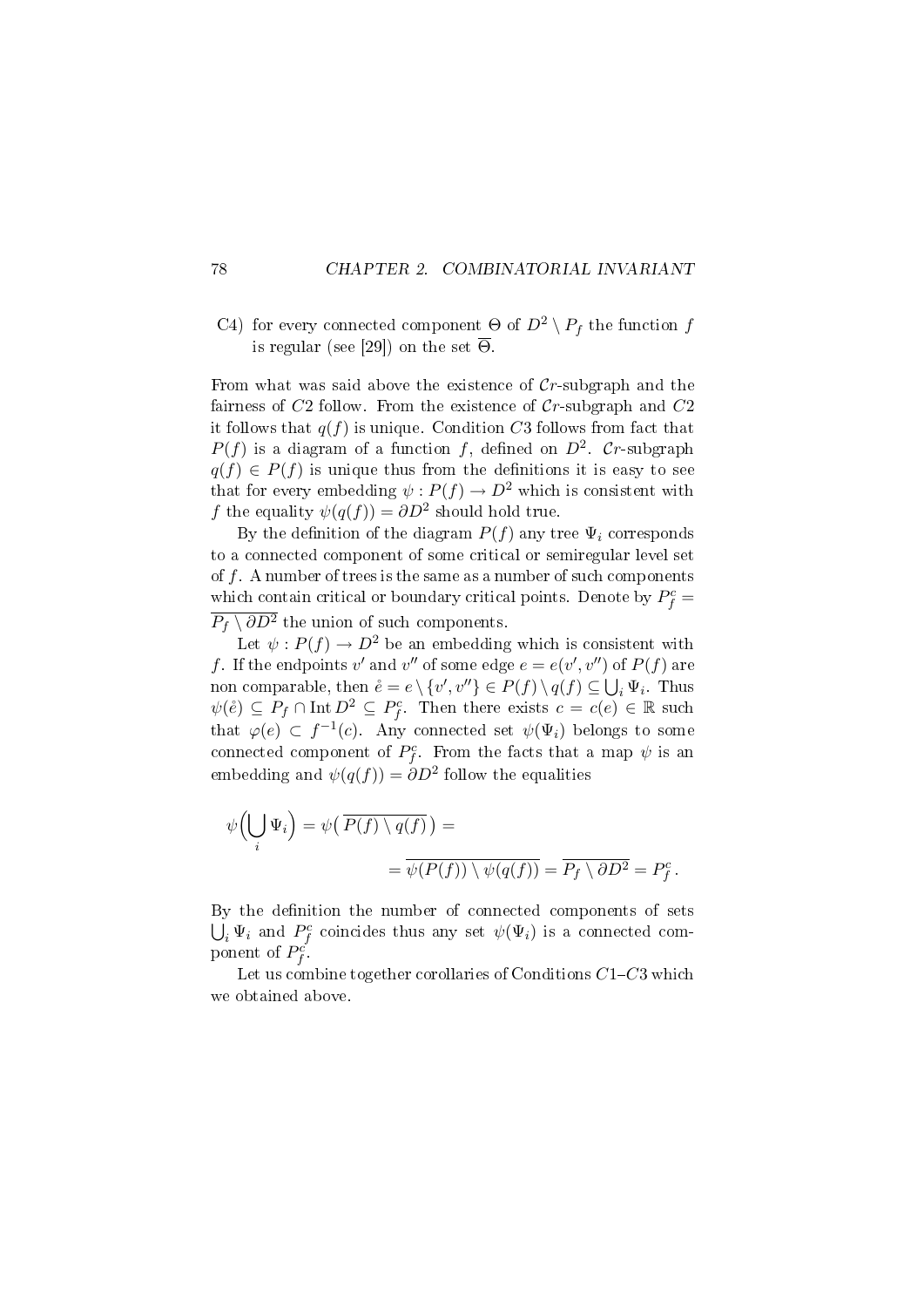C4) for every connected component  $\Theta$  of  $D^2 \setminus P_f$  the function f is regular (see [29]) on the set  $\overline{\Theta}$ .

From what was said above the existence of  $Cr$ -subgraph and the fairness of  $C2$  follow. From the existence of  $Cr$ -subgraph and  $C2$ it follows that  $q(f)$  is unique. Condition C3 follows from fact that  $P(f)$  is a diagram of a function f, defined on  $D^2$ . Cr-subgraph  $q(f) \in P(f)$  is unique thus from the definitions it is easy to see that for every embedding  $\psi : P(f) \to D^2$  which is consistent with f the equality  $\psi(q(f)) = \partial D^2$  should hold true.

By the definition of the diagram  $P(f)$  any tree  $\Psi_i$  corresponds to a connected component of some critical or semiregular level set of  $f$ . A number of trees is the same as a number of such components which contain critical or boundary critical points. Denote by  $P_f^c =$  $\overline{P_f \setminus \partial D^2}$  the union of such components.

Let  $\psi : P(f) \to D^2$  be an embedding which is consistent with f. If the endpoints v' and v'' of some edge  $e = e(v', v'')$  of  $P(f)$  are non comparable, then  $\mathring{e} = e \setminus \{v', v''\} \in P(f) \setminus q(f) \subseteq \bigcup_i \Psi_i$ . Thus  $\psi(\mathring{e}) \subseteq P_f \cap \text{Int } D^2 \subseteq P_f^c$ . Then there exists  $c = c(e) \in \mathbb{R}$  such that  $\varphi(e) \subset f^{-1}(c)$ . Any connected set  $\psi(\Psi_i)$  belongs to some connected component of  $P_f^c$ . From the facts that a map  $\psi$  is an embedding and  $\psi(q(f)) = \partial D^2$  follow the equalities

$$
\psi\left(\bigcup_{i} \Psi_{i}\right) = \psi\left(\overline{P(f) \setminus q(f)}\right) =
$$
  
= 
$$
\overline{\psi(P(f)) \setminus \psi(q(f))} = \overline{P_{f} \setminus \partial D^{2}} = P_{f}^{c}.
$$

By the definition the number of connected components of sets  $\bigcup_i \Psi_i$  and  $P_f^c$  coincides thus any set  $\psi(\Psi_i)$  is a connected component of  $P_f^{c'}$ .

Let us combine together corollaries of Conditions  $C1-C3$  which we obtained above.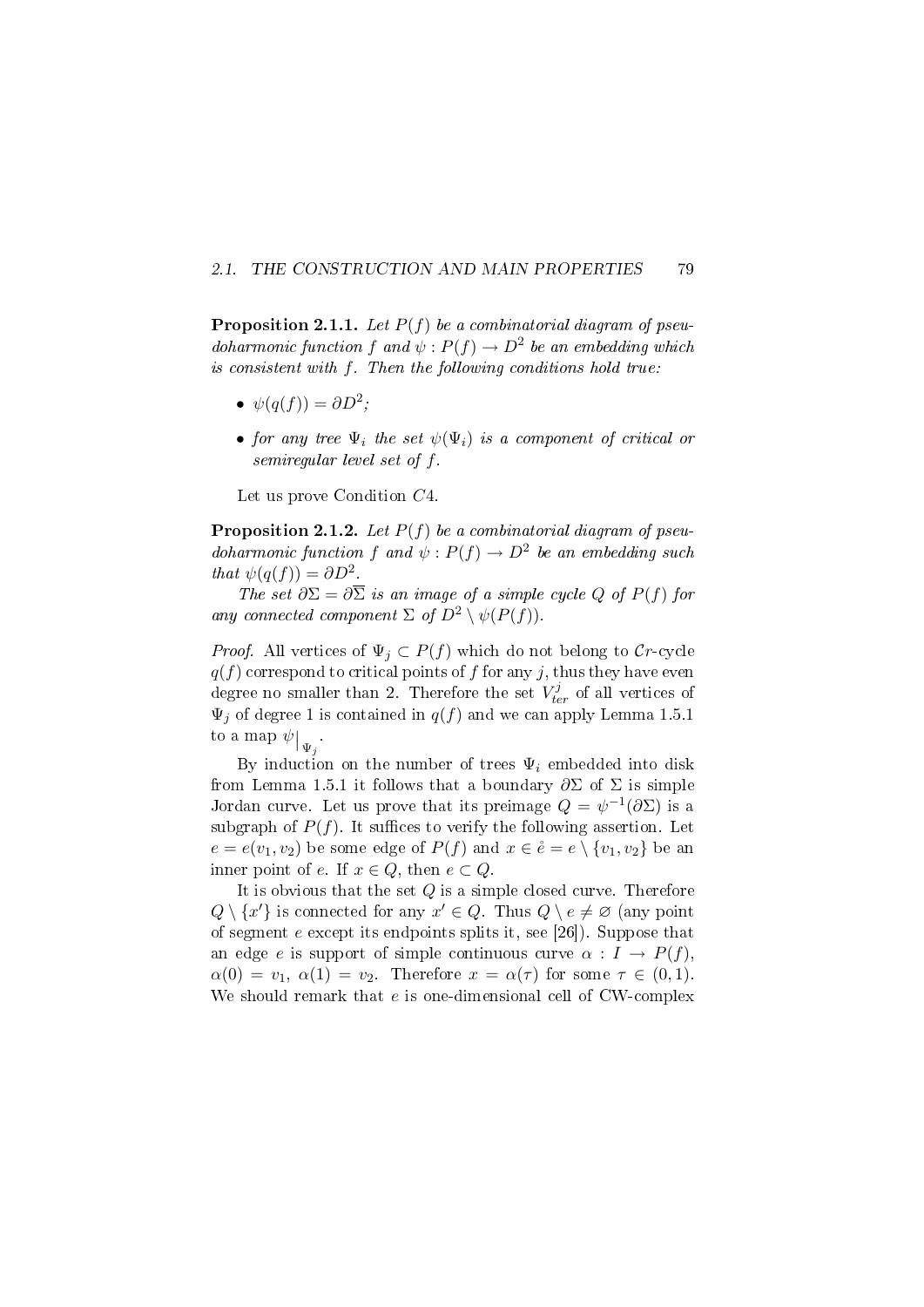#### 2.1. THE CONSTRUCTION AND MAIN PROPERTIES 79

**Proposition 2.1.1.** Let  $P(f)$  be a combinatorial diagram of pseudoharmonic function f and  $\psi : P(f) \to D^2$  be an embedding which is consistent with f. Then the following conditions hold true:

- $\psi(q(f)) = \partial D^2;$
- for any tree  $\Psi_i$  the set  $\psi(\Psi_i)$  is a component of critical or semiregular level set of f.

Let us prove Condition C4.

**Proposition 2.1.2.** Let  $P(f)$  be a combinatorial diagram of pseudoharmonic function f and  $\psi : P(f) \to D^2$  be an embedding such that  $\psi(q(f)) = \partial D^2$ .

The set  $\partial \Sigma = \partial \overline{\Sigma}$  is an image of a simple cycle Q of  $P(f)$  for any connected component  $\Sigma$  of  $D^2 \setminus \psi(P(f))$ .

*Proof.* All vertices of  $\Psi_j \subset P(f)$  which do not belong to Cr-cycle  $q(f)$  correspond to critical points of f for any j, thus they have even degree no smaller than 2. Therefore the set  $V_{ter}^{j}$  of all vertices of  $\Psi_j$  of degree 1 is contained in  $q(f)$  and we can apply Lemma 1.5.1 to a map  $\psi|_{\Psi_j}$ .

By induction on the number of trees  $\Psi_i$  embedded into disk from Lemma 1.5.1 it follows that a boundary  $\partial \Sigma$  of  $\Sigma$  is simple Jordan curve. Let us prove that its preimage  $Q = \psi^{-1}(\partial \Sigma)$  is a subgraph of  $P(f)$ . It suffices to verify the following assertion. Let  $e = e(v_1, v_2)$  be some edge of  $P(f)$  and  $x \in \overset{\circ}{e} = e \setminus \{v_1, v_2\}$  be an inner point of e. If  $x \in Q$ , then  $e \subset Q$ .

It is obvious that the set  $Q$  is a simple closed curve. Therefore  $Q \setminus \{x'\}$  is connected for any  $x' \in Q$ . Thus  $Q \setminus e \neq \emptyset$  (any point of segment  $e$  except its endpoints splits it, see [26]). Suppose that an edge e is support of simple continuous curve  $\alpha : I \to P(f)$ ,  $\alpha(0) = v_1, \alpha(1) = v_2$ . Therefore  $x = \alpha(\tau)$  for some  $\tau \in (0,1)$ . We should remark that e is one-dimensional cell of CW-complex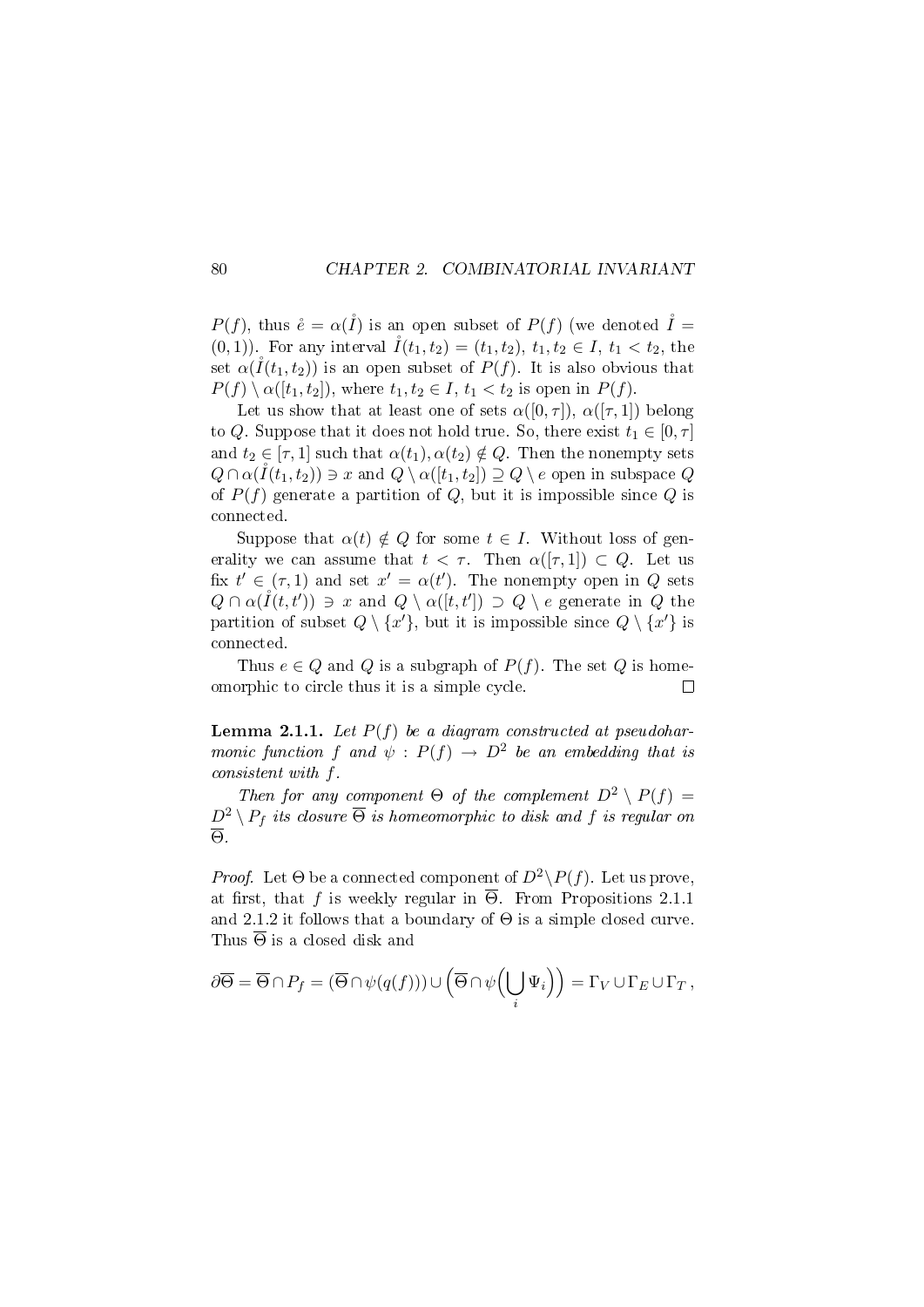$P(f)$ , thus  $\mathring{e} = \alpha(\mathring{I})$  is an open subset of  $P(f)$  (we denoted  $\mathring{I} =$ (0, 1)). For any interval  $I(t_1, t_2) = (t_1, t_2), t_1, t_2 \in I, t_1 < t_2$ , the set  $\alpha(I(t_1, t_2))$  is an open subset of  $P(f)$ . It is also obvious that  $P(f) \setminus \alpha([t_1, t_2]),$  where  $t_1, t_2 \in I$ ,  $t_1 < t_2$  is open in  $P(f)$ .

Let us show that at least one of sets  $\alpha([0,\tau])$ ,  $\alpha([\tau,1])$  belong to Q. Suppose that it does not hold true. So, there exist  $t_1 \in [0, \tau]$ and  $t_2 \in [\tau, 1]$  such that  $\alpha(t_1), \alpha(t_2) \notin Q$ . Then the nonempty sets  $Q \cap \alpha(\mathring{I}(t_1, t_2)) \ni x$  and  $Q \setminus \alpha([t_1, t_2]) \supseteq Q \setminus e$  open in subspace Q of  $P(f)$  generate a partition of Q, but it is impossible since Q is connected.

Suppose that  $\alpha(t) \notin Q$  for some  $t \in I$ . Without loss of generality we can assume that  $t < \tau$ . Then  $\alpha([\tau, 1]) \subset Q$ . Let us fix  $t' \in (\tau, 1)$  and set  $x' = \alpha(t')$ . The nonempty open in Q sets  $Q \cap \alpha(\mathring{I}(t, t')) \ni x$  and  $Q \setminus \alpha([t, t']) \supset Q \setminus e$  generate in Q the partition of subset  $Q \setminus \{x'\}$ , but it is impossible since  $Q \setminus \{x'\}$  is connected.

Thus  $e \in Q$  and  $Q$  is a subgraph of  $P(f)$ . The set  $Q$  is homeomorphic to circle thus it is a simple cycle.  $\Box$ 

**Lemma 2.1.1.** Let  $P(f)$  be a diagram constructed at pseudoharmonic function f and  $\psi : P(f) \to D^2$  be an embedding that is consistent with f.

Then for any component  $\Theta$  of the complement  $D^2 \setminus P(f) =$  $D^2 \setminus P_f$  its closure  $\overline{\Theta}$  is homeomorphic to disk and f is regular on Θ.

*Proof.* Let  $\Theta$  be a connected component of  $D^2 \backslash P(f)$ . Let us prove, at first, that f is weekly regular in  $\overline{\Theta}$ . From Propositions 2.1.1 and 2.1.2 it follows that a boundary of  $\Theta$  is a simple closed curve. Thus  $\overline{\Theta}$  is a closed disk and

$$
\partial \overline{\Theta} = \overline{\Theta} \cap P_f = (\overline{\Theta} \cap \psi(q(f))) \cup (\overline{\Theta} \cap \psi\left(\bigcup_i \Psi_i\right)) = \Gamma_V \cup \Gamma_E \cup \Gamma_T,
$$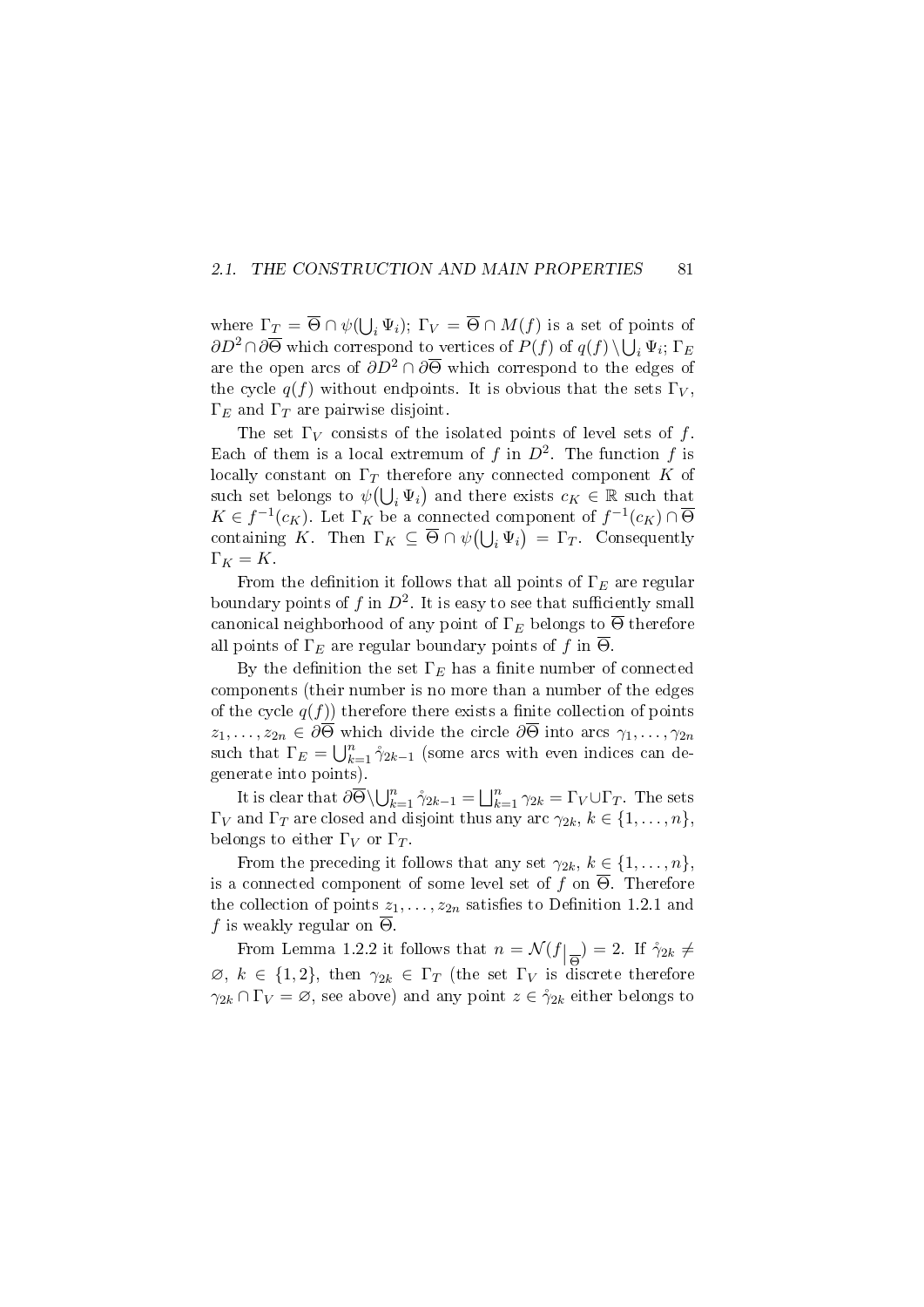#### 2.1. THE CONSTRUCTION AND MAIN PROPERTIES 81

where  $\Gamma_{\underline{T}} = \overline{\Theta} \cap \psi(\bigcup_{i} \Psi_i); \Gamma_V = \overline{\Theta} \cap M(f)$  is a set of points of  $\partial D^2 \cap \partial \overline{\Theta}$  which correspond to vertices of  $P(f)$  of  $q(f) \setminus \bigcup_i \Psi_i$ ;  $\Gamma_E$ are the open arcs of  $\partial D^2 \cap \partial \overline{\Theta}$  which correspond to the edges of the cycle  $q(f)$  without endpoints. It is obvious that the sets  $\Gamma_V$ .  $\Gamma_E$  and  $\Gamma_T$  are pairwise disjoint.

The set  $\Gamma_V$  consists of the isolated points of level sets of f. Each of them is a local extremum of f in  $D^2$ . The function f is locally constant on  $\Gamma_T$  therefore any connected component K of such set belongs to  $\psi(\bigcup_i \Psi_i)$  and there exists  $c_K \in \mathbb{R}$  such that  $K \in f^{-1}(c_K)$ . Let  $\Gamma_K$  be a connected component of  $f^{-1}(c_K) \cap \overline{\Theta}$ containing K. Then  $\Gamma_K \subseteq \overline{\Theta} \cap \psi(\bigcup_i \Psi_i) = \Gamma_T$ . Consequently  $\Gamma_K = K$ .

From the definition it follows that all points of  $\Gamma_E$  are regular boundary points of f in  $D^2$ . It is easy to see that sufficiently small canonical neighborhood of any point of  $\Gamma_E$  belongs to  $\overline{\Theta}$  therefore all points of  $\Gamma_E$  are regular boundary points of f in  $\overline{\Theta}$ .

By the definition the set  $\Gamma_E$  has a finite number of connected components (their number is no more than a number of the edges of the cycle  $q(f)$ ) therefore there exists a finite collection of points  $z_1, \ldots, z_{2n} \in \partial \Theta$  which divide the circle  $\partial \Theta$  into arcs  $\gamma_1, \ldots, \gamma_{2n}$ such that  $\Gamma_E = \bigcup_{k=1}^n \hat{\gamma}_{2k-1}$  (some arcs with even indices can degenerate into points).

It is clear that  $\partial \overline{\Theta} \setminus \bigcup_{k=1}^n \gamma_{2k-1} = \bigsqcup_{k=1}^n \gamma_{2k} = \Gamma_V \cup \Gamma_T$ . The sets  $\Gamma_V$  and  $\Gamma_T$  are closed and disjoint thus any arc  $\gamma_{2k}, k \in \{1, \ldots, n\}$ , belongs to either  $\Gamma_V$  or  $\Gamma_T$ .

From the preceding it follows that any set  $\gamma_{2k}, k \in \{1, \ldots, n\}$ , is a connected component of some level set of f on  $\overline{\Theta}$ . Therefore the collection of points  $z_1, \ldots, z_{2n}$  satisfies to Definition 1.2.1 and f is weakly regular on  $\overline{\Theta}$ .

From Lemma 1.2.2 it follows that  $n = \mathcal{N}(f|_{\overline{\Theta}}) = 2$ . If  $\gamma_{2k} \neq$  $\varnothing, k \in \{1,2\},\$  then  $\gamma_{2k} \in \Gamma_T$  (the set  $\Gamma_V$  is discrete therefore  $\gamma_{2k} \cap \Gamma_V = \emptyset$ , see above) and any point  $z \in \mathcal{L}_{2k}$  either belongs to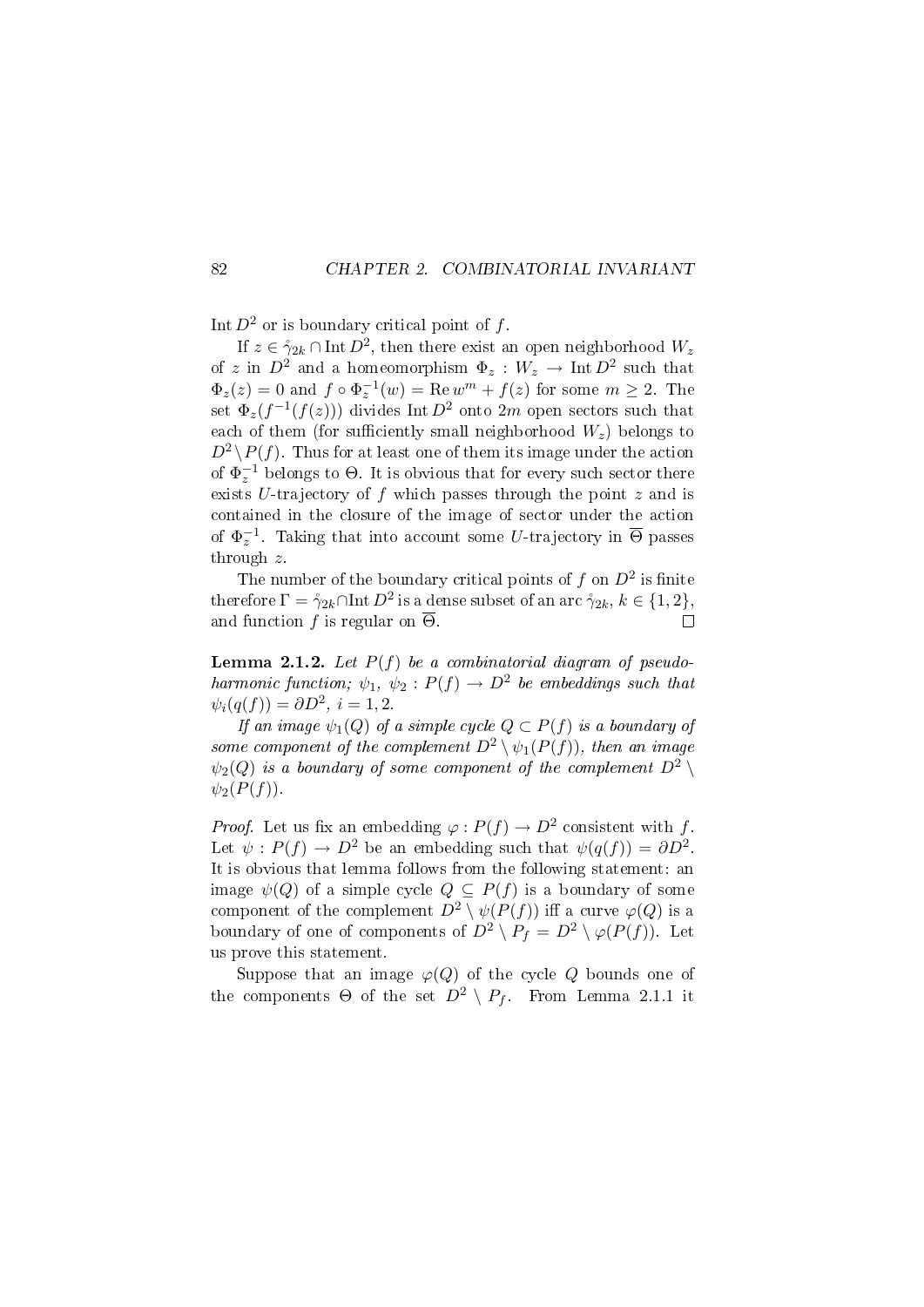Int  $D^2$  or is boundary critical point of f.

If  $z \in \mathring{\gamma}_{2k} \cap \text{Int } D^2$ , then there exist an open neighborhood  $W_z$ of z in  $D^2$  and a homeomorphism  $\Phi_z: W_z \to \text{Int } D^2$  such that  $\Phi_z(z) = 0$  and  $f \circ \Phi_z^{-1}(w) = \text{Re } w^m + f(z)$  for some  $m \ge 2$ . The set  $\Phi_z(f^{-1}(f(z)))$  divides Int  $D^2$  onto  $2m$  open sectors such that each of them (for sufficiently small neighborhood  $W_z$ ) belongs to  $D^2 \backslash P(f)$ . Thus for at least one of them its image under the action of  $\Phi_z^{-1}$  belongs to  $\Theta$ . It is obvious that for every such sector there exists U-trajectory of  $f$  which passes through the point  $z$  and is contained in the closure of the image of sector under the action of  $\Phi_z^{-1}$ . Taking that into account some U-trajectory in  $\overline{\Theta}$  passes through z.

The number of the boundary critical points of  $f$  on  $D^2$  is finite therefore  $\Gamma = \mathring{\gamma}_{2k} \cap \text{Int} \, D^2$  is a dense subset of an arc  $\mathring{\gamma}_{2k}, \, k \in \{1,2\},$ and function f is regular on  $\overline{\Theta}$ .  $\Box$ 

**Lemma 2.1.2.** Let  $P(f)$  be a combinatorial diagram of pseudoharmonic function;  $\psi_1, \psi_2 : P(f) \to D^2$  be embeddings such that  $\psi_i(q(f)) = \partial D^2, i = 1, 2.$ 

If an image  $\psi_1(Q)$  of a simple cycle  $Q \subset P(f)$  is a boundary of some component of the complement  $D^2 \setminus \psi_1(P(f))$ , then an image  $\psi_2(Q)$  is a boundary of some component of the complement  $D^2 \setminus$  $\psi_2(P(f))$ .

*Proof.* Let us fix an embedding  $\varphi: P(f) \to D^2$  consistent with f. Let  $\psi : P(f) \to D^2$  be an embedding such that  $\psi(q(f)) = \partial D^2$ . It is obvious that lemma follows from the following statement: an image  $\psi(Q)$  of a simple cycle  $Q \subseteq P(f)$  is a boundary of some component of the complement  $D^2 \setminus \psi(P(f))$  iff a curve  $\varphi(Q)$  is a boundary of one of components of  $D^2 \setminus P_f = D^2 \setminus \varphi(P(f))$ . Let us prove this statement.

Suppose that an image  $\varphi(Q)$  of the cycle Q bounds one of the components  $\Theta$  of the set  $D^2 \setminus P_f$ . From Lemma 2.1.1 it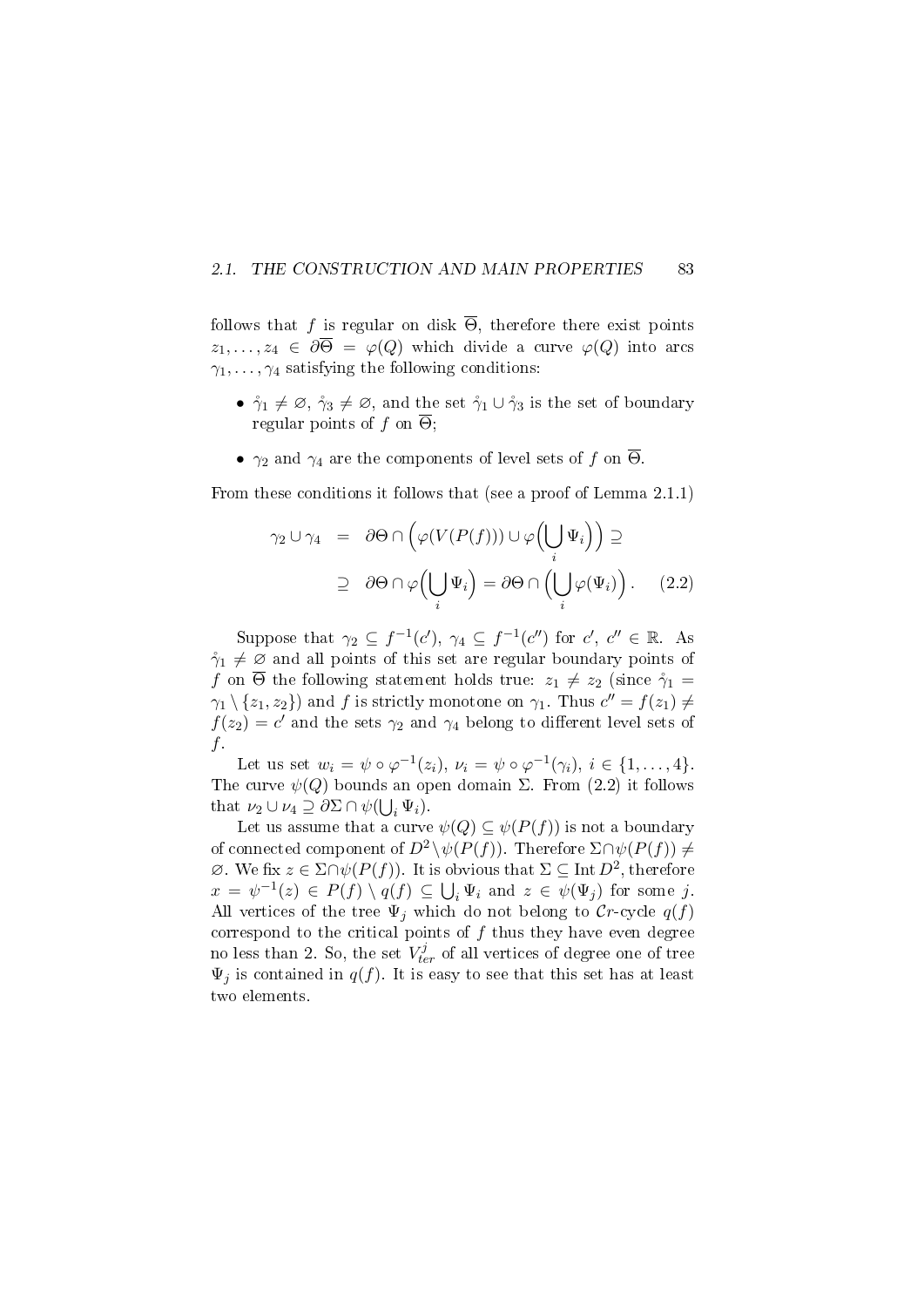#### 2.1. THE CONSTRUCTION AND MAIN PROPERTIES 83

follows that f is regular on disk  $\overline{\Theta}$ , therefore there exist points  $z_1, \ldots, z_4 \in \partial \overline{\Theta} = \varphi(Q)$  which divide a curve  $\varphi(Q)$  into arcs  $\gamma_1, \ldots, \gamma_4$  satisfying the following conditions:

- $\mathring{\gamma}_1 \neq \emptyset$ ,  $\mathring{\gamma}_3 \neq \emptyset$ , and the set  $\mathring{\gamma}_1 \cup \mathring{\gamma}_3$  is the set of boundary regular points of f on  $\overline{\Theta}$ ;
- $\gamma_2$  and  $\gamma_4$  are the components of level sets of f on  $\overline{\Theta}$ .

From these conditions it follows that (see a proof of Lemma 2.1.1)

$$
\gamma_2 \cup \gamma_4 = \partial \Theta \cap \left( \varphi(V(P(f))) \cup \varphi\left(\bigcup_i \Psi_i\right) \right) \supseteq
$$

$$
\supseteq \partial \Theta \cap \varphi\left(\bigcup_i \Psi_i\right) = \partial \Theta \cap \left(\bigcup_i \varphi(\Psi_i)\right). \tag{2.2}
$$

Suppose that  $\gamma_2 \subseteq f^{-1}(c')$ ,  $\gamma_4 \subseteq f^{-1}(c'')$  for  $c'$ ,  $c'' \in \mathbb{R}$ . As  $\gamma_1 \neq \emptyset$  and all points of this set are regular boundary points of f on  $\overline{\Theta}$  the following statement holds true:  $z_1 \neq z_2$  (since  $\gamma_1 =$  $\gamma_1 \setminus \{z_1, z_2\}$  and f is strictly monotone on  $\gamma_1$ . Thus  $c'' = f(z_1) \neq$  $f(z_2) = c'$  and the sets  $\gamma_2$  and  $\gamma_4$  belong to different level sets of f.

Let us set  $w_i = \psi \circ \varphi^{-1}(z_i), \nu_i = \psi \circ \varphi^{-1}(\gamma_i), i \in \{1, \ldots, 4\}.$ The curve  $\psi(Q)$  bounds an open domain  $\Sigma$ . From (2.2) it follows that  $\nu_2 \cup \nu_4 \supseteq \partial \Sigma \cap \psi(\bigcup_i \Psi_i).$ 

Let us assume that a curve  $\psi(Q) \subseteq \psi(P(f))$  is not a boundary of connected component of  $D^2 \setminus \psi(P(f))$ . Therefore  $\Sigma \cap \psi(P(f)) \neq$  $\emptyset$ . We fix  $z \in \Sigma \cap \psi(P(f))$ . It is obvious that  $\Sigma \subseteq \text{Int } D^2$ , therefore  $x = \psi^{-1}(z) \in P(f) \setminus q(f) \subseteq \bigcup_i \Psi_i$  and  $z \in \psi(\Psi_j)$  for some j. All vertices of the tree  $\Psi_j$  which do not belong to Cr-cycle  $q(f)$ correspond to the critical points of  $f$  thus they have even degree no less than 2. So, the set  $V_{ter}^j$  of all vertices of degree one of tree  $\Psi_i$  is contained in  $q(f)$ . It is easy to see that this set has at least two elements.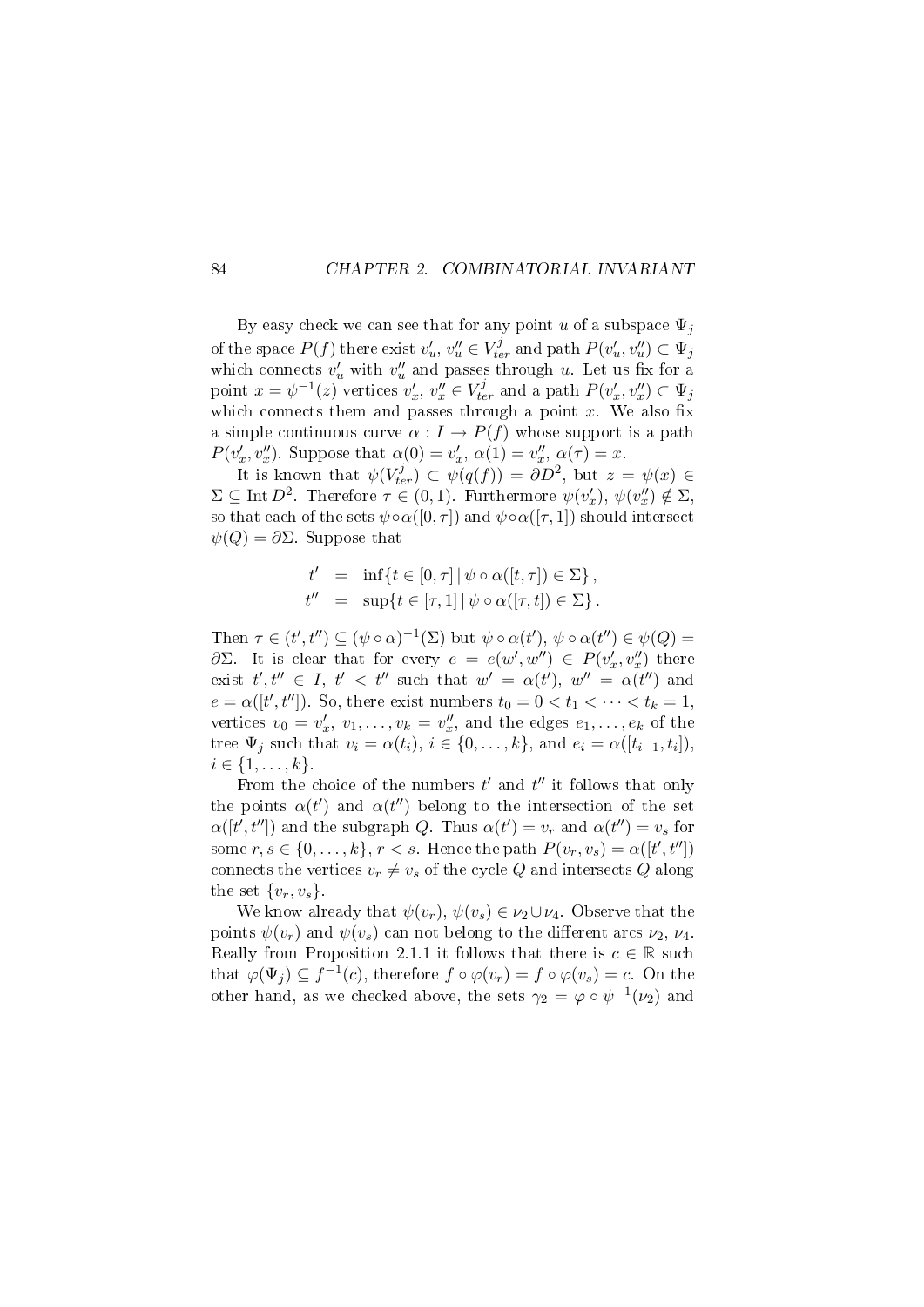By easy check we can see that for any point u of a subspace  $\Psi_i$ of the space  $P(f)$  there exist  $v'_u, v''_u \in V_{ter}^j$  and path  $P(v'_u, v''_u) \subset \Psi_j$ which connects  $v'_u$  with  $v''_u$  and passes through u. Let us fix for a point  $x = \psi^{-1}(z)$  vertices  $v'_x, v''_x \in V_{ter}^j$  and a path  $P(v'_x, v''_x) \subset \Psi_j$ which connects them and passes through a point  $x$ . We also fix a simple continuous curve  $\alpha : I \to P(f)$  whose support is a path  $P(v'_x, v''_x)$ . Suppose that  $\alpha(0) = v'_x, \, \alpha(1) = v''_x, \, \alpha(\tau) = x$ .

It is known that  $\psi(V_{ter}^j) \subset \psi(q(f)) = \partial D^2$ , but  $z = \psi(x) \in$  $\Sigma \subseteq \text{Int } D^2$ . Therefore  $\tau \in (0,1)$ . Furthermore  $\psi(v'_x), \psi(v''_x) \notin \Sigma$ , so that each of the sets  $\psi \circ \alpha([0, \tau])$  and  $\psi \circ \alpha([\tau, 1])$  should intersect  $\psi(Q) = \partial \Sigma$ . Suppose that

$$
t' = \inf\{t \in [0,\tau] \mid \psi \circ \alpha([t,\tau]) \in \Sigma\},\
$$
  

$$
t'' = \sup\{t \in [\tau,1] \mid \psi \circ \alpha([\tau,t]) \in \Sigma\}.
$$

Then  $\tau \in (t', t'') \subseteq (\psi \circ \alpha)^{-1}(\Sigma)$  but  $\psi \circ \alpha(t')$ ,  $\psi \circ \alpha(t'') \in \psi(Q)$  $\partial\Sigma$ . It is clear that for every  $e = e(w', w'') \in P(v'_x, v''_x)$  there exist  $t', t'' \in I, t' < t''$  such that  $w' = \alpha(t'), w'' = \alpha(t'')$  and  $e = \alpha([t', t''])$ . So, there exist numbers  $t_0 = 0 < t_1 < \cdots < t_k = 1$ , vertices  $v_0 = v'_x, v_1, \ldots, v_k = v''_x$ , and the edges  $e_1, \ldots, e_k$  of the tree  $\Psi_j$  such that  $v_i = \alpha(t_i)$ ,  $i \in \{0, \ldots, k\}$ , and  $e_i = \alpha([t_{i-1}, t_i])$ ,  $i \in \{1, \ldots, k\}.$ 

From the choice of the numbers  $t'$  and  $t''$  it follows that only the points  $\alpha(t')$  and  $\alpha(t'')$  belong to the intersection of the set  $\alpha([t', t''])$  and the subgraph Q. Thus  $\alpha(t') = v_r$  and  $\alpha(t'') = v_s$  for some  $r, s \in \{0, \ldots, k\}, r < s$ . Hence the path  $P(v_r, v_s) = \alpha([t', t''])$ connects the vertices  $v_r \neq v_s$  of the cycle Q and intersects Q along the set  $\{v_r, v_s\}$ .

We know already that  $\psi(v_r)$ ,  $\psi(v_s) \in \nu_2 \cup \nu_4$ . Observe that the points  $\psi(v_r)$  and  $\psi(v_s)$  can not belong to the different arcs  $\nu_2, \nu_4$ . Really from Proposition 2.1.1 it follows that there is  $c \in \mathbb{R}$  such that  $\varphi(\Psi_j) \subseteq f^{-1}(c)$ , therefore  $f \circ \varphi(v_r) = f \circ \varphi(v_s) = c$ . On the other hand, as we checked above, the sets  $\gamma_2 = \varphi \circ \psi^{-1}(\nu_2)$  and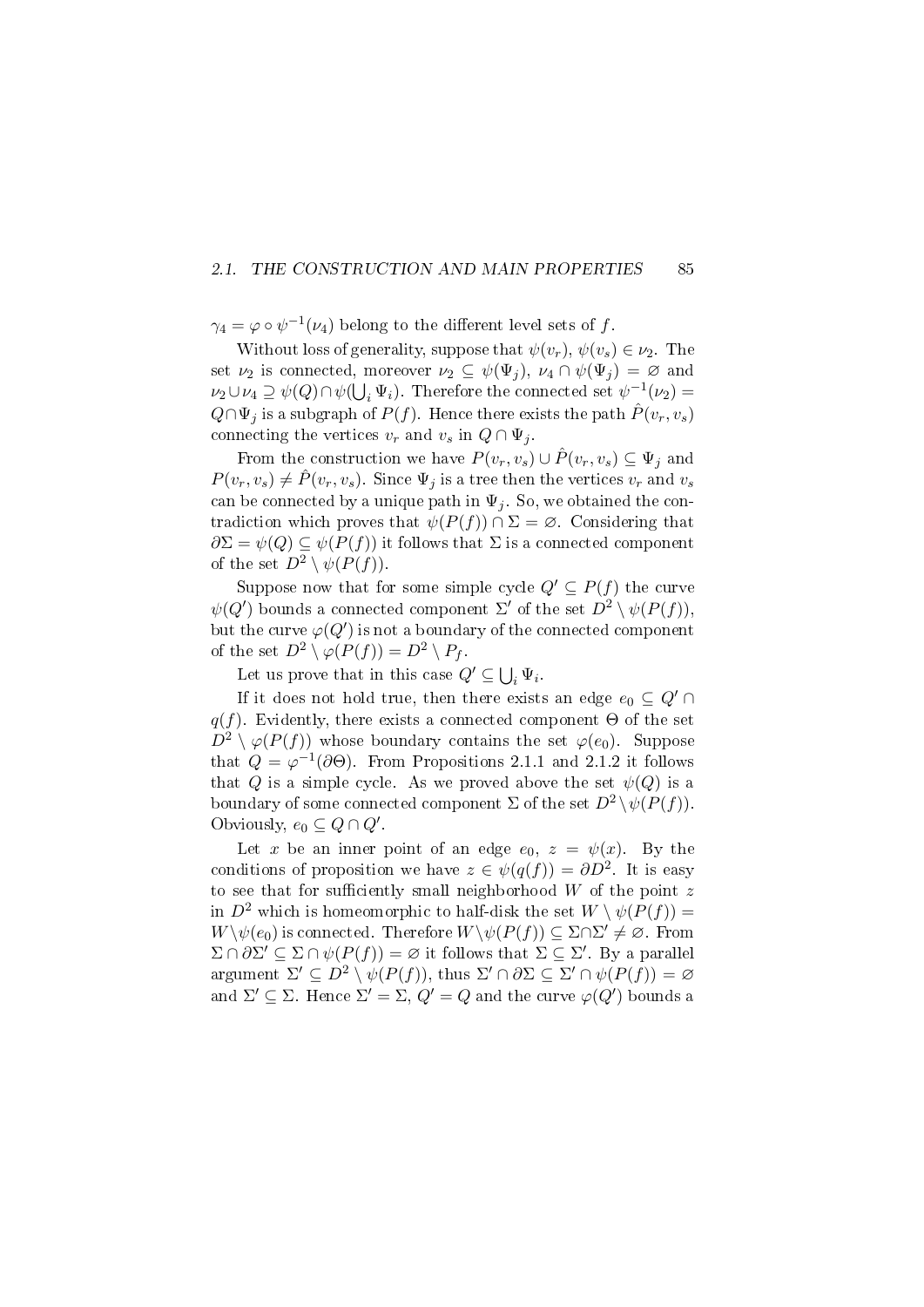#### 2.1. THE CONSTRUCTION AND MAIN PROPERTIES 85

 $\gamma_4 = \varphi \circ \psi^{-1}(\nu_4)$  belong to the different level sets of  $f$ .

Without loss of generality, suppose that  $\psi(v_r)$ ,  $\psi(v_s) \in \nu_2$ . The set  $\nu_2$  is connected, moreover  $\nu_2 \subseteq \psi(\Psi_i)$ ,  $\nu_4 \cap \psi(\Psi_i) = \varnothing$  and  $\nu_2 \cup \nu_4 \supseteq \psi(Q) \cap \psi(\bigcup_i \Psi_i)$ . Therefore the connected set  $\psi^{-1}(\nu_2) =$  $Q \cap \Psi_j$  is a subgraph of  $P(f)$ . Hence there exists the path  $P(v_r, v_s)$ connecting the vertices  $v_r$  and  $v_s$  in  $Q \cap \Psi_i$ .

From the construction we have  $P(v_r, v_s) \cup \hat{P}(v_r, v_s) \subseteq \Psi_i$  and  $P(v_r, v_s) \neq \hat{P}(v_r, v_s)$ . Since  $\Psi_i$  is a tree then the vertices  $v_r$  and  $v_s$ can be connected by a unique path in  $\Psi_i$ . So, we obtained the contradiction which proves that  $\psi(P(f)) \cap \Sigma = \emptyset$ . Considering that  $\partial \Sigma = \psi(Q) \subseteq \psi(P(f))$  it follows that  $\Sigma$  is a connected component of the set  $D^2 \setminus \psi(P(f))$ .

Suppose now that for some simple cycle  $Q' \subseteq P(f)$  the curve  $\psi(Q')$  bounds a connected component  $\Sigma'$  of the set  $D^2 \setminus \psi(P(f)),$ but the curve  $\varphi(Q')$  is not a boundary of the connected component of the set  $D^2 \setminus \varphi(P(f)) = D^2 \setminus P_f$ .

Let us prove that in this case  $Q' \subseteq \bigcup_i \Psi_i$ .

If it does not hold true, then there exists an edge  $e_0 \nsubseteq Q' \cap$  $q(f)$ . Evidently, there exists a connected component  $\Theta$  of the set  $D^2 \setminus \varphi(P(f))$  whose boundary contains the set  $\varphi(e_0)$ . Suppose that  $Q = \varphi^{-1}(\partial \Theta)$ . From Propositions 2.1.1 and 2.1.2 it follows that Q is a simple cycle. As we proved above the set  $\psi(Q)$  is a boundary of some connected component  $\Sigma$  of the set  $D^2 \setminus \psi(P(f))$ . Obviously,  $e_0 \subseteq Q \cap Q'$ .

Let x be an inner point of an edge  $e_0$ ,  $z = \psi(x)$ . By the conditions of proposition we have  $z \in \psi(q(f)) = \partial D^2$ . It is easy to see that for sufficiently small neighborhood  $W$  of the point  $z$ in  $D^2$  which is homeomorphic to half-disk the set  $W \setminus \psi(P(f)) =$  $W \setminus \psi(e_0)$  is connected. Therefore  $W \setminus \psi(P(f)) \subseteq \Sigma \cap \Sigma' \neq \varnothing$ . From  $\Sigma \cap \partial \Sigma' \subseteq \Sigma \cap \psi(P(f)) = \varnothing$  it follows that  $\Sigma \subseteq \Sigma'$ . By a parallel argument  $\Sigma' \subseteq D^2 \setminus \psi(P(f))$ , thus  $\Sigma' \cap \partial \Sigma \subseteq \Sigma' \cap \psi(P(f)) = \varnothing$ and  $\Sigma' \subseteq \Sigma$ . Hence  $\Sigma' = \Sigma$ ,  $Q' = Q$  and the curve  $\varphi(Q')$  bounds a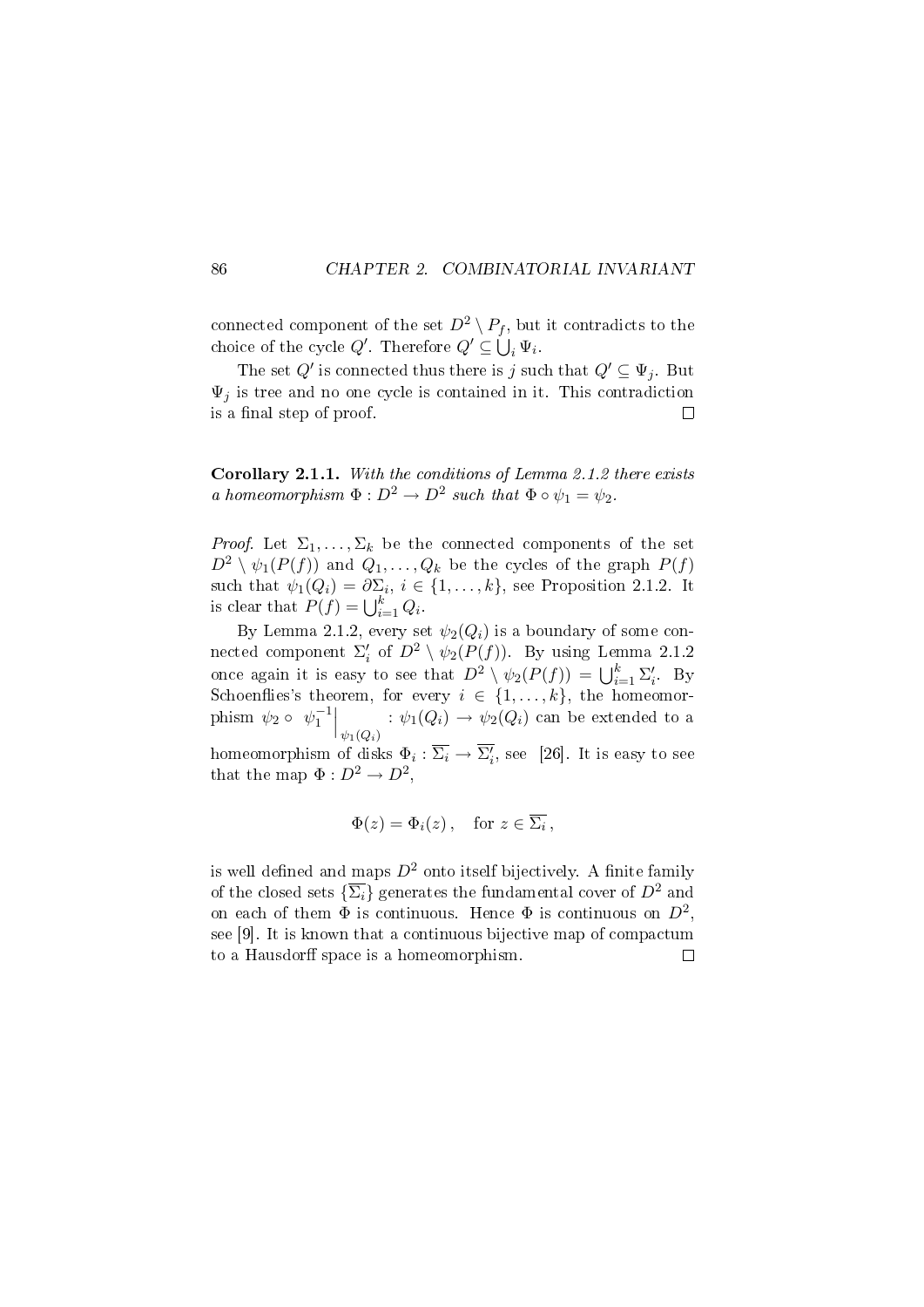connected component of the set  $D^2 \setminus P_f$ , but it contradicts to the choice of the cycle  $Q'$ . Therefore  $Q' \subseteq \bigcup_i \Psi_i$ .

The set  $Q'$  is connected thus there is j such that  $Q' \subseteq \Psi_j$ . But  $\Psi_j$  is tree and no one cycle is contained in it. This contradiction is a final step of proof.  $\Box$ 

Corollary 2.1.1. With the conditions of Lemma 2.1.2 there exists a homeomorphism  $\Phi: D^2 \to D^2$  such that  $\Phi \circ \psi_1 = \psi_2$ .

*Proof.* Let  $\Sigma_1, \ldots, \Sigma_k$  be the connected components of the set  $D^2 \setminus \psi_1(P(f))$  and  $Q_1, \ldots, Q_k$  be the cycles of the graph  $P(f)$ such that  $\psi_1(Q_i) = \partial \Sigma_i, i \in \{1, \ldots, k\}$ , see Proposition 2.1.2. It is clear that  $P(f) = \bigcup_{i=1}^{k} Q_i$ .

By Lemma 2.1.2, every set  $\psi_2(Q_i)$  is a boundary of some connected component  $\Sigma_i'$  of  $D^2 \setminus \psi_2(P(f))$ . By using Lemma 2.1.2 once again it is easy to see that  $D^2 \setminus \psi_2(P(f)) = \bigcup_{i=1}^k \Sigma'_i$ . By Schoenflies's theorem, for every  $i \in \{1, \ldots, k\}$ , the homeomorphism  $\psi_2 \circ \psi_1^{-1} \Big|_{\psi_1(Q_i)}$ :  $\psi_1(Q_i) \rightarrow \psi_2(Q_i)$  can be extended to a homeomorphism of disks  $\Phi_i : \overline{\Sigma_i} \to \overline{\Sigma'_i}$ , see [26]. It is easy to see

$$
\Phi(z) = \Phi_i(z), \quad \text{for } z \in \overline{\Sigma_i},
$$

that the map  $\Phi: D^2 \to D^2$ ,

is well defined and maps  $D^2$  onto itself bijectively. A finite family of the closed sets  $\{\overline{\Sigma_i}\}\$ generates the fundamental cover of  $D^2$  and on each of them  $\Phi$  is continuous. Hence  $\Phi$  is continuous on  $D^2$ , see [9]. It is known that a continuous bijective map of compactum to a Hausdorff space is a homeomorphism.  $\Box$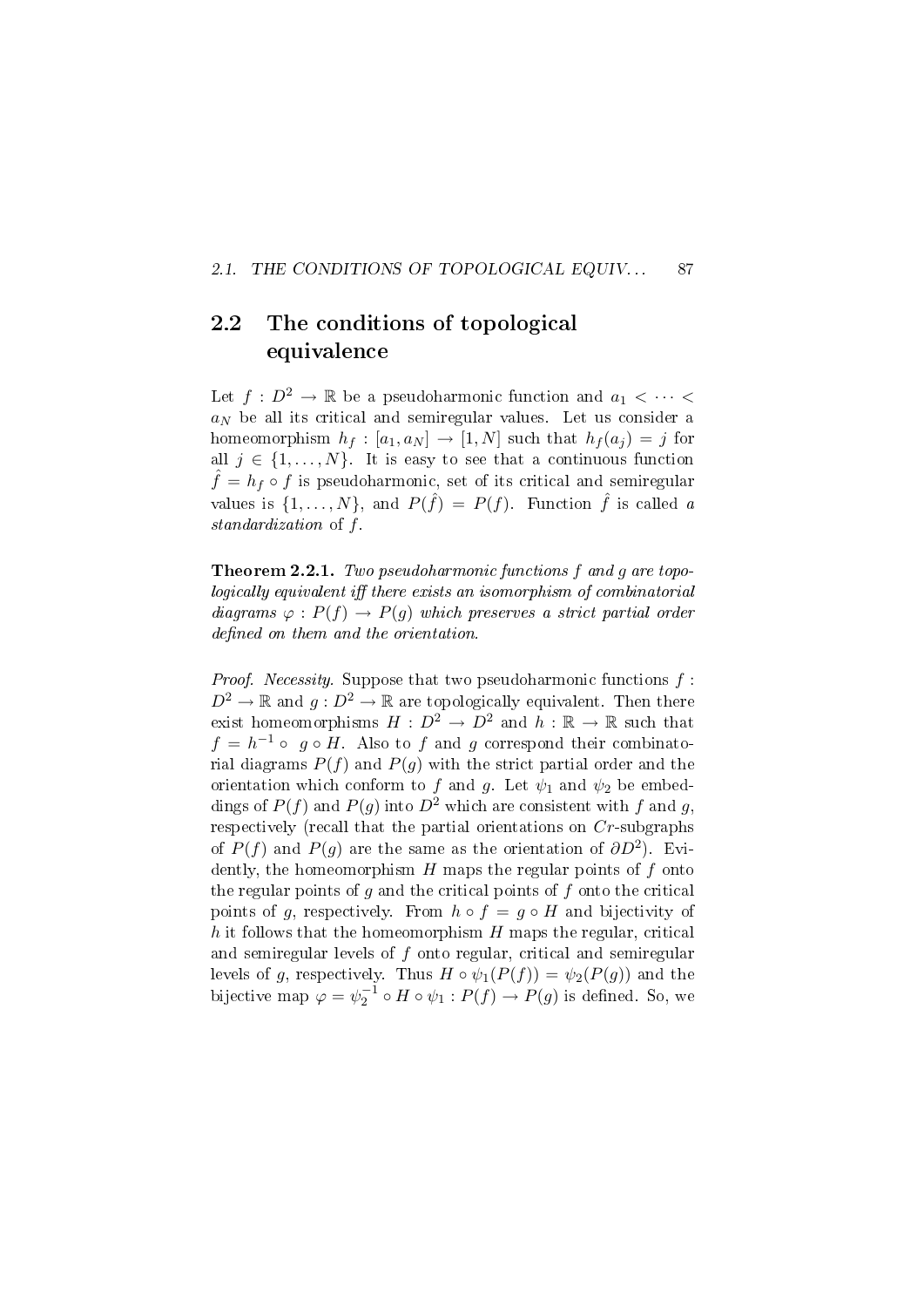#### 2.1. THE CONDITIONS OF TOPOLOGICAL EQUIV... 87

### 2.2 The conditions of topological equivalence

Let  $f: D^2 \to \mathbb{R}$  be a pseudoharmonic function and  $a_1 < \cdots <$  $a_N$  be all its critical and semiregular values. Let us consider a homeomorphism  $h_f : [a_1, a_N] \rightarrow [1, N]$  such that  $h_f(a_i) = j$  for all  $j \in \{1, \ldots, N\}$ . It is easy to see that a continuous function  $\hat{f} = h_f \circ f$  is pseudoharmonic, set of its critical and semiregular values is  $\{1,\ldots,N\}$ , and  $P(\hat{f}) = P(f)$ . Function  $\hat{f}$  is called a standardization of f.

Theorem 2.2.1. Two pseudoharmonic functions f and g are topo $locally\;equivalent\;iff\;there\;exists\;an\;isomorphism\;of\;combinatorial$ diagrams  $\varphi : P(f) \to P(g)$  which preserves a strict partial order  $defined on them and the orientation.$ 

*Proof.* Necessity. Suppose that two pseudoharmonic functions  $f$ :  $D^2 \to \mathbb{R}$  and  $g: D^2 \to \mathbb{R}$  are topologically equivalent. Then there exist homeomorphisms  $H : D^2 \to D^2$  and  $h : \mathbb{R} \to \mathbb{R}$  such that  $f = h^{-1} \circ g \circ H$ . Also to f and g correspond their combinatorial diagrams  $P(f)$  and  $P(g)$  with the strict partial order and the orientation which conform to f and g. Let  $\psi_1$  and  $\psi_2$  be embeddings of  $P(f)$  and  $P(g)$  into  $D^2$  which are consistent with f and g. respectively (recall that the partial orientations on Cr-subgraphs of  $P(f)$  and  $P(g)$  are the same as the orientation of  $\partial D^2$ ). Evidently, the homeomorphism  $H$  maps the regular points of  $f$  onto the regular points of  $g$  and the critical points of  $f$  onto the critical points of g, respectively. From  $h \circ f = g \circ H$  and bijectivity of h it follows that the homeomorphism  $H$  maps the regular, critical and semiregular levels of f onto regular, critical and semiregular levels of g, respectively. Thus  $H \circ \psi_1(P(f)) = \psi_2(P(g))$  and the bijective map  $\varphi = \psi_2^{-1} \circ H \circ \psi_1 : P(f) \to P(g)$  is defined. So, we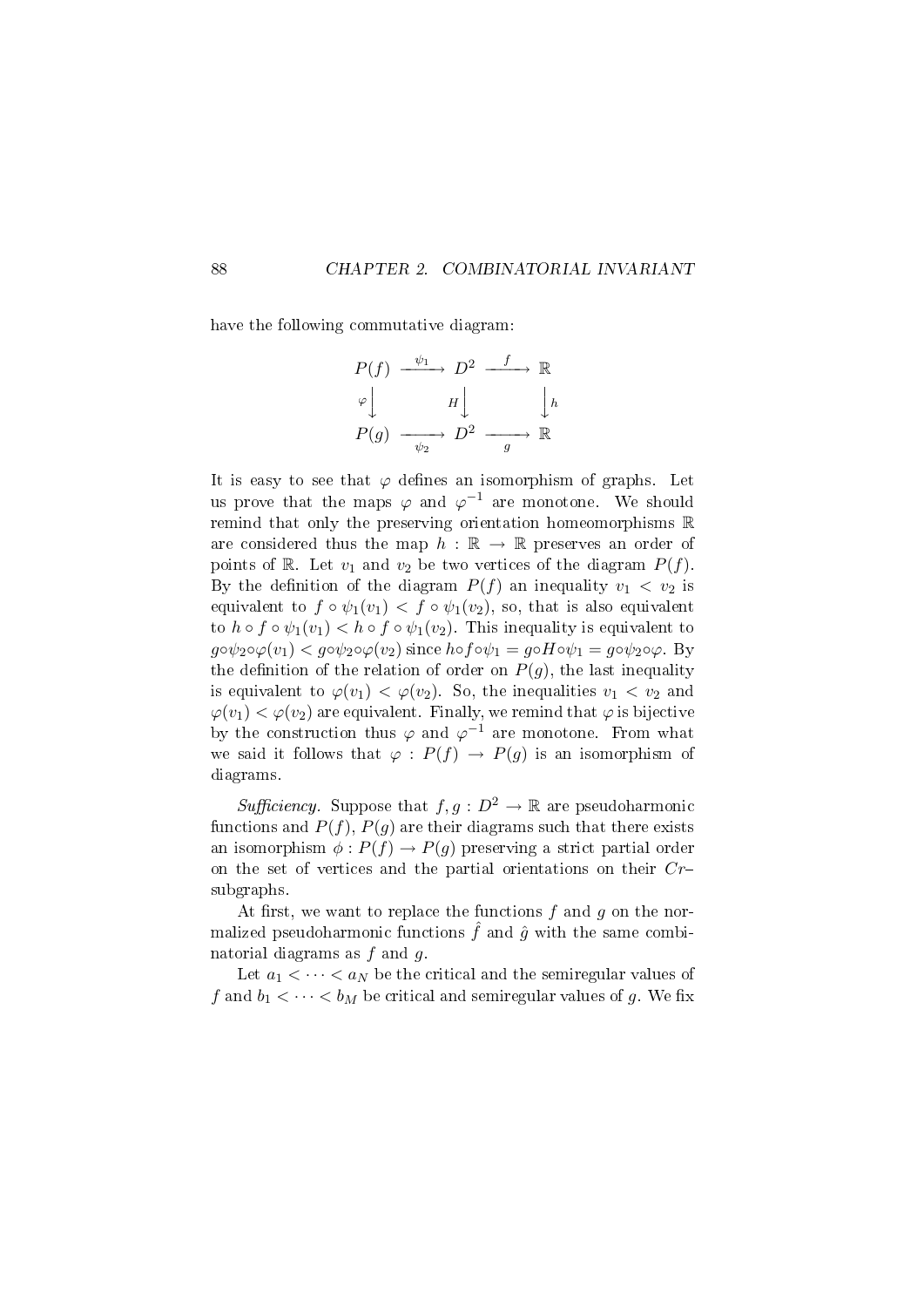have the following commutative diagram:

$$
P(f) \xrightarrow{\psi_1} D^2 \xrightarrow{f} \mathbb{R}
$$
  
\n
$$
\varphi \downarrow \qquad H \downarrow \qquad \qquad \downarrow h
$$
  
\n
$$
P(g) \xrightarrow{\psi_2} D^2 \xrightarrow{g} \mathbb{R}
$$

It is easy to see that  $\varphi$  defines an isomorphism of graphs. Let us prove that the maps  $\varphi$  and  $\varphi^{-1}$  are monotone. We should remind that only the preserving orientation homeomorphisms R are considered thus the map  $h : \mathbb{R} \to \mathbb{R}$  preserves an order of points of R. Let  $v_1$  and  $v_2$  be two vertices of the diagram  $P(f)$ . By the definition of the diagram  $P(f)$  an inequality  $v_1 < v_2$  is equivalent to  $f \circ \psi_1(v_1) < f \circ \psi_1(v_2)$ , so, that is also equivalent to  $h \circ f \circ \psi_1(v_1) < h \circ f \circ \psi_1(v_2)$ . This inequality is equivalent to  $g \circ \psi_2 \circ \varphi(v_1) < g \circ \psi_2 \circ \varphi(v_2)$  since  $h \circ f \circ \psi_1 = g \circ H \circ \psi_1 = g \circ \psi_2 \circ \varphi$ . By the definition of the relation of order on  $P(g)$ , the last inequality is equivalent to  $\varphi(v_1) < \varphi(v_2)$ . So, the inequalities  $v_1 < v_2$  and  $\varphi(v_1) < \varphi(v_2)$  are equivalent. Finally, we remind that  $\varphi$  is bijective by the construction thus  $\varphi$  and  $\varphi^{-1}$  are monotone. From what we said it follows that  $\varphi : P(f) \to P(g)$  is an isomorphism of diagrams.

*Sufficiency.* Suppose that  $f, g : D^2 \to \mathbb{R}$  are pseudoharmonic functions and  $P(f)$ ,  $P(g)$  are their diagrams such that there exists an isomorphism  $\phi: P(f) \to P(g)$  preserving a strict partial order on the set of vertices and the partial orientations on their  $Cr$ subgraphs.

At first, we want to replace the functions  $f$  and  $g$  on the normalized pseudoharmonic functions  $\hat{f}$  and  $\hat{g}$  with the same combinatorial diagrams as  $f$  and  $g$ .

Let  $a_1 < \cdots < a_N$  be the critical and the semiregular values of f and  $b_1 < \cdots < b_M$  be critical and semiregular values of g. We fix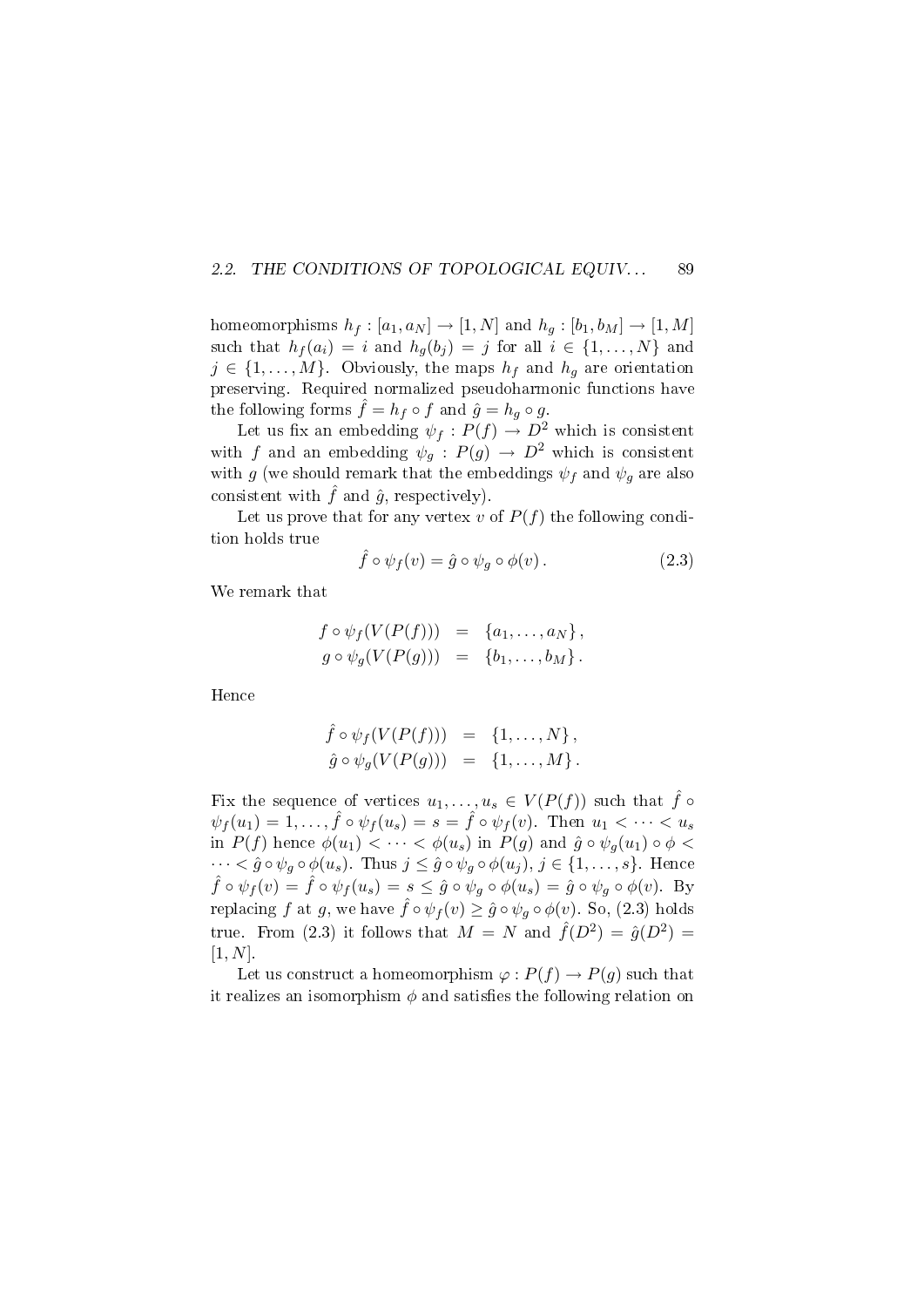#### 2.2. THE CONDITIONS OF TOPOLOGICAL EQUIV... 89

homeomorphisms  $h_f : [a_1, a_N] \to [1, N]$  and  $h_g : [b_1, b_M] \to [1, M]$ such that  $h_f(a_i) = i$  and  $h_g(b_j) = j$  for all  $i \in \{1, \ldots, N\}$  and  $j \in \{1, \ldots, M\}$ . Obviously, the maps  $h_f$  and  $h_g$  are orientation preserving. Required normalized pseudoharmonic functions have the following forms  $\hat{f} = h_f \circ f$  and  $\hat{g} = h_g \circ g$ .

Let us fix an embedding  $\psi_f : P(f) \to D^2$  which is consistent with f and an embedding  $\psi_g : P(g) \to D^2$  which is consistent with g (we should remark that the embeddings  $\psi_f$  and  $\psi_g$  are also consistent with  $\hat{f}$  and  $\hat{g}$ , respectively).

Let us prove that for any vertex v of  $P(f)$  the following condition holds true

$$
\hat{f} \circ \psi_f(v) = \hat{g} \circ \psi_g \circ \phi(v). \tag{2.3}
$$

We remark that

$$
f \circ \psi_f(V(P(f))) = \{a_1, \ldots, a_N\},
$$
  
\n
$$
g \circ \psi_g(V(P(g))) = \{b_1, \ldots, b_M\}.
$$

Hence

$$
\begin{array}{rcl}\n\hat{f} \circ \psi_f(V(P(f))) & = & \{1, \ldots, N\}, \\
\hat{g} \circ \psi_g(V(P(g))) & = & \{1, \ldots, M\}.\n\end{array}
$$

Fix the sequence of vertices  $u_1, \ldots, u_s \in V(P(f))$  such that  $\hat{f} \circ$  $\psi_f(u_1) = 1, \ldots, \hat{f} \circ \psi_f(u_s) = s = \hat{f} \circ \psi_f(v)$ . Then  $u_1 < \cdots < u_s$ in  $P(f)$  hence  $\phi(u_1) < \cdots < \phi(u_s)$  in  $P(g)$  and  $\hat{g} \circ \psi_g(u_1) \circ \phi <$  $\cdots < \hat{g} \circ \psi_g \circ \phi(u_s)$ . Thus  $j \leq \hat{g} \circ \psi_g \circ \phi(u_j)$ ,  $j \in \{1, \ldots, s\}$ . Hence  $\hat{f} \circ \psi_f(v) = \hat{f} \circ \psi_f(u_s) = s \leq \hat{g} \circ \psi_g \circ \phi(u_s) = \hat{g} \circ \psi_g \circ \phi(v)$ . By replacing f at g, we have  $\hat{f} \circ \psi_f(v) \geq \hat{g} \circ \psi_g \circ \phi(v)$ . So, (2.3) holds true. From (2.3) it follows that  $M = N$  and  $\hat{f}(D^2) = \hat{g}(D^2) =$  $[1, N].$ 

Let us construct a homeomorphism  $\varphi : P(f) \to P(g)$  such that it realizes an isomorphism  $\phi$  and satisfies the following relation on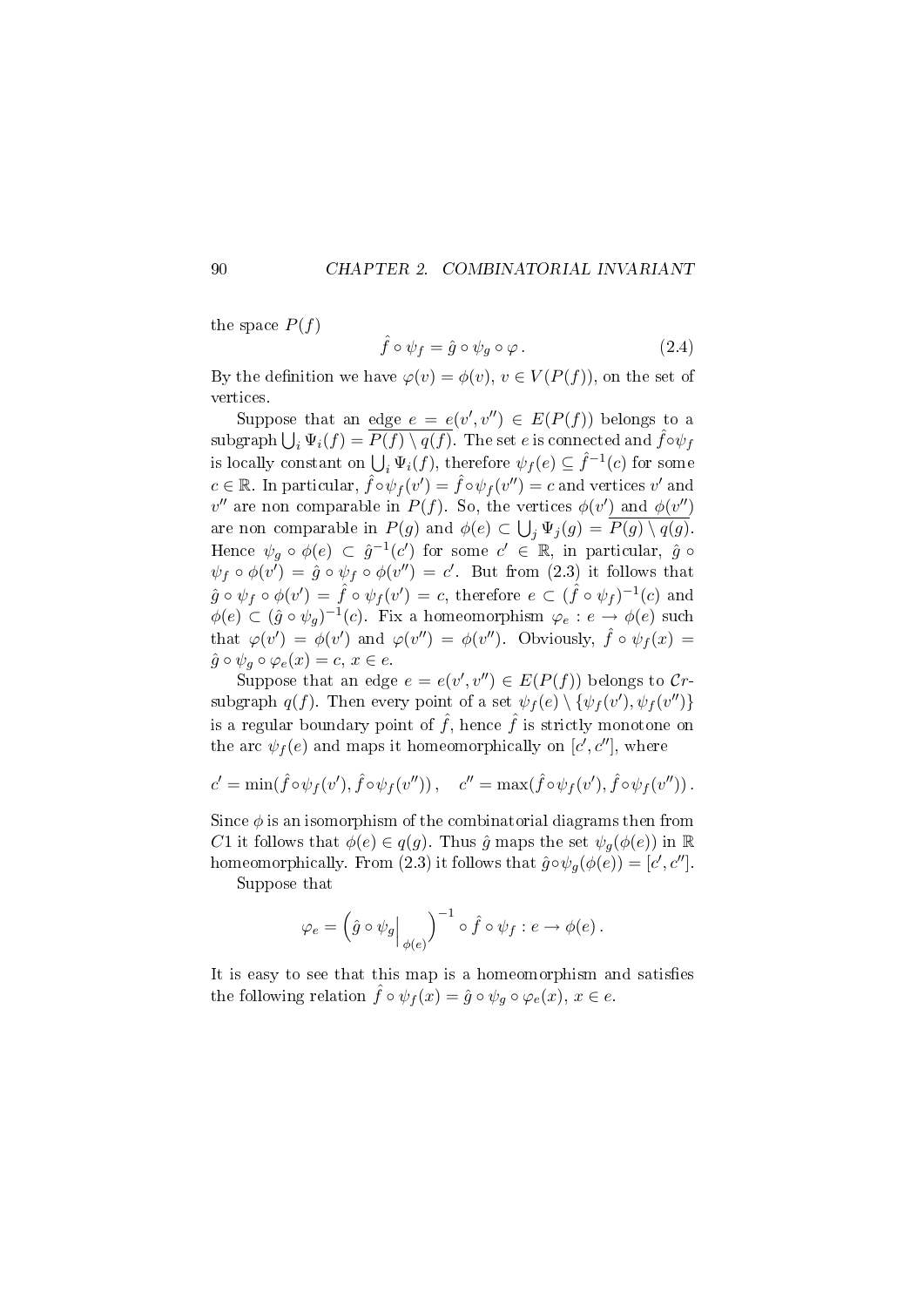the space  $P(f)$ 

$$
\hat{f} \circ \psi_f = \hat{g} \circ \psi_g \circ \varphi. \tag{2.4}
$$

By the definition we have  $\varphi(v) = \phi(v)$ ,  $v \in V(P(f))$ , on the set of vertices.

Suppose that an edge  $e = e(v', v'') \in E(P(f))$  belongs to a  $\sup \text{graph}\bigcup_i \Psi_i(f) = \overline{P(f)\setminus q(f)}$ . The set  $e$  is connected and  $\hat{f} \circ \psi_f$ is locally constant on  $\bigcup_i \Psi_i(f)$ , therefore  $\psi_f(e) \subseteq \hat{f}^{-1}(c)$  for some  $c \in \mathbb{R}$ . In particular,  $\hat{f} \circ \psi_f(v') = \hat{f} \circ \psi_f(v'') = c$  and vertices v' and  $v''$  are non comparable in  $P(f)$ . So, the vertices  $\phi(v')$  and  $\phi(v'')$ are non comparable in  $P(g)$  and  $\phi(e) \subset \bigcup_j \Psi_j(g) = P(g) \setminus q(g)$ . Hence  $\psi_g \circ \phi(e) \subset \hat{g}^{-1}(c')$  for some  $c' \in \mathbb{R}$ , in particular,  $\hat{g} \circ \phi(g)$  $\psi_f \circ \phi(v') = \hat{g} \circ \psi_f \circ \phi(v'') = c'.$  But from (2.3) it follows that  $\hat{g} \circ \psi_f \circ \phi(v') = \hat{f} \circ \psi_f(v') = c$ , therefore  $e \subset (\hat{f} \circ \psi_f)^{-1}(c)$  and  $\phi(e) \subset (\hat{g} \circ \psi_g)^{-1}(c)$ . Fix a homeomorphism  $\varphi_e : e \to \phi(e)$  such that  $\varphi(v') = \varphi(v')$  and  $\varphi(v'') = \varphi(v'')$ . Obviously,  $\hat{f} \circ \psi_f(x) =$  $\hat{g} \circ \psi_q \circ \varphi_e(x) = c, x \in e.$ 

Suppose that an edge  $e = e(v', v'') \in E(P(f))$  belongs to Crsubgraph  $q(f)$ . Then every point of a set  $\psi_f(e) \setminus {\psi_f(v'), \psi_f(v'')}$ is a regular boundary point of  $\hat{f}$ , hence  $\hat{f}$  is strictly monotone on the arc  $\psi_f(e)$  and maps it homeomorphically on  $[c', c'']$ , where

$$
c' = \min(\hat{f} \circ \psi_f(v'), \hat{f} \circ \psi_f(v'')), \quad c'' = \max(\hat{f} \circ \psi_f(v'), \hat{f} \circ \psi_f(v'')).
$$

Since  $\phi$  is an isomorphism of the combinatorial diagrams then from C1 it follows that  $\phi(e) \in q(g)$ . Thus  $\hat{g}$  maps the set  $\psi_q(\phi(e))$  in  $\mathbb R$ homeomorphically. From (2.3) it follows that  $\hat{g} \circ \psi_g(\phi(e)) = [c', c'']$ .

Suppose that

$$
\varphi_e = \left(\hat{g} \circ \psi_g \Big|_{\phi(e)}\right)^{-1} \circ \hat{f} \circ \psi_f : e \to \phi(e).
$$

It is easy to see that this map is a homeomorphism and satisfies the following relation  $\hat{f} \circ \psi_f(x) = \hat{g} \circ \psi_g \circ \varphi_e(x), x \in e$ .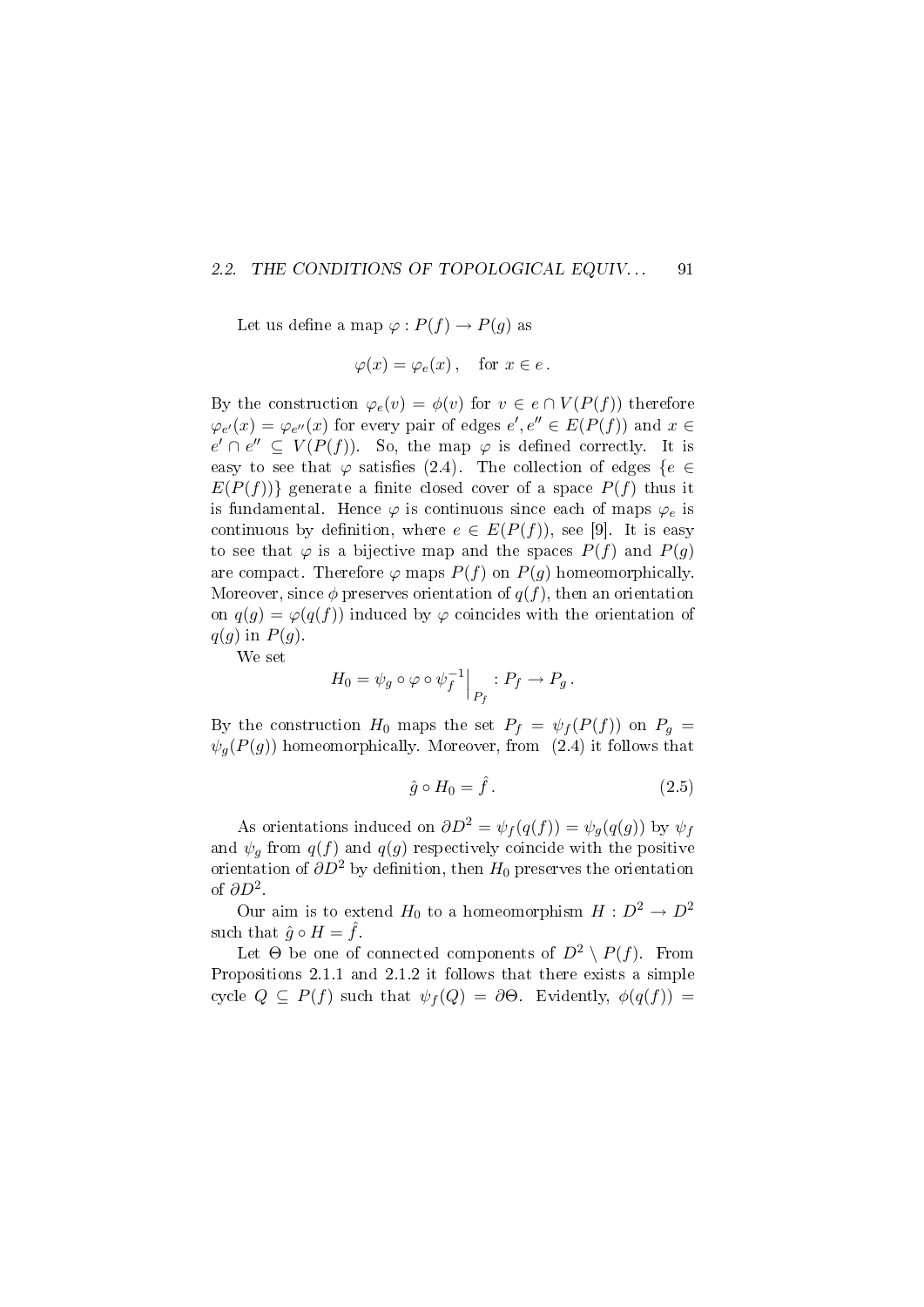#### 2.2. THE CONDITIONS OF TOPOLOGICAL EQUIV... 91

Let us define a map  $\varphi: P(f) \to P(g)$  as

$$
\varphi(x) = \varphi_e(x), \quad \text{for } x \in e.
$$

By the construction  $\varphi_e(v) = \phi(v)$  for  $v \in e \cap V(P(f))$  therefore  $\varphi_{e'}(x) = \varphi_{e''}(x)$  for every pair of edges  $e', e'' \in E(P(f))$  and  $x \in$  $e' \cap e'' \subseteq V(P(f))$ . So, the map  $\varphi$  is defined correctly. It is easy to see that  $\varphi$  satisfies (2.4). The collection of edges { $e \in$  $E(P(f))$ } generate a finite closed cover of a space  $P(f)$  thus it is fundamental. Hence  $\varphi$  is continuous since each of maps  $\varphi_e$  is continuous by definition, where  $e \in E(P(f))$ , see [9]. It is easy to see that  $\varphi$  is a bijective map and the spaces  $P(f)$  and  $P(g)$ are compact. Therefore  $\varphi$  maps  $P(f)$  on  $P(g)$  homeomorphically. Moreover, since  $\phi$  preserves orientation of  $q(f)$ , then an orientation on  $q(g) = \varphi(q(f))$  induced by  $\varphi$  coincides with the orientation of  $q(g)$  in  $P(g)$ .

We set

$$
H_0 = \psi_g \circ \varphi \circ \psi_f^{-1} \Big|_{P_f} : P_f \to P_g.
$$

By the construction  $H_0$  maps the set  $P_f = \psi_f(P(f))$  on  $P_g =$  $\psi_q(P(g))$  homeomorphically. Moreover, from (2.4) it follows that

$$
\hat{g} \circ H_0 = \hat{f} \,. \tag{2.5}
$$

As orientations induced on  $\partial D^2 = \psi_f(q(f)) = \psi_g(q(g))$  by  $\psi_f$ and  $\psi_q$  from  $q(f)$  and  $q(g)$  respectively coincide with the positive orientation of  $\partial D^2$  by definition, then  $H_0$  preserves the orientation of  $\partial D^2$ .

Our aim is to extend  $H_0$  to a homeomorphism  $H : D^2 \to D^2$ such that  $\hat{g} \circ H = f$ .

Let  $\Theta$  be one of connected components of  $D^2 \setminus P(f)$ . From Propositions 2.1.1 and 2.1.2 it follows that there exists a simple cycle  $Q \subseteq P(f)$  such that  $\psi_f(Q) = \partial \Theta$ . Evidently,  $\phi(q(f)) =$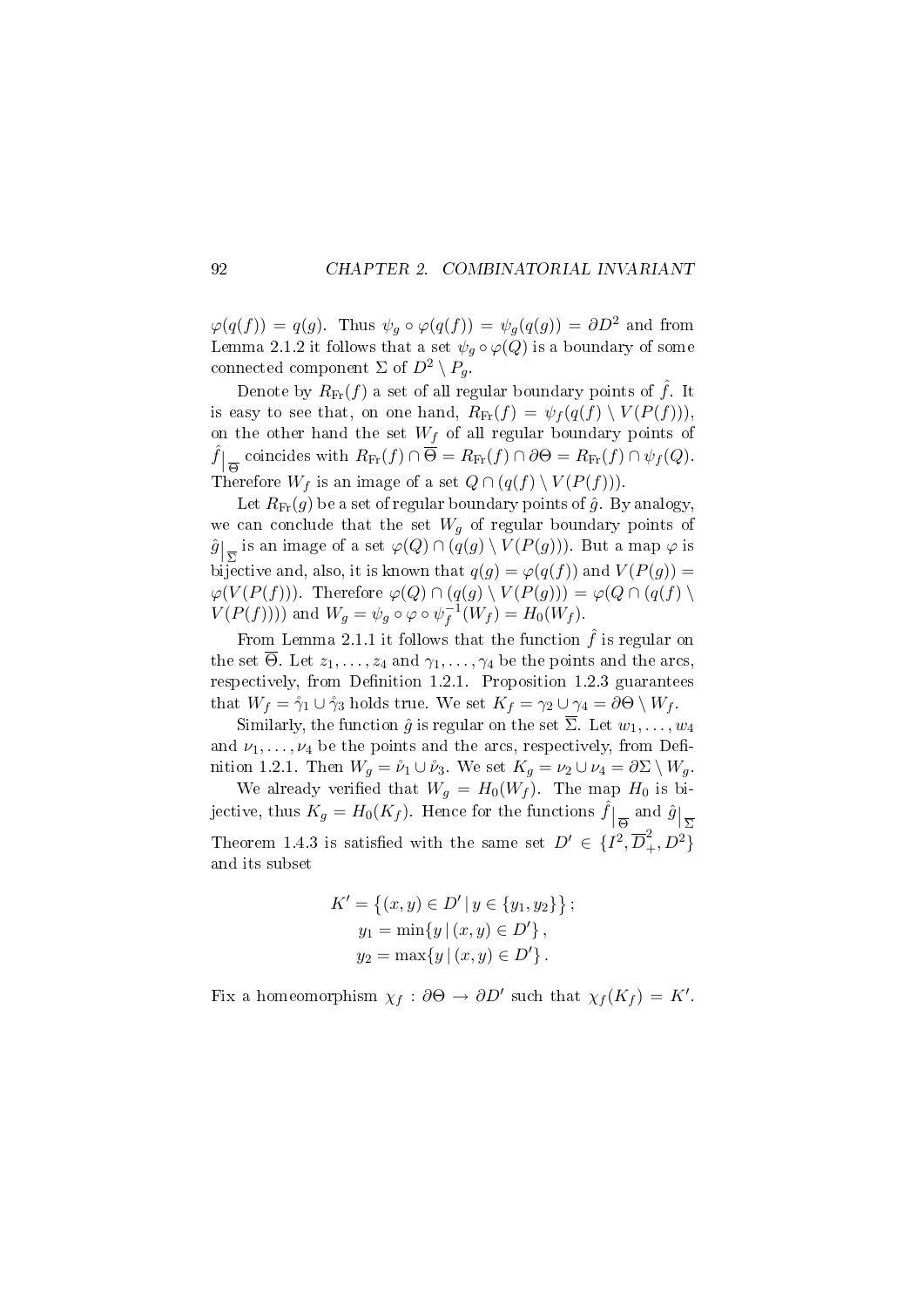$\varphi(q(f)) = q(g)$ . Thus  $\psi_g \circ \varphi(q(f)) = \psi_g(q(g)) = \partial D^2$  and from Lemma 2.1.2 it follows that a set  $\psi_q \circ \varphi(Q)$  is a boundary of some connected component  $\Sigma$  of  $D^2 \setminus P_q$ .

Denote by  $R_{\text{Fr}}(f)$  a set of all regular boundary points of  $\hat{f}$ . It is easy to see that, on one hand,  $R_{\text{Fr}}(f) = \psi_f(q(f) \setminus V(P(f))).$ on the other hand the set  $W_f$  of all regular boundary points of  $\hat{f}|_{\overline{\Theta}}$  coincides with  $R_{\text{Fr}}(f) \cap \overline{\Theta} = R_{\text{Fr}}(f) \cap \partial \Theta = R_{\text{Fr}}(f) \cap \psi_f(Q)$ . Therefore  $W_f$  is an image of a set  $Q \cap (q(f) \setminus V(P(f)))$ .

Let  $R_{\text{Fr}}(g)$  be a set of regular boundary points of  $\hat{g}$ . By analogy, we can conclude that the set  $W_g$  of regular boundary points of  $\hat{g}|_{\overline{\Sigma}}$  is an image of a set  $\varphi(Q) \cap (q(g) \setminus V(P(g)))$ . But a map  $\varphi$  is bijective and, also, it is known that  $q(g) = \varphi(q(f))$  and  $V(P(g)) =$  $\varphi(V(P(f)))$ . Therefore  $\varphi(Q) \cap (q(g) \setminus V(P(g))) = \varphi(Q) \cap (q(f) \setminus$  $V(P(f))))$  and  $W_g = \psi_g \circ \varphi \circ \psi_f^{-1}$  $f_f^{-1}(W_f) = H_0(W_f).$ 

From Lemma 2.1.1 it follows that the function  $\hat{f}$  is regular on the set  $\overline{\Theta}$ . Let  $z_1, \ldots, z_4$  and  $\gamma_1, \ldots, \gamma_4$  be the points and the arcs, respectively, from Definition 1.2.1. Proposition 1.2.3 guarantees that  $W_f = \gamma_1 \cup \gamma_3$  holds true. We set  $K_f = \gamma_2 \cup \gamma_4 = \partial \Theta \setminus W_f$ .

Similarly, the function  $\hat{g}$  is regular on the set  $\overline{\Sigma}$ . Let  $w_1, \ldots, w_4$ and  $\nu_1, \ldots, \nu_4$  be the points and the arcs, respectively, from Definition 1.2.1. Then  $W_g = \nu_1 \cup \nu_3$ . We set  $K_g = \nu_2 \cup \nu_4 = \partial \Sigma \setminus W_g$ .

We already verified that  $W_q = H_0(W_f)$ . The map  $H_0$  is bijective, thus  $K_g = H_0(K_f)$ . Hence for the functions  $\hat{f}|_{\overline{\Theta}}$  and  $\hat{g}|_{\overline{\Sigma}}$ Theorem 1.4.3 is satisfied with the same set  $D' \in \{I^2, \overline{D}_+^2, D^2\}$ and its subset

$$
K' = \{(x, y) \in D' | y \in \{y_1, y_2\}\};
$$
  
\n
$$
y_1 = \min\{y | (x, y) \in D'\},
$$
  
\n
$$
y_2 = \max\{y | (x, y) \in D'\}.
$$

Fix a homeomorphism  $\chi_f : \partial \Theta \to \partial D'$  such that  $\chi_f(K_f) = K'.$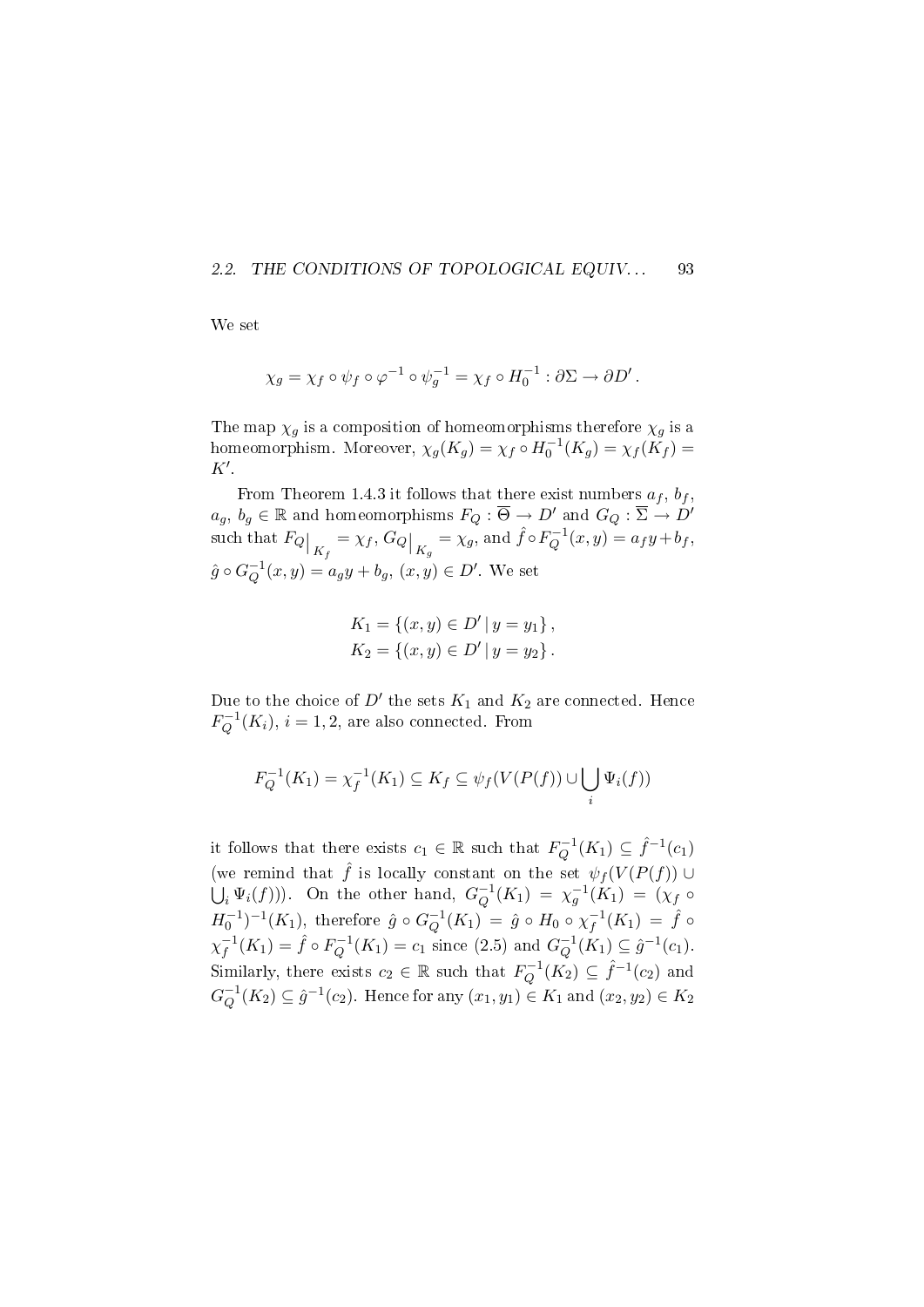#### 2.2. THE CONDITIONS OF TOPOLOGICAL EQUIV... 93

We set

$$
\chi_g = \chi_f \circ \psi_f \circ \varphi^{-1} \circ \psi_g^{-1} = \chi_f \circ H_0^{-1} : \partial \Sigma \to \partial D'.
$$

The map  $\chi_g$  is a composition of homeomorphisms therefore  $\chi_g$  is a homeomorphism. Moreover,  $\chi_g(K_g) = \chi_f \circ H_0^{-1}(K_g) = \chi_f(K_f) =$  $K^{\prime}$ .

From Theorem 1.4.3 it follows that there exist numbers  $a_f$ ,  $b_f$ ,  $a_g, b_g \in \mathbb{R}$  and homeomorphisms  $F_Q : \overline{\Theta} \to D'$  and  $G_Q : \overline{\Sigma} \to D'$ such that  $F_Q\big|_{K_f} = \chi_f, G_Q\big|_{K_g} = \chi_g,$  and  $\hat{f} \circ F_Q^{-1}$  $Q^{-1}(x, y) = a_f y + b_f,$  $\hat{g} \circ G_O^{-1}$  $_{Q}^{-1}(x,y) = a_g y + b_g, (x,y) \in D'.$  We set

$$
K_1 = \{(x, y) \in D' | y = y_1\},
$$
  
\n
$$
K_2 = \{(x, y) \in D' | y = y_2\}.
$$

Due to the choice of  $D'$  the sets  $K_1$  and  $K_2$  are connected. Hence  $F_{\mathcal{O}}^{-1}$  $Q_{Q}^{r-1}(K_i), i=1,2$ , are also connected. From

$$
F_Q^{-1}(K_1) = \chi_f^{-1}(K_1) \subseteq K_f \subseteq \psi_f(V(P(f)) \cup \bigcup_i \Psi_i(f))
$$

it follows that there exists  $c_1 \in \mathbb{R}$  such that  $F_Q^{-1}$  $Q^{-1}(K_1) \subseteq \hat{f}^{-1}(c_1)$ (we remind that  $\hat{f}$  is locally constant on the set  $\psi_f(V(P(f)))$  ∪  $\bigcup_i \Psi_i(f)$ ). On the other hand,  $G_Q^{-1}$  $\chi_{Q}^{-1}(K_{1}) = \chi_{g}^{-1}(K_{1}) = (\chi_{f} \circ$  $H_0^{-1})^{-1}(K_1)$ , therefore  $\hat{g} \circ G_Q^{-1}$  $\hat{Q}^{-1}(K_1) \,=\, \hat{g} \, \circ \, H_0 \, \circ \, \chi_f^{-1}$  $\bar f_1^{-1}(K_1)\ =\ \hat f\circ$  $\chi_f^{-1}$  $f^{-1}(K_1) = \hat{f} \circ F_Q^{-1}$  $q_Q^{-1}(K_1) = c_1$  since (2.5) and  $G_Q^{-1}$  $_Q^{-1}(K_1) \subseteq \hat{g}^{-1}(c_1).$ Similarly, there exists  $c_2 \in \mathbb{R}$  such that  $F_Q^{-1}$  $Q^{-1}(K_2) \subseteq \hat{f}^{-1}(c_2)$  and  $G^{-1}_O$  $Q^{-1}(K_2) \subseteq \hat{g}^{-1}(c_2)$ . Hence for any  $(x_1, y_1) \in K_1$  and  $(x_2, y_2) \in K_2$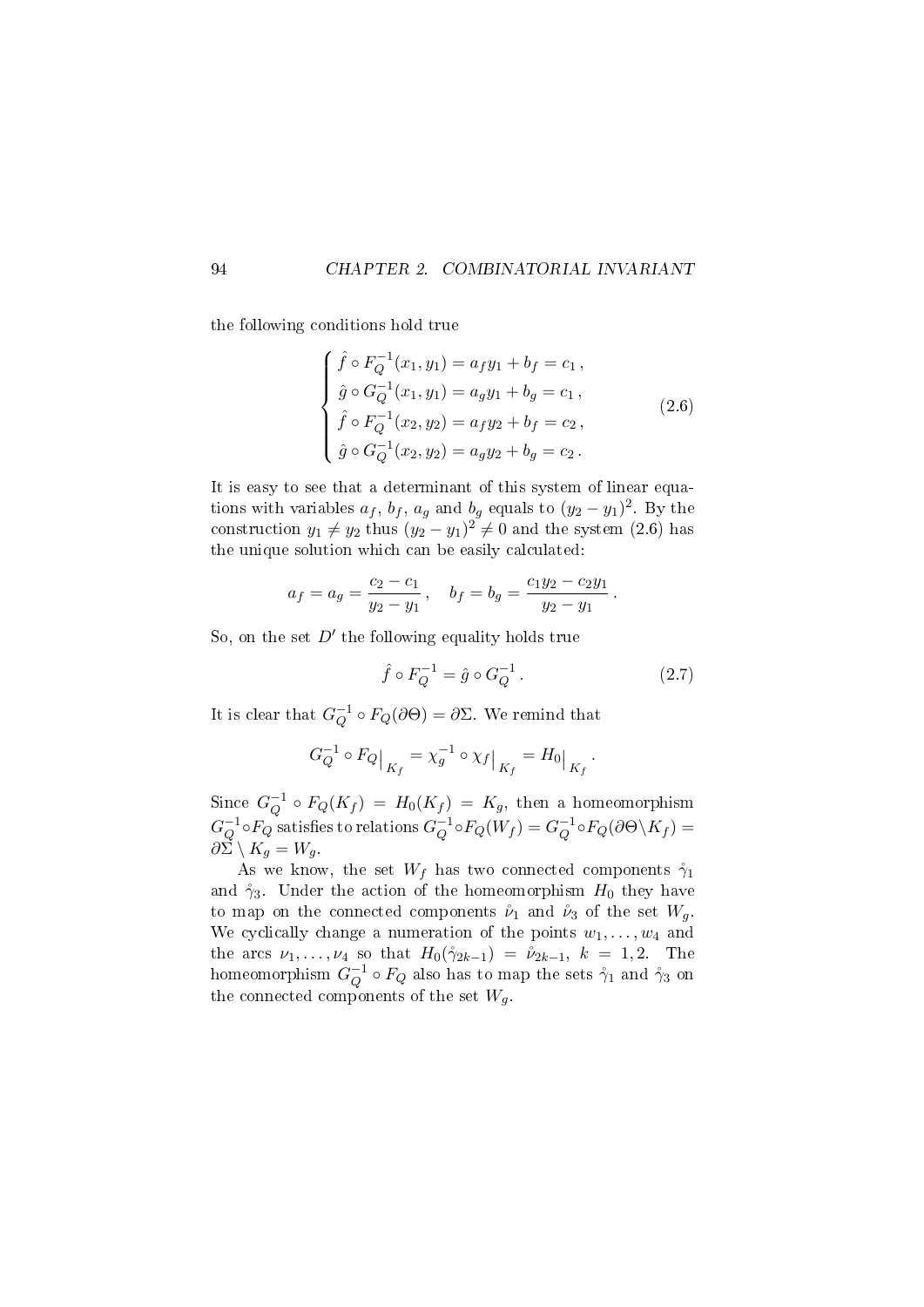the following conditions hold true

$$
\begin{cases}\n\hat{f} \circ F_Q^{-1}(x_1, y_1) = a_f y_1 + b_f = c_1, \\
\hat{g} \circ G_Q^{-1}(x_1, y_1) = a_g y_1 + b_g = c_1, \\
\hat{f} \circ F_Q^{-1}(x_2, y_2) = a_f y_2 + b_f = c_2, \\
\hat{g} \circ G_Q^{-1}(x_2, y_2) = a_g y_2 + b_g = c_2.\n\end{cases}
$$
\n(2.6)

It is easy to see that a determinant of this system of linear equations with variables  $a_f$ ,  $b_f$ ,  $a_g$  and  $b_g$  equals to  $(y_2 - y_1)^2$ . By the construction  $y_1 \neq y_2$  thus  $(y_2 - y_1)^2 \neq 0$  and the system (2.6) has the unique solution which can be easily calculated:

$$
a_f = a_g = \frac{c_2 - c_1}{y_2 - y_1}
$$
,  $b_f = b_g = \frac{c_1 y_2 - c_2 y_1}{y_2 - y_1}$ 

So, on the set  $D'$  the following equality holds true

$$
\hat{f} \circ F_Q^{-1} = \hat{g} \circ G_Q^{-1}.
$$
\n(2.7)

.

It is clear that  $G_O^{-1}$  $Q^{-1} \circ F_Q(\partial \Theta) = \partial \Sigma$ . We remind that

$$
G_Q^{-1} \circ F_Q \big|_{K_f} = \chi_g^{-1} \circ \chi_f \big|_{K_f} = H_0 \big|_{K_f}.
$$

Since  $G_O^{-1}$  $Q^{-1} \circ F_Q(K_f) = H_0(K_f) = K_g$ , then a homeomorphism  $G^{-1}_O$  $^{-1}_{Q}$ o $F_Q$  satisfies to relations  $G_Q^{-1}$  $Q^{-1} \circ F_Q(W_f) = G_Q^{-1}$  $Q^{-1}\circ F_Q(\partial\Theta\!\setminus\!K_f)=$  $\partial \Sigma \setminus K_g = W_g$ .

As we know, the set  $W_f$  has two connected components  $\gamma_1$ and  $\gamma_3$ . Under the action of the homeomorphism  $H_0$  they have to map on the connected components  $\mathring{\nu}_1$  and  $\mathring{\nu}_3$  of the set  $W_q$ . We cyclically change a numeration of the points  $w_1, \ldots, w_4$  and the arcs  $\nu_1, \ldots, \nu_4$  so that  $H_0(\gamma_{2k-1}) = \nu_{2k-1}, k = 1, 2$ . The homeomorphism  $G_O^{-1}$  $_{Q}^{-1}\circ F_{Q}$  also has to map the sets  $\mathring{\gamma}_{1}$  and  $\mathring{\gamma}_{3}$  on the connected components of the set  $W_a$ .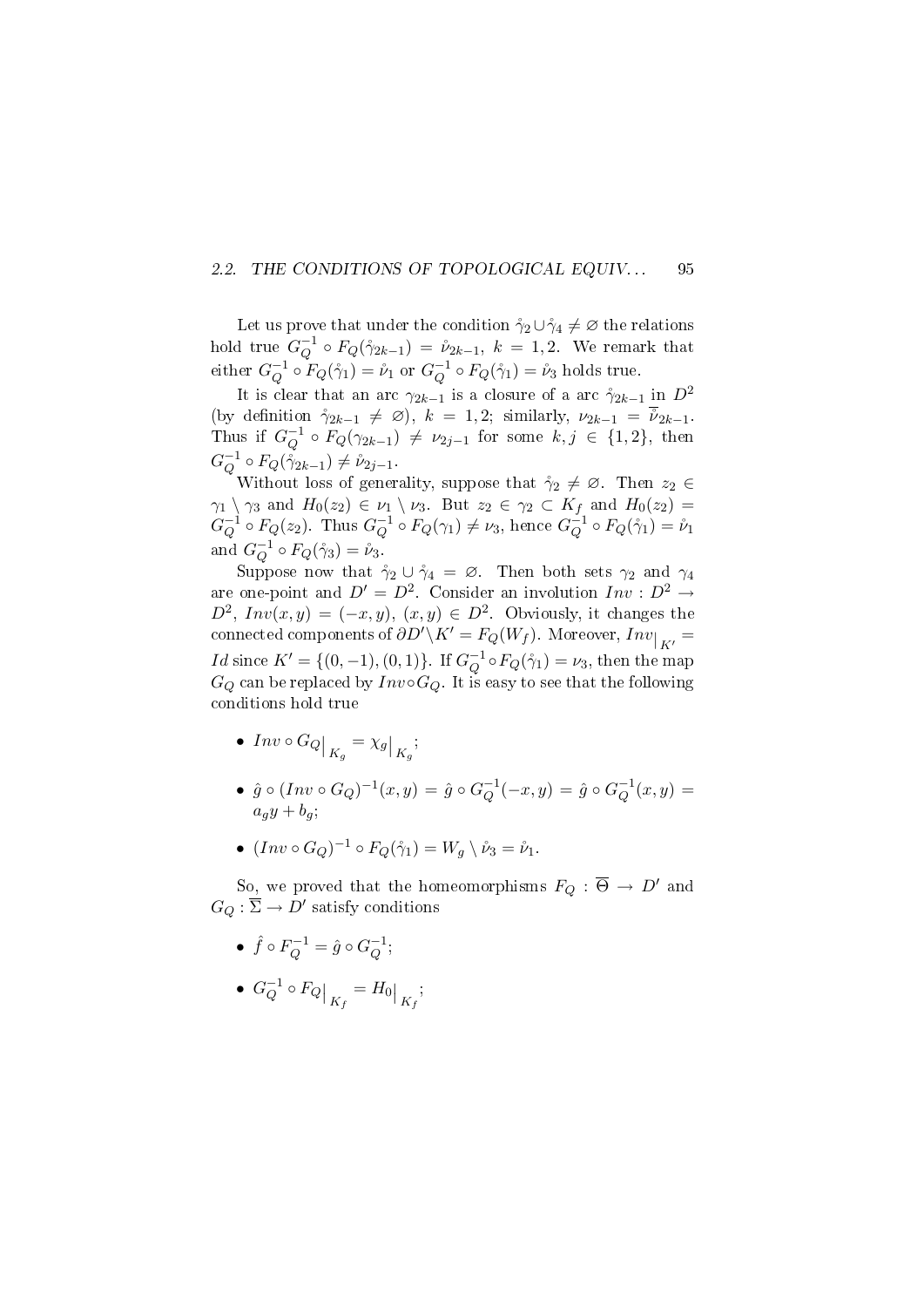#### 2.2. THE CONDITIONS OF TOPOLOGICAL EQUIV... 95

Let us prove that under the condition  $\gamma_2 \cup \gamma_4 \neq \emptyset$  the relations hold true  $G_O^{-1}$  $Q^{-1} \circ F_Q(\mathring{\gamma}_{2k-1}) \, = \, \mathring{\nu}_{2k-1}, \; k \, = \, 1,2.$  We remark that either  $G_O^{-1}$  $_{Q}^{-1} \circ F_{Q}(\dot{\gamma}_{1}) = \dot{\nu}_{1} \text{ or } G_{Q}^{-1}$  $Q^{-1} \circ F_Q(\mathring{\gamma}_1) = \mathring{\nu}_3$  holds true.

It is clear that an arc  $\gamma_{2k-1}$  is a closure of a arc  $\gamma_{2k-1}$  in  $D^2$ (by definition  $\gamma_{2k-1} \neq \emptyset$ ),  $k = 1, 2$ ; similarly,  $\nu_{2k-1} = \overline{\tilde{\nu}}_{2k-1}$ . Thus if  $G_O^{-1}$  $Q^{-1} \circ F_Q(\gamma_{2k-1}) \neq \nu_{2j-1}$  for some  $k, j \in \{1,2\}$ , then  $G^{-1}_O$  $Q^{-1} \circ F_Q(\gamma_{2k-1}) \neq \nu_{2j-1}.$ 

Without loss of generality, suppose that  $\gamma_2 \neq \emptyset$ . Then  $z_2 \in$  $\gamma_1 \setminus \gamma_3$  and  $H_0(z_2) \in \nu_1 \setminus \nu_3$ . But  $z_2 \in \gamma_2 \subset K_f$  and  $H_0(z_2) =$  $G_{\mathcal{O}}^{-1}$  $^{-1}_{Q} \circ F_{Q}(z_2)$ . Thus  $G_Q^{-1}$  $Q^{-1} \circ F_Q(\gamma_1) \neq \nu_3$ , hence  $G_Q^{-1}$  $\mathcal{L}_Q^{-1} \circ F_Q(\mathcal{L}_1) = \mathcal{V}_1$ and  $G_Q^{-1}$  $_Q^{-1} \circ F_Q(\mathring{\gamma}_3) = \mathring{\nu}_3.$ 

Suppose now that  $\gamma_2 \cup \gamma_4 = \emptyset$ . Then both sets  $\gamma_2$  and  $\gamma_4$ are one-point and  $D' = D^2$ . Consider an involution  $Inv : D^2 \to$  $D^2$ ,  $Inv(x, y) = (-x, y), (x, y) \in D^2$ . Obviously, it changes the connected components of  $\partial D^{\prime} \backslash K^{\prime} = F_Q(W_f)$ . Moreover,  $Inv|_{K^{\prime}} =$ *Id* since  $K' = \{(0, -1), (0, 1)\}$ . If  $G_O^{-1}$  $Q_Q^{-1} \circ F_Q(\mathring{\gamma}_1) = \nu_3$ , then the map  $G_Q$  can be replaced by  $Inv \circ G_Q$ . It is easy to see that the following conditions hold true

- $Inv \circ G_Q \big|_{K_g} = \chi_g \big|_{K_g};$
- $\hat{g} \circ (Inv \circ G_Q)^{-1}(x, y) = \hat{g} \circ G_Q^{-1}$  $Q^{-1}(-x, y) = \hat{g} \circ G_Q^{-1}$  $Q^{-1}(x, y) =$  $a_ay + b_9;$
- $(Inv \circ G_Q)^{-1} \circ F_Q(\mathring{\gamma}_1) = W_g \setminus \mathring{\nu}_3 = \mathring{\nu}_1.$

So, we proved that the homeomorphisms  $F_Q : \overline{\Theta} \to D'$  and  $G_Q: \overline{\Sigma} \to D'$  satisfy conditions

- $\bullet\ \hat{f}\circ F_Q^{-1}=\hat{g}\circ G_Q^{-1}$  $_{Q}^{-1};$
- $\bullet$   $G_{\Omega}^{-1}$  $\left. \frac{1}{Q} \circ F_Q \right|_{K_f} = H_0 \Big|_{K_f};$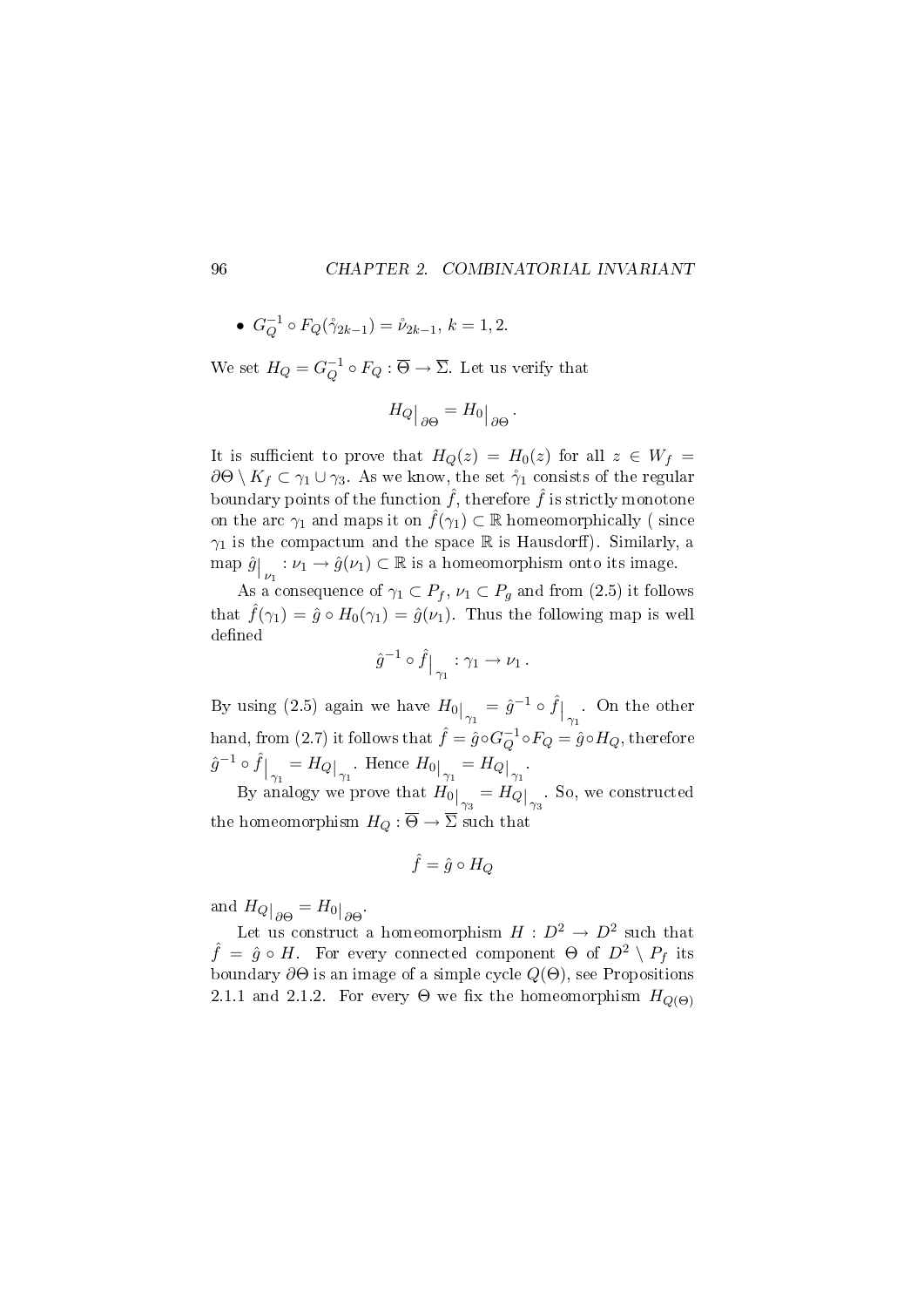• 
$$
G_Q^{-1} \circ F_Q(\dot{\gamma}_{2k-1}) = \dot{\nu}_{2k-1}, k = 1, 2.
$$

We set  $H_Q = G_Q^{-1}$  $_Q^{-1} \circ F_Q : \Theta \to \Sigma$ . Let us verify that

$$
H_Q\big|_{\partial\Theta} = H_0\big|_{\partial\Theta}.
$$

It is sufficient to prove that  $H_Q(z) = H_0(z)$  for all  $z \in W_f$  $\partial\Theta\setminus K_f\subset \gamma_1\cup\gamma_3$ . As we know, the set  $\mathring{\gamma}_1$  consists of the regular boundary points of the function  $\hat{f}$ , therefore  $\hat{f}$  is strictly monotone on the arc  $\gamma_1$  and maps it on  $\hat{f}(\gamma_1) \subset \mathbb{R}$  homeomorphically (since  $\gamma_1$  is the compactum and the space R is Hausdorff). Similarly, a map  $\hat{g}\Big|_{\nu_1} : \nu_1 \to \hat{g}(\nu_1) \subset \mathbb{R}$  is a homeomorphism onto its image.

As a consequence of  $\gamma_1 \subset P_f$ ,  $\nu_1 \subset P_g$  and from (2.5) it follows that  $\hat{f}(\gamma_1) = \hat{g} \circ H_0(\gamma_1) = \hat{g}(\nu_1)$ . Thus the following map is well defined

$$
\widehat{g}^{-1}\circ \widehat{f}\big|_{\gamma_1}:\gamma_1\to \nu_1\,.
$$

By using (2.5) again we have  $H_0\big|_{\gamma_1} = \hat{g}^{-1} \circ \hat{f}\big|_{\gamma_1}$ . On the other hand, from (2.7) it follows that  $\hat{f} = \hat{g} \circ G_O^{-1}$  $Q^{-1} \circ F_Q = \hat{g} \circ H_Q,$  therefore  $\hat{g}^{-1} \circ \hat{f}\big|_{\gamma_1} = H_Q\big|_{\gamma_1}$ . Hence  $H_0\big|_{\gamma_1} = H_Q\big|_{\gamma_1}$ .

By analogy we prove that  $H_0\big|_{\gamma_3} = H_Q\big|_{\gamma_3}$ . So, we constructed the homeomorphism  $H_Q : \overline{\Theta} \to \overline{\Sigma}$  such that

$$
\hat{f}=\hat{g}\circ H_Q
$$

and  $H_Q|_{\partial \Theta} = H_0|_{\partial \Theta}$ .

Let us construct a homeomorphism  $H : D^2 \to D^2$  such that  $\hat{f} = \hat{g} \circ H$ . For every connected component  $\Theta$  of  $D^2 \setminus P_f$  its boundary  $\partial\Theta$  is an image of a simple cycle  $Q(\Theta)$ , see Propositions 2.1.1 and 2.1.2. For every  $\Theta$  we fix the homeomorphism  $H_{Q(\Theta)}$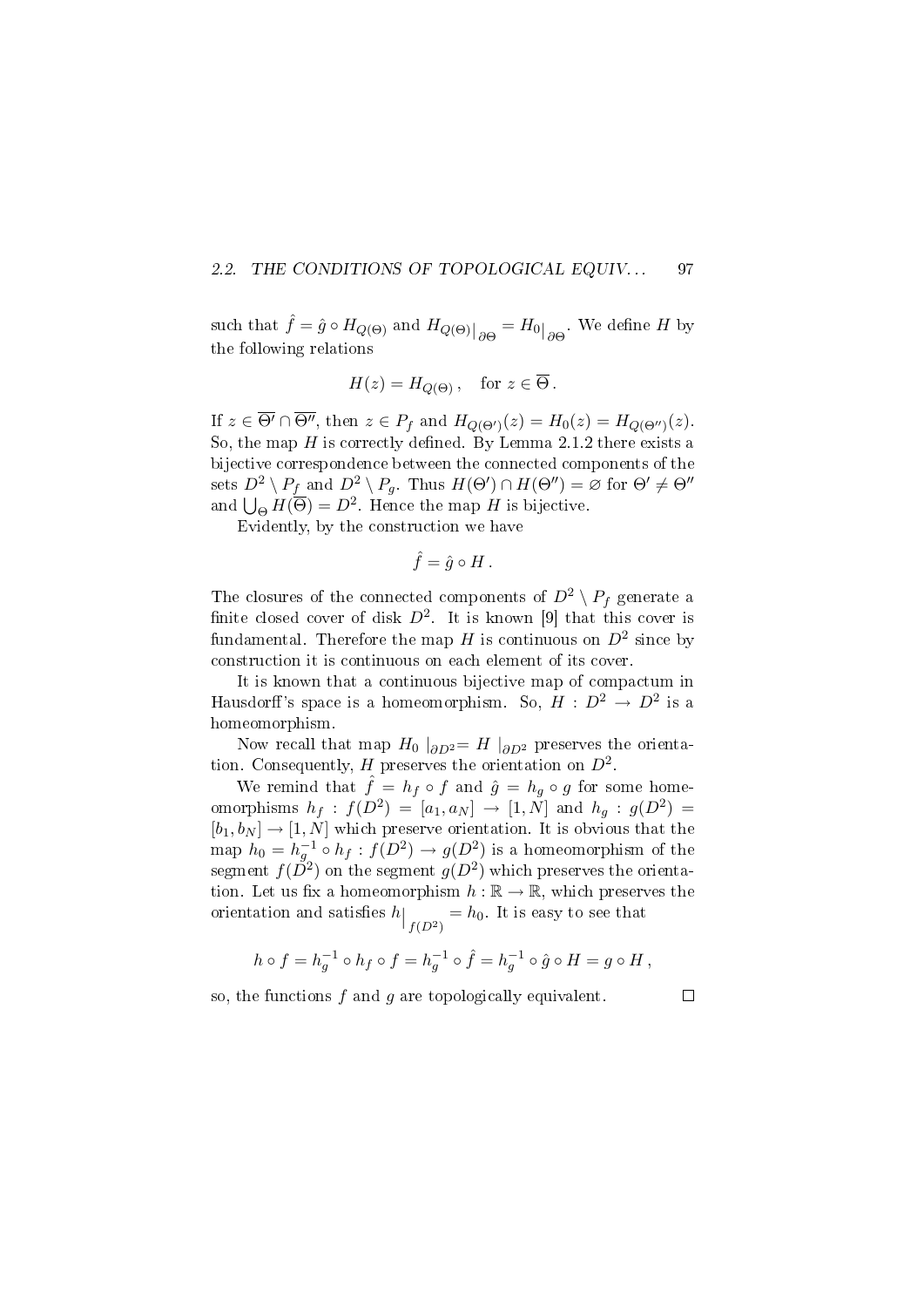#### 2.2. THE CONDITIONS OF TOPOLOGICAL EQUIV... 97

such that  $\hat{f} = \hat{g} \circ H_{Q(\Theta)}$  and  $H_{Q(\Theta)}|_{\partial\Theta} = H_0|_{\partial\Theta}$ . We define H by the following relations

$$
H(z) = H_{Q(\Theta)}, \quad \text{for } z \in \overline{\Theta}.
$$

If  $z \in \overline{\Theta'} \cap \overline{\Theta''}$ , then  $z \in P_f$  and  $H_{Q(\Theta')}(z) = H_0(z) = H_{Q(\Theta'')}(z)$ . So, the map  $H$  is correctly defined. By Lemma 2.1.2 there exists a bijective correspondence between the connected components of the sets  $D^2 \setminus P_f$  and  $D^2 \setminus P_g$ . Thus  $H(\Theta') \cap H(\Theta'') = \varnothing$  for  $\Theta' \neq \Theta''$ and  $\bigcup_{\Theta} H(\overline{\Theta}) = D^2$ . Hence the map H is bijective.

Evidently, by the construction we have

$$
\hat{f} = \hat{g} \circ H.
$$

The closures of the connected components of  $D^2 \setminus P_f$  generate a finite closed cover of disk  $D^2$ . It is known [9] that this cover is fundamental. Therefore the map  $H$  is continuous on  $D^2$  since by construction it is continuous on each element of its cover.

It is known that a continuous bijective map of compactum in Hausdorff's space is a homeomorphism. So,  $H : D^2 \to D^2$  is a homeomorphism.

Now recall that map  $H_0$   $|_{\partial D^2} = H|_{\partial D^2}$  preserves the orientation. Consequently, H preserves the orientation on  $D^2$ .

We remind that  $\hat{f} = h_f \circ f$  and  $\hat{g} = h_g \circ g$  for some homeomorphisms  $h_f : f(D^2) = [a_1, a_N] \rightarrow [1, N]$  and  $h_g : g(D^2) =$  $[b_1, b_N] \rightarrow [1, N]$  which preserve orientation. It is obvious that the map  $h_0 = h_g^{-1} \circ h_f : f(D^2) \to g(D^2)$  is a homeomorphism of the segment  $f(\check{D}^2)$  on the segment  $g(D^2)$  which preserves the orientation. Let us fix a homeomorphism  $h : \mathbb{R} \to \mathbb{R}$ , which preserves the orientation and satisfies  $h\big|_{f(D^2)} = h_0$ . It is easy to see that

$$
h \circ f = h_g^{-1} \circ h_f \circ f = h_g^{-1} \circ \hat{f} = h_g^{-1} \circ \hat{g} \circ H = g \circ H,
$$

so, the functions  $f$  and  $g$  are topologically equivalent.

 $\Box$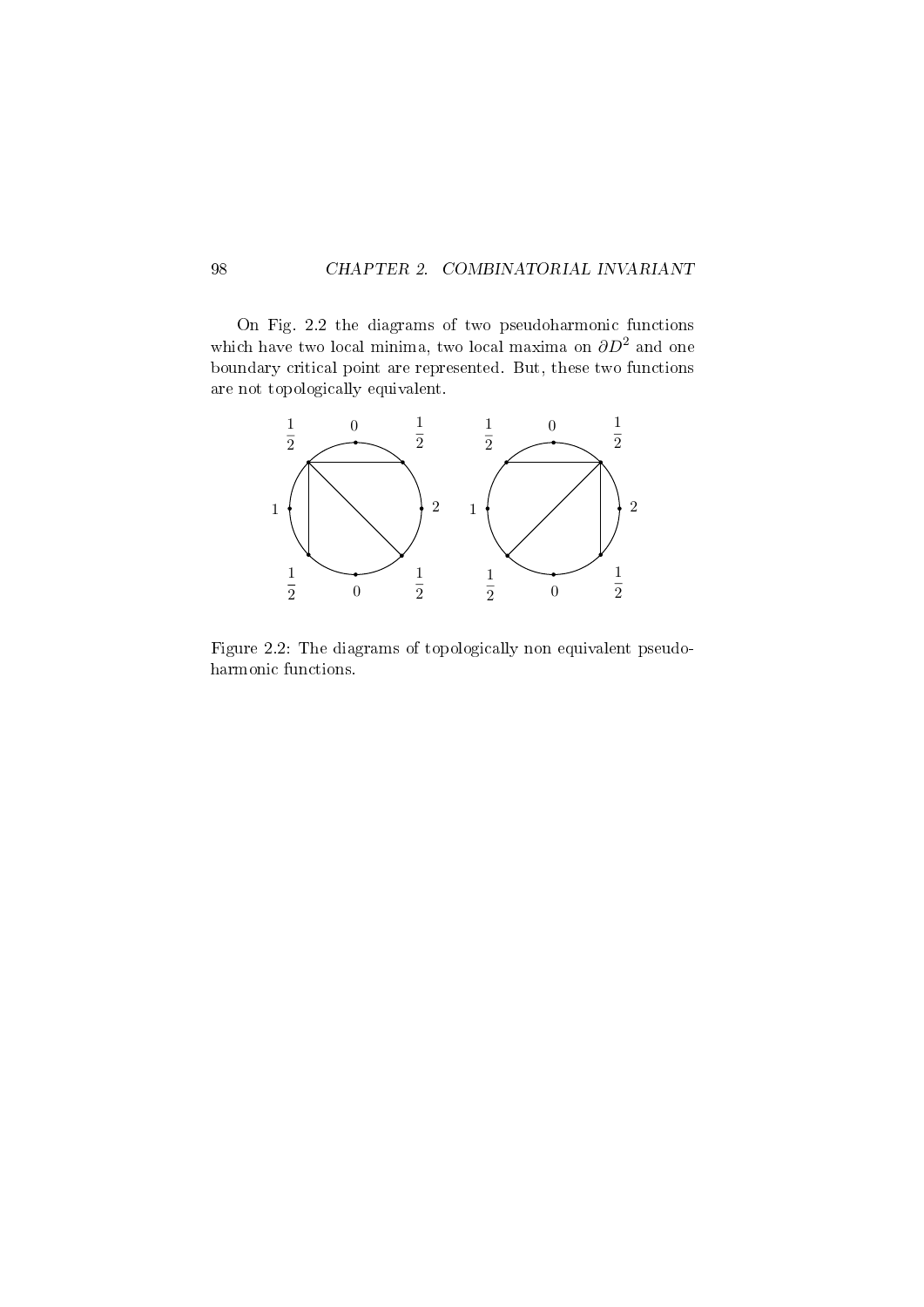On Fig. 2.2 the diagrams of two pseudoharmonic functions which have two local minima, two local maxima on  $\partial D^2$  and one boundary critical point are represented. But, these two functions are not topologically equivalent.



Figure 2.2: The diagrams of topologically non equivalent pseudoharmonic functions.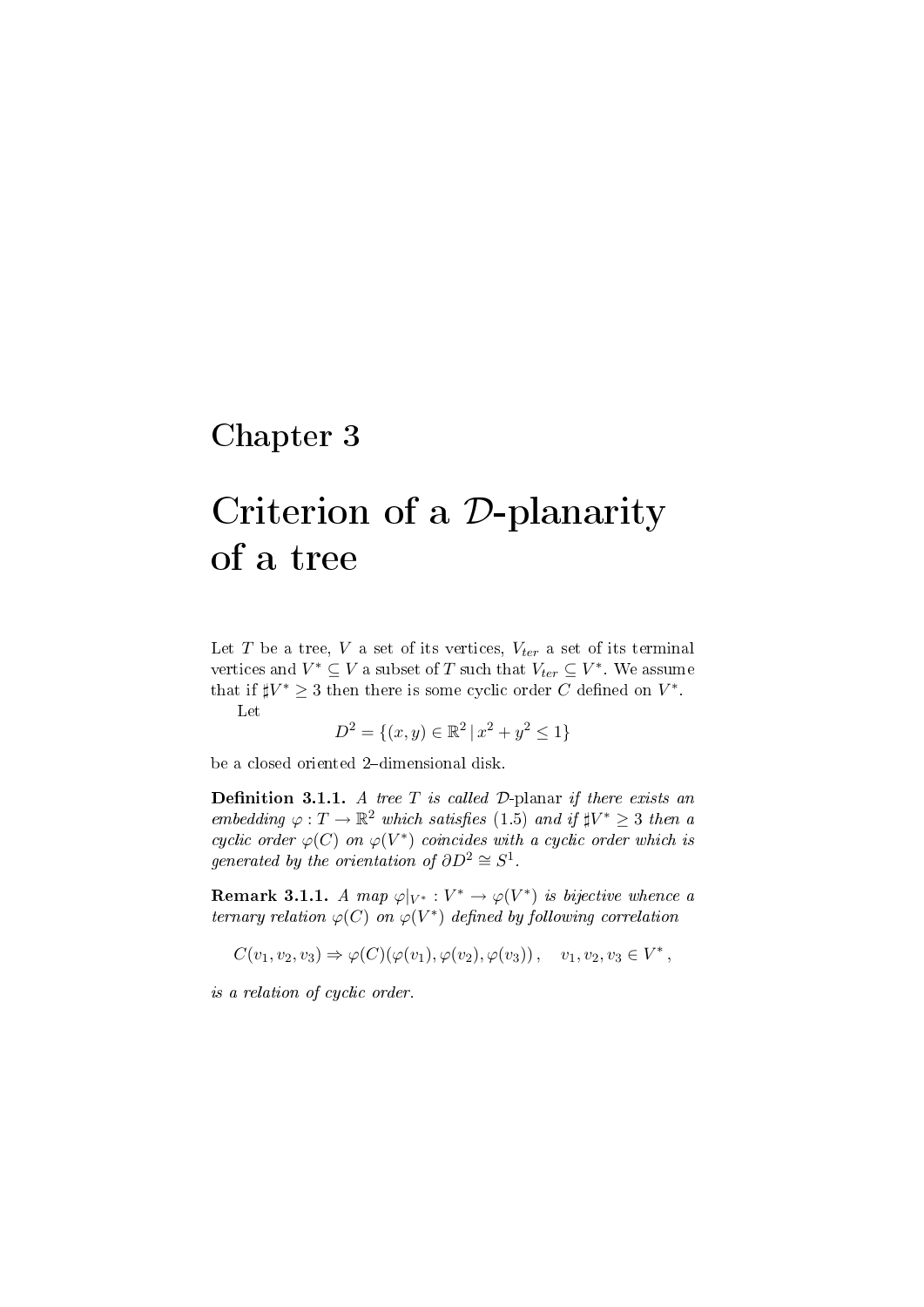## Chapter 3

# Criterion of a D-planarity of a tree

Let T be a tree, V a set of its vertices,  $V_{ter}$  a set of its terminal vertices and  $V^* \subseteq V$  a subset of T such that  $V_{ter} \subseteq V^*$ . We assume that if  $\sharp V^* \geq 3$  then there is some cyclic order C defined on  $V^*$ .

Let

$$
D^2 = \{(x, y) \in \mathbb{R}^2 \mid x^2 + y^2 \le 1\}
$$

be a closed oriented 2-dimensional disk.

**Definition 3.1.1.** A tree  $T$  is called  $D$ -planar if there exists an embedding  $\varphi: T \to \mathbb{R}^2$  which satisfies (1.5) and if  $\sharp V^* \geq 3$  then a cyclic order  $\varphi(C)$  on  $\varphi(V^*)$  coincides with a cyclic order which is generated by the orientation of  $\partial D^2 \cong S^1$ .

**Remark 3.1.1.** A map  $\varphi|_{V^*}: V^* \to \varphi(V^*)$  is bijective whence a ternary relation  $\varphi(C)$  on  $\varphi(V^*)$  defined by following correlation

$$
C(v_1, v_2, v_3) \Rightarrow \varphi(C)(\varphi(v_1), \varphi(v_2), \varphi(v_3)), \quad v_1, v_2, v_3 \in V^*,
$$

is a relation of cyclic order.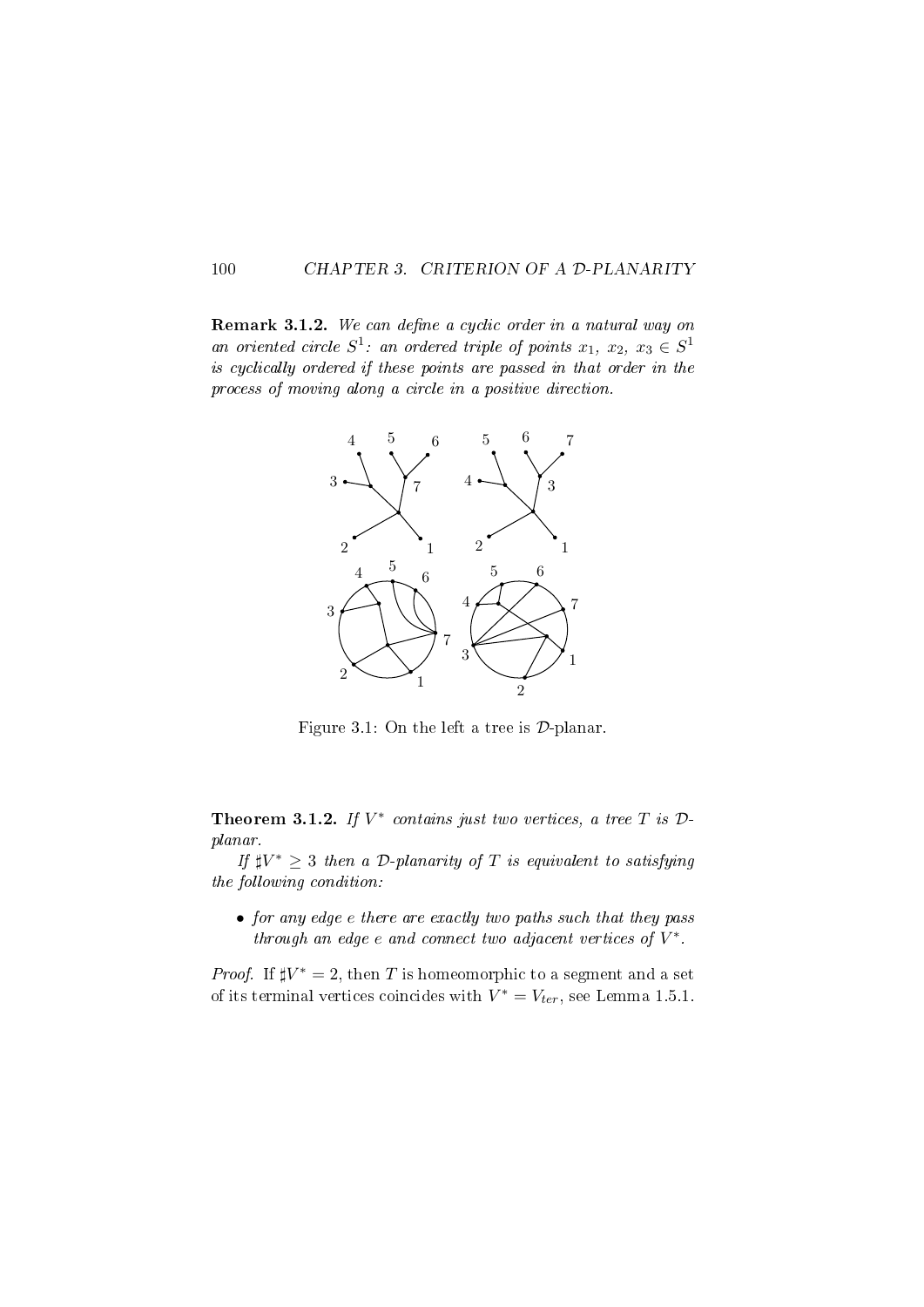#### 100 CHAPTER 3. CRITERION OF A D-PLANARITY

**Remark 3.1.2.** We can define a cyclic order in a natural way on an oriented circle  $S^1$ : an ordered triple of points  $x_1, x_2, x_3 \in S^1$ is cyclically ordered if these points are passed in that order in the process of moving along a circle in a positive direction.



Figure 3.1: On the left a tree is  $D$ -planar.

Theorem 3.1.2. If  $V^*$  contains just two vertices, a tree T is  $\mathcal{D}$ planar.

If  $\sharp V^* \geq 3$  then a D-planarity of T is equivalent to satisfying the following condition:

• for any edge e there are exactly two paths such that they pass through an edge  $e$  and connect two adjacent vertices of  $V^*$ .

*Proof.* If  $\sharp V^* = 2$ , then T is homeomorphic to a segment and a set of its terminal vertices coincides with  $V^* = V_{ter}$ , see Lemma 1.5.1.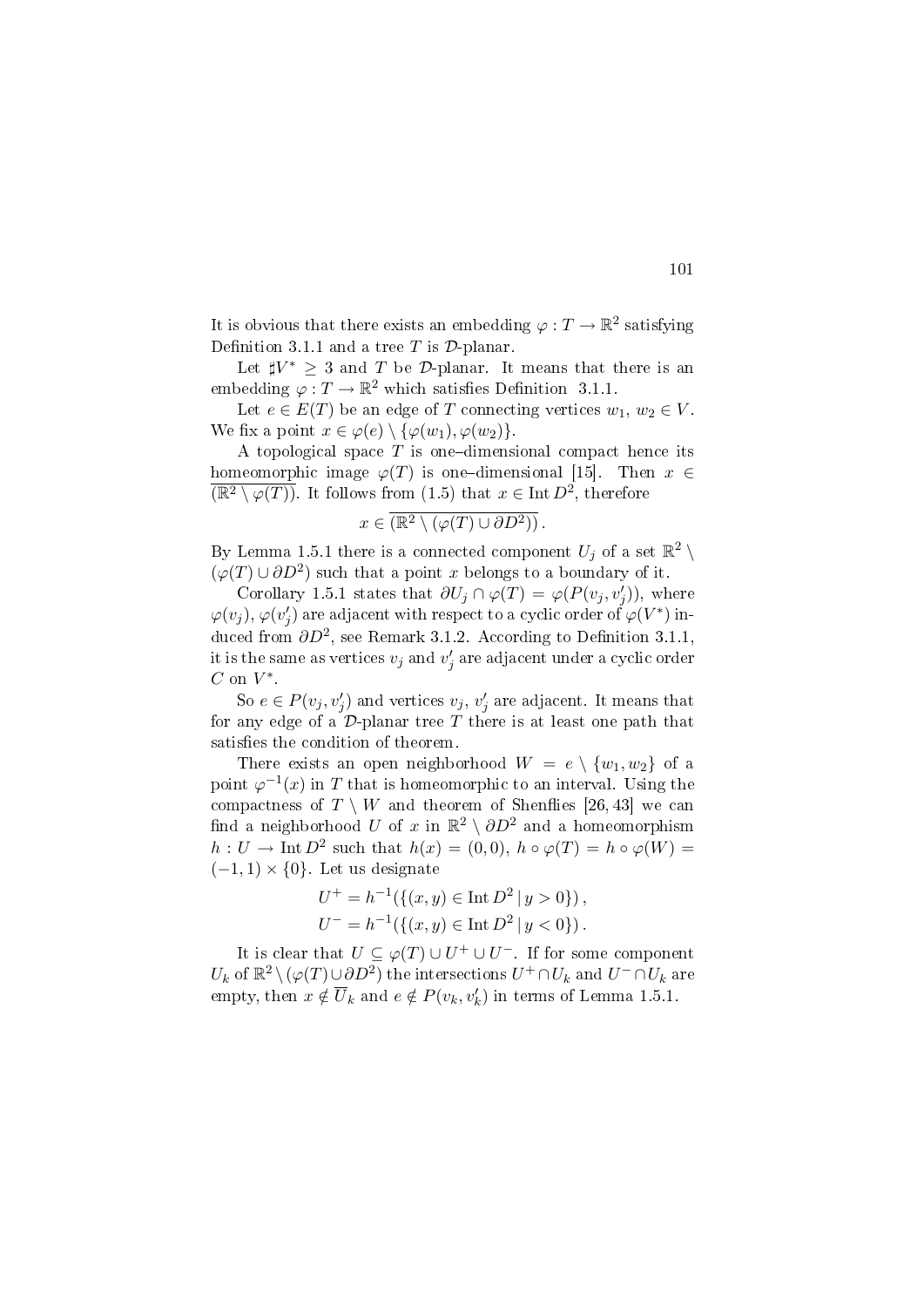It is obvious that there exists an embedding  $\varphi: T \to \mathbb{R}^2$  satisfying Definition 3.1.1 and a tree T is  $\mathcal{D}\text{-planar}$ .

Let  $\sharp V^* \geq 3$  and T be D-planar. It means that there is an embedding  $\varphi: T \to \mathbb{R}^2$  which satisfies Definition 3.1.1.

Let  $e \in E(T)$  be an edge of T connecting vertices  $w_1, w_2 \in V$ . We fix a point  $x \in \varphi(e) \setminus {\varphi(w_1), \varphi(w_2)}$ .

A topological space  $T$  is one-dimensional compact hence its homeomorphic image  $\varphi(T)$  is one-dimensional [15]. Then  $x \in$  $\overline{(\mathbb{R}^2 \setminus \varphi(T))}$ . It follows from (1.5) that  $x \in \text{Int } D^2$ , therefore

$$
x\in \overline{({\mathbb R}^2 \setminus (\varphi(T) \cup \partial D^2))}\, .
$$

By Lemma 1.5.1 there is a connected component  $U_j$  of a set  $\mathbb{R}^2 \setminus$  $(\varphi(T) \cup \partial D^2)$  such that a point x belongs to a boundary of it.

Corollary 1.5.1 states that  $\partial U_j \cap \varphi(T) = \varphi(P(v_j, v'_j))$ , where  $\varphi(v_j),\varphi(v'_j)$  are adjacent with respect to a cyclic order of  $\varphi(V^*)$  induced from  $\partial D^2$ , see Remark 3.1.2. According to Definition 3.1.1, it is the same as vertices  $v_j$  and  $v'_j$  are adjacent under a cyclic order  $C$  on  $V^*$ .

So  $e \in P(v_j, v'_j)$  and vertices  $v_j, v'_j$  are adjacent. It means that for any edge of a  $\mathcal{D}$ -planar tree T there is at least one path that satisfies the condition of theorem.

There exists an open neighborhood  $W = e \setminus \{w_1, w_2\}$  of a point  $\varphi^{-1}(x)$  in T that is homeomorphic to an interval. Using the compactness of  $T \setminus W$  and theorem of Shenflies [26, 43] we can find a neighborhood  $U$  of  $x$  in  $\mathbb{R}^2 \setminus \partial D^2$  and a homeomorphism  $h: U \to \text{Int } D^2$  such that  $h(x) = (0,0), h \circ \varphi(T) = h \circ \varphi(W) =$  $(-1, 1) \times \{0\}$ . Let us designate

$$
U^{+} = h^{-1}(\{(x, y) \in \text{Int } D^{2} | y > 0\}),
$$
  

$$
U^{-} = h^{-1}(\{(x, y) \in \text{Int } D^{2} | y < 0\}).
$$

It is clear that  $U \subseteq \varphi(T) \cup U^+ \cup U^-$ . If for some component U<sub>k</sub> of  $\mathbb{R}^2 \setminus (\varphi(T) \cup \partial D^2)$  the intersections  $U^+ \cap U_k$  and  $U^- \cap U_k$  are empty, then  $x \notin \overline{U}_k$  and  $e \notin P(v_k, v'_k)$  in terms of Lemma 1.5.1.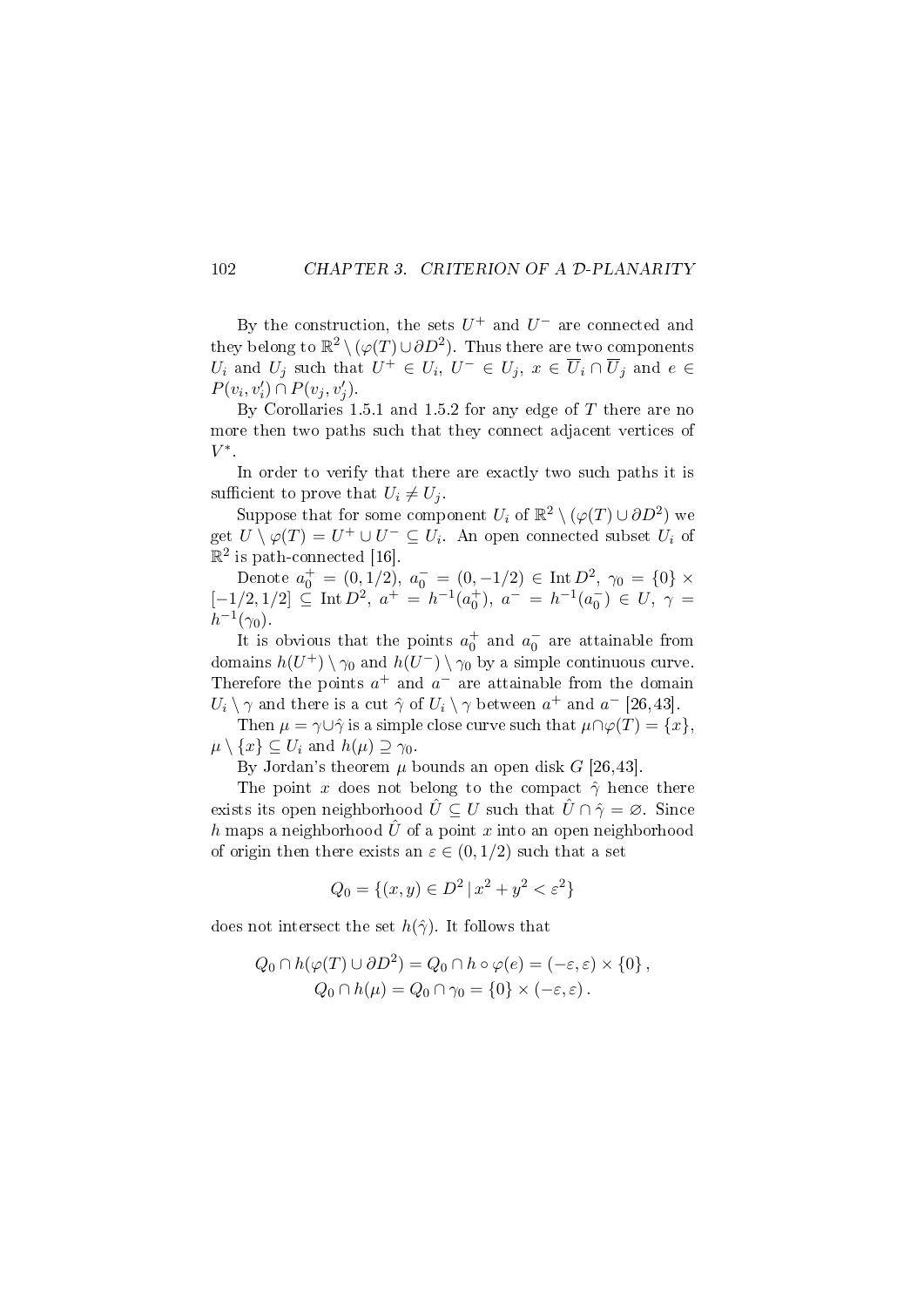#### 102 CHAPTER 3. CRITERION OF A D-PLANARITY

By the construction, the sets  $U^+$  and  $U^-$  are connected and they belong to  $\mathbb{R}^2 \setminus (\varphi(T) \cup \partial D^2)$ . Thus there are two components  $U_i$  and  $U_j$  such that  $U^+ \in U_i$ ,  $U^- \in U_j$ ,  $x \in \overline{U}_i \cap \overline{U}_j$  and  $e \in$  $P(v_i, v'_i) \cap P(v_j, v'_j).$ 

By Corollaries 1.5.1 and 1.5.2 for any edge of  $T$  there are no more then two paths such that they connect adjacent vertices of  $V^*$ .

In order to verify that there are exactly two such paths it is sufficient to prove that  $U_i \neq U_j$ .

Suppose that for some component  $U_i$  of  $\mathbb{R}^2 \setminus (\varphi(T) \cup \partial D^2)$  we get  $U \setminus \varphi(T) = U^+ \cup U^- \subseteq U_i$ . An open connected subset  $U_i$  of  $\mathbb{R}^2$  is path-connected [16].

Denote  $a_0^+ = (0, 1/2), a_0^- = (0, -1/2) \in \text{Int } D^2, \gamma_0 = \{0\} \times$  $[-1/2, 1/2] \subseteq \text{Int } D^2, a^+ = h^{-1}(a_0^+), a^- = h^{-1}(a_0^-) \in U, \gamma =$  $h^{-1}(\gamma_0)$ .

It is obvious that the points  $a_0^+$  and  $a_0^-$  are attainable from domains  $h(U^+) \setminus \gamma_0$  and  $h(U^-) \setminus \gamma_0$  by a simple continuous curve. Therefore the points  $a^+$  and  $a^-$  are attainable from the domain  $U_i \setminus \gamma$  and there is a cut  $\hat{\gamma}$  of  $U_i \setminus \gamma$  between  $a^+$  and  $a^-$  [26,43].

Then  $\mu = \gamma \cup \hat{\gamma}$  is a simple close curve such that  $\mu \cap \varphi(T) = \{x\}.$  $\mu \setminus \{x\} \subseteq U_i$  and  $h(\mu) \supseteq \gamma_0$ .

By Jordan's theorem  $\mu$  bounds an open disk G [26,43].

The point x does not belong to the compact  $\hat{\gamma}$  hence there exists its open neighborhood  $\hat{U} \subseteq U$  such that  $\hat{U} \cap \hat{\gamma} = \emptyset$ . Since h maps a neighborhood  $\hat{U}$  of a point x into an open neighborhood of origin then there exists an  $\varepsilon \in (0,1/2)$  such that a set

$$
Q_0 = \{(x, y) \in D^2 \mid x^2 + y^2 < \varepsilon^2\}
$$

does not intersect the set  $h(\hat{\gamma})$ . It follows that

$$
Q_0 \cap h(\varphi(T) \cup \partial D^2) = Q_0 \cap h \circ \varphi(e) = (-\varepsilon, \varepsilon) \times \{0\},
$$
  

$$
Q_0 \cap h(\mu) = Q_0 \cap \gamma_0 = \{0\} \times (-\varepsilon, \varepsilon).
$$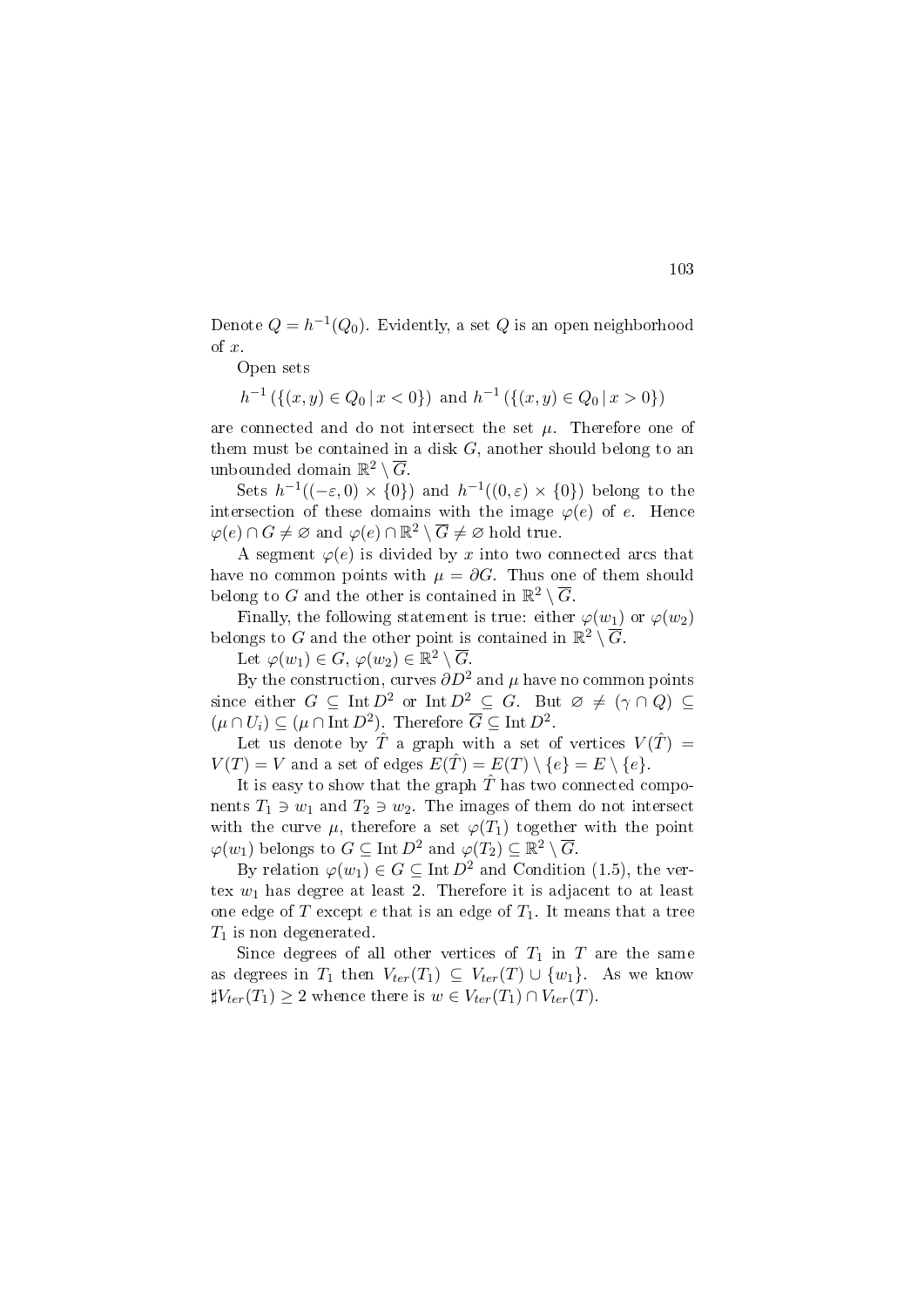Denote  $Q = h^{-1}(Q_0)$ . Evidently, a set  $Q$  is an open neighborhood of x.

Open sets

 $h^{-1}(\{(x,y)\in Q_0\,|\,x<0\})$  and  $h^{-1}(\{(x,y)\in Q_0\,|\,x>0\})$ 

are connected and do not intersect the set  $\mu$ . Therefore one of them must be contained in a disk  $G$ , another should belong to an unbounded domain  $\mathbb{R}^2 \setminus \overline{G}$ .

Sets  $h^{-1}((-\varepsilon,0) \times \{0\})$  and  $h^{-1}((0,\varepsilon) \times \{0\})$  belong to the intersection of these domains with the image  $\varphi(e)$  of e. Hence  $\varphi(e) \cap G \neq \varnothing$  and  $\varphi(e) \cap \mathbb{R}^2 \setminus \overline{G} \neq \varnothing$  hold true.

A segment  $\varphi(e)$  is divided by x into two connected arcs that have no common points with  $\mu = \partial G$ . Thus one of them should belong to G and the other is contained in  $\mathbb{R}^2 \setminus \overline{G}$ .

Finally, the following statement is true: either  $\varphi(w_1)$  or  $\varphi(w_2)$ belongs to G and the other point is contained in  $\mathbb{R}^2 \setminus \overline{G}$ .

Let  $\varphi(w_1) \in G$ ,  $\varphi(w_2) \in \mathbb{R}^2 \setminus \overline{G}$ .

By the construction, curves  $\partial D^2$  and  $\mu$  have no common points since either  $G \subseteq \text{Int } D^2$  or  $\text{Int } D^2 \subseteq G$ . But  $\varnothing \neq (\gamma \cap Q) \subseteq$  $(\mu \cap U_i) \subseteq (\mu \cap \text{Int } D^2)$ . Therefore  $\overline{G} \subseteq \text{Int } D^2$ .

Let us denote by  $\hat{T}$  a graph with a set of vertices  $V(\hat{T}) =$  $V(T) = V$  and a set of edges  $E(T) = E(T) \setminus \{e\} = E \setminus \{e\}.$ 

It is easy to show that the graph  $\hat{T}$  has two connected components  $T_1 \ni w_1$  and  $T_2 \ni w_2$ . The images of them do not intersect with the curve  $\mu$ , therefore a set  $\varphi(T_1)$  together with the point  $\varphi(w_1)$  belongs to  $G \subseteq \text{Int } D^2$  and  $\varphi(T_2) \subseteq \mathbb{R}^2 \setminus \overline{G}$ .

By relation  $\varphi(w_1) \in G \subseteq \text{Int } D^2$  and Condition (1.5), the vertex  $w_1$  has degree at least 2. Therefore it is adjacent to at least one edge of T except e that is an edge of  $T_1$ . It means that a tree  $T_1$  is non degenerated.

Since degrees of all other vertices of  $T_1$  in T are the same as degrees in  $T_1$  then  $V_{ter}(T_1) \subseteq V_{ter}(T) \cup \{w_1\}$ . As we know  $\sharp V_{ter}(T_1) \geq 2$  whence there is  $w \in V_{ter}(T_1) \cap V_{ter}(T)$ .

103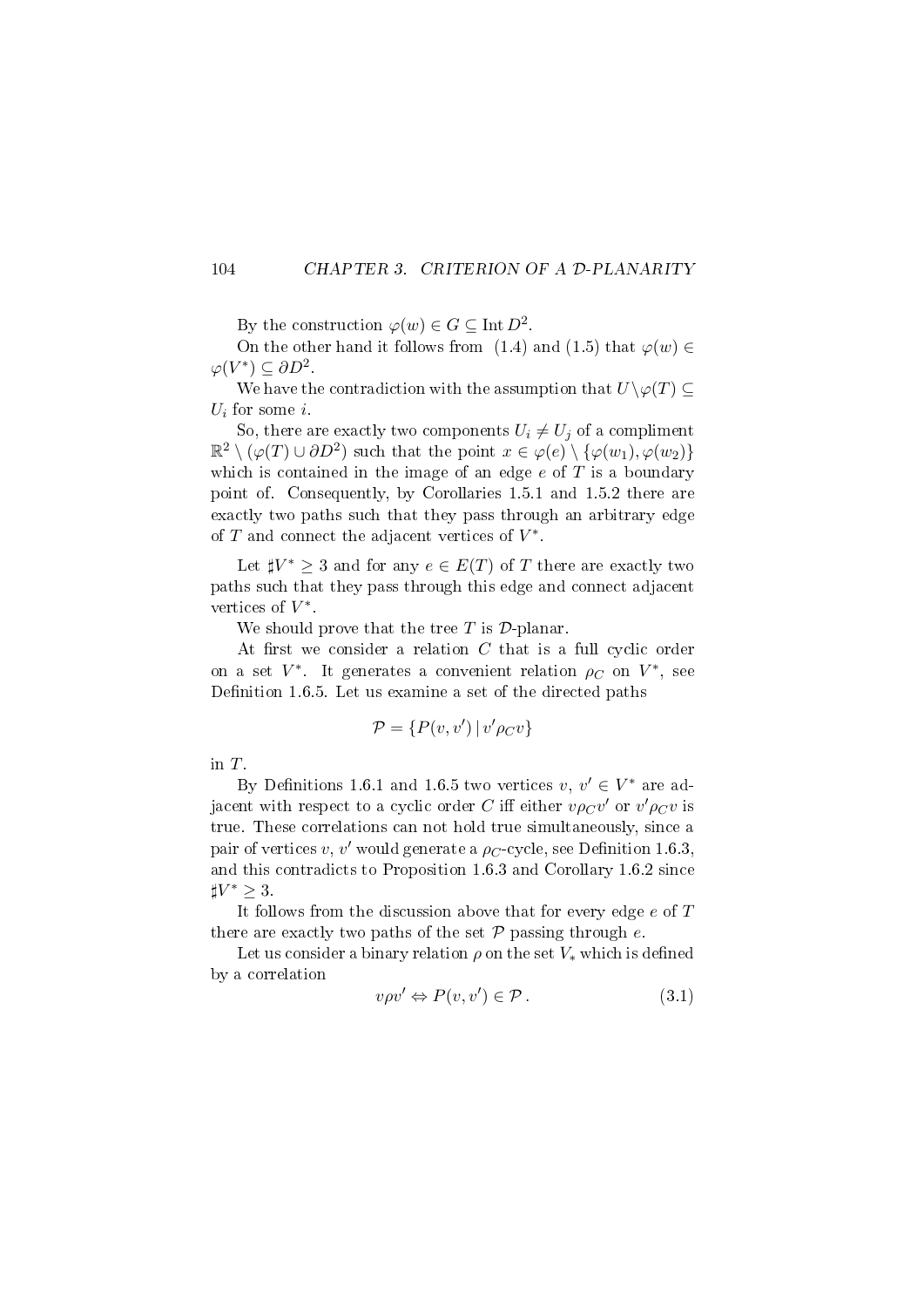#### 104 CHAPTER 3. CRITERION OF A D-PLANARITY

By the construction  $\varphi(w) \in G \subseteq \text{Int } D^2$ .

On the other hand it follows from (1.4) and (1.5) that  $\varphi(w) \in$  $\varphi(V^*) \subseteq \partial D^2$ .

We have the contradiction with the assumption that  $U\backslash \varphi(T) \subseteq$  $U_i$  for some i.

So, there are exactly two components  $U_i \neq U_j$  of a compliment  $\mathbb{R}^2 \setminus (\varphi(T) \cup \partial D^2)$  such that the point  $x \in \varphi(e) \setminus {\varphi(w_1), \varphi(w_2)}$ which is contained in the image of an edge  $e$  of  $T$  is a boundary point of. Consequently, by Corollaries 1.5.1 and 1.5.2 there are exactly two paths such that they pass through an arbitrary edge of  $T$  and connect the adjacent vertices of  $V^*$ .

Let  $\sharp V^* \geq 3$  and for any  $e \in E(T)$  of T there are exactly two paths such that they pass through this edge and connect adjacent vertices of  $V^*$ .

We should prove that the tree  $T$  is  $\mathcal{D}$ -planar.

At first we consider a relation  $C$  that is a full cyclic order on a set  $V^*$ . It generates a convenient relation  $\rho_C$  on  $V^*$ , see Definition 1.6.5. Let us examine a set of the directed paths

$$
\mathcal{P} = \{ P(v, v') \, | \, v' \rho_C v \}
$$

in T.

By Definitions 1.6.1 and 1.6.5 two vertices  $v, v' \in V^*$  are adjacent with respect to a cyclic order  $C$  iff either  $v\rho_C v'$  or  $v'\rho_C v$  is true. These correlations can not hold true simultaneously, since a pair of vertices  $v, v'$  would generate a  $\rho_C$ -cycle, see Definition 1.6.3, and this contradicts to Proposition 1.6.3 and Corollary 1.6.2 since  $\sharp V^* \geq 3$ .

It follows from the discussion above that for every edge e of T there are exactly two paths of the set  $P$  passing through  $e$ .

Let us consider a binary relation  $\rho$  on the set  $V_*$  which is defined by a correlation

$$
v\rho v' \Leftrightarrow P(v, v') \in \mathcal{P} \,. \tag{3.1}
$$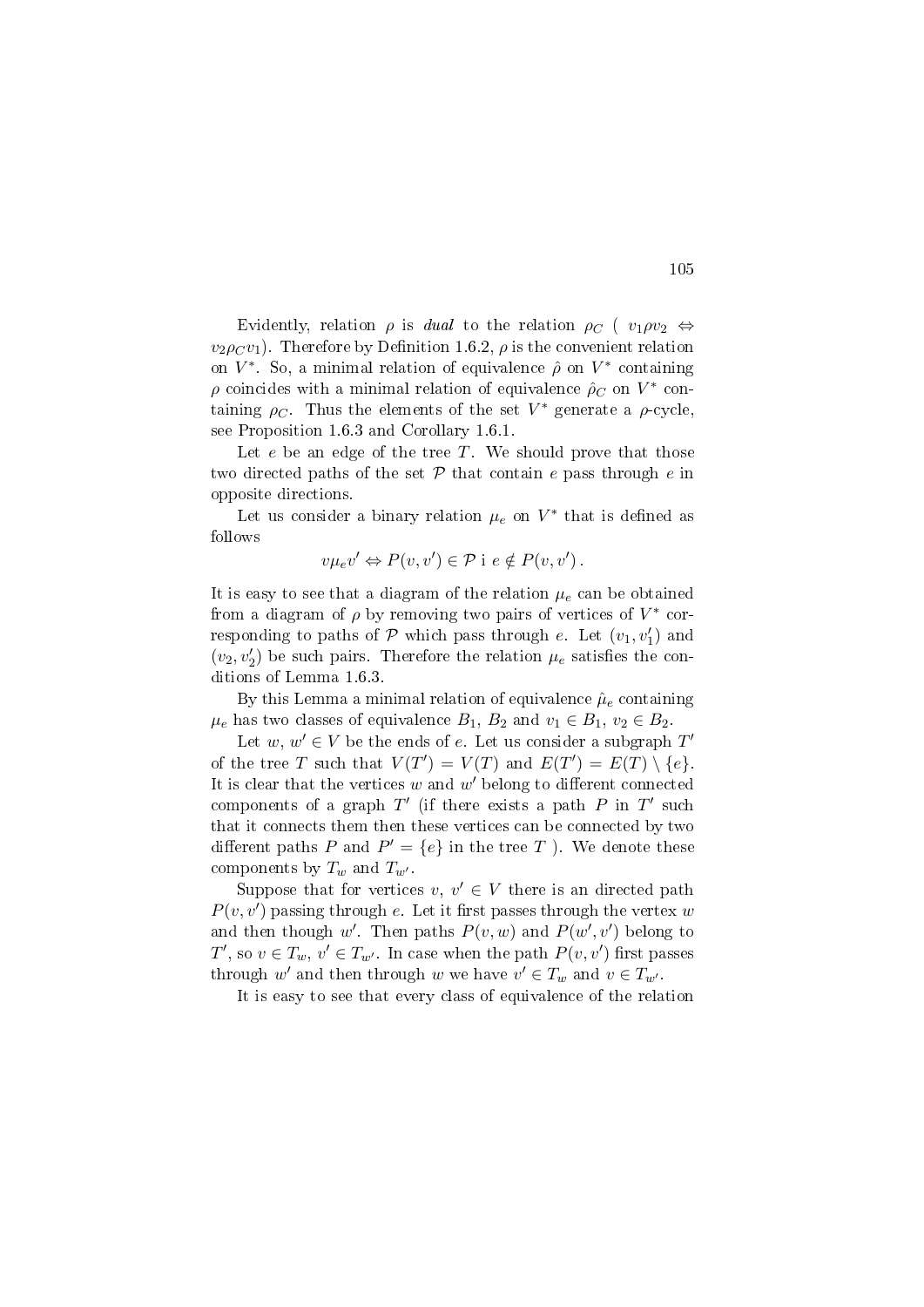Evidently, relation  $\rho$  is *dual* to the relation  $\rho_C$  (  $v_1 \rho v_2 \Leftrightarrow$  $v_2\rho_Cv_1$ ). Therefore by Definition 1.6.2,  $\rho$  is the convenient relation on  $V^*$ . So, a minimal relation of equivalence  $\hat{\rho}$  on  $V^*$  containing  $\rho$  coincides with a minimal relation of equivalence  $\rho_C$  on  $V^*$  containing  $\rho_C$ . Thus the elements of the set  $V^*$  generate a  $\rho$ -cycle, see Proposition 1.6.3 and Corollary 1.6.1.

Let  $e$  be an edge of the tree  $T$ . We should prove that those two directed paths of the set  $P$  that contain e pass through e in opposite directions.

Let us consider a binary relation  $\mu_e$  on  $V^*$  that is defined as follows

$$
v\mu_e v' \Leftrightarrow P(v,v') \in \mathcal{P} \text{ i } e \notin P(v,v').
$$

It is easy to see that a diagram of the relation  $\mu_e$  can be obtained from a diagram of  $\rho$  by removing two pairs of vertices of  $V^*$  corresponding to paths of  $P$  which pass through e. Let  $(v_1, v_1')$  and  $(v_2, v_2')$  be such pairs. Therefore the relation  $\mu_e$  satisfies the conditions of Lemma 1.6.3.

By this Lemma a minimal relation of equivalence  $\hat{\mu}_e$  containing  $\mu_e$  has two classes of equivalence  $B_1, B_2$  and  $v_1 \in B_1, v_2 \in B_2$ .

Let  $w, w' \in V$  be the ends of e. Let us consider a subgraph  $T'$ of the tree T such that  $V(T') = V(T)$  and  $E(T') = E(T) \setminus \{e\}.$ It is clear that the vertices  $w$  and  $w'$  belong to different connected components of a graph  $T'$  (if there exists a path  $P$  in  $T'$  such that it connects them then these vertices can be connected by two different paths P and  $P' = \{e\}$  in the tree T ). We denote these components by  $T_w$  and  $T_{w'}$ .

Suppose that for vertices  $v, v' \in V$  there is an directed path  $P(v, v')$  passing through e. Let it first passes through the vertex w and then though w'. Then paths  $P(v, w)$  and  $P(w', v')$  belong to  $T'$ , so  $v \in T_w$ ,  $v' \in T_{w'}$ . In case when the path  $P(v, v')$  first passes through  $w'$  and then through w we have  $v' \in T_w$  and  $v \in T_{w'}$ .

It is easy to see that every class of equivalence of the relation

105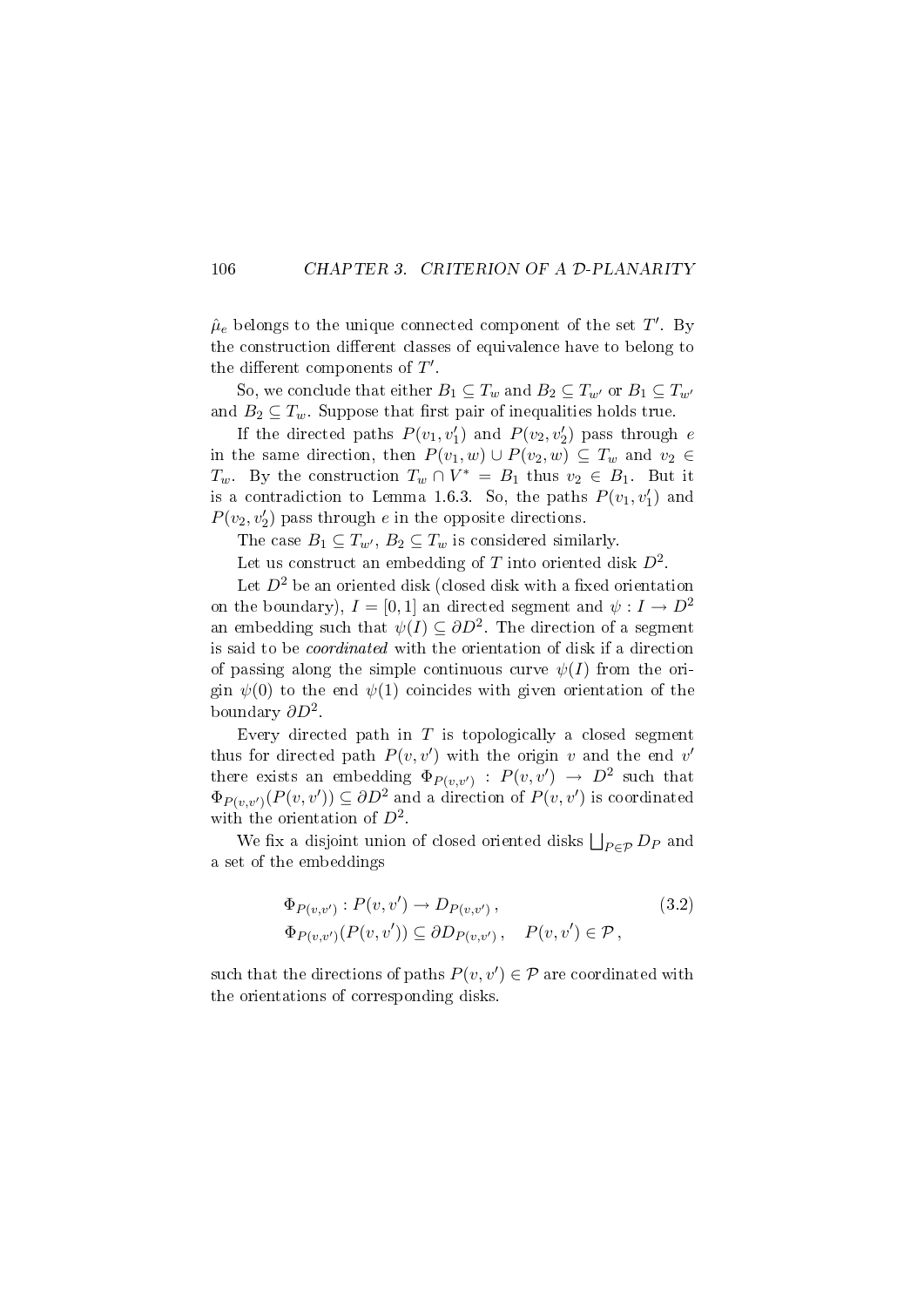#### 106 CHAPTER 3. CRITERION OF A D-PLANARITY

 $\hat{\mu}_e$  belongs to the unique connected component of the set  $T'$ . By the construction different classes of equivalence have to belong to the different components of  $T'$ .

So, we conclude that either  $B_1 \subseteq T_w$  and  $B_2 \subseteq T_{w'}$  or  $B_1 \subseteq T_{w'}$ and  $B_2 \subseteq T_w$ . Suppose that first pair of inequalities holds true.

If the directed paths  $P(v_1, v'_1)$  and  $P(v_2, v'_2)$  pass through e in the same direction, then  $P(v_1, w) \cup P(v_2, w) \subseteq T_w$  and  $v_2 \in$  $T_w$ . By the construction  $T_w \cap V^* = B_1$  thus  $v_2 \in B_1$ . But it is a contradiction to Lemma 1.6.3. So, the paths  $P(v_1, v_1')$  and  $P(v_2, v_2')$  pass through e in the opposite directions.

The case  $B_1 \subseteq T_{w'}$ ,  $B_2 \subseteq T_w$  is considered similarly.

Let us construct an embedding of  $T$  into oriented disk  $D^2$ .

Let  $D^2$  be an oriented disk (closed disk with a fixed orientation on the boundary),  $I = [0, 1]$  an directed segment and  $\psi : I \to D^2$ an embedding such that  $\psi(I) \subseteq \partial D^2$ . The direction of a segment is said to be coordinated with the orientation of disk if a direction of passing along the simple continuous curve  $\psi(I)$  from the origin  $\psi(0)$  to the end  $\psi(1)$  coincides with given orientation of the boundary  $\partial D^2$ .

Every directed path in  $T$  is topologically a closed segment thus for directed path  $P(v, v')$  with the origin v and the end v' there exists an embedding  $\Phi_{P(v,v')} : P(v,v') \rightarrow D^2$  such that  $\Phi_{P(v,v')}(P(v,v')) \subseteq \partial D^2$  and a direction of  $P(v,v')$  is coordinated with the orientation of  $D^2$ .

We fix a disjoint union of closed oriented disks  $\bigsqcup_{P \in \mathcal{P}} D_P$  and a set of the embeddings

$$
\Phi_{P(v,v')} : P(v,v') \to D_{P(v,v')},
$$
\n
$$
\Phi_{P(v,v')} (P(v,v')) \subseteq \partial D_{P(v,v')}, \quad P(v,v') \in \mathcal{P},
$$
\n
$$
(3.2)
$$

such that the directions of paths  $P(v, v') \in \mathcal{P}$  are coordinated with the orientations of corresponding disks.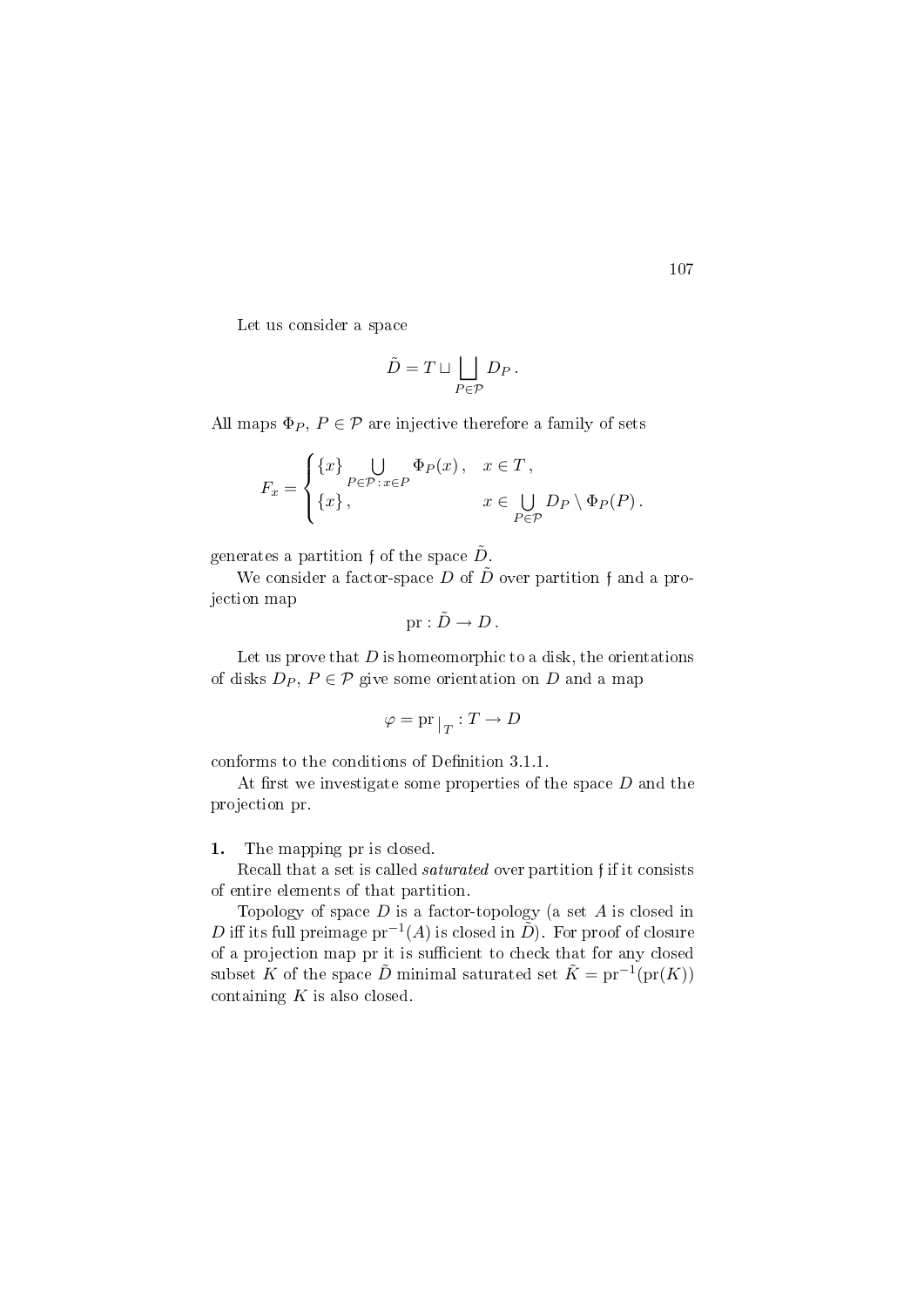Let us consider a space

$$
\tilde{D} = T \sqcup \bigsqcup_{P \in \mathcal{P}} D_P \, .
$$

All maps  $\Phi_P$ ,  $P \in \mathcal{P}$  are injective therefore a family of sets

$$
F_x = \begin{cases} \{x\} & \text{if } P \in \mathcal{P} : x \in P \\ \{x\}, & x \in \bigcup_{P \in \mathcal{P}} D_P \setminus \Phi_P(P). \end{cases}
$$

generates a partition f of the space  $\tilde{D}$ .

We consider a factor-space D of  $\tilde{D}$  over partition f and a projection map

$$
\mathrm{pr}: \tilde{D} \to D \, .
$$

Let us prove that  $D$  is homeomorphic to a disk, the orientations of disks  $D_P$ ,  $P \in \mathcal{P}$  give some orientation on D and a map

$$
\varphi = \mathrm{pr}\,|_T : T \to D
$$

conforms to the conditions of Definition 3.1.1.

At first we investigate some properties of the space  $D$  and the projection pr.

#### 1. The mapping pr is closed.

Recall that a set is called saturated over partition f if it consists of entire elements of that partition.

Topology of space  $D$  is a factor-topology (a set  $A$  is closed in D iff its full preimage  $pr^{-1}(A)$  is closed in  $\tilde{D}$ ). For proof of closure of a projection map pr it is sufficient to check that for any closed subset K of the space  $\tilde{D}$  minimal saturated set  $\tilde{K} = \text{pr}^{-1}(\text{pr}(K))$ containing  $K$  is also closed.

107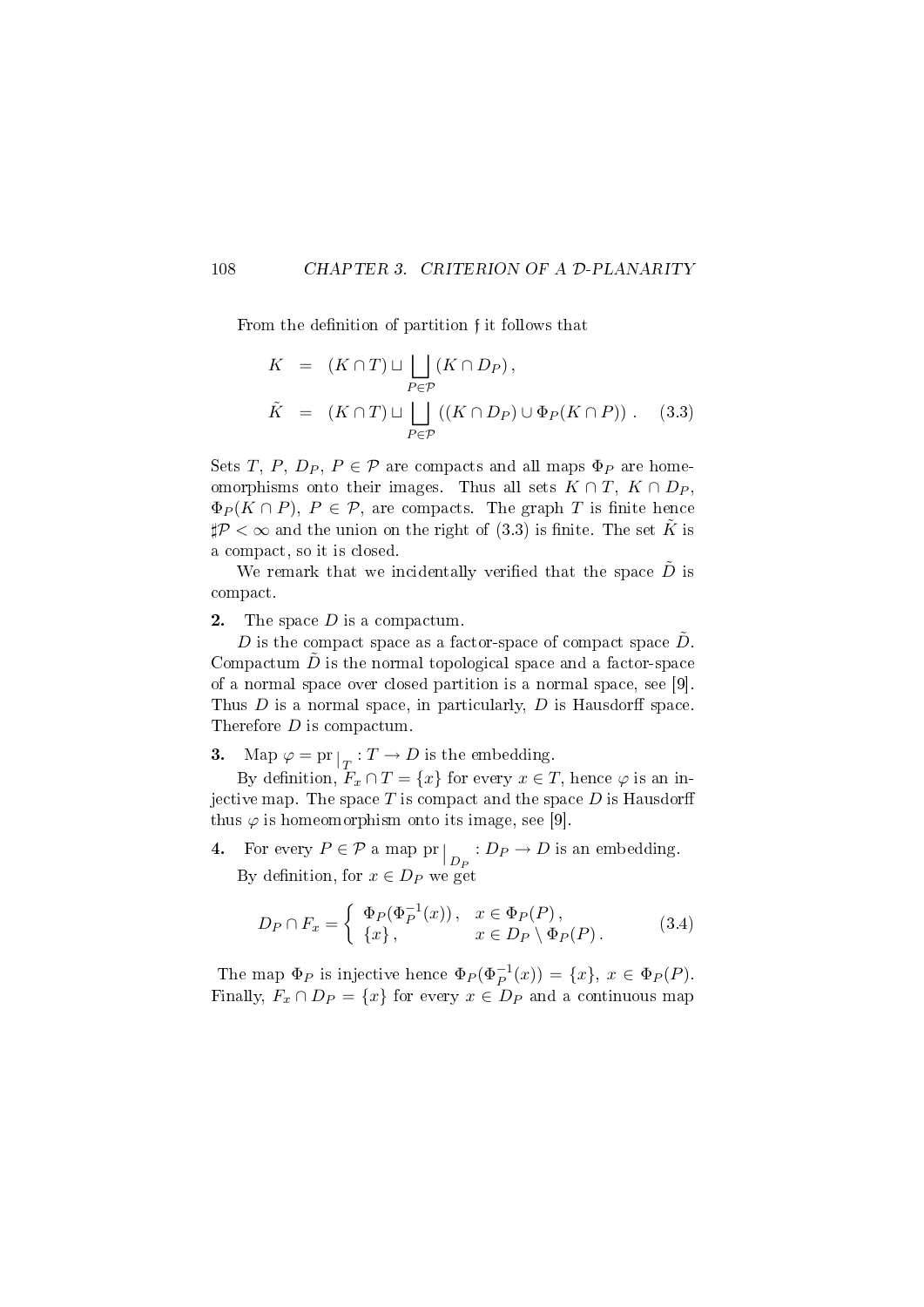#### 108 CHAPTER 3. CRITERION OF A D-PLANARITY

From the definition of partition f it follows that

$$
K = (K \cap T) \sqcup \bigsqcup_{P \in \mathcal{P}} (K \cap D_P),
$$
  
\n
$$
\tilde{K} = (K \cap T) \sqcup \bigsqcup_{P \in \mathcal{P}} ((K \cap D_P) \cup \Phi_P(K \cap P)).
$$
 (3.3)

Sets T, P,  $D_P$ ,  $P \in \mathcal{P}$  are compacts and all maps  $\Phi_P$  are homeomorphisms onto their images. Thus all sets  $K \cap T$ ,  $K \cap D_P$ ,  $\Phi_P(K \cap P)$ ,  $P \in \mathcal{P}$ , are compacts. The graph T is finite hence  $\sharp \mathcal{P} < \infty$  and the union on the right of (3.3) is finite. The set K is a compact, so it is closed.

We remark that we incidentally verified that the space  $\tilde{D}$  is compact.

**2.** The space  $D$  is a compactum.

D is the compact space as a factor-space of compact space  $\tilde{D}$ . Compactum  $\ddot{D}$  is the normal topological space and a factor-space of a normal space over closed partition is a normal space, see [9]. Thus  $D$  is a normal space, in particularly,  $D$  is Hausdorff space. Therefore D is compactum.

3. Map  $\varphi = \text{pr}|_{T}: T \to D$  is the embedding.

By definition,  $F_x \cap T = \{x\}$  for every  $x \in T$ , hence  $\varphi$  is an injective map. The space  $T$  is compact and the space  $D$  is Hausdorff thus  $\varphi$  is homeomorphism onto its image, see [9].

4. For every  $P \in \mathcal{P}$  a map pr  $\big|_{D_P} : D_P \to D$  is an embedding. By definition, for  $x \in D_P$  we get

$$
D_P \cap F_x = \begin{cases} \Phi_P(\Phi_P^{-1}(x)), & x \in \Phi_P(P), \\ \{x\}, & x \in D_P \setminus \Phi_P(P). \end{cases}
$$
 (3.4)

The map  $\Phi_P$  is injective hence  $\Phi_P(\Phi_P^{-1}(x)) = \{x\}, x \in \Phi_P(P)$ . Finally,  $F_x \cap D_p = \{x\}$  for every  $x \in D_p$  and a continuous map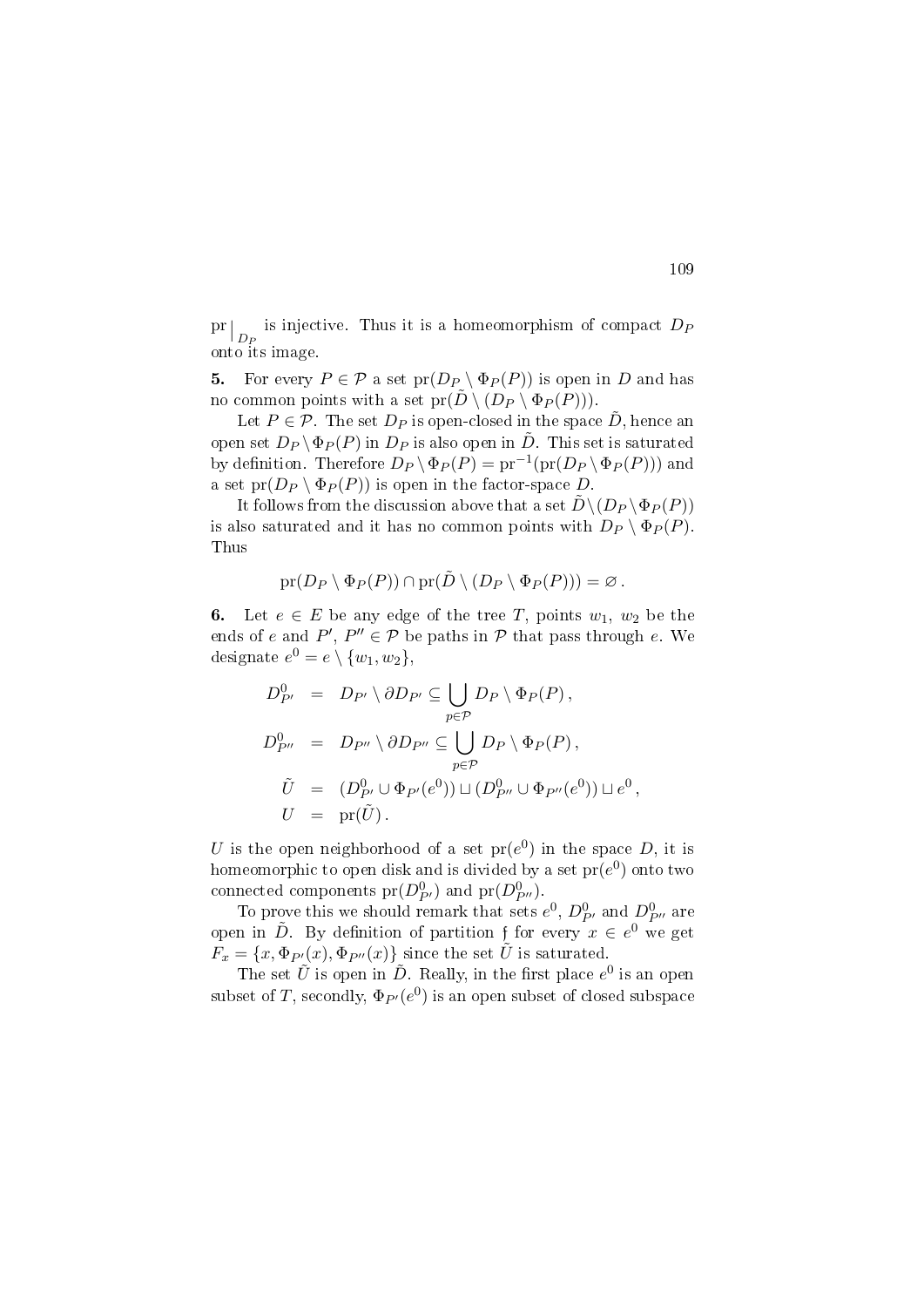pr  $\left|D_P\right|$  is injective. Thus it is a homeomorphism of compact  $D_P$ onto its image.

5. For every  $P \in \mathcal{P}$  a set  $pr(D_P \setminus \Phi_P(P))$  is open in D and has no common points with a set  $pr(D \setminus (D_P \setminus \Phi_P(P)))$ .

Let  $P \in \mathcal{P}$ . The set  $D_P$  is open-closed in the space  $D$ , hence an open set  $D_P \backslash \Phi_P(P)$  in  $D_P$  is also open in  $\tilde{D}$ . This set is saturated by definition. Therefore  $D_P \setminus \Phi_P(P) = \text{pr}^{-1}(\text{pr}(D_P \setminus \Phi_P(P)))$  and a set  $pr(D_P \setminus \Phi_P(P))$  is open in the factor-space D.

It follows from the discussion above that a set  $\tilde{D} \setminus (D_P \setminus \Phi_P (P))$ is also saturated and it has no common points with  $D_P \setminus \Phi_P(P)$ . Thus

$$
\mathrm{pr}(D_P \setminus \Phi_P(P)) \cap \mathrm{pr}(\tilde{D} \setminus (D_P \setminus \Phi_P(P))) = \varnothing.
$$

6. Let  $e \in E$  be any edge of the tree T, points  $w_1, w_2$  be the ends of e and  $P', P'' \in \mathcal{P}$  be paths in  $\mathcal P$  that pass through e. We designate  $e^0 = e \setminus \{w_1, w_2\},\$ 

$$
D_{P'}^0 = D_{P'} \setminus \partial D_{P'} \subseteq \bigcup_{p \in P} D_P \setminus \Phi_P(P),
$$
  
\n
$$
D_{P''}^0 = D_{P''} \setminus \partial D_{P''} \subseteq \bigcup_{p \in P} D_P \setminus \Phi_P(P),
$$
  
\n
$$
\tilde{U} = (D_{P'}^0 \cup \Phi_{P'}(e^0)) \cup (D_{P''}^0 \cup \Phi_{P''}(e^0)) \cup e^0,
$$
  
\n
$$
U = \text{pr}(\tilde{U}).
$$

U is the open neighborhood of a set  $pr(e^0)$  in the space D, it is homeomorphic to open disk and is divided by a set  $\mathrm{pr}(e^0)$  onto two connected components  $pr(D_{P'}^0)$  and  $pr(D_{P''}^0)$ .

To prove this we should remark that sets  $e^0$ ,  $D_{P'}^0$  and  $D_{P''}^0$  are open in  $\tilde{D}$ . By definition of partition f for every  $x \in e^0$  we get  $F_x = \{x, \Phi_{P}(x), \Phi_{P''}(x)\}\$  since the set  $\tilde{U}$  is saturated.

The set  $\tilde{U}$  is open in  $\tilde{D}$ . Really, in the first place  $e^0$  is an open subset of  $T,$  secondly,  $\Phi_{P'}(e^0)$  is an open subset of closed subspace

109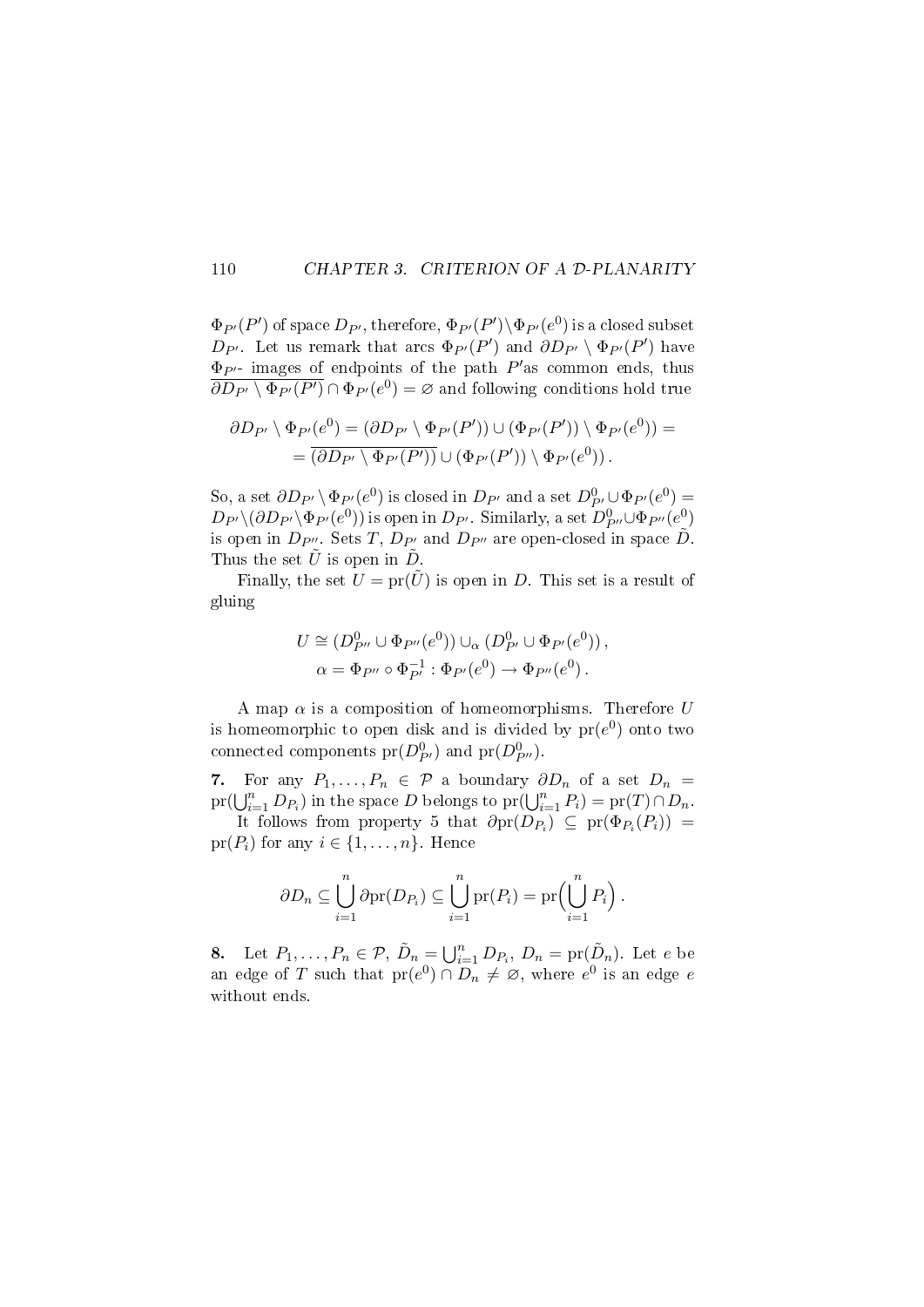#### 110 CHAPTER 3. CRITERION OF A D-PLANARITY

 $\Phi_{P'}(P')$  of space  $D_{P'} ,$  therefore,  $\Phi_{P'}(P') \backslash \Phi_{P'}(e^0)$  is a closed subset  $D_{P'}$ . Let us remark that arcs  $\Phi_{P'}(P')$  and  $\partial D_{P'} \setminus \Phi_{P'}(P')$  have  $\Phi_{P'}$ - images of endpoints of the path  $P'$  as common ends, thus  $\overline{\partial D_{P'}\setminus \Phi_{P'}(P')} \cap \Phi_{P'}(e^0) = \varnothing$  and following conditions hold true

$$
\partial D_{P'} \setminus \Phi_{P'}(e^0) = (\partial D_{P'} \setminus \Phi_{P'}(P')) \cup (\Phi_{P'}(P')) \setminus \Phi_{P'}(e^0)) = = \overline{(\partial D_{P'} \setminus \Phi_{P'}(P'))} \cup (\Phi_{P'}(P')) \setminus \Phi_{P'}(e^0)).
$$

So, a set  $\partial D_{P'} \setminus \Phi_{P'}(e^0)$  is closed in  $D_{P'}$  and a set  $D^0_{P'} \cup \Phi_{P'}(e^0) =$  $D_{P'}\setminus (\partial D_{P'}\setminus \Phi_{P'}(e^0))$  is open in  $D_{P'}$ . Similarly, a set  $D^0_{P''}\cup \Phi_{P''}(e^0)$ is open in  $D_{P''}$ . Sets T,  $D_{P'}$  and  $D_{P''}$  are open-closed in space  $\tilde{D}$ . Thus the set  $\tilde{U}$  is open in  $\tilde{D}$ .

Finally, the set  $U = \text{pr}(\tilde{U})$  is open in D. This set is a result of gluing

$$
U \cong (D_{P''}^0 \cup \Phi_{P''}(e^0)) \cup_{\alpha} (D_{P'}^0 \cup \Phi_{P'}(e^0)),
$$
  

$$
\alpha = \Phi_{P''} \circ \Phi_{P'}^{-1} : \Phi_{P'}(e^0) \to \Phi_{P''}(e^0).
$$

A map  $\alpha$  is a composition of homeomorphisms. Therefore U is homeomorphic to open disk and is divided by  $pr(e^0)$  onto two connected components  $pr(D_{P'}^0)$  and  $pr(D_{P''}^0)$ .

7. For any  $P_1, \ldots, P_n \in \mathcal{P}$  a boundary  $\partial D_n$  of a set  $D_n =$  $\text{pr}(\bigcup_{i=1}^{n} D_{P_i})$  in the space D belongs to  $\text{pr}(\bigcup_{i=1}^{n} P_i) = \text{pr}(T) \cap D_n$ .

It follows from property 5 that  $\partial$ pr $(D_{P_i}) \subseteq$  pr $(\Phi_{P_i}(P_i)) =$  $pr(P_i)$  for any  $i \in \{1, \ldots, n\}$ . Hence

$$
\partial D_n \subseteq \bigcup_{i=1}^n \partial \mathrm{pr}(D_{P_i}) \subseteq \bigcup_{i=1}^n \mathrm{pr}(P_i) = \mathrm{pr}\Big(\bigcup_{i=1}^n P_i\Big).
$$

8. Let  $P_1, \ldots, P_n \in \mathcal{P}, \tilde{D}_n = \bigcup_{i=1}^n D_{P_i}, D_n = \mathrm{pr}(\tilde{D}_n)$ . Let e be an edge of T such that  $pr(e^0) \cap D_n \neq \emptyset$ , where  $e^0$  is an edge  $e$ without ends.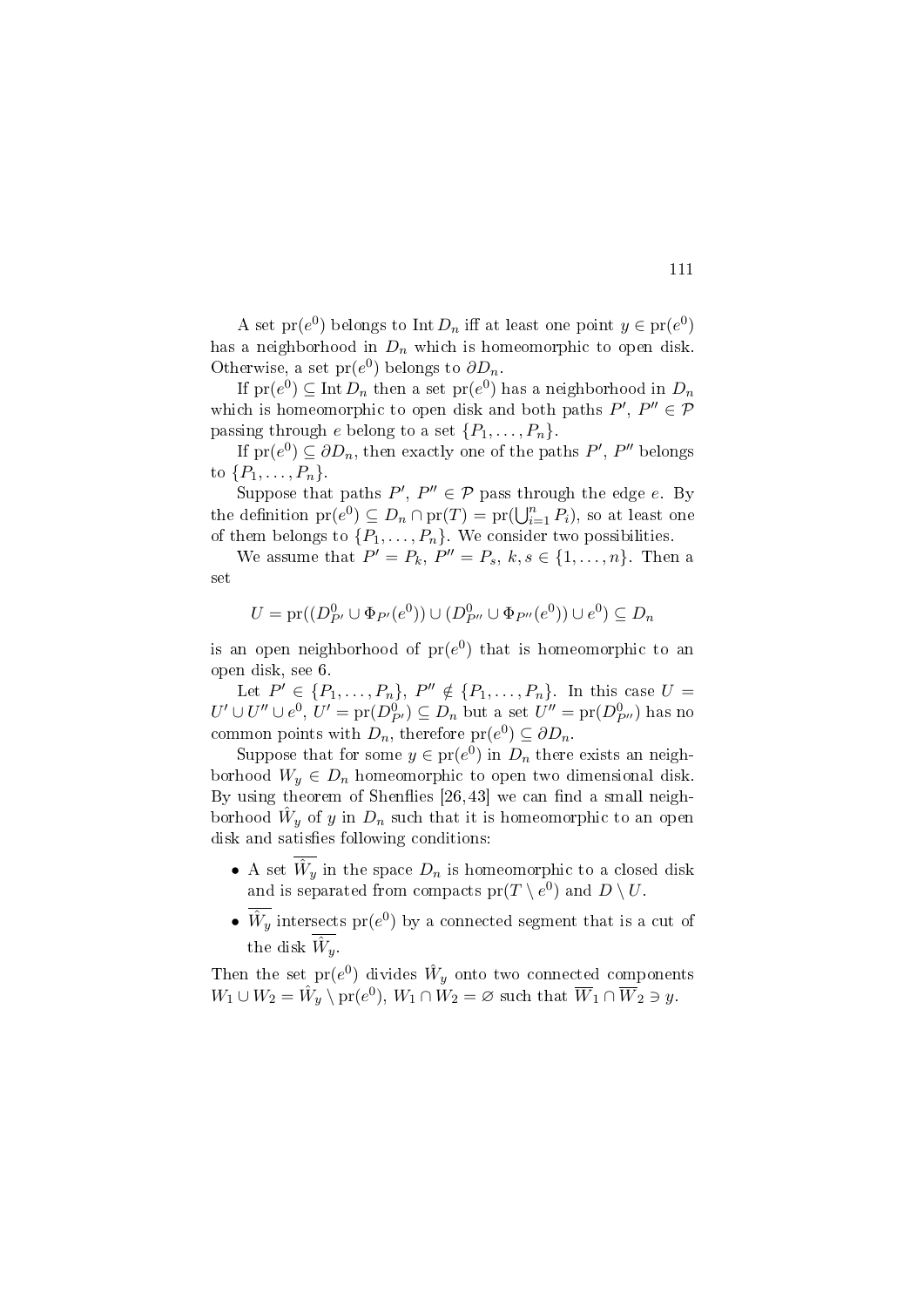A set  $\text{pr}(e^0)$  belongs to Int  $D_n$  iff at least one point  $y \in \text{pr}(e^0)$ has a neighborhood in  $D_n$  which is homeomorphic to open disk. Otherwise, a set  $pr(e^0)$  belongs to  $\partial D_n$ .

If  ${\rm pr}(e^0)\subseteq {\rm Int}\, D_n$  then a set  ${\rm pr}(e^0)$  has a neighborhood in  $D_n$ which is homeomorphic to open disk and both paths  $P', P'' \in \mathcal{P}$ passing through e belong to a set  $\{P_1, \ldots, P_n\}$ .

If  $pr(e^0) \subseteq \partial D_n$ , then exactly one of the paths  $P', P''$  belongs to  $\{P_1,\ldots,P_n\}$ .

Suppose that paths  $P', P'' \in \mathcal{P}$  pass through the edge e. By the definition  $\text{pr}(e^0) \subseteq D_n \cap \text{pr}(T) = \text{pr}(\bigcup_{i=1}^n P_i)$ , so at least one of them belongs to  $\{P_1, \ldots, P_n\}$ . We consider two possibilities.

We assume that  $P' = P_k$ ,  $P'' = P_s$ ,  $k, s \in \{1, \ldots, n\}$ . Then a set

$$
U = pr((D_{P'}^0 \cup \Phi_{P'}(e^0)) \cup (D_{P''}^0 \cup \Phi_{P''}(e^0)) \cup e^0) \subseteq D_n
$$

is an open neighborhood of  $pr(e^0)$  that is homeomorphic to an open disk, see 6.

Let  $P' \in \{P_1, ..., P_n\}, P'' \notin \{P_1, ..., P_n\}.$  In this case  $U =$  $U' \cup U'' \cup e^0$ ,  $U' = \text{pr}(D_{P'}^0) \subseteq D_n$  but a set  $U'' = \text{pr}(D_{P''}^0)$  has no common points with  $D_n$ , therefore  $pr(e^0) \subseteq \partial D_n$ .

Suppose that for some  $y \in pr(e^0)$  in  $D_n$  there exists an neighborhood  $W_y \in D_n$  homeomorphic to open two dimensional disk. By using theorem of Shenflies  $[26, 43]$  we can find a small neighborhood  $\hat{W}_y$  of y in  $D_n$  such that it is homeomorphic to an open disk and satisfies following conditions:

- A set  $\hat{W}_y$  in the space  $D_n$  is homeomorphic to a closed disk and is separated from compacts  $\text{pr}(T\setminus e^0)$  and  $D\setminus U.$
- $\hat{W}_y$  intersects pr( $e^0$ ) by a connected segment that is a cut of the disk  $\hat{W}_y$ .

Then the set  $\mathrm{pr}(e^0)$  divides  $\hat{W}_y$  onto two connected components  $W_1 \cup W_2 = \hat{W}_y \setminus \text{pr}(e^0), W_1 \cap W_2 = \varnothing$  such that  $\overline{W}_1 \cap \overline{W}_2 \ni y$ .

#### 111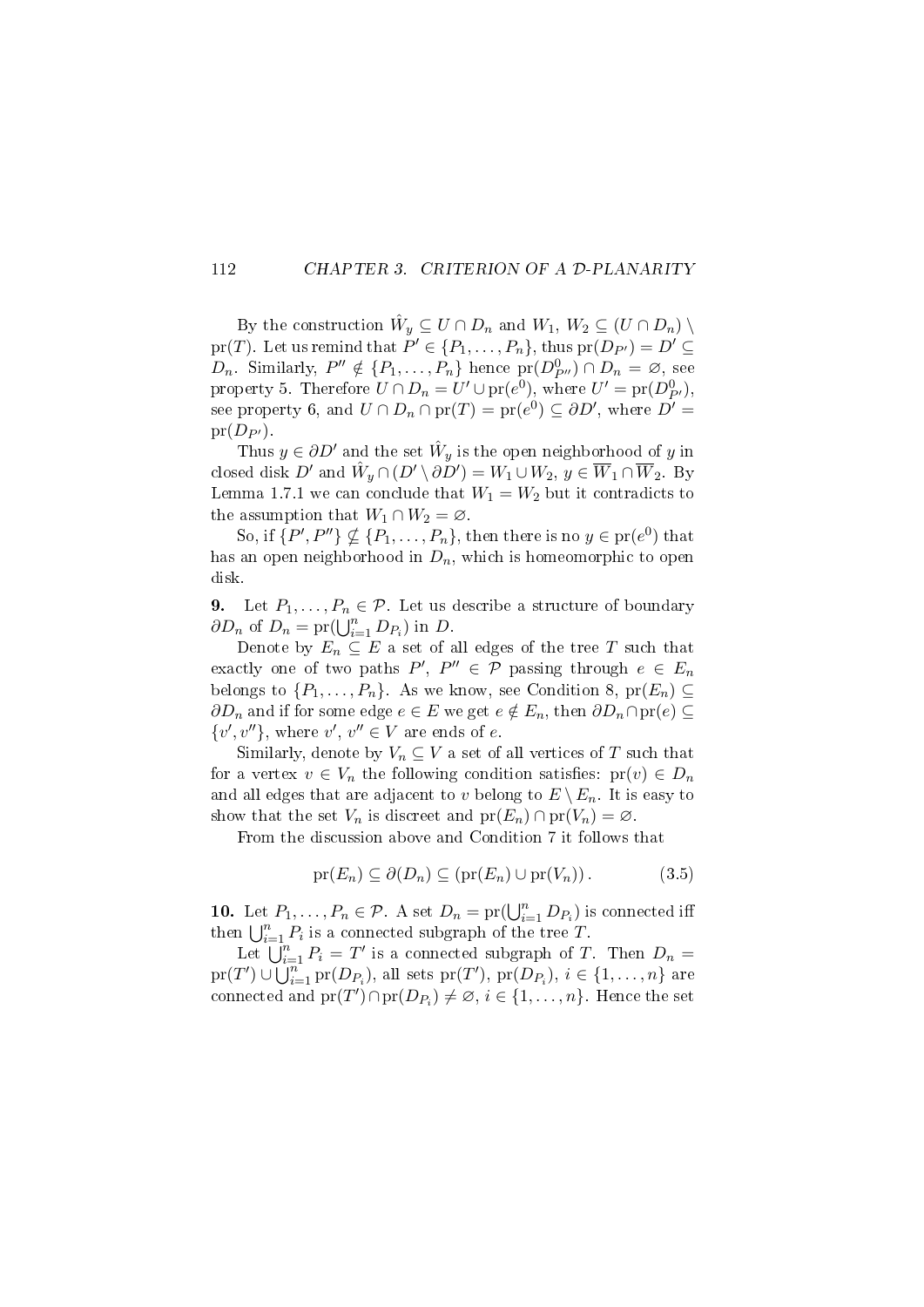#### 112 CHAPTER 3. CRITERION OF A D-PLANARITY

By the construction  $\hat{W}_y \subseteq U \cap D_n$  and  $W_1, W_2 \subseteq (U \cap D_n)$ pr(T). Let us remind that  $P' \in \{P_1, \ldots, P_n\}$ , thus  $pr(D_{P'}) = D' \subseteq$  $D_n$ . Similarly,  $P'' \notin \{P_1, \ldots, P_n\}$  hence  $pr(D_{P''}^0) \cap D_n = \emptyset$ , see property 5. Therefore  $U \cap D_n = U' \cup \text{pr}(e^0)$ , where  $U' = \text{pr}(D^0_{P'})$ , see property 6, and  $U \cap D_n \cap \text{pr}(T) = \text{pr}(e^0) \subseteq \partial D'$ , where  $D' =$  $pr(D_{P'})$ .

Thus  $y \in \partial D'$  and the set  $\hat{W}_y$  is the open neighborhood of y in closed disk  $D'$  and  $\hat{W}_y \cap (D' \setminus \partial D') = W_1 \cup W_2, \, y \in \overline{W}_1 \cap \overline{W}_2$ . By Lemma 1.7.1 we can conclude that  $W_1 = W_2$  but it contradicts to the assumption that  $W_1 \cap W_2 = \emptyset$ .

So, if  $\{P', P''\} \nsubseteq \{P_1, \ldots, P_n\}$ , then there is no  $y \in \text{pr}(e^0)$  that has an open neighborhood in  $D_n$ , which is homeomorphic to open disk.

9. Let  $P_1, \ldots, P_n \in \mathcal{P}$ . Let us describe a structure of boundary  $\partial D_n$  of  $D_n = \text{pr}(\bigcup_{i=1}^n D_{P_i})$  in  $D$ .

Denote by  $E_n \subseteq E$  a set of all edges of the tree T such that exactly one of two paths  $P', P'' \in \mathcal{P}$  passing through  $e \in E_n$ belongs to  $\{P_1, \ldots, P_n\}$ . As we know, see Condition 8, pr $(E_n) \subseteq$  $\partial D_n$  and if for some edge  $e \in E$  we get  $e \notin E_n$ , then  $\partial D_n \cap pr(e) \subseteq$  $\{v', v''\},\$  where  $v', v'' \in V$  are ends of e.

Similarly, denote by  $V_n \subseteq V$  a set of all vertices of T such that for a vertex  $v \in V_n$  the following condition satisfies:  $pr(v) \in D_n$ and all edges that are adjacent to v belong to  $E \setminus E_n$ . It is easy to show that the set  $V_n$  is discreet and  $pr(E_n) \cap pr(V_n) = \emptyset$ .

From the discussion above and Condition 7 it follows that

$$
\text{pr}(E_n) \subseteq \partial(D_n) \subseteq (\text{pr}(E_n) \cup \text{pr}(V_n)).\tag{3.5}
$$

10. Let  $P_1, \ldots, P_n \in \mathcal{P}$ . A set  $D_n = \text{pr}(\bigcup_{i=1}^n D_{P_i})$  is connected iff then  $\bigcup_{i=1}^n P_i$  is a connected subgraph of the tree T.

Let  $\overline{\bigcup_{i=1}^{n} P_i} = T'$  is a connected subgraph of T. Then  $D_n =$  $\text{pr}(T')\cup \bigcup_{i=1}^{n} \text{pr}(D_{P_i}),$  all sets  $\text{pr}(T'),$   $\text{pr}(D_{P_i}),$   $i\in\{1,\ldots,n\}$  are connected and  ${\rm pr}(T')\cap {\rm pr}(D_{P_i})\neq \varnothing,$   $i\in\{1,\ldots,n\}.$  Hence the set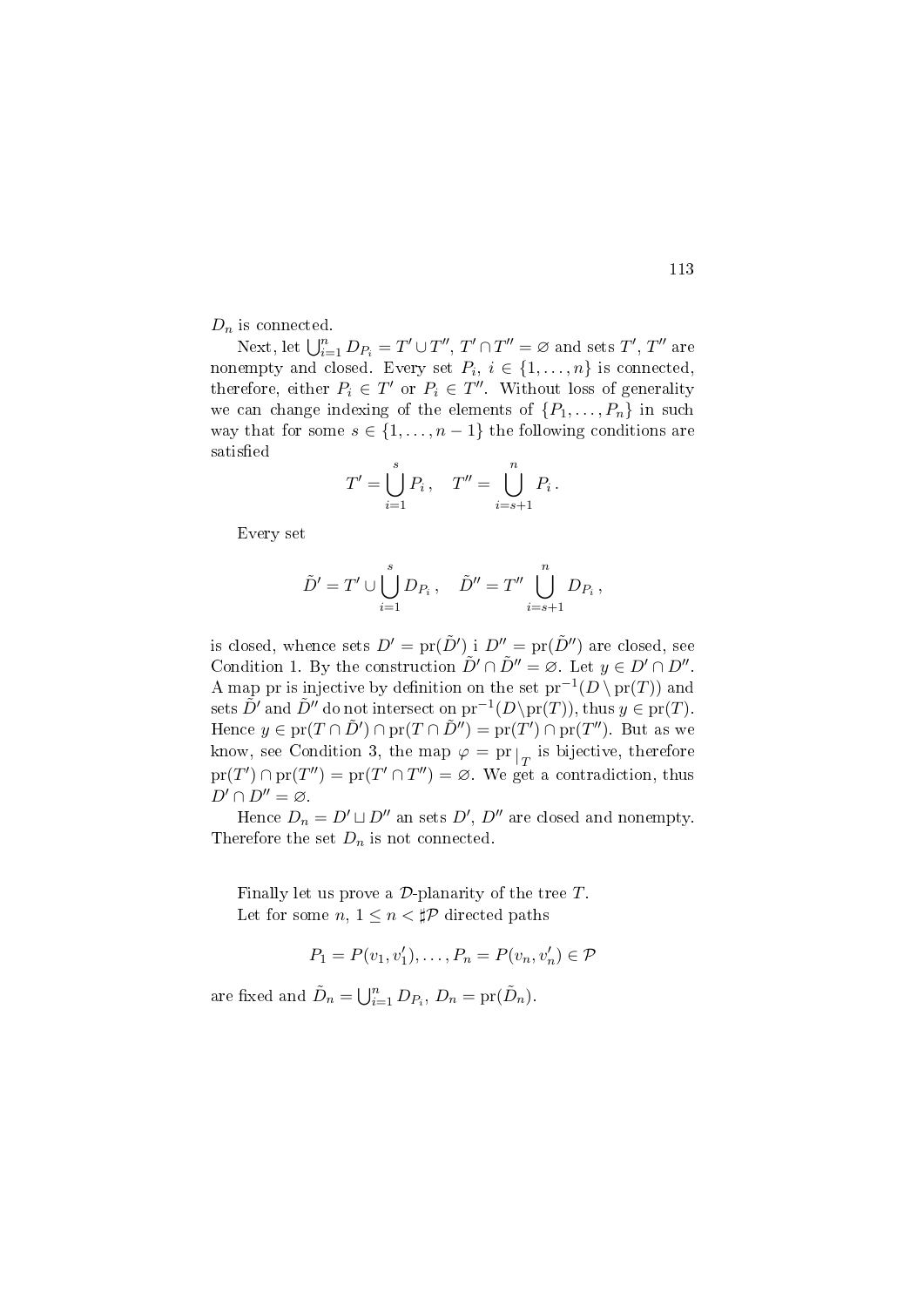$D_n$  is connected.

Next, let  $\bigcup_{i=1}^n D_{P_i} = T' \cup T'', T' \cap T'' = \varnothing$  and sets  $T', T''$  are nonempty and closed. Every set  $P_i$ ,  $i \in \{1, \ldots, n\}$  is connected, therefore, either  $P_i \in T'$  or  $P_i \in T''$ . Without loss of generality we can change indexing of the elements of  $\{P_1, \ldots, P_n\}$  in such way that for some  $s \in \{1, \ldots, n-1\}$  the following conditions are satisfied

$$
T' = \bigcup_{i=1}^{s} P_i, \quad T'' = \bigcup_{i=s+1}^{n} P_i.
$$

Every set

$$
\tilde{D}' = T' \cup \bigcup_{i=1}^{s} D_{P_i}, \quad \tilde{D}'' = T'' \bigcup_{i=s+1}^{n} D_{P_i},
$$

is closed, whence sets  $D' = \text{pr}(\tilde{D}')$  i  $D'' = \text{pr}(\tilde{D}'')$  are closed, see Condition 1. By the construction  $\tilde{D}' \cap \tilde{D}'' = \emptyset$ . Let  $y \in D' \cap D''$ . A map pr is injective by definition on the set  $pr^{-1}(D \setminus pr(T))$  and sets  $\tilde{D}'$  and  $\tilde{D}''$  do not intersect on  $\text{pr}^{-1}(D\backslash \text{pr}(T))$ , thus  $y \in \text{pr}(T)$ . Hence  $y \in pr(T \cap \tilde{D}') \cap pr(T \cap \tilde{D}'') = pr(T') \cap pr(T'')$ . But as we know, see Condition 3, the map  $\varphi = \text{pr}|_{T}$  is bijective, therefore  $pr(T') \cap pr(T'') = pr(T' \cap T'') = \emptyset$ . We get a contradiction, thus  $D' \cap D'' = \varnothing$ .

Hence  $D_n = D' \sqcup D''$  an sets  $D', D''$  are closed and nonempty. Therefore the set  $D_n$  is not connected.

Finally let us prove a  $\mathcal{D}$ -planarity of the tree  $T$ . Let for some  $n, 1 \leq n < \sharp \mathcal{P}$  directed paths

$$
P_1 = P(v_1, v'_1), \dots, P_n = P(v_n, v'_n) \in \mathcal{P}
$$

are fixed and  $\tilde{D}_n = \bigcup_{i=1}^n D_{P_i}, D_n = \text{pr}(\tilde{D}_n)$ .

113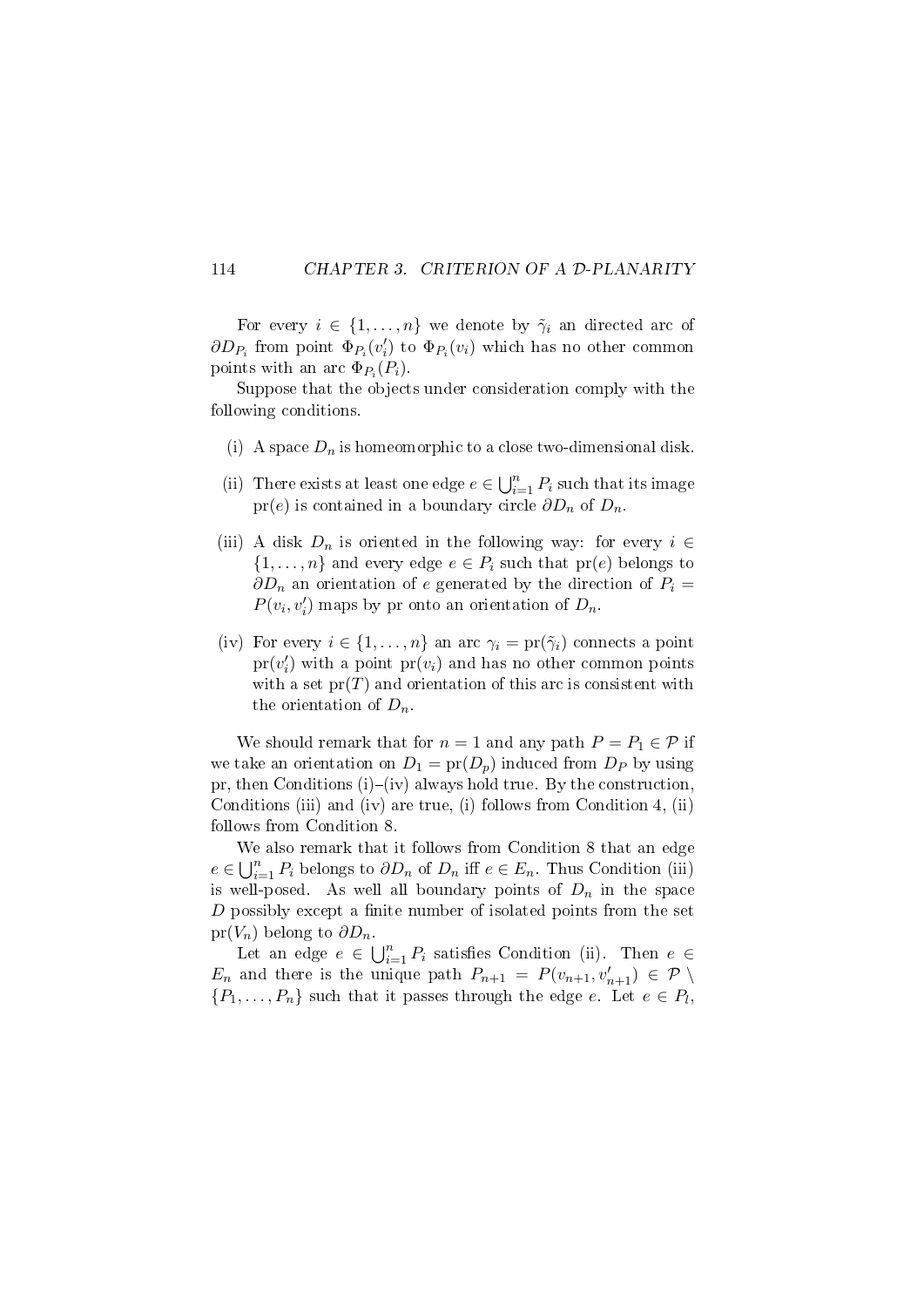#### 114 CHAPTER 3. CRITERION OF A D-PLANARITY

For every  $i \in \{1, \ldots, n\}$  we denote by  $\tilde{\gamma}_i$  an directed arc of  $\partial D_{P_i}$  from point  $\Phi_{P_i}(v_i')$  to  $\Phi_{P_i}(v_i)$  which has no other common points with an arc  $\Phi_{P_i}(P_i)$ .

Suppose that the objects under consideration comply with the following conditions.

- (i) A space  $D_n$  is homeomorphic to a close two-dimensional disk.
- (ii) There exists at least one edge  $e \in \bigcup_{i=1}^n P_i$  such that its image pr(e) is contained in a boundary circle  $\partial D_n$  of  $D_n$ .
- (iii) A disk  $D_n$  is oriented in the following way: for every  $i \in$  $\{1,\ldots,n\}$  and every edge  $e \in P_i$  such that  $pr(e)$  belongs to  $\partial D_n$  an orientation of e generated by the direction of  $P_i =$  $P(v_i, v'_i)$  maps by pr onto an orientation of  $D_n$ .
- (iv) For every  $i \in \{1, \ldots, n\}$  an arc  $\gamma_i = \text{pr}(\tilde{\gamma}_i)$  connects a point  $\text{pr}(v_i')$  with a point  $\text{pr}(v_i)$  and has no other common points with a set  $pr(T)$  and orientation of this arc is consistent with the orientation of  $D_n$ .

We should remark that for  $n = 1$  and any path  $P = P_1 \in \mathcal{P}$  if we take an orientation on  $D_1 = \text{pr}(D_p)$  induced from  $D_p$  by using pr, then Conditions  $(i)-(iv)$  always hold true. By the construction, Conditions (iii) and (iv) are true, (i) follows from Condition 4, (ii) follows from Condition 8.

We also remark that it follows from Condition 8 that an edge  $e \in \bigcup_{i=1}^n P_i$  belongs to  $\partial D_n$  of  $D_n$  iff  $e \in E_n$ . Thus Condition (iii) is well-posed. As well all boundary points of  $D_n$  in the space  $D$  possibly except a finite number of isolated points from the set  $pr(V_n)$  belong to  $\partial D_n$ .

Let an edge  $e \in \bigcup_{i=1}^n P_i$  satisfies Condition (ii). Then  $e \in$  $E_n$  and there is the unique path  $P_{n+1} = P(v_{n+1}, v'_{n+1}) \in \mathcal{P} \setminus$  $\{P_1, \ldots, P_n\}$  such that it passes through the edge e. Let  $e \in P_l$ ,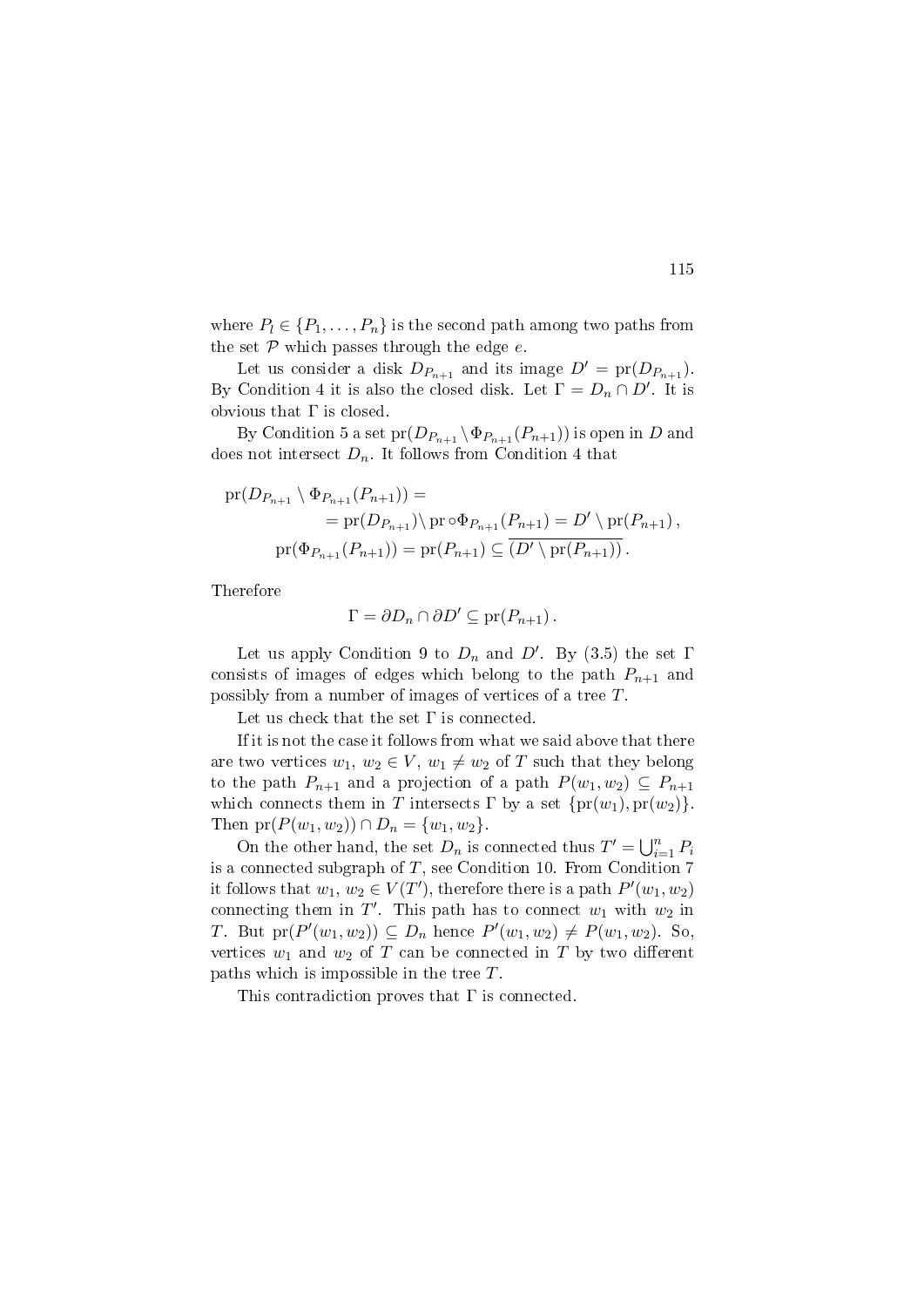where  $P_l \in \{P_1, \ldots, P_n\}$  is the second path among two paths from the set  $P$  which passes through the edge  $e$ .

Let us consider a disk  $D_{P_{n+1}}$  and its image  $D' = \text{pr}(D_{P_{n+1}})$ . By Condition 4 it is also the closed disk. Let  $\Gamma = D_n \cap D'$ . It is obvious that  $\Gamma$  is closed.

By Condition 5 a set  $pr(D_{P_{n+1}} \setminus \Phi_{P_{n+1}}(P_{n+1}))$  is open in D and does not intersect  $D_n$ . It follows from Condition 4 that

$$
\begin{aligned} \text{pr}(D_{P_{n+1}} \setminus \Phi_{P_{n+1}}(P_{n+1})) &= \\ &= \text{pr}(D_{P_{n+1}}) \setminus \text{pr} \circ \Phi_{P_{n+1}}(P_{n+1}) = D' \setminus \text{pr}(P_{n+1}), \\ \text{pr}(\Phi_{P_{n+1}}(P_{n+1})) &= \text{pr}(P_{n+1}) \subseteq \overline{(D' \setminus \text{pr}(P_{n+1}))} \,. \end{aligned}
$$

Therefore

$$
\Gamma = \partial D_n \cap \partial D' \subseteq \text{pr}(P_{n+1}).
$$

Let us apply Condition 9 to  $D_n$  and  $D'$ . By (3.5) the set  $\Gamma$ consists of images of edges which belong to the path  $P_{n+1}$  and possibly from a number of images of vertices of a tree T.

Let us check that the set  $\Gamma$  is connected.

If it is not the case it follows from what we said above that there are two vertices  $w_1, w_2 \in V$ ,  $w_1 \neq w_2$  of T such that they belong to the path  $P_{n+1}$  and a projection of a path  $P(w_1, w_2) \subseteq P_{n+1}$ which connects them in T intersects  $\Gamma$  by a set  $\{pr(w_1), pr(w_2)\}.$ Then  $pr(P(w_1, w_2)) \cap D_n = \{w_1, w_2\}.$ 

On the other hand, the set  $D_n$  is connected thus  $T' = \bigcup_{i=1}^n P_i$ is a connected subgraph of  $T$ , see Condition 10. From Condition  $7$ it follows that  $w_1, w_2 \in V(T')$ , therefore there is a path  $P'(w_1, w_2)$ connecting them in  $T'$ . This path has to connect  $w_1$  with  $w_2$  in *T*. But  $pr(P'(w_1, w_2)) \subseteq D_n$  hence  $P'(w_1, w_2) \neq P(w_1, w_2)$ . So, vertices  $w_1$  and  $w_2$  of T can be connected in T by two different paths which is impossible in the tree T.

This contradiction proves that Γ is connected.

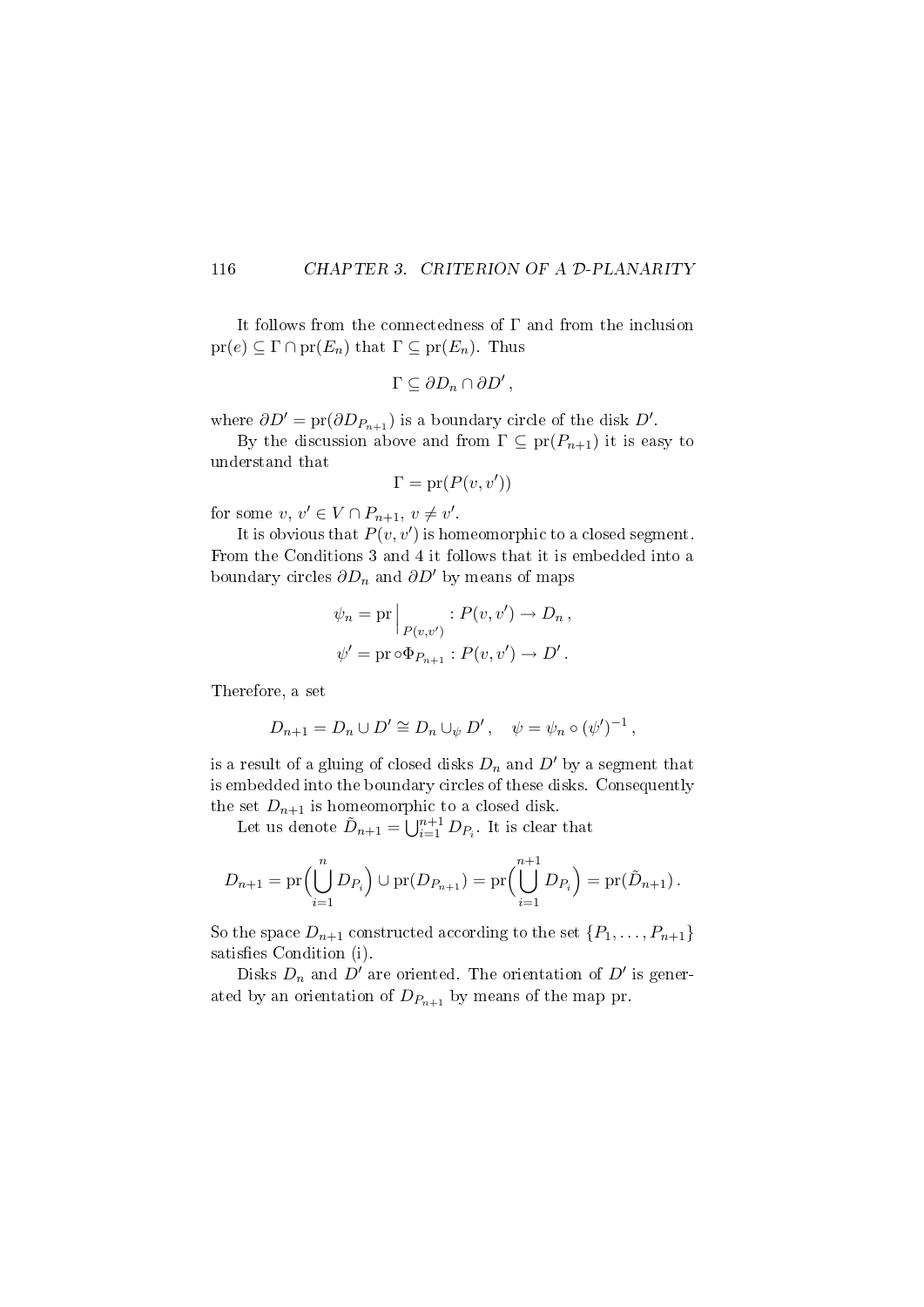#### 116 CHAPTER 3. CRITERION OF A D-PLANARITY

It follows from the connectedness of  $\Gamma$  and from the inclusion  $pr(e) \subseteq \Gamma \cap pr(E_n)$  that  $\Gamma \subseteq pr(E_n)$ . Thus

$$
\Gamma \subseteq \partial D_n \cap \partial D',
$$

where  $\partial D' = \text{pr}(\partial D_{P_{n+1}})$  is a boundary circle of the disk  $D'$ .

By the discussion above and from  $\Gamma \subseteq \text{pr}(P_{n+1})$  it is easy to understand that

$$
\Gamma = \text{pr}(P(v, v'))
$$

for some  $v, v' \in V \cap P_{n+1}, v \neq v'$ .

It is obvious that  $P(v, v')$  is homeomorphic to a closed segment. From the Conditions 3 and 4 it follows that it is embedded into a boundary circles  $\partial D_n$  and  $\partial D'$  by means of maps

$$
\psi_n = \text{pr} \Big|_{P(v,v')} : P(v,v') \to D_n ,
$$
  

$$
\psi' = \text{pr} \circ \Phi_{P_{n+1}} : P(v,v') \to D' .
$$

Therefore, a set

$$
D_{n+1} = D_n \cup D' \cong D_n \cup_{\psi} D', \quad \psi = \psi_n \circ (\psi')^{-1},
$$

is a result of a gluing of closed disks  $D_n$  and  $D'$  by a segment that is embedded into the boundary circles of these disks. Consequently the set  $D_{n+1}$  is homeomorphic to a closed disk.

Let us denote  $\tilde{D}_{n+1} = \bigcup_{i=1}^{n+1} D_{P_i}$ . It is clear that

$$
D_{n+1} = \mathrm{pr} \Big( \bigcup_{i=1}^{n} D_{P_i} \Big) \cup \mathrm{pr}(D_{P_{n+1}}) = \mathrm{pr} \Big( \bigcup_{i=1}^{n+1} D_{P_i} \Big) = \mathrm{pr}(\tilde{D}_{n+1}).
$$

So the space  $D_{n+1}$  constructed according to the set  $\{P_1, \ldots, P_{n+1}\}\$ satisfies Condition (i).

Disks  $D_n$  and  $D'$  are oriented. The orientation of  $D'$  is generated by an orientation of  $D_{P_{n+1}}$  by means of the map pr.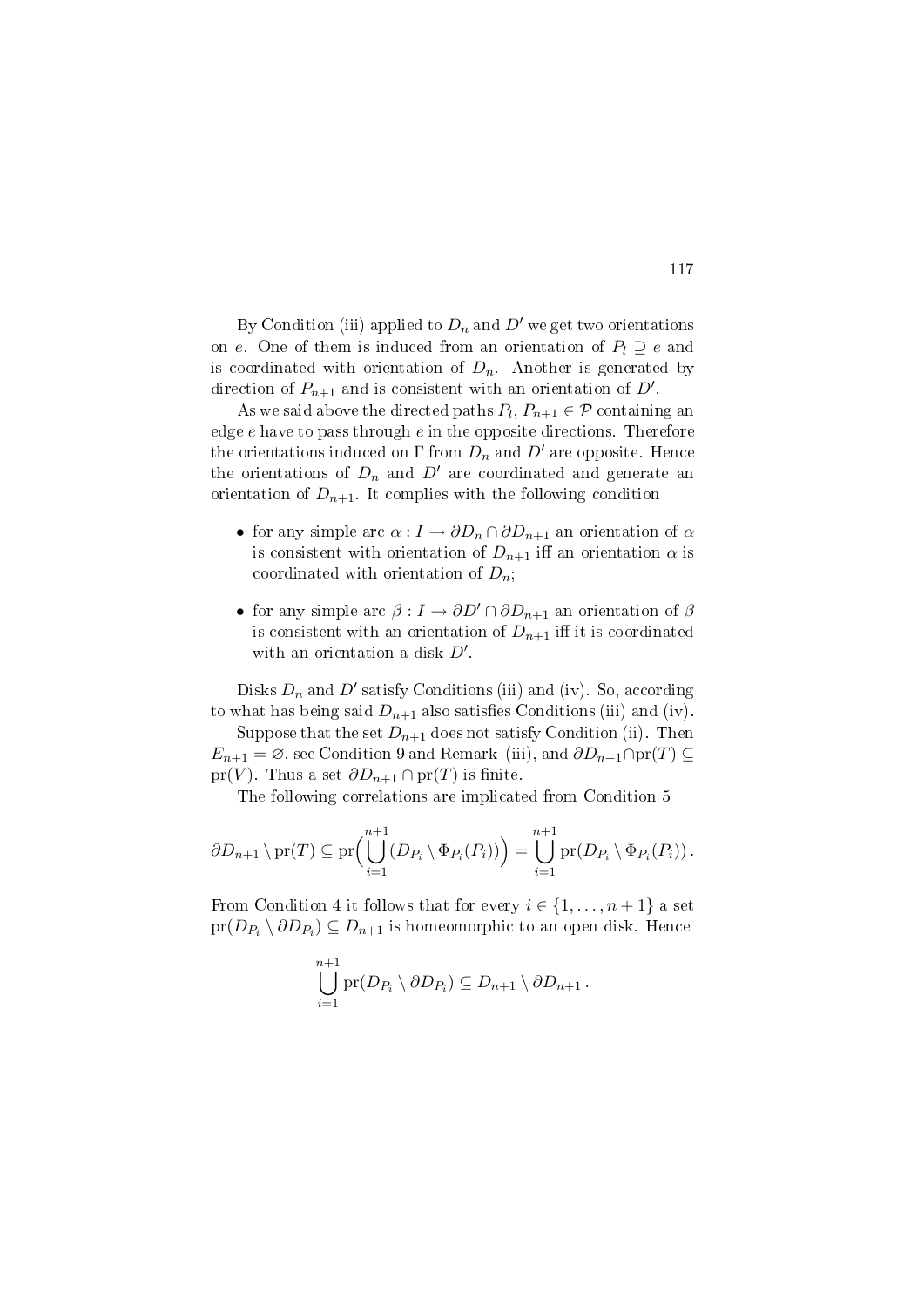By Condition (iii) applied to  $D_n$  and  $D'$  we get two orientations on e. One of them is induced from an orientation of  $P_l \supseteq e$  and is coordinated with orientation of  $D_n$ . Another is generated by direction of  $P_{n+1}$  and is consistent with an orientation of  $D'$ .

As we said above the directed paths  $P_l$ ,  $P_{n+1} \in \mathcal{P}$  containing an edge  $e$  have to pass through  $e$  in the opposite directions. Therefore the orientations induced on  $\Gamma$  from  $D_n$  and  $D'$  are opposite. Hence the orientations of  $D_n$  and  $D'$  are coordinated and generate an orientation of  $D_{n+1}$ . It complies with the following condition

- for any simple arc  $\alpha: I \to \partial D_n \cap \partial D_{n+1}$  an orientation of  $\alpha$ is consistent with orientation of  $D_{n+1}$  iff an orientation  $\alpha$  is coordinated with orientation of  $D_n$ ;
- for any simple arc  $\beta: I \to \partial D' \cap \partial D_{n+1}$  an orientation of  $\beta$ is consistent with an orientation of  $D_{n+1}$  iff it is coordinated with an orientation a disk  $D'$ .

Disks  $D_n$  and  $D'$  satisfy Conditions (iii) and (iv). So, according to what has being said  $D_{n+1}$  also satisfies Conditions (iii) and (iv).

Suppose that the set  $D_{n+1}$  does not satisfy Condition (ii). Then  $E_{n+1} = \emptyset$ , see Condition 9 and Remark (iii), and  $\partial D_{n+1} \cap \text{pr}(T) \subseteq$ pr(V). Thus a set  $\partial D_{n+1} \cap \text{pr}(T)$  is finite.

The following correlations are implicated from Condition 5

$$
\partial D_{n+1} \setminus \mathrm{pr}(T) \subseteq \mathrm{pr}\Big(\bigcup_{i=1}^{n+1} (D_{P_i} \setminus \Phi_{P_i}(P_i))\Big) = \bigcup_{i=1}^{n+1} \mathrm{pr}(D_{P_i} \setminus \Phi_{P_i}(P_i)).
$$

From Condition 4 it follows that for every  $i \in \{1, \ldots, n+1\}$  a set  $\text{pr}(D_{P_i} \setminus \partial D_{P_i}) \subseteq D_{n+1}$  is homeomorphic to an open disk. Hence

$$
\bigcup_{i=1}^{n+1} \text{pr}(D_{P_i} \setminus \partial D_{P_i}) \subseteq D_{n+1} \setminus \partial D_{n+1}.
$$

117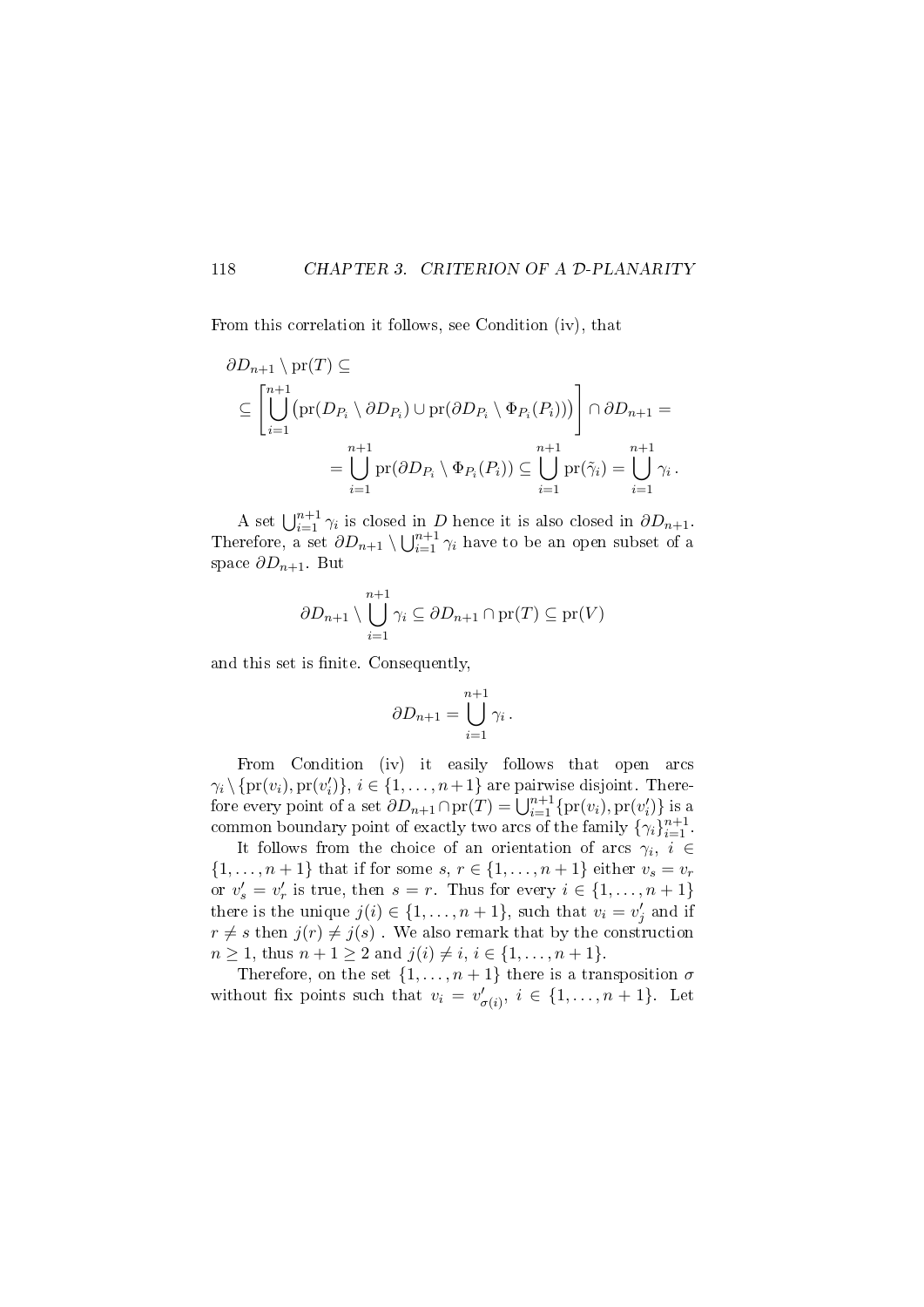#### 118 CHAPTER 3. CRITERION OF A D-PLANARITY

From this correlation it follows, see Condition (iv), that

$$
\partial D_{n+1} \setminus \text{pr}(T) \subseteq
$$
\n
$$
\subseteq \left[ \bigcup_{i=1}^{n+1} \left( \text{pr}(D_{P_i} \setminus \partial D_{P_i}) \cup \text{pr}(\partial D_{P_i} \setminus \Phi_{P_i}(P_i)) \right) \right] \cap \partial D_{n+1} =
$$
\n
$$
= \bigcup_{i=1}^{n+1} \text{pr}(\partial D_{P_i} \setminus \Phi_{P_i}(P_i)) \subseteq \bigcup_{i=1}^{n+1} \text{pr}(\tilde{\gamma}_i) = \bigcup_{i=1}^{n+1} \gamma_i.
$$

A set  $\bigcup_{i=1}^{n+1} \gamma_i$  is closed in D hence it is also closed in  $\partial D_{n+1}$ . Therefore, a set  $\partial D_{n+1} \setminus \bigcup_{i=1}^{n+1} \gamma_i$  have to be an open subset of a space  $\partial D_{n+1}$ . But

$$
\partial D_{n+1} \setminus \bigcup_{i=1}^{n+1} \gamma_i \subseteq \partial D_{n+1} \cap \text{pr}(T) \subseteq \text{pr}(V)
$$

and this set is finite. Consequently,

$$
\partial D_{n+1} = \bigcup_{i=1}^{n+1} \gamma_i \, .
$$

From Condition (iv) it easily follows that open arcs  $\gamma_i \setminus \{\text{pr}(v_i), \text{pr}(v'_i)\}, i \in \{1, \ldots, n+1\}$  are pairwise disjoint. Therefore every point of a set  $\partial D_{n+1} \cap \text{pr}(T) = \bigcup_{i=1}^{n+1} \{ \text{pr}(v_i), \text{pr}(v'_i) \}$  is a common boundary point of exactly two arcs of the family  $\{\gamma_i\}_{i=1}^{n+1}$ .

It follows from the choice of an orientation of arcs  $\gamma_i, i \in$  $\{1,\ldots,n+1\}$  that if for some  $s, r \in \{1,\ldots,n+1\}$  either  $v_s = v_r$ or  $v'_s = v'_r$  is true, then  $s = r$ . Thus for every  $i \in \{1, \ldots, n+1\}$ there is the unique  $j(i) \in \{1, \ldots, n+1\}$ , such that  $v_i = v'_j$  and if  $r \neq s$  then  $j(r) \neq j(s)$ . We also remark that by the construction  $n \geq 1$ , thus  $n + 1 \geq 2$  and  $j(i) \neq i, i \in \{1, ..., n + 1\}.$ 

Therefore, on the set  $\{1, \ldots, n+1\}$  there is a transposition  $\sigma$ without fix points such that  $v_i = v'_{\sigma(i)}, i \in \{1, ..., n+1\}$ . Let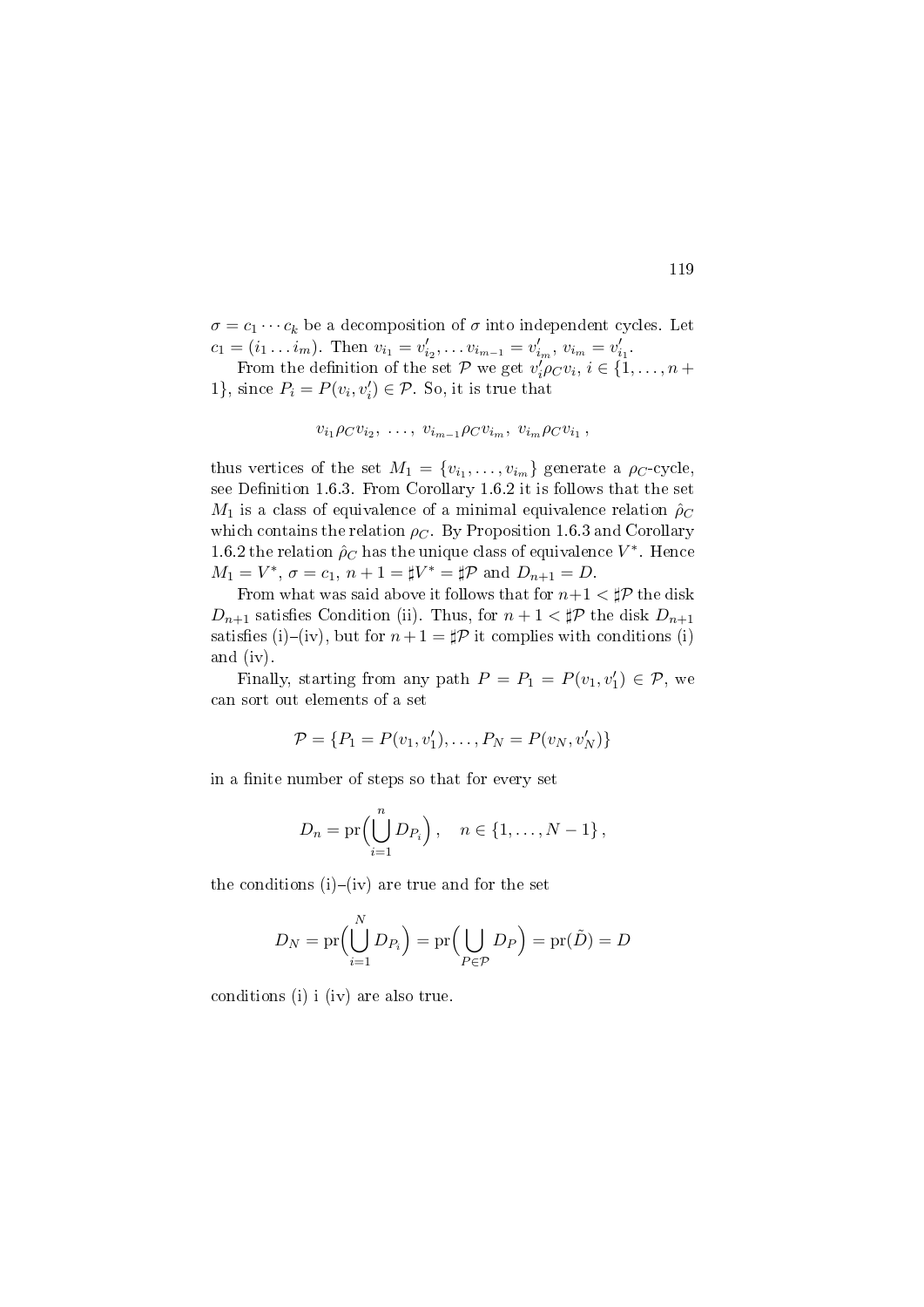$\sigma = c_1 \cdots c_k$  be a decomposition of  $\sigma$  into independent cycles. Let  $c_1 = (i_1 \dots i_m)$ . Then  $v_{i_1} = v'_{i_2}, \dots v_{i_{m-1}} = v'_{i_m}, v_{i_m} = v'_{i_1}$ .

From the definition of the set  $P$  we get  $v_i' \rho_C v_i, i \in \{1, ..., n +$ 1}, since  $P_i = P(v_i, v'_i) \in \mathcal{P}$ . So, it is true that

$$
v_{i_1}\rho_Cv_{i_2},\ldots,v_{i_{m-1}}\rho_Cv_{i_m},\ v_{i_m}\rho_Cv_{i_1},
$$

thus vertices of the set  $M_1 = \{v_{i_1}, \ldots, v_{i_m}\}\$  generate a  $\rho_C$ -cycle, see Definition 1.6.3. From Corollary 1.6.2 it is follows that the set  $M_1$  is a class of equivalence of a minimal equivalence relation  $\rho_C$ which contains the relation  $\rho_C$ . By Proposition 1.6.3 and Corollary 1.6.2 the relation  $\rho_C$  has the unique class of equivalence  $V^*$ . Hence  $M_1 = V^*$ ,  $\sigma = c_1$ ,  $n + 1 = \sharp V^* = \sharp \mathcal{P}$  and  $D_{n+1} = D$ .

From what was said above it follows that for  $n+1 < \sharp \mathcal{P}$  the disk  $D_{n+1}$  satisfies Condition (ii). Thus, for  $n+1 < \sharp \mathcal{P}$  the disk  $D_{n+1}$ satisfies (i)–(iv), but for  $n + 1 = \sharp \mathcal{P}$  it complies with conditions (i) and (iv).

Finally, starting from any path  $P = P_1 = P(v_1, v'_1) \in \mathcal{P}$ , we can sort out elements of a set

$$
\mathcal{P} = \{P_1 = P(v_1, v'_1), \dots, P_N = P(v_N, v'_N)\}
$$

in a finite number of steps so that for every set

$$
D_n = \mathrm{pr}\Big(\bigcup_{i=1}^n D_{P_i}\Big), \quad n \in \{1, \ldots, N-1\}\,,
$$

the conditions  $(i)$ – $(iv)$  are true and for the set

$$
D_N = \text{pr}\Big(\bigcup_{i=1}^N D_{P_i}\Big) = \text{pr}\Big(\bigcup_{P \in \mathcal{P}} D_P\Big) = \text{pr}(\tilde{D}) = D
$$

conditions (i) i (iv) are also true.

#### 119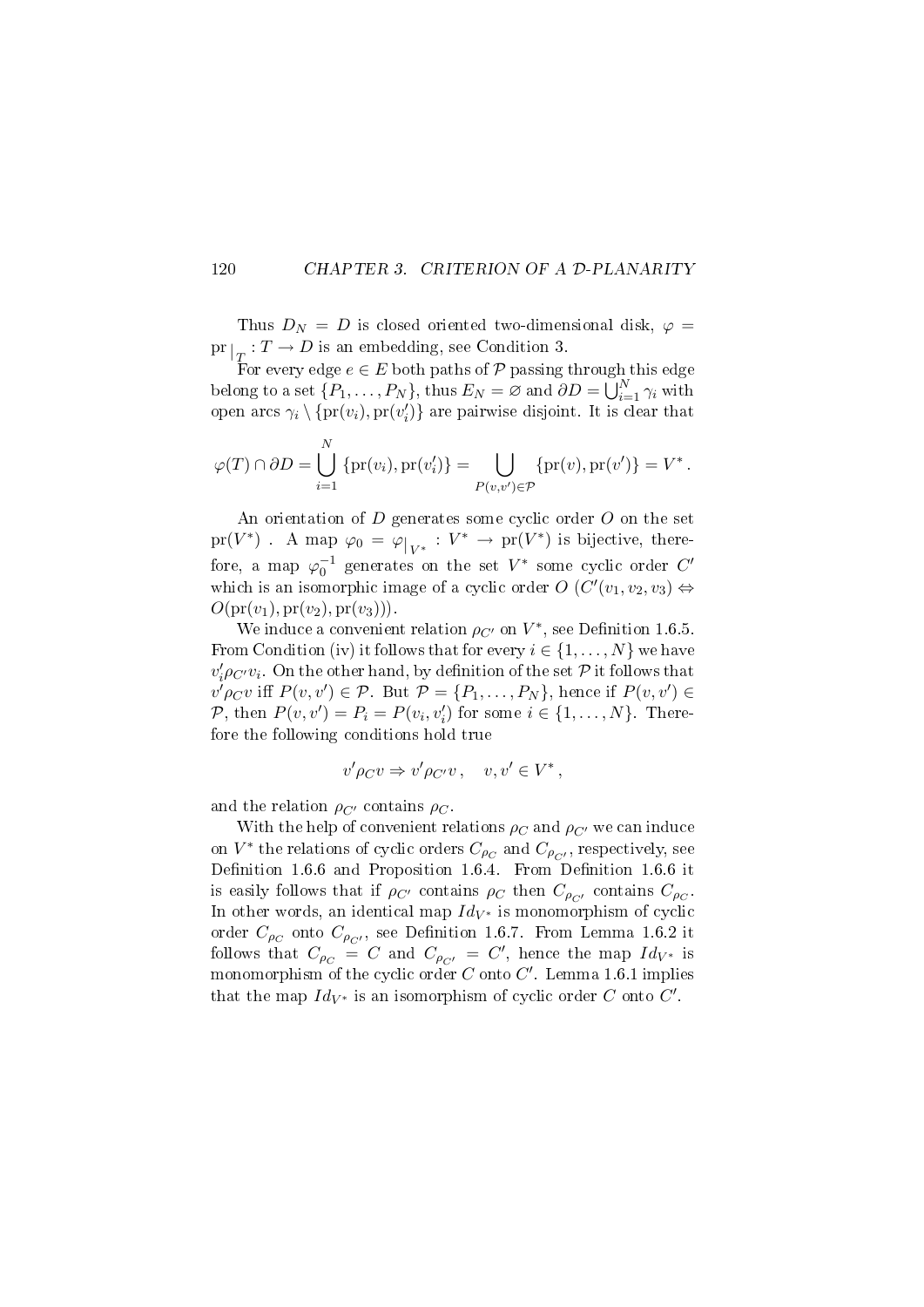#### 120 CHAPTER 3. CRITERION OF A D-PLANARITY

Thus  $D_N = D$  is closed oriented two-dimensional disk,  $\varphi =$  $\mathrm{pr}|_T: T \to D$  is an embedding, see Condition 3.

For every edge  $e \in E$  both paths of  $P$  passing through this edge belong to a set  $\{P_1, \ldots, P_N\}$ , thus  $E_N = \varnothing$  and  $\partial D = \bigcup_{i=1}^N \gamma_i$  with open arcs  $\gamma_i \setminus \{pr(v_i), pr(v'_i)\}$  are pairwise disjoint. It is clear that

$$
\varphi(T) \cap \partial D = \bigcup_{i=1}^N \{pr(v_i), pr(v'_i)\} = \bigcup_{P(v,v') \in \mathcal{P}} \{pr(v), pr(v')\} = V^*.
$$

An orientation of D generates some cyclic order O on the set  $\mathrm{pr}(V^*)$ . A map  $\varphi_0 = \varphi|_{V^*}: V^* \to \mathrm{pr}(V^*)$  is bijective, therefore, a map  $\varphi_0^{-1}$  generates on the set  $V^*$  some cyclic order  $C'$ which is an isomorphic image of a cyclic order  $O(C'(v_1, v_2, v_3) \Leftrightarrow$  $O(\mathrm{pr}(v_1), \mathrm{pr}(v_2), \mathrm{pr}(v_3))).$ 

We induce a convenient relation  $\rho_{C'}$  on  $V^*$ , see Definition 1.6.5. From Condition (iv) it follows that for every  $i \in \{1, \ldots, N\}$  we have  $v'_i \rho_{C'} v_i$ . On the other hand, by definition of the set  ${\mathcal P}$  it follows that  $v' \rho_C v$  iff  $P(v, v') \in \mathcal{P}$ . But  $\mathcal{P} = \{P_1, \ldots, P_N\}$ , hence if  $P(v, v') \in \mathcal{P}$ P, then  $P(v, v') = P_i = P(v_i, v'_i)$  for some  $i \in \{1, ..., N\}$ . Therefore the following conditions hold true

$$
v'\rho_C v \Rightarrow v'\rho_{C'}v\,,\quad v,v'\in V^*\,,
$$

and the relation  $\rho_{C}$  contains  $\rho_C$ .

With the help of convenient relations  $\rho_C$  and  $\rho_{C'}$  we can induce on  $V^*$  the relations of cyclic orders  $C_{\rho_C}$  and  $C_{\rho_{C'}}$ , respectively, see Definition 1.6.6 and Proposition 1.6.4. From Definition 1.6.6 it is easily follows that if  $\rho_{C'}$  contains  $\rho_C$  then  $C_{\rho_{C'}}$  contains  $C_{\rho_C}$ . In other words, an identical map  $Id_{V^*}$  is monomorphism of cyclic order  $C_{\rho_C}$  onto  $C_{\rho_{C'}},$  see Definition 1.6.7. From Lemma 1.6.2 it follows that  $C_{\rho_C} = C$  and  $C_{\rho_{C'}} = C'$ , hence the map  $Id_{V^*}$  is monomorphism of the cyclic order  $C$  onto  $C'$ . Lemma 1.6.1 implies that the map  $Id_{V^*}$  is an isomorphism of cyclic order C onto C'.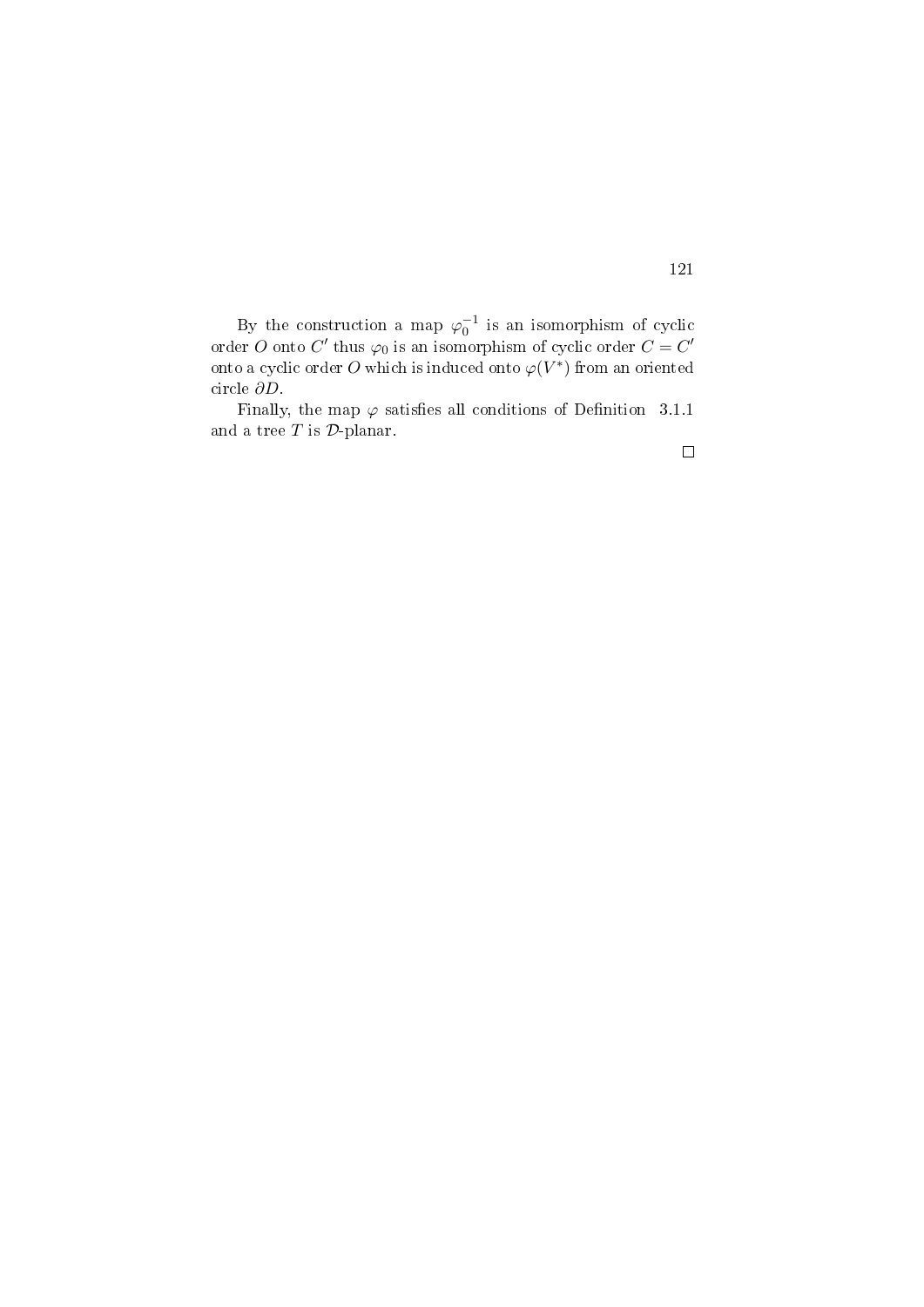By the construction a map  $\varphi_0^{-1}$  is an isomorphism of cyclic order O onto C' thus  $\varphi_0$  is an isomorphism of cyclic order  $C = C'$ onto a cyclic order  $O$  which is induced onto  $\varphi(V^*)$  from an oriented circle ∂D.

Finally, the map  $\varphi$  satisfies all conditions of Definition 3.1.1 and a tree  $T$  is  $\mathcal{D}$ -planar.

121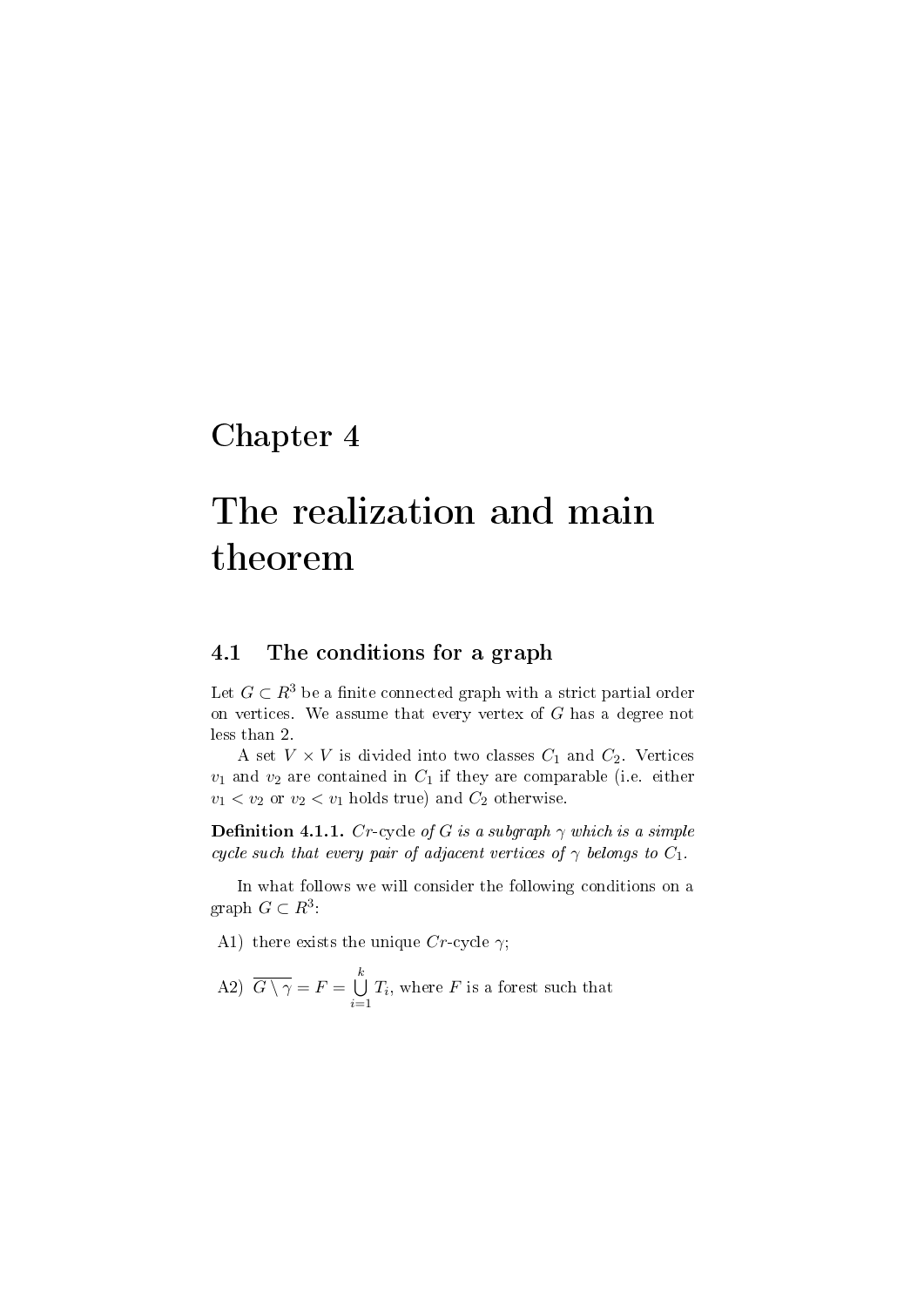## Chapter 4

# The realization and main theorem

### 4.1 The conditions for a graph

Let  $G \subset \mathbb{R}^3$  be a finite connected graph with a strict partial order on vertices. We assume that every vertex of  $G$  has a degree not less than 2.

A set  $V \times V$  is divided into two classes  $C_1$  and  $C_2$ . Vertices  $v_1$  and  $v_2$  are contained in  $C_1$  if they are comparable (i.e. either  $v_1 < v_2$  or  $v_2 < v_1$  holds true) and  $C_2$  otherwise.

**Definition 4.1.1.** Cr-cycle of G is a subgraph  $\gamma$  which is a simple cycle such that every pair of adjacent vertices of  $\gamma$  belongs to  $C_1$ .

In what follows we will consider the following conditions on a graph  $G \subset R^3$ :

A1) there exists the unique  $Cr$ -cycle  $\gamma$ ;

A2) 
$$
\overline{G \setminus \gamma} = F = \bigcup_{i=1}^{k} T_i
$$
, where *F* is a forest such that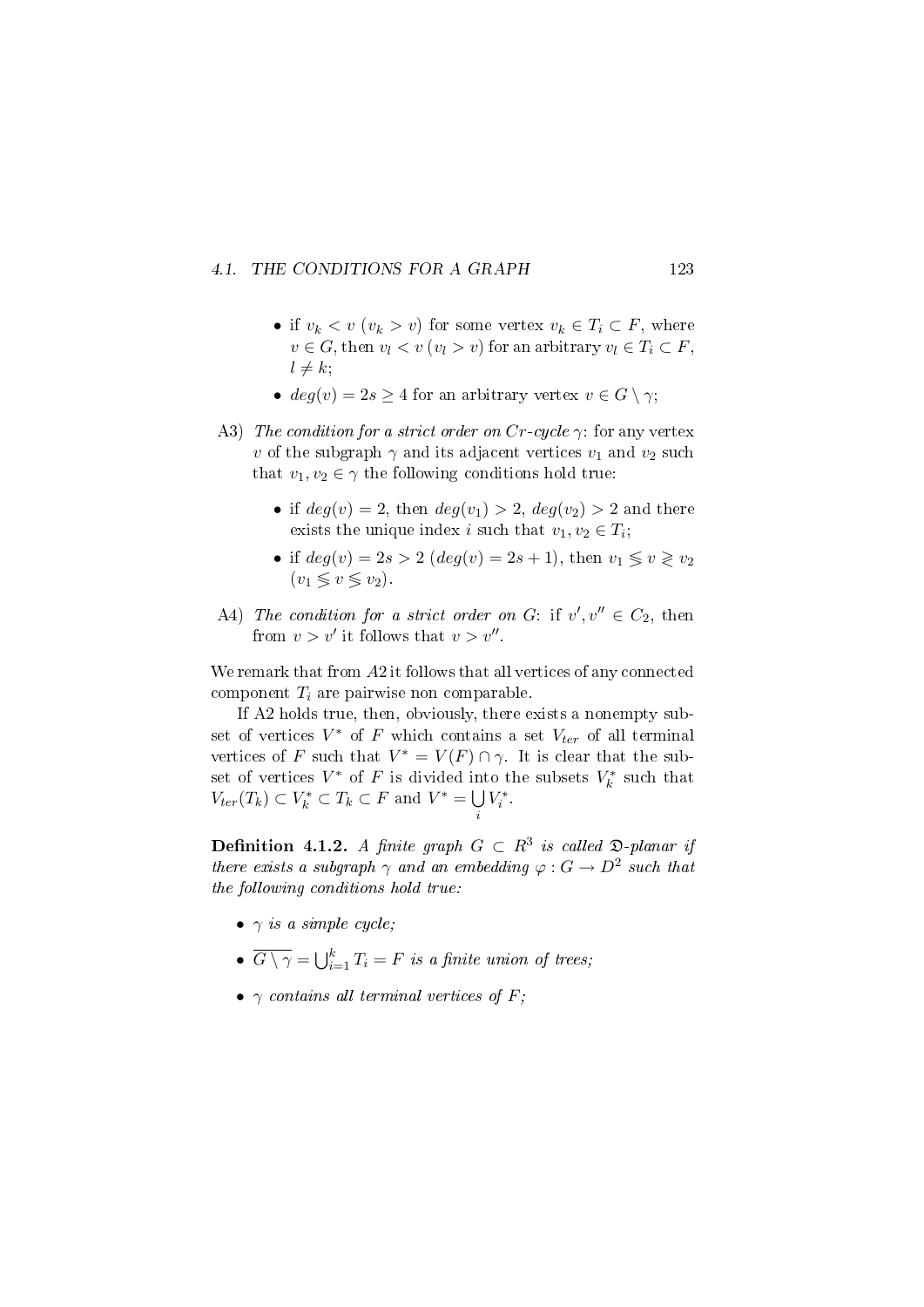#### 4.1. THE CONDITIONS FOR A GRAPH 123

- if  $v_k < v$   $(v_k > v)$  for some vertex  $v_k \in T_i \subset F$ , where  $v \in G$ , then  $v_l < v$   $(v_l > v)$  for an arbitrary  $v_l \in T_i \subset F$ ,  $l \neq k$ ;
- $deg(v) = 2s \geq 4$  for an arbitrary vertex  $v \in G \setminus \gamma$ ;
- A3) The condition for a strict order on  $Cr$ -cycle  $\gamma$ : for any vertex v of the subgraph  $\gamma$  and its adjacent vertices  $v_1$  and  $v_2$  such that  $v_1, v_2 \in \gamma$  the following conditions hold true:
	- if  $deg(v) = 2$ , then  $deg(v_1) > 2$ ,  $deg(v_2) > 2$  and there exists the unique index *i* such that  $v_1, v_2 \in T_i$ ;
	- if  $deg(v) = 2s > 2$   $(deg(v) = 2s + 1)$ , then  $v_1 \le v \ge v_2$  $(v_1 \leq v \leq v_2)$ .
- A4) The condition for a strict order on G: if  $v', v'' \in C_2$ , then from  $v > v'$  it follows that  $v > v''$ .

We remark that from A2 it follows that all vertices of any connected component  $T_i$  are pairwise non comparable.

If A2 holds true, then, obviously, there exists a nonempty subset of vertices  $V^*$  of F which contains a set  $V_{ter}$  of all terminal vertices of F such that  $V^* = V(F) \cap \gamma$ . It is clear that the subset of vertices  $V^*$  of F is divided into the subsets  $V_k^*$  such that  $V_{ter}(T_k) \subset V_k^* \subset T_k \subset F$  and  $V^* = \bigcup$ i  $V_i^*$ 

**Definition 4.1.2.** A finite graph  $G \subset R^3$  is called  $\mathfrak{D}\text{-}planar$  if there exists a subgraph  $\gamma$  and an embedding  $\varphi: G \to D^2$  such that the following conditions hold true:

- $\gamma$  is a simple cycle;
- $\overline{G \setminus \gamma} = \bigcup_{i=1}^k T_i = F$  is a finite union of trees;
- $\gamma$  contains all terminal vertices of F;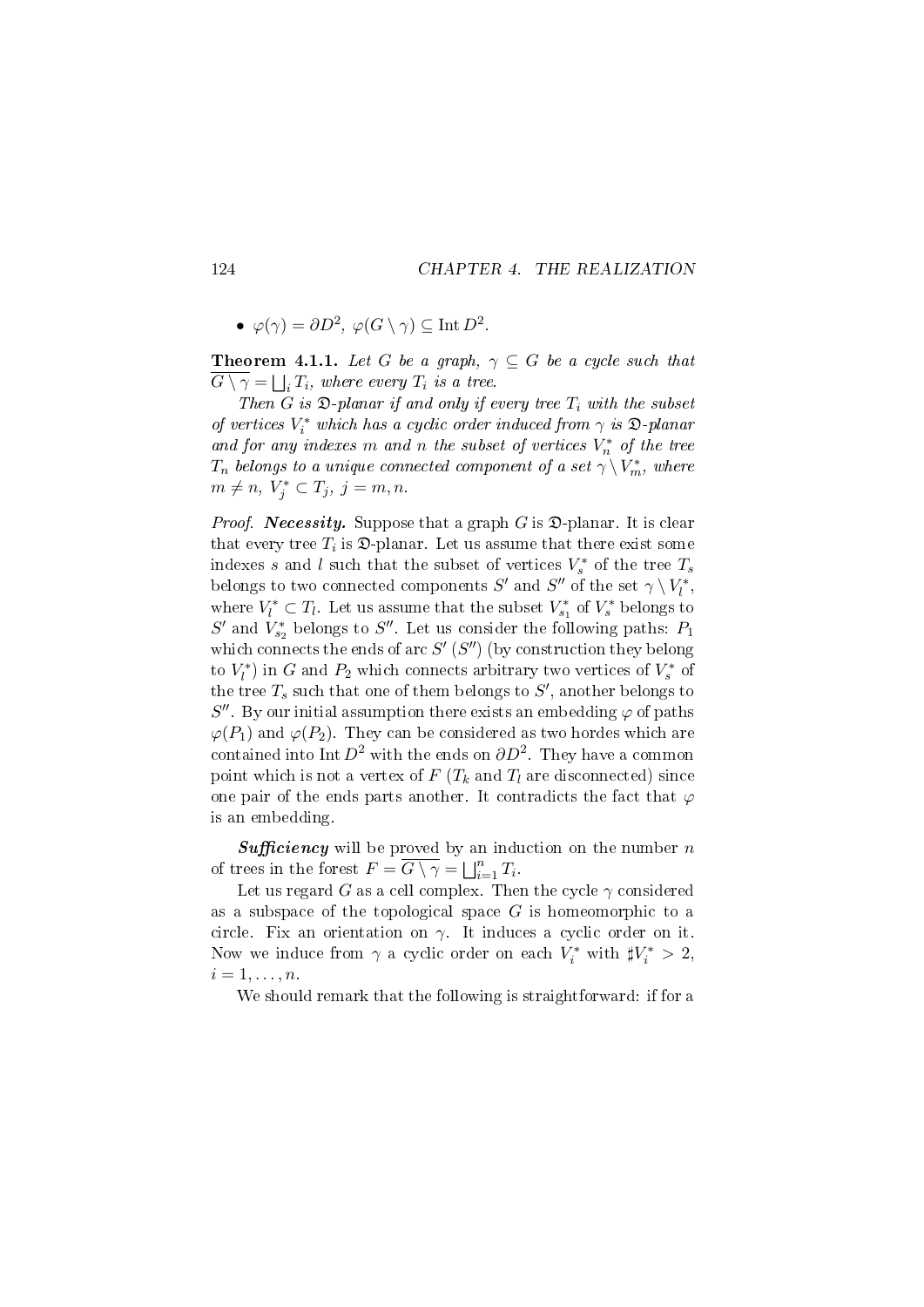•  $\varphi(\gamma) = \partial D^2$ ,  $\varphi(G \setminus \gamma) \subseteq \text{Int } D^2$ .

**Theorem 4.1.1.** Let G be a graph,  $\gamma \subseteq G$  be a cycle such that  $G \setminus \gamma = \bigsqcup_i T_i$ , where every  $T_i$  is a tree.

Then G is  $\mathfrak D$ -planar if and only if every tree  $T_i$  with the subset of vertices  $V_i^*$  which has a cyclic order induced from  $\gamma$  is  $\mathfrak{D}\text{-}planar$ and for any indexes m and n the subset of vertices  $V_n^*$  of the tree  $T_n$  belongs to a unique connected component of a set  $\gamma \setminus V_m^*$ , where  $m \neq n, V_j^* \subset T_j, j = m, n.$ 

*Proof.* **Necessity.** Suppose that a graph  $G$  is  $\mathfrak{D}$ -planar. It is clear that every tree  $T_i$  is  $\mathfrak D$ -planar. Let us assume that there exist some indexes s and l such that the subset of vertices  $V_s^*$  of the tree  $T_s$ belongs to two connected components  $S'$  and  $S''$  of the set  $\gamma \setminus V_l^*,$ where  $V_l^* \subset T_l$ . Let us assume that the subset  $V_{s_1}^*$  of  $V_s^*$  belongs to  $S'$  and  $V_{s_2}^*$  belongs to  $S''$ . Let us consider the following paths:  $P_1$ which connects the ends of arc  $S'$  ( $S''$ ) (by construction they belong to  $V_l^*$ ) in G and  $P_2$  which connects arbitrary two vertices of  $V_s^*$  of the tree  $T_s$  such that one of them belongs to  $S'$ , another belongs to  $S''$ . By our initial assumption there exists an embedding  $\varphi$  of paths  $\varphi(P_1)$  and  $\varphi(P_2)$ . They can be considered as two hordes which are contained into Int  $D^2$  with the ends on  $\partial D^2$ . They have a common point which is not a vertex of  $F(T_k$  and  $T_l$  are disconnected) since one pair of the ends parts another. It contradicts the fact that  $\varphi$ is an embedding.

**Sufficiency** will be proved by an induction on the number  $n$ of trees in the forest  $F = \overline{G \setminus \gamma} = \bigsqcup_{i=1}^n T_i$ .

Let us regard G as a cell complex. Then the cycle  $\gamma$  considered as a subspace of the topological space  $G$  is homeomorphic to a circle. Fix an orientation on  $\gamma$ . It induces a cyclic order on it. Now we induce from  $\gamma$  a cyclic order on each  $V_i^*$  with  $\sharp V_i^* > 2$ ,  $i=1,\ldots,n$ .

We should remark that the following is straightforward: if for a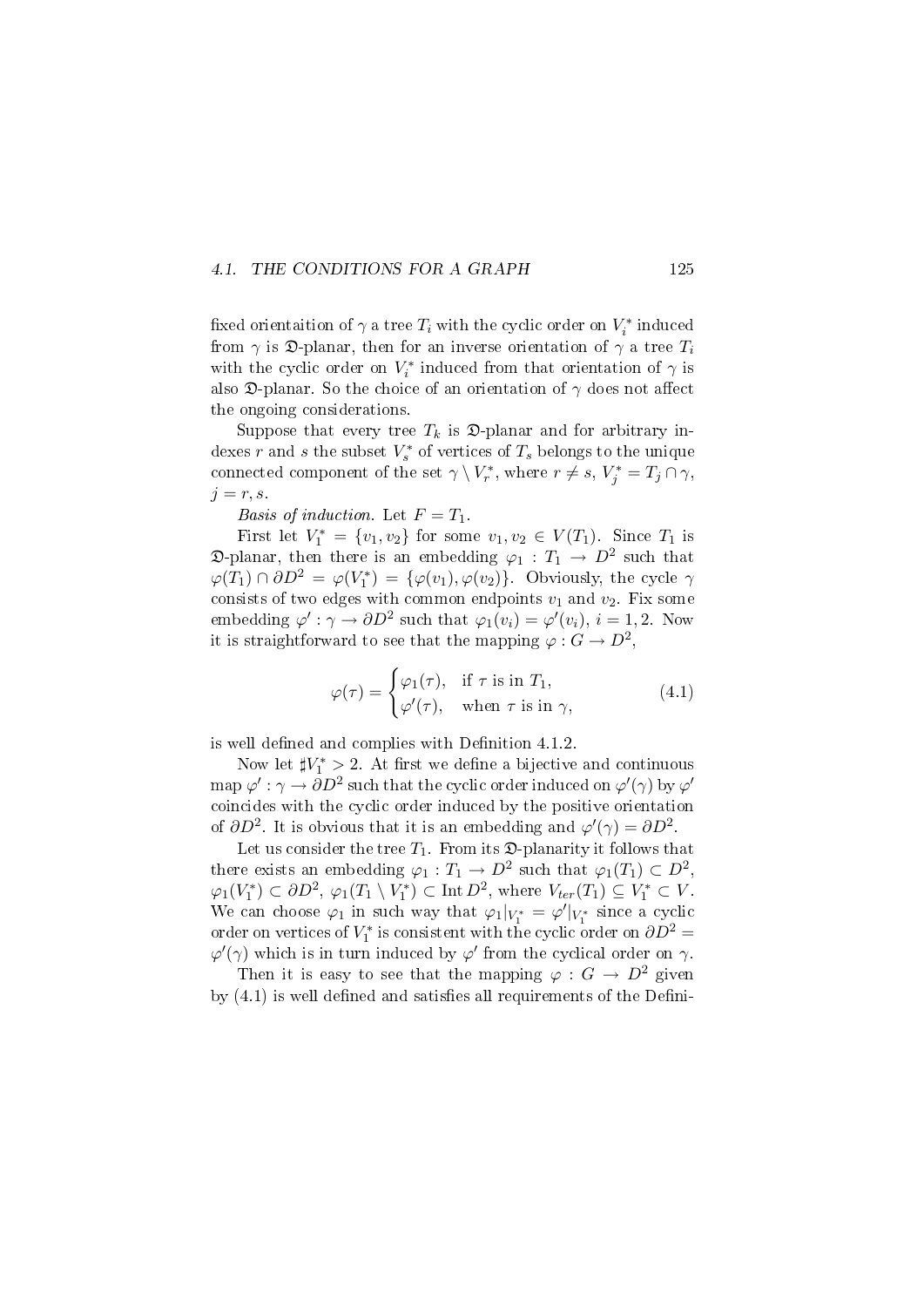#### 4.1. THE CONDITIONS FOR A GRAPH 125

fixed orientaition of  $\gamma$  a tree  $T_i$  with the cyclic order on  $V_i^*$  induced from  $\gamma$  is  $\mathfrak{D}$ -planar, then for an inverse orientation of  $\gamma$  a tree  $T_i$ with the cyclic order on  $V_i^*$  induced from that orientation of  $\gamma$  is also  $\mathfrak D$ -planar. So the choice of an orientation of  $\gamma$  does not affect the ongoing considerations.

Suppose that every tree  $T_k$  is  $\mathfrak{D}$ -planar and for arbitrary indexes r and s the subset  $V_s^*$  of vertices of  $T_s$  belongs to the unique connected component of the set  $\gamma \setminus V_r^*$ , where  $r \neq s$ ,  $V_j^* = T_j \cap \gamma$ ,  $j = r, s$ .

Basis of induction. Let  $F = T_1$ .

First let  $V_1^* = \{v_1, v_2\}$  for some  $v_1, v_2 \in V(T_1)$ . Since  $T_1$  is  $\mathfrak{D}\text{-planar},$  then there is an embedding  $\varphi_1:T_1\to D^2$  such that  $\varphi(T_1) \cap \partial D^2 = \varphi(V_1^*) = {\varphi(v_1), \varphi(v_2)}$ . Obviously, the cycle  $\gamma$ consists of two edges with common endpoints  $v_1$  and  $v_2$ . Fix some embedding  $\varphi': \gamma \to \partial D^2$  such that  $\varphi_1(v_i) = \varphi'(v_i), i = 1, 2$ . Now it is straightforward to see that the mapping  $\varphi: G \to D^2$ ,

$$
\varphi(\tau) = \begin{cases} \varphi_1(\tau), & \text{if } \tau \text{ is in } T_1, \\ \varphi'(\tau), & \text{when } \tau \text{ is in } \gamma, \end{cases}
$$
(4.1)

is well defined and complies with Definition  $4.1.2$ .

Now let  $\sharp V_1^* > 2$ . At first we define a bijective and continuous map  $\varphi': \gamma \to \partial D^2$  such that the cyclic order induced on  $\varphi'(\gamma)$  by  $\varphi'$ coincides with the cyclic order induced by the positive orientation of  $\partial D^2$ . It is obvious that it is an embedding and  $\varphi'(\gamma) = \partial D^2$ .

Let us consider the tree  $T_1$ . From its  $\mathcal{D}$ -planarity it follows that there exists an embedding  $\varphi_1: T_1 \to D^2$  such that  $\varphi_1(T_1) \subset D^2$ ,  $\varphi_1(V_1^*) \subset \partial D^2$ ,  $\varphi_1(T_1 \setminus V_1^*) \subset \text{Int } D^2$ , where  $V_{ter}(T_1) \subseteq V_1^* \subset V$ . We can choose  $\varphi_1$  in such way that  $\varphi_1|_{V_1^*} = \varphi'|_{V_1^*}$  since a cyclic order on vertices of  $V_1^*$  is consistent with the cyclic order on  $\partial D^2 =$  $\varphi'(\gamma)$  which is in turn induced by  $\varphi'$  from the cyclical order on  $\gamma$ .

Then it is easy to see that the mapping  $\varphi : G \to D^2$  given by  $(4.1)$  is well defined and satisfies all requirements of the Defini-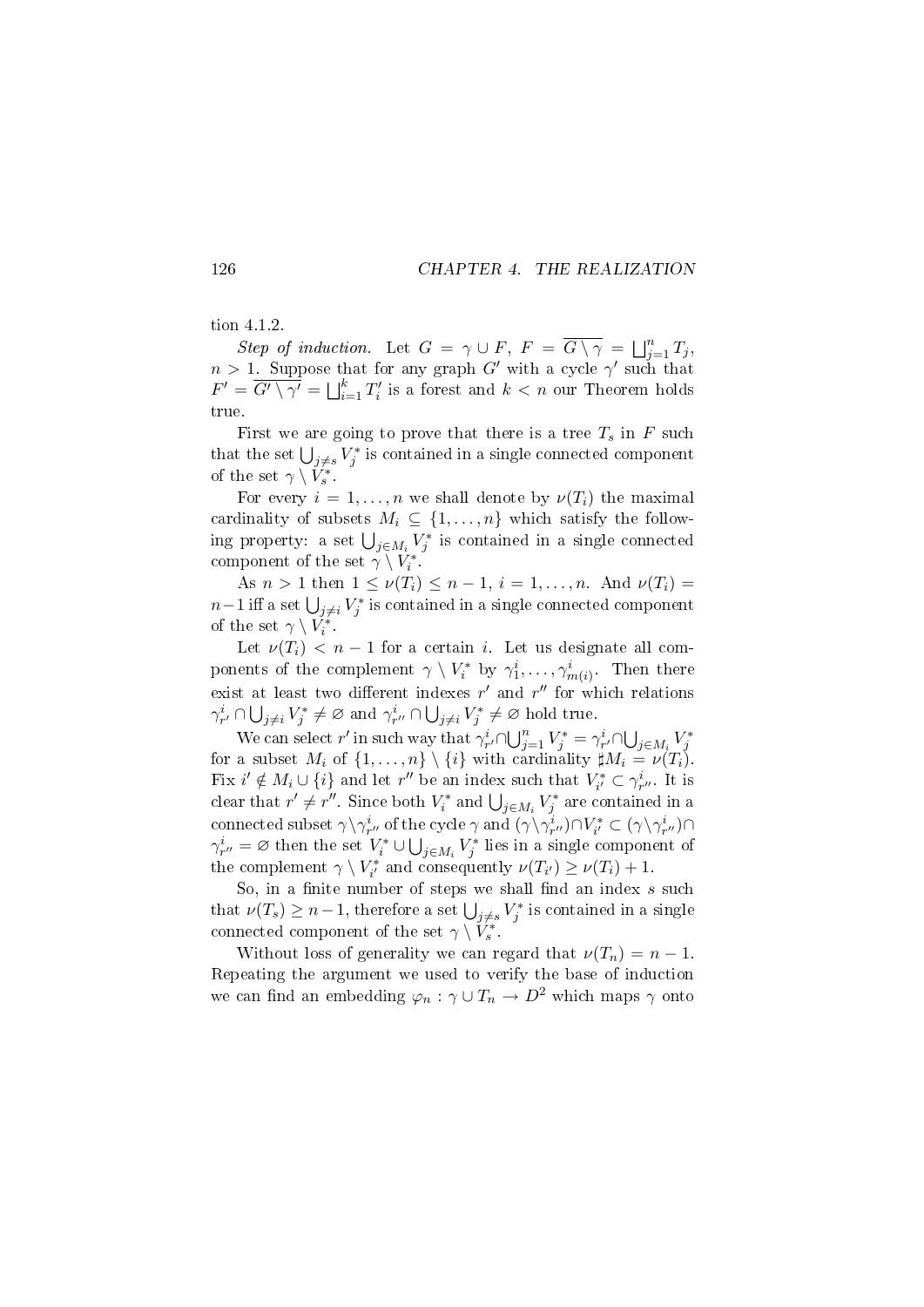#### tion 4.1.2.

Step of induction. Let  $G = \gamma \cup F$ ,  $F = \overline{G \setminus \gamma} = \bigsqcup_{j=1}^n T_j$ ,  $n > 1$ . Suppose that for any graph G' with a cycle  $\gamma'$  such that  $F' = \overline{G' \setminus \gamma'} = \bigsqcup_{i=1}^k T_i'$  is a forest and  $k < n$  our Theorem holds true.

First we are going to prove that there is a tree  $T_s$  in F such that the set  $\bigcup_{j\neq s} V_j^*$  is contained in a single connected component of the set  $\gamma \setminus V_s^*$ .

For every  $i = 1, \ldots, n$  we shall denote by  $\nu(T_i)$  the maximal cardinality of subsets  $M_i \subseteq \{1, \ldots, n\}$  which satisfy the following property: a set  $\bigcup_{j\in M_i} V_j^*$  is contained in a single connected component of the set  $\gamma \setminus V_i^*$ .

As  $n > 1$  then  $1 \leq \nu(T_i) \leq n-1$ ,  $i = 1, ..., n$ . And  $\nu(T_i) =$  $n-1$  iff a set  $\bigcup_{j\neq i} V_j^*$  is contained in a single connected component of the set  $\gamma \setminus V_i^*$ .

Let  $\nu(T_i) < n-1$  for a certain i. Let us designate all components of the complement  $\gamma \setminus V_i^*$  by  $\gamma_1^i, \ldots, \gamma_{m(i)}^i$ . Then there exist at least two different indexes  $r'$  and  $r''$  for which relations  $\gamma_{r'}^i \cap \bigcup_{j \neq i} V_j^* \neq \varnothing$  and  $\gamma_{r''}^i \cap \bigcup_{j \neq i} V_j^* \neq \varnothing$  hold true.

We can select r' in such way that  $\gamma_{r'}^i \cap \bigcup_{j=1}^n V_j^* = \gamma_{r'}^i \cap \bigcup_{j \in M_i} V_j^*$ for a subset  $M_i$  of  $\{1, \ldots, n\} \setminus \{i\}$  with cardinality  $\sharp M_i = \nu(T_i)$ . Fix  $i' \notin M_i \cup \{i\}$  and let  $r''$  be an index such that  $V_{i'}^* \subset \gamma_{r''}^i$ . It is clear that  $r' \neq r''$ . Since both  $V_i^*$  and  $\bigcup_{j \in M_i} V_j^*$  are contained in a connected subset  $\gamma\backslash\gamma^i_{r''}$  of the cycle  $\gamma$  and  $(\gamma\backslash\gamma^i_{r''})\cap V^*_{i'}\subset (\gamma\backslash\gamma^i_{r''})\cap$  $\gamma_{r''}^i = \varnothing$  then the set  $V_i^* \cup \bigcup_{j \in M_i} V_j^*$  lies in a single component of the complement  $\gamma \setminus V_{i'}^*$  and consequently  $\nu(T_{i'}) \geq \nu(T_i) + 1$ .

So, in a finite number of steps we shall find an index  $s$  such that  $\nu(T_s) \geq n-1$ , therefore a set  $\bigcup_{j \neq s} V_j^*$  is contained in a single connected component of the set  $\gamma \setminus V_s^*$ .

Without loss of generality we can regard that  $\nu(T_n) = n - 1$ . Repeating the argument we used to verify the base of induction we can find an embedding  $\varphi_n : \gamma \cup T_n \to D^2$  which maps  $\gamma$  onto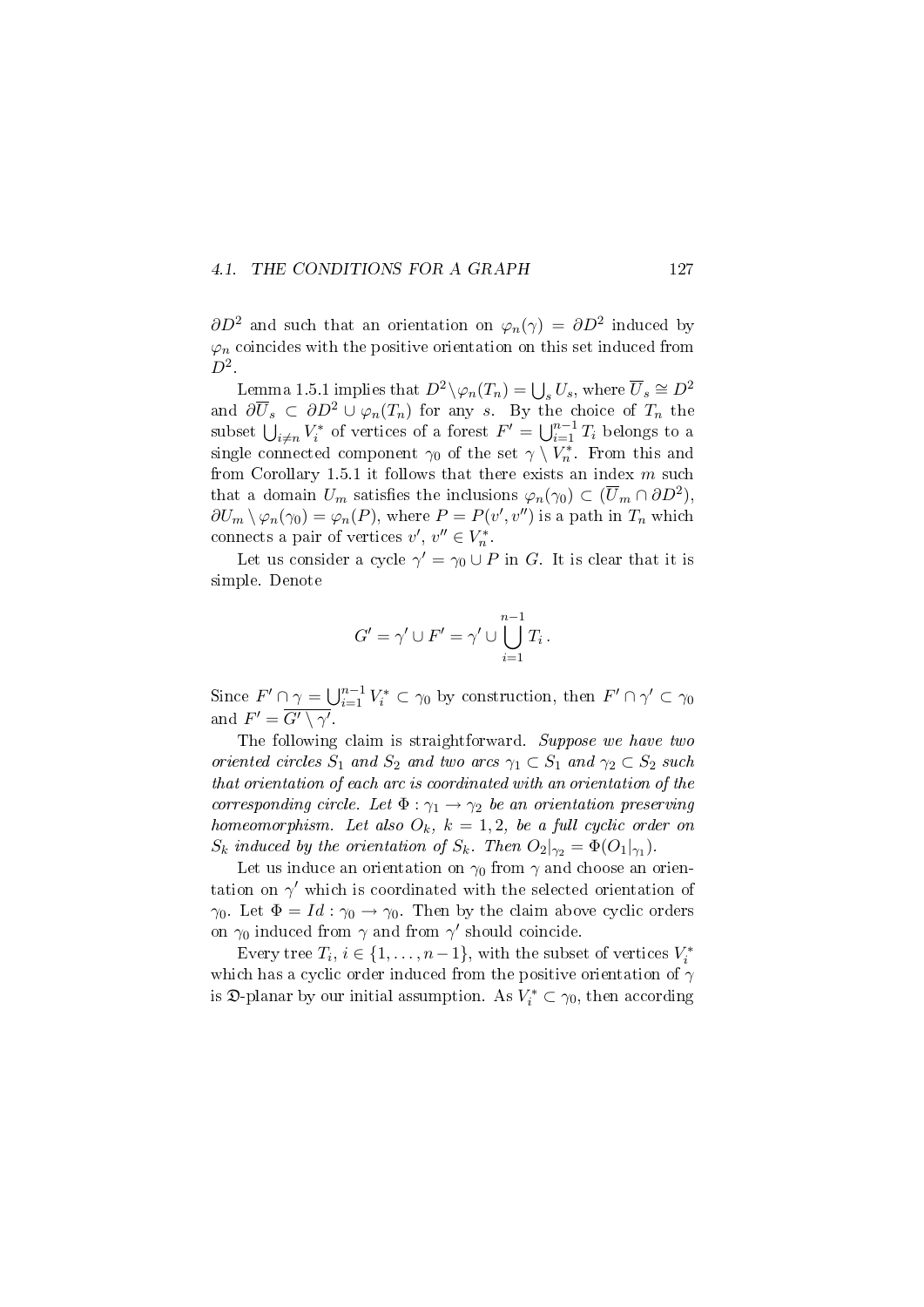#### 4.1. THE CONDITIONS FOR A GRAPH 127

 $\partial D^2$  and such that an orientation on  $\varphi_n(\gamma) = \partial D^2$  induced by  $\varphi_n$  coincides with the positive orientation on this set induced from  $D^2$ .

Lemma 1.5.1 implies that  $D^2 \setminus \varphi_n(T_n) = \bigcup_s U_s$ , where  $\overline{U}_s \cong D^2$ and  $\partial \overline{U}_s \subset \partial D^2 \cup \varphi_n(T_n)$  for any s. By the choice of  $T_n$  the subset  $\bigcup_{i\neq n}V_i^*$  of vertices of a forest  $F'=\bigcup_{i=1}^{n-1}T_i$  belongs to a single connected component  $\gamma_0$  of the set  $\gamma \setminus V_n^*$ . From this and from Corollary 1.5.1 it follows that there exists an index  $m$  such that a domain  $U_m$  satisfies the inclusions  $\varphi_n(\gamma_0) \subset (\overline{U}_m \cap \partial D^2)$ ,  $\partial U_m \setminus \varphi_n(\gamma_0) = \varphi_n(P)$ , where  $P = P(v', v'')$  is a path in  $T_n$  which connects a pair of vertices  $v', v'' \in V_n^*$ .

Let us consider a cycle  $\gamma' = \gamma_0 \cup P$  in G. It is clear that it is simple. Denote

$$
G' = \gamma' \cup F' = \gamma' \cup \bigcup_{i=1}^{n-1} T_i.
$$

Since  $F' \cap \gamma = \bigcup_{i=1}^{n-1} V_i^* \subset \gamma_0$  by construction, then  $F' \cap \gamma' \subset \gamma_0$ and  $F' = \overline{G' \setminus \gamma'}$ .

The following claim is straightforward. Suppose we have two oriented circles  $S_1$  and  $S_2$  and two arcs  $\gamma_1 \subset S_1$  and  $\gamma_2 \subset S_2$  such that orientation of each arc is coordinated with an orientation of the corresponding circle. Let  $\Phi : \gamma_1 \to \gamma_2$  be an orientation preserving homeomorphism. Let also  $O_k$ ,  $k = 1, 2$ , be a full cyclic order on  $S_k$  induced by the orientation of  $S_k$ . Then  $O_2|_{\gamma_2} = \Phi(O_1|_{\gamma_1})$ .

Let us induce an orientation on  $\gamma_0$  from  $\gamma$  and choose an orientation on  $\gamma'$  which is coordinated with the selected orientation of  $\gamma_0$ . Let  $\Phi = Id : \gamma_0 \to \gamma_0$ . Then by the claim above cyclic orders on  $\gamma_0$  induced from  $\gamma$  and from  $\gamma'$  should coincide.

Every tree  $T_i$ ,  $i \in \{1, ..., n-1\}$ , with the subset of vertices  $V_i^*$ which has a cyclic order induced from the positive orientation of  $\gamma$ is  $\mathfrak{D}$ -planar by our initial assumption. As  $V_i^* \subset \gamma_0$ , then according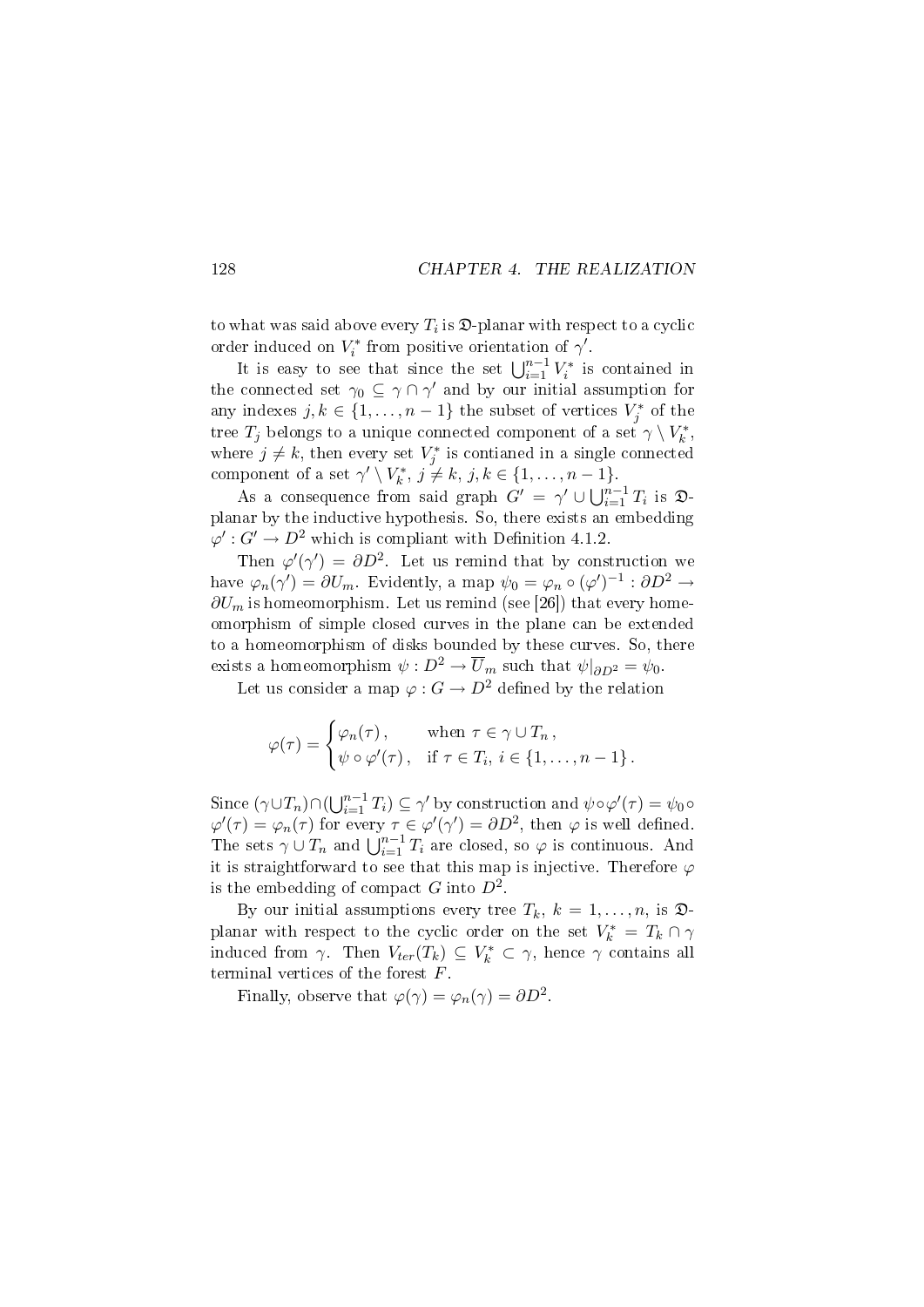to what was said above every  $T_i$  is  $\mathfrak{D}\text{-}$  planar with respect to a cyclic order induced on  $V_i^*$  from positive orientation of  $\gamma'$ .

It is easy to see that since the set  $\bigcup_{i=1}^{n-1} V_i^*$  is contained in the connected set  $\gamma_0 \subseteq \gamma \cap \gamma'$  and by our initial assumption for any indexes  $j, k \in \{1, ..., n-1\}$  the subset of vertices  $V_j^*$  of the tree  $T_j$  belongs to a unique connected component of a set  $\gamma \setminus V_k^*$ , where  $j \neq k$ , then every set  $V_j^*$  is contianed in a single connected component of a set  $\gamma' \setminus V_k^*, j \neq k, j, k \in \{1, ..., n-1\}.$ 

As a consequence from said graph  $G' = \gamma' \cup \bigcup_{i=1}^{n-1} T_i$  is  $\mathfrak{D}$ planar by the inductive hypothesis. So, there exists an embedding  $\varphi' : G' \to D^2$  which is compliant with Definition 4.1.2.

Then  $\varphi'(\gamma') = \partial D^2$ . Let us remind that by construction we have  $\varphi_n(\gamma') = \partial U_m$ . Evidently, a map  $\psi_0 = \varphi_n \circ (\varphi')^{-1} : \partial D^2 \to$  $\partial U_m$  is homeomorphism. Let us remind (see [26]) that every homeomorphism of simple closed curves in the plane can be extended to a homeomorphism of disks bounded by these curves. So, there exists a homeomorphism  $\psi : D^2 \to \overline{U}_m$  such that  $\psi|_{\partial D^2} = \psi_0$ .

Let us consider a map  $\varphi: G \to D^2$  defined by the relation

$$
\varphi(\tau) = \begin{cases} \varphi_n(\tau), & \text{when } \tau \in \gamma \cup T_n, \\ \psi \circ \varphi'(\tau), & \text{if } \tau \in T_i, i \in \{1, \dots, n-1\}. \end{cases}
$$

Since  $(\gamma \cup T_n) \cap (\bigcup_{i=1}^{n-1} T_i) \subseteq \gamma'$  by construction and  $\psi \circ \varphi'(\tau) = \psi_0 \circ \varphi$  $\varphi'(\tau) = \varphi_n(\tau)$  for every  $\tau \in \varphi'(\gamma') = \partial D^2$ , then  $\varphi$  is well defined. The sets  $\gamma \cup T_n$  and  $\bigcup_{i=1}^{n-1} T_i$  are closed, so  $\varphi$  is continuous. And it is straightforward to see that this map is injective. Therefore  $\varphi$ is the embedding of compact  $G$  into  $D^2$ .

By our initial assumptions every tree  $T_k$ ,  $k = 1, \ldots, n$ , is  $\mathfrak{D}$ planar with respect to the cyclic order on the set  $V_k^* = T_k \cap \gamma$ induced from  $\gamma$ . Then  $V_{ter}(T_k) \subseteq V_k^* \subset \gamma$ , hence  $\gamma$  contains all terminal vertices of the forest F.

Finally, observe that  $\varphi(\gamma) = \varphi_n(\gamma) = \partial D^2$ .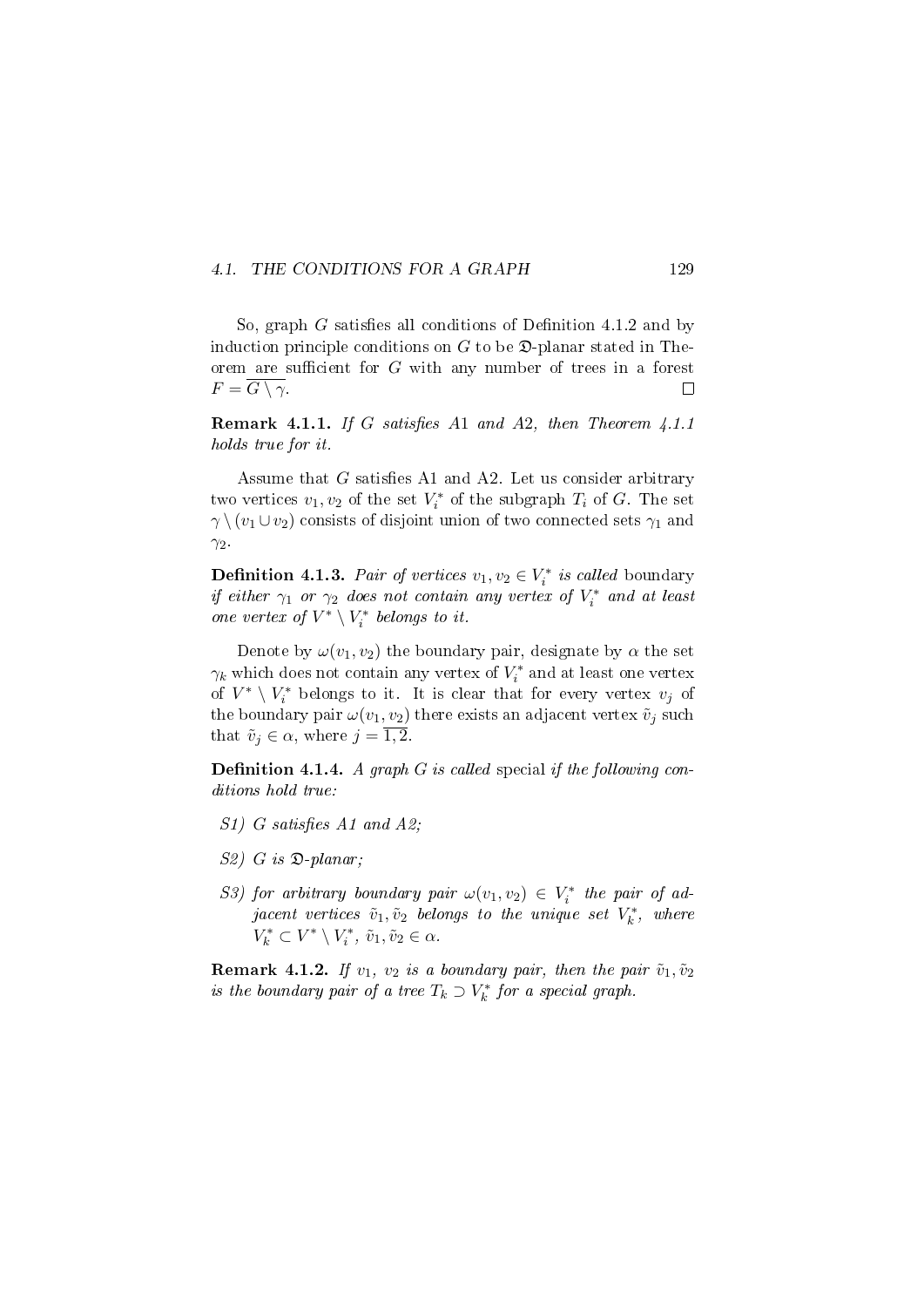#### 4.1. THE CONDITIONS FOR A GRAPH 129

So, graph  $G$  satisfies all conditions of Definition 4.1.2 and by induction principle conditions on  $G$  to be  $\mathfrak{D}$ -planar stated in Theorem are sufficient for  $G$  with any number of trees in a forest  $F = \overline{G \setminus \gamma}.$  $\Box$ 

**Remark 4.1.1.** If G satisfies A1 and A2, then Theorem  $4.1.1$ holds true for it.

Assume that  $G$  satisfies A1 and A2. Let us consider arbitrary two vertices  $v_1, v_2$  of the set  $V_i^*$  of the subgraph  $T_i$  of  $G$ . The set  $\gamma \ (v_1 \cup v_2)$  consists of disjoint union of two connected sets  $\gamma_1$  and  $\gamma_2$ .

**Definition 4.1.3.** Pair of vertices  $v_1, v_2 \in V_i^*$  is called boundary if either  $\gamma_1$  or  $\gamma_2$  does not contain any vertex of  $V_i^*$  and at least one vertex of  $V^*\setminus V_i^*$  belongs to it.

Denote by  $\omega(v_1, v_2)$  the boundary pair, designate by  $\alpha$  the set  $\gamma_k$  which does not contain any vertex of  $V_i^*$  and at least one vertex of  $V^* \setminus V_i^*$  belongs to it. It is clear that for every vertex  $v_j$  of the boundary pair  $\omega(v_1, v_2)$  there exists an adjacent vertex  $\tilde{v}_j$  such that  $\tilde{v}_j \in \alpha$ , where  $j = 1, 2$ .

**Definition 4.1.4.** A graph  $G$  is called special if the following conditions hold true:

- $S1)$  G satisfies A1 and A2;
- $S2)$  G is  $\mathfrak{D}\text{-}planar$ ;
- S3) for arbitrary boundary pair  $\omega(v_1, v_2) \in V_i^*$  the pair of ad- $\emph{jacent vertices $\tilde{v}_1, \tilde{v}_2$ belongs to the unique set $V^*_k$, where}$  $V_k^* \subset V^* \setminus V_i^*, \, \tilde{v}_1, \tilde{v}_2 \in \alpha.$

**Remark 4.1.2.** If  $v_1$ ,  $v_2$  is a boundary pair, then the pair  $\tilde{v}_1, \tilde{v}_2$ is the boundary pair of a tree  $T_k \supset V_k^*$  for a special graph.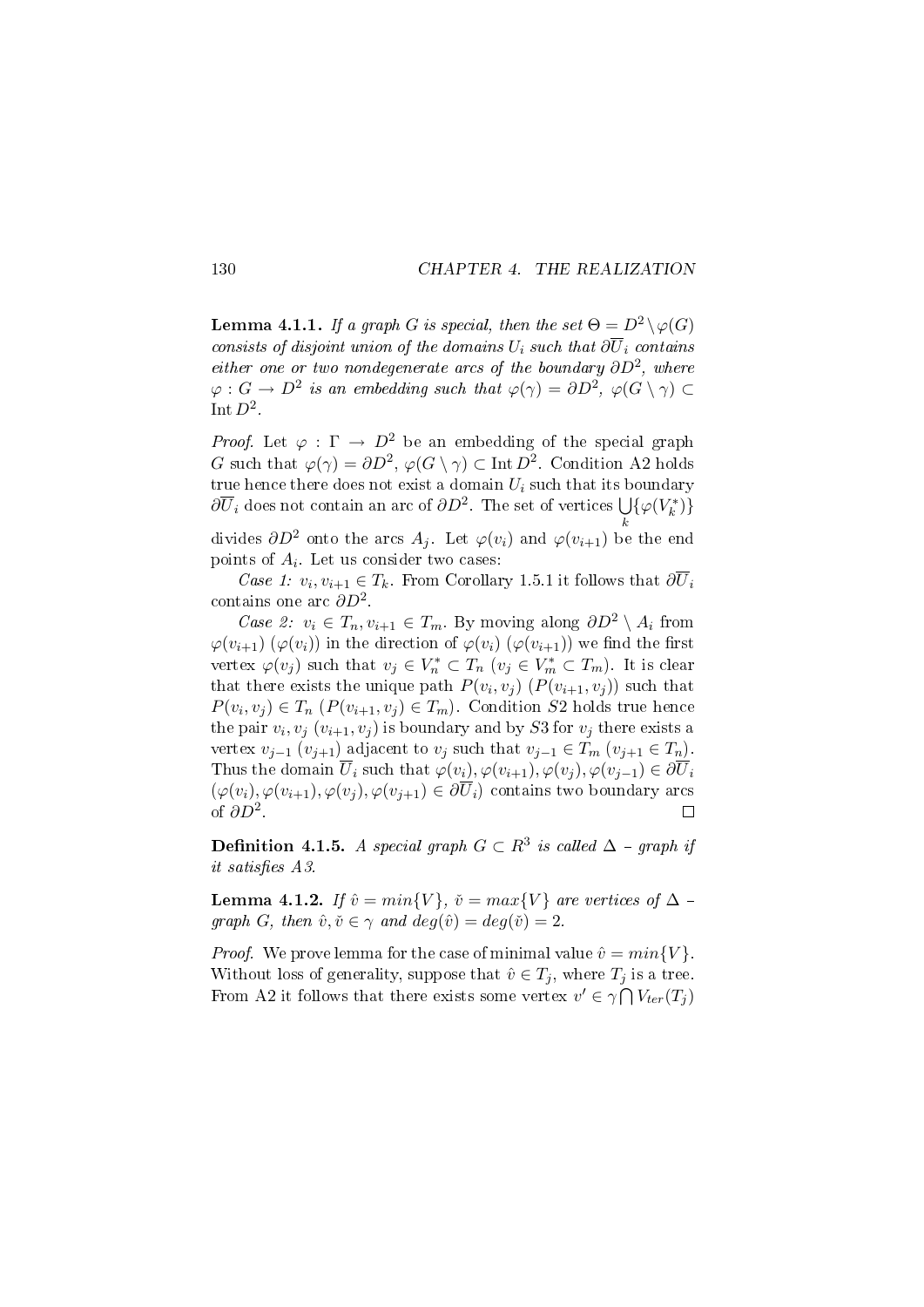**Lemma 4.1.1.** If a graph G is special, then the set  $\Theta = D^2 \setminus \varphi(G)$ consists of disjoint union of the domains  $U_i$  such that  $\partial \overline{U}_i$  contains either one or two nondegenerate arcs of the boundary  $\partial D^2$ , where  $\varphi: G \to D^2$  is an embedding such that  $\varphi(\gamma) = \partial D^2$ ,  $\varphi(G \setminus \gamma) \subset$ Int  $D^2$ .

*Proof.* Let  $\varphi : \Gamma \to D^2$  be an embedding of the special graph G such that  $\varphi(\gamma) = \partial D^2$ ,  $\varphi(G \setminus \gamma) \subset \text{Int } D^2$ . Condition A2 holds true hence there does not exist a domain  $U_i$  such that its boundary  $\partial \overline{U}_i$  does not contain an arc of  $\partial D^2$ . The set of vertices  $\bigcup \{\varphi(V_k^*)\}$ k

divides  $\partial D^2$  onto the arcs  $A_i$ . Let  $\varphi(v_i)$  and  $\varphi(v_{i+1})$  be the end points of  $A_i$ . Let us consider two cases:

Case 1:  $v_i, v_{i+1} \in T_k$ . From Corollary 1.5.1 it follows that  $\partial \overline{U}_i$ contains one arc  $\partial D^2$ .

Case 2:  $v_i \in T_n, v_{i+1} \in T_m$ . By moving along  $\partial D^2 \setminus A_i$  from  $\varphi(v_{i+1}) (\varphi(v_i))$  in the direction of  $\varphi(v_i) (\varphi(v_{i+1}))$  we find the first vertex  $\varphi(v_j)$  such that  $v_j \in V_n^* \subset T_n$   $(v_j \in V_m^* \subset T_m)$ . It is clear that there exists the unique path  $P(v_i, v_j)$   $(P(v_{i+1}, v_j))$  such that  $P(v_i, v_j) \in T_n$   $(P(v_{i+1}, v_j) \in T_m)$ . Condition S2 holds true hence the pair  $v_i, v_j$   $(v_{i+1}, v_j)$  is boundary and by  $S3$  for  $v_j$  there exists a vertex  $v_{j-1}$   $(v_{j+1})$  adjacent to  $v_j$  such that  $v_{j-1} \in T_m$   $(v_{j+1} \in T_n)$ . Thus the domain  $\overline{U}_i$  such that  $\varphi(v_i), \varphi(v_{i+1}), \varphi(v_i), \varphi(v_{i-1}) \in \partial \overline{U}_i$  $(\varphi(v_i), \varphi(v_{i+1}), \varphi(v_i), \varphi(v_{i+1}) \in \partial \overline{U}_i)$  contains two boundary arcs of  $\partial D^2$ .  $\Box$ 

**Definition 4.1.5.** A special graph  $G \subset R^3$  is called  $\Delta$  - graph if it satisfies A3.

**Lemma 4.1.2.** If  $\hat{v} = min\{V\}$ ,  $\check{v} = max\{V\}$  are vertices of  $\Delta$  – graph G, then  $\hat{v}, \check{v} \in \gamma$  and  $deg(\hat{v}) = deg(\check{v}) = 2$ .

*Proof.* We prove lemma for the case of minimal value  $\hat{v} = min\{V\}$ . Without loss of generality, suppose that  $\hat{v} \in T_i$ , where  $T_i$  is a tree. From A2 it follows that there exists some vertex  $v' \in \gamma \cap V_{ter}(T_j)$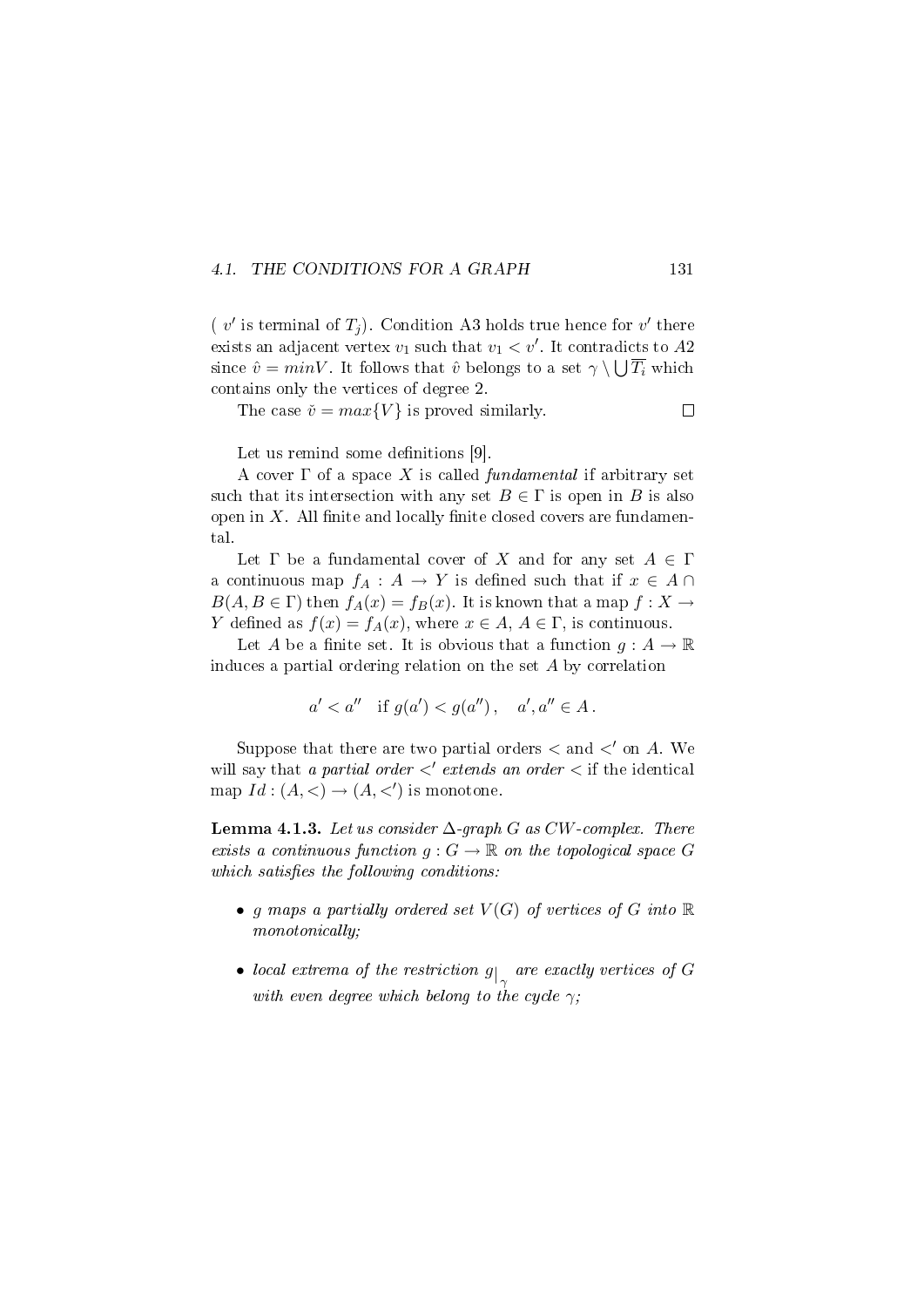#### 4.1. THE CONDITIONS FOR A GRAPH 131

( $v'$  is terminal of  $T_j$ ). Condition A3 holds true hence for  $v'$  there exists an adjacent vertex  $v_1$  such that  $v_1 < v'$ . It contradicts to  $A2$ since  $\hat{v} = minV$ . It follows that  $\hat{v}$  belongs to a set  $\gamma \setminus \bigcup \overline{T_i}$  which contains only the vertices of degree 2.

The case  $\check{v} = max\{V\}$  is proved similarly.

Let us remind some definitions  $[9]$ .

A cover  $\Gamma$  of a space X is called *fundamental* if arbitrary set such that its intersection with any set  $B \in \Gamma$  is open in B is also open in  $X$ . All finite and locally finite closed covers are fundamental.

Let  $\Gamma$  be a fundamental cover of X and for any set  $A \in \Gamma$ a continuous map  $f_A: A \to Y$  is defined such that if  $x \in A \cap Y$  $B(A, B \in \Gamma)$  then  $f_A(x) = f_B(x)$ . It is known that a map  $f: X \to Y$ Y defined as  $f(x) = f_A(x)$ , where  $x \in A$ ,  $A \in \Gamma$ , is continuous.

Let A be a finite set. It is obvious that a function  $g : A \to \mathbb{R}$ induces a partial ordering relation on the set A by correlation

$$
a' < a''
$$
 if  $g(a') < g(a'')$ ,  $a', a'' \in A$ .

Suppose that there are two partial orders  $\lt$  and  $\lt'$  on A. We will say that a partial order  $\langle$  extends an order  $\langle$  if the identical map  $Id: (A, <) \rightarrow (A, <')$  is monotone.

**Lemma 4.1.3.** Let us consider  $\Delta$ -graph G as CW-complex. There exists a continuous function  $g: G \to \mathbb{R}$  on the topological space G which satisfies the following conditions:

- g maps a partially ordered set  $V(G)$  of vertices of G into  $\mathbb R$ monotonically;
- $\bullet$  local extrema of the restriction  $g_{\vert_{\gamma}}$  are exactly vertices of  $G$ with even degree which belong to the cycle  $\gamma$ ;

 $\Box$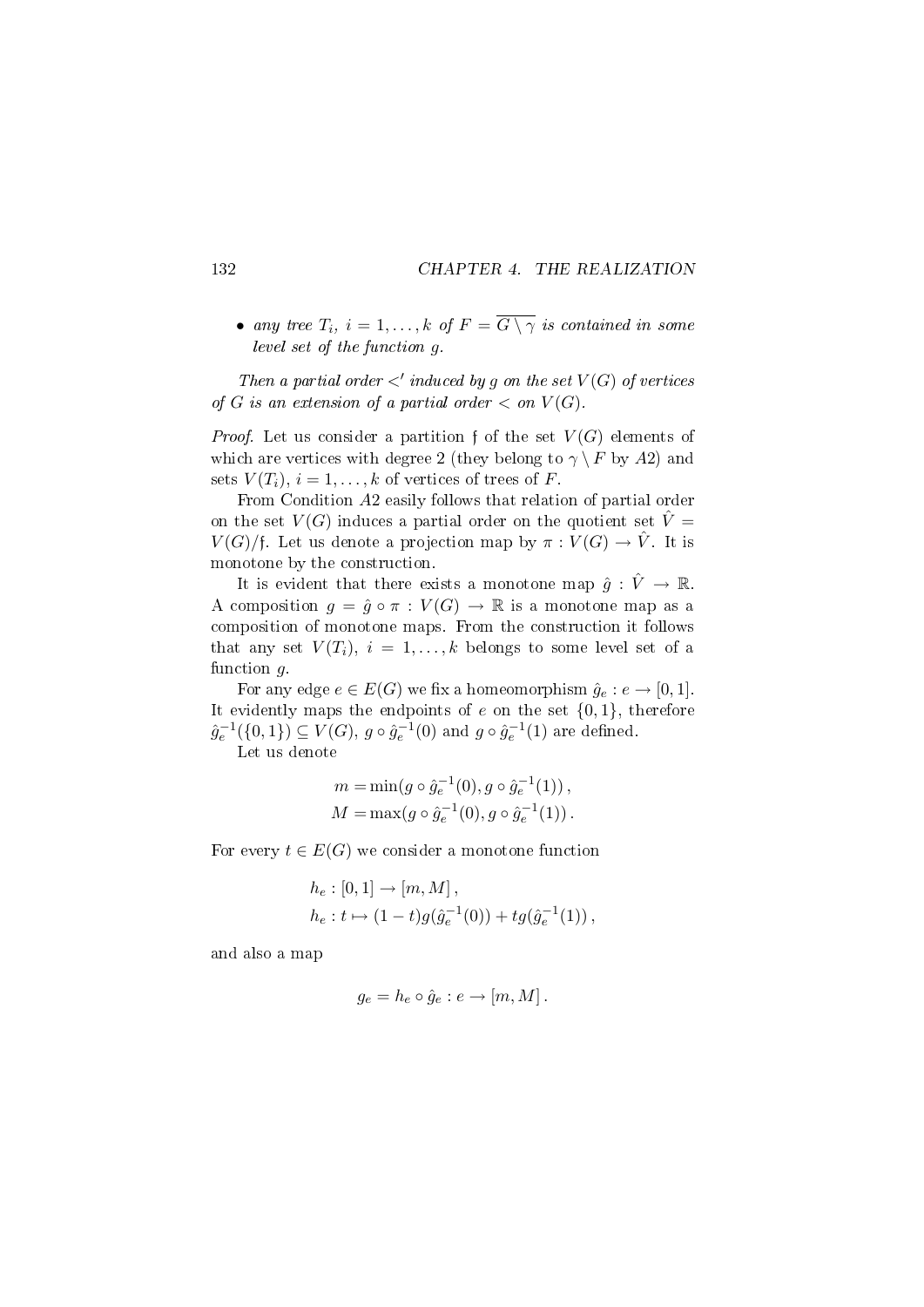• any tree  $T_i$ ,  $i = 1, ..., k$  of  $F = \overline{G \setminus \gamma}$  is contained in some level set of the function g.

Then a partial order  $\langle$  induced by g on the set  $V(G)$  of vertices of G is an extension of a partial order  $\langle$  on  $V(G)$ .

*Proof.* Let us consider a partition f of the set  $V(G)$  elements of which are vertices with degree 2 (they belong to  $\gamma \setminus F$  by A2) and sets  $V(T_i)$ ,  $i = 1, ..., k$  of vertices of trees of F.

From Condition A2 easily follows that relation of partial order on the set  $V(G)$  induces a partial order on the quotient set  $\hat{V} =$  $V(G)/f$ . Let us denote a projection map by  $\pi: V(G) \to \hat{V}$ . It is monotone by the construction.

It is evident that there exists a monotone map  $\hat{g}: \hat{V} \to \mathbb{R}$ . A composition  $q = \hat{q} \circ \pi : V(G) \to \mathbb{R}$  is a monotone map as a composition of monotone maps. From the construction it follows that any set  $V(T_i)$ ,  $i = 1, ..., k$  belongs to some level set of a function  $g$ .

For any edge  $e \in E(G)$  we fix a homeomorphism  $\hat{g}_e : e \to [0,1]$ . It evidently maps the endpoints of  $e$  on the set  $\{0, 1\}$ , therefore  $\hat{g}_{e}^{-1}(\{0,1\}) \subseteq V(G), g \circ \hat{g}_{e}^{-1}(0)$  and  $g \circ \hat{g}_{e}^{-1}(1)$  are defined. Let us denote

$$
m = \min(g \circ \hat{g}_e^{-1}(0), g \circ \hat{g}_e^{-1}(1)),
$$
  

$$
M = \max(g \circ \hat{g}_e^{-1}(0), g \circ \hat{g}_e^{-1}(1)).
$$

For every  $t \in E(G)$  we consider a monotone function

$$
h_e: [0,1] \to [m, M],
$$
  
\n
$$
h_e: t \mapsto (1-t)g(\hat{g}_e^{-1}(0)) + tg(\hat{g}_e^{-1}(1)),
$$

and also a map

$$
g_e = h_e \circ \hat{g}_e : e \to [m, M].
$$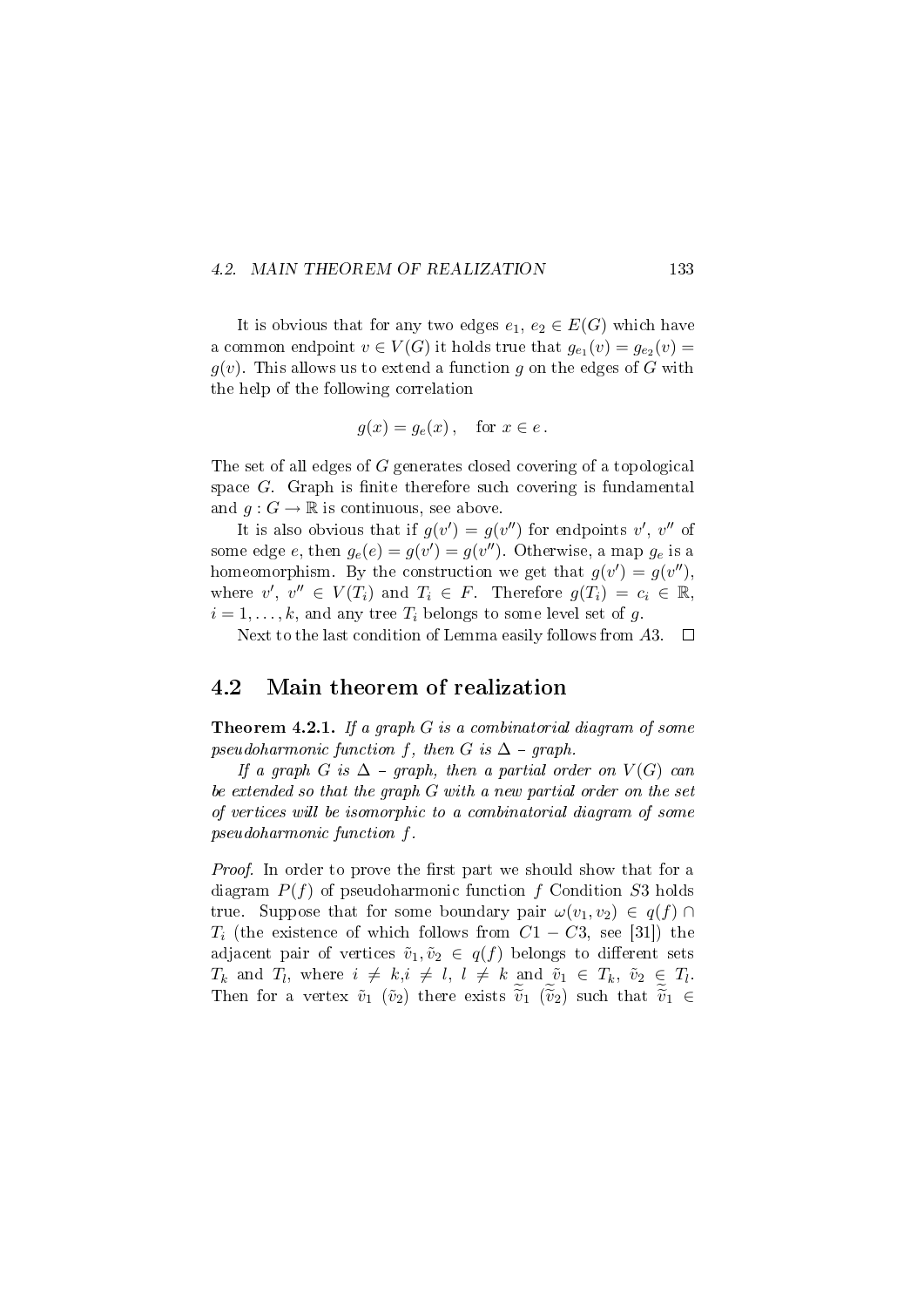#### 4.2. MAIN THEOREM OF REALIZATION 133

It is obvious that for any two edges  $e_1, e_2 \in E(G)$  which have a common endpoint  $v \in V(G)$  it holds true that  $g_{e_1}(v) = g_{e_2}(v) =$  $g(v)$ . This allows us to extend a function g on the edges of G with the help of the following correlation

$$
g(x) = g_e(x), \quad \text{for } x \in e.
$$

The set of all edges of G generates closed covering of a topological space  $G$ . Graph is finite therefore such covering is fundamental and  $q: G \to \mathbb{R}$  is continuous, see above.

It is also obvious that if  $g(v') = g(v'')$  for endpoints  $v', v''$  of some edge  $e$ , then  $g_e(e) = g(v') = g(v'')$ . Otherwise, a map  $g_e$  is a homeomorphism. By the construction we get that  $g(v') = g(v'')$ , where  $v', v'' \in V(T_i)$  and  $T_i \in F$ . Therefore  $g(T_i) = c_i \in \mathbb{R}$ ,  $i = 1, \ldots, k$ , and any tree  $T_i$  belongs to some level set of g.

Next to the last condition of Lemma easily follows from A3.  $\Box$ 

### 4.2 Main theorem of realization

Theorem 4.2.1. If a graph G is a combinatorial diagram of some pseudoharmonic function f, then G is  $\Delta$  - graph.

If a graph G is  $\Delta$  - graph, then a partial order on  $V(G)$  can be extended so that the graph G with a new partial order on the set of vertices will be isomorphic to a combinatorial diagram of some pseudoharmonic function f.

*Proof.* In order to prove the first part we should show that for a diagram  $P(f)$  of pseudoharmonic function f Condition S3 holds true. Suppose that for some boundary pair  $\omega(v_1, v_2) \in q(f) \cap$  $T_i$  (the existence of which follows from  $C_1 - C_3$ , see [31]) the adjacent pair of vertices  $\tilde{v}_1, \tilde{v}_2 \in q(f)$  belongs to different sets  $T_k$  and  $T_l$ , where  $i \neq k, i \neq l, l \neq k$  and  $\tilde{v}_1 \in T_k$ ,  $\tilde{v}_2 \in T_l$ . Then for a vertex  $\tilde{v}_1$  ( $\tilde{v}_2$ ) there exists  $\tilde{v}_1$  ( $\tilde{v}_2$ ) such that  $\tilde{v}_1 \in$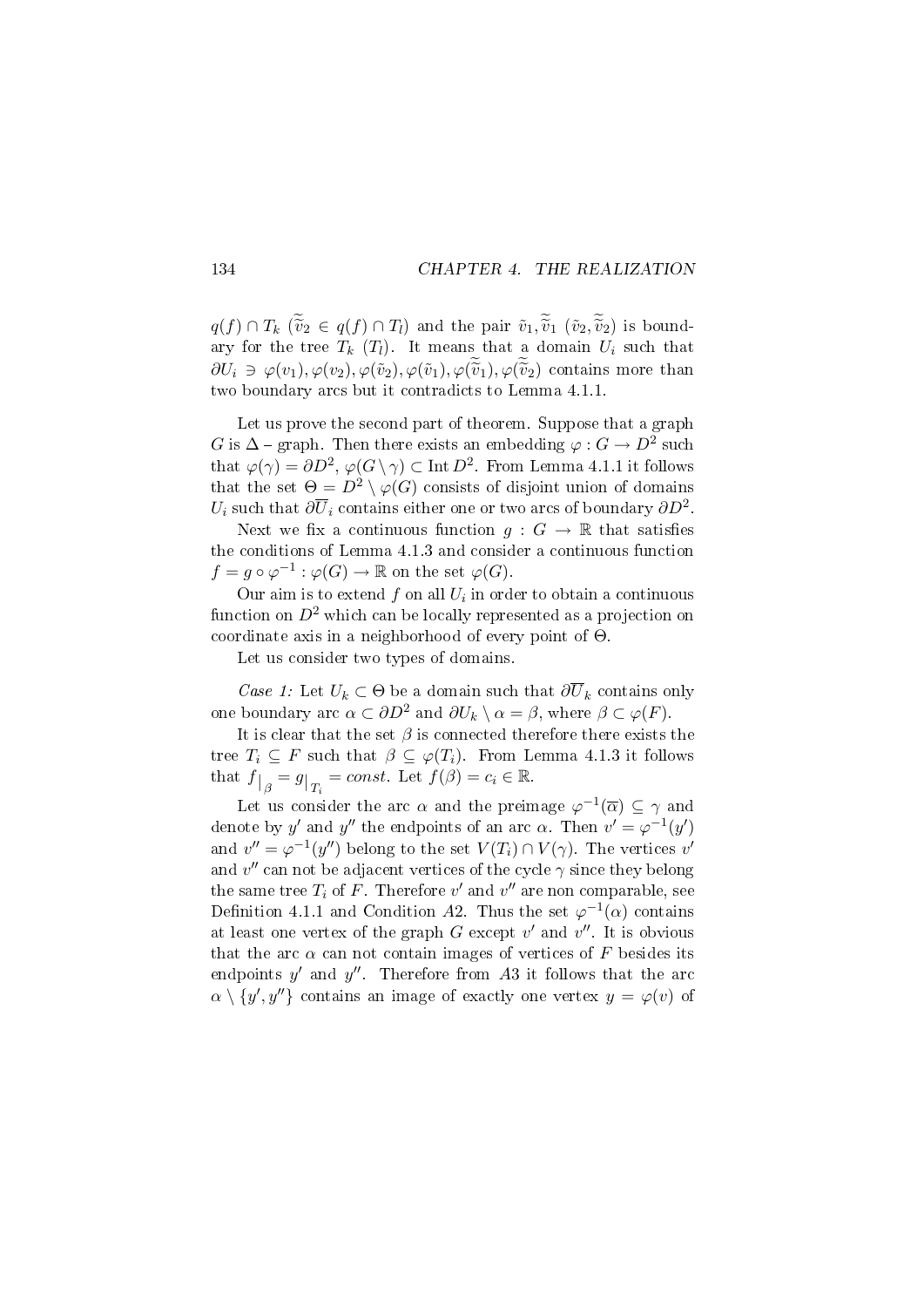$q(f) \cap T_k$  ( $\tilde{v}_2 \in q(f) \cap T_l$ ) and the pair  $\tilde{v}_1, \tilde{v}_1$  ( $\tilde{v}_2, \tilde{v}_2$ ) is boundary for the tree  $T_k$  ( $T_l$ ). It means that a domain  $U_i$  such that  $\partial U_i \ni \varphi(v_1), \varphi(v_2), \varphi(\tilde{v}_2), \varphi(\tilde{v}_1), \varphi(\tilde{v}_1), \varphi(\tilde{v}_2)$  contains more than two boundary arcs but it contradicts to Lemma 4.1.1.

Let us prove the second part of theorem. Suppose that a graph G is  $\Delta$  – graph. Then there exists an embedding  $\varphi : G \to D^2$  such that  $\varphi(\gamma) = \partial D^2$ ,  $\varphi(G \setminus \gamma) \subset \text{Int } D^2$ . From Lemma 4.1.1 it follows that the set  $\Theta = D^2 \setminus \varphi(G)$  consists of disjoint union of domains  $U_i$  such that  $\partial\overline{U}_i$  contains either one or two arcs of boundary  $\partial D^2.$ 

Next we fix a continuous function  $g: G \to \mathbb{R}$  that satisfies the conditions of Lemma 4.1.3 and consider a continuous function  $f = g \circ \varphi^{-1} : \varphi(G) \to \mathbb{R}$  on the set  $\varphi(G)$ .

Our aim is to extend  $f$  on all  $U_i$  in order to obtain a continuous function on  $D^2$  which can be locally represented as a projection on coordinate axis in a neighborhood of every point of Θ.

Let us consider two types of domains.

Case 1: Let  $U_k \subset \Theta$  be a domain such that  $\partial \overline{U}_k$  contains only one boundary arc  $\alpha \subset \partial D^2$  and  $\partial U_k \setminus \alpha = \beta$ , where  $\beta \subset \varphi(F)$ .

It is clear that the set  $\beta$  is connected therefore there exists the tree  $T_i \subseteq F$  such that  $\beta \subseteq \varphi(T_i)$ . From Lemma 4.1.3 it follows that  $f|_{\beta} = g|_{T_i} = const.$  Let  $f(\beta) = c_i \in \mathbb{R}$ .

Let us consider the arc  $\alpha$  and the preimage  $\varphi^{-1}(\overline{\alpha}) \subseteq \gamma$  and denote by y' and y'' the endpoints of an arc  $\alpha$ . Then  $v' = \varphi^{-1}(y')$ and  $v'' = \varphi^{-1}(y'')$  belong to the set  $V(T_i) \cap V(\gamma)$ . The vertices  $v'$ and  $v''$  can not be adjacent vertices of the cycle  $\gamma$  since they belong the same tree  $T_i$  of  $F$ . Therefore  $v'$  and  $v''$  are non comparable, see Definition 4.1.1 and Condition A2. Thus the set  $\varphi^{-1}(\alpha)$  contains at least one vertex of the graph  $G$  except  $v'$  and  $v''$ . It is obvious that the arc  $\alpha$  can not contain images of vertices of F besides its endpoints  $y'$  and  $y''$ . Therefore from A3 it follows that the arc  $\alpha \setminus \{y', y''\}$  contains an image of exactly one vertex  $y = \varphi(v)$  of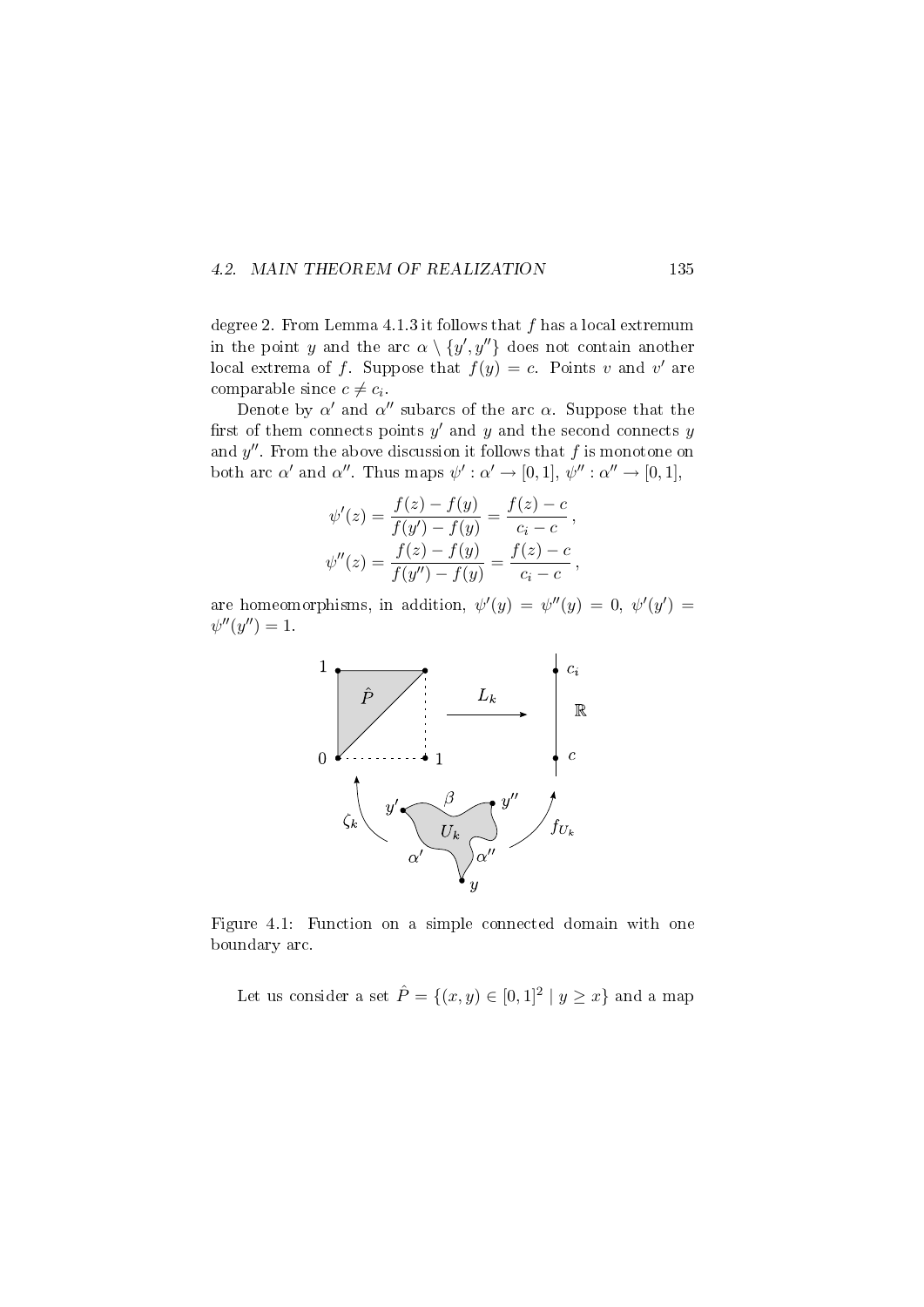#### 4.2. MAIN THEOREM OF REALIZATION 135

degree 2. From Lemma 4.1.3 it follows that  $f$  has a local extremum in the point y and the arc  $\alpha \setminus \{y', y''\}$  does not contain another local extrema of f. Suppose that  $f(y) = c$ . Points v and v' are comparable since  $c \neq c_i$ .

Denote by  $\alpha'$  and  $\alpha''$  subarcs of the arc  $\alpha$ . Suppose that the first of them connects points  $y'$  and  $y$  and the second connects  $y$ and  $y''$ . From the above discussion it follows that  $f$  is monotone on both arc  $\alpha'$  and  $\alpha''$ . Thus maps  $\psi': \alpha' \to [0,1], \psi'' : \alpha'' \to [0,1],$ 

$$
\psi'(z) = \frac{f(z) - f(y)}{f(y') - f(y)} = \frac{f(z) - c}{c_i - c},
$$
  

$$
\psi''(z) = \frac{f(z) - f(y)}{f(y'') - f(y)} = \frac{f(z) - c}{c_i - c},
$$

are homeomorphisms, in addition,  $\psi'(y) = \psi''(y) = 0$ ,  $\psi'(y') = 0$  $\psi''(y'') = 1.$ 



Figure 4.1: Function on a simple connected domain with one boundary arc.

Let us consider a set  $\hat{P} = \{(x, y) \in [0, 1]^2 \mid y \geq x\}$  and a map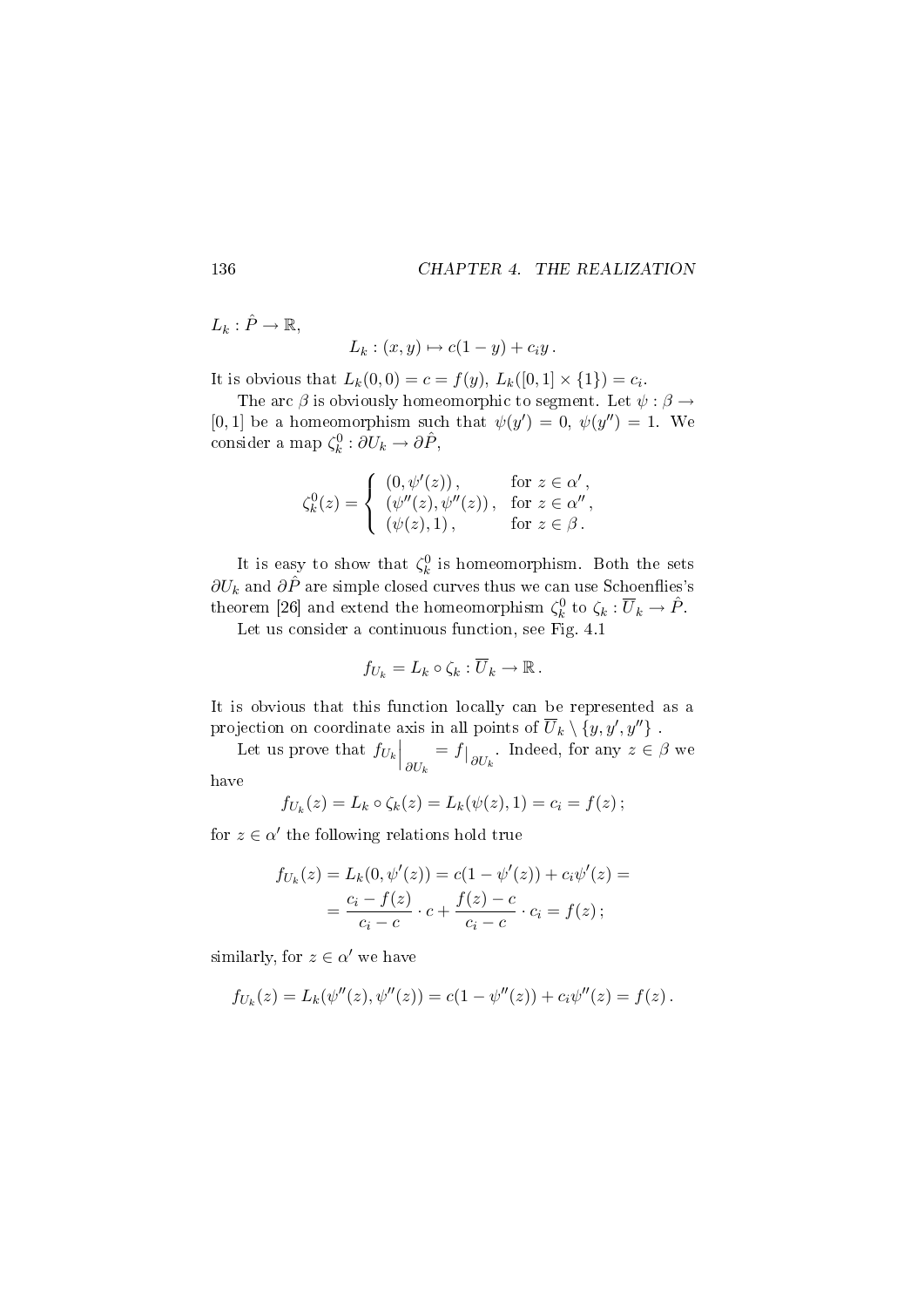$L_k : \hat{P} \to \mathbb{R},$ 

$$
L_k : (x, y) \mapsto c(1 - y) + c_i y.
$$

It is obvious that  $L_k(0,0) = c = f(y), L_k([0,1] \times \{1\}) = c_i$ .

The arc  $\beta$  is obviously homeomorphic to segment. Let  $\psi : \beta \rightarrow$ [0,1] be a homeomorphism such that  $\psi(y') = 0, \ \psi(y'') = 1$ . We consider a map  $\zeta_k^0: \partial U_k \to \partial \hat{P}$ ,

$$
\zeta_k^0(z) = \begin{cases}\n(0, \psi'(z)), & \text{for } z \in \alpha', \\
(\psi''(z), \psi''(z)), & \text{for } z \in \alpha'', \\
(\psi(z), 1), & \text{for } z \in \beta.\n\end{cases}
$$

It is easy to show that  $\zeta_k^0$  is homeomorphism. Both the sets  $\partial U_k$  and  $\partial \hat{P}$  are simple closed curves thus we can use Schoenflies's theorem [26] and extend the homeomorphism  $\zeta_k^0$  to  $\zeta_k : \overline{U}_k \to \hat{P}$ .

Let us consider a continuous function, see Fig. 4.1

$$
f_{U_k}=L_k\circ\zeta_k:\overline{U}_k\to\mathbb{R}.
$$

It is obvious that this function locally can be represented as a projection on coordinate axis in all points of  $\overline{U}_k \setminus \{y, y', y''\}$  .

Let us prove that  $f_{U_k} \Big|_{\partial U_k}$  $= f|_{\partial U_k}$ . Indeed, for any  $z \in \beta$  we

have

$$
f_{U_k}(z) = L_k \circ \zeta_k(z) = L_k(\psi(z), 1) = c_i = f(z);
$$

for  $z \in \alpha'$  the following relations hold true

$$
f_{U_k}(z) = L_k(0, \psi'(z)) = c(1 - \psi'(z)) + c_i \psi'(z) =
$$
  
= 
$$
\frac{c_i - f(z)}{c_i - c} \cdot c + \frac{f(z) - c}{c_i - c} \cdot c_i = f(z);
$$

similarly, for  $z \in \alpha'$  we have

$$
f_{U_k}(z) = L_k(\psi''(z), \psi''(z)) = c(1 - \psi''(z)) + c_i \psi''(z) = f(z).
$$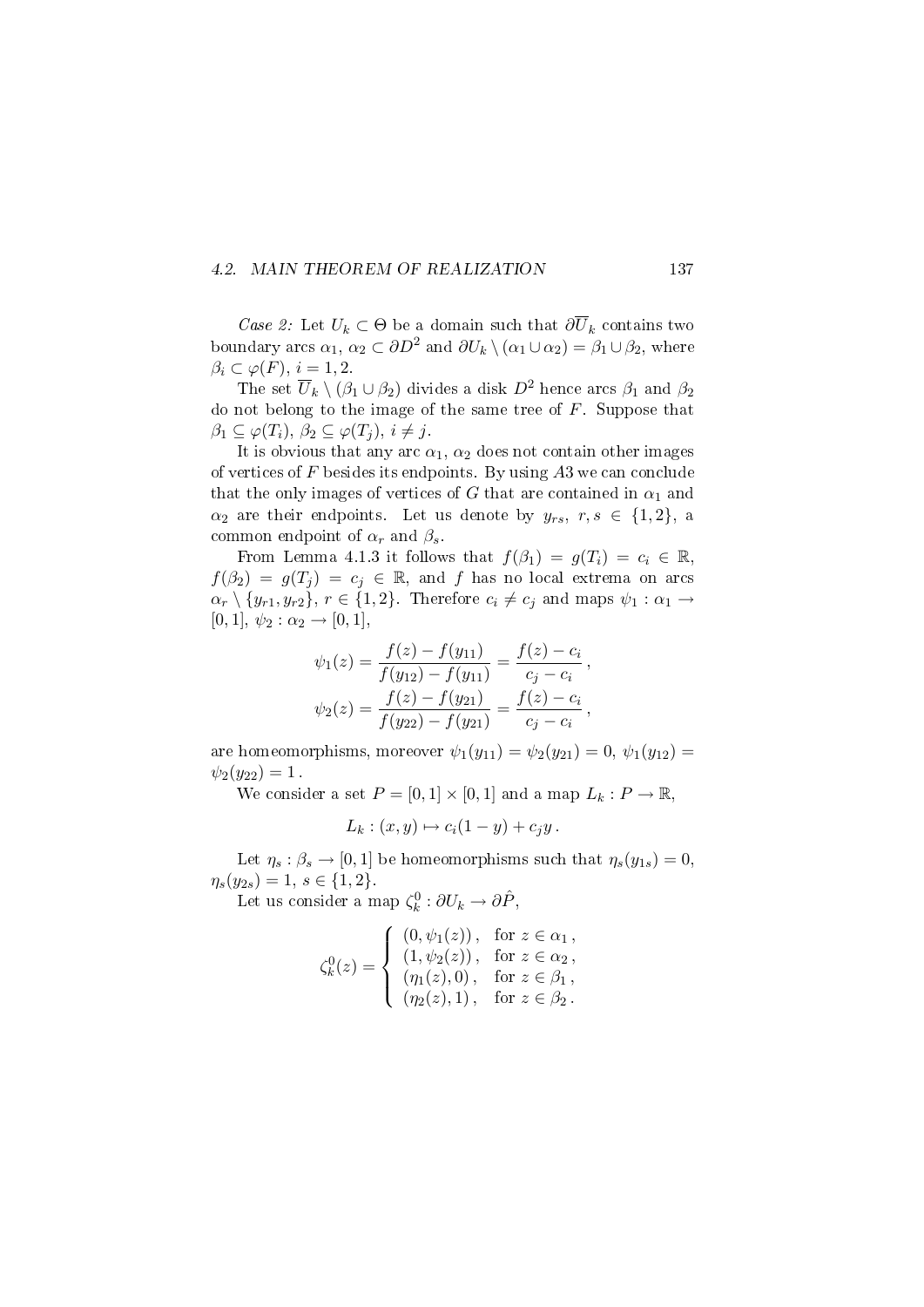#### 4.2. MAIN THEOREM OF REALIZATION 137

Case 2: Let  $U_k \subset \Theta$  be a domain such that  $\partial \overline{U}_k$  contains two boundary arcs  $\alpha_1, \alpha_2 \subset \partial D^2$  and  $\partial U_k \setminus (\alpha_1 \cup \alpha_2) = \beta_1 \cup \beta_2$ , where  $\beta_i \subset \varphi(F), i = 1, 2.$ 

The set  $\overline{U}_k \setminus (\beta_1 \cup \beta_2)$  divides a disk  $D^2$  hence arcs  $\beta_1$  and  $\beta_2$ do not belong to the image of the same tree of  $F$ . Suppose that  $\beta_1 \subseteq \varphi(T_i), \beta_2 \subseteq \varphi(T_j), i \neq j.$ 

It is obvious that any arc  $\alpha_1$ ,  $\alpha_2$  does not contain other images of vertices of  $F$  besides its endpoints. By using  $A3$  we can conclude that the only images of vertices of G that are contained in  $\alpha_1$  and  $\alpha_2$  are their endpoints. Let us denote by  $y_{rs}$ ,  $r, s \in \{1,2\}$ , a common endpoint of  $\alpha_r$  and  $\beta_s$ .

From Lemma 4.1.3 it follows that  $f(\beta_1) = g(T_i) = c_i \in \mathbb{R}$ ,  $f(\beta_2) = g(T_i) = c_i \in \mathbb{R}$ , and f has no local extrema on arcs  $\alpha_r \setminus \{y_{r1}, y_{r2}\}, r \in \{1, 2\}.$  Therefore  $c_i \neq c_j$  and maps  $\psi_1 : \alpha_1 \to$  $[0, 1], \psi_2 : \alpha_2 \to [0, 1],$ 

$$
\psi_1(z) = \frac{f(z) - f(y_{11})}{f(y_{12}) - f(y_{11})} = \frac{f(z) - c_i}{c_j - c_i},
$$
  

$$
\psi_2(z) = \frac{f(z) - f(y_{21})}{f(y_{22}) - f(y_{21})} = \frac{f(z) - c_i}{c_j - c_i},
$$

are homeomorphisms, moreover  $\psi_1(y_{11}) = \psi_2(y_{21}) = 0, \psi_1(y_{12}) = 0$  $\psi_2(y_{22}) = 1$ .

We consider a set  $P = [0, 1] \times [0, 1]$  and a map  $L_k : P \to \mathbb{R}$ ,

$$
L_k : (x, y) \mapsto c_i(1 - y) + c_j y.
$$

Let  $\eta_s : \beta_s \to [0, 1]$  be homeomorphisms such that  $\eta_s(y_{1s}) = 0$ ,  $\eta_s(y_{2s}) = 1, s \in \{1, 2\}.$ 

Let us consider a map  $\zeta_k^0: \partial U_k \to \partial \hat{P}$ ,

$$
\zeta_k^0(z) = \begin{cases}\n(0, \psi_1(z)), & \text{for } z \in \alpha_1, \\
(1, \psi_2(z)), & \text{for } z \in \alpha_2, \\
(\eta_1(z), 0), & \text{for } z \in \beta_1, \\
(\eta_2(z), 1), & \text{for } z \in \beta_2.\n\end{cases}
$$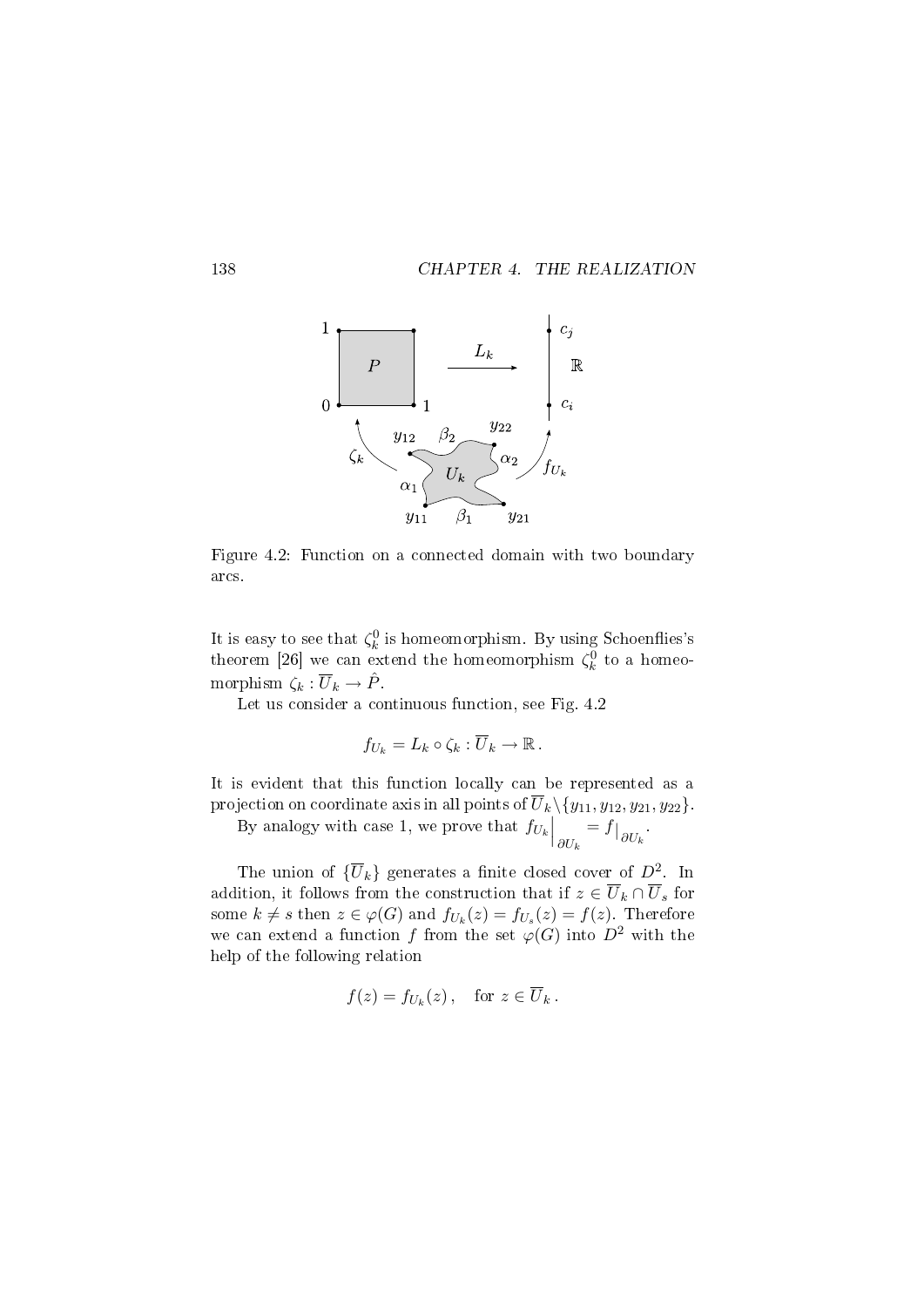

Figure 4.2: Function on a connected domain with two boundary arcs.

It is easy to see that  $\zeta_k^0$  is homeomorphism. By using Schoenflies's theorem [26] we can extend the homeomorphism  $\zeta_k^0$  to a homeomorphism  $\zeta_k : \overline{U}_k \to \hat{P}$ .

Let us consider a continuous function, see Fig. 4.2

$$
f_{U_k}=L_k\circ\zeta_k:\overline{U}_k\to\mathbb{R}.
$$

It is evident that this function locally can be represented as a projection on coordinate axis in all points of  $\overline{U}_k \setminus \{y_{11}, y_{12}, y_{21}, y_{22}\}.$ 

By analogy with case 1, we prove that  $f_{U_k}\Big|_{\partial U_k}$  $= f|_{\partial U_k}$ .

The union of  $\{\overline{U}_k\}$  generates a finite closed cover of  $D^2$ . In addition, it follows from the construction that if  $z \in \overline{U}_k \cap \overline{U}_s$  for some  $k \neq s$  then  $z \in \varphi(G)$  and  $f_{U_k}(z) = f_{U_s}(z) = f(z)$ . Therefore we can extend a function f from the set  $\varphi(G)$  into  $D^2$  with the help of the following relation

$$
f(z) = f_{U_k}(z), \quad \text{for } z \in \overline{U}_k.
$$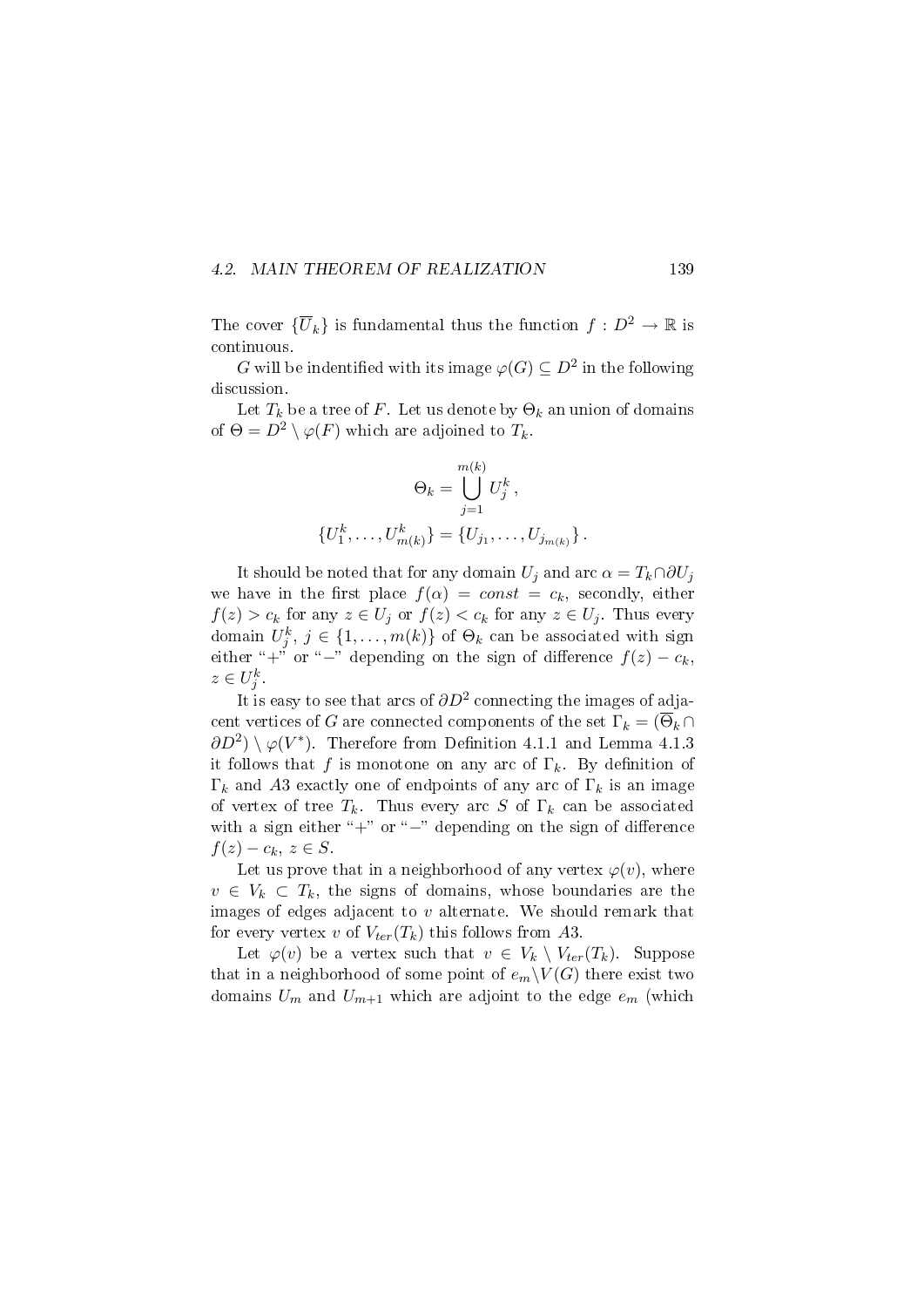#### 4.2. MAIN THEOREM OF REALIZATION 139

The cover  $\{\overline{U}_k\}$  is fundamental thus the function  $f: D^2 \to \mathbb{R}$  is continuous.

G will be indentified with its image  $\varphi(G) \subseteq D^2$  in the following discussion.

Let  $T_k$  be a tree of F. Let us denote by  $\Theta_k$  an union of domains of  $\Theta = D^2 \setminus \varphi(F)$  which are adjoined to  $T_k$ .

$$
\Theta_k = \bigcup_{j=1}^{m(k)} U_j^k,
$$
  

$$
\{U_1^k, \dots, U_{m(k)}^k\} = \{U_{j_1}, \dots, U_{j_{m(k)}}\}.
$$

It should be noted that for any domain  $U_i$  and arc  $\alpha = T_k \cap \partial U_j$ we have in the first place  $f(\alpha) = const = c_k$ , secondly, either  $f(z) > c_k$  for any  $z \in U_j$  or  $f(z) < c_k$  for any  $z \in U_j$ . Thus every domain  $U_j^k$ ,  $j \in \{1, ..., m(k)\}$  of  $\Theta_k$  can be associated with sign either "+" or "-" depending on the sign of difference  $f(z) - c_k$ ,  $z \in U_j^k$ .

It is easy to see that arcs of  $\partial D^2$  connecting the images of adjacent vertices of G are connected components of the set  $\Gamma_k = (\overline{\Theta}_k \cap$  $\partial D^2$ ) \ $\varphi(V^*)$ . Therefore from Definition 4.1.1 and Lemma 4.1.3 it follows that f is monotone on any arc of  $\Gamma_k$ . By definition of  $\Gamma_k$  and A3 exactly one of endpoints of any arc of  $\Gamma_k$  is an image of vertex of tree  $T_k$ . Thus every arc S of  $\Gamma_k$  can be associated with a sign either " $+$ " or " $-$ " depending on the sign of difference  $f(z) - c_k, z \in S.$ 

Let us prove that in a neighborhood of any vertex  $\varphi(v)$ , where  $v \in V_k \subset T_k$ , the signs of domains, whose boundaries are the images of edges adjacent to  $v$  alternate. We should remark that for every vertex v of  $V_{ter}(T_k)$  this follows from A3.

Let  $\varphi(v)$  be a vertex such that  $v \in V_k \setminus V_{ter}(T_k)$ . Suppose that in a neighborhood of some point of  $e_m\backslash V(G)$  there exist two domains  $U_m$  and  $U_{m+1}$  which are adjoint to the edge  $e_m$  (which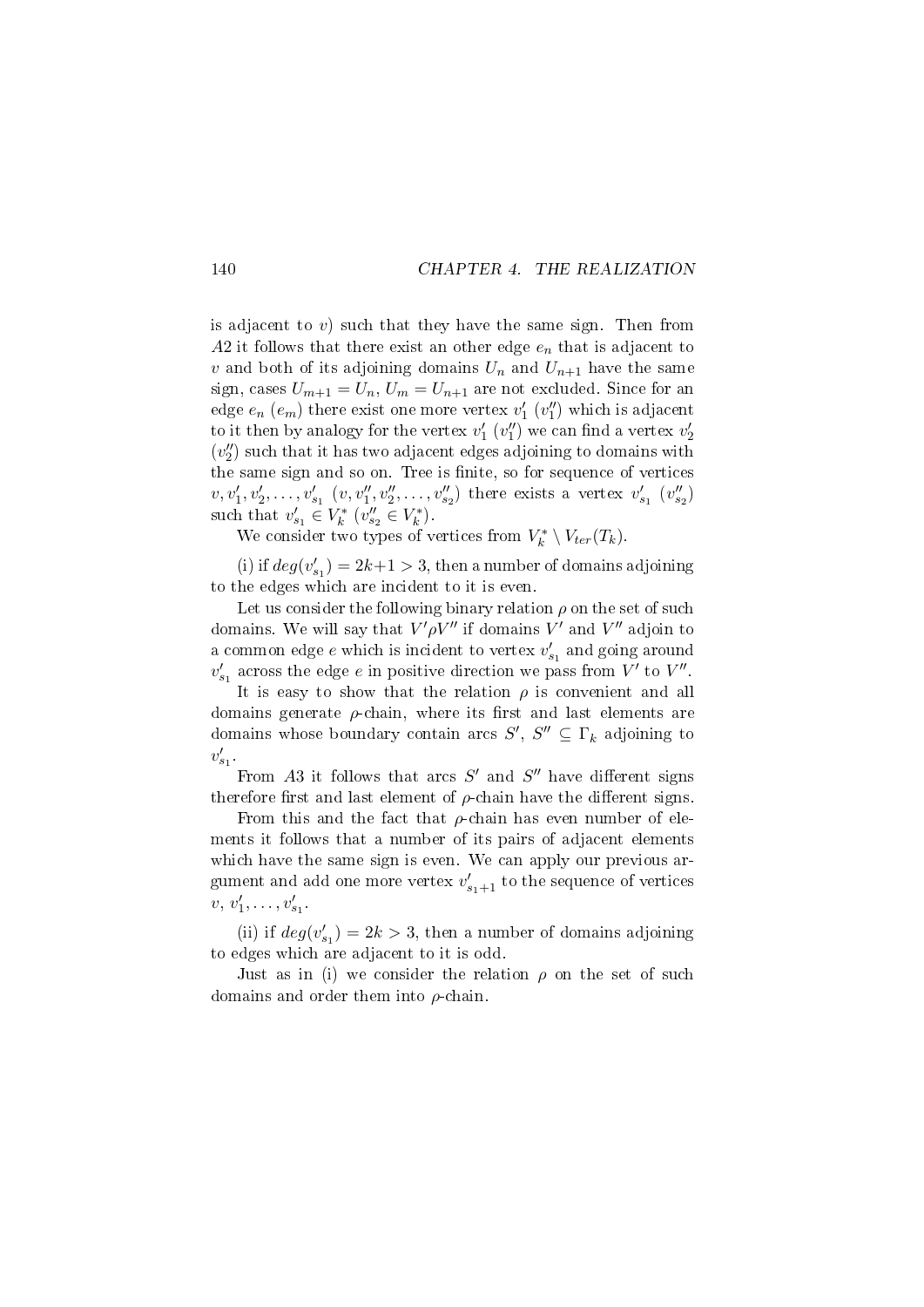is adjacent to  $v$ ) such that they have the same sign. Then from A2 it follows that there exist an other edge  $e_n$  that is adjacent to v and both of its adjoining domains  $U_n$  and  $U_{n+1}$  have the same sign, cases  $U_{m+1} = U_n$ ,  $U_m = U_{n+1}$  are not excluded. Since for an edge  $e_n$   $(e_m)$  there exist one more vertex  $v'_1$   $(v''_1)$  which is adjacent to it then by analogy for the vertex  $v_1'$   $(v_1'')$  we can find a vertex  $v_2'$  $\left( v_{2}^{\prime\prime}\right)$  such that it has two adjacent edges adjoining to domains with the same sign and so on. Tree is finite, so for sequence of vertices  $v, v'_1, v'_2, \ldots, v'_{s_1} (v, v''_1, v''_2, \ldots, v''_{s_2})$  there exists a vertex  $v'_{s_1} (v''_{s_2})$ such that  $v'_{s_1} \in V_k^*$   $(v''_{s_2} \in V_k^*)$ .

We consider two types of vertices from  $V_k^* \setminus V_{ter}(T_k)$ .

(i) if  $deg(v'_{s_1}) = 2k+1 > 3$ , then a number of domains adjoining to the edges which are incident to it is even.

Let us consider the following binary relation  $\rho$  on the set of such domains. We will say that  $V' \rho V''$  if domains  $V'$  and  $V''$  adjoin to a common edge  $e$  which is incident to vertex  $v'_{s_1}$  and going around  $v'_{s_1}$  across the edge e in positive direction we pass from  $V'$  to  $V''$ .

It is easy to show that the relation  $\rho$  is convenient and all domains generate  $\rho$ -chain, where its first and last elements are domains whose boundary contain arcs  $S'$ ,  $S'' \subseteq \Gamma_k$  adjoining to  $v'_{s_1}$ .

From A3 it follows that arcs  $S'$  and  $S''$  have different signs therefore first and last element of  $\rho$ -chain have the different signs.

From this and the fact that  $\rho$ -chain has even number of elements it follows that a number of its pairs of adjacent elements which have the same sign is even. We can apply our previous argument and add one more vertex  $v'_{s_1+1}$  to the sequence of vertices  $v, v'_1, \ldots, v'_{s_1}.$ 

(ii) if  $deg(v'_{s_1}) = 2k > 3$ , then a number of domains adjoining to edges which are adjacent to it is odd.

Just as in (i) we consider the relation  $\rho$  on the set of such domains and order them into ρ-chain.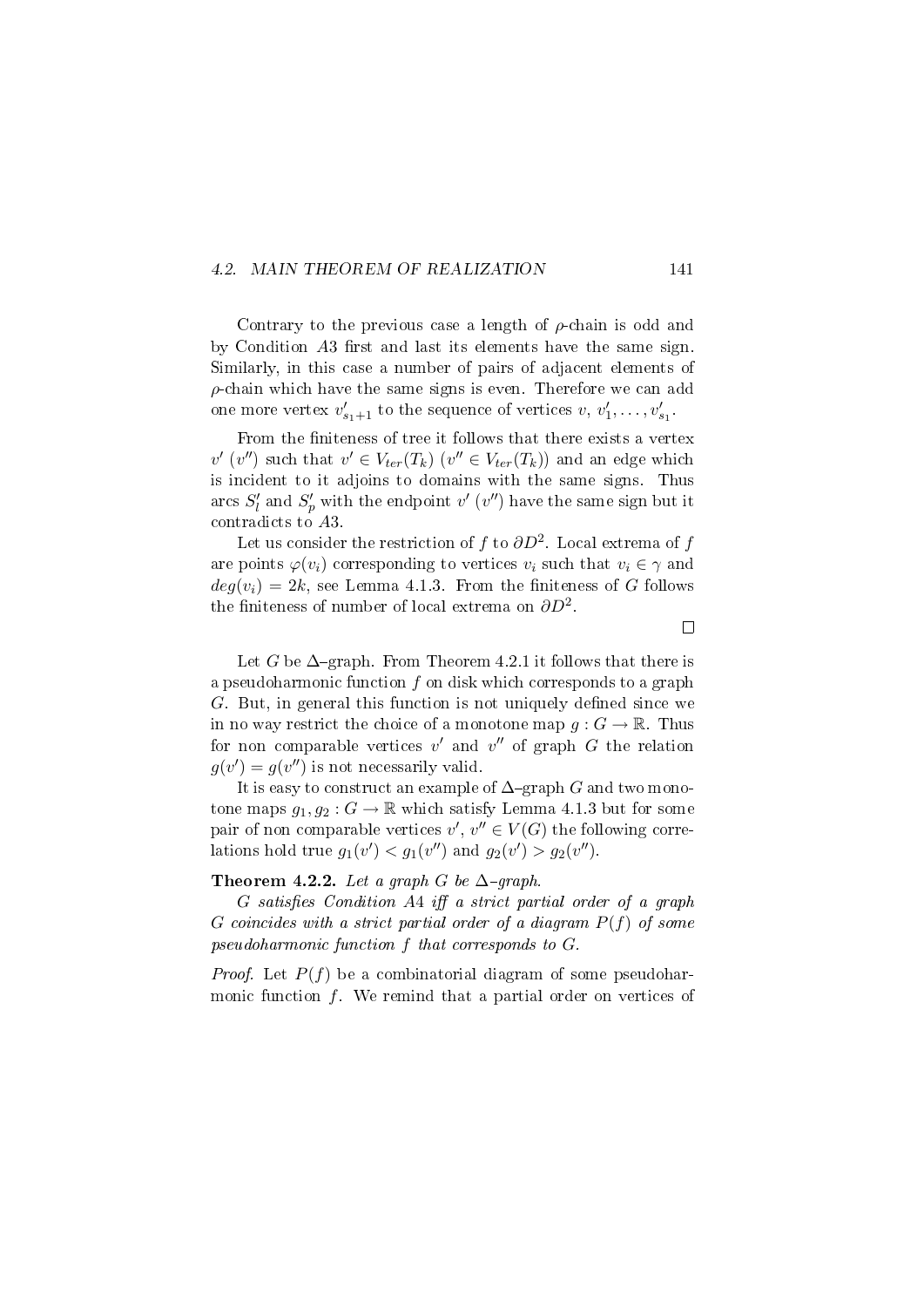#### 4.2. MAIN THEOREM OF REALIZATION 141

Contrary to the previous case a length of  $\rho$ -chain is odd and by Condition  $A3$  first and last its elements have the same sign. Similarly, in this case a number of pairs of adjacent elements of  $\rho$ -chain which have the same signs is even. Therefore we can add one more vertex  $v'_{s_1+1}$  to the sequence of vertices  $v, v'_1, \ldots, v'_{s_1}$ .

From the finiteness of tree it follows that there exists a vertex  $v'$  (v'') such that  $v' \in V_{ter}(T_k)$  ( $v'' \in V_{ter}(T_k)$ ) and an edge which is incident to it adjoins to domains with the same signs. Thus arcs  $S'_{l}$  and  $S'_{p}$  with the endpoint  $v'$  ( $v''$ ) have the same sign but it contradicts to A3.

Let us consider the restriction of  $f$  to  $\partial D^2$ . Local extrema of  $f$ are points  $\varphi(v_i)$  corresponding to vertices  $v_i$  such that  $v_i \in \gamma$  and  $deg(v_i) = 2k$ , see Lemma 4.1.3. From the finiteness of G follows the finiteness of number of local extrema on  $\partial D^2$ .

 $\Box$ 

Let G be  $\Delta$ -graph. From Theorem 4.2.1 it follows that there is a pseudoharmonic function  $f$  on disk which corresponds to a graph  $G.$  But, in general this function is not uniquely defined since we in no way restrict the choice of a monotone map  $q: G \to \mathbb{R}$ . Thus for non comparable vertices  $v'$  and  $v''$  of graph  $G$  the relation  $g(v') = g(v'')$  is not necessarily valid.

It is easy to construct an example of  $\Delta$ -graph G and two monotone maps  $g_1, g_2 : G \to \mathbb{R}$  which satisfy Lemma 4.1.3 but for some pair of non comparable vertices  $v', v'' \in V(G)$  the following correlations hold true  $g_1(v') < g_1(v'')$  and  $g_2(v') > g_2(v'')$ .

#### Theorem 4.2.2. Let a graph G be  $\Delta$ -graph.

 $G$  satisfies Condition A4 iff a strict partial order of a graph G coincides with a strict partial order of a diagram  $P(f)$  of some pseudoharmonic function f that corresponds to G.

*Proof.* Let  $P(f)$  be a combinatorial diagram of some pseudoharmonic function  $f$ . We remind that a partial order on vertices of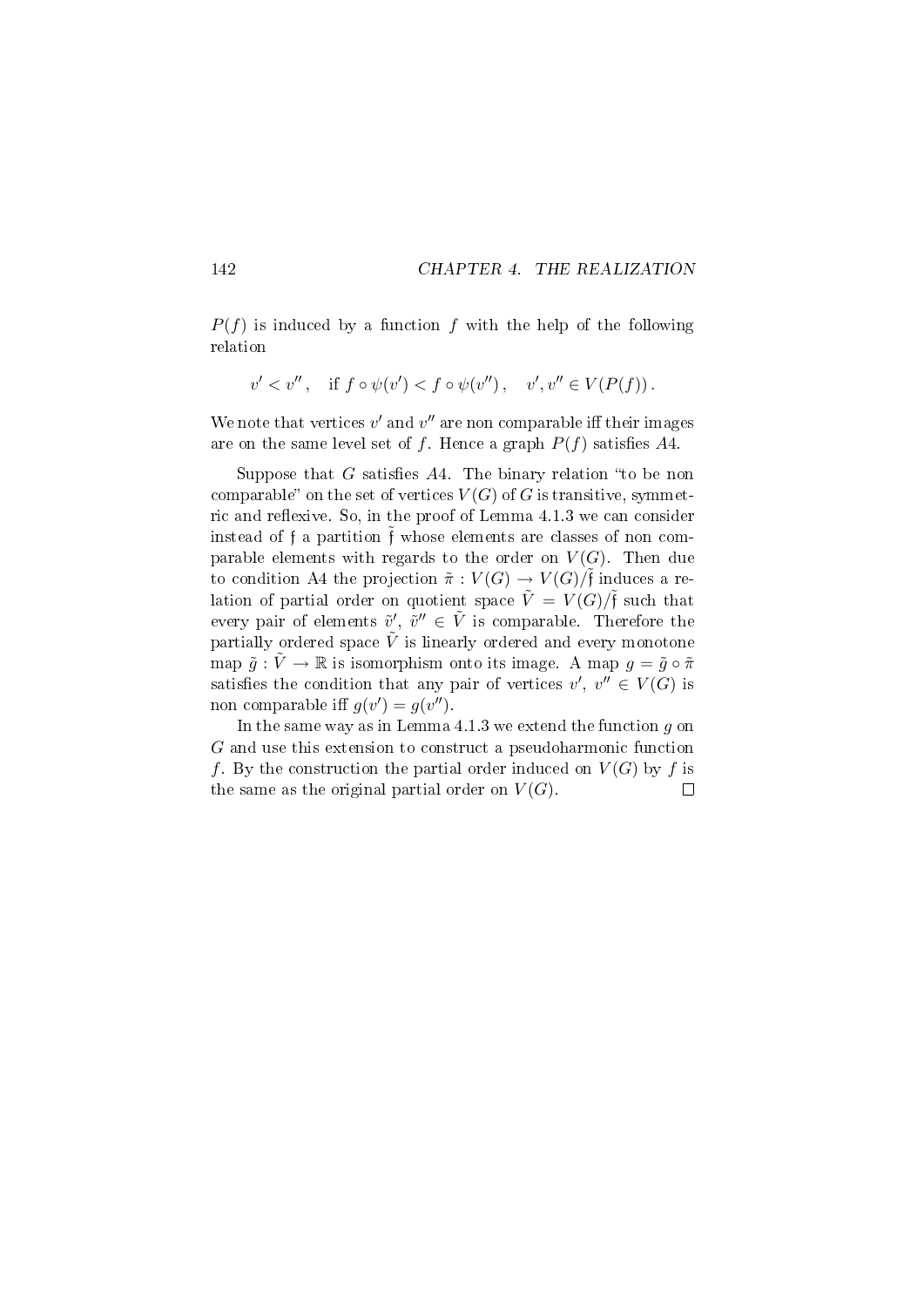$P(f)$  is induced by a function f with the help of the following relation

$$
v' < v'', \quad \text{if } f \circ \psi(v') < f \circ \psi(v''), \quad v', v'' \in V(P(f)).
$$

We note that vertices  $v'$  and  $v''$  are non comparable iff their images are on the same level set of f. Hence a graph  $P(f)$  satisfies A4.

Suppose that G satisfies  $A4$ . The binary relation "to be non comparable" on the set of vertices  $V(G)$  of G is transitive, symmetric and reflexive. So, in the proof of Lemma 4.1.3 we can consider instead of f a partition  $\tilde{f}$  whose elements are classes of non comparable elements with regards to the order on  $V(G)$ . Then due to condition A4 the projection  $\tilde{\pi}: V(G) \to V(G)/\tilde{\mathfrak{f}}$  induces a relation of partial order on quotient space  $\tilde{V} = V(G)/\tilde{f}$  such that every pair of elements  $\tilde{v}', \tilde{v}'' \in \tilde{V}$  is comparable. Therefore the partially ordered space  $\tilde{V}$  is linearly ordered and every monotone map  $\tilde{g} : \tilde{V} \to \mathbb{R}$  is isomorphism onto its image. A map  $g = \tilde{g} \circ \tilde{\pi}$ satisfies the condition that any pair of vertices  $v', v'' \in V(G)$  is non comparable iff  $g(v') = g(v'')$ .

In the same way as in Lemma  $4.1.3$  we extend the function  $g$  on G and use this extension to construct a pseudoharmonic function f. By the construction the partial order induced on  $V(G)$  by f is the same as the original partial order on  $V(G)$ .  $\Box$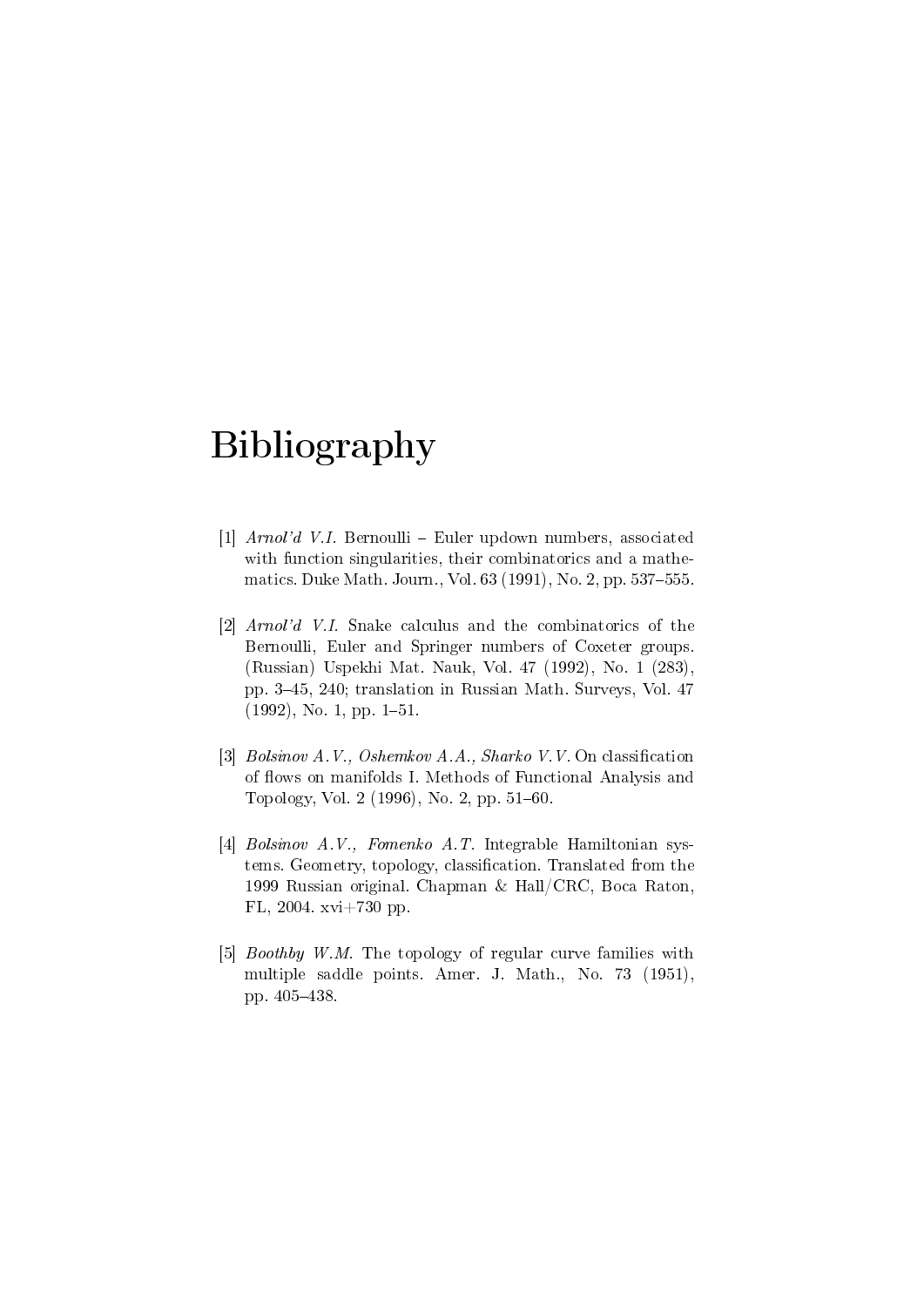## Bibliography

- [1]  $Arnol'd$  V.I. Bernoulli Euler updown numbers, associated with function singularities, their combinatorics and a mathematics. Duke Math. Journ., Vol. 63 (1991), No. 2, pp. 537-555.
- [2] Arnol'd V.I. Snake calculus and the combinatorics of the Bernoulli, Euler and Springer numbers of Coxeter groups. (Russian) Uspekhi Mat. Nauk, Vol. 47 (1992), No. 1 (283), pp. 345, 240; translation in Russian Math. Surveys, Vol. 47  $(1992)$ , No. 1, pp. 1-51.
- [3] Bolsinov A.V., Oshemkov A.A., Sharko V.V. On classification of flows on manifolds I. Methods of Functional Analysis and Topology, Vol. 2  $(1996)$ , No. 2, pp. 51–60.
- [4] Bolsinov A.V., Fomenko A.T. Integrable Hamiltonian systems. Geometry, topology, classification. Translated from the 1999 Russian original. Chapman & Hall/CRC, Boca Raton, FL, 2004. xvi+730 pp.
- [5] *Boothby W.M.* The topology of regular curve families with multiple saddle points. Amer. J. Math., No. 73 (1951), pp. 405-438.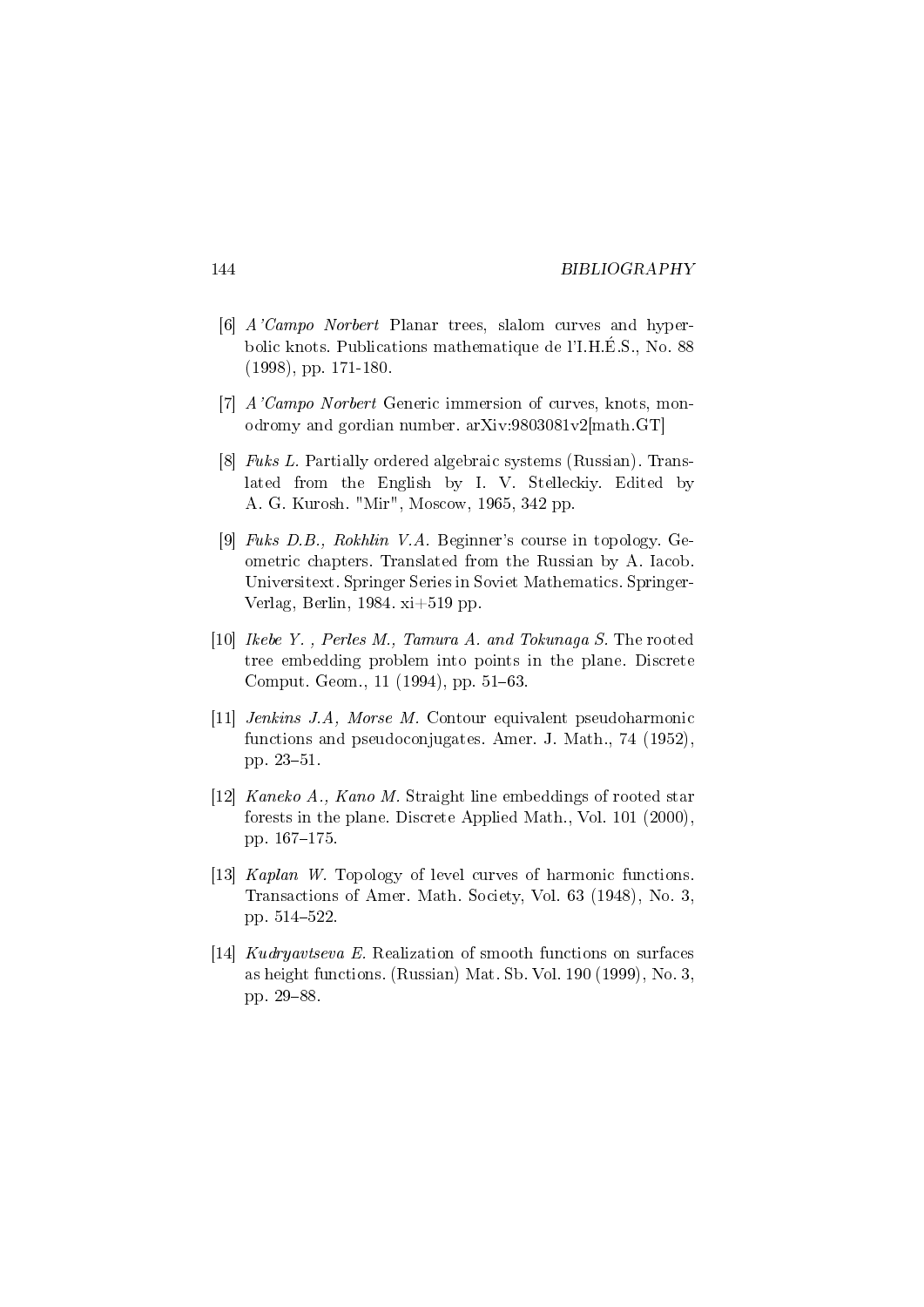#### 144 BIBLIOGRAPHY

- [6] A'Campo Norbert Planar trees, slalom curves and hyperbolic knots. Publications mathematique de l'I.H.E.S., No. 88 (1998), pp. 171-180.
- [7] A'Campo Norbert Generic immersion of curves, knots, monodromy and gordian number. arXiv:9803081v2[math.GT]
- [8] Fuks L. Partially ordered algebraic systems (Russian). Translated from the English by I. V. Stelleckiy. Edited by A. G. Kurosh. "Mir", Moscow, 1965, 342 pp.
- [9] Fuks D.B., Rokhlin V.A. Beginner's course in topology. Geometric chapters. Translated from the Russian by A. Iacob. Universitext. Springer Series in Soviet Mathematics. Springer-Verlag, Berlin, 1984. xi+519 pp.
- [10] Ikebe Y. , Perles M., Tamura A. and Tokunaga S. The rooted tree embedding problem into points in the plane. Discrete Comput. Geom., 11 (1994), pp. 51–63.
- [11] Jenkins J.A, Morse M. Contour equivalent pseudoharmonic functions and pseudoconjugates. Amer. J. Math., 74 (1952), pp. 23-51.
- [12] Kaneko A., Kano M. Straight line embeddings of rooted star forests in the plane. Discrete Applied Math., Vol. 101 (2000), pp. 167-175.
- [13] Kaplan W. Topology of level curves of harmonic functions. Transactions of Amer. Math. Society, Vol. 63 (1948), No. 3, pp. 514-522.
- [14] Kudryavtseva E. Realization of smooth functions on surfaces as height functions. (Russian) Mat. Sb. Vol. 190 (1999), No. 3, pp. 29-88.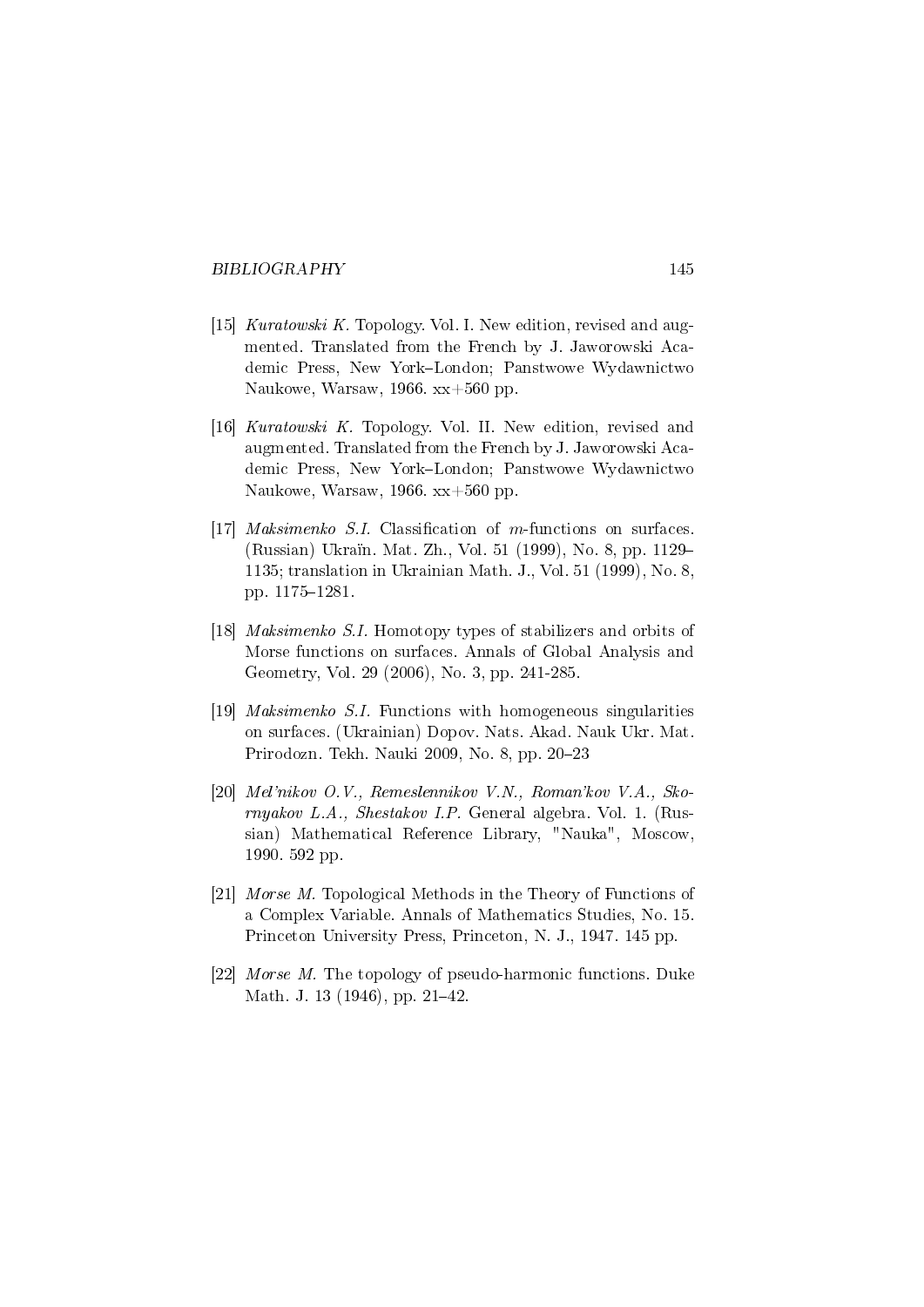- [15] Kuratowski K. Topology. Vol. I. New edition, revised and augmented. Translated from the French by J. Jaworowski Academic Press, New York-London; Panstwowe Wydawnictwo Naukowe, Warsaw, 1966. xx+560 pp.
- [16] Kuratowski K. Topology. Vol. II. New edition, revised and augmented. Translated from the French by J. Jaworowski Academic Press, New York-London; Panstwowe Wydawnictwo Naukowe, Warsaw, 1966. xx+560 pp.
- [17] Maksimenko S.I. Classification of m-functions on surfaces. (Russian) Ukraïn. Mat. Zh., Vol. 51 (1999), No. 8, pp. 1129– 1135; translation in Ukrainian Math. J., Vol. 51 (1999), No. 8, pp. 1175-1281.
- [18] Maksimenko S.I. Homotopy types of stabilizers and orbits of Morse functions on surfaces. Annals of Global Analysis and Geometry, Vol. 29 (2006), No. 3, pp. 241-285.
- [19] Maksimenko S.I. Functions with homogeneous singularities on surfaces. (Ukrainian) Dopov. Nats. Akad. Nauk Ukr. Mat. Prirodozn. Tekh. Nauki 2009, No. 8, pp. 20-23
- [20] Mel'nikov O.V., Remeslennikov V.N., Roman'kov V.A., Skornyakov L.A., Shestakov I.P. General algebra. Vol. 1. (Russian) Mathematical Reference Library, "Nauka", Moscow, 1990. 592 pp.
- [21] Morse M. Topological Methods in the Theory of Functions of a Complex Variable. Annals of Mathematics Studies, No. 15. Princeton University Press, Princeton, N. J., 1947. 145 pp.
- [22] Morse M. The topology of pseudo-harmonic functions. Duke Math. J. 13 (1946), pp. 21-42.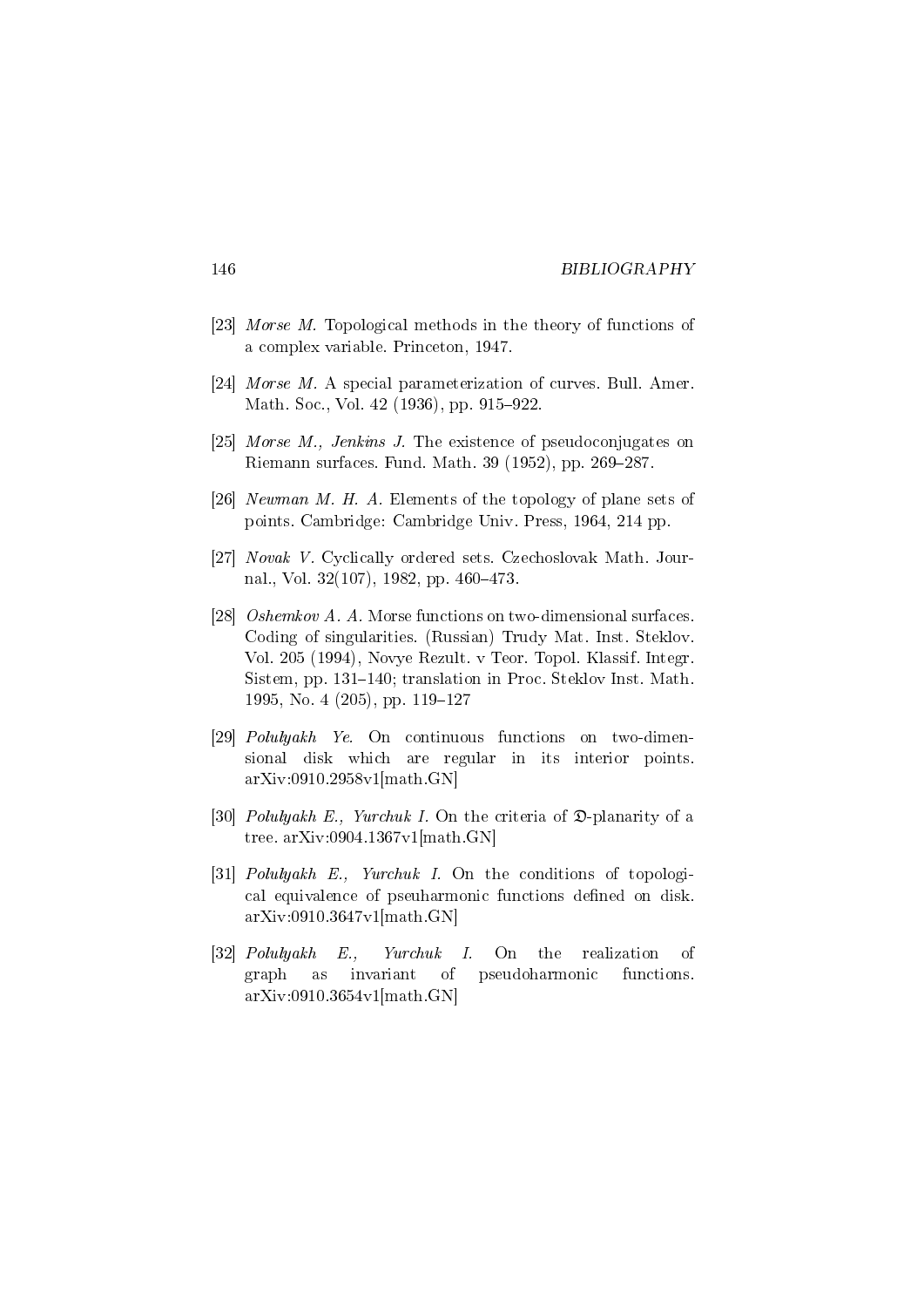- [23] Morse M. Topological methods in the theory of functions of a complex variable. Princeton, 1947.
- [24] *Morse M.* A special parameterization of curves. Bull. Amer. Math. Soc., Vol. 42 (1936), pp. 915–922.
- [25] Morse M., Jenkins J. The existence of pseudoconjugates on Riemann surfaces. Fund. Math.  $39$  (1952), pp. 269–287.
- [26] Newman M. H. A. Elements of the topology of plane sets of points. Cambridge: Cambridge Univ. Press, 1964, 214 pp.
- [27] Novak V. Cyclically ordered sets. Czechoslovak Math. Journal., Vol.  $32(107)$ , 1982, pp.  $460-473$ .
- [28] Oshemkov A. A. Morse functions on two-dimensional surfaces. Coding of singularities. (Russian) Trudy Mat. Inst. Steklov. Vol. 205 (1994), Novye Rezult. v Teor. Topol. Klassif. Integr. Sistem, pp. 131–140; translation in Proc. Steklov Inst. Math. 1995, No. 4 (205), pp. 119–127
- [29] Polulyakh Ye. On continuous functions on two-dimensional disk which are regular in its interior points. arXiv:0910.2958v1[math.GN]
- [30] *Polulyakh E.*, *Yurchuk I.* On the criteria of  $\mathfrak{D}$ -planarity of a tree. arXiv:0904.1367v1[math.GN]
- [31] *Polulyakh E.*, *Yurchuk I.* On the conditions of topological equivalence of pseuharmonic functions defined on disk. arXiv:0910.3647v1[math.GN]
- [32] Polulyakh E., Yurchuk I. On the realization of graph as invariant of pseudoharmonic functions. arXiv:0910.3654v1[math.GN]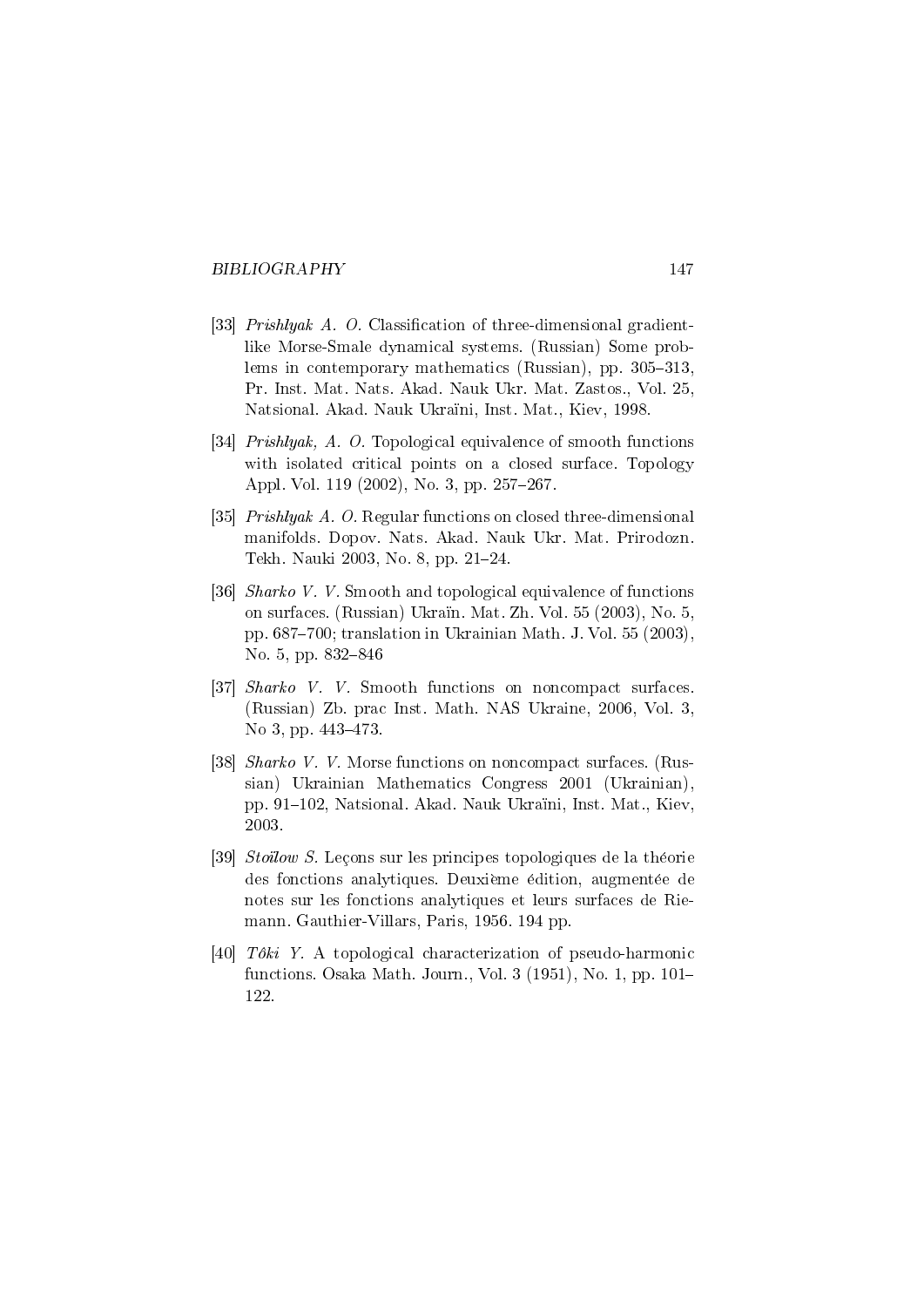- [33] *Prishlyak A. O.* Classification of three-dimensional gradientlike Morse-Smale dynamical systems. (Russian) Some problems in contemporary mathematics (Russian), pp.  $305-313$ Pr. Inst. Mat. Nats. Akad. Nauk Ukr. Mat. Zastos., Vol. 25, Natsional. Akad. Nauk Ukraïni, Inst. Mat., Kiev, 1998.
- [34] Prishlyak, A. O. Topological equivalence of smooth functions with isolated critical points on a closed surface. Topology Appl. Vol. 119 (2002), No. 3, pp. 257-267.
- [35] *Prishlyak A. O.* Regular functions on closed three-dimensional manifolds. Dopov. Nats. Akad. Nauk Ukr. Mat. Prirodozn. Tekh. Nauki 2003, No. 8, pp. 21-24.
- [36] *Sharko V. V.* Smooth and topological equivalence of functions on surfaces. (Russian) Ukraïn. Mat. Zh. Vol. 55 (2003), No. 5 pp.  $687-700$ ; translation in Ukrainian Math. J. Vol. 55  $(2003)$ . No. 5, pp. 832-846
- [37] Sharko V. V. Smooth functions on noncompact surfaces. (Russian) Zb. prac Inst. Math. NAS Ukraine, 2006, Vol. 3, No 3, pp. 443-473.
- [38] Sharko V. V. Morse functions on noncompact surfaces. (Russian) Ukrainian Mathematics Congress 2001 (Ukrainian), pp. 91–102, Natsional. Akad. Nauk Ukraïni, Inst. Mat., Kiev, 2003.
- [39] *Stollow S.* Lecons sur les principes topologiques de la théorie des fonctions analytiques. Deuxième édition, augmentée de notes sur les fonctions analytiques et leurs surfaces de Riemann. Gauthier-Villars, Paris, 1956. 194 pp.
- [40]  $T\delta ki$  Y. A topological characterization of pseudo-harmonic functions. Osaka Math. Journ., Vol. 3 (1951), No. 1, pp. 101 122.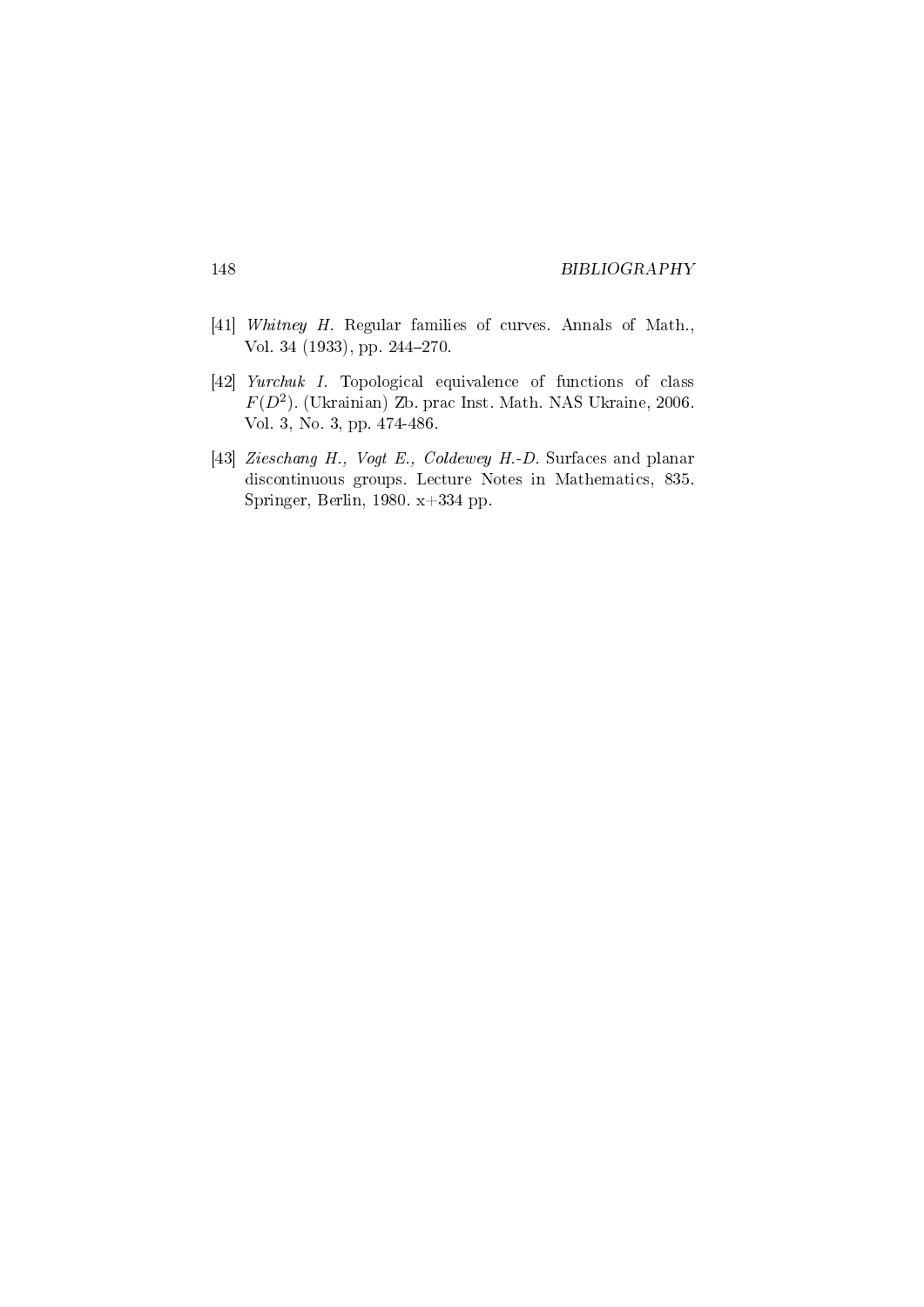- [41] Whitney H. Regular families of curves. Annals of Math., Vol. 34 (1933), pp. 244-270.
- [42] Yurchuk I. Topological equivalence of functions of class  $F(D^2)$ . (Ukrainian) Zb. prac Inst. Math. NAS Ukraine, 2006. Vol. 3, No. 3, pp. 474-486.
- [43] Zieschang H., Vogt E., Coldewey H.-D. Surfaces and planar discontinuous groups. Lecture Notes in Mathematics, 835. Springer, Berlin, 1980. x+334 pp.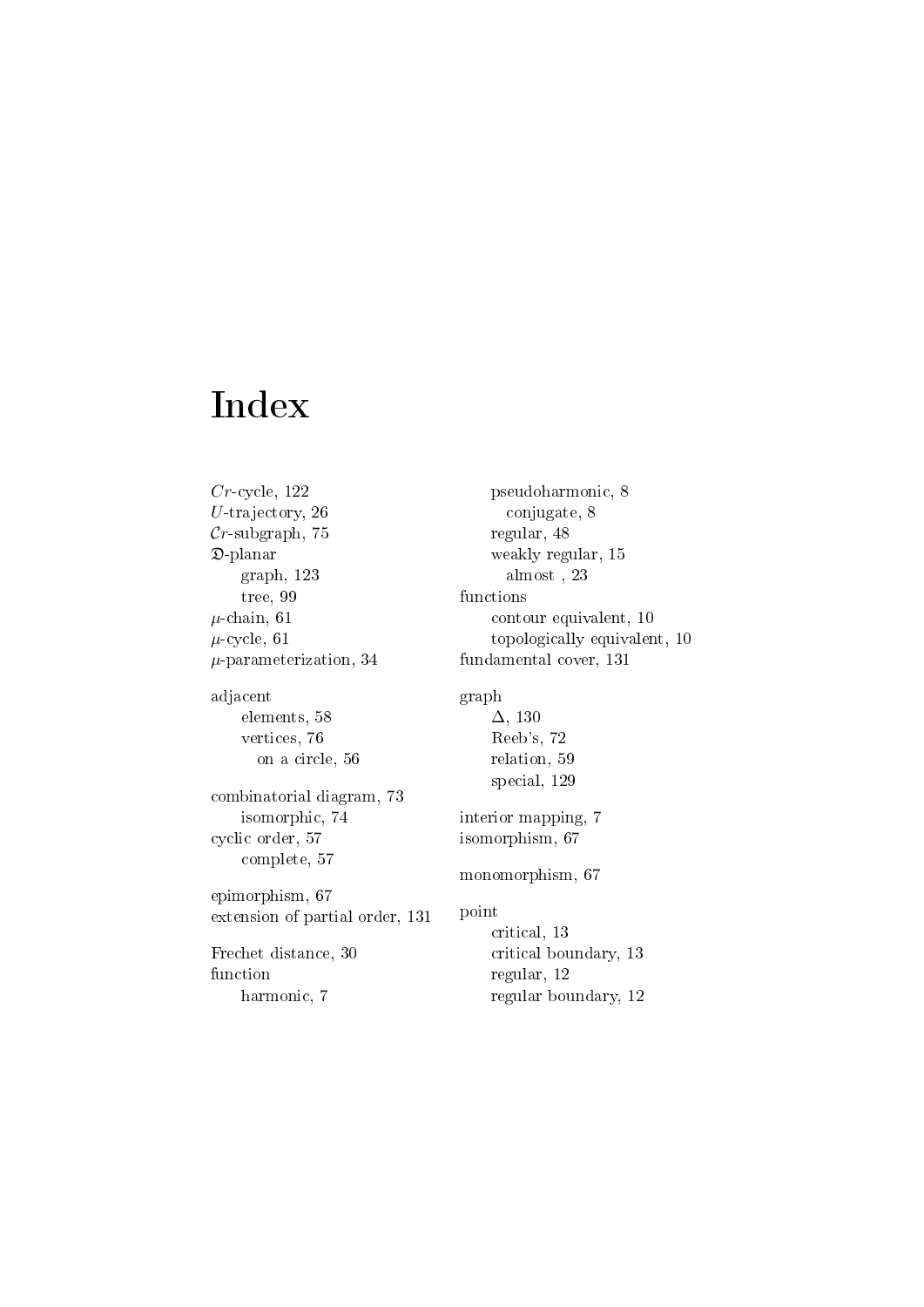# Index

 $Cr$ -cycle, 122 U-trajectory, 26  $Cr$ -subgraph, 75 D-planar graph, 123 tree, 99  $\mu$ -chain, 61  $\mu$ -cycle, 61  $\mu$ -parameterization, 34 adjacent elements, 58 vertices, 76 on a circle, 56 combinatorial diagram, 73 isomorphic, 74 cyclic order, 57 complete, 57 epimorphism, 67 extension of partial order, 131 Frechet distance, 30 function harmonic, 7

pseudoharmonic, 8 conjugate, 8 regular, 48 weakly regular, 15 almost , 23 functions contour equivalent, 10 topologically equivalent, 10 fundamental cover, 131 graph ∆, 130 Reeb's, 72 relation, 59 special, 129 interior mapping, 7 isomorphism, 67 monomorphism, 67 point critical, 13 critical boundary, 13 regular, 12 regular boundary, 12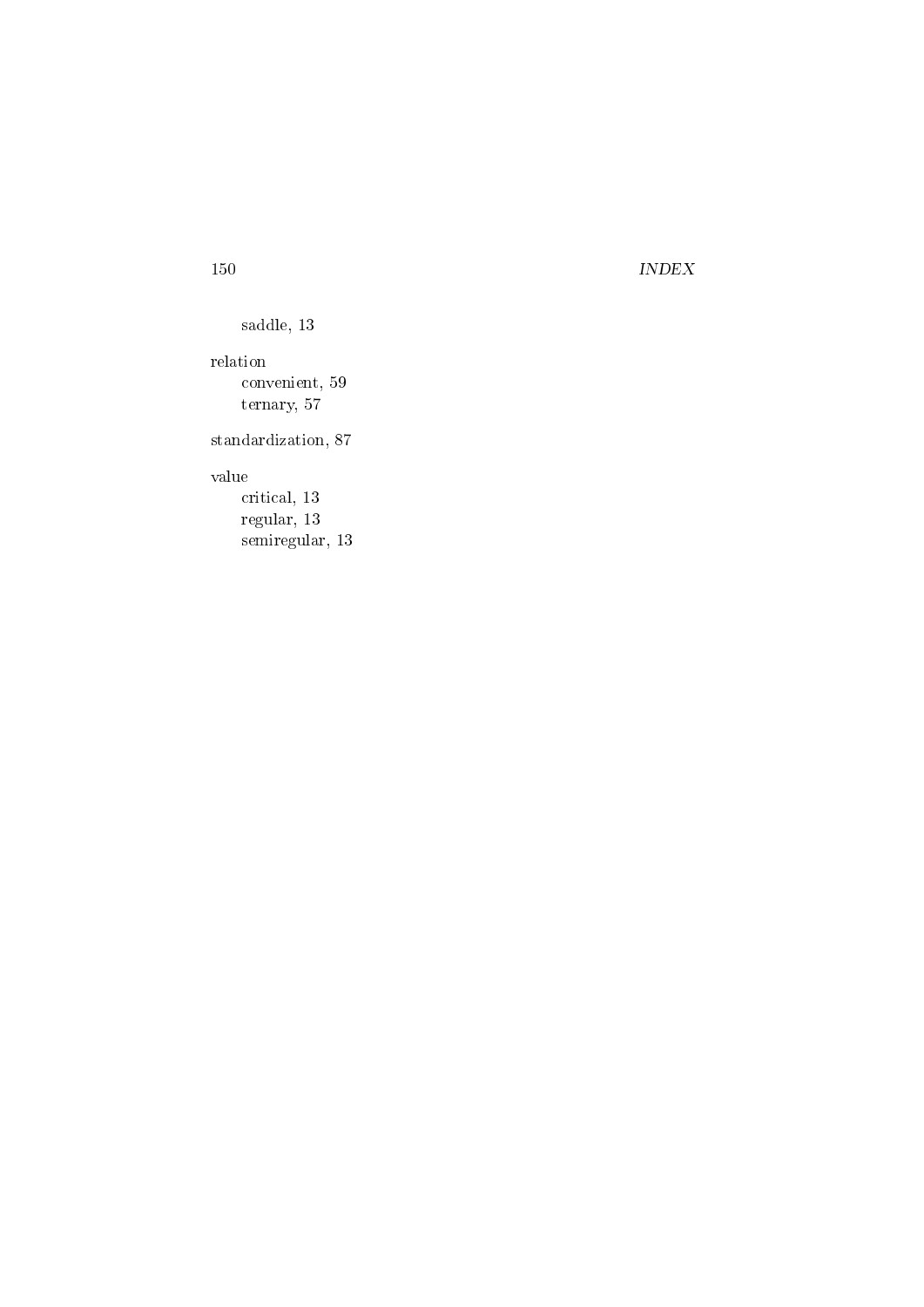## 150 INDEX

saddle, 13

relation convenient, 59 ternary, 57

standardization, 87

## value

critical, 13 regular, 13 semiregular, 13